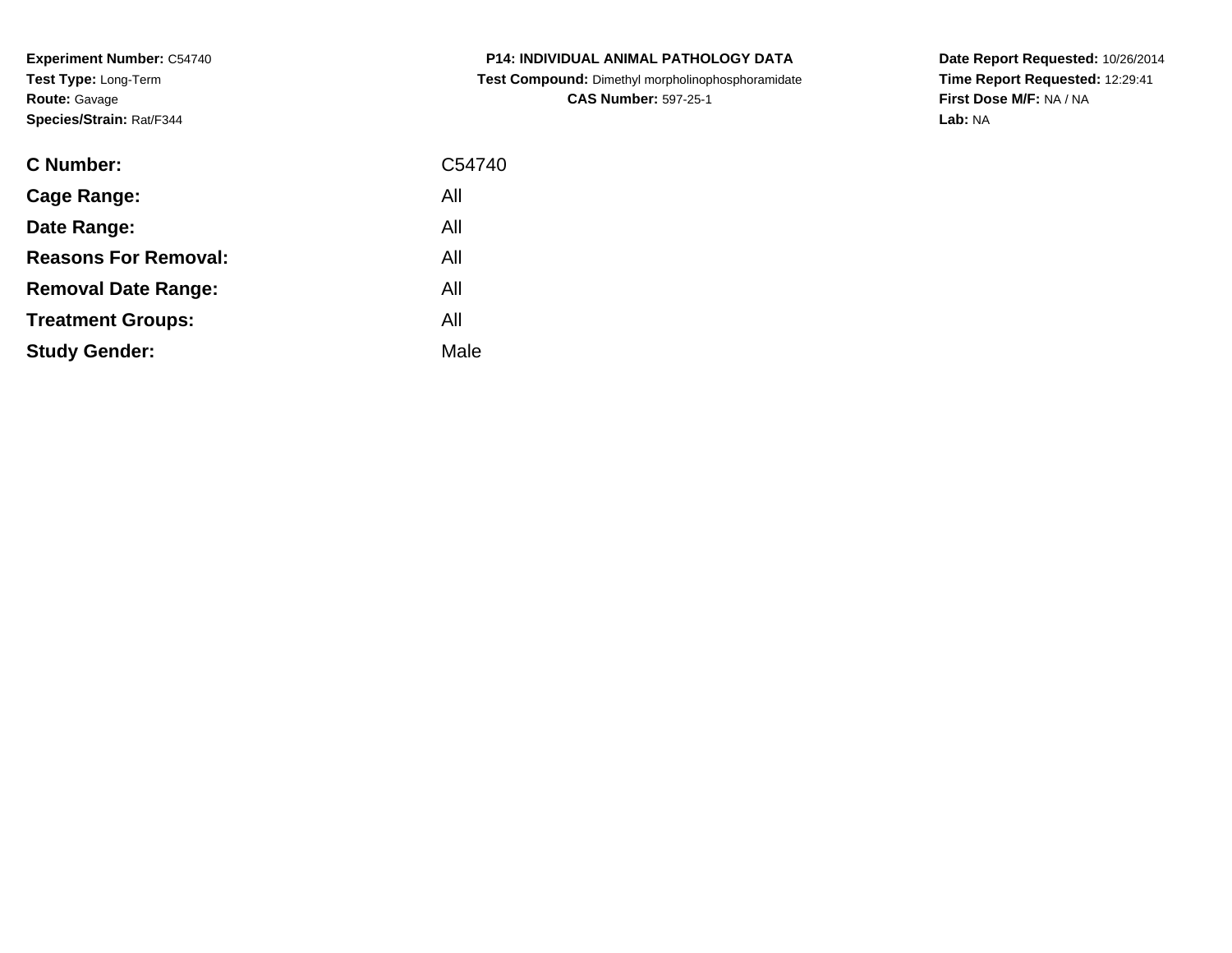**Experiment Number:** C54740**Test Type:** Long-Term**Route:** Gavage**Species/Strain:** Rat/F344

| <b>C Number:</b>            | C54740 |
|-----------------------------|--------|
| Cage Range:                 | All    |
| Date Range:                 | All    |
| <b>Reasons For Removal:</b> | All    |
| <b>Removal Date Range:</b>  | All    |
| <b>Treatment Groups:</b>    | All    |
| <b>Study Gender:</b>        | Male   |
|                             |        |

**P14: INDIVIDUAL ANIMAL PATHOLOGY DATA Test Compound:** Dimethyl morpholinophosphoramidate**CAS Number:** 597-25-1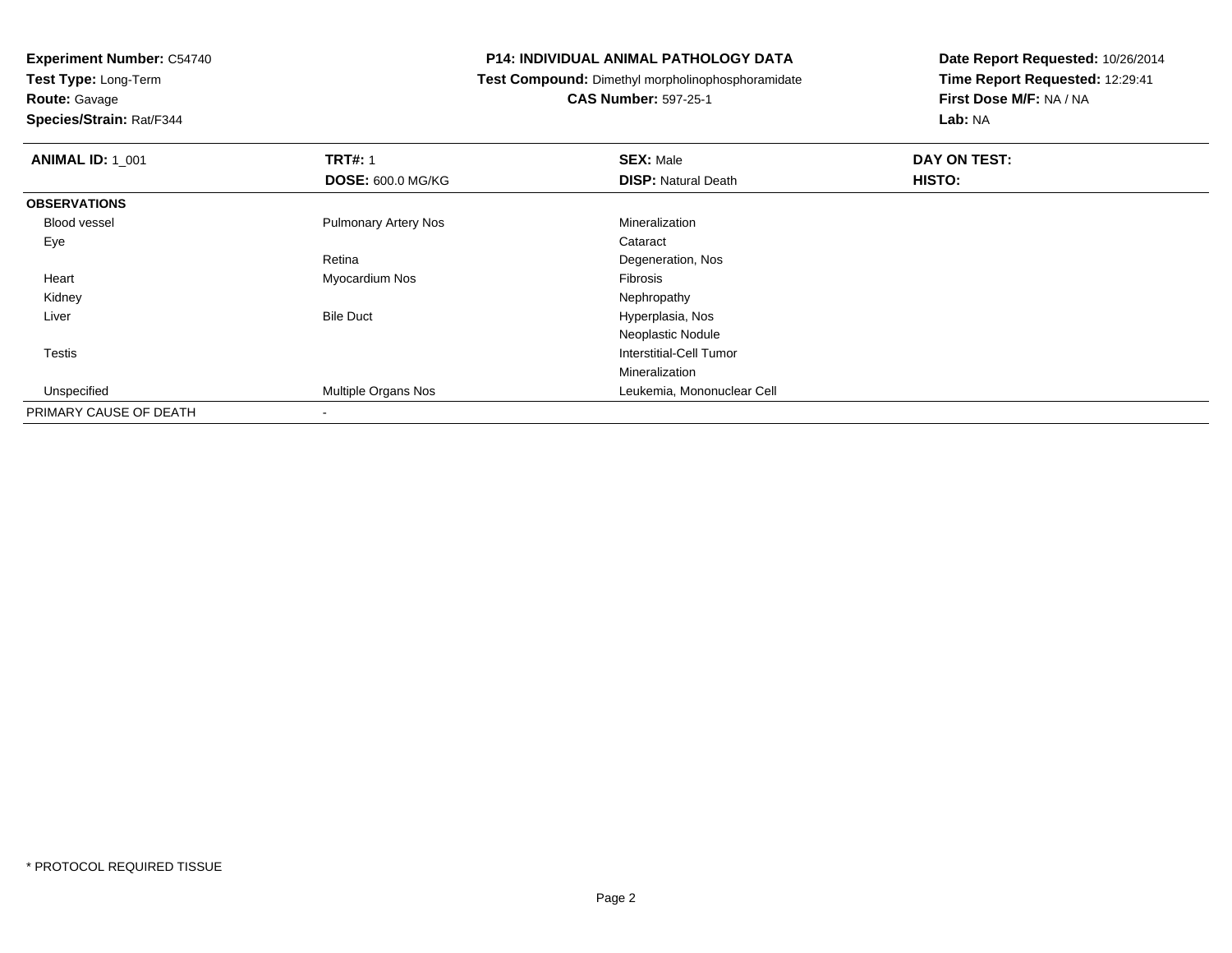**Route:** Gavage

**Species/Strain:** Rat/F344

#### **P14: INDIVIDUAL ANIMAL PATHOLOGY DATA**

**Test Compound:** Dimethyl morpholinophosphoramidate

**CAS Number:** 597-25-1

| <b>ANIMAL ID: 1_001</b> | <b>TRT#: 1</b>              | <b>SEX: Male</b>           | DAY ON TEST: |
|-------------------------|-----------------------------|----------------------------|--------------|
|                         | <b>DOSE: 600.0 MG/KG</b>    | <b>DISP: Natural Death</b> | HISTO:       |
| <b>OBSERVATIONS</b>     |                             |                            |              |
| <b>Blood vessel</b>     | <b>Pulmonary Artery Nos</b> | Mineralization             |              |
| Eye                     |                             | Cataract                   |              |
|                         | Retina                      | Degeneration, Nos          |              |
| Heart                   | Myocardium Nos              | Fibrosis                   |              |
| Kidney                  |                             | Nephropathy                |              |
| Liver                   | <b>Bile Duct</b>            | Hyperplasia, Nos           |              |
|                         |                             | Neoplastic Nodule          |              |
| <b>Testis</b>           |                             | Interstitial-Cell Tumor    |              |
|                         |                             | Mineralization             |              |
| Unspecified             | Multiple Organs Nos         | Leukemia, Mononuclear Cell |              |
| PRIMARY CAUSE OF DEATH  |                             |                            |              |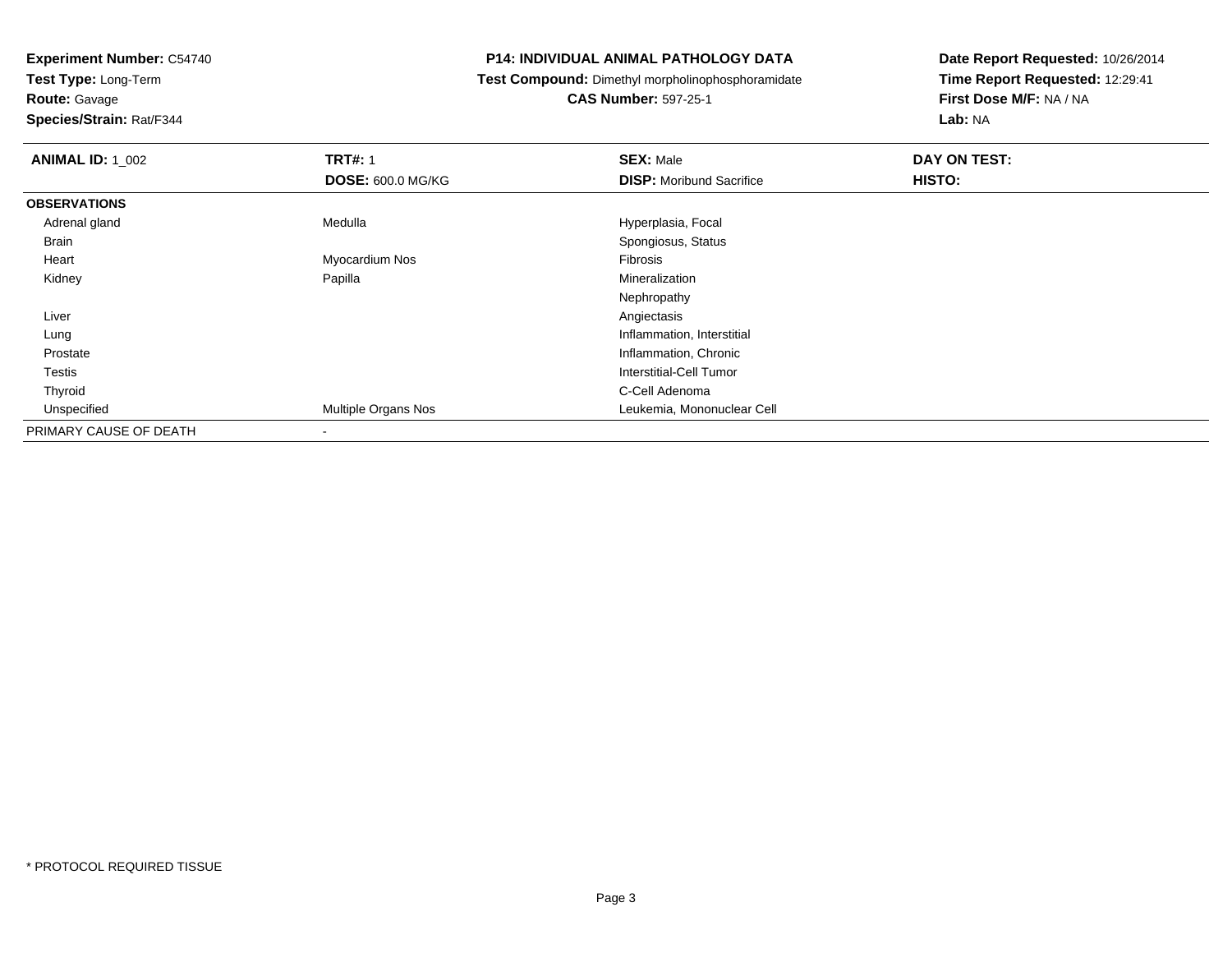**Test Type:** Long-Term

# **Route:** Gavage

**Species/Strain:** Rat/F344

#### **P14: INDIVIDUAL ANIMAL PATHOLOGY DATA**

### **Test Compound:** Dimethyl morpholinophosphoramidate

### **CAS Number:** 597-25-1

| <b>ANIMAL ID: 1_002</b> | <b>TRT#: 1</b>           | <b>SEX: Male</b>                | DAY ON TEST: |  |
|-------------------------|--------------------------|---------------------------------|--------------|--|
|                         | <b>DOSE: 600.0 MG/KG</b> | <b>DISP:</b> Moribund Sacrifice | HISTO:       |  |
| <b>OBSERVATIONS</b>     |                          |                                 |              |  |
| Adrenal gland           | Medulla                  | Hyperplasia, Focal              |              |  |
| Brain                   |                          | Spongiosus, Status              |              |  |
| Heart                   | Myocardium Nos           | Fibrosis                        |              |  |
| Kidney                  | Papilla                  | Mineralization                  |              |  |
|                         |                          | Nephropathy                     |              |  |
| Liver                   |                          | Angiectasis                     |              |  |
| Lung                    |                          | Inflammation, Interstitial      |              |  |
| Prostate                |                          | Inflammation, Chronic           |              |  |
| Testis                  |                          | Interstitial-Cell Tumor         |              |  |
| Thyroid                 |                          | C-Cell Adenoma                  |              |  |
| Unspecified             | Multiple Organs Nos      | Leukemia, Mononuclear Cell      |              |  |
| PRIMARY CAUSE OF DEATH  | $\blacksquare$           |                                 |              |  |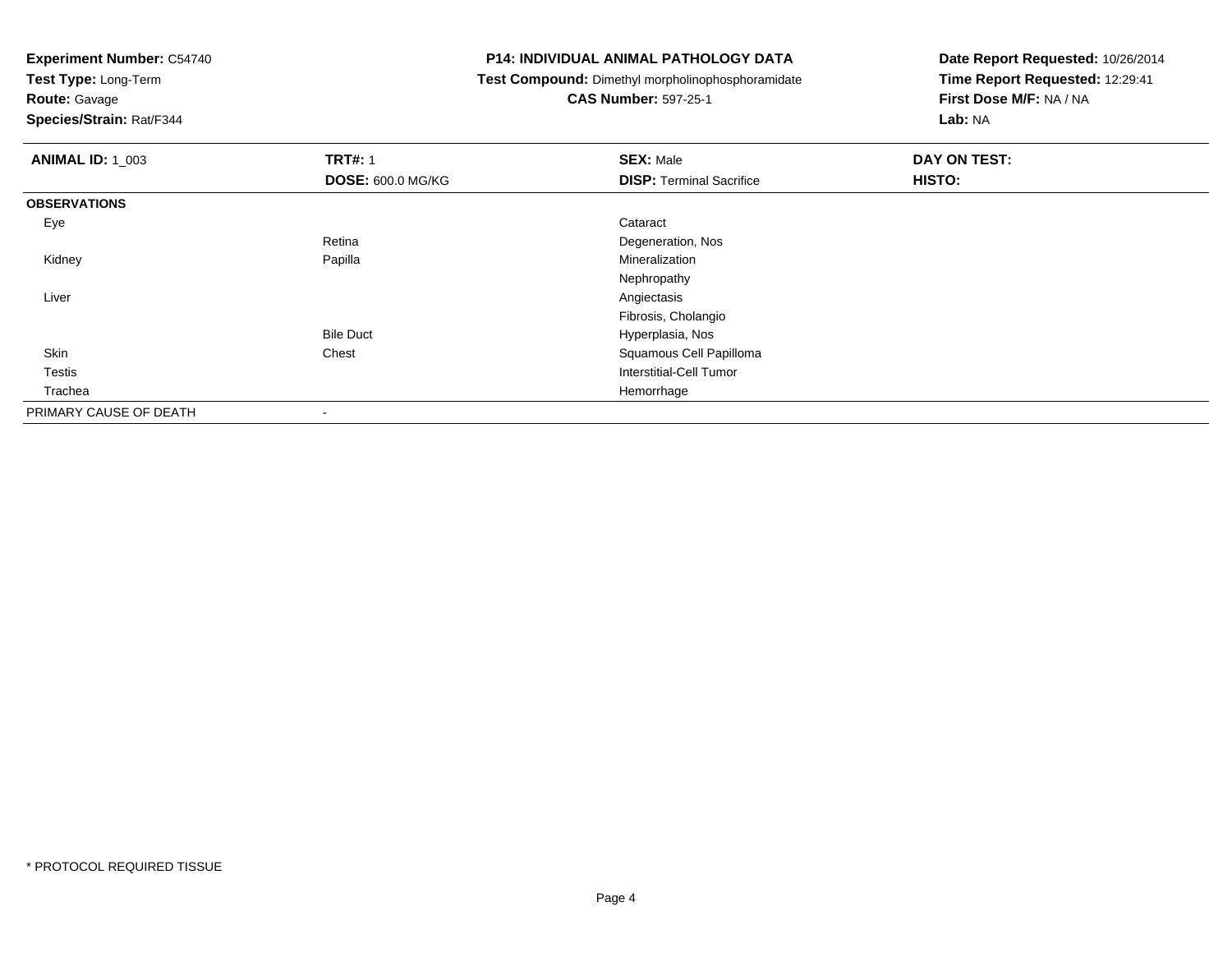**Test Type:** Long-Term

**Route:** Gavage

**Species/Strain:** Rat/F344

#### **P14: INDIVIDUAL ANIMAL PATHOLOGY DATA**

**Test Compound:** Dimethyl morpholinophosphoramidate

**CAS Number:** 597-25-1

| <b>ANIMAL ID: 1_003</b> | <b>TRT#: 1</b>           | <b>SEX: Male</b>                | DAY ON TEST: |
|-------------------------|--------------------------|---------------------------------|--------------|
|                         | <b>DOSE: 600.0 MG/KG</b> | <b>DISP: Terminal Sacrifice</b> | HISTO:       |
| <b>OBSERVATIONS</b>     |                          |                                 |              |
| Eye                     |                          | Cataract                        |              |
|                         | Retina                   | Degeneration, Nos               |              |
| Kidney                  | Papilla                  | Mineralization                  |              |
|                         |                          | Nephropathy                     |              |
| Liver                   |                          | Angiectasis                     |              |
|                         |                          | Fibrosis, Cholangio             |              |
|                         | <b>Bile Duct</b>         | Hyperplasia, Nos                |              |
| Skin                    | Chest                    | Squamous Cell Papilloma         |              |
| Testis                  |                          | Interstitial-Cell Tumor         |              |
| Trachea                 |                          | Hemorrhage                      |              |
| PRIMARY CAUSE OF DEATH  | $\,$ $\,$                |                                 |              |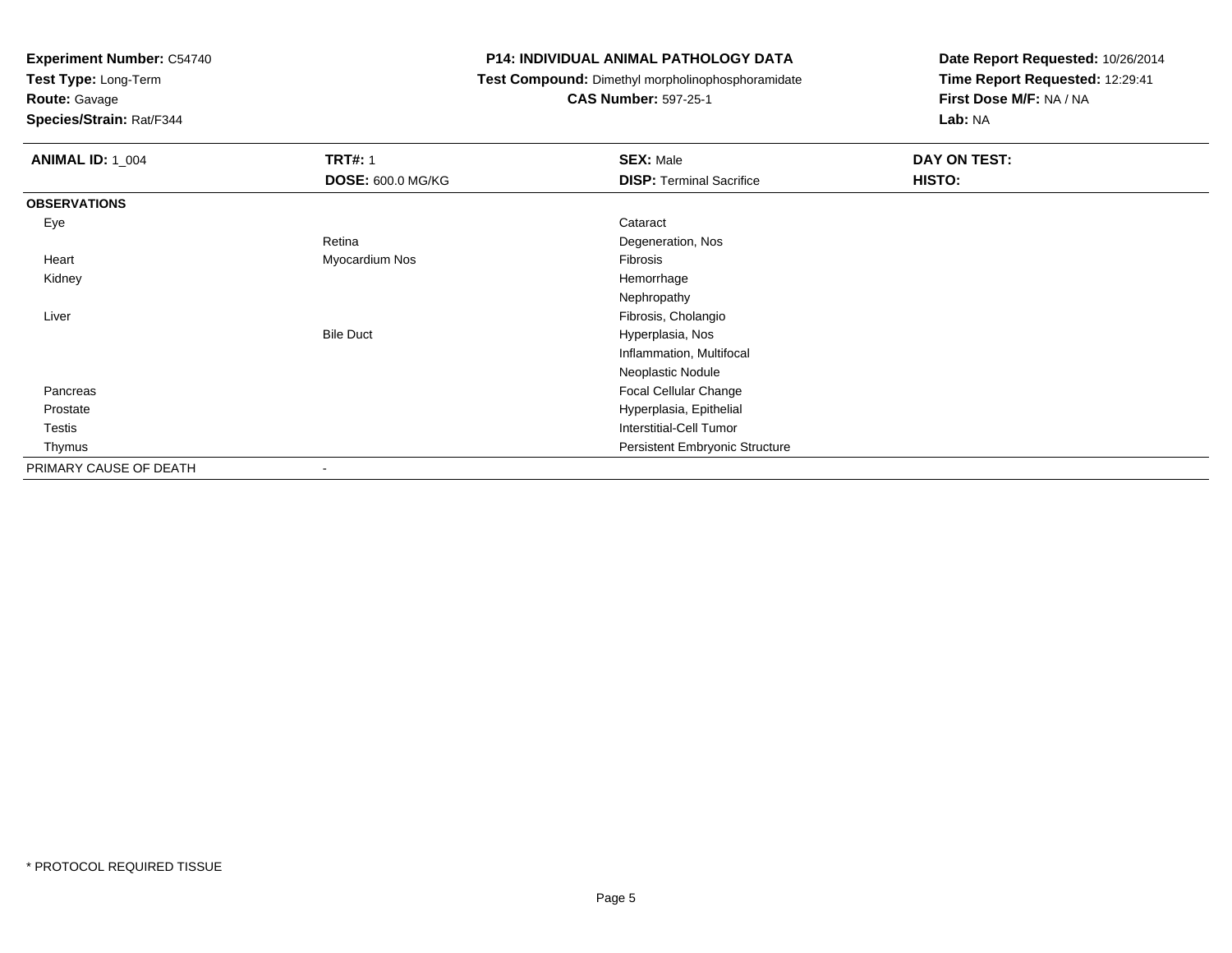**Test Type:** Long-Term

**Route:** Gavage

**Species/Strain:** Rat/F344

#### **P14: INDIVIDUAL ANIMAL PATHOLOGY DATA**

**Test Compound:** Dimethyl morpholinophosphoramidate

**CAS Number:** 597-25-1

| <b>ANIMAL ID: 1_004</b> | <b>TRT#: 1</b>           | <b>SEX: Male</b>                | DAY ON TEST: |  |
|-------------------------|--------------------------|---------------------------------|--------------|--|
|                         | <b>DOSE: 600.0 MG/KG</b> | <b>DISP: Terminal Sacrifice</b> | HISTO:       |  |
| <b>OBSERVATIONS</b>     |                          |                                 |              |  |
| Eye                     |                          | Cataract                        |              |  |
|                         | Retina                   | Degeneration, Nos               |              |  |
| Heart                   | Myocardium Nos           | Fibrosis                        |              |  |
| Kidney                  |                          | Hemorrhage                      |              |  |
|                         |                          | Nephropathy                     |              |  |
| Liver                   |                          | Fibrosis, Cholangio             |              |  |
|                         | <b>Bile Duct</b>         | Hyperplasia, Nos                |              |  |
|                         |                          | Inflammation, Multifocal        |              |  |
|                         |                          | Neoplastic Nodule               |              |  |
| Pancreas                |                          | Focal Cellular Change           |              |  |
| Prostate                |                          | Hyperplasia, Epithelial         |              |  |
| <b>Testis</b>           |                          | <b>Interstitial-Cell Tumor</b>  |              |  |
| Thymus                  |                          | Persistent Embryonic Structure  |              |  |
| PRIMARY CAUSE OF DEATH  |                          |                                 |              |  |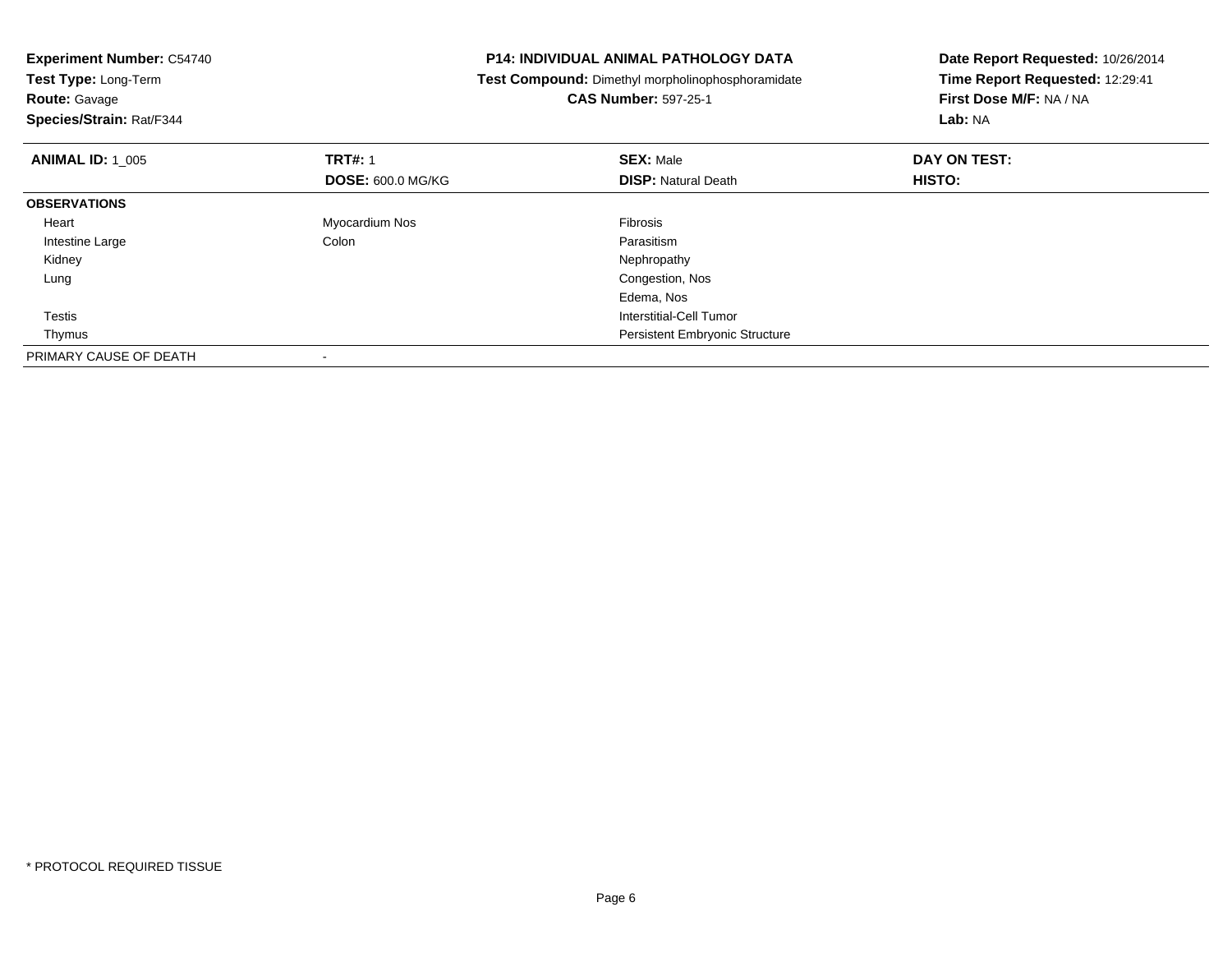| <b>Experiment Number: C54740</b> |                          | <b>P14: INDIVIDUAL ANIMAL PATHOLOGY DATA</b>      | Date Report Requested: 10/26/2014 |  |
|----------------------------------|--------------------------|---------------------------------------------------|-----------------------------------|--|
| Test Type: Long-Term             |                          | Test Compound: Dimethyl morpholinophosphoramidate | Time Report Requested: 12:29:41   |  |
| <b>Route: Gavage</b>             |                          | <b>CAS Number: 597-25-1</b>                       | First Dose M/F: NA / NA           |  |
| Species/Strain: Rat/F344         |                          |                                                   | Lab: NA                           |  |
| <b>ANIMAL ID: 1 005</b>          | <b>TRT#: 1</b>           | <b>SEX: Male</b>                                  | DAY ON TEST:                      |  |
|                                  | <b>DOSE: 600.0 MG/KG</b> | <b>DISP:</b> Natural Death                        | HISTO:                            |  |
| <b>OBSERVATIONS</b>              |                          |                                                   |                                   |  |
| Heart                            | Myocardium Nos           | <b>Fibrosis</b>                                   |                                   |  |
| Intestine Large                  | Colon                    | Parasitism                                        |                                   |  |
| Kidney                           |                          | Nephropathy                                       |                                   |  |
| Lung                             |                          | Congestion, Nos                                   |                                   |  |
|                                  |                          | Edema, Nos                                        |                                   |  |
| Testis                           |                          | <b>Interstitial-Cell Tumor</b>                    |                                   |  |
| Thymus                           |                          | Persistent Embryonic Structure                    |                                   |  |
| PRIMARY CAUSE OF DEATH           |                          |                                                   |                                   |  |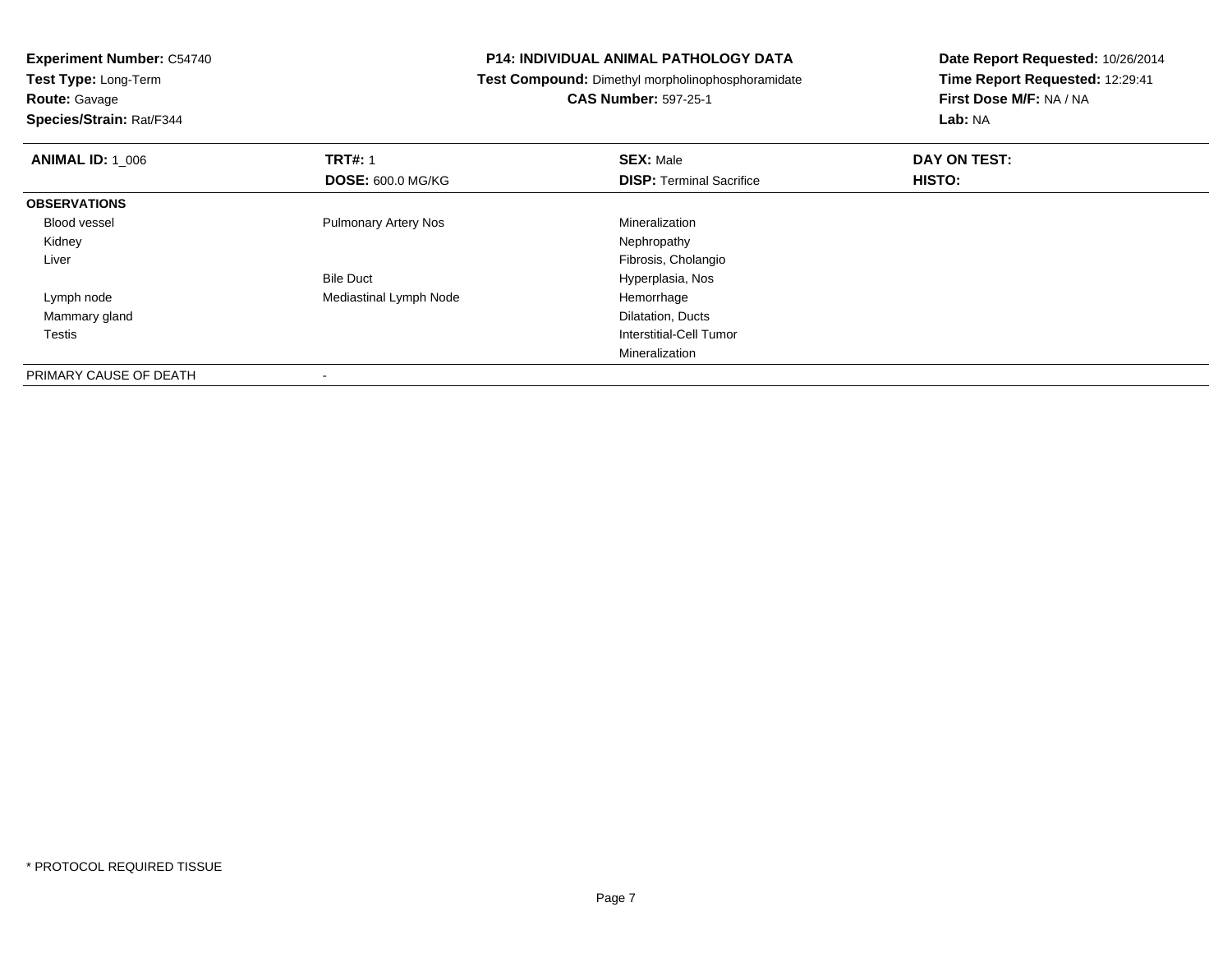**Route:** Gavage

**Species/Strain:** Rat/F344

#### **P14: INDIVIDUAL ANIMAL PATHOLOGY DATA**

**Test Compound:** Dimethyl morpholinophosphoramidate

**CAS Number:** 597-25-1

| <b>ANIMAL ID: 1_006</b> | <b>TRT#: 1</b>              | <b>SEX: Male</b>                | DAY ON TEST: |  |
|-------------------------|-----------------------------|---------------------------------|--------------|--|
|                         | <b>DOSE: 600.0 MG/KG</b>    | <b>DISP: Terminal Sacrifice</b> | HISTO:       |  |
| <b>OBSERVATIONS</b>     |                             |                                 |              |  |
| Blood vessel            | <b>Pulmonary Artery Nos</b> | Mineralization                  |              |  |
| Kidney                  |                             | Nephropathy                     |              |  |
| Liver                   |                             | Fibrosis, Cholangio             |              |  |
|                         | <b>Bile Duct</b>            | Hyperplasia, Nos                |              |  |
| Lymph node              | Mediastinal Lymph Node      | Hemorrhage                      |              |  |
| Mammary gland           |                             | Dilatation, Ducts               |              |  |
| <b>Testis</b>           |                             | Interstitial-Cell Tumor         |              |  |
|                         |                             | Mineralization                  |              |  |
| PRIMARY CAUSE OF DEATH  |                             |                                 |              |  |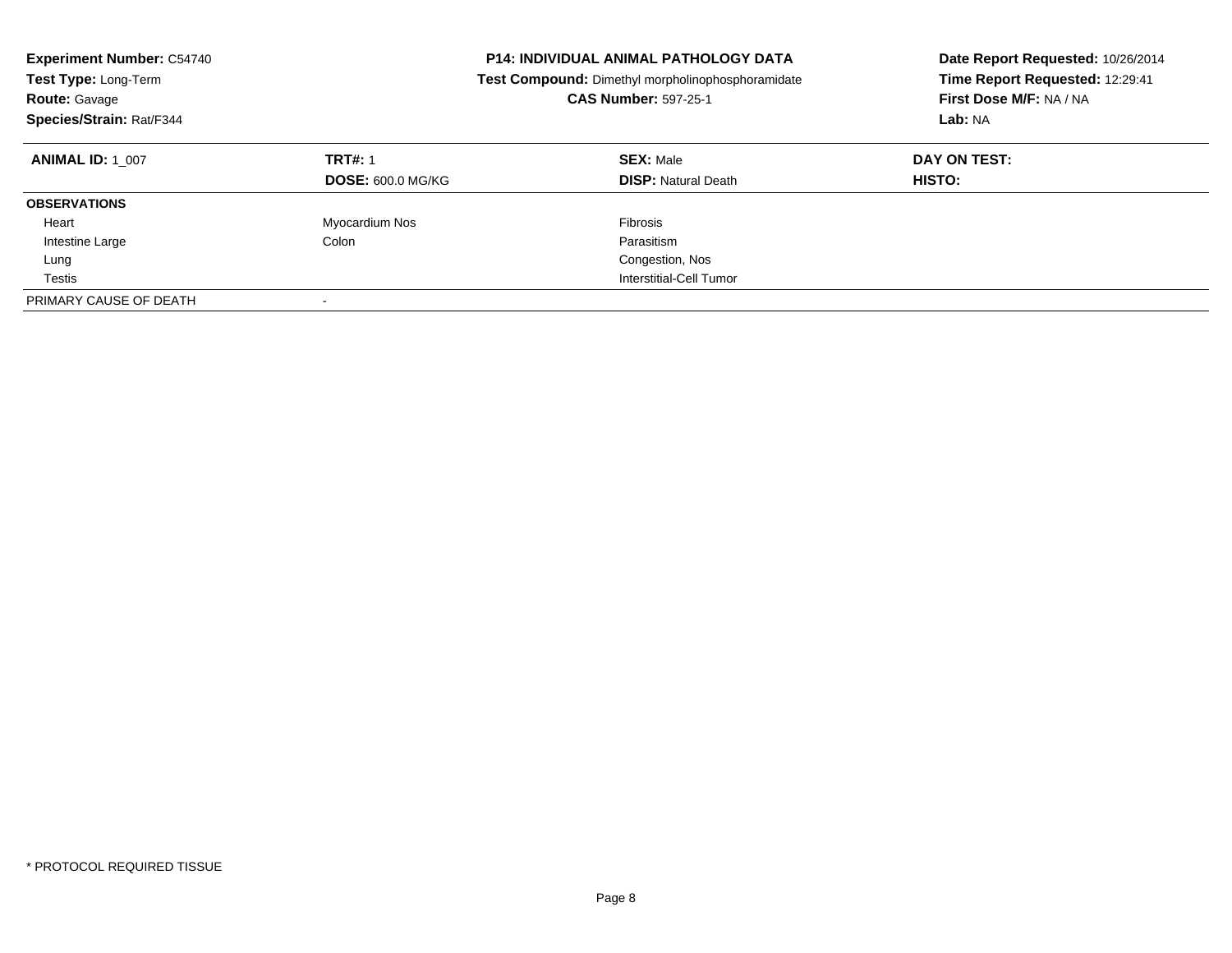| <b>Experiment Number: C54740</b><br>Test Type: Long-Term<br><b>Route: Gavage</b><br>Species/Strain: Rat/F344 |                                            | <b>P14: INDIVIDUAL ANIMAL PATHOLOGY DATA</b><br>Test Compound: Dimethyl morpholinophosphoramidate<br><b>CAS Number: 597-25-1</b> | Date Report Requested: 10/26/2014<br>Time Report Requested: 12:29:41<br>First Dose M/F: NA / NA<br>Lab: NA |
|--------------------------------------------------------------------------------------------------------------|--------------------------------------------|----------------------------------------------------------------------------------------------------------------------------------|------------------------------------------------------------------------------------------------------------|
| <b>ANIMAL ID: 1 007</b>                                                                                      | <b>TRT#: 1</b><br><b>DOSE: 600.0 MG/KG</b> | <b>SEX: Male</b><br><b>DISP:</b> Natural Death                                                                                   | DAY ON TEST:<br>HISTO:                                                                                     |
| <b>OBSERVATIONS</b>                                                                                          |                                            |                                                                                                                                  |                                                                                                            |
| Heart                                                                                                        | Myocardium Nos                             | Fibrosis                                                                                                                         |                                                                                                            |
| Intestine Large                                                                                              | Colon                                      | Parasitism                                                                                                                       |                                                                                                            |
| Lung                                                                                                         |                                            | Congestion, Nos                                                                                                                  |                                                                                                            |
| Testis                                                                                                       |                                            | Interstitial-Cell Tumor                                                                                                          |                                                                                                            |
| PRIMARY CAUSE OF DEATH                                                                                       | -                                          |                                                                                                                                  |                                                                                                            |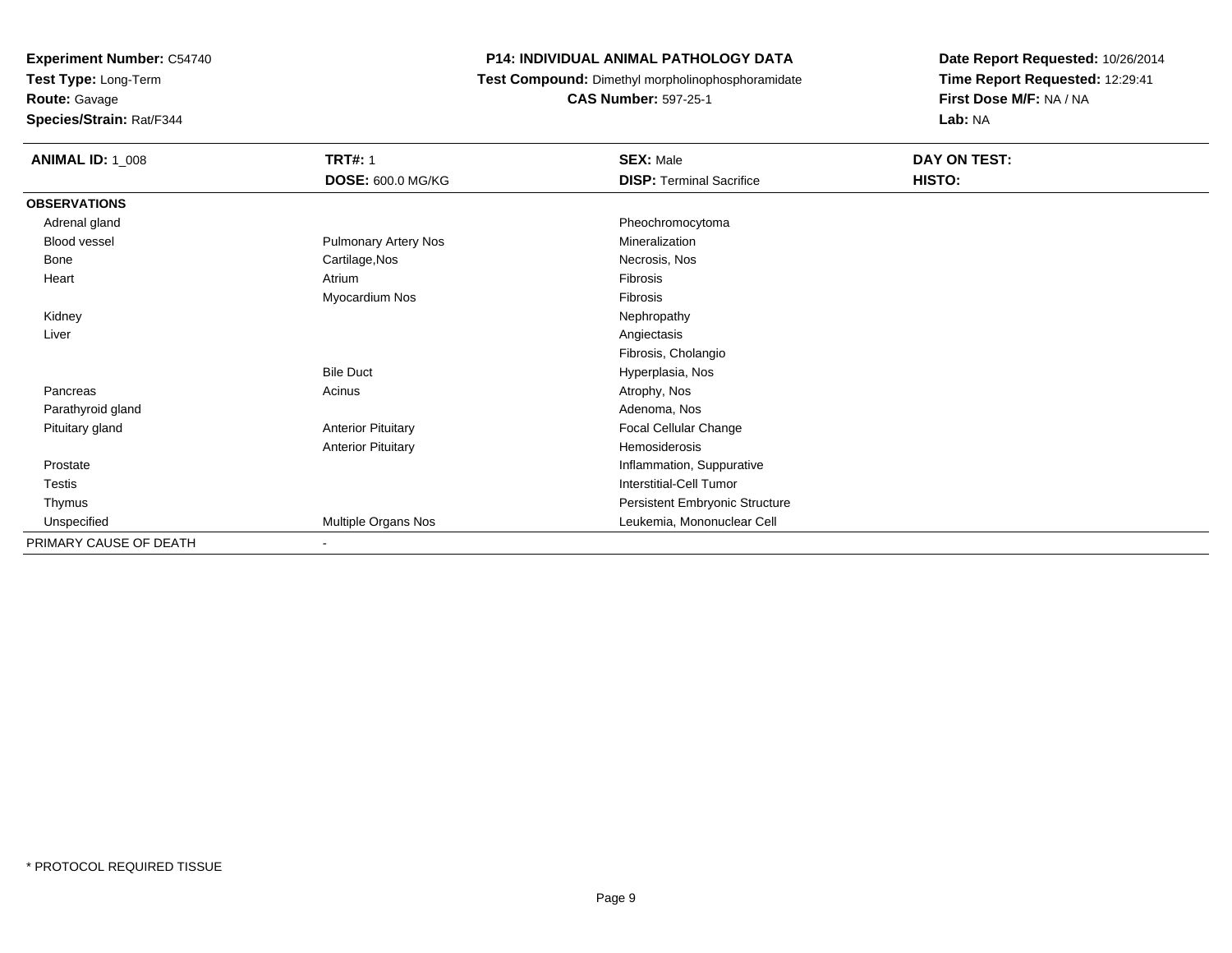**Test Type:** Long-Term

**Route:** Gavage

**Species/Strain:** Rat/F344

#### **P14: INDIVIDUAL ANIMAL PATHOLOGY DATA**

**Test Compound:** Dimethyl morpholinophosphoramidate

**CAS Number:** 597-25-1

| <b>ANIMAL ID: 1_008</b> | <b>TRT#: 1</b>              | <b>SEX: Male</b>                | DAY ON TEST: |  |
|-------------------------|-----------------------------|---------------------------------|--------------|--|
|                         | <b>DOSE: 600.0 MG/KG</b>    | <b>DISP: Terminal Sacrifice</b> | HISTO:       |  |
| <b>OBSERVATIONS</b>     |                             |                                 |              |  |
| Adrenal gland           |                             | Pheochromocytoma                |              |  |
| Blood vessel            | <b>Pulmonary Artery Nos</b> | Mineralization                  |              |  |
| Bone                    | Cartilage, Nos              | Necrosis, Nos                   |              |  |
| Heart                   | Atrium                      | Fibrosis                        |              |  |
|                         | Myocardium Nos              | Fibrosis                        |              |  |
| Kidney                  |                             | Nephropathy                     |              |  |
| Liver                   |                             | Angiectasis                     |              |  |
|                         |                             | Fibrosis, Cholangio             |              |  |
|                         | <b>Bile Duct</b>            | Hyperplasia, Nos                |              |  |
| Pancreas                | Acinus                      | Atrophy, Nos                    |              |  |
| Parathyroid gland       |                             | Adenoma, Nos                    |              |  |
| Pituitary gland         | <b>Anterior Pituitary</b>   | Focal Cellular Change           |              |  |
|                         | <b>Anterior Pituitary</b>   | Hemosiderosis                   |              |  |
| Prostate                |                             | Inflammation, Suppurative       |              |  |
| Testis                  |                             | Interstitial-Cell Tumor         |              |  |
| Thymus                  |                             | Persistent Embryonic Structure  |              |  |
| Unspecified             | Multiple Organs Nos         | Leukemia, Mononuclear Cell      |              |  |
| PRIMARY CAUSE OF DEATH  | $\sim$                      |                                 |              |  |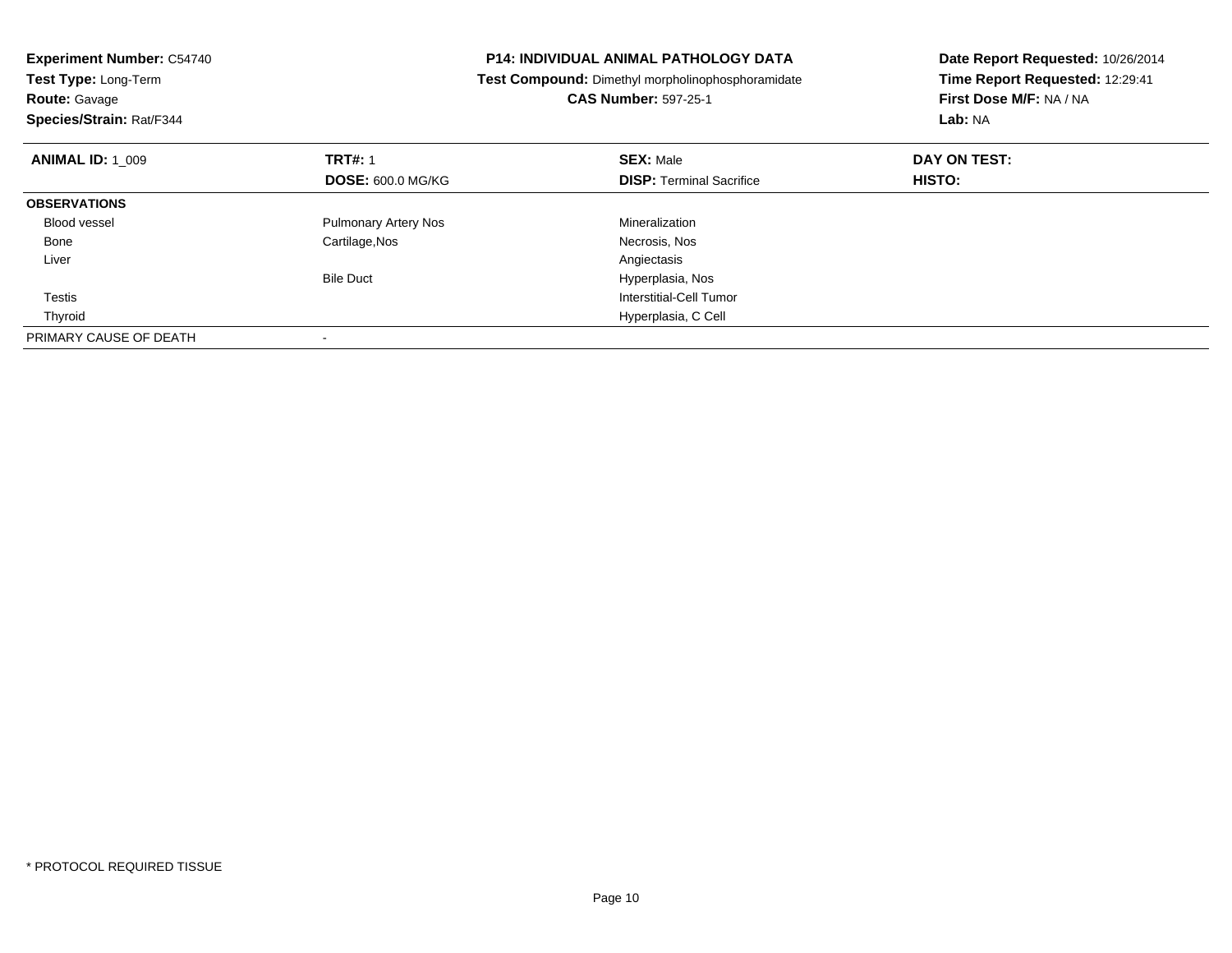| <b>Experiment Number: C54740</b><br>Test Type: Long-Term<br><b>Route: Gavage</b><br>Species/Strain: Rat/F344 |                             | <b>P14: INDIVIDUAL ANIMAL PATHOLOGY DATA</b><br>Test Compound: Dimethyl morpholinophosphoramidate<br><b>CAS Number: 597-25-1</b> | Date Report Requested: 10/26/2014<br>Time Report Requested: 12:29:41<br>First Dose M/F: NA / NA<br>Lab: NA |
|--------------------------------------------------------------------------------------------------------------|-----------------------------|----------------------------------------------------------------------------------------------------------------------------------|------------------------------------------------------------------------------------------------------------|
| <b>ANIMAL ID: 1 009</b>                                                                                      | <b>TRT#: 1</b>              | <b>SEX: Male</b>                                                                                                                 | DAY ON TEST:                                                                                               |
|                                                                                                              | <b>DOSE: 600.0 MG/KG</b>    | <b>DISP:</b> Terminal Sacrifice                                                                                                  | HISTO:                                                                                                     |
| <b>OBSERVATIONS</b>                                                                                          |                             |                                                                                                                                  |                                                                                                            |
| <b>Blood vessel</b>                                                                                          | <b>Pulmonary Artery Nos</b> | Mineralization                                                                                                                   |                                                                                                            |
| Bone                                                                                                         | Cartilage, Nos              | Necrosis, Nos                                                                                                                    |                                                                                                            |
| Liver                                                                                                        |                             | Angiectasis                                                                                                                      |                                                                                                            |
|                                                                                                              | <b>Bile Duct</b>            | Hyperplasia, Nos                                                                                                                 |                                                                                                            |
| Testis                                                                                                       |                             | <b>Interstitial-Cell Tumor</b>                                                                                                   |                                                                                                            |
| Thyroid                                                                                                      |                             | Hyperplasia, C Cell                                                                                                              |                                                                                                            |
| PRIMARY CAUSE OF DEATH                                                                                       |                             |                                                                                                                                  |                                                                                                            |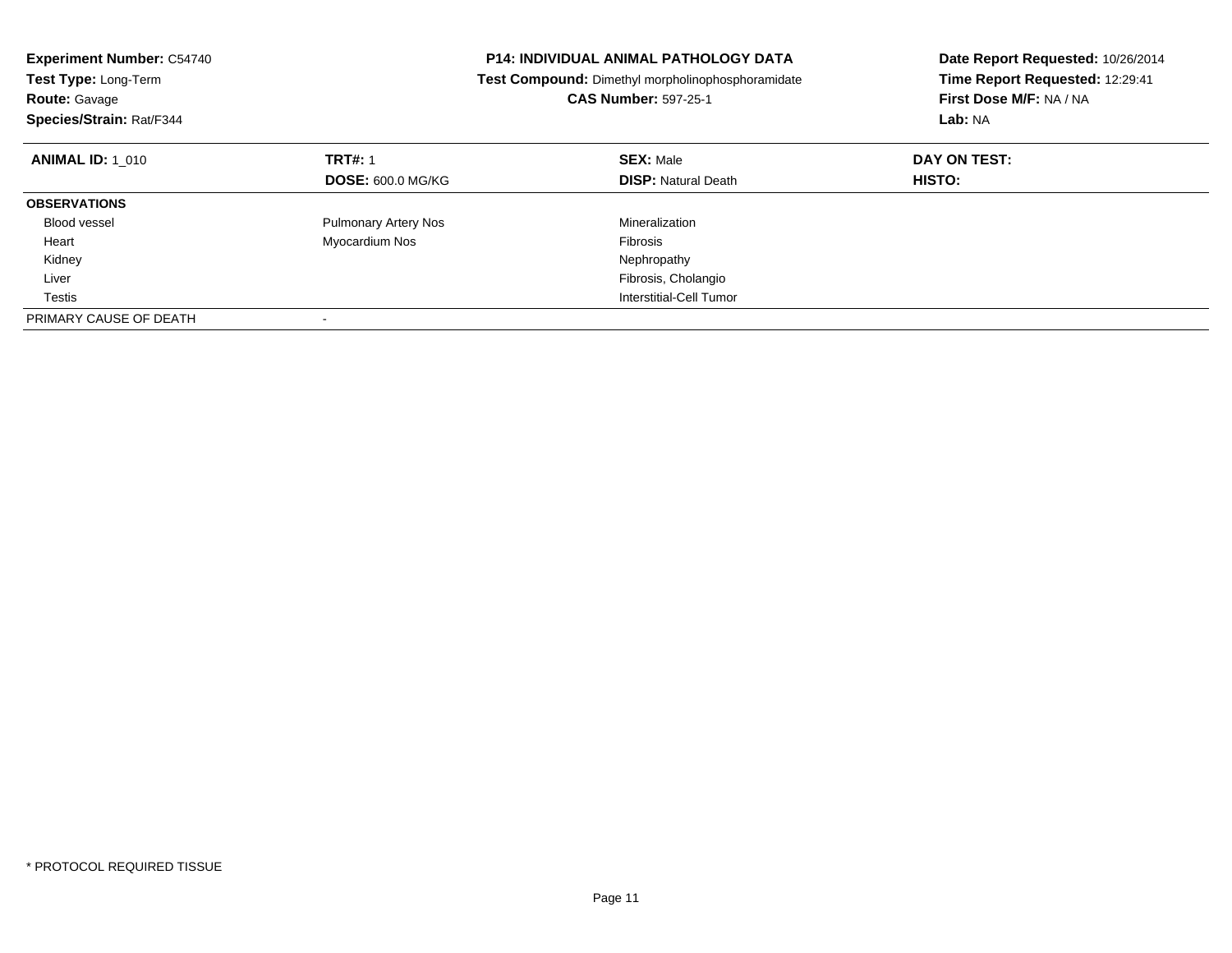| <b>Experiment Number: C54740</b><br>Test Type: Long-Term<br><b>Route: Gavage</b><br>Species/Strain: Rat/F344 |                             | <b>P14: INDIVIDUAL ANIMAL PATHOLOGY DATA</b><br>Test Compound: Dimethyl morpholinophosphoramidate<br><b>CAS Number: 597-25-1</b> | Date Report Requested: 10/26/2014<br>Time Report Requested: 12:29:41<br>First Dose M/F: NA / NA<br>Lab: NA |
|--------------------------------------------------------------------------------------------------------------|-----------------------------|----------------------------------------------------------------------------------------------------------------------------------|------------------------------------------------------------------------------------------------------------|
| <b>ANIMAL ID: 1 010</b>                                                                                      | <b>TRT#: 1</b>              | <b>SEX: Male</b>                                                                                                                 | DAY ON TEST:                                                                                               |
|                                                                                                              | <b>DOSE: 600.0 MG/KG</b>    | <b>DISP:</b> Natural Death                                                                                                       | HISTO:                                                                                                     |
| <b>OBSERVATIONS</b>                                                                                          |                             |                                                                                                                                  |                                                                                                            |
| <b>Blood vessel</b>                                                                                          | <b>Pulmonary Artery Nos</b> | Mineralization                                                                                                                   |                                                                                                            |
| Heart                                                                                                        | Myocardium Nos              | <b>Fibrosis</b>                                                                                                                  |                                                                                                            |
| Kidney                                                                                                       |                             | Nephropathy                                                                                                                      |                                                                                                            |
| Liver                                                                                                        |                             | Fibrosis, Cholangio                                                                                                              |                                                                                                            |
| Testis                                                                                                       |                             | Interstitial-Cell Tumor                                                                                                          |                                                                                                            |
| PRIMARY CAUSE OF DEATH                                                                                       |                             |                                                                                                                                  |                                                                                                            |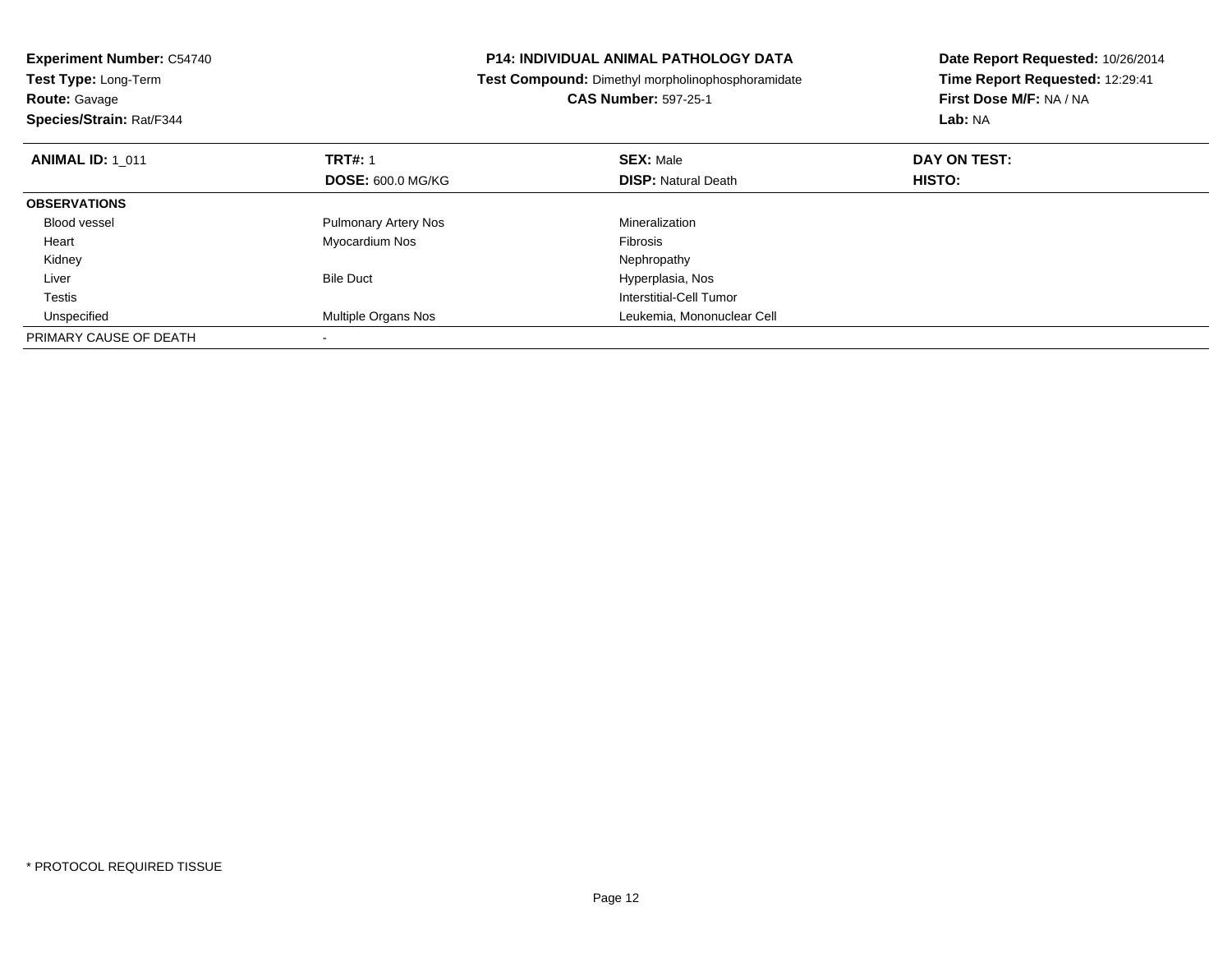| <b>Experiment Number: C54740</b><br><b>Test Type: Long-Term</b> |                             | <b>P14: INDIVIDUAL ANIMAL PATHOLOGY DATA</b><br>Test Compound: Dimethyl morpholinophosphoramidate | Date Report Requested: 10/26/2014<br>Time Report Requested: 12:29:41 |
|-----------------------------------------------------------------|-----------------------------|---------------------------------------------------------------------------------------------------|----------------------------------------------------------------------|
| <b>Route: Gavage</b>                                            |                             | <b>CAS Number: 597-25-1</b>                                                                       | First Dose M/F: NA / NA                                              |
| Species/Strain: Rat/F344                                        |                             |                                                                                                   | Lab: NA                                                              |
| <b>ANIMAL ID: 1 011</b>                                         | <b>TRT#: 1</b>              | <b>SEX: Male</b>                                                                                  | DAY ON TEST:                                                         |
|                                                                 | <b>DOSE: 600.0 MG/KG</b>    | <b>DISP: Natural Death</b>                                                                        | HISTO:                                                               |
| <b>OBSERVATIONS</b>                                             |                             |                                                                                                   |                                                                      |
| Blood vessel                                                    | <b>Pulmonary Artery Nos</b> | Mineralization                                                                                    |                                                                      |
| Heart                                                           | Myocardium Nos              | Fibrosis                                                                                          |                                                                      |
| Kidney                                                          |                             | Nephropathy                                                                                       |                                                                      |
| Liver                                                           | <b>Bile Duct</b>            | Hyperplasia, Nos                                                                                  |                                                                      |
| Testis                                                          |                             | Interstitial-Cell Tumor                                                                           |                                                                      |
| Unspecified                                                     | Multiple Organs Nos         | Leukemia, Mononuclear Cell                                                                        |                                                                      |
| PRIMARY CAUSE OF DEATH                                          |                             |                                                                                                   |                                                                      |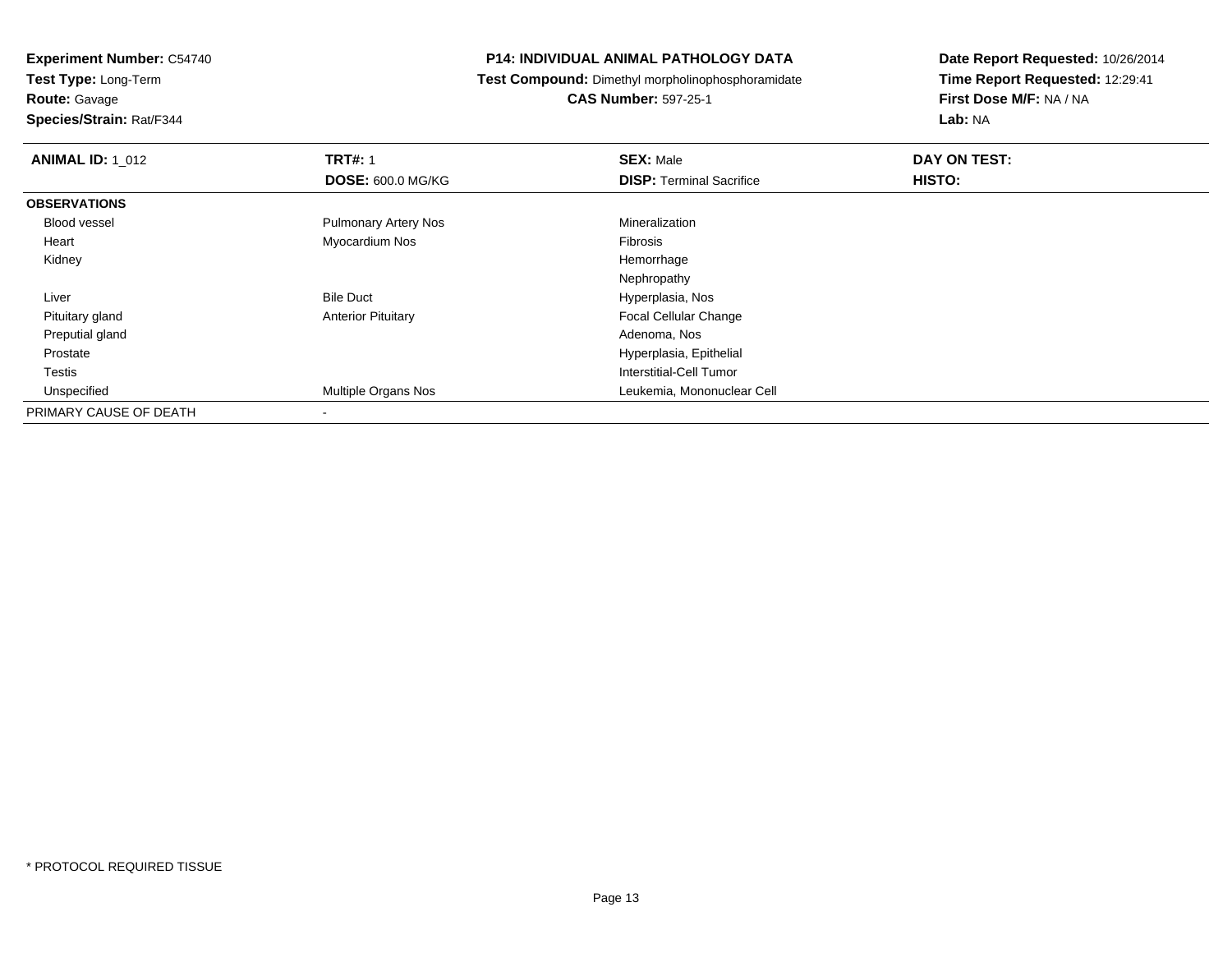**Route:** Gavage

**Species/Strain:** Rat/F344

#### **P14: INDIVIDUAL ANIMAL PATHOLOGY DATA**

**Test Compound:** Dimethyl morpholinophosphoramidate

**CAS Number:** 597-25-1

| <b>ANIMAL ID: 1 012</b> | <b>TRT#: 1</b>              | <b>SEX: Male</b>                | DAY ON TEST: |  |
|-------------------------|-----------------------------|---------------------------------|--------------|--|
|                         | <b>DOSE: 600.0 MG/KG</b>    | <b>DISP: Terminal Sacrifice</b> | HISTO:       |  |
| <b>OBSERVATIONS</b>     |                             |                                 |              |  |
| Blood vessel            | <b>Pulmonary Artery Nos</b> | Mineralization                  |              |  |
| Heart                   | Myocardium Nos              | <b>Fibrosis</b>                 |              |  |
| Kidney                  |                             | Hemorrhage                      |              |  |
|                         |                             | Nephropathy                     |              |  |
| Liver                   | <b>Bile Duct</b>            | Hyperplasia, Nos                |              |  |
| Pituitary gland         | <b>Anterior Pituitary</b>   | <b>Focal Cellular Change</b>    |              |  |
| Preputial gland         |                             | Adenoma, Nos                    |              |  |
| Prostate                |                             | Hyperplasia, Epithelial         |              |  |
| Testis                  |                             | Interstitial-Cell Tumor         |              |  |
| Unspecified             | Multiple Organs Nos         | Leukemia, Mononuclear Cell      |              |  |
| PRIMARY CAUSE OF DEATH  | $\overline{\phantom{a}}$    |                                 |              |  |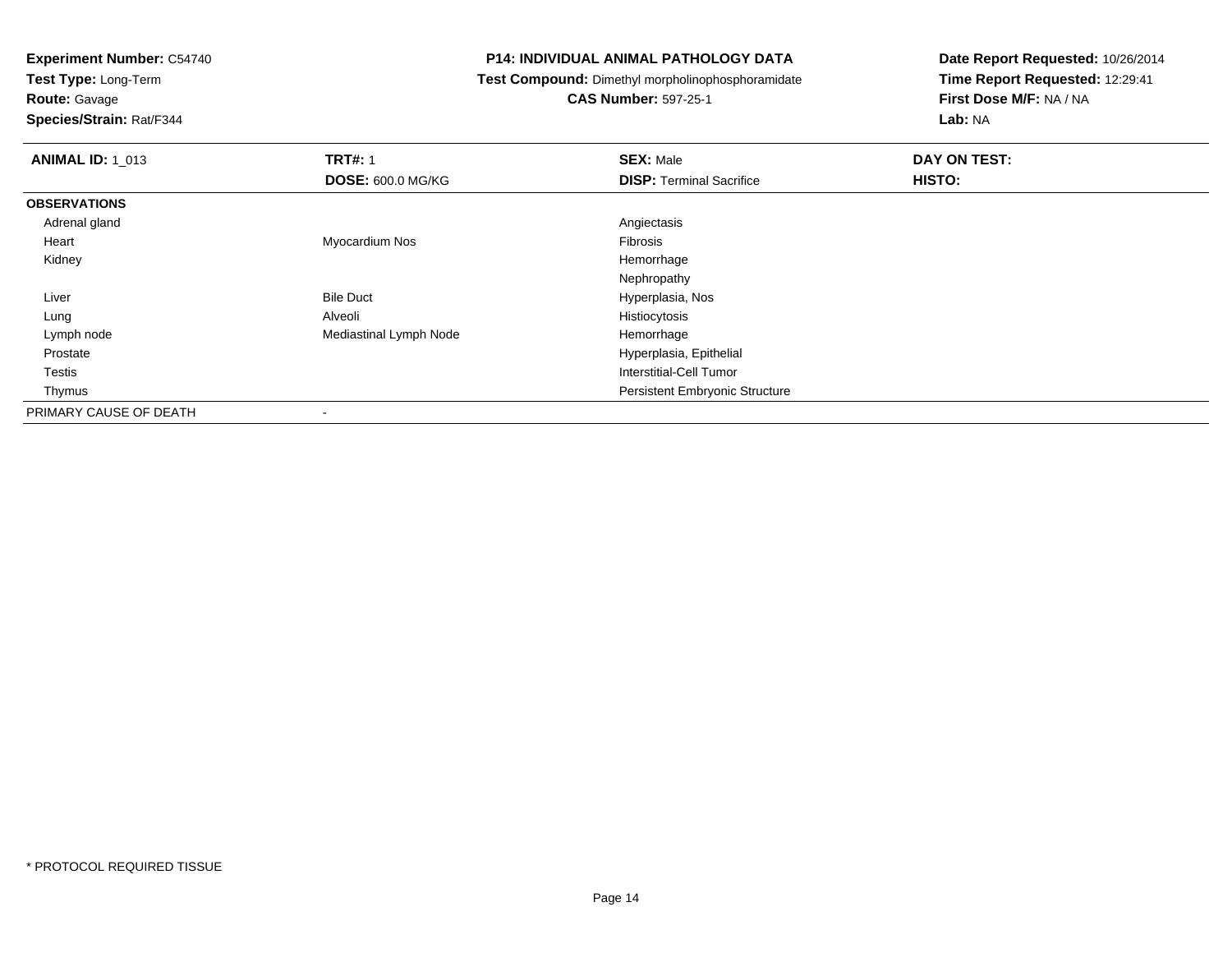**Test Type:** Long-Term

## **Route:** Gavage

**Species/Strain:** Rat/F344

#### **P14: INDIVIDUAL ANIMAL PATHOLOGY DATA**

**Test Compound:** Dimethyl morpholinophosphoramidate

### **CAS Number:** 597-25-1

| <b>ANIMAL ID: 1_013</b> | <b>TRT#: 1</b>           | <b>SEX: Male</b>                      | DAY ON TEST: |
|-------------------------|--------------------------|---------------------------------------|--------------|
|                         | <b>DOSE: 600.0 MG/KG</b> | <b>DISP: Terminal Sacrifice</b>       | HISTO:       |
| <b>OBSERVATIONS</b>     |                          |                                       |              |
| Adrenal gland           |                          | Angiectasis                           |              |
| Heart                   | Myocardium Nos           | Fibrosis                              |              |
| Kidney                  |                          | Hemorrhage                            |              |
|                         |                          | Nephropathy                           |              |
| Liver                   | <b>Bile Duct</b>         | Hyperplasia, Nos                      |              |
| Lung                    | Alveoli                  | Histiocytosis                         |              |
| Lymph node              | Mediastinal Lymph Node   | Hemorrhage                            |              |
| Prostate                |                          | Hyperplasia, Epithelial               |              |
| Testis                  |                          | Interstitial-Cell Tumor               |              |
| Thymus                  |                          | <b>Persistent Embryonic Structure</b> |              |
| PRIMARY CAUSE OF DEATH  | $\overline{\phantom{a}}$ |                                       |              |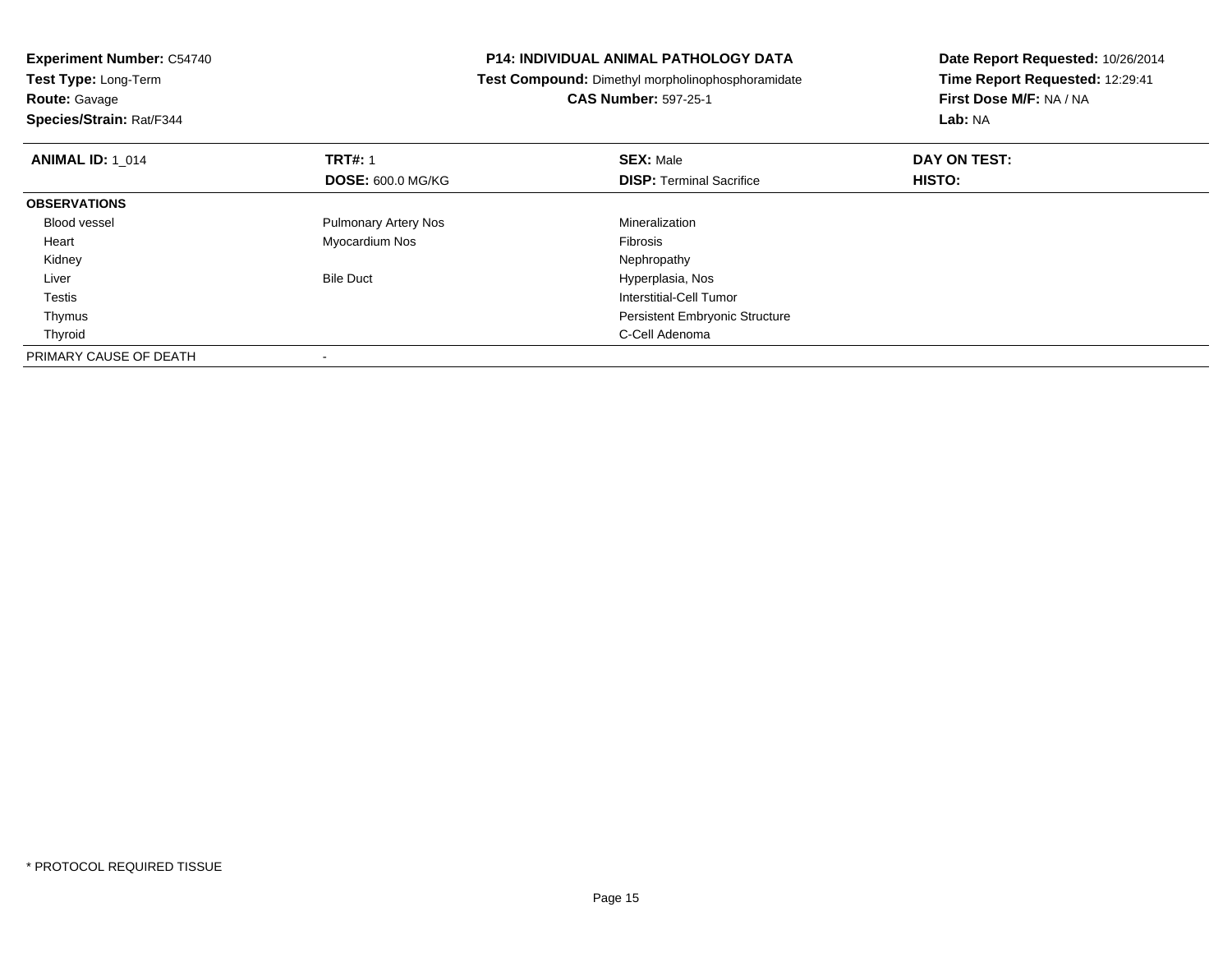| <b>P14: INDIVIDUAL ANIMAL PATHOLOGY DATA</b><br><b>Experiment Number: C54740</b> |                                                   | Date Report Requested: 10/26/2014 |  |
|----------------------------------------------------------------------------------|---------------------------------------------------|-----------------------------------|--|
| <b>Test Type: Long-Term</b>                                                      | Test Compound: Dimethyl morpholinophosphoramidate | Time Report Requested: 12:29:41   |  |
| <b>Route: Gavage</b>                                                             | <b>CAS Number: 597-25-1</b>                       | First Dose M/F: NA / NA           |  |
| Species/Strain: Rat/F344                                                         |                                                   | <b>Lab: NA</b>                    |  |
| <b>TRT#: 1</b><br><b>ANIMAL ID: 1 014</b>                                        | <b>SEX: Male</b>                                  | DAY ON TEST:                      |  |
| <b>DOSE: 600.0 MG/KG</b>                                                         | <b>DISP: Terminal Sacrifice</b>                   | HISTO:                            |  |
| <b>OBSERVATIONS</b>                                                              |                                                   |                                   |  |
| <b>Pulmonary Artery Nos</b><br><b>Blood vessel</b>                               | Mineralization                                    |                                   |  |
| Myocardium Nos<br>Heart                                                          | Fibrosis                                          |                                   |  |
| Kidney                                                                           | Nephropathy                                       |                                   |  |
| <b>Bile Duct</b><br>Liver                                                        | Hyperplasia, Nos                                  |                                   |  |
| Testis                                                                           | <b>Interstitial-Cell Tumor</b>                    |                                   |  |
| Thymus                                                                           | <b>Persistent Embryonic Structure</b>             |                                   |  |
| Thyroid                                                                          | C-Cell Adenoma                                    |                                   |  |
| PRIMARY CAUSE OF DEATH                                                           |                                                   |                                   |  |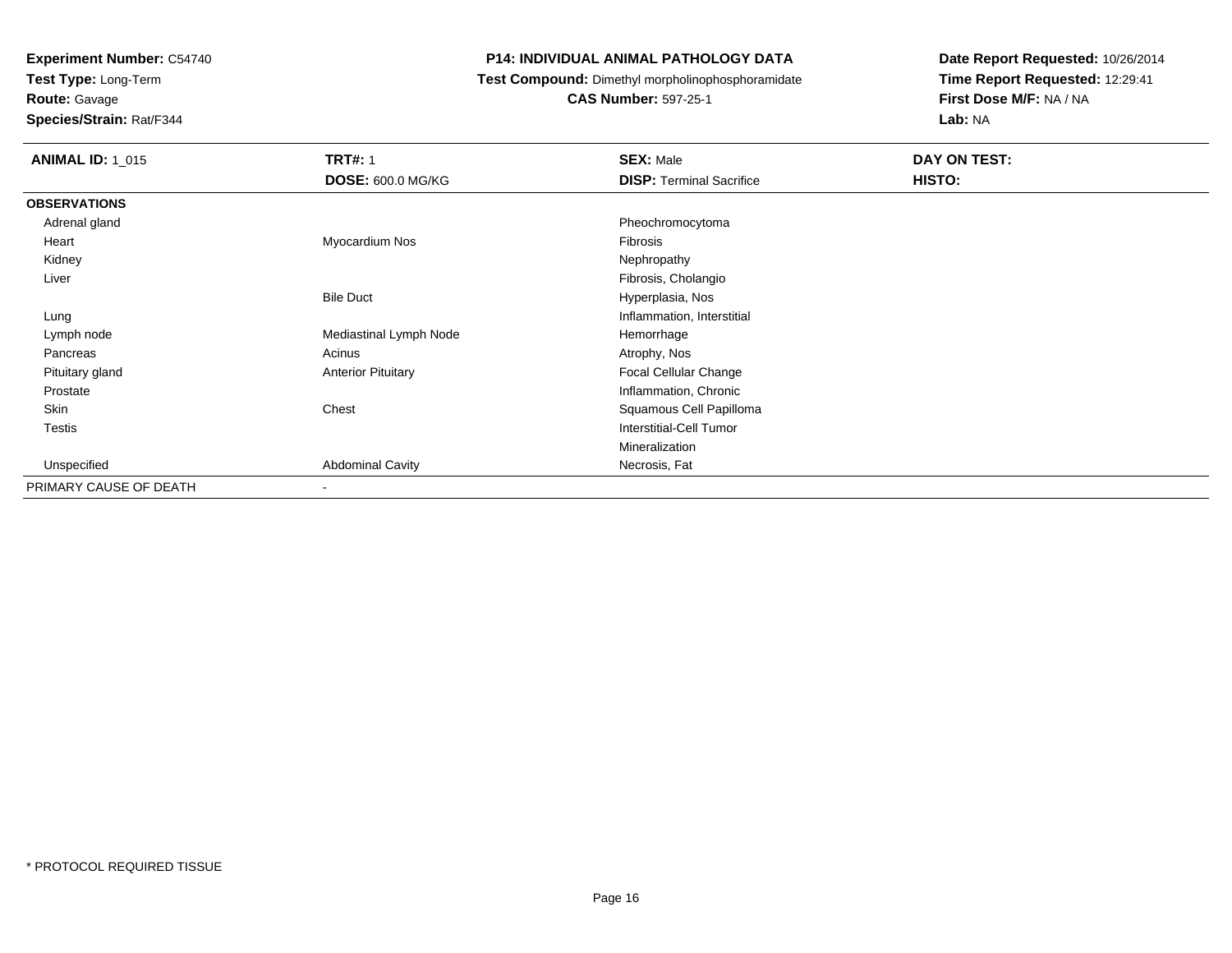**Test Type:** Long-Term

**Route:** Gavage

**Species/Strain:** Rat/F344

#### **P14: INDIVIDUAL ANIMAL PATHOLOGY DATA**

**Test Compound:** Dimethyl morpholinophosphoramidate

**CAS Number:** 597-25-1

| <b>ANIMAL ID: 1 015</b> | <b>TRT#: 1</b>            | <b>SEX: Male</b>                | DAY ON TEST:  |
|-------------------------|---------------------------|---------------------------------|---------------|
|                         | <b>DOSE: 600.0 MG/KG</b>  | <b>DISP: Terminal Sacrifice</b> | <b>HISTO:</b> |
| <b>OBSERVATIONS</b>     |                           |                                 |               |
| Adrenal gland           |                           | Pheochromocytoma                |               |
| Heart                   | Myocardium Nos            | Fibrosis                        |               |
| Kidney                  |                           | Nephropathy                     |               |
| Liver                   |                           | Fibrosis, Cholangio             |               |
|                         | <b>Bile Duct</b>          | Hyperplasia, Nos                |               |
| Lung                    |                           | Inflammation, Interstitial      |               |
| Lymph node              | Mediastinal Lymph Node    | Hemorrhage                      |               |
| Pancreas                | Acinus                    | Atrophy, Nos                    |               |
| Pituitary gland         | <b>Anterior Pituitary</b> | Focal Cellular Change           |               |
| Prostate                |                           | Inflammation, Chronic           |               |
| Skin                    | Chest                     | Squamous Cell Papilloma         |               |
| Testis                  |                           | Interstitial-Cell Tumor         |               |
|                         |                           | Mineralization                  |               |
| Unspecified             | <b>Abdominal Cavity</b>   | Necrosis, Fat                   |               |
| PRIMARY CAUSE OF DEATH  | $\sim$                    |                                 |               |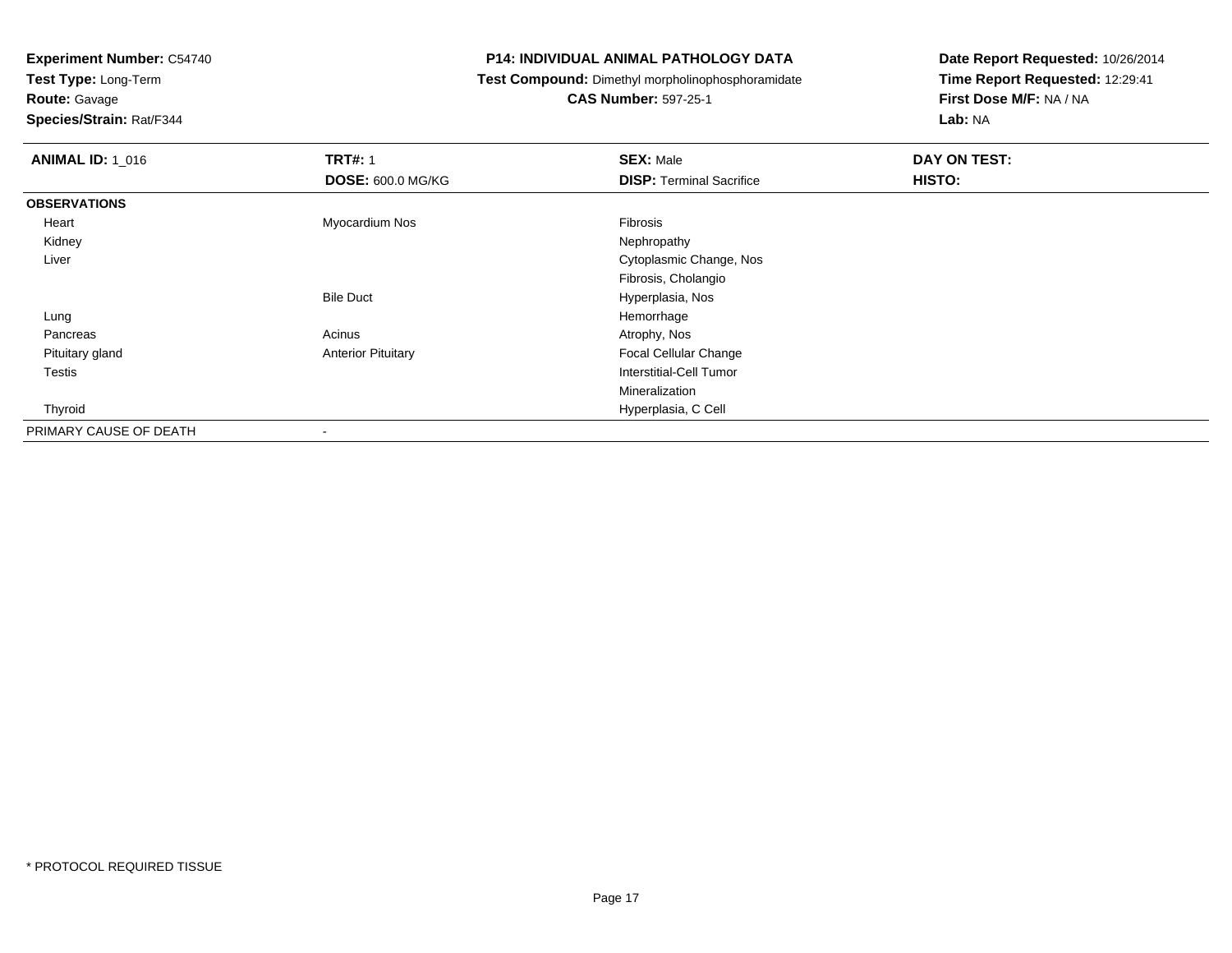**Test Type:** Long-Term

**Route:** Gavage

**Species/Strain:** Rat/F344

#### **P14: INDIVIDUAL ANIMAL PATHOLOGY DATA**

**Test Compound:** Dimethyl morpholinophosphoramidate

**CAS Number:** 597-25-1

| <b>ANIMAL ID: 1_016</b> | <b>TRT#: 1</b>            | <b>SEX: Male</b>                | DAY ON TEST: |
|-------------------------|---------------------------|---------------------------------|--------------|
|                         | <b>DOSE: 600.0 MG/KG</b>  | <b>DISP: Terminal Sacrifice</b> | HISTO:       |
| <b>OBSERVATIONS</b>     |                           |                                 |              |
| Heart                   | Myocardium Nos            | Fibrosis                        |              |
| Kidney                  |                           | Nephropathy                     |              |
| Liver                   |                           | Cytoplasmic Change, Nos         |              |
|                         |                           | Fibrosis, Cholangio             |              |
|                         | <b>Bile Duct</b>          | Hyperplasia, Nos                |              |
| Lung                    |                           | Hemorrhage                      |              |
| Pancreas                | Acinus                    | Atrophy, Nos                    |              |
| Pituitary gland         | <b>Anterior Pituitary</b> | Focal Cellular Change           |              |
| <b>Testis</b>           |                           | Interstitial-Cell Tumor         |              |
|                         |                           | Mineralization                  |              |
| Thyroid                 |                           | Hyperplasia, C Cell             |              |
| PRIMARY CAUSE OF DEATH  | ۰                         |                                 |              |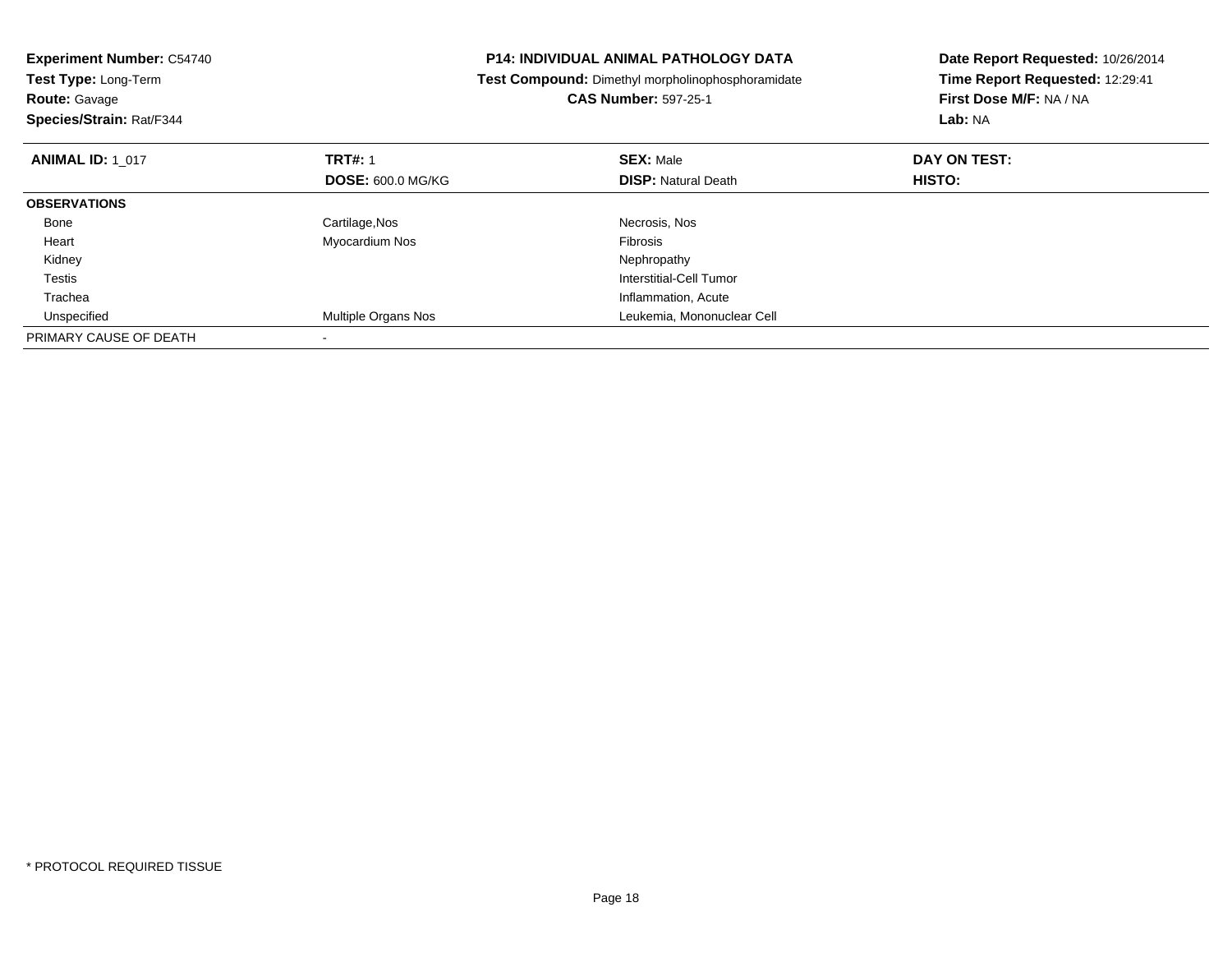| <b>Experiment Number: C54740</b><br>Test Type: Long-Term<br><b>Route: Gavage</b><br>Species/Strain: Rat/F344 |                          | P14: INDIVIDUAL ANIMAL PATHOLOGY DATA<br>Date Report Requested: 10/26/2014<br>Time Report Requested: 12:29:41<br>Test Compound: Dimethyl morpholinophosphoramidate<br>First Dose M/F: NA / NA<br><b>CAS Number: 597-25-1</b><br>Lab: NA |              |
|--------------------------------------------------------------------------------------------------------------|--------------------------|-----------------------------------------------------------------------------------------------------------------------------------------------------------------------------------------------------------------------------------------|--------------|
| <b>ANIMAL ID: 1 017</b>                                                                                      | <b>TRT#: 1</b>           | <b>SEX: Male</b>                                                                                                                                                                                                                        | DAY ON TEST: |
|                                                                                                              | <b>DOSE: 600.0 MG/KG</b> | <b>DISP: Natural Death</b>                                                                                                                                                                                                              | HISTO:       |
| <b>OBSERVATIONS</b>                                                                                          |                          |                                                                                                                                                                                                                                         |              |
| Bone                                                                                                         | Cartilage, Nos           | Necrosis, Nos                                                                                                                                                                                                                           |              |
| Heart                                                                                                        | Myocardium Nos           | <b>Fibrosis</b>                                                                                                                                                                                                                         |              |
| Kidney                                                                                                       |                          | Nephropathy                                                                                                                                                                                                                             |              |
| Testis                                                                                                       |                          | Interstitial-Cell Tumor                                                                                                                                                                                                                 |              |
| Trachea                                                                                                      |                          | Inflammation, Acute                                                                                                                                                                                                                     |              |
| Unspecified                                                                                                  | Multiple Organs Nos      | Leukemia, Mononuclear Cell                                                                                                                                                                                                              |              |
| PRIMARY CAUSE OF DEATH                                                                                       |                          |                                                                                                                                                                                                                                         |              |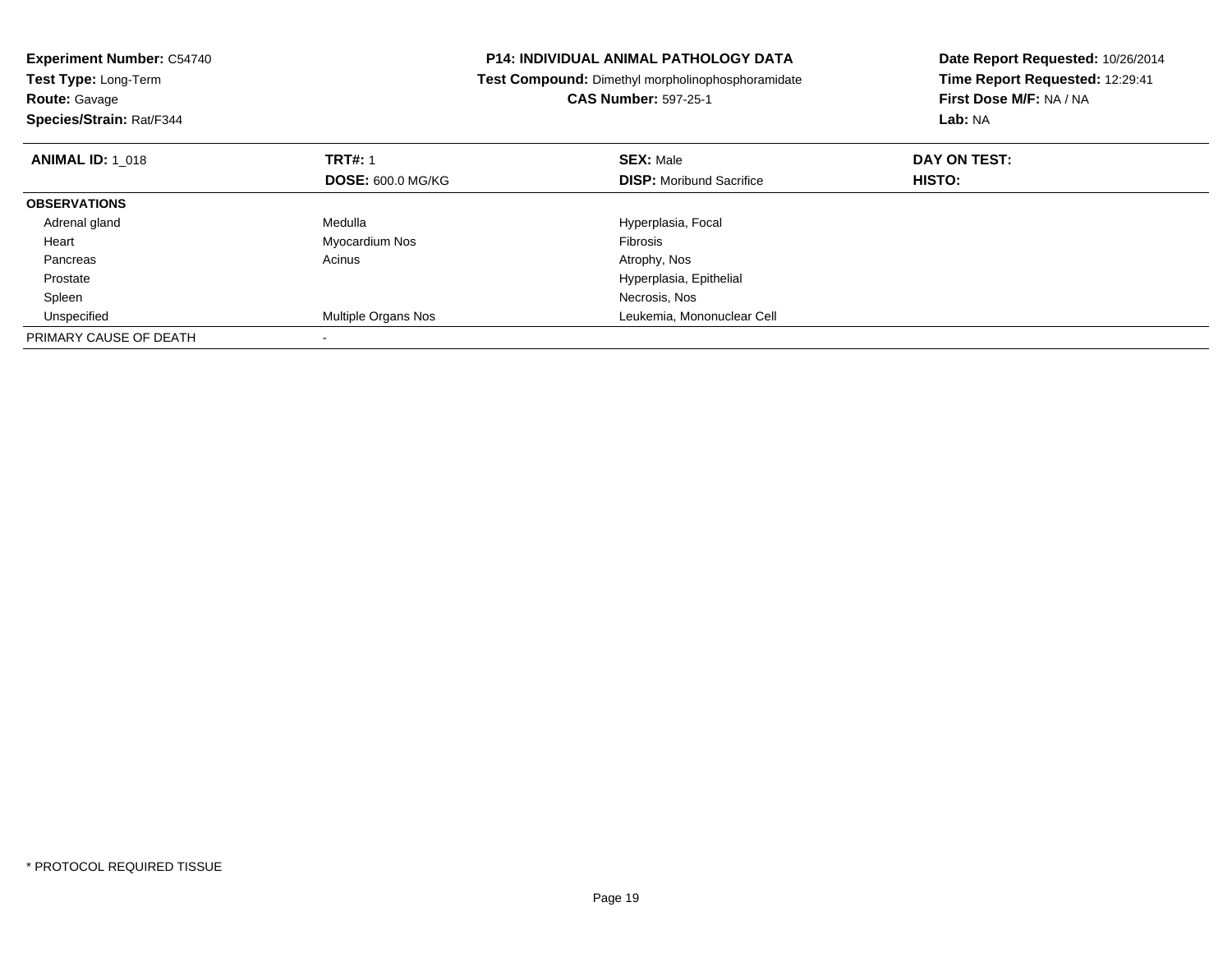| <b>Experiment Number: C54740</b><br>Test Type: Long-Term<br><b>Route: Gavage</b><br>Species/Strain: Rat/F344 |                                            | <b>P14: INDIVIDUAL ANIMAL PATHOLOGY DATA</b><br>Test Compound: Dimethyl morpholinophosphoramidate<br><b>CAS Number: 597-25-1</b> | Date Report Requested: 10/26/2014<br>Time Report Requested: 12:29:41<br>First Dose M/F: NA / NA<br>Lab: NA |
|--------------------------------------------------------------------------------------------------------------|--------------------------------------------|----------------------------------------------------------------------------------------------------------------------------------|------------------------------------------------------------------------------------------------------------|
| <b>ANIMAL ID: 1 018</b>                                                                                      | <b>TRT#:</b> 1<br><b>DOSE: 600.0 MG/KG</b> | <b>SEX: Male</b><br><b>DISP:</b> Moribund Sacrifice                                                                              | DAY ON TEST:<br>HISTO:                                                                                     |
| <b>OBSERVATIONS</b>                                                                                          |                                            |                                                                                                                                  |                                                                                                            |
| Adrenal gland                                                                                                | Medulla                                    | Hyperplasia, Focal                                                                                                               |                                                                                                            |
| Heart                                                                                                        | Myocardium Nos                             | Fibrosis                                                                                                                         |                                                                                                            |
| Pancreas                                                                                                     | Acinus                                     | Atrophy, Nos                                                                                                                     |                                                                                                            |
| Prostate                                                                                                     |                                            | Hyperplasia, Epithelial                                                                                                          |                                                                                                            |
| Spleen                                                                                                       |                                            | Necrosis, Nos                                                                                                                    |                                                                                                            |
| Unspecified                                                                                                  | Multiple Organs Nos                        | Leukemia, Mononuclear Cell                                                                                                       |                                                                                                            |
| PRIMARY CAUSE OF DEATH                                                                                       |                                            |                                                                                                                                  |                                                                                                            |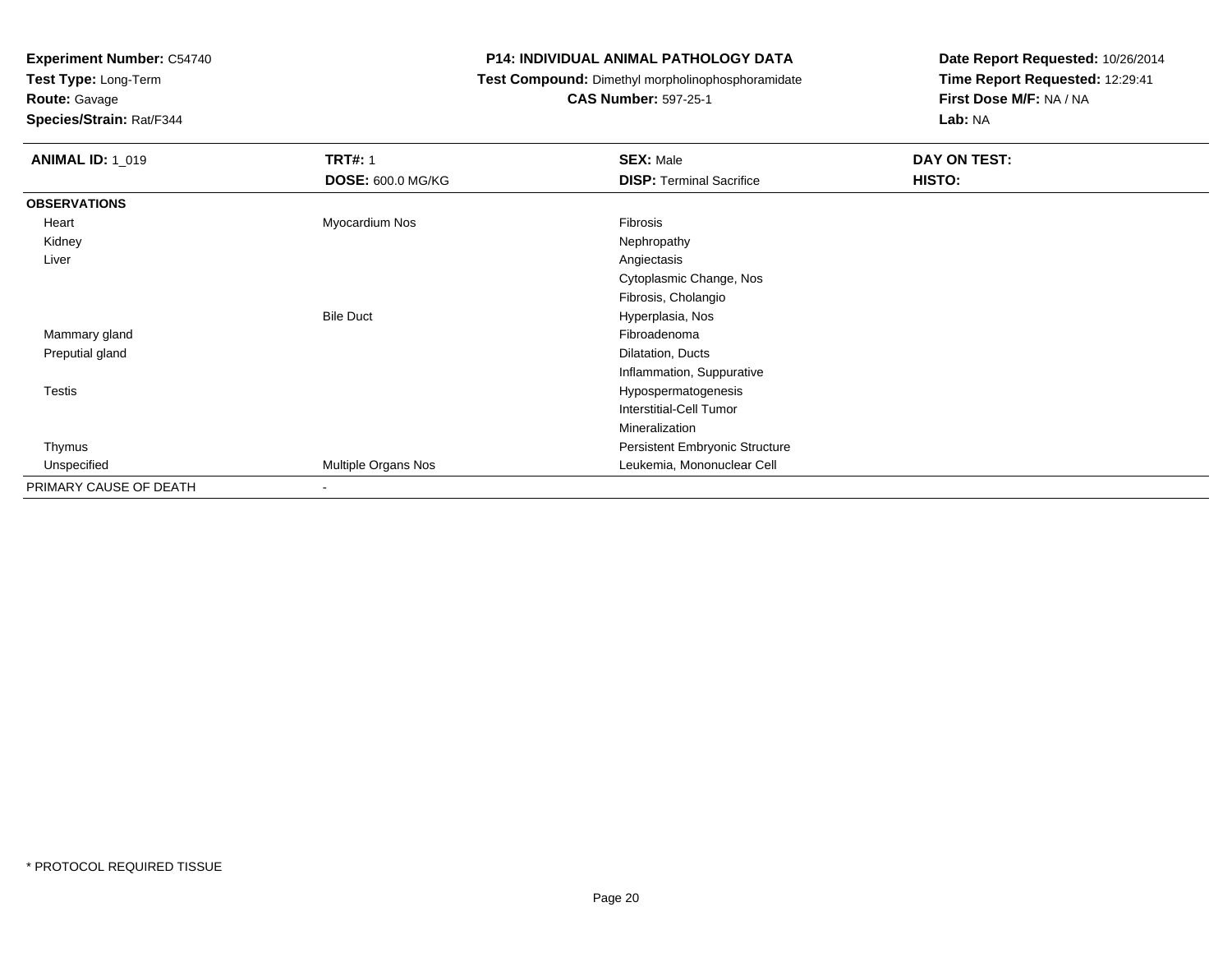**Test Type:** Long-Term

# **Route:** Gavage

**Species/Strain:** Rat/F344

#### **P14: INDIVIDUAL ANIMAL PATHOLOGY DATA**

### **Test Compound:** Dimethyl morpholinophosphoramidate

### **CAS Number:** 597-25-1

| <b>ANIMAL ID: 1_019</b> | <b>TRT#: 1</b>           | <b>SEX: Male</b>                | DAY ON TEST: |
|-------------------------|--------------------------|---------------------------------|--------------|
|                         | <b>DOSE: 600.0 MG/KG</b> | <b>DISP: Terminal Sacrifice</b> | HISTO:       |
| <b>OBSERVATIONS</b>     |                          |                                 |              |
| Heart                   | Myocardium Nos           | Fibrosis                        |              |
| Kidney                  |                          | Nephropathy                     |              |
| Liver                   |                          | Angiectasis                     |              |
|                         |                          | Cytoplasmic Change, Nos         |              |
|                         |                          | Fibrosis, Cholangio             |              |
|                         | <b>Bile Duct</b>         | Hyperplasia, Nos                |              |
| Mammary gland           |                          | Fibroadenoma                    |              |
| Preputial gland         |                          | Dilatation, Ducts               |              |
|                         |                          | Inflammation, Suppurative       |              |
| Testis                  |                          | Hypospermatogenesis             |              |
|                         |                          | Interstitial-Cell Tumor         |              |
|                         |                          | Mineralization                  |              |
| Thymus                  |                          | Persistent Embryonic Structure  |              |
| Unspecified             | Multiple Organs Nos      | Leukemia, Mononuclear Cell      |              |
| PRIMARY CAUSE OF DEATH  | $\sim$                   |                                 |              |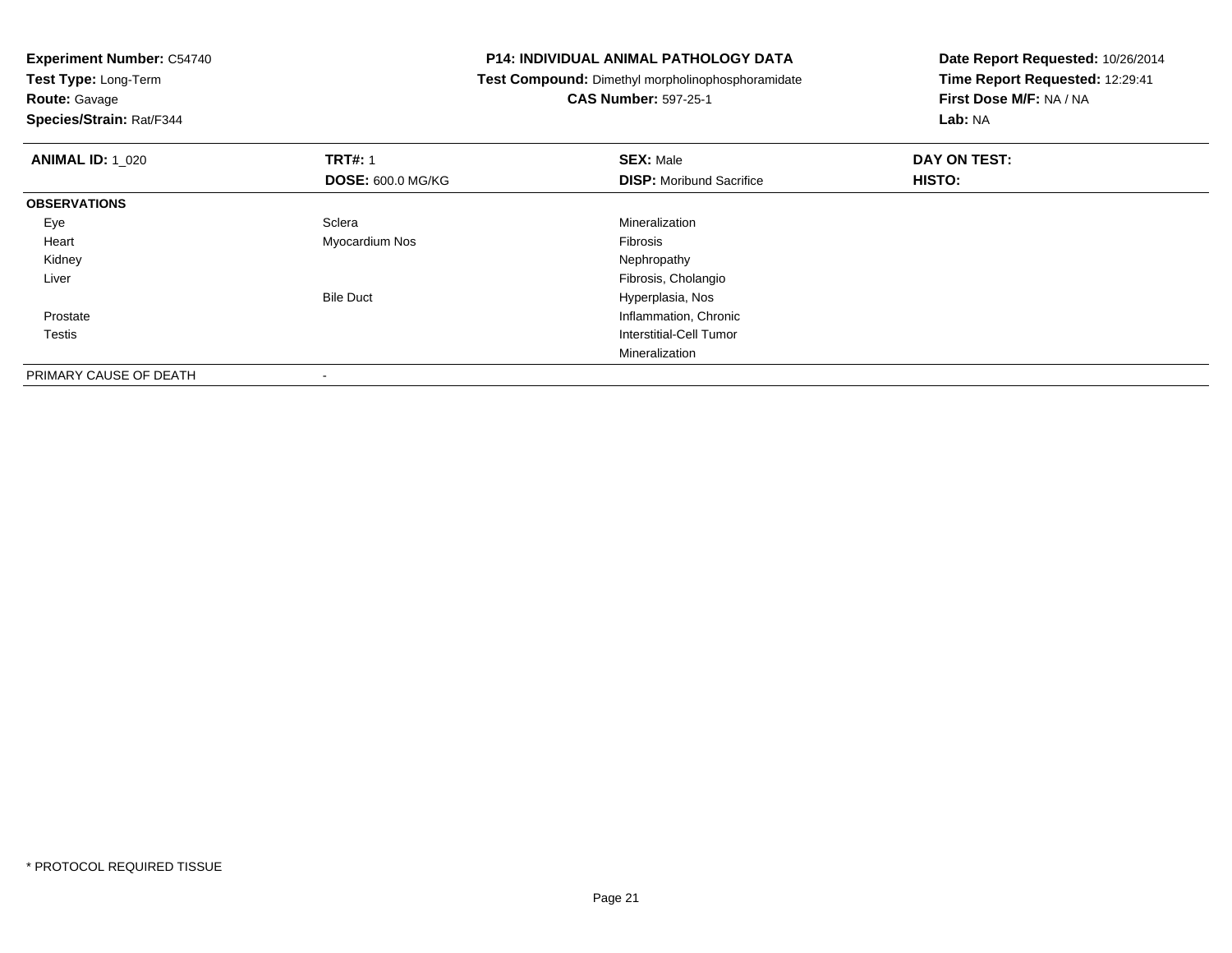**Test Type:** Long-Term

## **Route:** Gavage

**Species/Strain:** Rat/F344

#### **P14: INDIVIDUAL ANIMAL PATHOLOGY DATA**

**Test Compound:** Dimethyl morpholinophosphoramidate

### **CAS Number:** 597-25-1

| <b>ANIMAL ID: 1 020</b> | <b>TRT#: 1</b>           | <b>SEX: Male</b>                | DAY ON TEST: |  |
|-------------------------|--------------------------|---------------------------------|--------------|--|
|                         | <b>DOSE: 600.0 MG/KG</b> | <b>DISP:</b> Moribund Sacrifice | HISTO:       |  |
| <b>OBSERVATIONS</b>     |                          |                                 |              |  |
| Eye                     | Sclera                   | Mineralization                  |              |  |
| Heart                   | Myocardium Nos           | Fibrosis                        |              |  |
| Kidney                  |                          | Nephropathy                     |              |  |
| Liver                   |                          | Fibrosis, Cholangio             |              |  |
|                         | <b>Bile Duct</b>         | Hyperplasia, Nos                |              |  |
| Prostate                |                          | Inflammation, Chronic           |              |  |
| Testis                  |                          | Interstitial-Cell Tumor         |              |  |
|                         |                          | Mineralization                  |              |  |
| PRIMARY CAUSE OF DEATH  |                          |                                 |              |  |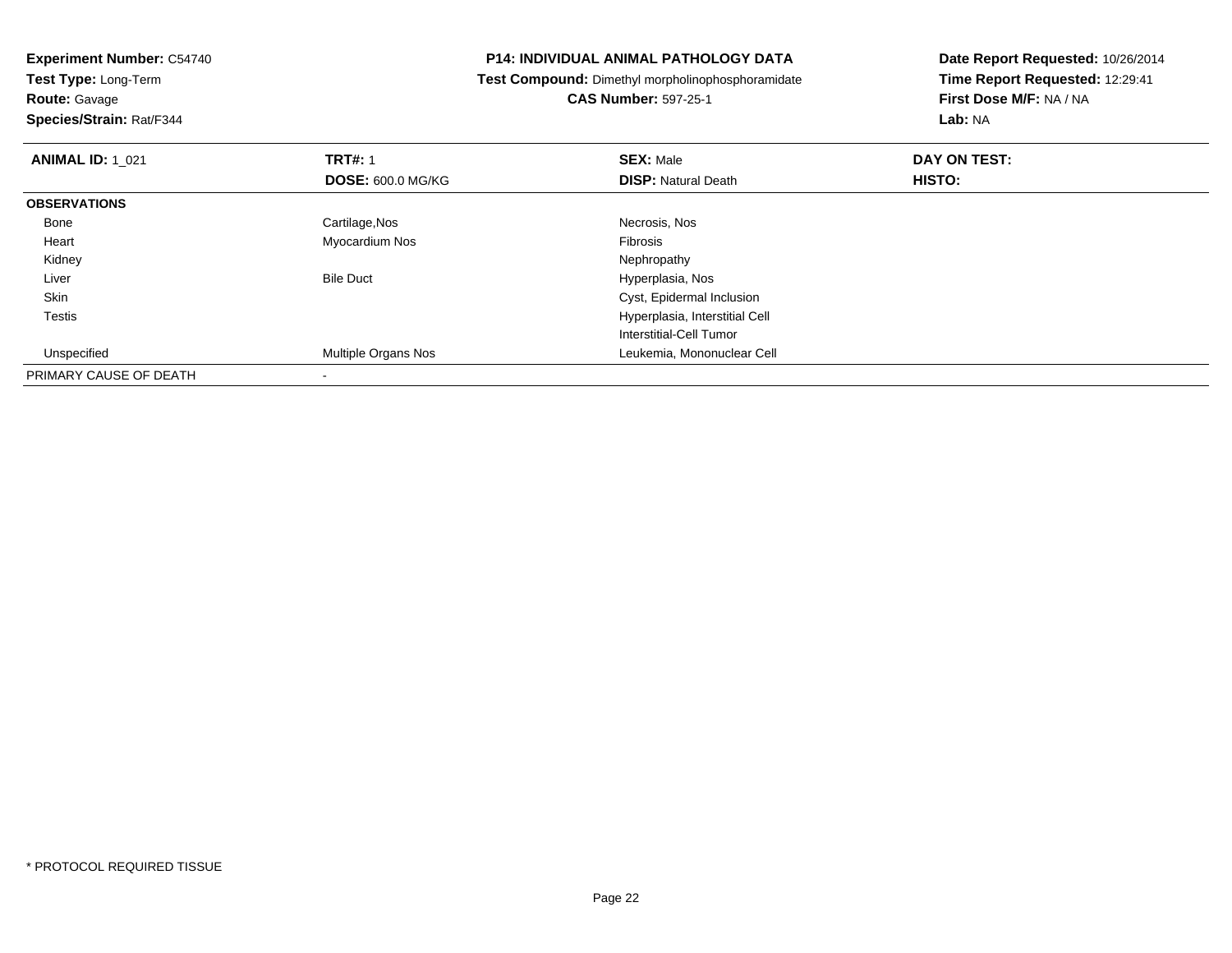**Experiment Number:** C54740**Test Type:** Long-Term**Route:** Gavage **Species/Strain:** Rat/F344**P14: INDIVIDUAL ANIMAL PATHOLOGY DATA Test Compound:** Dimethyl morpholinophosphoramidate**CAS Number:** 597-25-1**Date Report Requested:** 10/26/2014**Time Report Requested:** 12:29:41**First Dose M/F:** NA / NA**Lab:** NA**ANIMAL ID:** 1\_021**TRT#:** 1 **SEX:** Male **DAY ON TEST: DOSE:** 600.0 MG/KG**DISP:** Natural Death **HISTO: OBSERVATIONS** Bonee and the control of the Cartilage,Nos and the control of the control of the control of the Cartilage,Nos and the control of the control of the control of the control of the control of the control of the control of the con Heart Myocardium Nos Fibrosis Kidneyy the control of the control of the control of the control of the control of the control of the control of the control of the control of the control of the control of the control of the control of the control of the contro

> Hyperplasia, Interstitial Cell Interstitial-Cell Tumor

Bile Duct **Hyperplasia**, Nos

Multiple Organs Nos Leukemia, Mononuclear Cell

Cyst, Epidermal Inclusion

Liver

 SkinTestis

Unspecified

PRIMARY CAUSE OF DEATH

-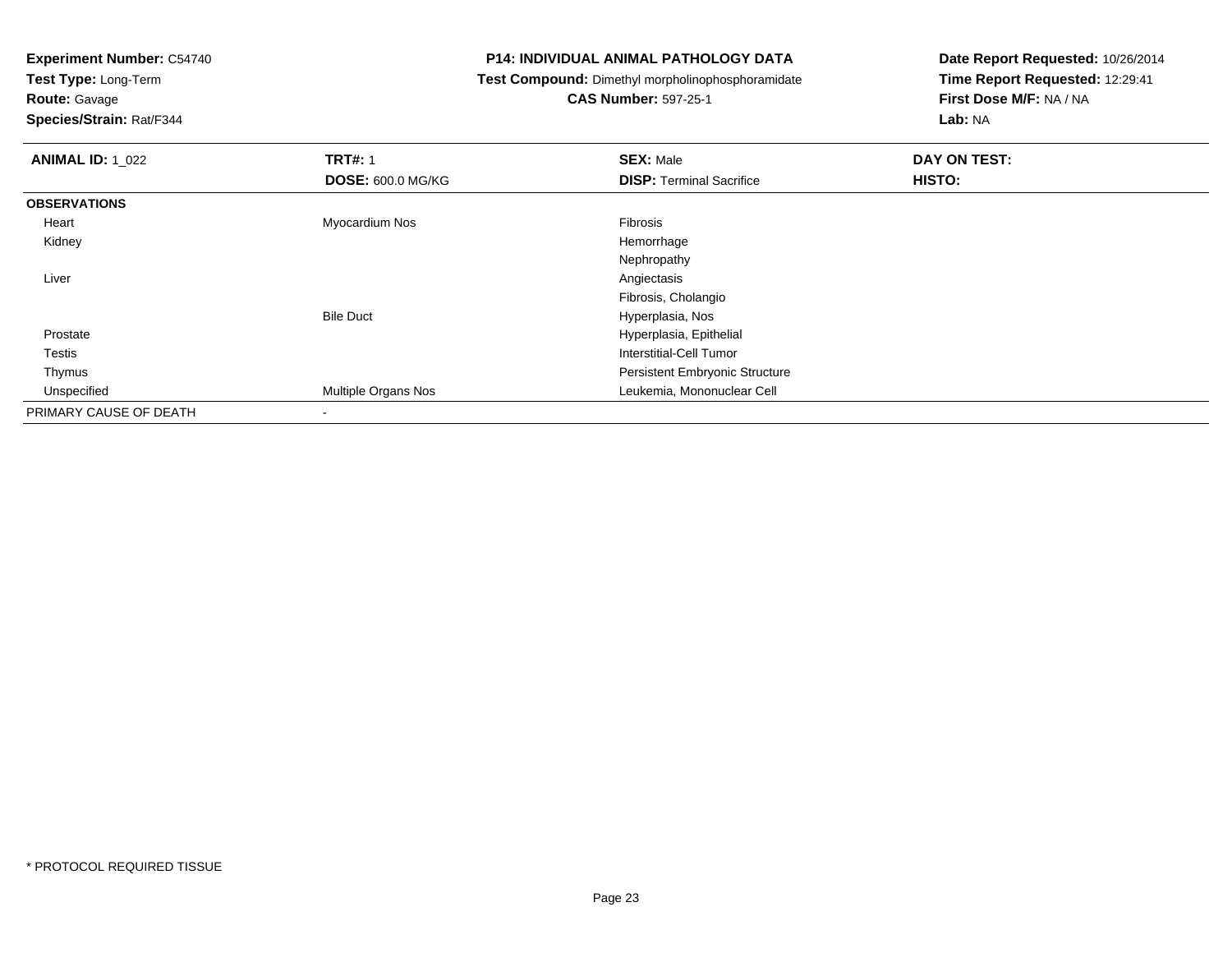**Test Type:** Long-Term

**Route:** Gavage

**Species/Strain:** Rat/F344

#### **P14: INDIVIDUAL ANIMAL PATHOLOGY DATA**

**Test Compound:** Dimethyl morpholinophosphoramidate

**CAS Number:** 597-25-1

| <b>ANIMAL ID: 1_022</b> | <b>TRT#: 1</b>           | <b>SEX: Male</b>                | DAY ON TEST: |  |
|-------------------------|--------------------------|---------------------------------|--------------|--|
|                         | <b>DOSE: 600.0 MG/KG</b> | <b>DISP: Terminal Sacrifice</b> | HISTO:       |  |
| <b>OBSERVATIONS</b>     |                          |                                 |              |  |
| Heart                   | Myocardium Nos           | <b>Fibrosis</b>                 |              |  |
| Kidney                  |                          | Hemorrhage                      |              |  |
|                         |                          | Nephropathy                     |              |  |
| Liver                   |                          | Angiectasis                     |              |  |
|                         |                          | Fibrosis, Cholangio             |              |  |
|                         | <b>Bile Duct</b>         | Hyperplasia, Nos                |              |  |
| Prostate                |                          | Hyperplasia, Epithelial         |              |  |
| Testis                  |                          | Interstitial-Cell Tumor         |              |  |
| Thymus                  |                          | Persistent Embryonic Structure  |              |  |
| Unspecified             | Multiple Organs Nos      | Leukemia, Mononuclear Cell      |              |  |
| PRIMARY CAUSE OF DEATH  | $\blacksquare$           |                                 |              |  |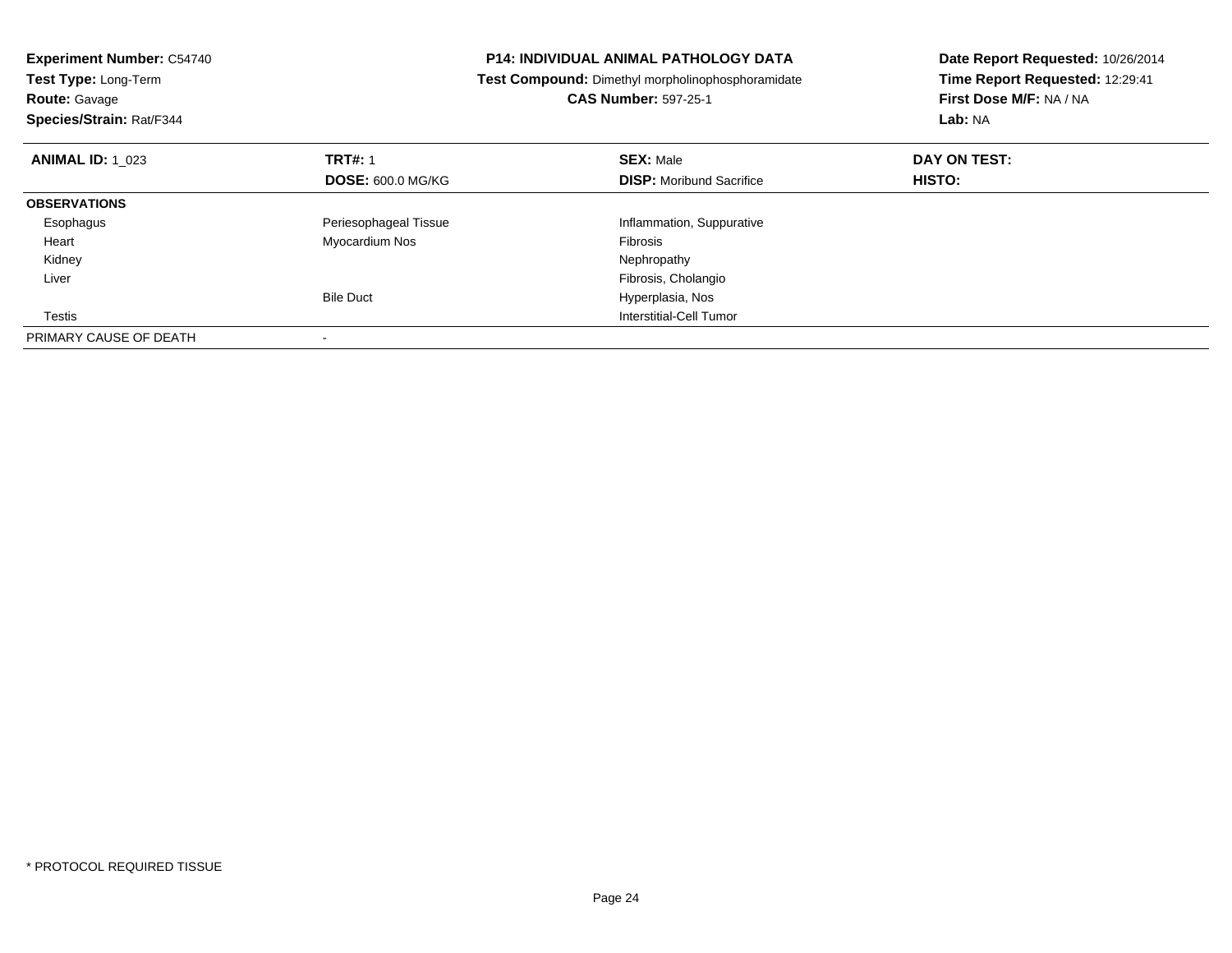| <b>Experiment Number: C54740</b><br>Test Type: Long-Term<br><b>Route: Gavage</b><br>Species/Strain: Rat/F344 |                                            | <b>P14: INDIVIDUAL ANIMAL PATHOLOGY DATA</b><br>Date Report Requested: 10/26/2014<br>Time Report Requested: 12:29:41<br>Test Compound: Dimethyl morpholinophosphoramidate<br>First Dose M/F: NA / NA<br><b>CAS Number: 597-25-1</b><br>Lab: NA |                               |
|--------------------------------------------------------------------------------------------------------------|--------------------------------------------|------------------------------------------------------------------------------------------------------------------------------------------------------------------------------------------------------------------------------------------------|-------------------------------|
| <b>ANIMAL ID: 1 023</b>                                                                                      | <b>TRT#: 1</b><br><b>DOSE: 600.0 MG/KG</b> | <b>SEX: Male</b><br><b>DISP:</b> Moribund Sacrifice                                                                                                                                                                                            | DAY ON TEST:<br><b>HISTO:</b> |
| <b>OBSERVATIONS</b>                                                                                          |                                            |                                                                                                                                                                                                                                                |                               |
| Esophagus                                                                                                    | Periesophageal Tissue                      | Inflammation, Suppurative                                                                                                                                                                                                                      |                               |
| Heart                                                                                                        | Myocardium Nos                             | <b>Fibrosis</b>                                                                                                                                                                                                                                |                               |
| Kidney                                                                                                       |                                            | Nephropathy                                                                                                                                                                                                                                    |                               |
| Liver                                                                                                        |                                            | Fibrosis, Cholangio                                                                                                                                                                                                                            |                               |
|                                                                                                              | <b>Bile Duct</b>                           | Hyperplasia, Nos                                                                                                                                                                                                                               |                               |
| Testis                                                                                                       |                                            | Interstitial-Cell Tumor                                                                                                                                                                                                                        |                               |
| PRIMARY CAUSE OF DEATH                                                                                       |                                            |                                                                                                                                                                                                                                                |                               |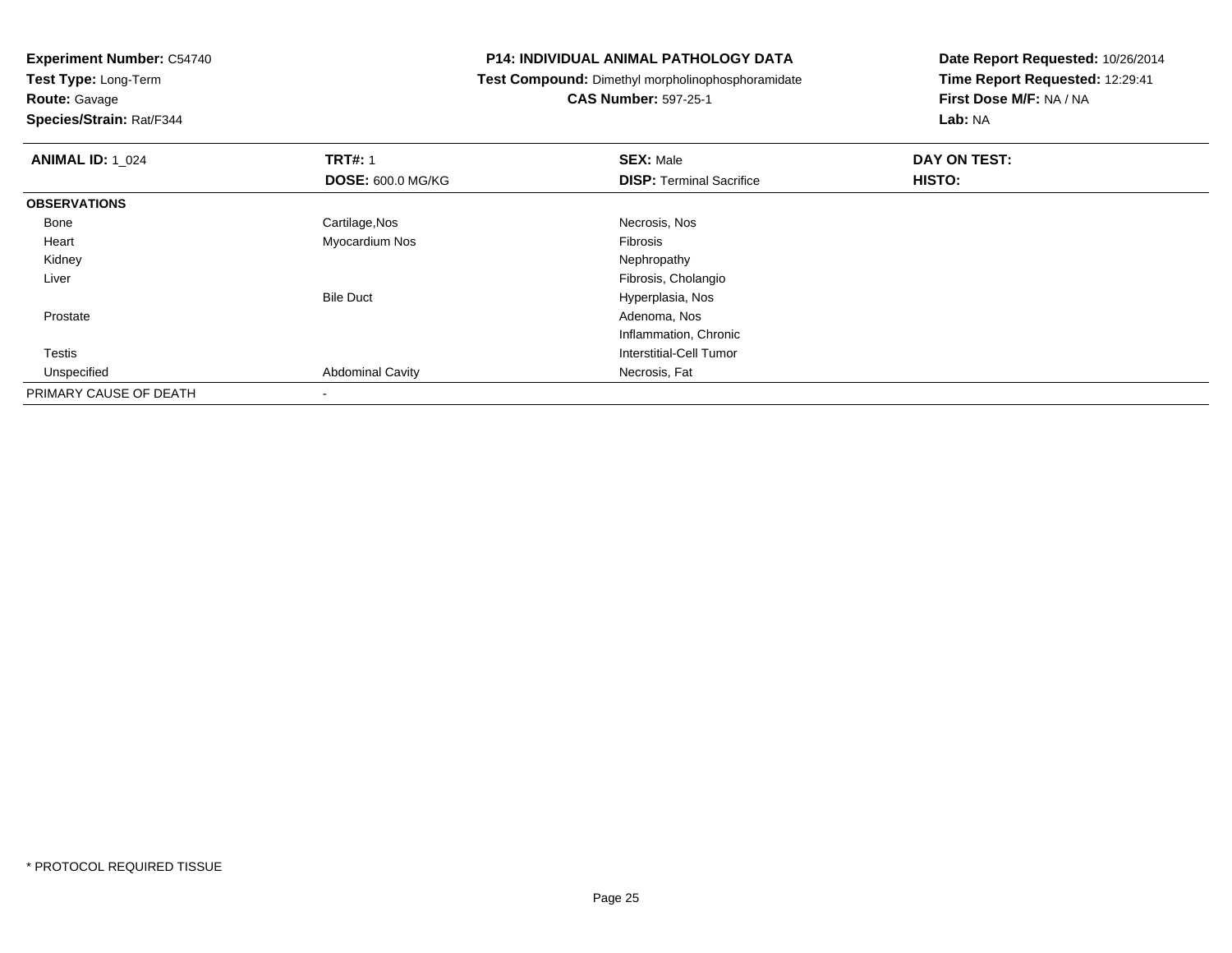**Route:** Gavage

**Species/Strain:** Rat/F344

#### **P14: INDIVIDUAL ANIMAL PATHOLOGY DATA**

**Test Compound:** Dimethyl morpholinophosphoramidate

**CAS Number:** 597-25-1

| <b>ANIMAL ID: 1_024</b> | <b>TRT#: 1</b>           | <b>SEX: Male</b>                | DAY ON TEST: |  |
|-------------------------|--------------------------|---------------------------------|--------------|--|
|                         | <b>DOSE: 600.0 MG/KG</b> | <b>DISP:</b> Terminal Sacrifice | HISTO:       |  |
| <b>OBSERVATIONS</b>     |                          |                                 |              |  |
| Bone                    | Cartilage, Nos           | Necrosis, Nos                   |              |  |
| Heart                   | Myocardium Nos           | Fibrosis                        |              |  |
| Kidney                  |                          | Nephropathy                     |              |  |
| Liver                   |                          | Fibrosis, Cholangio             |              |  |
|                         | <b>Bile Duct</b>         | Hyperplasia, Nos                |              |  |
| Prostate                |                          | Adenoma, Nos                    |              |  |
|                         |                          | Inflammation, Chronic           |              |  |
| Testis                  |                          | Interstitial-Cell Tumor         |              |  |
| Unspecified             | <b>Abdominal Cavity</b>  | Necrosis, Fat                   |              |  |
| PRIMARY CAUSE OF DEATH  | $\,$                     |                                 |              |  |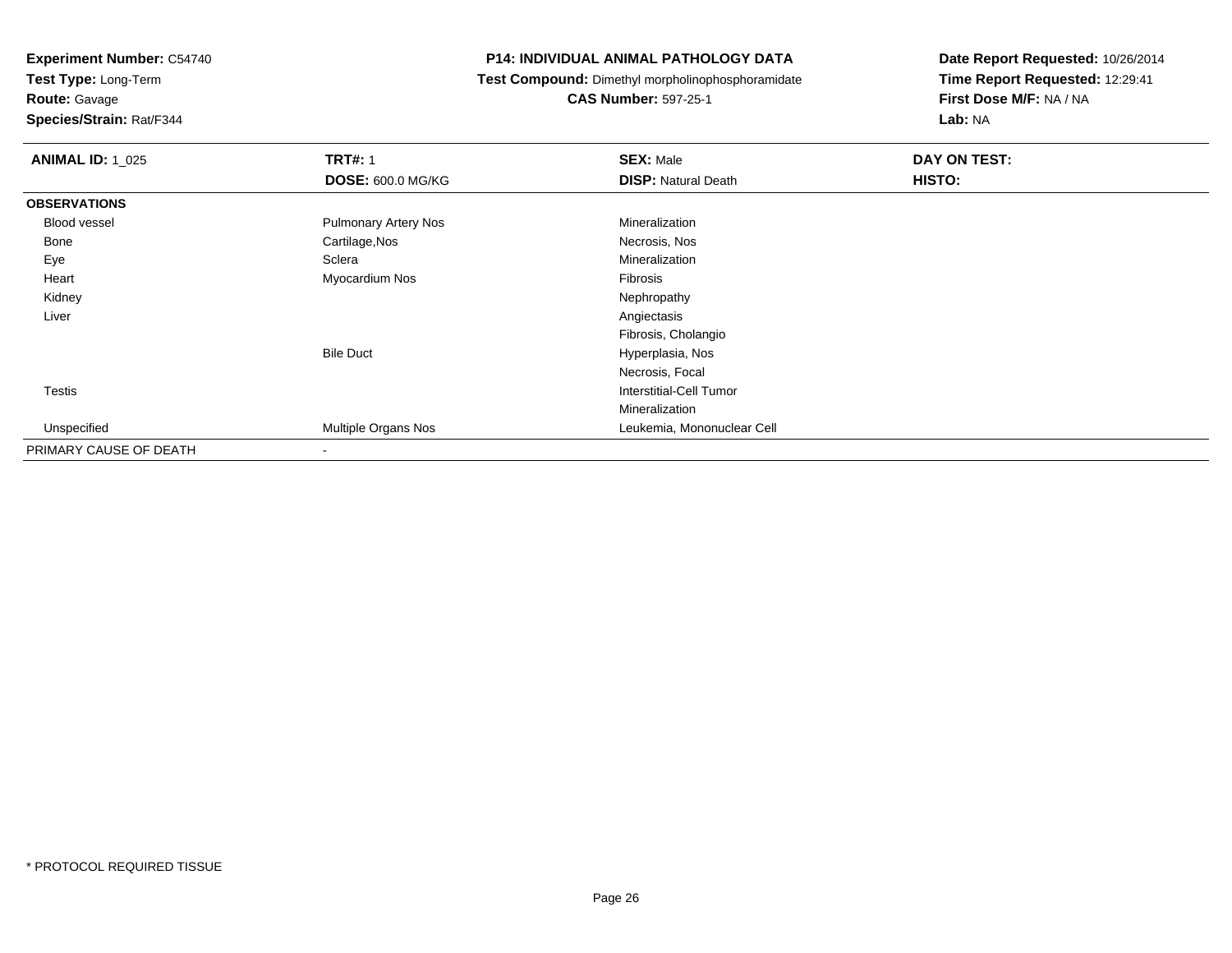**Route:** Gavage

**Species/Strain:** Rat/F344

#### **P14: INDIVIDUAL ANIMAL PATHOLOGY DATA**

**Test Compound:** Dimethyl morpholinophosphoramidate

**CAS Number:** 597-25-1

| <b>ANIMAL ID: 1_025</b> | <b>TRT#: 1</b>              | <b>SEX: Male</b>           | DAY ON TEST: |
|-------------------------|-----------------------------|----------------------------|--------------|
|                         | <b>DOSE: 600.0 MG/KG</b>    | <b>DISP: Natural Death</b> | HISTO:       |
| <b>OBSERVATIONS</b>     |                             |                            |              |
| <b>Blood vessel</b>     | <b>Pulmonary Artery Nos</b> | Mineralization             |              |
| Bone                    | Cartilage, Nos              | Necrosis, Nos              |              |
| Eye                     | Sclera                      | Mineralization             |              |
| Heart                   | Myocardium Nos              | Fibrosis                   |              |
| Kidney                  |                             | Nephropathy                |              |
| Liver                   |                             | Angiectasis                |              |
|                         |                             | Fibrosis, Cholangio        |              |
|                         | <b>Bile Duct</b>            | Hyperplasia, Nos           |              |
|                         |                             | Necrosis, Focal            |              |
| Testis                  |                             | Interstitial-Cell Tumor    |              |
|                         |                             | Mineralization             |              |
| Unspecified             | Multiple Organs Nos         | Leukemia, Mononuclear Cell |              |
| PRIMARY CAUSE OF DEATH  | $\,$ $\,$                   |                            |              |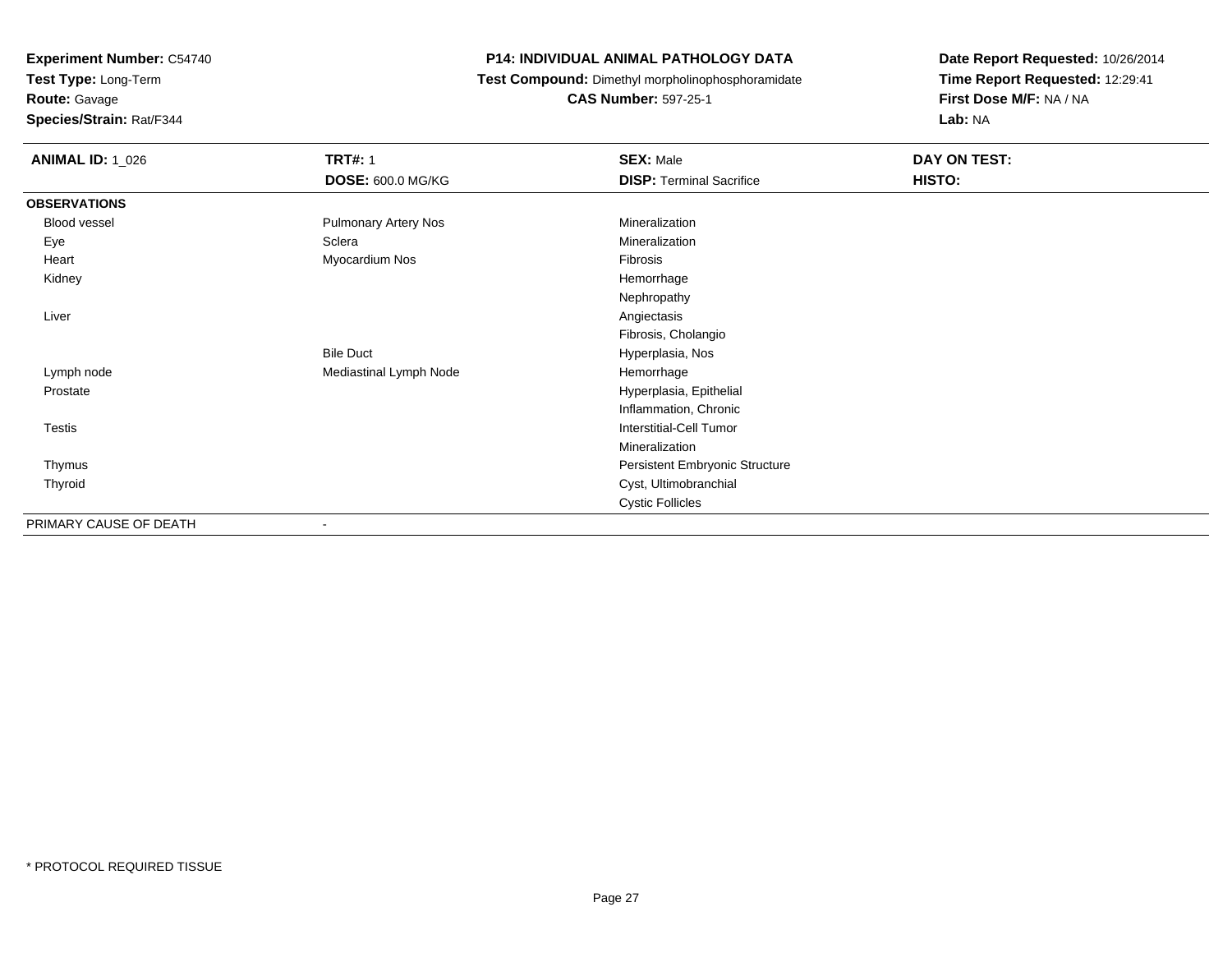**Route:** Gavage

**Species/Strain:** Rat/F344

#### **P14: INDIVIDUAL ANIMAL PATHOLOGY DATA**

**Test Compound:** Dimethyl morpholinophosphoramidate

**CAS Number:** 597-25-1

| <b>ANIMAL ID: 1_026</b> | <b>TRT#: 1</b><br><b>DOSE: 600.0 MG/KG</b> | <b>SEX: Male</b><br><b>DISP: Terminal Sacrifice</b> | DAY ON TEST:<br>HISTO: |
|-------------------------|--------------------------------------------|-----------------------------------------------------|------------------------|
| <b>OBSERVATIONS</b>     |                                            |                                                     |                        |
| Blood vessel            | <b>Pulmonary Artery Nos</b>                | Mineralization                                      |                        |
| Eye                     | Sclera                                     | Mineralization                                      |                        |
| Heart                   | Myocardium Nos                             | Fibrosis                                            |                        |
| Kidney                  |                                            | Hemorrhage                                          |                        |
|                         |                                            | Nephropathy                                         |                        |
| Liver                   |                                            | Angiectasis                                         |                        |
|                         |                                            | Fibrosis, Cholangio                                 |                        |
|                         | <b>Bile Duct</b>                           | Hyperplasia, Nos                                    |                        |
| Lymph node              | Mediastinal Lymph Node                     | Hemorrhage                                          |                        |
| Prostate                |                                            | Hyperplasia, Epithelial                             |                        |
|                         |                                            | Inflammation, Chronic                               |                        |
| Testis                  |                                            | Interstitial-Cell Tumor                             |                        |
|                         |                                            | Mineralization                                      |                        |
| Thymus                  |                                            | Persistent Embryonic Structure                      |                        |
| Thyroid                 |                                            | Cyst, Ultimobranchial                               |                        |
|                         |                                            | <b>Cystic Follicles</b>                             |                        |
| PRIMARY CAUSE OF DEATH  | ۰                                          |                                                     |                        |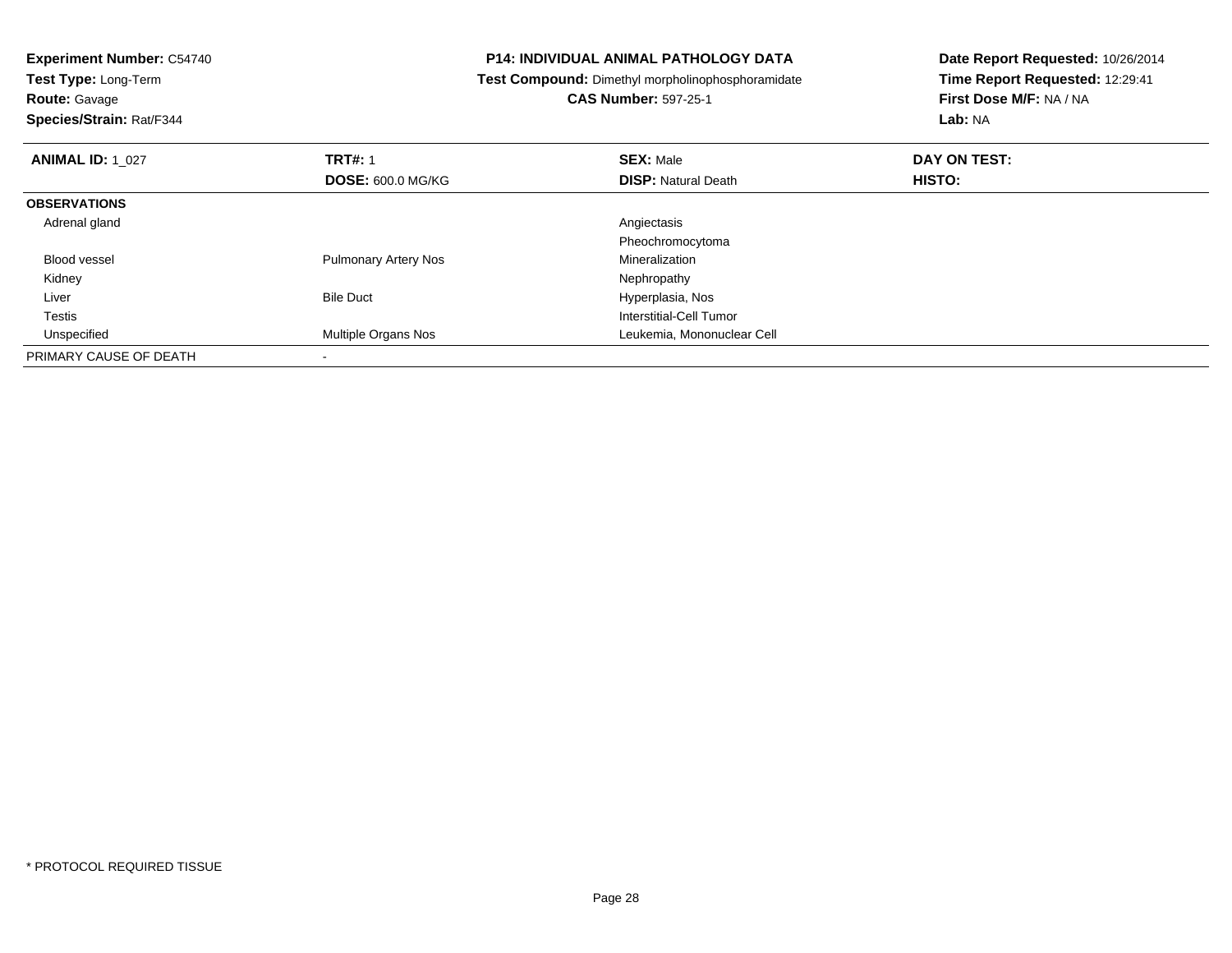| <b>Experiment Number: C54740</b>                                          |                             | <b>P14: INDIVIDUAL ANIMAL PATHOLOGY DATA</b><br>Date Report Requested: 10/26/2014 |                         |
|---------------------------------------------------------------------------|-----------------------------|-----------------------------------------------------------------------------------|-------------------------|
| Test Type: Long-Term<br>Test Compound: Dimethyl morpholinophosphoramidate |                             | Time Report Requested: 12:29:41                                                   |                         |
| <b>Route: Gavage</b>                                                      |                             | <b>CAS Number: 597-25-1</b>                                                       | First Dose M/F: NA / NA |
| Species/Strain: Rat/F344                                                  |                             |                                                                                   | <b>Lab: NA</b>          |
| <b>ANIMAL ID: 1 027</b>                                                   | <b>TRT#: 1</b>              | <b>SEX: Male</b>                                                                  | DAY ON TEST:            |
|                                                                           | <b>DOSE: 600.0 MG/KG</b>    | <b>DISP: Natural Death</b>                                                        | <b>HISTO:</b>           |
| <b>OBSERVATIONS</b>                                                       |                             |                                                                                   |                         |
| Adrenal gland                                                             |                             | Angiectasis                                                                       |                         |
|                                                                           |                             | Pheochromocytoma                                                                  |                         |
| <b>Blood vessel</b>                                                       | <b>Pulmonary Artery Nos</b> | Mineralization                                                                    |                         |
| Kidney                                                                    |                             | Nephropathy                                                                       |                         |
| Liver                                                                     | <b>Bile Duct</b>            | Hyperplasia, Nos                                                                  |                         |
| Testis                                                                    |                             | Interstitial-Cell Tumor                                                           |                         |
| Unspecified                                                               | <b>Multiple Organs Nos</b>  | Leukemia, Mononuclear Cell                                                        |                         |
| PRIMARY CAUSE OF DEATH                                                    |                             |                                                                                   |                         |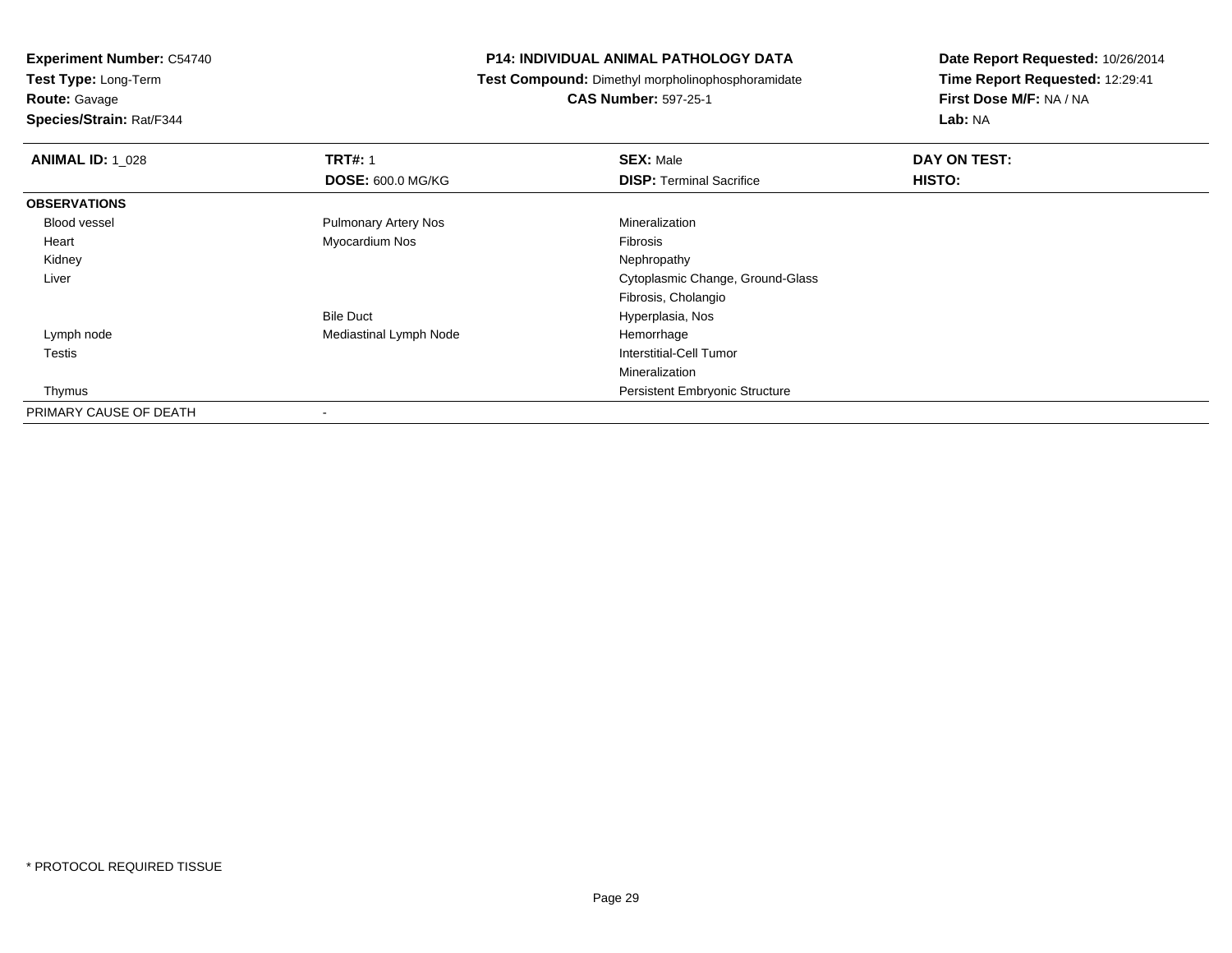**Route:** Gavage

**Species/Strain:** Rat/F344

#### **P14: INDIVIDUAL ANIMAL PATHOLOGY DATA**

**Test Compound:** Dimethyl morpholinophosphoramidate

**CAS Number:** 597-25-1

| <b>ANIMAL ID: 1 028</b> | <b>TRT#: 1</b>              | <b>SEX: Male</b>                      | DAY ON TEST: |
|-------------------------|-----------------------------|---------------------------------------|--------------|
|                         | <b>DOSE: 600.0 MG/KG</b>    | <b>DISP: Terminal Sacrifice</b>       | HISTO:       |
| <b>OBSERVATIONS</b>     |                             |                                       |              |
| Blood vessel            | <b>Pulmonary Artery Nos</b> | Mineralization                        |              |
| Heart                   | Myocardium Nos              | Fibrosis                              |              |
| Kidney                  |                             | Nephropathy                           |              |
| Liver                   |                             | Cytoplasmic Change, Ground-Glass      |              |
|                         |                             | Fibrosis, Cholangio                   |              |
|                         | <b>Bile Duct</b>            | Hyperplasia, Nos                      |              |
| Lymph node              | Mediastinal Lymph Node      | Hemorrhage                            |              |
| Testis                  |                             | Interstitial-Cell Tumor               |              |
|                         |                             | Mineralization                        |              |
| Thymus                  |                             | <b>Persistent Embryonic Structure</b> |              |
| PRIMARY CAUSE OF DEATH  | $\overline{\phantom{a}}$    |                                       |              |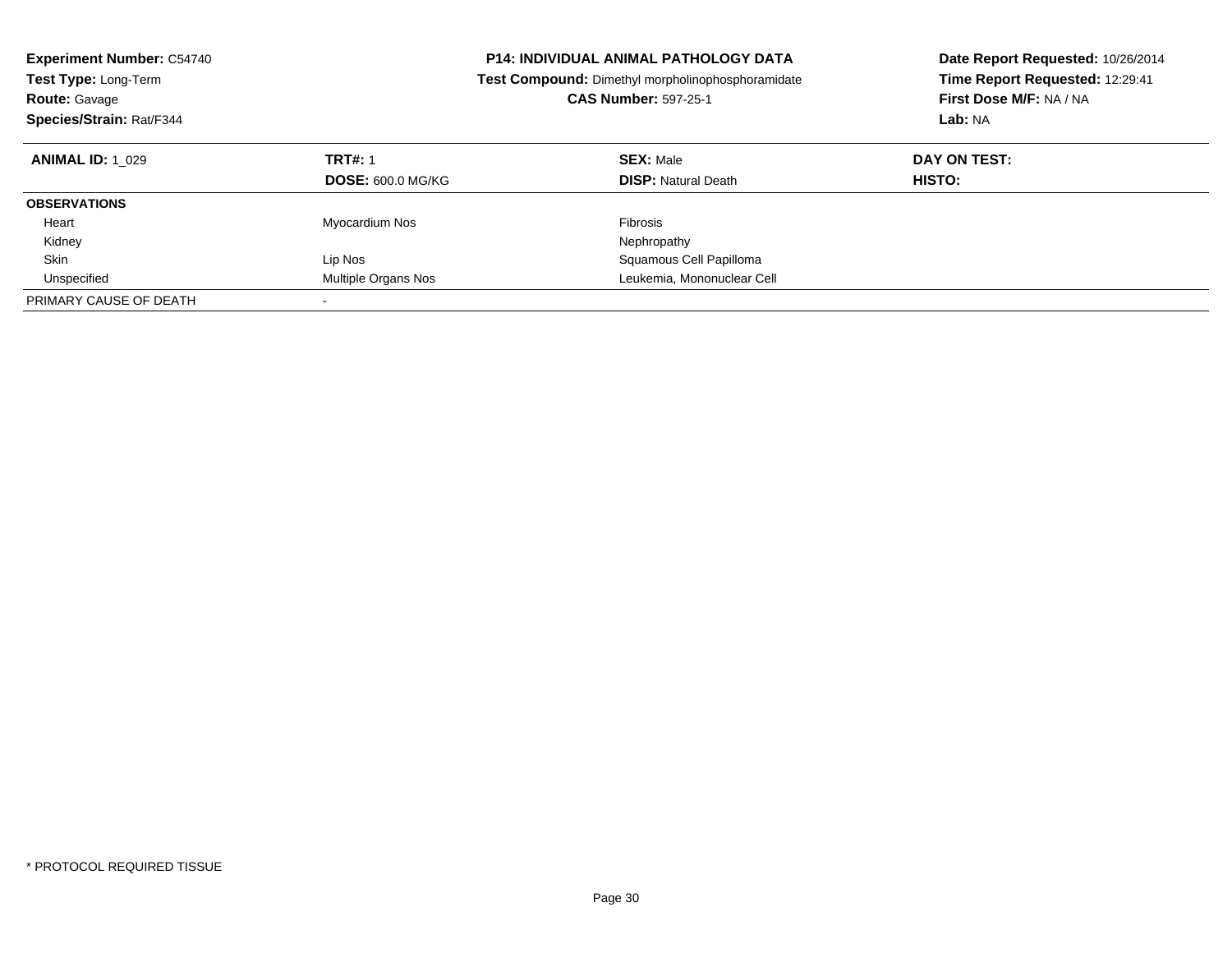| <b>Experiment Number: C54740</b><br><b>Test Type: Long-Term</b><br><b>Route: Gavage</b><br>Species/Strain: Rat/F344 |                                            | <b>P14: INDIVIDUAL ANIMAL PATHOLOGY DATA</b><br>Test Compound: Dimethyl morpholinophosphoramidate<br><b>CAS Number: 597-25-1</b> | Date Report Requested: 10/26/2014<br>Time Report Requested: 12:29:41<br>First Dose M/F: NA / NA<br>Lab: NA |
|---------------------------------------------------------------------------------------------------------------------|--------------------------------------------|----------------------------------------------------------------------------------------------------------------------------------|------------------------------------------------------------------------------------------------------------|
| <b>ANIMAL ID: 1 029</b>                                                                                             | <b>TRT#: 1</b><br><b>DOSE: 600.0 MG/KG</b> | <b>SEX: Male</b><br><b>DISP:</b> Natural Death                                                                                   | DAY ON TEST:<br><b>HISTO:</b>                                                                              |
| <b>OBSERVATIONS</b>                                                                                                 |                                            |                                                                                                                                  |                                                                                                            |
| Heart                                                                                                               | Myocardium Nos                             | Fibrosis                                                                                                                         |                                                                                                            |
| Kidney                                                                                                              |                                            | Nephropathy                                                                                                                      |                                                                                                            |
| Skin                                                                                                                | Lip Nos                                    | Squamous Cell Papilloma                                                                                                          |                                                                                                            |
| Unspecified                                                                                                         | Multiple Organs Nos                        | Leukemia, Mononuclear Cell                                                                                                       |                                                                                                            |
| PRIMARY CAUSE OF DEATH                                                                                              |                                            |                                                                                                                                  |                                                                                                            |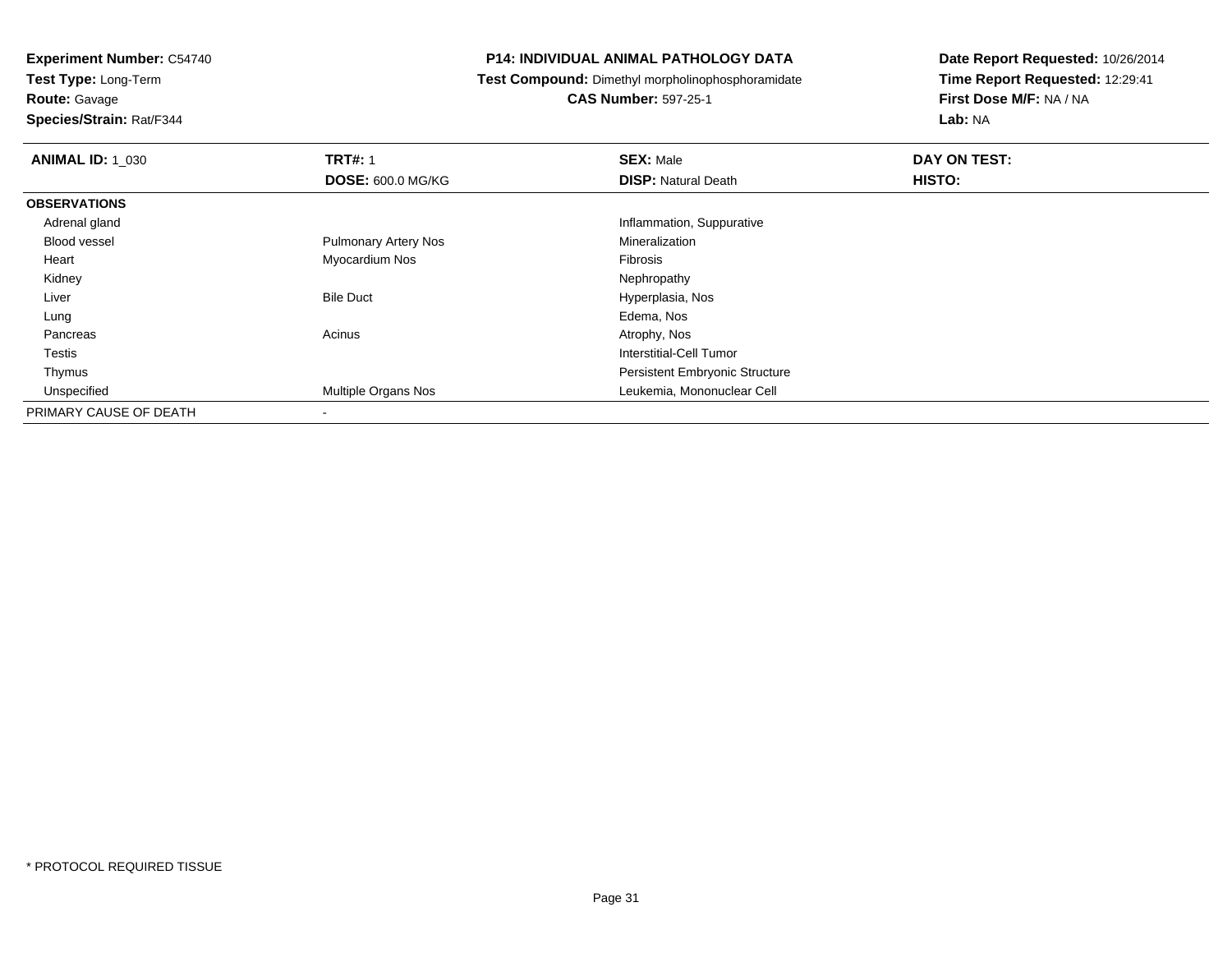**Test Type:** Long-Term**Route:** Gavage

**Species/Strain:** Rat/F344

#### **P14: INDIVIDUAL ANIMAL PATHOLOGY DATA**

**Test Compound:** Dimethyl morpholinophosphoramidate

**CAS Number:** 597-25-1

| <b>ANIMAL ID: 1 030</b> | <b>TRT#: 1</b>              | <b>SEX: Male</b>                      | DAY ON TEST: |  |
|-------------------------|-----------------------------|---------------------------------------|--------------|--|
|                         | <b>DOSE: 600.0 MG/KG</b>    | <b>DISP: Natural Death</b>            | HISTO:       |  |
| <b>OBSERVATIONS</b>     |                             |                                       |              |  |
| Adrenal gland           |                             | Inflammation, Suppurative             |              |  |
| <b>Blood vessel</b>     | <b>Pulmonary Artery Nos</b> | Mineralization                        |              |  |
| Heart                   | Myocardium Nos              | Fibrosis                              |              |  |
| Kidney                  |                             | Nephropathy                           |              |  |
| Liver                   | <b>Bile Duct</b>            | Hyperplasia, Nos                      |              |  |
| Lung                    |                             | Edema, Nos                            |              |  |
| Pancreas                | Acinus                      | Atrophy, Nos                          |              |  |
| Testis                  |                             | Interstitial-Cell Tumor               |              |  |
| Thymus                  |                             | <b>Persistent Embryonic Structure</b> |              |  |
| Unspecified             | Multiple Organs Nos         | Leukemia, Mononuclear Cell            |              |  |
| PRIMARY CAUSE OF DEATH  | $\overline{\phantom{a}}$    |                                       |              |  |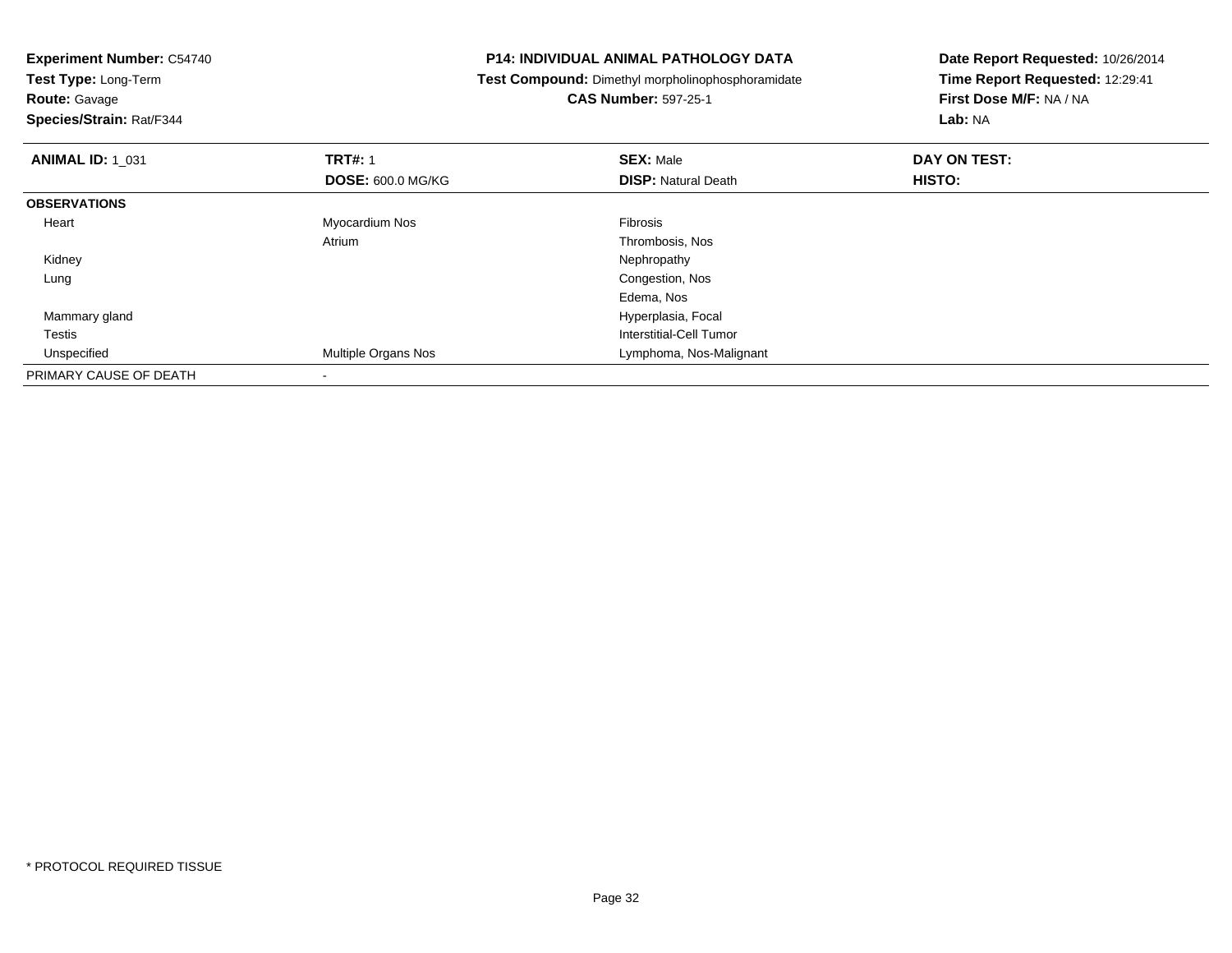| <b>Experiment Number: C54740</b><br><b>Test Type: Long-Term</b> |                          | <b>P14: INDIVIDUAL ANIMAL PATHOLOGY DATA</b>      | Date Report Requested: 10/26/2014 |  |
|-----------------------------------------------------------------|--------------------------|---------------------------------------------------|-----------------------------------|--|
|                                                                 |                          | Test Compound: Dimethyl morpholinophosphoramidate | Time Report Requested: 12:29:41   |  |
| <b>Route: Gavage</b>                                            |                          | <b>CAS Number: 597-25-1</b>                       | First Dose M/F: NA / NA           |  |
| Species/Strain: Rat/F344                                        |                          |                                                   | Lab: NA                           |  |
| <b>ANIMAL ID: 1 031</b>                                         | <b>TRT#: 1</b>           | <b>SEX: Male</b>                                  | DAY ON TEST:                      |  |
|                                                                 | <b>DOSE: 600.0 MG/KG</b> | <b>DISP: Natural Death</b>                        | HISTO:                            |  |
| <b>OBSERVATIONS</b>                                             |                          |                                                   |                                   |  |
| Heart                                                           | Myocardium Nos           | Fibrosis                                          |                                   |  |
|                                                                 | Atrium                   | Thrombosis, Nos                                   |                                   |  |
| Kidney                                                          |                          | Nephropathy                                       |                                   |  |
| Lung                                                            |                          | Congestion, Nos                                   |                                   |  |
|                                                                 |                          | Edema, Nos                                        |                                   |  |
| Mammary gland                                                   |                          | Hyperplasia, Focal                                |                                   |  |
| <b>Testis</b>                                                   |                          | Interstitial-Cell Tumor                           |                                   |  |
| Unspecified                                                     | Multiple Organs Nos      | Lymphoma, Nos-Malignant                           |                                   |  |
| PRIMARY CAUSE OF DEATH                                          |                          |                                                   |                                   |  |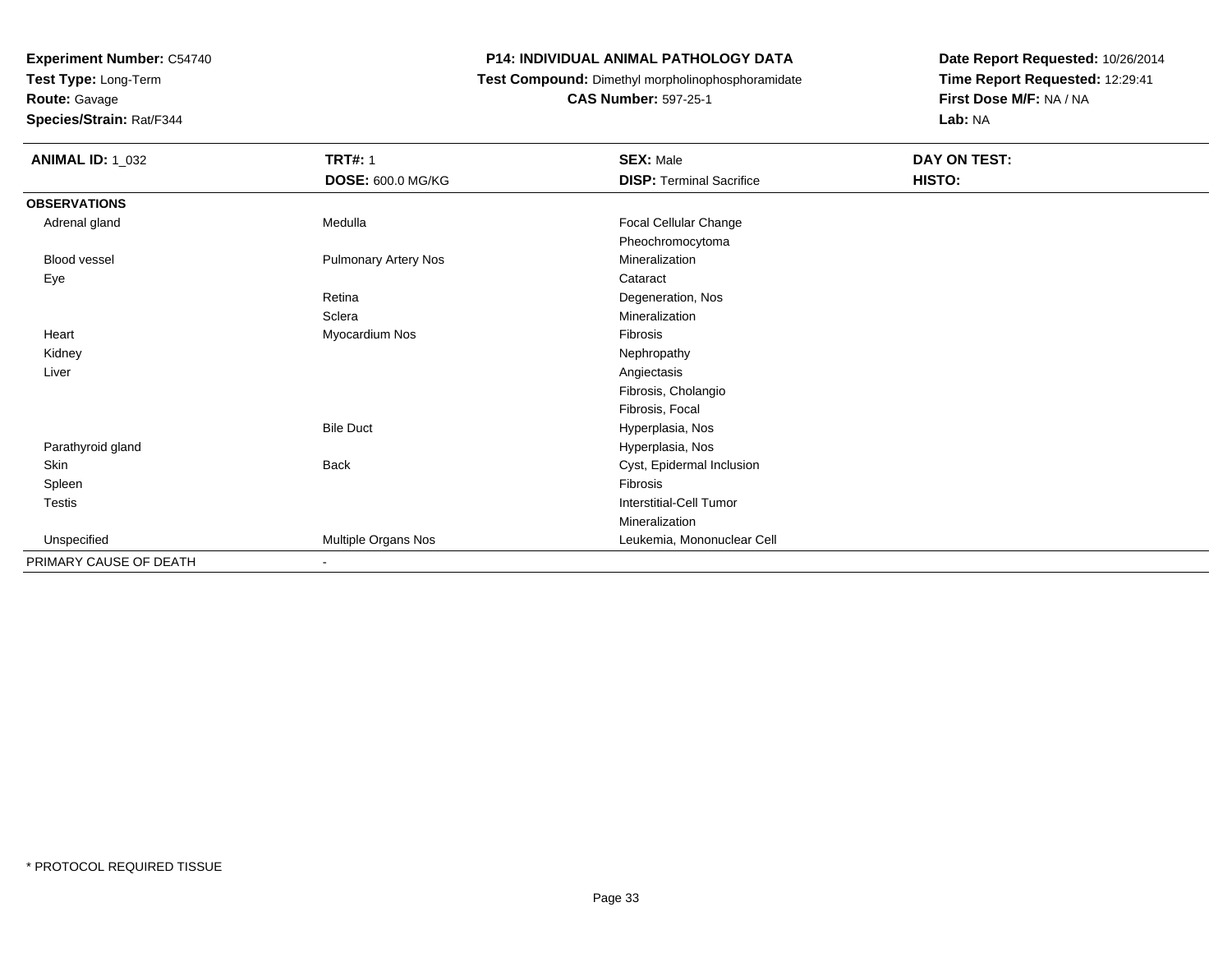**Test Type:** Long-Term

**Route:** Gavage

**Species/Strain:** Rat/F344

#### **P14: INDIVIDUAL ANIMAL PATHOLOGY DATA**

**Test Compound:** Dimethyl morpholinophosphoramidate

**CAS Number:** 597-25-1

| <b>ANIMAL ID: 1_032</b> | <b>TRT#: 1</b>              | <b>SEX: Male</b>                | DAY ON TEST: |  |
|-------------------------|-----------------------------|---------------------------------|--------------|--|
|                         | DOSE: 600.0 MG/KG           | <b>DISP: Terminal Sacrifice</b> | HISTO:       |  |
| <b>OBSERVATIONS</b>     |                             |                                 |              |  |
| Adrenal gland           | Medulla                     | Focal Cellular Change           |              |  |
|                         |                             | Pheochromocytoma                |              |  |
| Blood vessel            | <b>Pulmonary Artery Nos</b> | Mineralization                  |              |  |
| Eye                     |                             | Cataract                        |              |  |
|                         | Retina                      | Degeneration, Nos               |              |  |
|                         | Sclera                      | Mineralization                  |              |  |
| Heart                   | Myocardium Nos              | Fibrosis                        |              |  |
| Kidney                  |                             | Nephropathy                     |              |  |
| Liver                   |                             | Angiectasis                     |              |  |
|                         |                             | Fibrosis, Cholangio             |              |  |
|                         |                             | Fibrosis, Focal                 |              |  |
|                         | <b>Bile Duct</b>            | Hyperplasia, Nos                |              |  |
| Parathyroid gland       |                             | Hyperplasia, Nos                |              |  |
| Skin                    | Back                        | Cyst, Epidermal Inclusion       |              |  |
| Spleen                  |                             | Fibrosis                        |              |  |
| Testis                  |                             | <b>Interstitial-Cell Tumor</b>  |              |  |
|                         |                             | Mineralization                  |              |  |
| Unspecified             | Multiple Organs Nos         | Leukemia, Mononuclear Cell      |              |  |
| PRIMARY CAUSE OF DEATH  | $\overline{\phantom{a}}$    |                                 |              |  |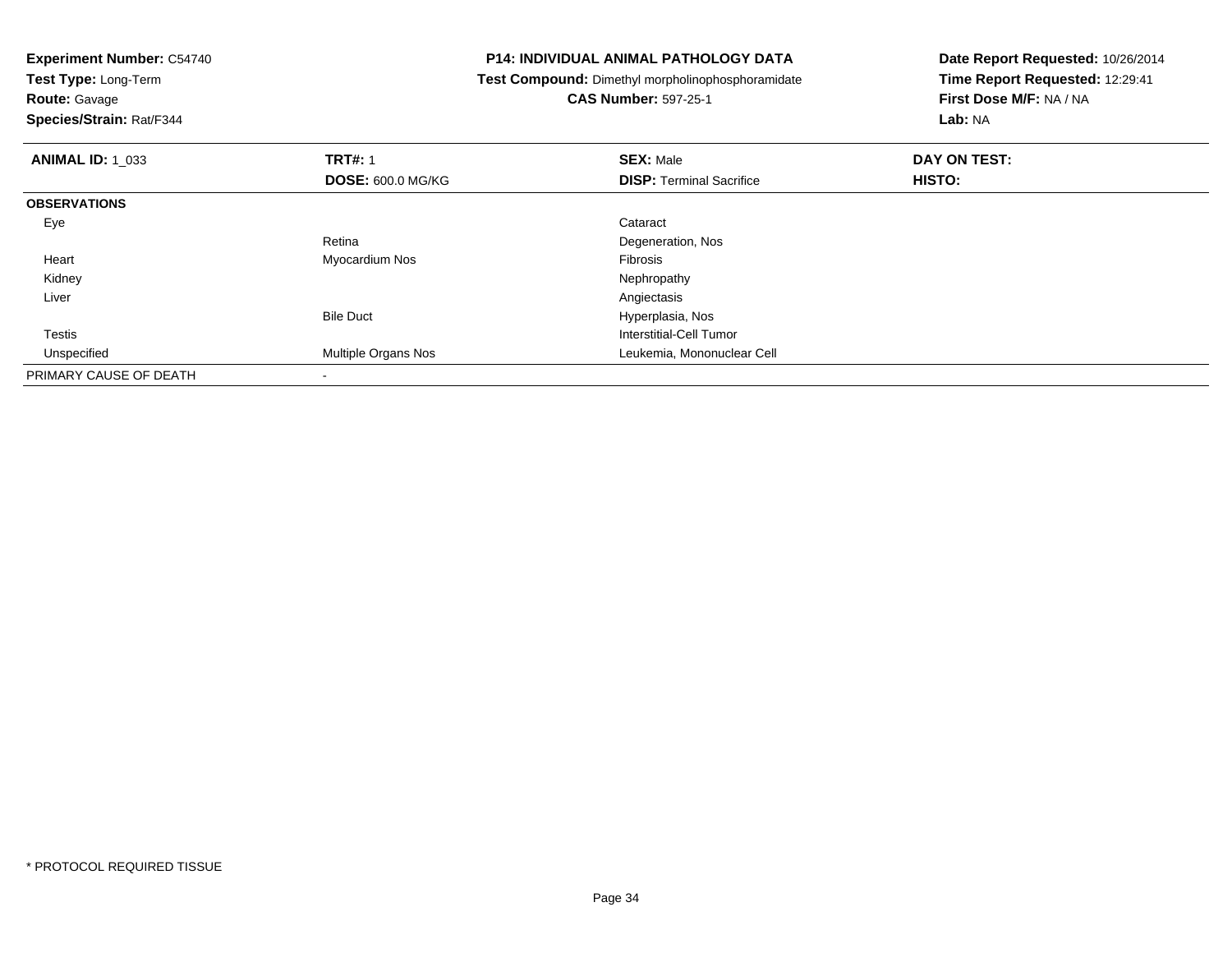| <b>Experiment Number: C54740</b>                                          |                          | P14: INDIVIDUAL ANIMAL PATHOLOGY DATA | Date Report Requested: 10/26/2014 |  |
|---------------------------------------------------------------------------|--------------------------|---------------------------------------|-----------------------------------|--|
| Test Type: Long-Term<br>Test Compound: Dimethyl morpholinophosphoramidate |                          |                                       | Time Report Requested: 12:29:41   |  |
| <b>Route: Gavage</b>                                                      |                          | <b>CAS Number: 597-25-1</b>           | First Dose M/F: NA / NA           |  |
| Species/Strain: Rat/F344                                                  |                          |                                       | Lab: NA                           |  |
| <b>ANIMAL ID: 1_033</b>                                                   | <b>TRT#: 1</b>           | <b>SEX: Male</b>                      | DAY ON TEST:                      |  |
|                                                                           | <b>DOSE: 600.0 MG/KG</b> | <b>DISP:</b> Terminal Sacrifice       | HISTO:                            |  |
| <b>OBSERVATIONS</b>                                                       |                          |                                       |                                   |  |
| Eye                                                                       |                          | Cataract                              |                                   |  |
|                                                                           | Retina                   | Degeneration, Nos                     |                                   |  |
| Heart                                                                     | Myocardium Nos           | <b>Fibrosis</b>                       |                                   |  |
| Kidney                                                                    |                          | Nephropathy                           |                                   |  |
| Liver                                                                     |                          | Angiectasis                           |                                   |  |
|                                                                           | <b>Bile Duct</b>         | Hyperplasia, Nos                      |                                   |  |
| <b>Testis</b>                                                             |                          | <b>Interstitial-Cell Tumor</b>        |                                   |  |
| Unspecified                                                               | Multiple Organs Nos      | Leukemia, Mononuclear Cell            |                                   |  |
| PRIMARY CAUSE OF DEATH                                                    |                          |                                       |                                   |  |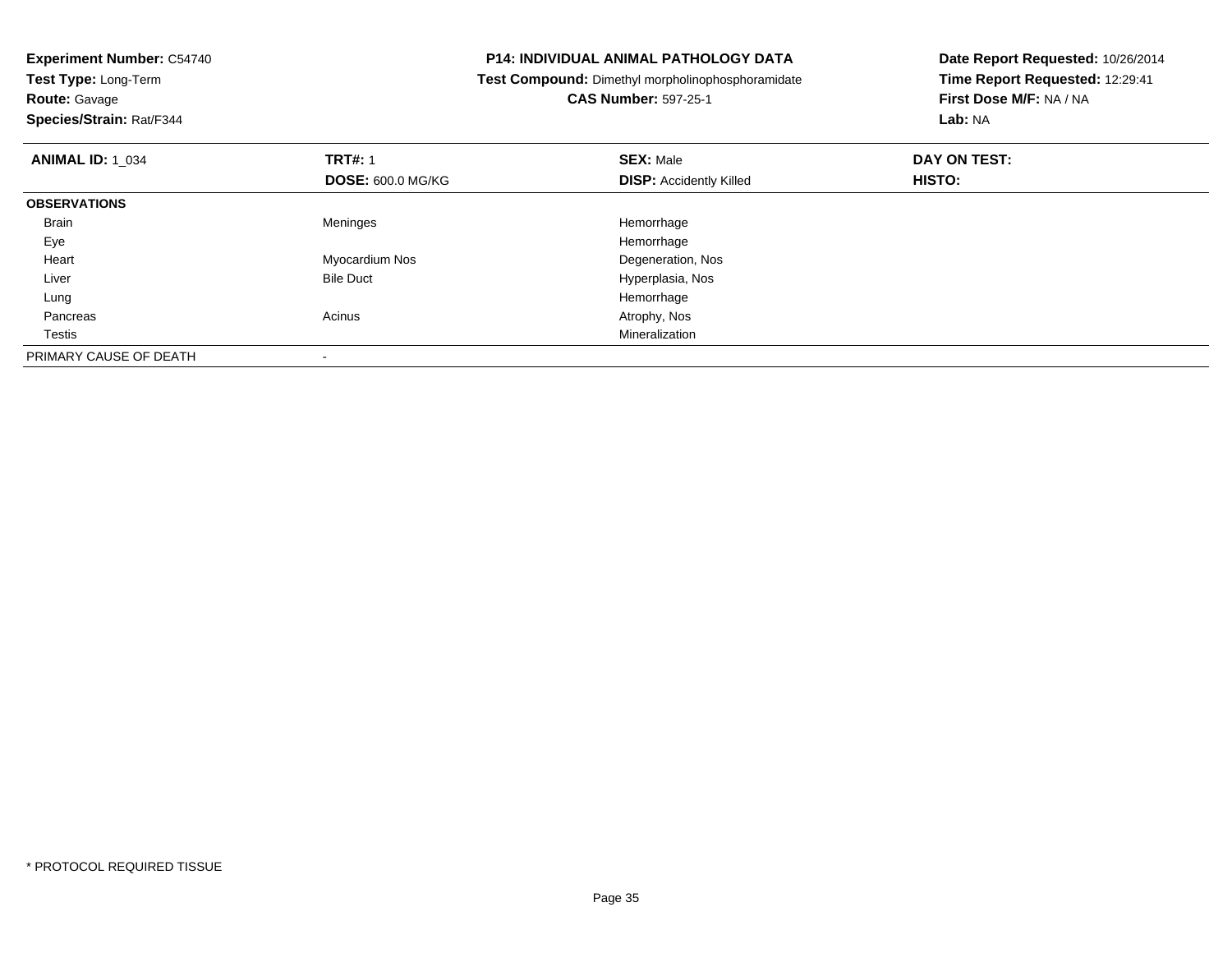| <b>P14: INDIVIDUAL ANIMAL PATHOLOGY DATA</b><br><b>Experiment Number: C54740</b><br>Test Type: Long-Term<br>Test Compound: Dimethyl morpholinophosphoramidate |                          | Date Report Requested: 10/26/2014 |                                 |
|---------------------------------------------------------------------------------------------------------------------------------------------------------------|--------------------------|-----------------------------------|---------------------------------|
|                                                                                                                                                               |                          |                                   | Time Report Requested: 12:29:41 |
| <b>Route: Gavage</b>                                                                                                                                          |                          | <b>CAS Number: 597-25-1</b>       | First Dose M/F: NA / NA         |
| Species/Strain: Rat/F344                                                                                                                                      |                          |                                   | Lab: NA                         |
| <b>ANIMAL ID: 1 034</b>                                                                                                                                       | <b>TRT#: 1</b>           | <b>SEX: Male</b>                  | DAY ON TEST:                    |
|                                                                                                                                                               | <b>DOSE: 600.0 MG/KG</b> | <b>DISP:</b> Accidently Killed    | HISTO:                          |
| <b>OBSERVATIONS</b>                                                                                                                                           |                          |                                   |                                 |
| Brain                                                                                                                                                         | Meninges                 | Hemorrhage                        |                                 |
| Eye                                                                                                                                                           |                          | Hemorrhage                        |                                 |
| Heart                                                                                                                                                         | Myocardium Nos           | Degeneration, Nos                 |                                 |
| Liver                                                                                                                                                         | <b>Bile Duct</b>         | Hyperplasia, Nos                  |                                 |
| Lung                                                                                                                                                          |                          | Hemorrhage                        |                                 |
| Pancreas                                                                                                                                                      | Acinus                   | Atrophy, Nos                      |                                 |
| Testis                                                                                                                                                        |                          | Mineralization                    |                                 |
| PRIMARY CAUSE OF DEATH                                                                                                                                        |                          |                                   |                                 |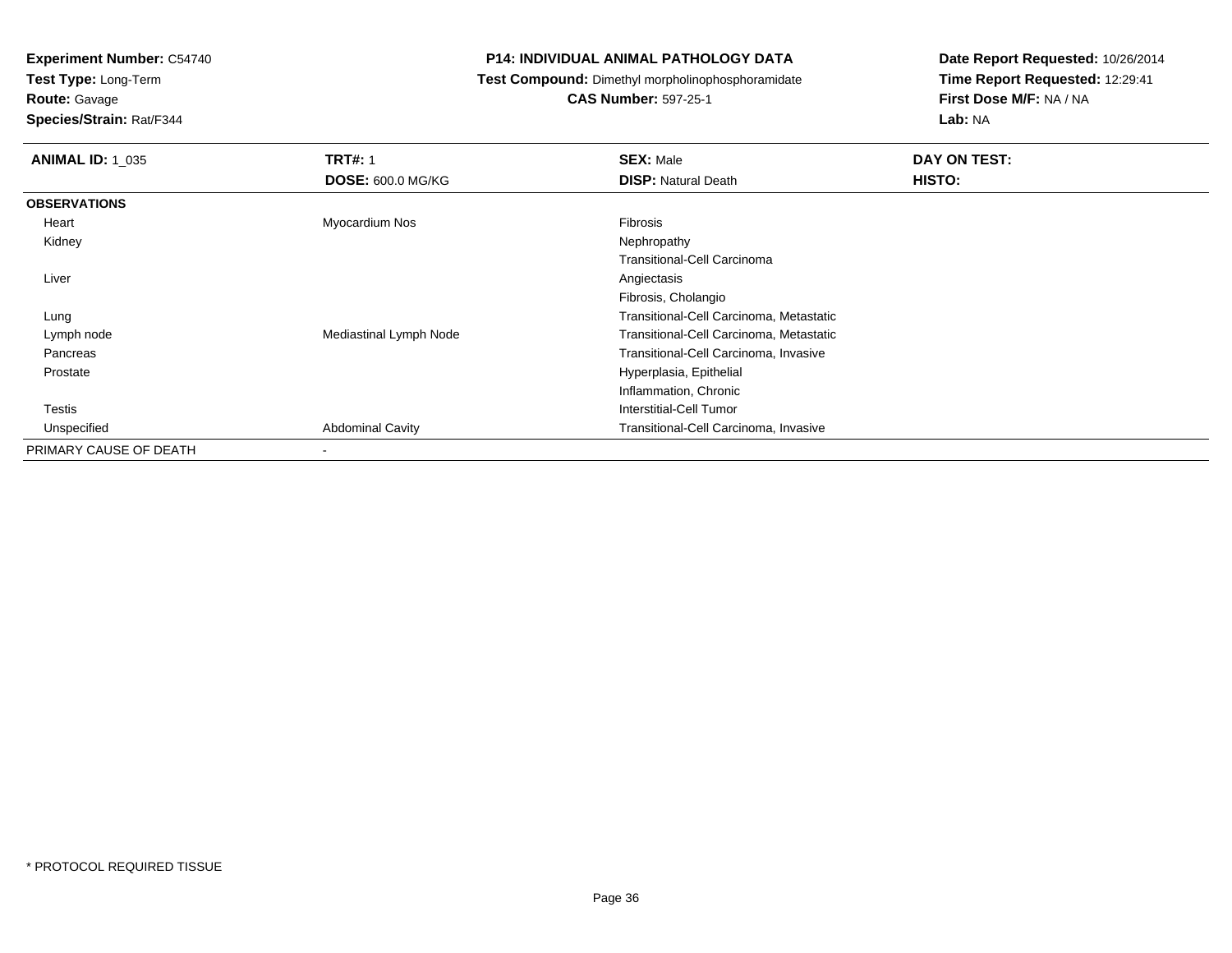**Test Type:** Long-Term

**Route:** Gavage

**Species/Strain:** Rat/F344

#### **P14: INDIVIDUAL ANIMAL PATHOLOGY DATA**

**Test Compound:** Dimethyl morpholinophosphoramidate

**CAS Number:** 597-25-1

| <b>ANIMAL ID: 1 035</b> | <b>TRT#: 1</b>           | <b>SEX: Male</b>                        | DAY ON TEST: |
|-------------------------|--------------------------|-----------------------------------------|--------------|
|                         | <b>DOSE: 600.0 MG/KG</b> | <b>DISP: Natural Death</b>              | HISTO:       |
| <b>OBSERVATIONS</b>     |                          |                                         |              |
| Heart                   | Myocardium Nos           | <b>Fibrosis</b>                         |              |
| Kidney                  |                          | Nephropathy                             |              |
|                         |                          | Transitional-Cell Carcinoma             |              |
| Liver                   |                          | Angiectasis                             |              |
|                         |                          | Fibrosis, Cholangio                     |              |
| Lung                    |                          | Transitional-Cell Carcinoma, Metastatic |              |
| Lymph node              | Mediastinal Lymph Node   | Transitional-Cell Carcinoma, Metastatic |              |
| Pancreas                |                          | Transitional-Cell Carcinoma, Invasive   |              |
| Prostate                |                          | Hyperplasia, Epithelial                 |              |
|                         |                          | Inflammation, Chronic                   |              |
| Testis                  |                          | Interstitial-Cell Tumor                 |              |
| Unspecified             | <b>Abdominal Cavity</b>  | Transitional-Cell Carcinoma, Invasive   |              |
| PRIMARY CAUSE OF DEATH  | $\overline{\phantom{a}}$ |                                         |              |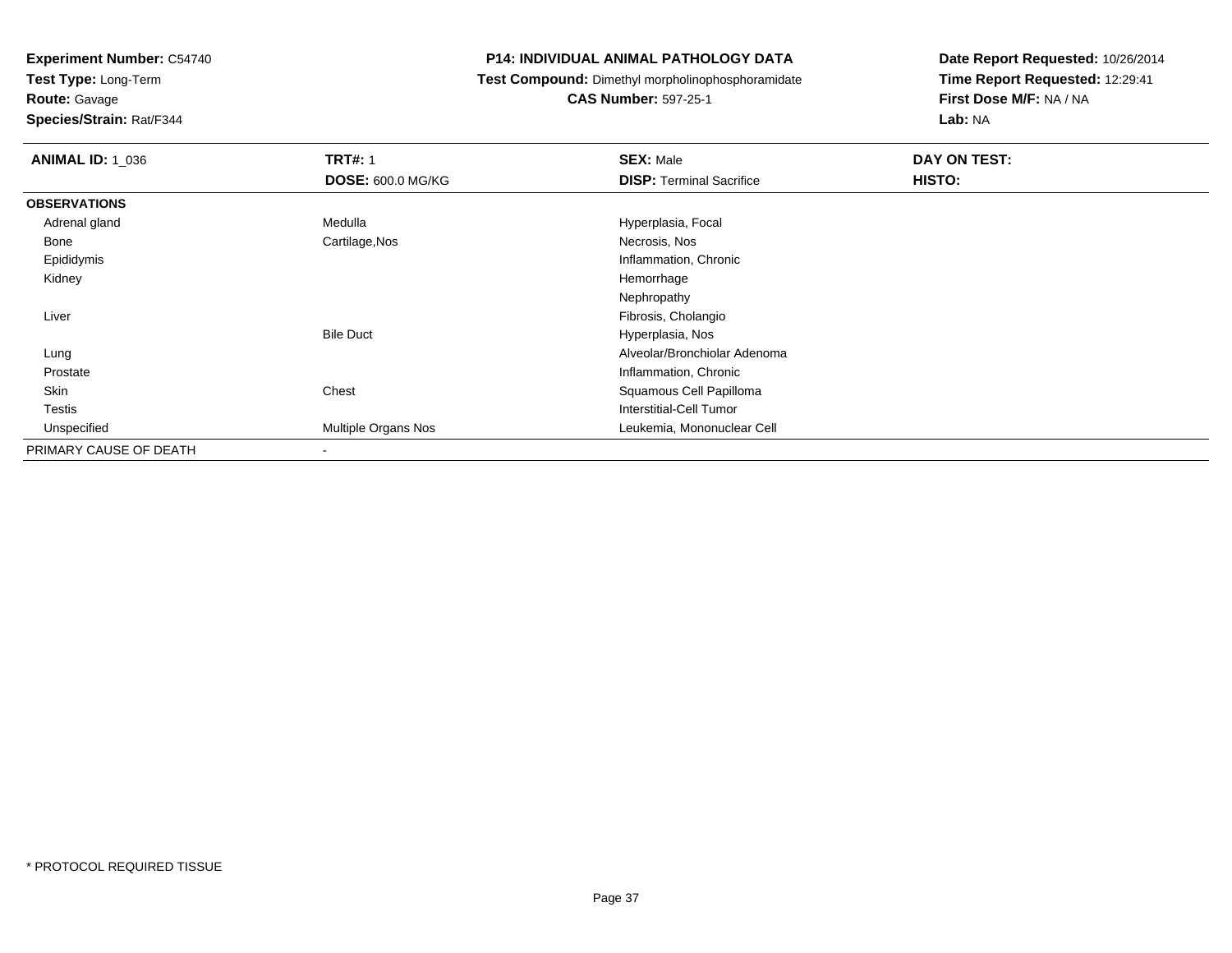**Test Type:** Long-Term

**Route:** Gavage

**Species/Strain:** Rat/F344

#### **P14: INDIVIDUAL ANIMAL PATHOLOGY DATA**

**Test Compound:** Dimethyl morpholinophosphoramidate

**CAS Number:** 597-25-1

| <b>ANIMAL ID: 1_036</b> | <b>TRT#: 1</b>           | <b>SEX: Male</b>                | DAY ON TEST: |
|-------------------------|--------------------------|---------------------------------|--------------|
|                         | <b>DOSE: 600.0 MG/KG</b> | <b>DISP: Terminal Sacrifice</b> | HISTO:       |
| <b>OBSERVATIONS</b>     |                          |                                 |              |
| Adrenal gland           | Medulla                  | Hyperplasia, Focal              |              |
| Bone                    | Cartilage, Nos           | Necrosis, Nos                   |              |
| Epididymis              |                          | Inflammation, Chronic           |              |
| Kidney                  |                          | Hemorrhage                      |              |
|                         |                          | Nephropathy                     |              |
| Liver                   |                          | Fibrosis, Cholangio             |              |
|                         | <b>Bile Duct</b>         | Hyperplasia, Nos                |              |
| Lung                    |                          | Alveolar/Bronchiolar Adenoma    |              |
| Prostate                |                          | Inflammation, Chronic           |              |
| Skin                    | Chest                    | Squamous Cell Papilloma         |              |
| <b>Testis</b>           |                          | Interstitial-Cell Tumor         |              |
| Unspecified             | Multiple Organs Nos      | Leukemia, Mononuclear Cell      |              |
| PRIMARY CAUSE OF DEATH  | $\overline{\phantom{a}}$ |                                 |              |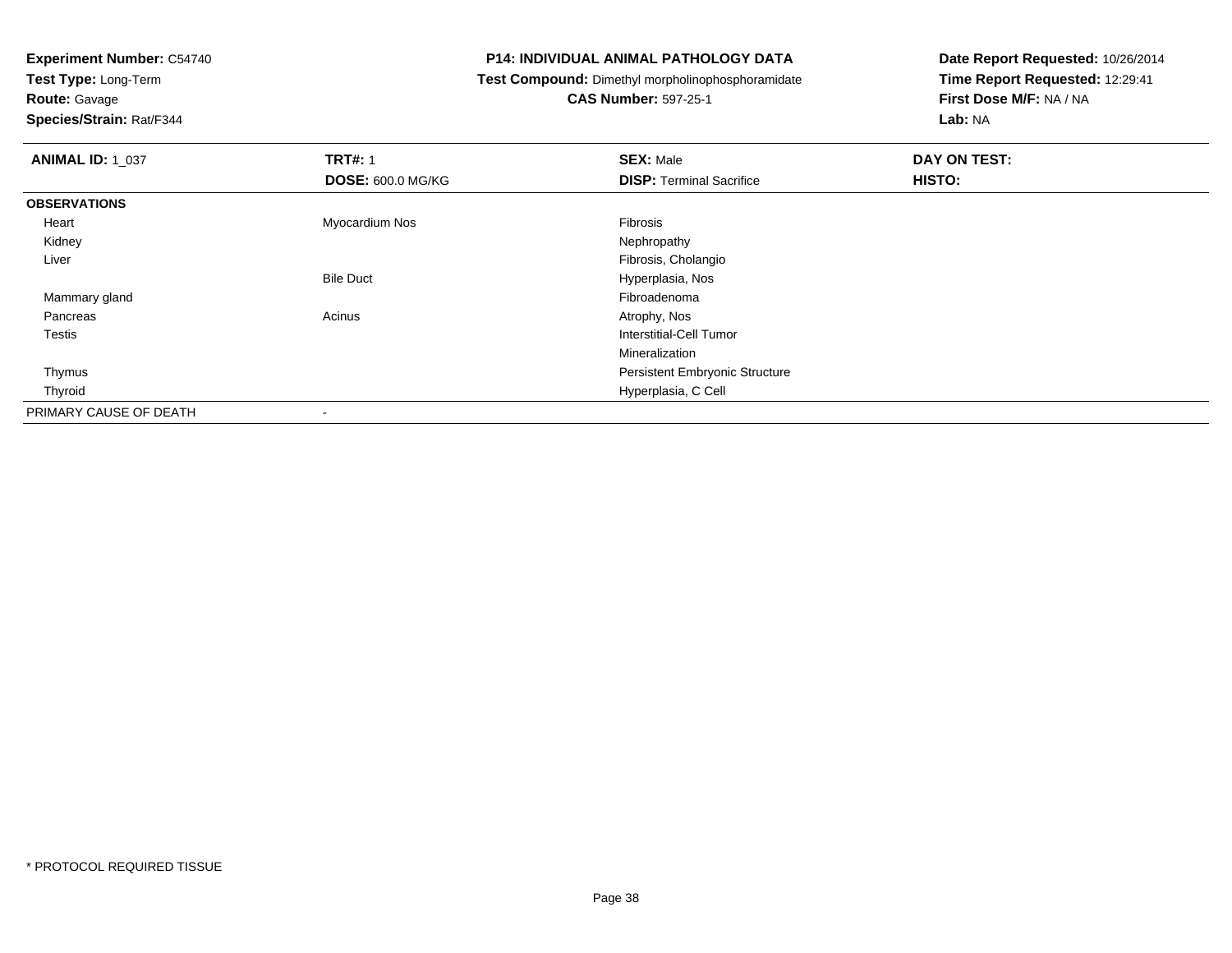**Test Type:** Long-Term

**Route:** Gavage

**Species/Strain:** Rat/F344

#### **P14: INDIVIDUAL ANIMAL PATHOLOGY DATA**

**Test Compound:** Dimethyl morpholinophosphoramidate

**CAS Number:** 597-25-1

| <b>ANIMAL ID: 1 037</b> | <b>TRT#: 1</b>           | <b>SEX: Male</b>                      | DAY ON TEST: |
|-------------------------|--------------------------|---------------------------------------|--------------|
|                         | <b>DOSE: 600.0 MG/KG</b> | <b>DISP: Terminal Sacrifice</b>       | HISTO:       |
| <b>OBSERVATIONS</b>     |                          |                                       |              |
| Heart                   | Myocardium Nos           | Fibrosis                              |              |
| Kidney                  |                          | Nephropathy                           |              |
| Liver                   |                          | Fibrosis, Cholangio                   |              |
|                         | <b>Bile Duct</b>         | Hyperplasia, Nos                      |              |
| Mammary gland           |                          | Fibroadenoma                          |              |
| Pancreas                | Acinus                   | Atrophy, Nos                          |              |
| <b>Testis</b>           |                          | Interstitial-Cell Tumor               |              |
|                         |                          | Mineralization                        |              |
| Thymus                  |                          | <b>Persistent Embryonic Structure</b> |              |
| Thyroid                 |                          | Hyperplasia, C Cell                   |              |
| PRIMARY CAUSE OF DEATH  |                          |                                       |              |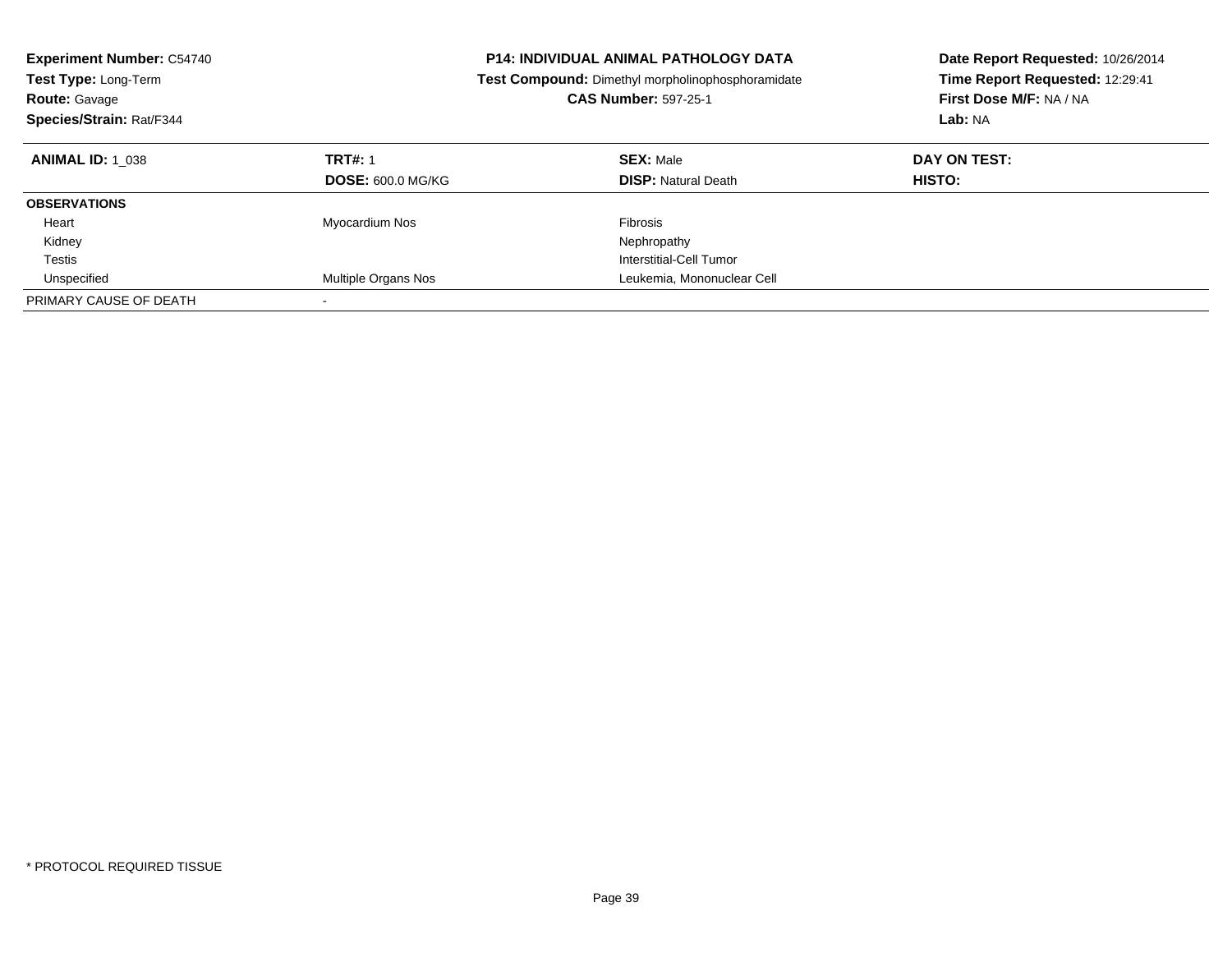| <b>Experiment Number: C54740</b><br><b>Test Type: Long-Term</b><br><b>Route: Gavage</b><br>Species/Strain: Rat/F344 |                                            | <b>P14: INDIVIDUAL ANIMAL PATHOLOGY DATA</b><br>Date Report Requested: 10/26/2014<br>Time Report Requested: 12:29:41<br>Test Compound: Dimethyl morpholinophosphoramidate<br>First Dose M/F: NA / NA<br><b>CAS Number: 597-25-1</b><br>Lab: NA |                               |
|---------------------------------------------------------------------------------------------------------------------|--------------------------------------------|------------------------------------------------------------------------------------------------------------------------------------------------------------------------------------------------------------------------------------------------|-------------------------------|
| <b>ANIMAL ID: 1 038</b>                                                                                             | <b>TRT#: 1</b><br><b>DOSE: 600.0 MG/KG</b> | <b>SEX: Male</b><br><b>DISP:</b> Natural Death                                                                                                                                                                                                 | DAY ON TEST:<br><b>HISTO:</b> |
| <b>OBSERVATIONS</b>                                                                                                 |                                            |                                                                                                                                                                                                                                                |                               |
| Heart                                                                                                               | Myocardium Nos                             | Fibrosis                                                                                                                                                                                                                                       |                               |
| Kidney                                                                                                              |                                            | Nephropathy                                                                                                                                                                                                                                    |                               |
| Testis                                                                                                              |                                            | Interstitial-Cell Tumor                                                                                                                                                                                                                        |                               |
| Unspecified                                                                                                         | Multiple Organs Nos                        | Leukemia, Mononuclear Cell                                                                                                                                                                                                                     |                               |
| PRIMARY CAUSE OF DEATH                                                                                              |                                            |                                                                                                                                                                                                                                                |                               |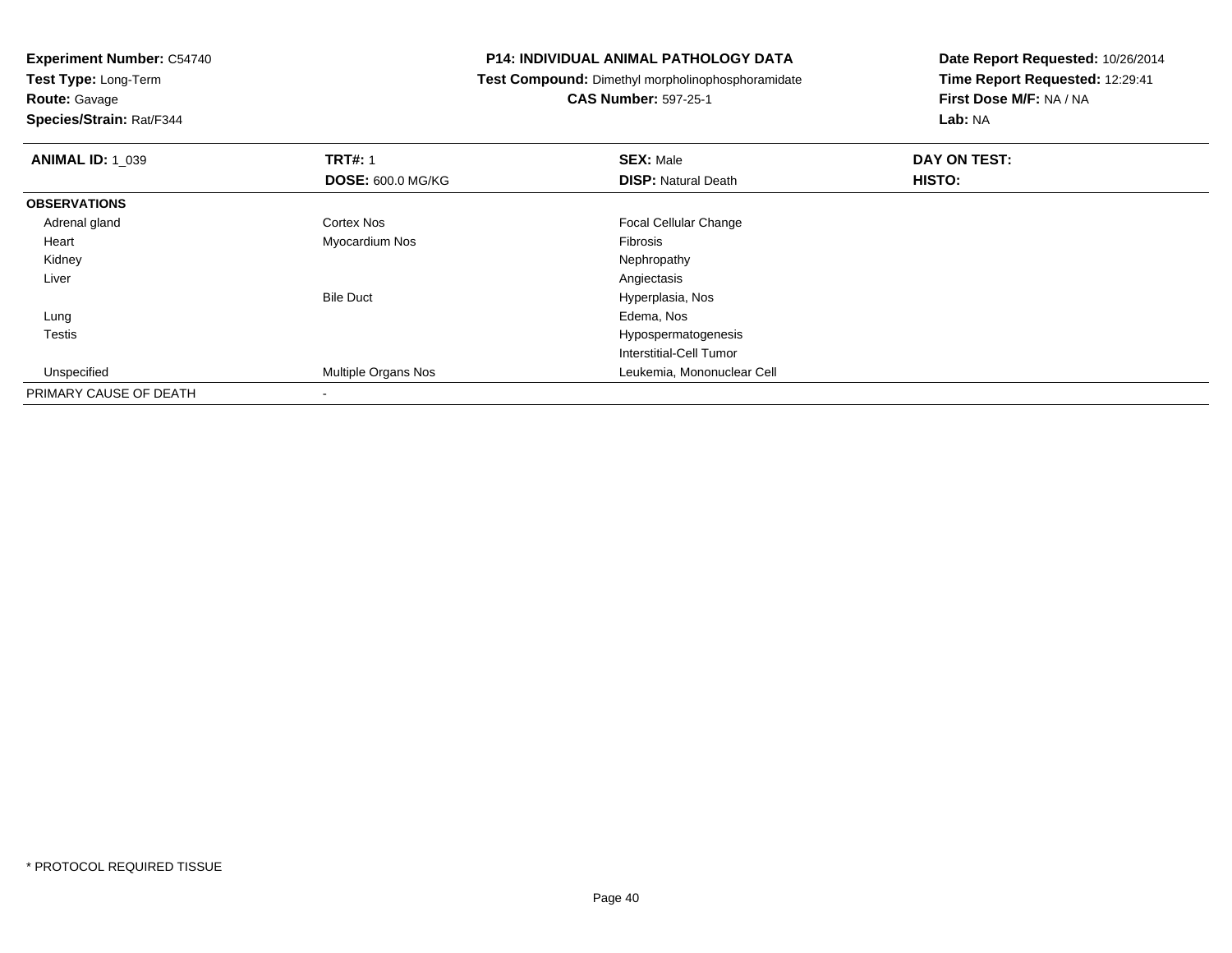**Test Type:** Long-Term**Route:** Gavage

**Species/Strain:** Rat/F344

#### **P14: INDIVIDUAL ANIMAL PATHOLOGY DATA**

**Test Compound:** Dimethyl morpholinophosphoramidate

**CAS Number:** 597-25-1

| <b>ANIMAL ID: 1 039</b> | <b>TRT#: 1</b>           | <b>SEX: Male</b>             | DAY ON TEST: |  |
|-------------------------|--------------------------|------------------------------|--------------|--|
|                         | <b>DOSE: 600.0 MG/KG</b> | <b>DISP: Natural Death</b>   | HISTO:       |  |
| <b>OBSERVATIONS</b>     |                          |                              |              |  |
| Adrenal gland           | Cortex Nos               | <b>Focal Cellular Change</b> |              |  |
| Heart                   | Myocardium Nos           | <b>Fibrosis</b>              |              |  |
| Kidney                  |                          | Nephropathy                  |              |  |
| Liver                   |                          | Angiectasis                  |              |  |
|                         | <b>Bile Duct</b>         | Hyperplasia, Nos             |              |  |
| Lung                    |                          | Edema, Nos                   |              |  |
| Testis                  |                          | Hypospermatogenesis          |              |  |
|                         |                          | Interstitial-Cell Tumor      |              |  |
| Unspecified             | Multiple Organs Nos      | Leukemia, Mononuclear Cell   |              |  |
| PRIMARY CAUSE OF DEATH  | $\,$                     |                              |              |  |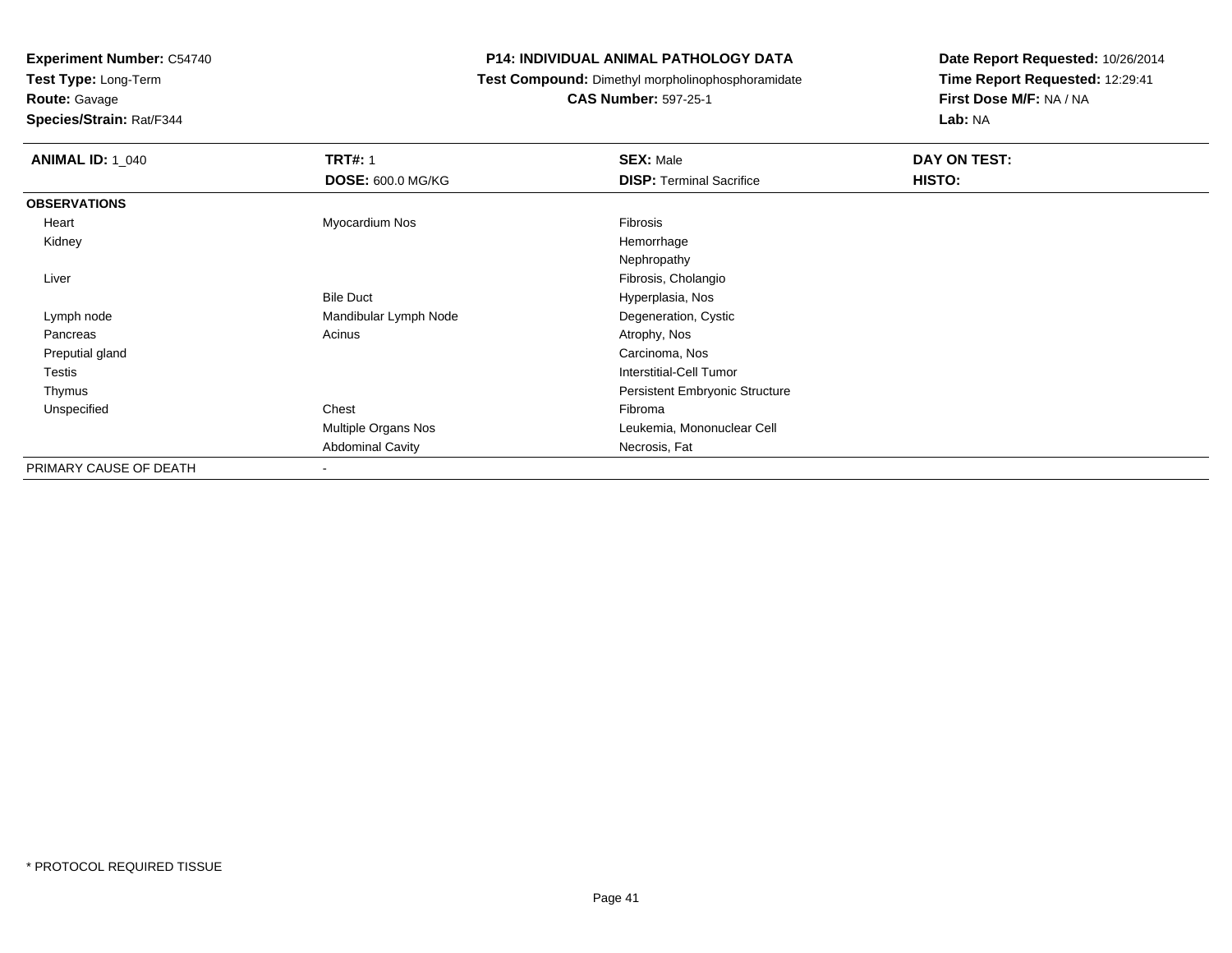**Test Type:** Long-Term

**Route:** Gavage

**Species/Strain:** Rat/F344

#### **P14: INDIVIDUAL ANIMAL PATHOLOGY DATA**

**Test Compound:** Dimethyl morpholinophosphoramidate

**CAS Number:** 597-25-1

| <b>ANIMAL ID: 1_040</b> | <b>TRT#: 1</b>           | <b>SEX: Male</b>                | DAY ON TEST: |  |
|-------------------------|--------------------------|---------------------------------|--------------|--|
|                         | <b>DOSE: 600.0 MG/KG</b> | <b>DISP: Terminal Sacrifice</b> | HISTO:       |  |
| <b>OBSERVATIONS</b>     |                          |                                 |              |  |
| Heart                   | Myocardium Nos           | Fibrosis                        |              |  |
| Kidney                  |                          | Hemorrhage                      |              |  |
|                         |                          | Nephropathy                     |              |  |
| Liver                   |                          | Fibrosis, Cholangio             |              |  |
|                         | <b>Bile Duct</b>         | Hyperplasia, Nos                |              |  |
| Lymph node              | Mandibular Lymph Node    | Degeneration, Cystic            |              |  |
| Pancreas                | Acinus                   | Atrophy, Nos                    |              |  |
| Preputial gland         |                          | Carcinoma, Nos                  |              |  |
| Testis                  |                          | Interstitial-Cell Tumor         |              |  |
| Thymus                  |                          | Persistent Embryonic Structure  |              |  |
| Unspecified             | Chest                    | Fibroma                         |              |  |
|                         | Multiple Organs Nos      | Leukemia, Mononuclear Cell      |              |  |
|                         | <b>Abdominal Cavity</b>  | Necrosis, Fat                   |              |  |
| PRIMARY CAUSE OF DEATH  |                          |                                 |              |  |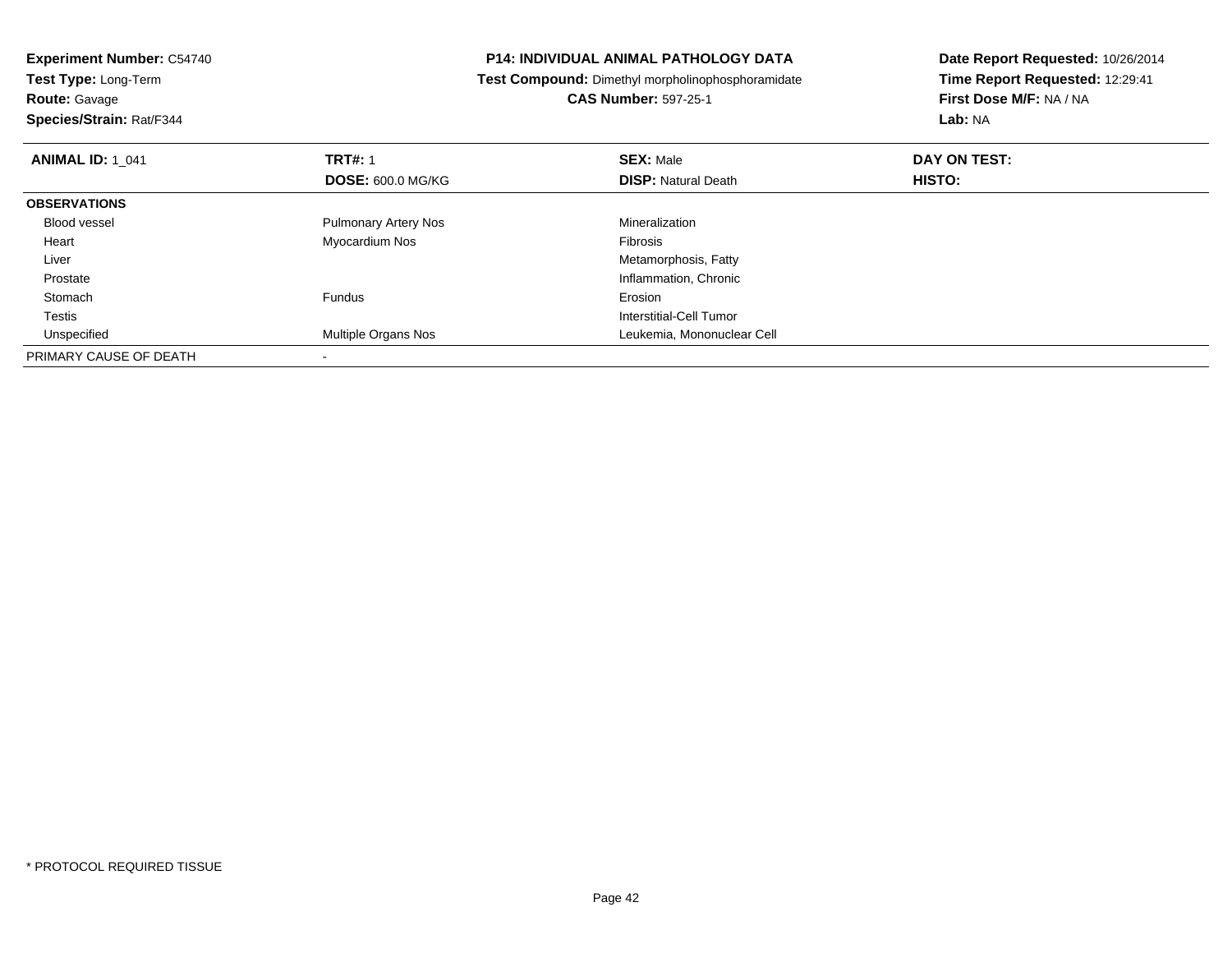| <b>Experiment Number: C54740</b><br>Test Type: Long-Term |  | <b>P14: INDIVIDUAL ANIMAL PATHOLOGY DATA</b>      | Date Report Requested: 10/26/2014 |
|----------------------------------------------------------|--|---------------------------------------------------|-----------------------------------|
|                                                          |  | Test Compound: Dimethyl morpholinophosphoramidate | Time Report Requested: 12:29:41   |
| <b>Route: Gavage</b>                                     |  | <b>CAS Number: 597-25-1</b>                       | First Dose M/F: NA / NA           |
| Species/Strain: Rat/F344                                 |  |                                                   | Lab: NA                           |
| <b>TRT#: 1</b><br><b>ANIMAL ID: 1 041</b>                |  | <b>SEX: Male</b>                                  | DAY ON TEST:                      |
| <b>DOSE: 600.0 MG/KG</b>                                 |  | <b>DISP: Natural Death</b>                        | HISTO:                            |
| <b>OBSERVATIONS</b>                                      |  |                                                   |                                   |
| Blood vessel<br><b>Pulmonary Artery Nos</b>              |  | Mineralization                                    |                                   |
| Myocardium Nos<br>Heart                                  |  | Fibrosis                                          |                                   |
| Liver                                                    |  | Metamorphosis, Fatty                              |                                   |
| Prostate                                                 |  | Inflammation, Chronic                             |                                   |
| Fundus<br>Stomach                                        |  | Erosion                                           |                                   |
| Testis                                                   |  | Interstitial-Cell Tumor                           |                                   |
| Multiple Organs Nos<br>Unspecified                       |  | Leukemia, Mononuclear Cell                        |                                   |
| PRIMARY CAUSE OF DEATH                                   |  |                                                   |                                   |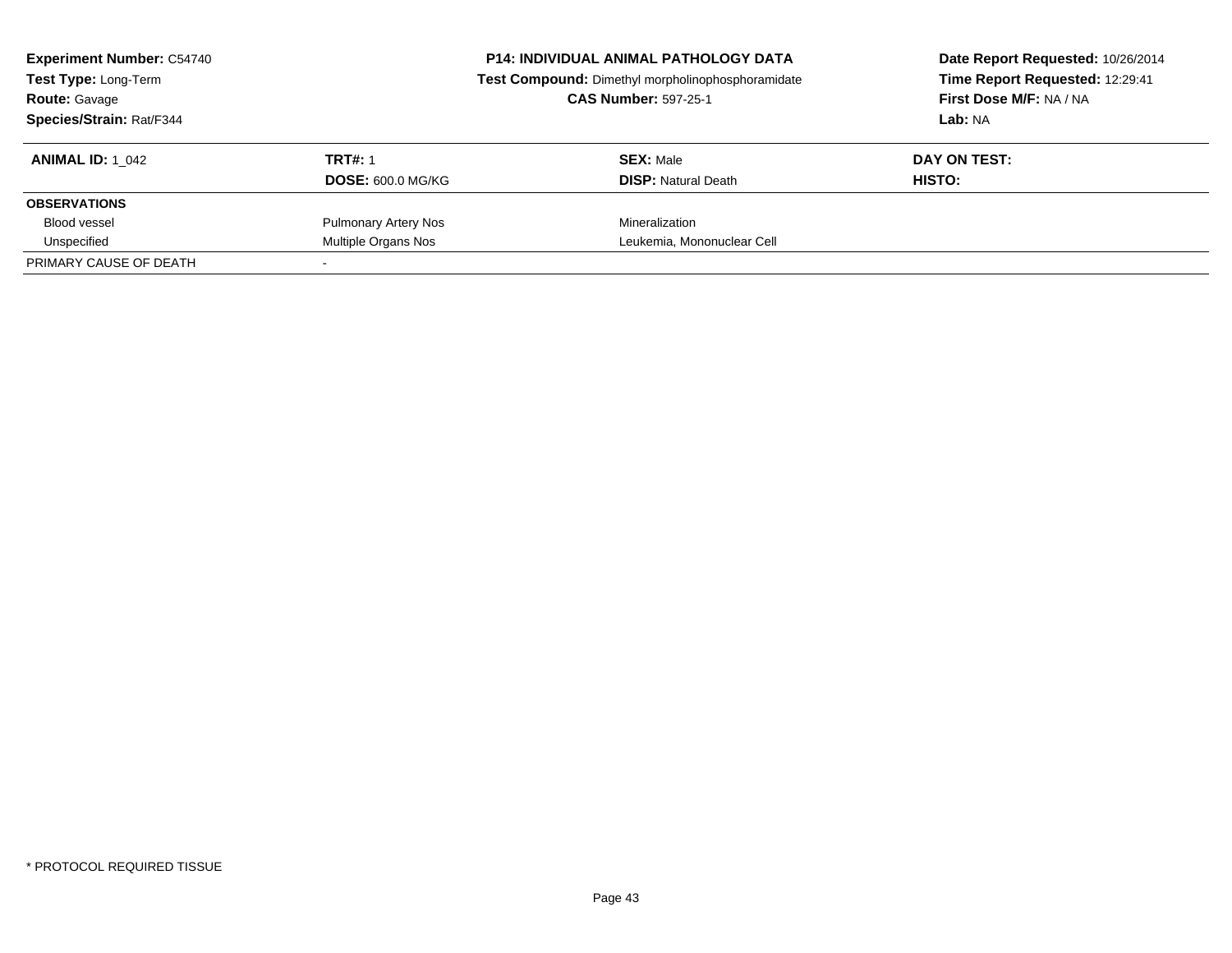| <b>Experiment Number: C54740</b><br>Test Type: Long-Term<br><b>Route: Gavage</b><br>Species/Strain: Rat/F344 |                                            | <b>P14: INDIVIDUAL ANIMAL PATHOLOGY DATA</b><br>Test Compound: Dimethyl morpholinophosphoramidate<br><b>CAS Number: 597-25-1</b> | Date Report Requested: 10/26/2014<br>Time Report Requested: 12:29:41<br>First Dose M/F: NA / NA<br>Lab: NA |  |
|--------------------------------------------------------------------------------------------------------------|--------------------------------------------|----------------------------------------------------------------------------------------------------------------------------------|------------------------------------------------------------------------------------------------------------|--|
| <b>ANIMAL ID:</b> 1 042                                                                                      | <b>TRT#: 1</b><br><b>DOSE: 600.0 MG/KG</b> | <b>SEX: Male</b><br><b>DISP: Natural Death</b>                                                                                   | DAY ON TEST:<br>HISTO:                                                                                     |  |
| <b>OBSERVATIONS</b>                                                                                          |                                            |                                                                                                                                  |                                                                                                            |  |
| <b>Blood vessel</b>                                                                                          | <b>Pulmonary Artery Nos</b>                | Mineralization                                                                                                                   |                                                                                                            |  |
| Unspecified                                                                                                  | Multiple Organs Nos                        | Leukemia, Mononuclear Cell                                                                                                       |                                                                                                            |  |
| PRIMARY CAUSE OF DEATH                                                                                       |                                            |                                                                                                                                  |                                                                                                            |  |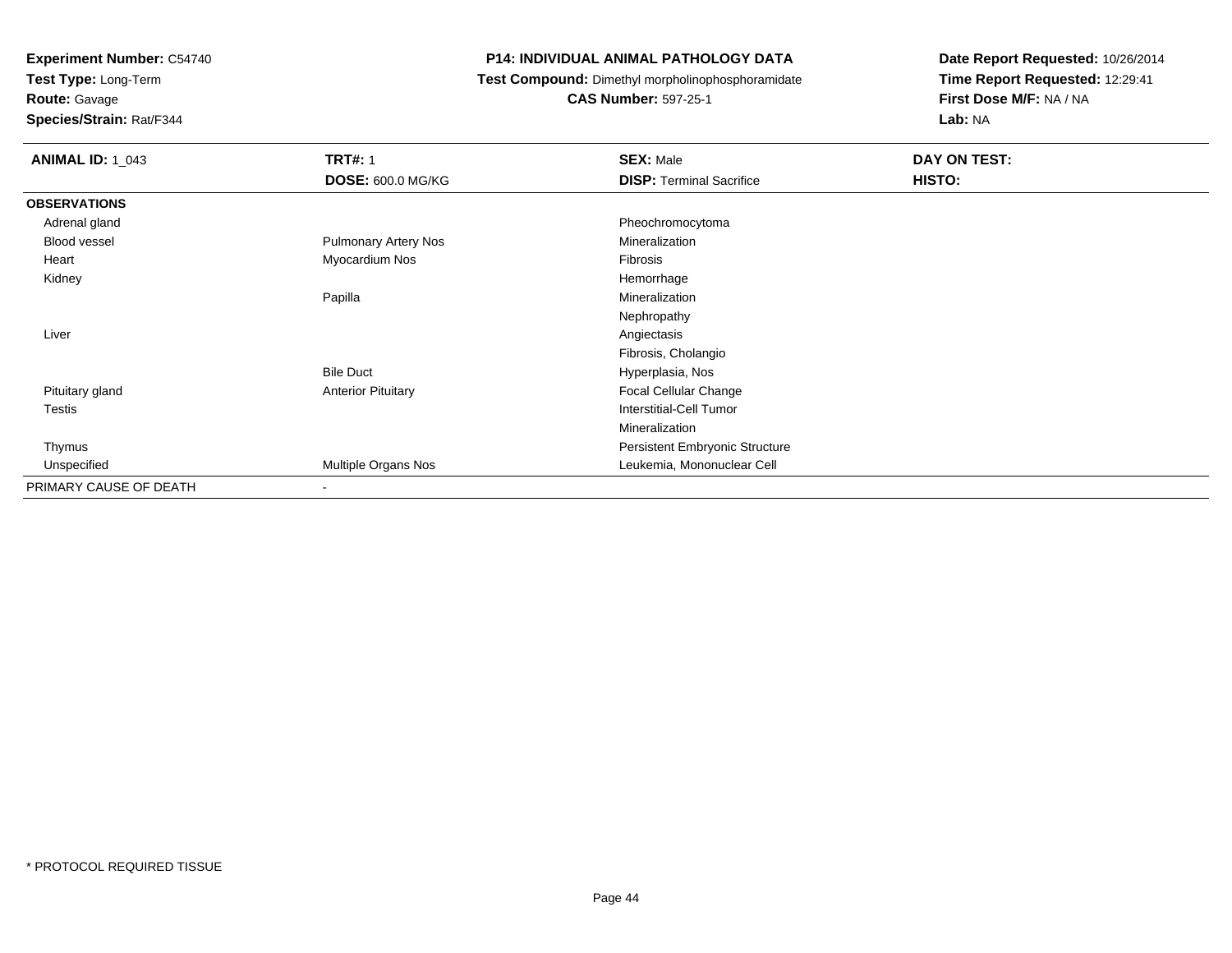**Test Type:** Long-Term

### **Route:** Gavage

**Species/Strain:** Rat/F344

#### **P14: INDIVIDUAL ANIMAL PATHOLOGY DATA**

**Test Compound:** Dimethyl morpholinophosphoramidate

### **CAS Number:** 597-25-1

| <b>ANIMAL ID: 1_043</b> | <b>TRT#: 1</b>              | <b>SEX: Male</b>                | DAY ON TEST: |  |
|-------------------------|-----------------------------|---------------------------------|--------------|--|
|                         | <b>DOSE: 600.0 MG/KG</b>    | <b>DISP: Terminal Sacrifice</b> | HISTO:       |  |
| <b>OBSERVATIONS</b>     |                             |                                 |              |  |
| Adrenal gland           |                             | Pheochromocytoma                |              |  |
| Blood vessel            | <b>Pulmonary Artery Nos</b> | Mineralization                  |              |  |
| Heart                   | Myocardium Nos              | Fibrosis                        |              |  |
| Kidney                  |                             | Hemorrhage                      |              |  |
|                         | Papilla                     | Mineralization                  |              |  |
|                         |                             | Nephropathy                     |              |  |
| Liver                   |                             | Angiectasis                     |              |  |
|                         |                             | Fibrosis, Cholangio             |              |  |
|                         | <b>Bile Duct</b>            | Hyperplasia, Nos                |              |  |
| Pituitary gland         | <b>Anterior Pituitary</b>   | Focal Cellular Change           |              |  |
| Testis                  |                             | <b>Interstitial-Cell Tumor</b>  |              |  |
|                         |                             | Mineralization                  |              |  |
| Thymus                  |                             | Persistent Embryonic Structure  |              |  |
| Unspecified             | Multiple Organs Nos         | Leukemia, Mononuclear Cell      |              |  |
| PRIMARY CAUSE OF DEATH  | $\overline{\phantom{a}}$    |                                 |              |  |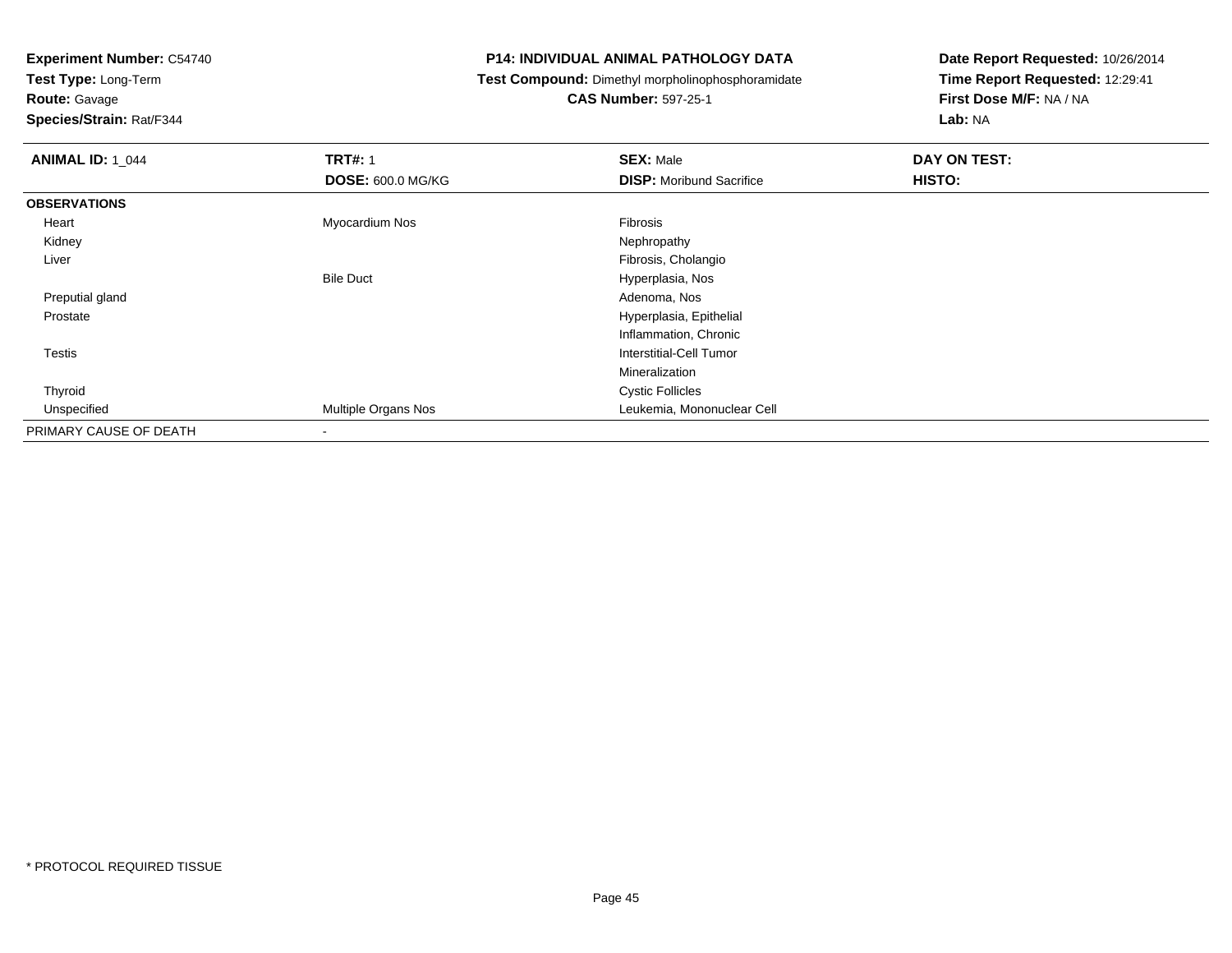**Test Type:** Long-Term

# **Route:** Gavage

**Species/Strain:** Rat/F344

#### **P14: INDIVIDUAL ANIMAL PATHOLOGY DATA**

## **Test Compound:** Dimethyl morpholinophosphoramidate

### **CAS Number:** 597-25-1

| <b>ANIMAL ID: 1_044</b> | <b>TRT#: 1</b>           | <b>SEX: Male</b>                | DAY ON TEST: |
|-------------------------|--------------------------|---------------------------------|--------------|
|                         | <b>DOSE: 600.0 MG/KG</b> | <b>DISP:</b> Moribund Sacrifice | HISTO:       |
| <b>OBSERVATIONS</b>     |                          |                                 |              |
| Heart                   | Myocardium Nos           | Fibrosis                        |              |
| Kidney                  |                          | Nephropathy                     |              |
| Liver                   |                          | Fibrosis, Cholangio             |              |
|                         | <b>Bile Duct</b>         | Hyperplasia, Nos                |              |
| Preputial gland         |                          | Adenoma, Nos                    |              |
| Prostate                |                          | Hyperplasia, Epithelial         |              |
|                         |                          | Inflammation, Chronic           |              |
| Testis                  |                          | <b>Interstitial-Cell Tumor</b>  |              |
|                         |                          | Mineralization                  |              |
| Thyroid                 |                          | <b>Cystic Follicles</b>         |              |
| Unspecified             | Multiple Organs Nos      | Leukemia, Mononuclear Cell      |              |
| PRIMARY CAUSE OF DEATH  | $\blacksquare$           |                                 |              |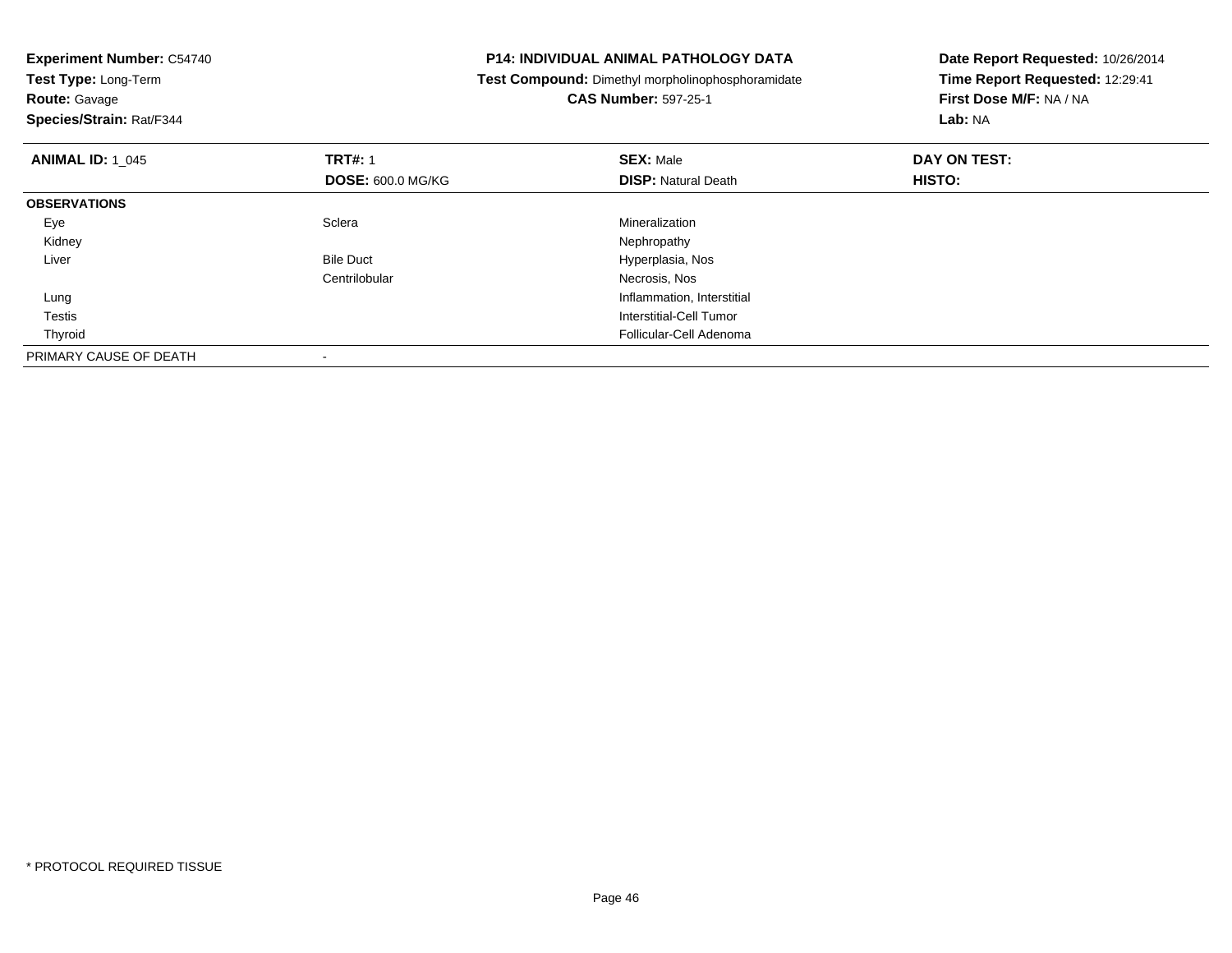| <b>Experiment Number: C54740</b><br>Test Type: Long-Term |                          | <b>P14: INDIVIDUAL ANIMAL PATHOLOGY DATA</b>      | Date Report Requested: 10/26/2014 |
|----------------------------------------------------------|--------------------------|---------------------------------------------------|-----------------------------------|
|                                                          |                          | Test Compound: Dimethyl morpholinophosphoramidate | Time Report Requested: 12:29:41   |
| <b>Route: Gavage</b>                                     |                          | <b>CAS Number: 597-25-1</b>                       | First Dose M/F: NA / NA           |
| Species/Strain: Rat/F344                                 |                          |                                                   | Lab: NA                           |
| <b>ANIMAL ID: 1 045</b>                                  | <b>TRT#: 1</b>           | <b>SEX: Male</b>                                  | DAY ON TEST:                      |
|                                                          | <b>DOSE: 600.0 MG/KG</b> | <b>DISP:</b> Natural Death                        | HISTO:                            |
| <b>OBSERVATIONS</b>                                      |                          |                                                   |                                   |
| Eye                                                      | Sclera                   | Mineralization                                    |                                   |
| Kidney                                                   |                          | Nephropathy                                       |                                   |
| Liver                                                    | <b>Bile Duct</b>         | Hyperplasia, Nos                                  |                                   |
|                                                          | Centrilobular            | Necrosis, Nos                                     |                                   |
| Lung                                                     |                          | Inflammation, Interstitial                        |                                   |
| Testis                                                   |                          | Interstitial-Cell Tumor                           |                                   |
| Thyroid                                                  |                          | Follicular-Cell Adenoma                           |                                   |
| PRIMARY CAUSE OF DEATH                                   |                          |                                                   |                                   |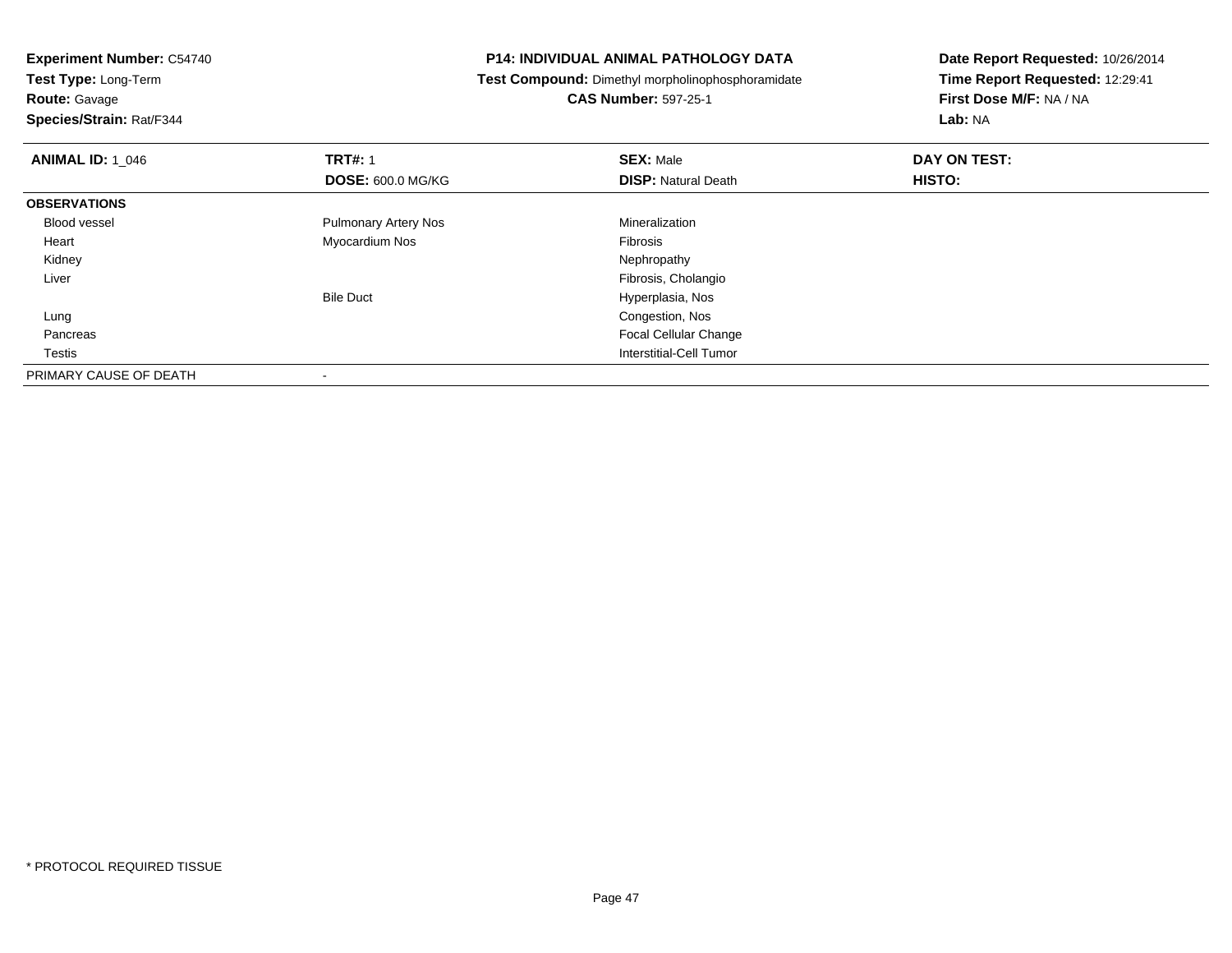**Experiment Number:** C54740**Test Type:** Long-Term

**Route:** Gavage

**Species/Strain:** Rat/F344

#### **P14: INDIVIDUAL ANIMAL PATHOLOGY DATA**

**Test Compound:** Dimethyl morpholinophosphoramidate

**CAS Number:** 597-25-1

| <b>ANIMAL ID: 1_046</b> | <b>TRT#: 1</b>              | <b>SEX: Male</b>           | DAY ON TEST: |  |
|-------------------------|-----------------------------|----------------------------|--------------|--|
|                         | <b>DOSE: 600.0 MG/KG</b>    | <b>DISP: Natural Death</b> | HISTO:       |  |
| <b>OBSERVATIONS</b>     |                             |                            |              |  |
| Blood vessel            | <b>Pulmonary Artery Nos</b> | Mineralization             |              |  |
| Heart                   | Myocardium Nos              | Fibrosis                   |              |  |
| Kidney                  |                             | Nephropathy                |              |  |
| Liver                   |                             | Fibrosis, Cholangio        |              |  |
|                         | <b>Bile Duct</b>            | Hyperplasia, Nos           |              |  |
| Lung                    |                             | Congestion, Nos            |              |  |
| Pancreas                |                             | Focal Cellular Change      |              |  |
| Testis                  |                             | Interstitial-Cell Tumor    |              |  |
| PRIMARY CAUSE OF DEATH  |                             |                            |              |  |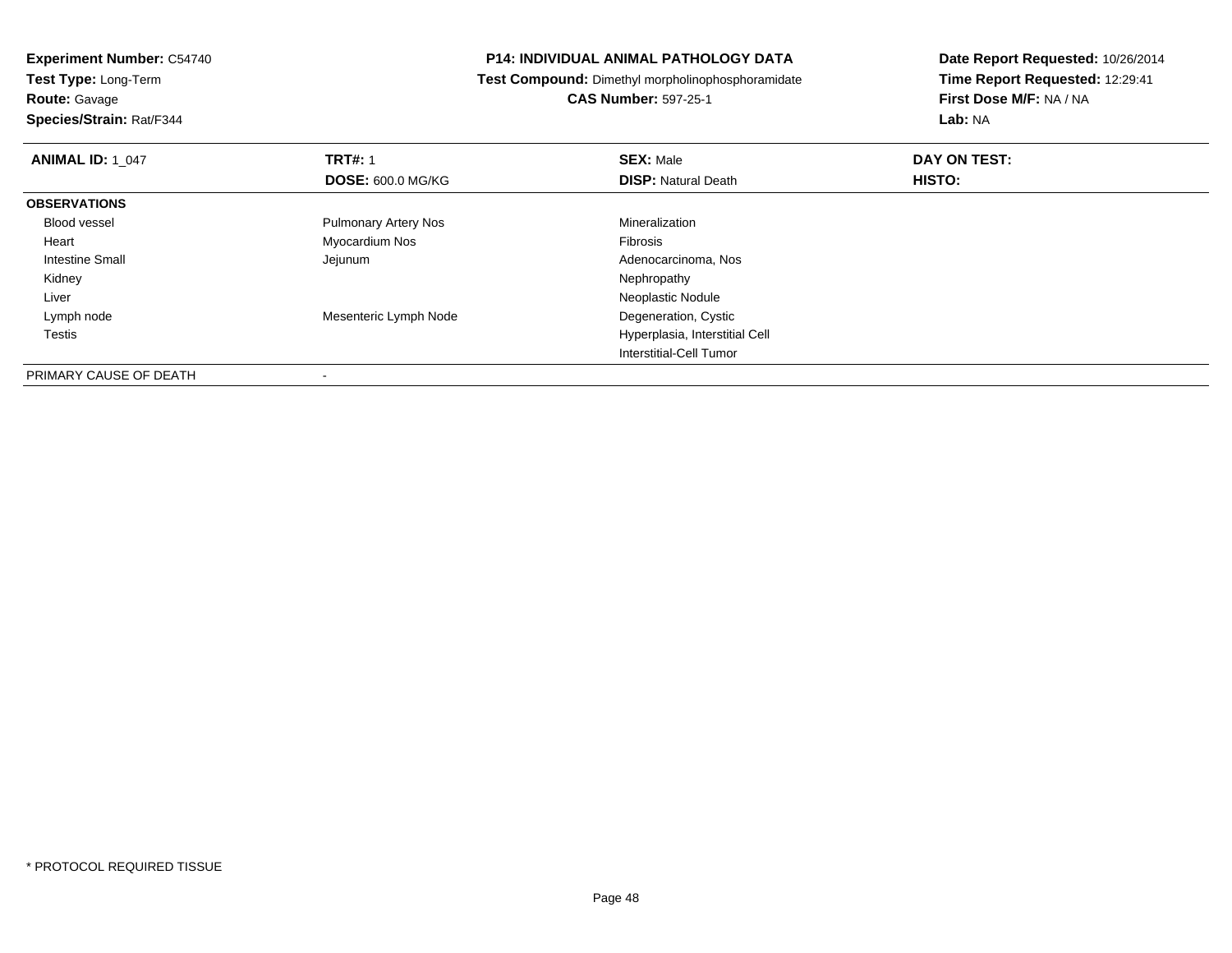**Experiment Number:** C54740**Test Type:** Long-Term

**Route:** Gavage

**Species/Strain:** Rat/F344

#### **P14: INDIVIDUAL ANIMAL PATHOLOGY DATA**

**Test Compound:** Dimethyl morpholinophosphoramidate

**CAS Number:** 597-25-1

| <b>ANIMAL ID: 1 047</b> | <b>TRT#: 1</b>              | <b>SEX: Male</b>               | DAY ON TEST: |  |
|-------------------------|-----------------------------|--------------------------------|--------------|--|
|                         | <b>DOSE: 600.0 MG/KG</b>    | <b>DISP:</b> Natural Death     | HISTO:       |  |
| <b>OBSERVATIONS</b>     |                             |                                |              |  |
| Blood vessel            | <b>Pulmonary Artery Nos</b> | Mineralization                 |              |  |
| Heart                   | Myocardium Nos              | Fibrosis                       |              |  |
| Intestine Small         | Jejunum                     | Adenocarcinoma, Nos            |              |  |
| Kidney                  |                             | Nephropathy                    |              |  |
| Liver                   |                             | Neoplastic Nodule              |              |  |
| Lymph node              | Mesenteric Lymph Node       | Degeneration, Cystic           |              |  |
| Testis                  |                             | Hyperplasia, Interstitial Cell |              |  |
|                         |                             | Interstitial-Cell Tumor        |              |  |
| PRIMARY CAUSE OF DEATH  |                             |                                |              |  |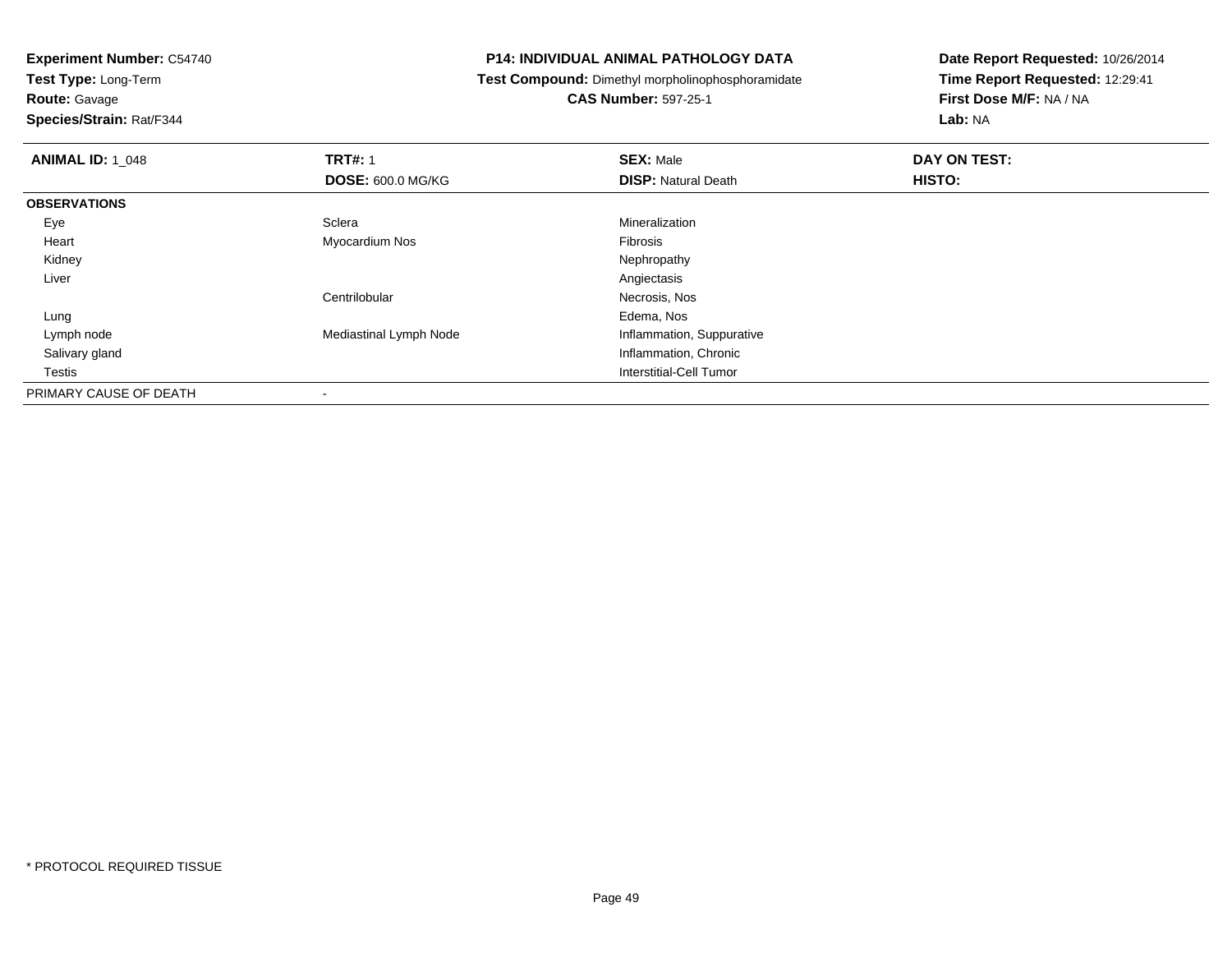**Test Type:** Long-Term

**Route:** Gavage

**Species/Strain:** Rat/F344

#### **P14: INDIVIDUAL ANIMAL PATHOLOGY DATA**

**Test Compound:** Dimethyl morpholinophosphoramidate

**CAS Number:** 597-25-1

| <b>ANIMAL ID: 1_048</b> | <b>TRT#: 1</b>           | <b>SEX: Male</b>           | DAY ON TEST: |  |
|-------------------------|--------------------------|----------------------------|--------------|--|
|                         | <b>DOSE: 600.0 MG/KG</b> | <b>DISP: Natural Death</b> | HISTO:       |  |
| <b>OBSERVATIONS</b>     |                          |                            |              |  |
| Eye                     | Sclera                   | Mineralization             |              |  |
| Heart                   | Myocardium Nos           | Fibrosis                   |              |  |
| Kidney                  |                          | Nephropathy                |              |  |
| Liver                   |                          | Angiectasis                |              |  |
|                         | Centrilobular            | Necrosis, Nos              |              |  |
| Lung                    |                          | Edema, Nos                 |              |  |
| Lymph node              | Mediastinal Lymph Node   | Inflammation, Suppurative  |              |  |
| Salivary gland          |                          | Inflammation, Chronic      |              |  |
| Testis                  |                          | Interstitial-Cell Tumor    |              |  |
| PRIMARY CAUSE OF DEATH  | $\,$                     |                            |              |  |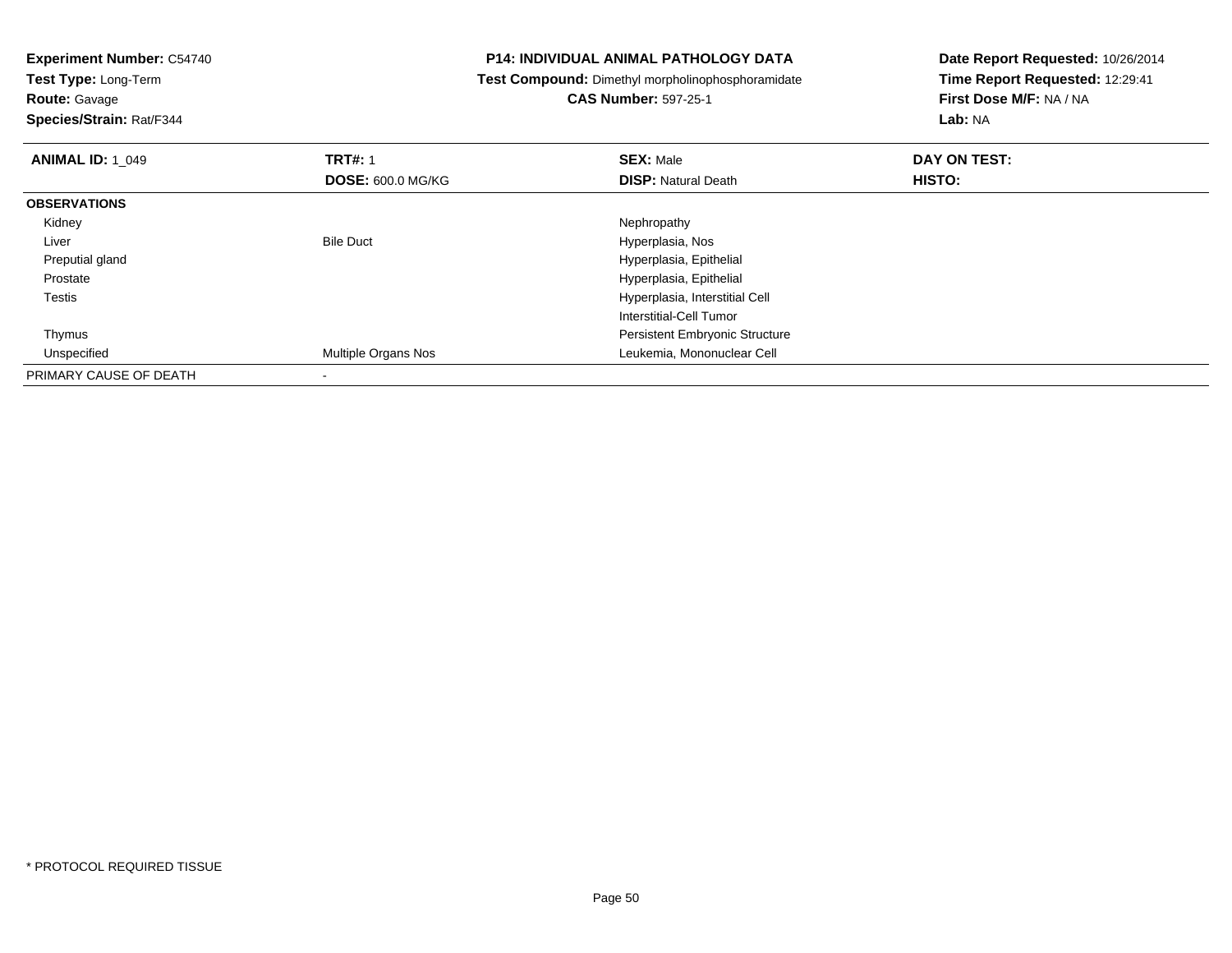**Test Type:** Long-Term

**Route:** Gavage

**Species/Strain:** Rat/F344

#### **P14: INDIVIDUAL ANIMAL PATHOLOGY DATA**

**Test Compound:** Dimethyl morpholinophosphoramidate

### **CAS Number:** 597-25-1

| <b>ANIMAL ID: 1_049</b> | <b>TRT#: 1</b>           | <b>SEX: Male</b>                      | DAY ON TEST: |  |
|-------------------------|--------------------------|---------------------------------------|--------------|--|
|                         | <b>DOSE: 600.0 MG/KG</b> | <b>DISP: Natural Death</b>            | HISTO:       |  |
| <b>OBSERVATIONS</b>     |                          |                                       |              |  |
| Kidney                  |                          | Nephropathy                           |              |  |
| Liver                   | <b>Bile Duct</b>         | Hyperplasia, Nos                      |              |  |
| Preputial gland         |                          | Hyperplasia, Epithelial               |              |  |
| Prostate                |                          | Hyperplasia, Epithelial               |              |  |
| Testis                  |                          | Hyperplasia, Interstitial Cell        |              |  |
|                         |                          | Interstitial-Cell Tumor               |              |  |
| Thymus                  |                          | <b>Persistent Embryonic Structure</b> |              |  |
| Unspecified             | Multiple Organs Nos      | Leukemia, Mononuclear Cell            |              |  |
| PRIMARY CAUSE OF DEATH  |                          |                                       |              |  |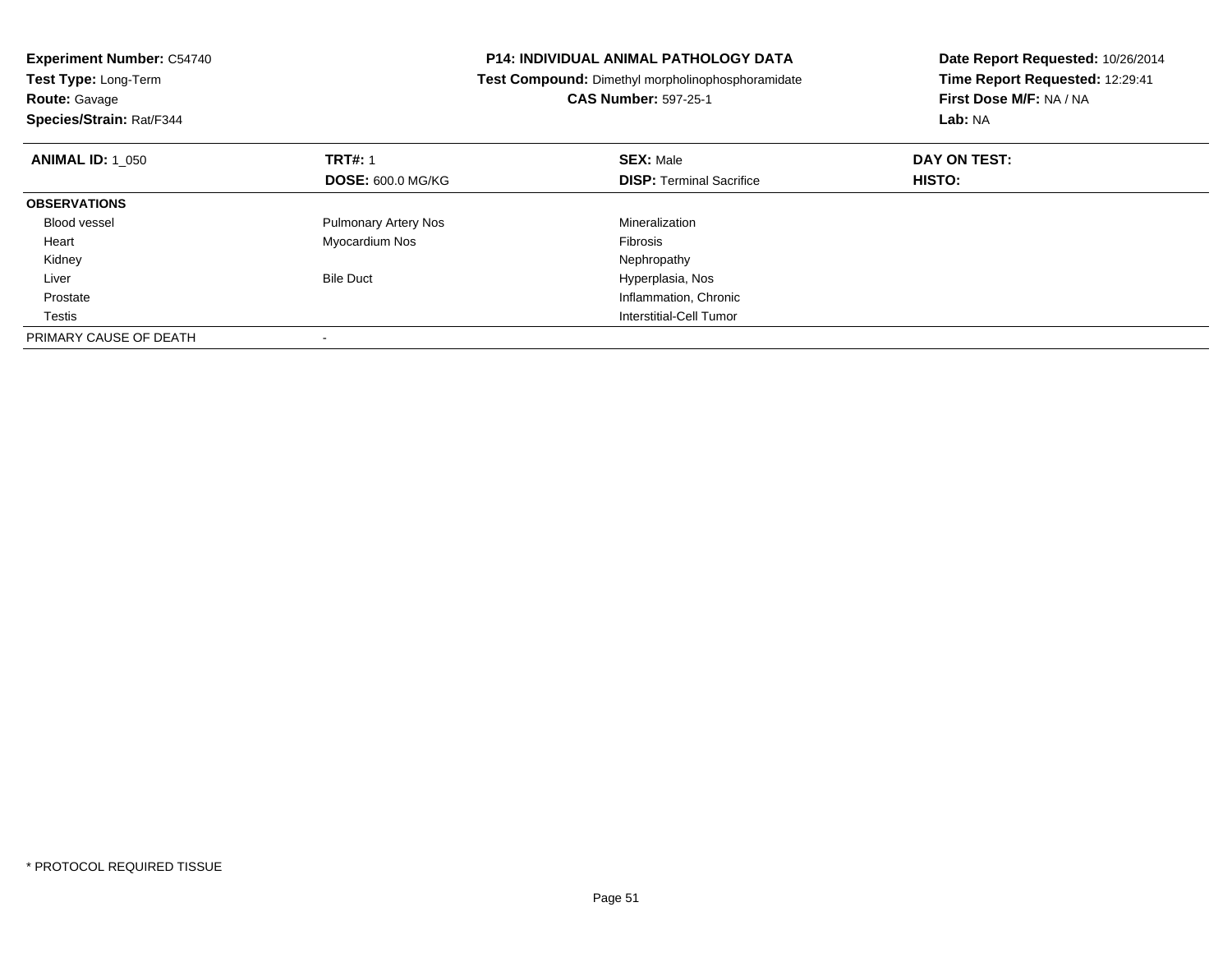| <b>Experiment Number: C54740</b><br>Test Type: Long-Term<br><b>Route: Gavage</b><br>Species/Strain: Rat/F344 |                             | <b>P14: INDIVIDUAL ANIMAL PATHOLOGY DATA</b><br>Test Compound: Dimethyl morpholinophosphoramidate<br><b>CAS Number: 597-25-1</b> | Date Report Requested: 10/26/2014<br>Time Report Requested: 12:29:41<br>First Dose M/F: NA / NA<br><b>Lab: NA</b> |
|--------------------------------------------------------------------------------------------------------------|-----------------------------|----------------------------------------------------------------------------------------------------------------------------------|-------------------------------------------------------------------------------------------------------------------|
| <b>ANIMAL ID: 1 050</b>                                                                                      | <b>TRT#: 1</b>              | <b>SEX: Male</b>                                                                                                                 | DAY ON TEST:                                                                                                      |
|                                                                                                              | <b>DOSE: 600.0 MG/KG</b>    | <b>DISP:</b> Terminal Sacrifice                                                                                                  | HISTO:                                                                                                            |
| <b>OBSERVATIONS</b>                                                                                          |                             |                                                                                                                                  |                                                                                                                   |
| <b>Blood vessel</b>                                                                                          | <b>Pulmonary Artery Nos</b> | Mineralization                                                                                                                   |                                                                                                                   |
| Heart                                                                                                        | Myocardium Nos              | <b>Fibrosis</b>                                                                                                                  |                                                                                                                   |
| Kidney                                                                                                       |                             | Nephropathy                                                                                                                      |                                                                                                                   |
| Liver                                                                                                        | <b>Bile Duct</b>            | Hyperplasia, Nos                                                                                                                 |                                                                                                                   |
| Prostate                                                                                                     |                             | Inflammation, Chronic                                                                                                            |                                                                                                                   |
| Testis                                                                                                       |                             | Interstitial-Cell Tumor                                                                                                          |                                                                                                                   |
| PRIMARY CAUSE OF DEATH                                                                                       |                             |                                                                                                                                  |                                                                                                                   |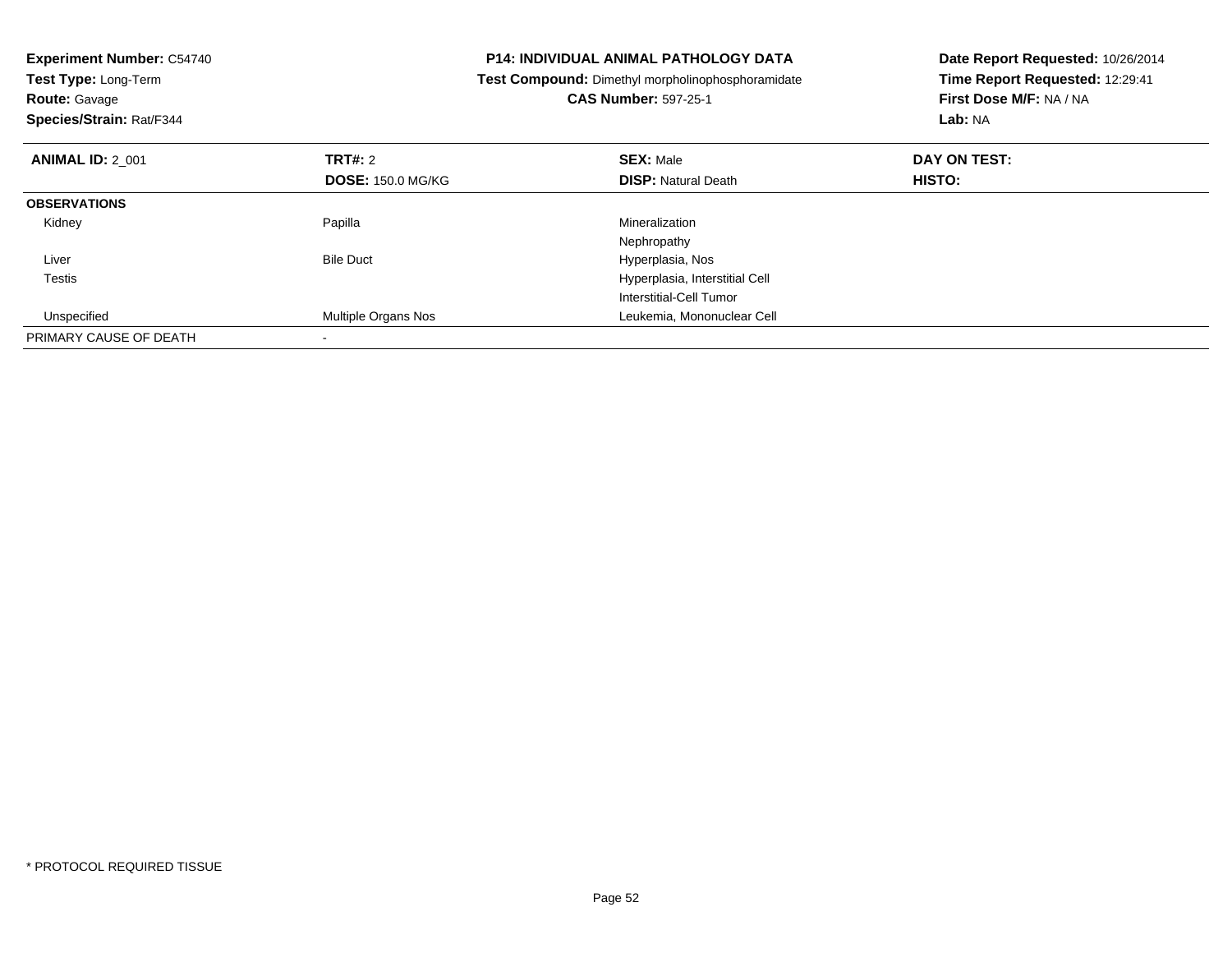| <b>Experiment Number: C54740</b><br>Test Type: Long-Term<br><b>Route: Gavage</b><br>Species/Strain: Rat/F344 |                          | <b>P14: INDIVIDUAL ANIMAL PATHOLOGY DATA</b><br>Test Compound: Dimethyl morpholinophosphoramidate<br><b>CAS Number: 597-25-1</b> | Date Report Requested: 10/26/2014<br>Time Report Requested: 12:29:41<br>First Dose M/F: NA / NA<br>Lab: NA |
|--------------------------------------------------------------------------------------------------------------|--------------------------|----------------------------------------------------------------------------------------------------------------------------------|------------------------------------------------------------------------------------------------------------|
| <b>ANIMAL ID: 2_001</b>                                                                                      | <b>TRT#: 2</b>           | <b>SEX: Male</b>                                                                                                                 | DAY ON TEST:                                                                                               |
|                                                                                                              | <b>DOSE: 150.0 MG/KG</b> | <b>DISP:</b> Natural Death                                                                                                       | HISTO:                                                                                                     |
| <b>OBSERVATIONS</b>                                                                                          |                          |                                                                                                                                  |                                                                                                            |
| Kidney                                                                                                       | Papilla                  | Mineralization                                                                                                                   |                                                                                                            |
|                                                                                                              |                          | Nephropathy                                                                                                                      |                                                                                                            |
| Liver                                                                                                        | <b>Bile Duct</b>         | Hyperplasia, Nos                                                                                                                 |                                                                                                            |
| Testis                                                                                                       |                          | Hyperplasia, Interstitial Cell                                                                                                   |                                                                                                            |
|                                                                                                              |                          | Interstitial-Cell Tumor                                                                                                          |                                                                                                            |
| Unspecified                                                                                                  | Multiple Organs Nos      | Leukemia, Mononuclear Cell                                                                                                       |                                                                                                            |
| PRIMARY CAUSE OF DEATH                                                                                       |                          |                                                                                                                                  |                                                                                                            |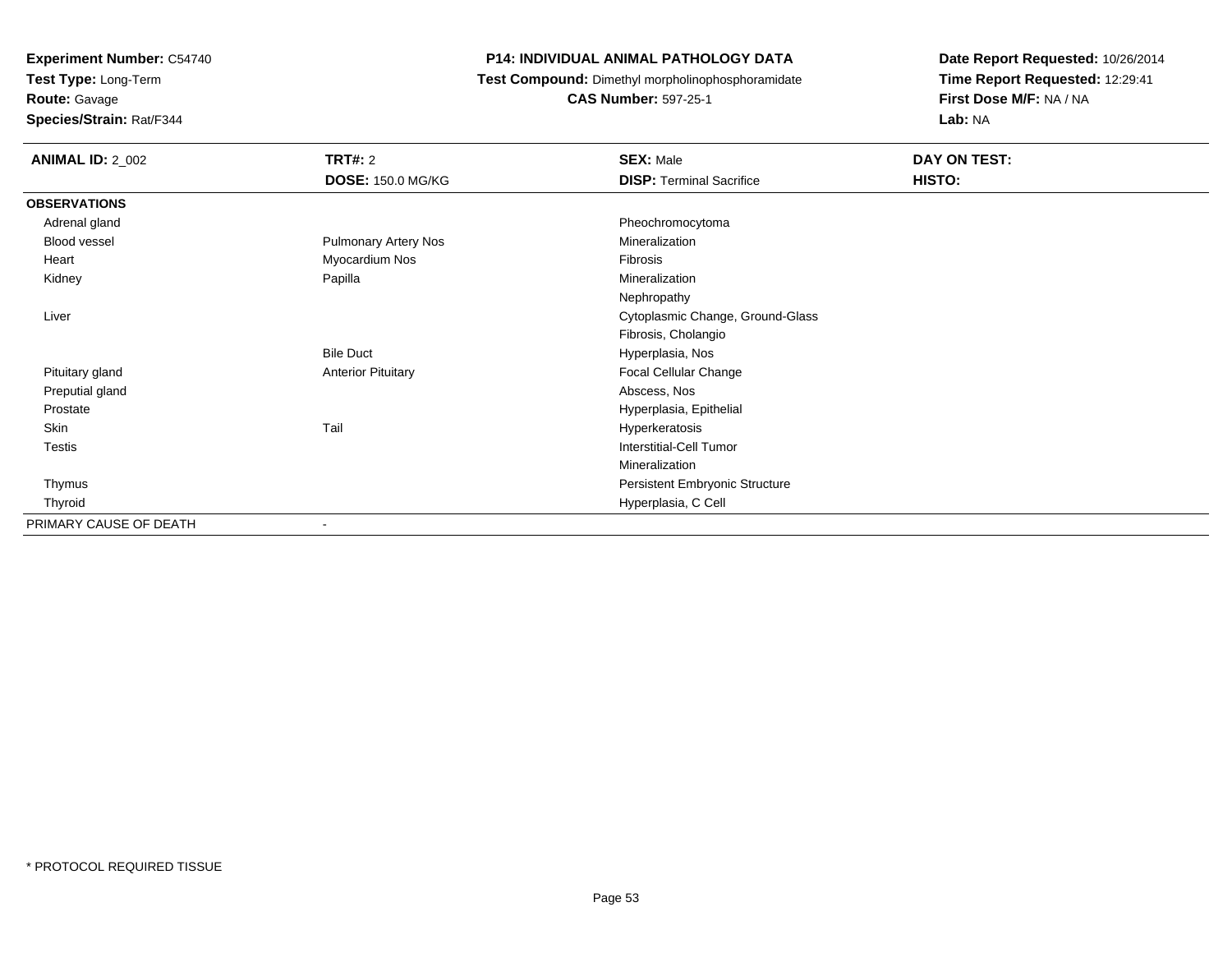**Test Type:** Long-Term

**Route:** Gavage

**Species/Strain:** Rat/F344

#### **P14: INDIVIDUAL ANIMAL PATHOLOGY DATA**

**Test Compound:** Dimethyl morpholinophosphoramidate

**CAS Number:** 597-25-1

| <b>ANIMAL ID: 2_002</b> | TRT#: 2                     | <b>SEX: Male</b>                 | DAY ON TEST: |  |
|-------------------------|-----------------------------|----------------------------------|--------------|--|
|                         | <b>DOSE: 150.0 MG/KG</b>    | <b>DISP: Terminal Sacrifice</b>  | HISTO:       |  |
| <b>OBSERVATIONS</b>     |                             |                                  |              |  |
| Adrenal gland           |                             | Pheochromocytoma                 |              |  |
| Blood vessel            | <b>Pulmonary Artery Nos</b> | Mineralization                   |              |  |
| Heart                   | Myocardium Nos              | Fibrosis                         |              |  |
| Kidney                  | Papilla                     | Mineralization                   |              |  |
|                         |                             | Nephropathy                      |              |  |
| Liver                   |                             | Cytoplasmic Change, Ground-Glass |              |  |
|                         |                             | Fibrosis, Cholangio              |              |  |
|                         | <b>Bile Duct</b>            | Hyperplasia, Nos                 |              |  |
| Pituitary gland         | <b>Anterior Pituitary</b>   | Focal Cellular Change            |              |  |
| Preputial gland         |                             | Abscess, Nos                     |              |  |
| Prostate                |                             | Hyperplasia, Epithelial          |              |  |
| Skin                    | Tail                        | Hyperkeratosis                   |              |  |
| Testis                  |                             | Interstitial-Cell Tumor          |              |  |
|                         |                             | Mineralization                   |              |  |
| Thymus                  |                             | Persistent Embryonic Structure   |              |  |
| Thyroid                 |                             | Hyperplasia, C Cell              |              |  |
| PRIMARY CAUSE OF DEATH  | $\blacksquare$              |                                  |              |  |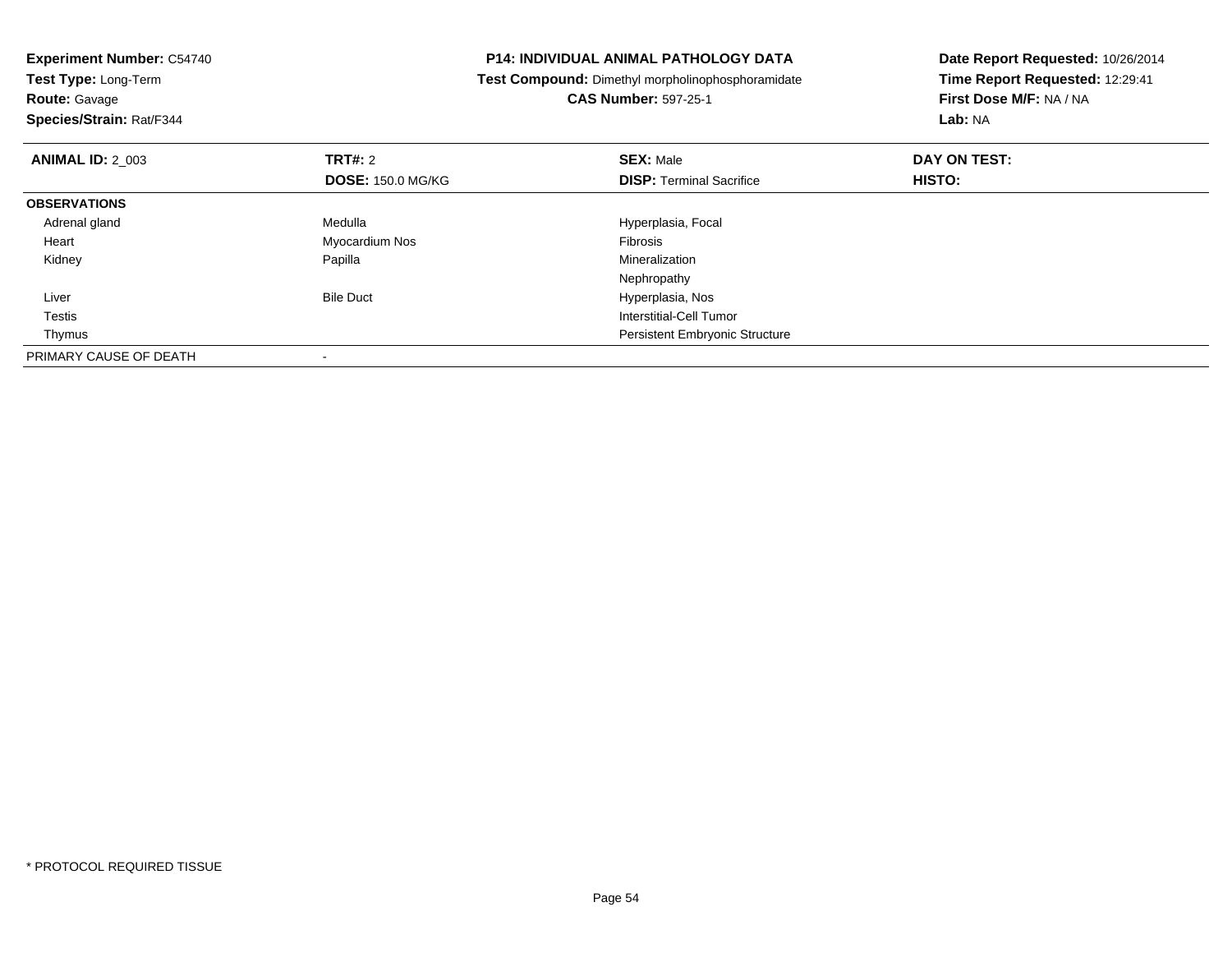| <b>Experiment Number: C54740</b><br>Test Type: Long-Term |                          | <b>P14: INDIVIDUAL ANIMAL PATHOLOGY DATA</b>             | Date Report Requested: 10/26/2014 |
|----------------------------------------------------------|--------------------------|----------------------------------------------------------|-----------------------------------|
|                                                          |                          | <b>Test Compound:</b> Dimethyl morpholinophosphoramidate | Time Report Requested: 12:29:41   |
| <b>Route: Gavage</b>                                     |                          | <b>CAS Number: 597-25-1</b>                              | First Dose M/F: NA / NA           |
| Species/Strain: Rat/F344                                 |                          |                                                          | Lab: NA                           |
| <b>ANIMAL ID: 2 003</b>                                  | <b>TRT#: 2</b>           | <b>SEX: Male</b>                                         | DAY ON TEST:                      |
|                                                          | <b>DOSE: 150.0 MG/KG</b> | <b>DISP:</b> Terminal Sacrifice                          | HISTO:                            |
| <b>OBSERVATIONS</b>                                      |                          |                                                          |                                   |
| Adrenal gland                                            | Medulla                  | Hyperplasia, Focal                                       |                                   |
| Heart                                                    | Myocardium Nos           | Fibrosis                                                 |                                   |
| Kidney                                                   | Papilla                  | Mineralization                                           |                                   |
|                                                          |                          | Nephropathy                                              |                                   |
| Liver                                                    | <b>Bile Duct</b>         | Hyperplasia, Nos                                         |                                   |
| Testis                                                   |                          | Interstitial-Cell Tumor                                  |                                   |
| Thymus                                                   |                          | <b>Persistent Embryonic Structure</b>                    |                                   |
| PRIMARY CAUSE OF DEATH                                   |                          |                                                          |                                   |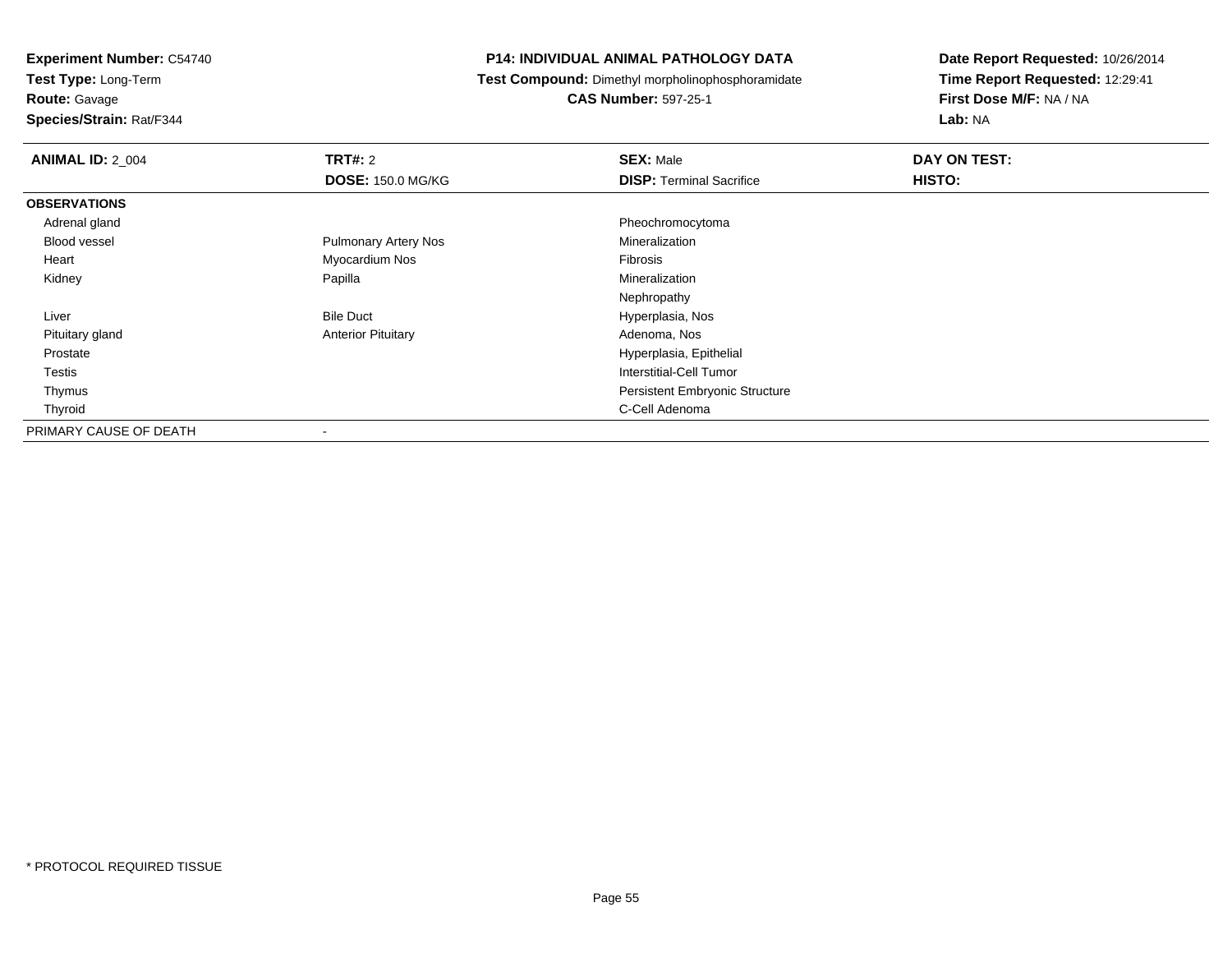**Test Type:** Long-Term

**Route:** Gavage

**Species/Strain:** Rat/F344

#### **P14: INDIVIDUAL ANIMAL PATHOLOGY DATA**

**Test Compound:** Dimethyl morpholinophosphoramidate

**CAS Number:** 597-25-1

| <b>ANIMAL ID: 2_004</b> | <b>TRT#: 2</b>              | <b>SEX: Male</b>                      | DAY ON TEST: |  |
|-------------------------|-----------------------------|---------------------------------------|--------------|--|
|                         | <b>DOSE: 150.0 MG/KG</b>    | <b>DISP: Terminal Sacrifice</b>       | HISTO:       |  |
| <b>OBSERVATIONS</b>     |                             |                                       |              |  |
| Adrenal gland           |                             | Pheochromocytoma                      |              |  |
| Blood vessel            | <b>Pulmonary Artery Nos</b> | Mineralization                        |              |  |
| Heart                   | Myocardium Nos              | Fibrosis                              |              |  |
| Kidney                  | Papilla                     | Mineralization                        |              |  |
|                         |                             | Nephropathy                           |              |  |
| Liver                   | <b>Bile Duct</b>            | Hyperplasia, Nos                      |              |  |
| Pituitary gland         | <b>Anterior Pituitary</b>   | Adenoma, Nos                          |              |  |
| Prostate                |                             | Hyperplasia, Epithelial               |              |  |
| Testis                  |                             | Interstitial-Cell Tumor               |              |  |
| Thymus                  |                             | <b>Persistent Embryonic Structure</b> |              |  |
| Thyroid                 |                             | C-Cell Adenoma                        |              |  |
| PRIMARY CAUSE OF DEATH  | $\overline{\phantom{a}}$    |                                       |              |  |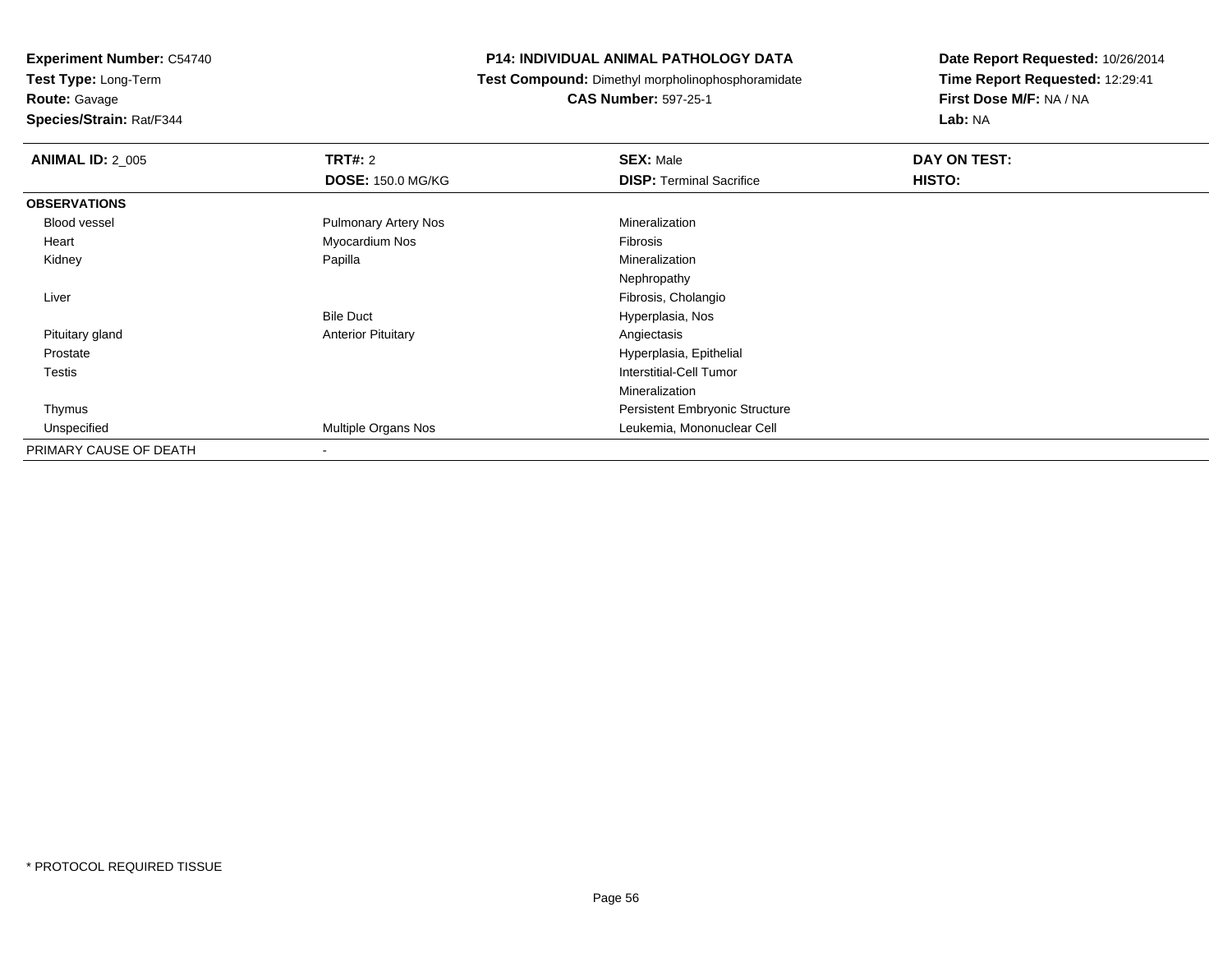**Test Type:** Long-Term

**Route:** Gavage

**Species/Strain:** Rat/F344

#### **P14: INDIVIDUAL ANIMAL PATHOLOGY DATA**

**Test Compound:** Dimethyl morpholinophosphoramidate

**CAS Number:** 597-25-1

| <b>ANIMAL ID: 2_005</b> | <b>TRT#: 2</b>              | <b>SEX: Male</b>                      | DAY ON TEST: |  |
|-------------------------|-----------------------------|---------------------------------------|--------------|--|
|                         | <b>DOSE: 150.0 MG/KG</b>    | <b>DISP: Terminal Sacrifice</b>       | HISTO:       |  |
| <b>OBSERVATIONS</b>     |                             |                                       |              |  |
| Blood vessel            | <b>Pulmonary Artery Nos</b> | Mineralization                        |              |  |
| Heart                   | Myocardium Nos              | Fibrosis                              |              |  |
| Kidney                  | Papilla                     | Mineralization                        |              |  |
|                         |                             | Nephropathy                           |              |  |
| Liver                   |                             | Fibrosis, Cholangio                   |              |  |
|                         | <b>Bile Duct</b>            | Hyperplasia, Nos                      |              |  |
| Pituitary gland         | <b>Anterior Pituitary</b>   | Angiectasis                           |              |  |
| Prostate                |                             | Hyperplasia, Epithelial               |              |  |
| <b>Testis</b>           |                             | Interstitial-Cell Tumor               |              |  |
|                         |                             | Mineralization                        |              |  |
| Thymus                  |                             | <b>Persistent Embryonic Structure</b> |              |  |
| Unspecified             | Multiple Organs Nos         | Leukemia, Mononuclear Cell            |              |  |
| PRIMARY CAUSE OF DEATH  |                             |                                       |              |  |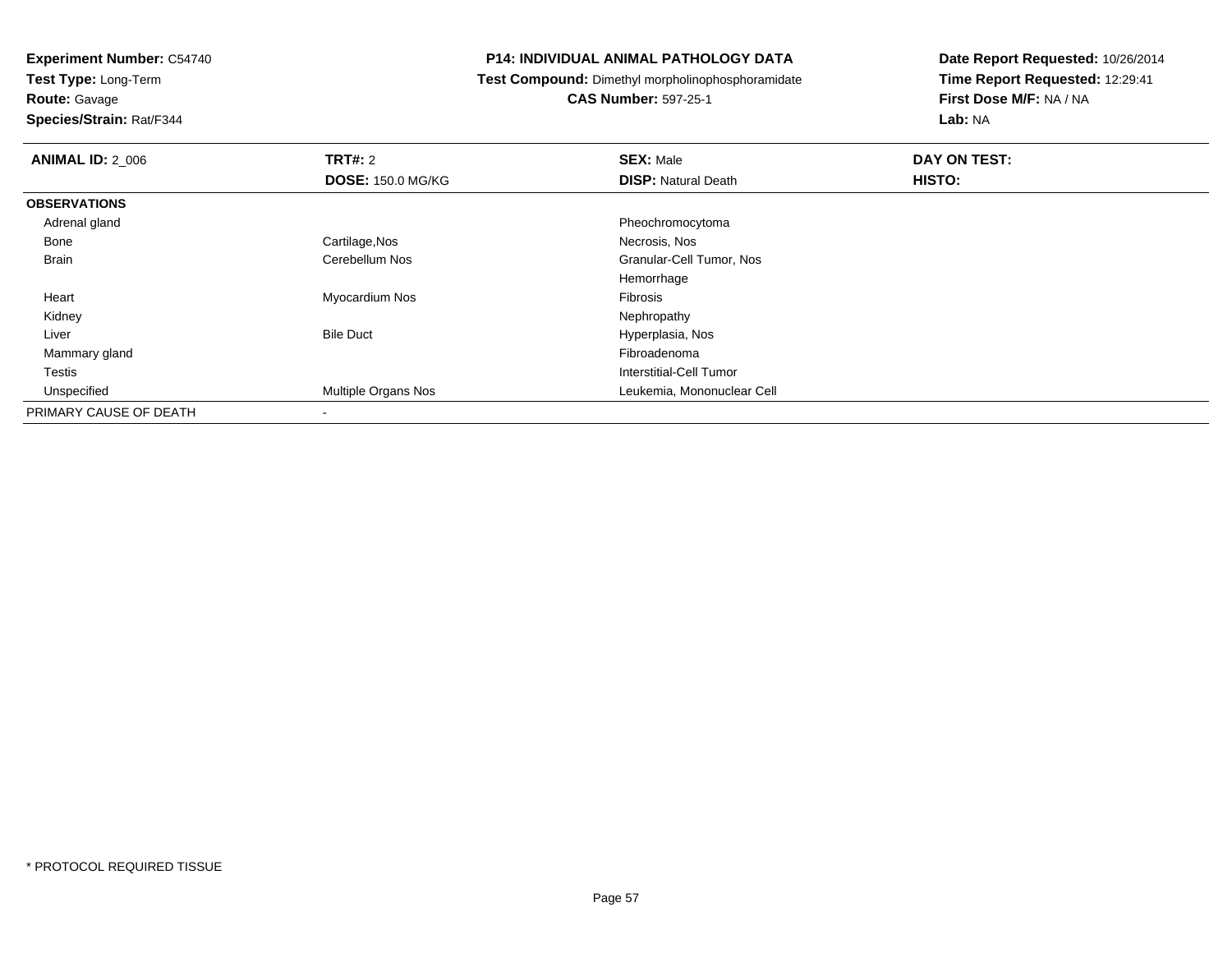**Test Type:** Long-Term

**Route:** Gavage

**Species/Strain:** Rat/F344

#### **P14: INDIVIDUAL ANIMAL PATHOLOGY DATA**

**Test Compound:** Dimethyl morpholinophosphoramidate

**CAS Number:** 597-25-1

| <b>ANIMAL ID: 2 006</b> | TRT#: 2                  | <b>SEX: Male</b>           | DAY ON TEST: |  |
|-------------------------|--------------------------|----------------------------|--------------|--|
|                         | <b>DOSE: 150.0 MG/KG</b> | <b>DISP: Natural Death</b> | HISTO:       |  |
| <b>OBSERVATIONS</b>     |                          |                            |              |  |
| Adrenal gland           |                          | Pheochromocytoma           |              |  |
| Bone                    | Cartilage, Nos           | Necrosis, Nos              |              |  |
| <b>Brain</b>            | Cerebellum Nos           | Granular-Cell Tumor, Nos   |              |  |
|                         |                          | Hemorrhage                 |              |  |
| Heart                   | Myocardium Nos           | Fibrosis                   |              |  |
| Kidney                  |                          | Nephropathy                |              |  |
| Liver                   | <b>Bile Duct</b>         | Hyperplasia, Nos           |              |  |
| Mammary gland           |                          | Fibroadenoma               |              |  |
| Testis                  |                          | Interstitial-Cell Tumor    |              |  |
| Unspecified             | Multiple Organs Nos      | Leukemia, Mononuclear Cell |              |  |
| PRIMARY CAUSE OF DEATH  | ۰                        |                            |              |  |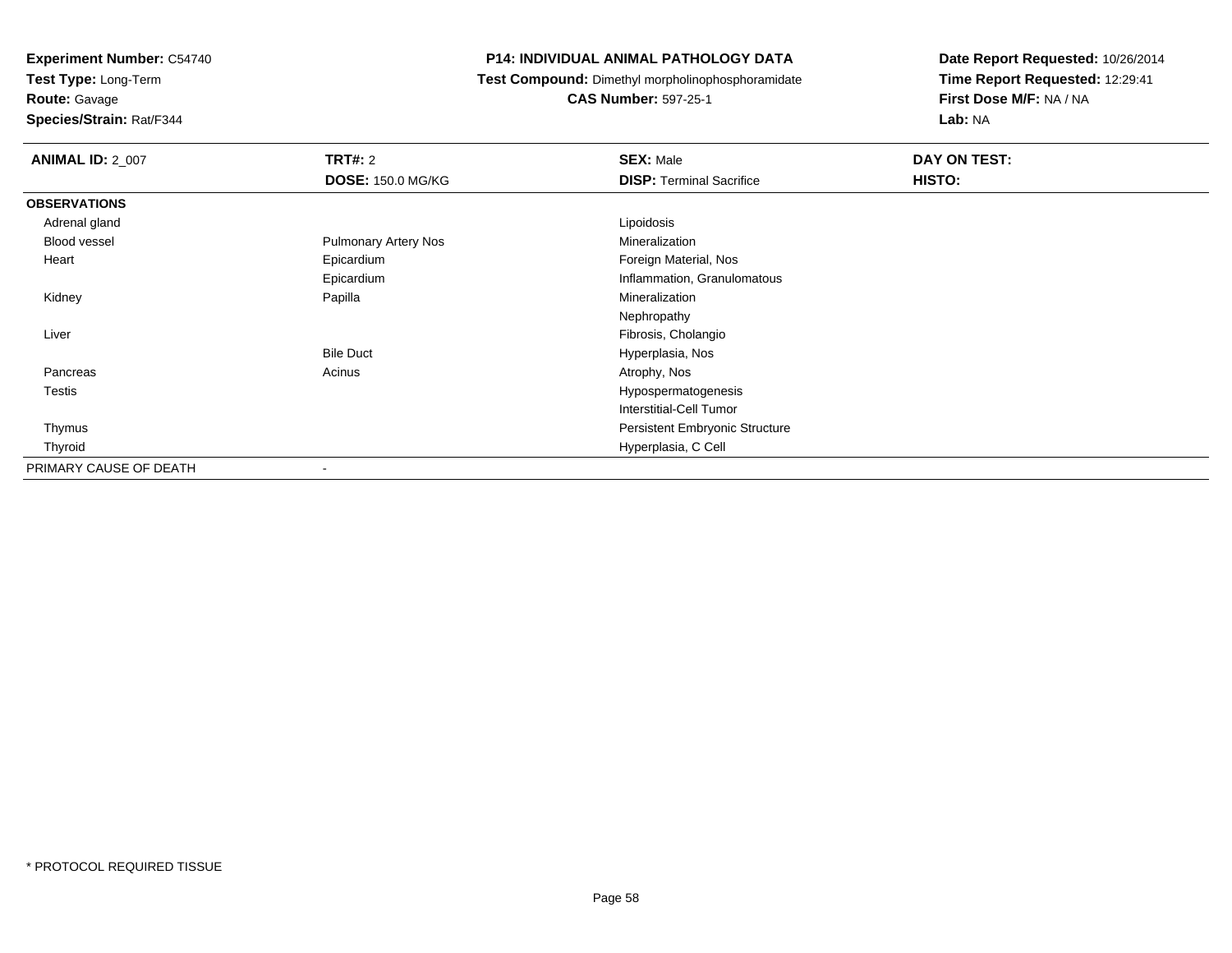**Test Type:** Long-Term

**Route:** Gavage

**Species/Strain:** Rat/F344

#### **P14: INDIVIDUAL ANIMAL PATHOLOGY DATA**

**Test Compound:** Dimethyl morpholinophosphoramidate

**CAS Number:** 597-25-1

| <b>ANIMAL ID: 2_007</b> | <b>TRT#: 2</b><br><b>DOSE: 150.0 MG/KG</b> | <b>SEX: Male</b><br><b>DISP: Terminal Sacrifice</b> | DAY ON TEST:<br>HISTO: |
|-------------------------|--------------------------------------------|-----------------------------------------------------|------------------------|
|                         |                                            |                                                     |                        |
| <b>OBSERVATIONS</b>     |                                            |                                                     |                        |
| Adrenal gland           |                                            | Lipoidosis                                          |                        |
| Blood vessel            | <b>Pulmonary Artery Nos</b>                | Mineralization                                      |                        |
| Heart                   | Epicardium                                 | Foreign Material, Nos                               |                        |
|                         | Epicardium                                 | Inflammation, Granulomatous                         |                        |
| Kidney                  | Papilla                                    | Mineralization                                      |                        |
|                         |                                            | Nephropathy                                         |                        |
| Liver                   |                                            | Fibrosis, Cholangio                                 |                        |
|                         | <b>Bile Duct</b>                           | Hyperplasia, Nos                                    |                        |
| Pancreas                | Acinus                                     | Atrophy, Nos                                        |                        |
| <b>Testis</b>           |                                            | Hypospermatogenesis                                 |                        |
|                         |                                            | Interstitial-Cell Tumor                             |                        |
| Thymus                  |                                            | Persistent Embryonic Structure                      |                        |
| Thyroid                 |                                            | Hyperplasia, C Cell                                 |                        |
| PRIMARY CAUSE OF DEATH  |                                            |                                                     |                        |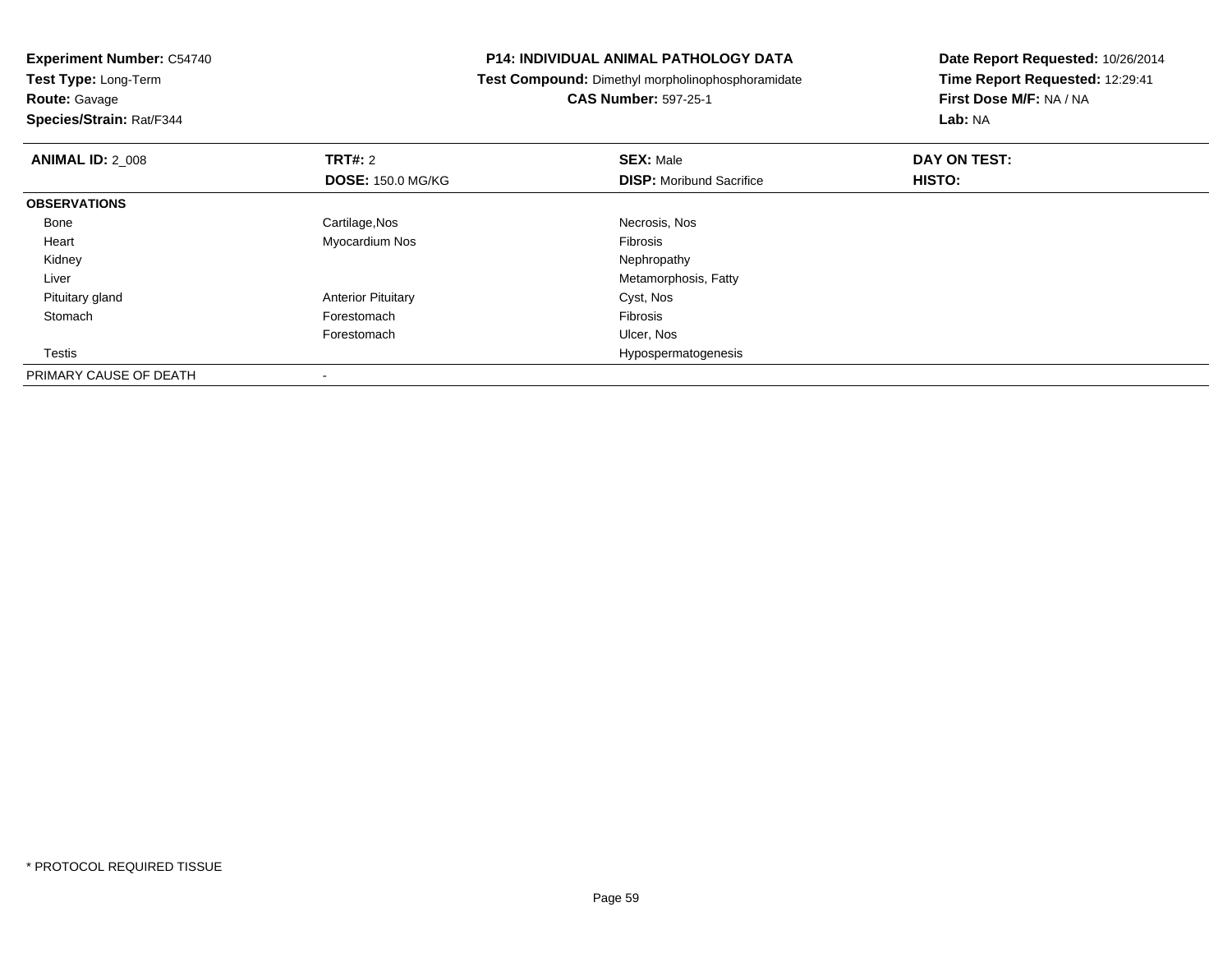**Test Type:** Long-Term**Route:** Gavage

**Species/Strain:** Rat/F344

#### **P14: INDIVIDUAL ANIMAL PATHOLOGY DATA**

**Test Compound:** Dimethyl morpholinophosphoramidate

**CAS Number:** 597-25-1

| <b>ANIMAL ID: 2_008</b> | TRT#: 2                   | <b>SEX: Male</b>                | DAY ON TEST: |  |
|-------------------------|---------------------------|---------------------------------|--------------|--|
|                         | <b>DOSE: 150.0 MG/KG</b>  | <b>DISP:</b> Moribund Sacrifice | HISTO:       |  |
| <b>OBSERVATIONS</b>     |                           |                                 |              |  |
| Bone                    | Cartilage, Nos            | Necrosis, Nos                   |              |  |
| Heart                   | Myocardium Nos            | Fibrosis                        |              |  |
| Kidney                  |                           | Nephropathy                     |              |  |
| Liver                   |                           | Metamorphosis, Fatty            |              |  |
| Pituitary gland         | <b>Anterior Pituitary</b> | Cyst, Nos                       |              |  |
| Stomach                 | Forestomach               | Fibrosis                        |              |  |
|                         | Forestomach               | Ulcer, Nos                      |              |  |
| Testis                  |                           | Hypospermatogenesis             |              |  |
| PRIMARY CAUSE OF DEATH  |                           |                                 |              |  |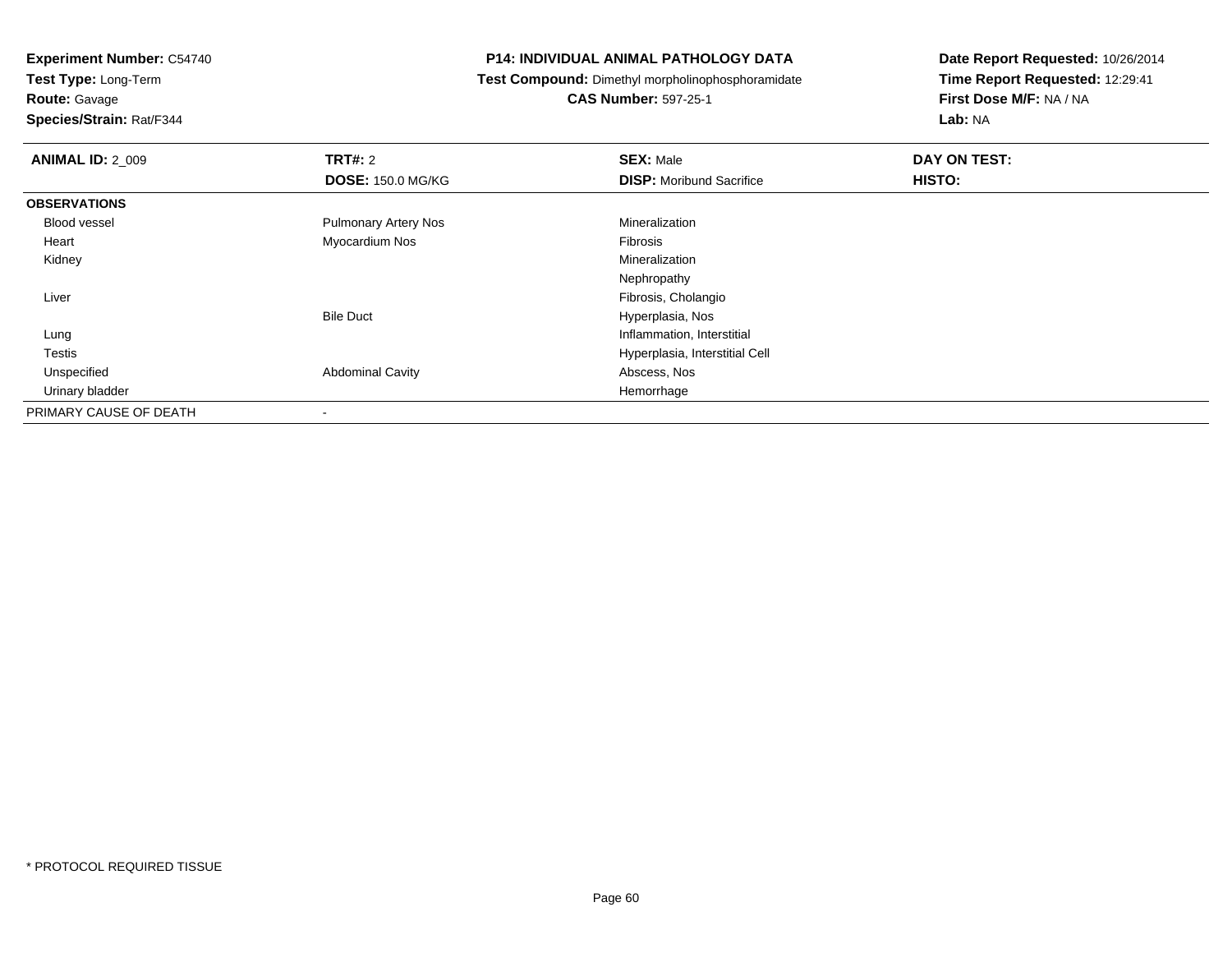**Test Type:** Long-Term

**Route:** Gavage

**Species/Strain:** Rat/F344

#### **P14: INDIVIDUAL ANIMAL PATHOLOGY DATA**

**Test Compound:** Dimethyl morpholinophosphoramidate

**CAS Number:** 597-25-1

| <b>ANIMAL ID: 2 009</b> | <b>TRT#: 2</b>              | <b>SEX: Male</b>                | DAY ON TEST: |  |
|-------------------------|-----------------------------|---------------------------------|--------------|--|
|                         | <b>DOSE: 150.0 MG/KG</b>    | <b>DISP:</b> Moribund Sacrifice | HISTO:       |  |
| <b>OBSERVATIONS</b>     |                             |                                 |              |  |
| Blood vessel            | <b>Pulmonary Artery Nos</b> | Mineralization                  |              |  |
| Heart                   | Myocardium Nos              | Fibrosis                        |              |  |
| Kidney                  |                             | Mineralization                  |              |  |
|                         |                             | Nephropathy                     |              |  |
| Liver                   |                             | Fibrosis, Cholangio             |              |  |
|                         | <b>Bile Duct</b>            | Hyperplasia, Nos                |              |  |
| Lung                    |                             | Inflammation, Interstitial      |              |  |
| Testis                  |                             | Hyperplasia, Interstitial Cell  |              |  |
| Unspecified             | <b>Abdominal Cavity</b>     | Abscess, Nos                    |              |  |
| Urinary bladder         |                             | Hemorrhage                      |              |  |
| PRIMARY CAUSE OF DEATH  | $\overline{\phantom{a}}$    |                                 |              |  |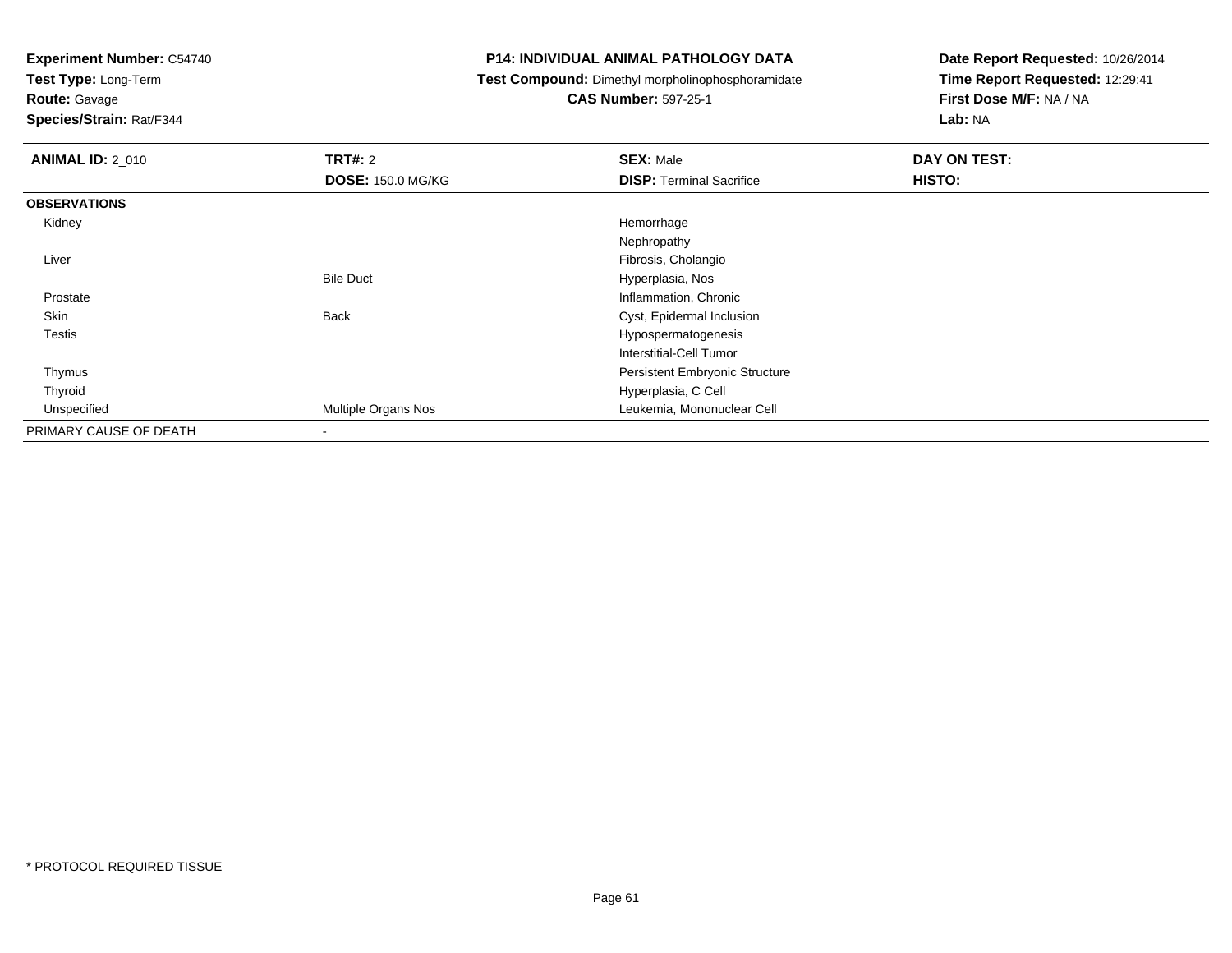**Test Type:** Long-Term

**Route:** Gavage

**Species/Strain:** Rat/F344

#### **P14: INDIVIDUAL ANIMAL PATHOLOGY DATA**

**Test Compound:** Dimethyl morpholinophosphoramidate

**CAS Number:** 597-25-1

| <b>ANIMAL ID: 2 010</b> | TRT#: 2<br><b>DOSE: 150.0 MG/KG</b> | <b>SEX: Male</b><br><b>DISP: Terminal Sacrifice</b> | DAY ON TEST:<br>HISTO: |
|-------------------------|-------------------------------------|-----------------------------------------------------|------------------------|
|                         |                                     |                                                     |                        |
| <b>OBSERVATIONS</b>     |                                     |                                                     |                        |
| Kidney                  |                                     | Hemorrhage                                          |                        |
|                         |                                     | Nephropathy                                         |                        |
| Liver                   |                                     | Fibrosis, Cholangio                                 |                        |
|                         | <b>Bile Duct</b>                    | Hyperplasia, Nos                                    |                        |
| Prostate                |                                     | Inflammation, Chronic                               |                        |
| Skin                    | <b>Back</b>                         | Cyst, Epidermal Inclusion                           |                        |
| <b>Testis</b>           |                                     | Hypospermatogenesis                                 |                        |
|                         |                                     | Interstitial-Cell Tumor                             |                        |
| Thymus                  |                                     | <b>Persistent Embryonic Structure</b>               |                        |
| Thyroid                 |                                     | Hyperplasia, C Cell                                 |                        |
| Unspecified             | Multiple Organs Nos                 | Leukemia, Mononuclear Cell                          |                        |
| PRIMARY CAUSE OF DEATH  | $\overline{\phantom{a}}$            |                                                     |                        |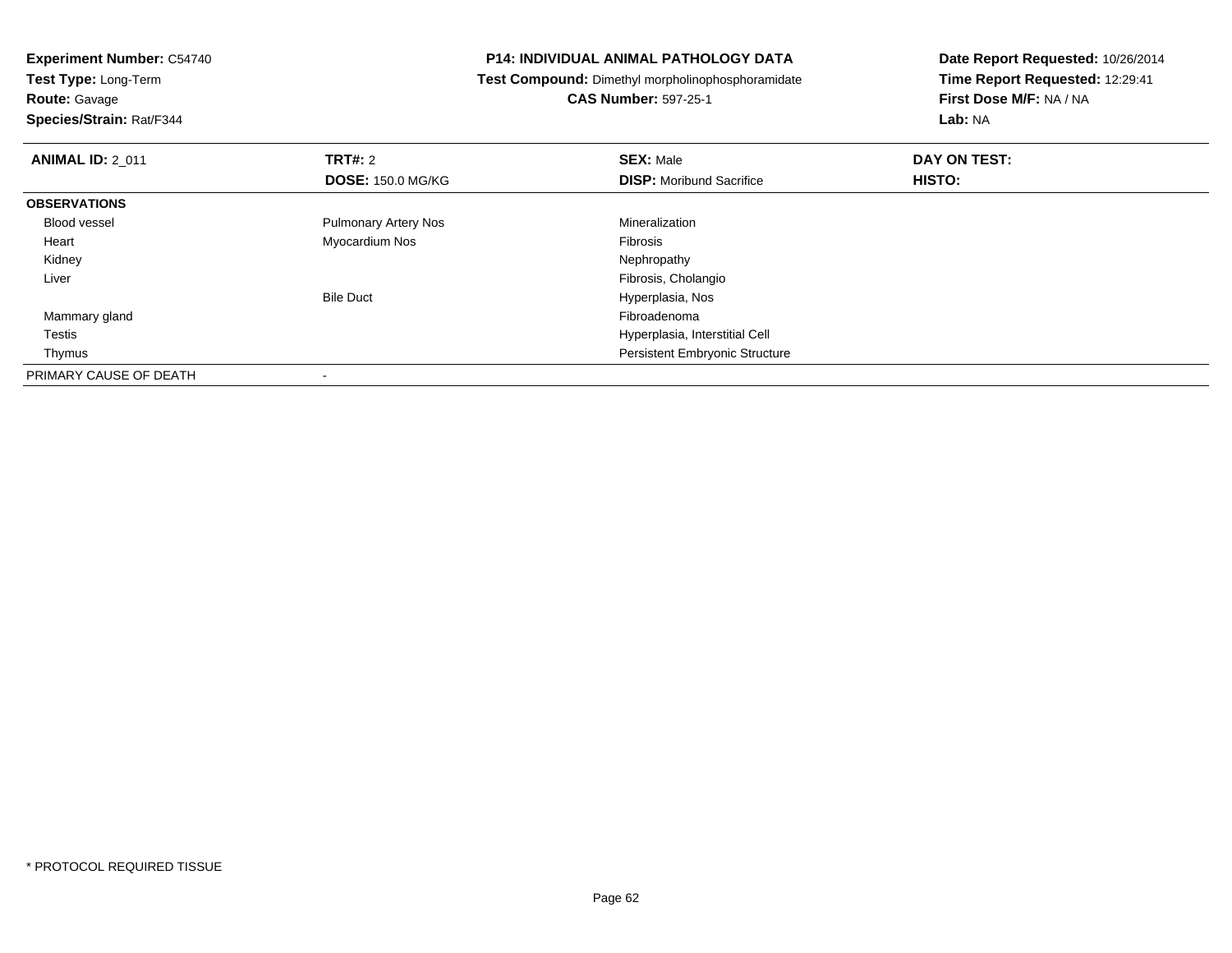**Test Type:** Long-Term

**Route:** Gavage

**Species/Strain:** Rat/F344

#### **P14: INDIVIDUAL ANIMAL PATHOLOGY DATA**

**Test Compound:** Dimethyl morpholinophosphoramidate

**CAS Number:** 597-25-1

| <b>ANIMAL ID: 2_011</b> | <b>TRT#: 2</b>              | <b>SEX: Male</b>                      | DAY ON TEST: |  |
|-------------------------|-----------------------------|---------------------------------------|--------------|--|
|                         | <b>DOSE: 150.0 MG/KG</b>    | <b>DISP:</b> Moribund Sacrifice       | HISTO:       |  |
| <b>OBSERVATIONS</b>     |                             |                                       |              |  |
| <b>Blood vessel</b>     | <b>Pulmonary Artery Nos</b> | Mineralization                        |              |  |
| Heart                   | Myocardium Nos              | Fibrosis                              |              |  |
| Kidney                  |                             | Nephropathy                           |              |  |
| Liver                   |                             | Fibrosis, Cholangio                   |              |  |
|                         | <b>Bile Duct</b>            | Hyperplasia, Nos                      |              |  |
| Mammary gland           |                             | Fibroadenoma                          |              |  |
| Testis                  |                             | Hyperplasia, Interstitial Cell        |              |  |
| Thymus                  |                             | <b>Persistent Embryonic Structure</b> |              |  |
| PRIMARY CAUSE OF DEATH  |                             |                                       |              |  |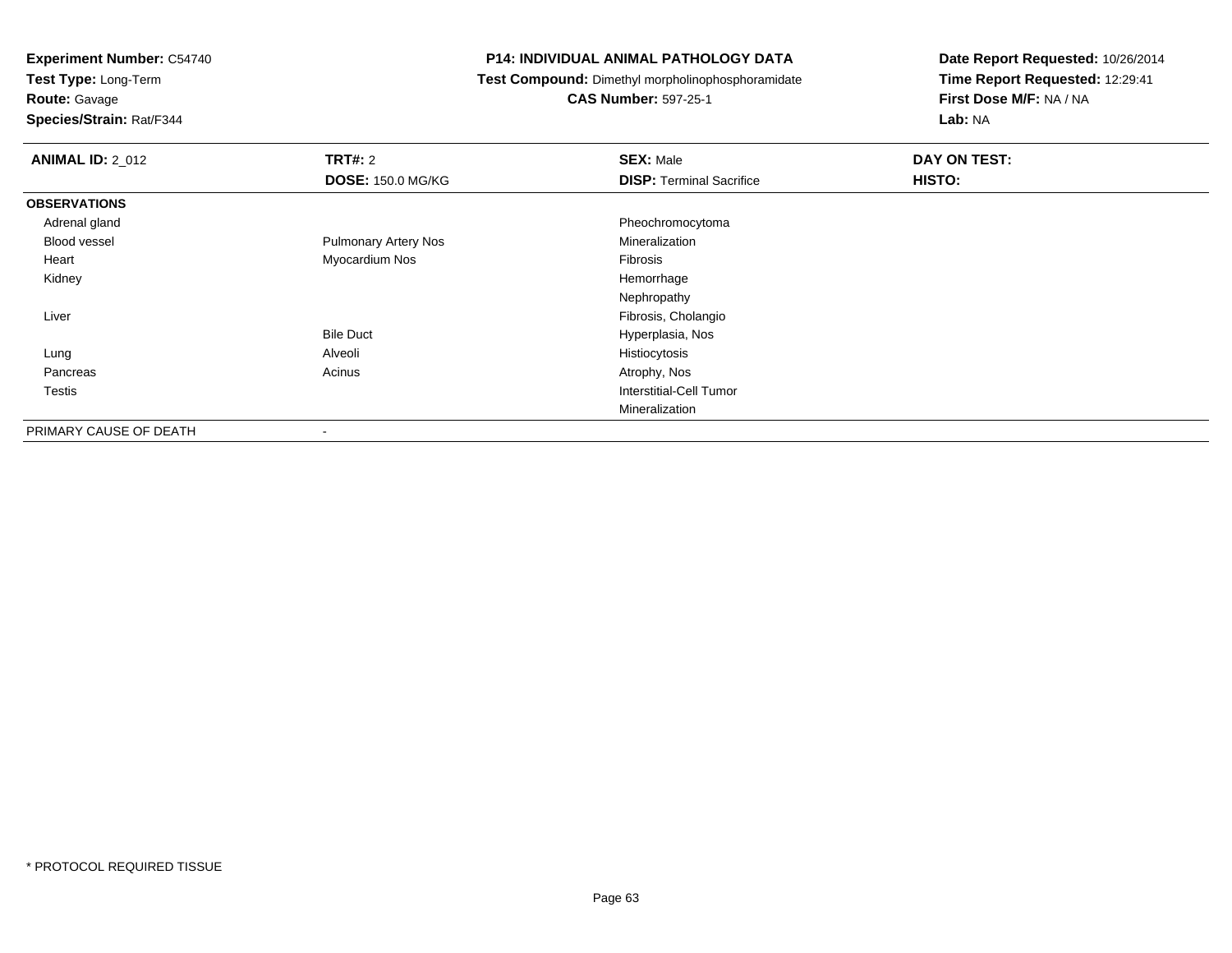**Test Type:** Long-Term

### **Route:** Gavage

**Species/Strain:** Rat/F344

#### **P14: INDIVIDUAL ANIMAL PATHOLOGY DATA**

**Test Compound:** Dimethyl morpholinophosphoramidate

### **CAS Number:** 597-25-1

| <b>ANIMAL ID: 2_012</b> | <b>TRT#: 2</b>              | <b>SEX: Male</b>                | DAY ON TEST: |  |
|-------------------------|-----------------------------|---------------------------------|--------------|--|
|                         | <b>DOSE: 150.0 MG/KG</b>    | <b>DISP: Terminal Sacrifice</b> | HISTO:       |  |
| <b>OBSERVATIONS</b>     |                             |                                 |              |  |
| Adrenal gland           |                             | Pheochromocytoma                |              |  |
| <b>Blood vessel</b>     | <b>Pulmonary Artery Nos</b> | Mineralization                  |              |  |
| Heart                   | Myocardium Nos              | Fibrosis                        |              |  |
| Kidney                  |                             | Hemorrhage                      |              |  |
|                         |                             | Nephropathy                     |              |  |
| Liver                   |                             | Fibrosis, Cholangio             |              |  |
|                         | <b>Bile Duct</b>            | Hyperplasia, Nos                |              |  |
| Lung                    | Alveoli                     | Histiocytosis                   |              |  |
| Pancreas                | Acinus                      | Atrophy, Nos                    |              |  |
| Testis                  |                             | Interstitial-Cell Tumor         |              |  |
|                         |                             | Mineralization                  |              |  |
| PRIMARY CAUSE OF DEATH  | $\overline{\phantom{a}}$    |                                 |              |  |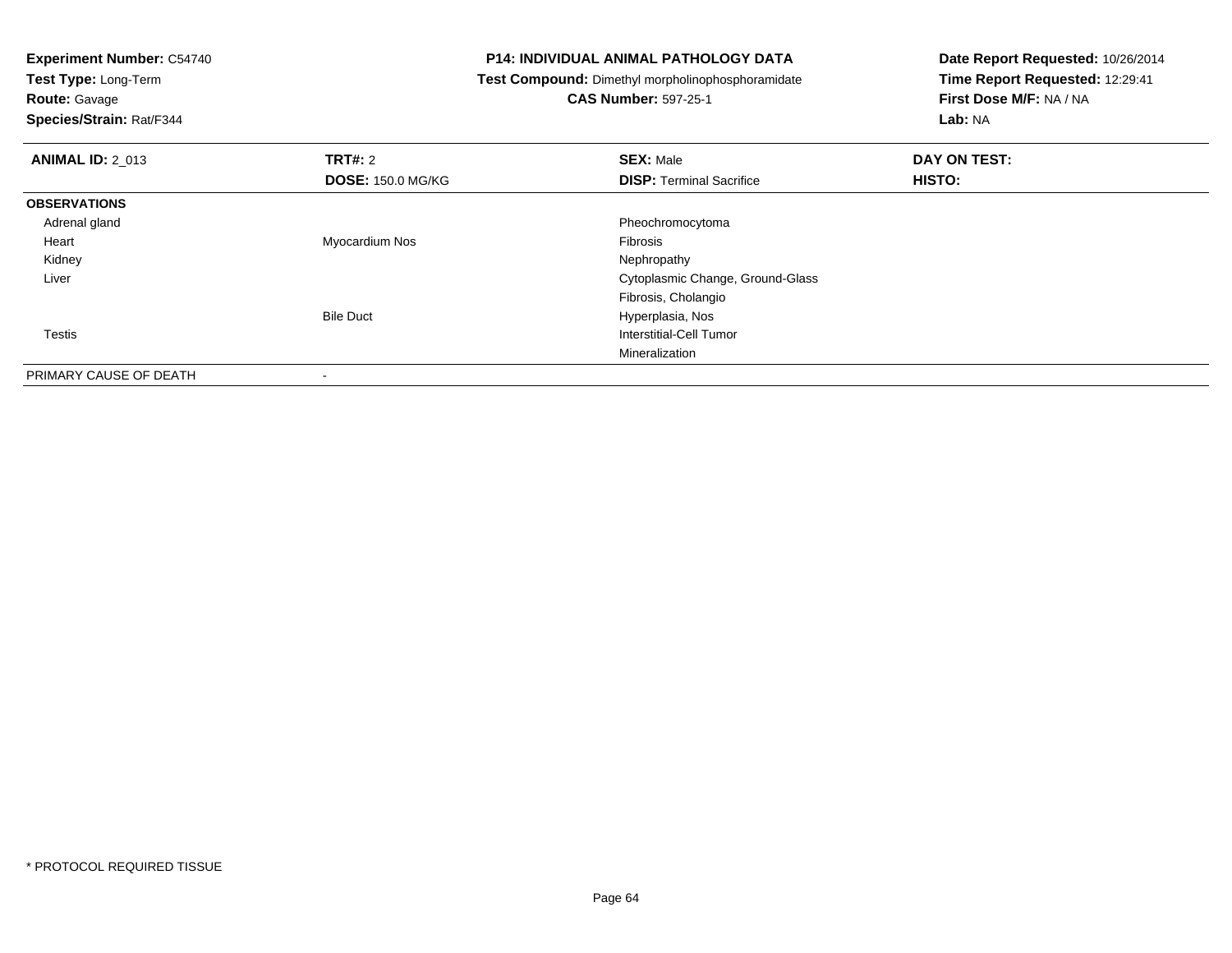**Test Type:** Long-Term

**Route:** Gavage

**Species/Strain:** Rat/F344

#### **P14: INDIVIDUAL ANIMAL PATHOLOGY DATA**

**Test Compound:** Dimethyl morpholinophosphoramidate

**CAS Number:** 597-25-1

| <b>ANIMAL ID: 2_013</b> | TRT#: 2                  | <b>SEX: Male</b>                 | DAY ON TEST:  |  |
|-------------------------|--------------------------|----------------------------------|---------------|--|
|                         | <b>DOSE: 150.0 MG/KG</b> | <b>DISP: Terminal Sacrifice</b>  | <b>HISTO:</b> |  |
| <b>OBSERVATIONS</b>     |                          |                                  |               |  |
| Adrenal gland           |                          | Pheochromocytoma                 |               |  |
| Heart                   | Myocardium Nos           | Fibrosis                         |               |  |
| Kidney                  |                          | Nephropathy                      |               |  |
| Liver                   |                          | Cytoplasmic Change, Ground-Glass |               |  |
|                         |                          | Fibrosis, Cholangio              |               |  |
|                         | <b>Bile Duct</b>         | Hyperplasia, Nos                 |               |  |
| <b>Testis</b>           |                          | Interstitial-Cell Tumor          |               |  |
|                         |                          | Mineralization                   |               |  |
| PRIMARY CAUSE OF DEATH  |                          |                                  |               |  |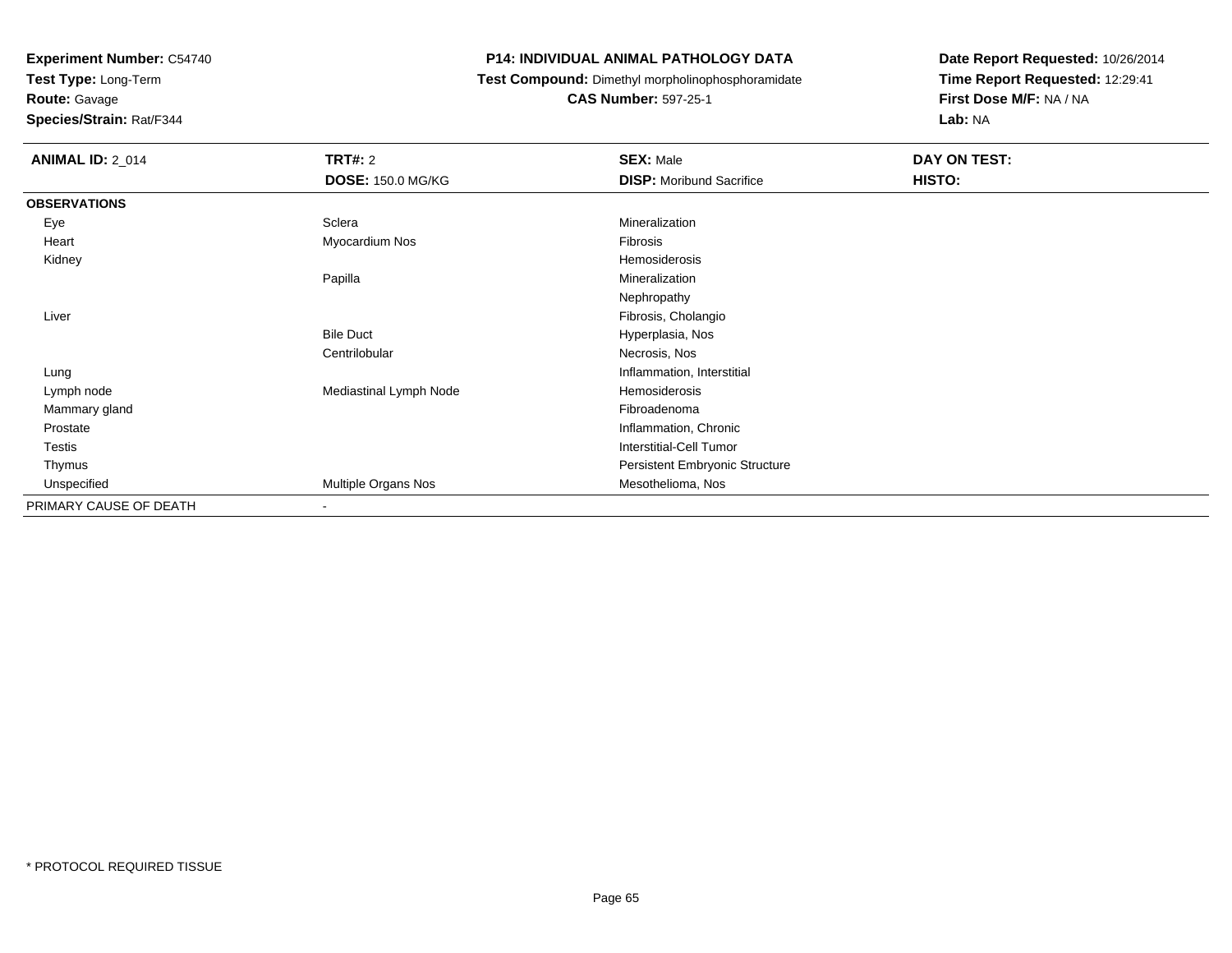**Test Type:** Long-Term

**Route:** Gavage

**Species/Strain:** Rat/F344

#### **P14: INDIVIDUAL ANIMAL PATHOLOGY DATA**

**Test Compound:** Dimethyl morpholinophosphoramidate

**CAS Number:** 597-25-1

| <b>ANIMAL ID: 2_014</b> | <b>TRT#: 2</b>           | <b>SEX: Male</b>                | DAY ON TEST: |
|-------------------------|--------------------------|---------------------------------|--------------|
|                         | <b>DOSE: 150.0 MG/KG</b> | <b>DISP:</b> Moribund Sacrifice | HISTO:       |
| <b>OBSERVATIONS</b>     |                          |                                 |              |
| Eye                     | Sclera                   | Mineralization                  |              |
| Heart                   | Myocardium Nos           | Fibrosis                        |              |
| Kidney                  |                          | Hemosiderosis                   |              |
|                         | Papilla                  | Mineralization                  |              |
|                         |                          | Nephropathy                     |              |
| Liver                   |                          | Fibrosis, Cholangio             |              |
|                         | <b>Bile Duct</b>         | Hyperplasia, Nos                |              |
|                         | Centrilobular            | Necrosis, Nos                   |              |
| Lung                    |                          | Inflammation, Interstitial      |              |
| Lymph node              | Mediastinal Lymph Node   | Hemosiderosis                   |              |
| Mammary gland           |                          | Fibroadenoma                    |              |
| Prostate                |                          | Inflammation, Chronic           |              |
| Testis                  |                          | <b>Interstitial-Cell Tumor</b>  |              |
| Thymus                  |                          | Persistent Embryonic Structure  |              |
| Unspecified             | Multiple Organs Nos      | Mesothelioma, Nos               |              |
| PRIMARY CAUSE OF DEATH  | $\overline{\phantom{a}}$ |                                 |              |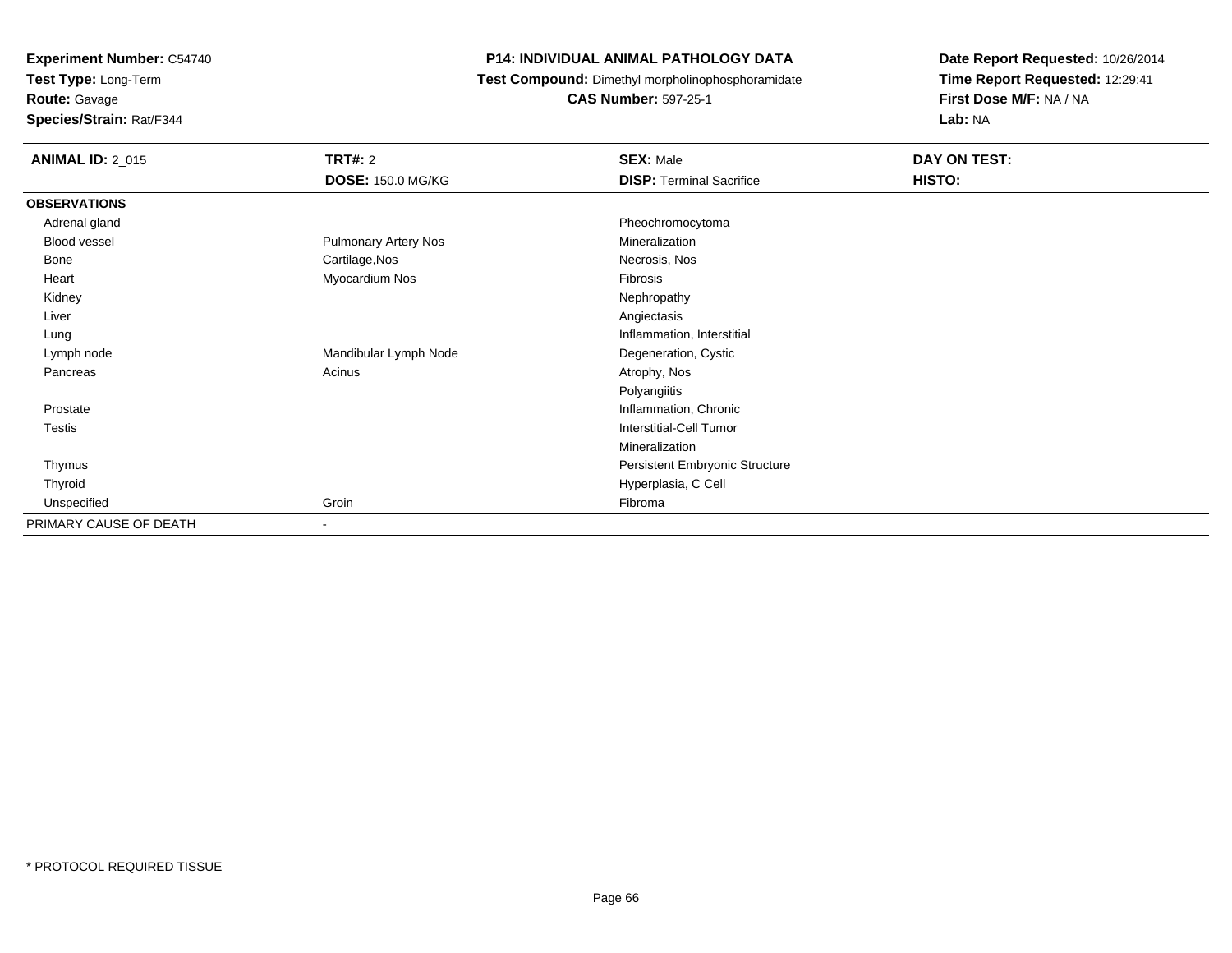**Test Type:** Long-Term

**Route:** Gavage

**Species/Strain:** Rat/F344

#### **P14: INDIVIDUAL ANIMAL PATHOLOGY DATA**

**Test Compound:** Dimethyl morpholinophosphoramidate

**CAS Number:** 597-25-1

| <b>ANIMAL ID: 2_015</b> | <b>TRT#: 2</b>           | <b>SEX: Male</b>                | DAY ON TEST: |  |
|-------------------------|--------------------------|---------------------------------|--------------|--|
|                         | <b>DOSE: 150.0 MG/KG</b> | <b>DISP: Terminal Sacrifice</b> | HISTO:       |  |
| <b>OBSERVATIONS</b>     |                          |                                 |              |  |
| Adrenal gland           |                          | Pheochromocytoma                |              |  |
| Blood vessel            | Pulmonary Artery Nos     | Mineralization                  |              |  |
| Bone                    | Cartilage, Nos           | Necrosis, Nos                   |              |  |
| Heart                   | Myocardium Nos           | Fibrosis                        |              |  |
| Kidney                  |                          | Nephropathy                     |              |  |
| Liver                   |                          | Angiectasis                     |              |  |
| Lung                    |                          | Inflammation, Interstitial      |              |  |
| Lymph node              | Mandibular Lymph Node    | Degeneration, Cystic            |              |  |
| Pancreas                | Acinus                   | Atrophy, Nos                    |              |  |
|                         |                          | Polyangiitis                    |              |  |
| Prostate                |                          | Inflammation, Chronic           |              |  |
| Testis                  |                          | <b>Interstitial-Cell Tumor</b>  |              |  |
|                         |                          | Mineralization                  |              |  |
| Thymus                  |                          | Persistent Embryonic Structure  |              |  |
| Thyroid                 |                          | Hyperplasia, C Cell             |              |  |
| Unspecified             | Groin                    | Fibroma                         |              |  |
| PRIMARY CAUSE OF DEATH  | $\blacksquare$           |                                 |              |  |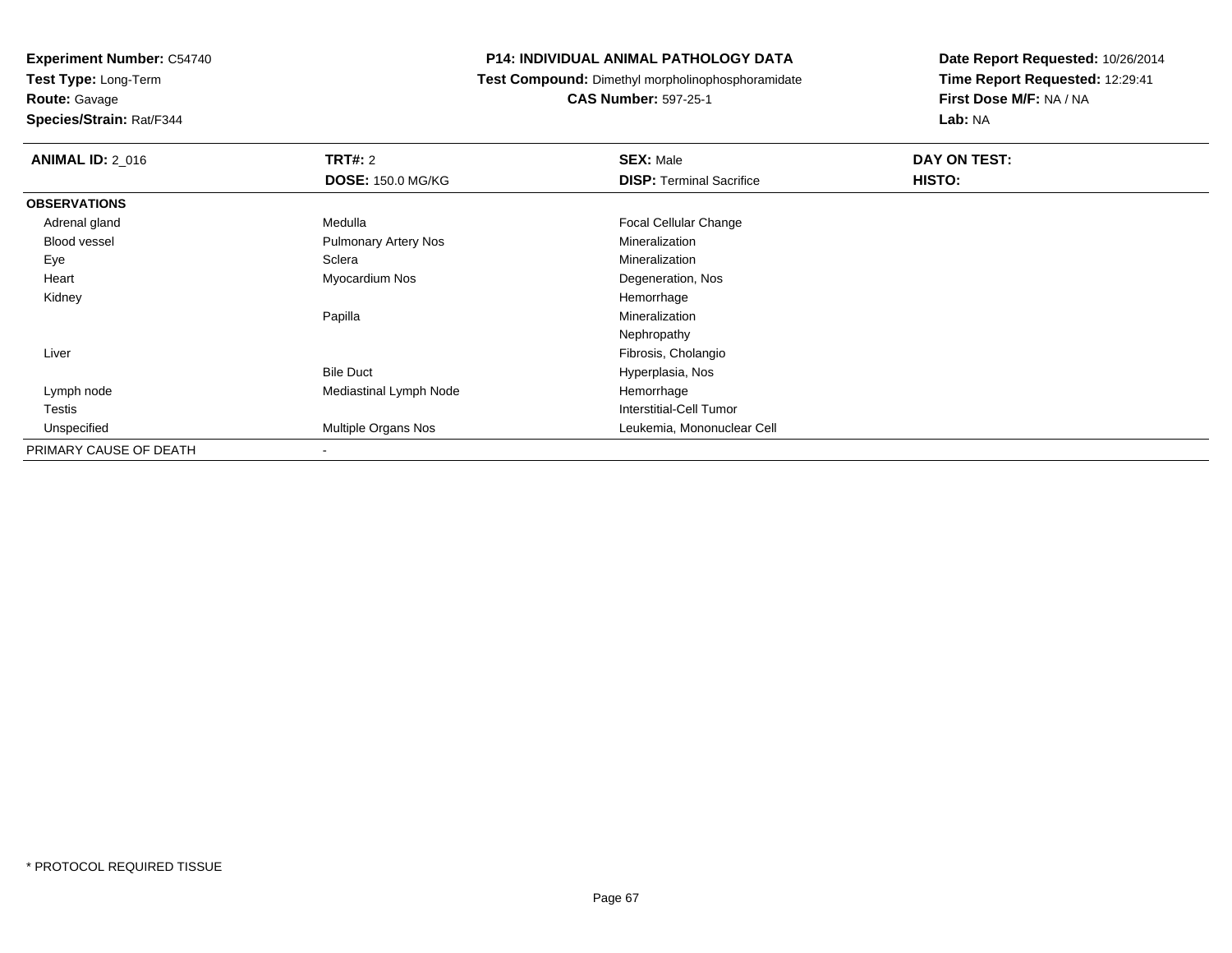**Test Type:** Long-Term

**Route:** Gavage

**Species/Strain:** Rat/F344

#### **P14: INDIVIDUAL ANIMAL PATHOLOGY DATA**

**Test Compound:** Dimethyl morpholinophosphoramidate

**CAS Number:** 597-25-1

| <b>ANIMAL ID: 2_016</b> | <b>TRT#: 2</b>              | <b>SEX: Male</b>                | DAY ON TEST: |  |
|-------------------------|-----------------------------|---------------------------------|--------------|--|
|                         | <b>DOSE: 150.0 MG/KG</b>    | <b>DISP: Terminal Sacrifice</b> | HISTO:       |  |
| <b>OBSERVATIONS</b>     |                             |                                 |              |  |
| Adrenal gland           | Medulla                     | <b>Focal Cellular Change</b>    |              |  |
| Blood vessel            | <b>Pulmonary Artery Nos</b> | Mineralization                  |              |  |
| Eye                     | Sclera                      | Mineralization                  |              |  |
| Heart                   | Myocardium Nos              | Degeneration, Nos               |              |  |
| Kidney                  |                             | Hemorrhage                      |              |  |
|                         | Papilla                     | Mineralization                  |              |  |
|                         |                             | Nephropathy                     |              |  |
| Liver                   |                             | Fibrosis, Cholangio             |              |  |
|                         | <b>Bile Duct</b>            | Hyperplasia, Nos                |              |  |
| Lymph node              | Mediastinal Lymph Node      | Hemorrhage                      |              |  |
| Testis                  |                             | Interstitial-Cell Tumor         |              |  |
| Unspecified             | Multiple Organs Nos         | Leukemia, Mononuclear Cell      |              |  |
| PRIMARY CAUSE OF DEATH  |                             |                                 |              |  |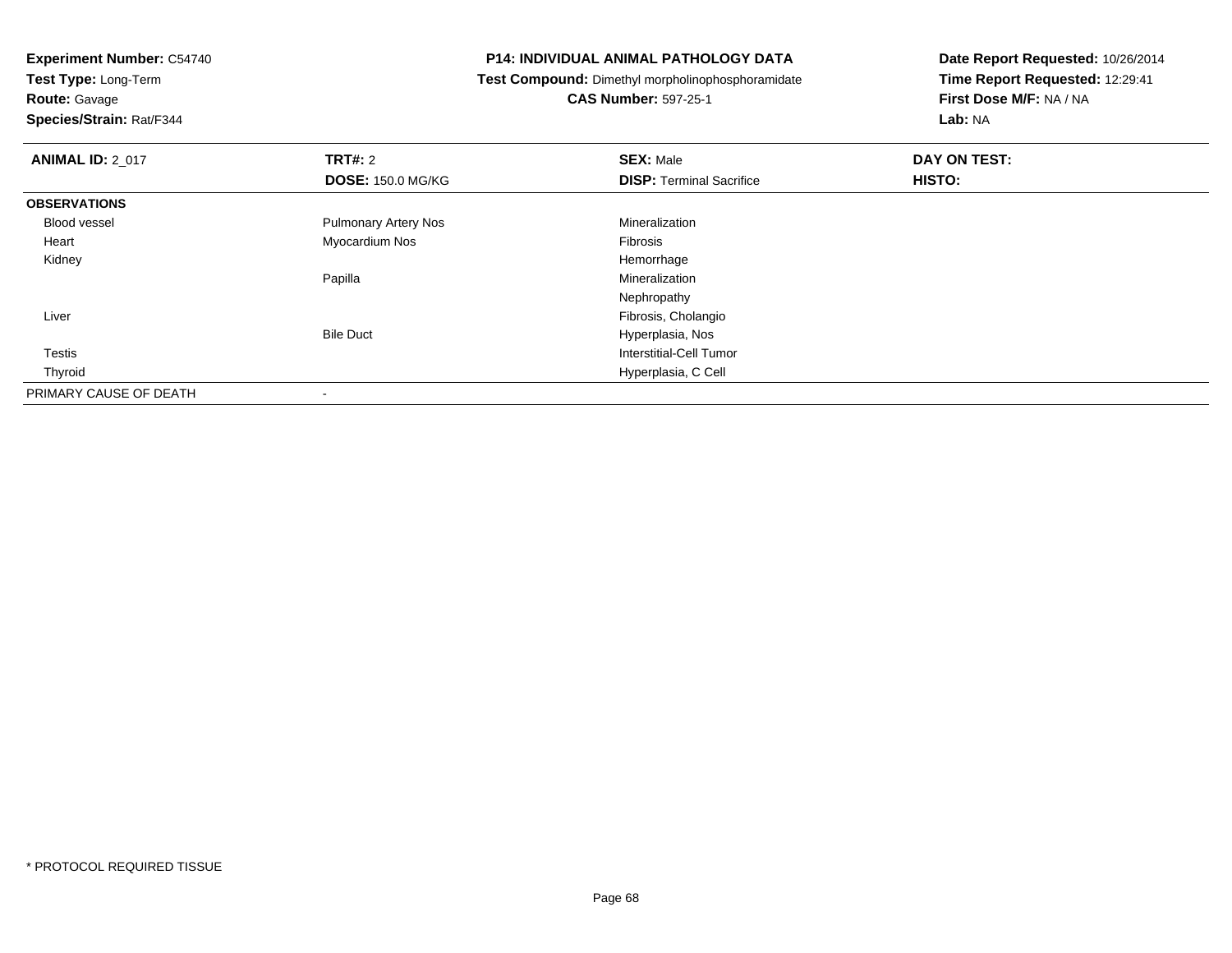**Test Type:** Long-Term

## **Route:** Gavage

**Species/Strain:** Rat/F344

#### **P14: INDIVIDUAL ANIMAL PATHOLOGY DATA**

**Test Compound:** Dimethyl morpholinophosphoramidate

### **CAS Number:** 597-25-1

| <b>ANIMAL ID: 2_017</b> | <b>TRT#: 2</b>              | <b>SEX: Male</b>                | DAY ON TEST: |  |
|-------------------------|-----------------------------|---------------------------------|--------------|--|
|                         | <b>DOSE: 150.0 MG/KG</b>    | <b>DISP: Terminal Sacrifice</b> | HISTO:       |  |
| <b>OBSERVATIONS</b>     |                             |                                 |              |  |
| Blood vessel            | <b>Pulmonary Artery Nos</b> | Mineralization                  |              |  |
| Heart                   | Myocardium Nos              | Fibrosis                        |              |  |
| Kidney                  |                             | Hemorrhage                      |              |  |
|                         | Papilla                     | Mineralization                  |              |  |
|                         |                             | Nephropathy                     |              |  |
| Liver                   |                             | Fibrosis, Cholangio             |              |  |
|                         | <b>Bile Duct</b>            | Hyperplasia, Nos                |              |  |
| Testis                  |                             | Interstitial-Cell Tumor         |              |  |
| Thyroid                 |                             | Hyperplasia, C Cell             |              |  |
| PRIMARY CAUSE OF DEATH  |                             |                                 |              |  |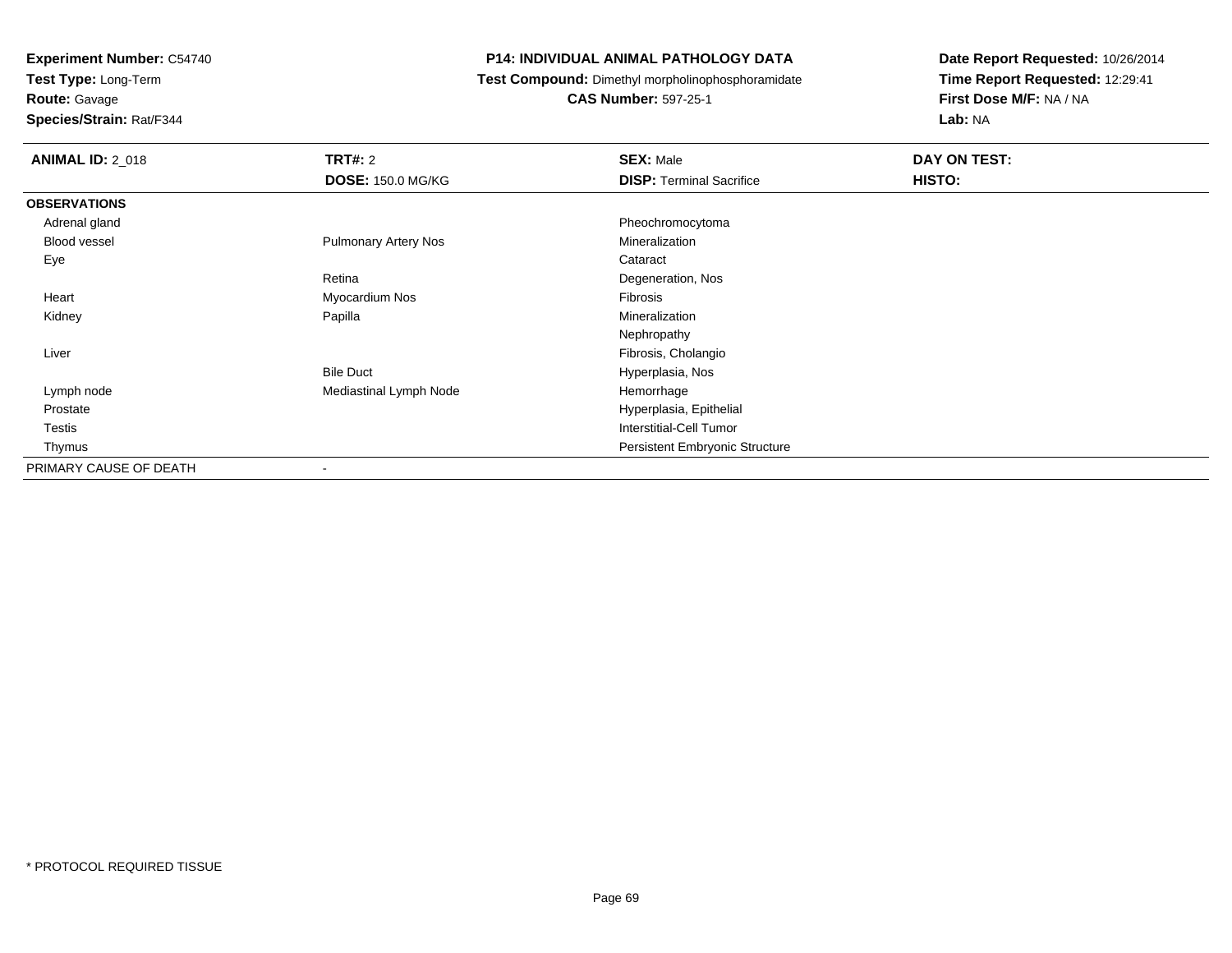**Test Type:** Long-Term

**Route:** Gavage

**Species/Strain:** Rat/F344

#### **P14: INDIVIDUAL ANIMAL PATHOLOGY DATA**

**Test Compound:** Dimethyl morpholinophosphoramidate

**CAS Number:** 597-25-1

| <b>ANIMAL ID: 2_018</b> | <b>TRT#: 2</b>              | <b>SEX: Male</b>                | DAY ON TEST: |  |
|-------------------------|-----------------------------|---------------------------------|--------------|--|
|                         | <b>DOSE: 150.0 MG/KG</b>    | <b>DISP: Terminal Sacrifice</b> | HISTO:       |  |
| <b>OBSERVATIONS</b>     |                             |                                 |              |  |
| Adrenal gland           |                             | Pheochromocytoma                |              |  |
| <b>Blood vessel</b>     | <b>Pulmonary Artery Nos</b> | Mineralization                  |              |  |
| Eye                     |                             | Cataract                        |              |  |
|                         | Retina                      | Degeneration, Nos               |              |  |
| Heart                   | Myocardium Nos              | Fibrosis                        |              |  |
| Kidney                  | Papilla                     | Mineralization                  |              |  |
|                         |                             | Nephropathy                     |              |  |
| Liver                   |                             | Fibrosis, Cholangio             |              |  |
|                         | <b>Bile Duct</b>            | Hyperplasia, Nos                |              |  |
| Lymph node              | Mediastinal Lymph Node      | Hemorrhage                      |              |  |
| Prostate                |                             | Hyperplasia, Epithelial         |              |  |
| Testis                  |                             | Interstitial-Cell Tumor         |              |  |
| Thymus                  |                             | Persistent Embryonic Structure  |              |  |
| PRIMARY CAUSE OF DEATH  |                             |                                 |              |  |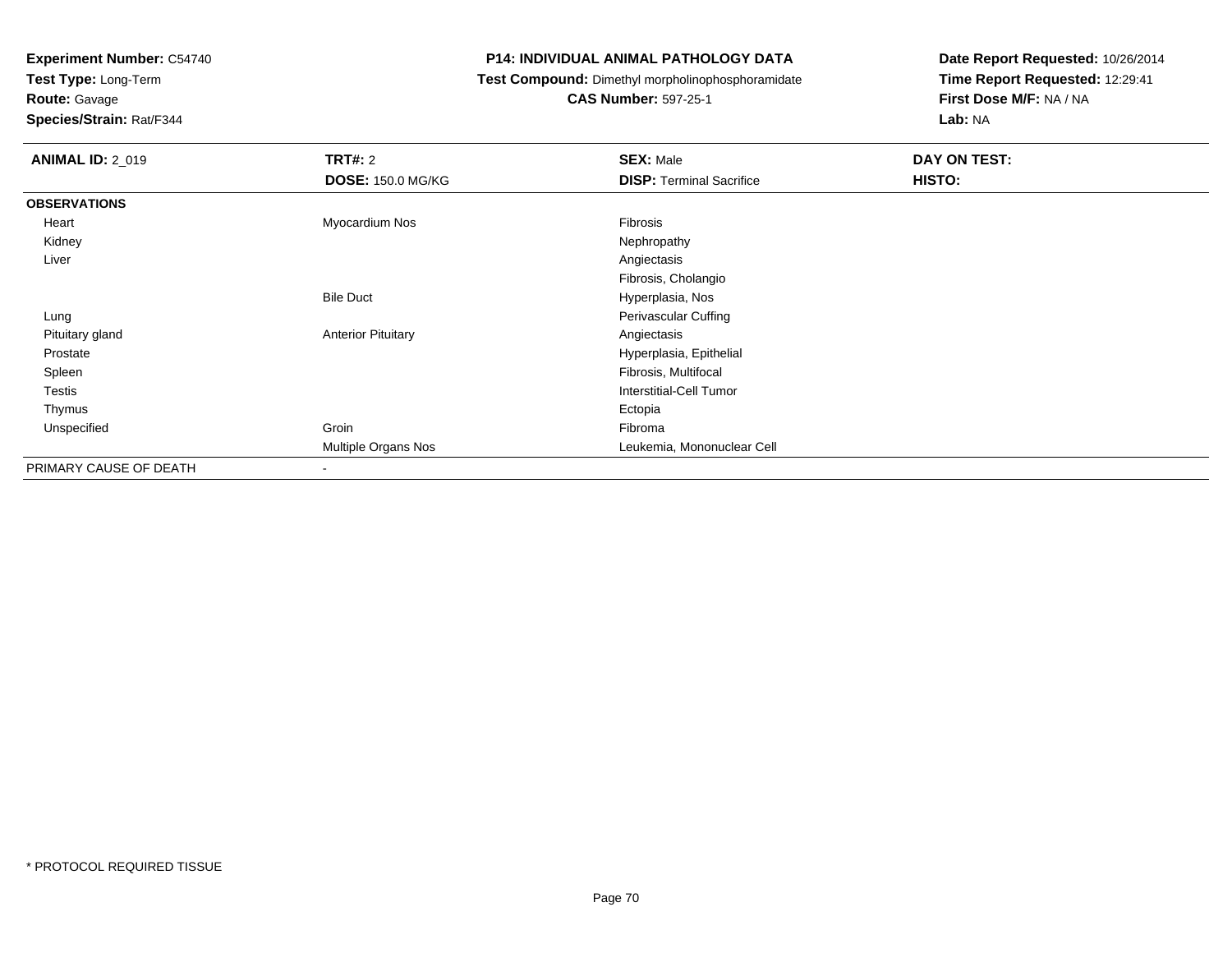**Test Type:** Long-Term

**Route:** Gavage

**Species/Strain:** Rat/F344

#### **P14: INDIVIDUAL ANIMAL PATHOLOGY DATA**

**Test Compound:** Dimethyl morpholinophosphoramidate

**CAS Number:** 597-25-1

| <b>ANIMAL ID: 2_019</b> | <b>TRT#: 2</b><br><b>DOSE: 150.0 MG/KG</b> | <b>SEX: Male</b><br><b>DISP: Terminal Sacrifice</b> | DAY ON TEST:<br>HISTO: |
|-------------------------|--------------------------------------------|-----------------------------------------------------|------------------------|
| <b>OBSERVATIONS</b>     |                                            |                                                     |                        |
| Heart                   | Myocardium Nos                             | Fibrosis                                            |                        |
| Kidney                  |                                            | Nephropathy                                         |                        |
| Liver                   |                                            | Angiectasis                                         |                        |
|                         |                                            | Fibrosis, Cholangio                                 |                        |
|                         | <b>Bile Duct</b>                           | Hyperplasia, Nos                                    |                        |
| Lung                    |                                            | Perivascular Cuffing                                |                        |
| Pituitary gland         | <b>Anterior Pituitary</b>                  | Angiectasis                                         |                        |
| Prostate                |                                            | Hyperplasia, Epithelial                             |                        |
| Spleen                  |                                            | Fibrosis, Multifocal                                |                        |
| Testis                  |                                            | <b>Interstitial-Cell Tumor</b>                      |                        |
| Thymus                  |                                            | Ectopia                                             |                        |
| Unspecified             | Groin                                      | Fibroma                                             |                        |
|                         | Multiple Organs Nos                        | Leukemia, Mononuclear Cell                          |                        |
| PRIMARY CAUSE OF DEATH  | $\blacksquare$                             |                                                     |                        |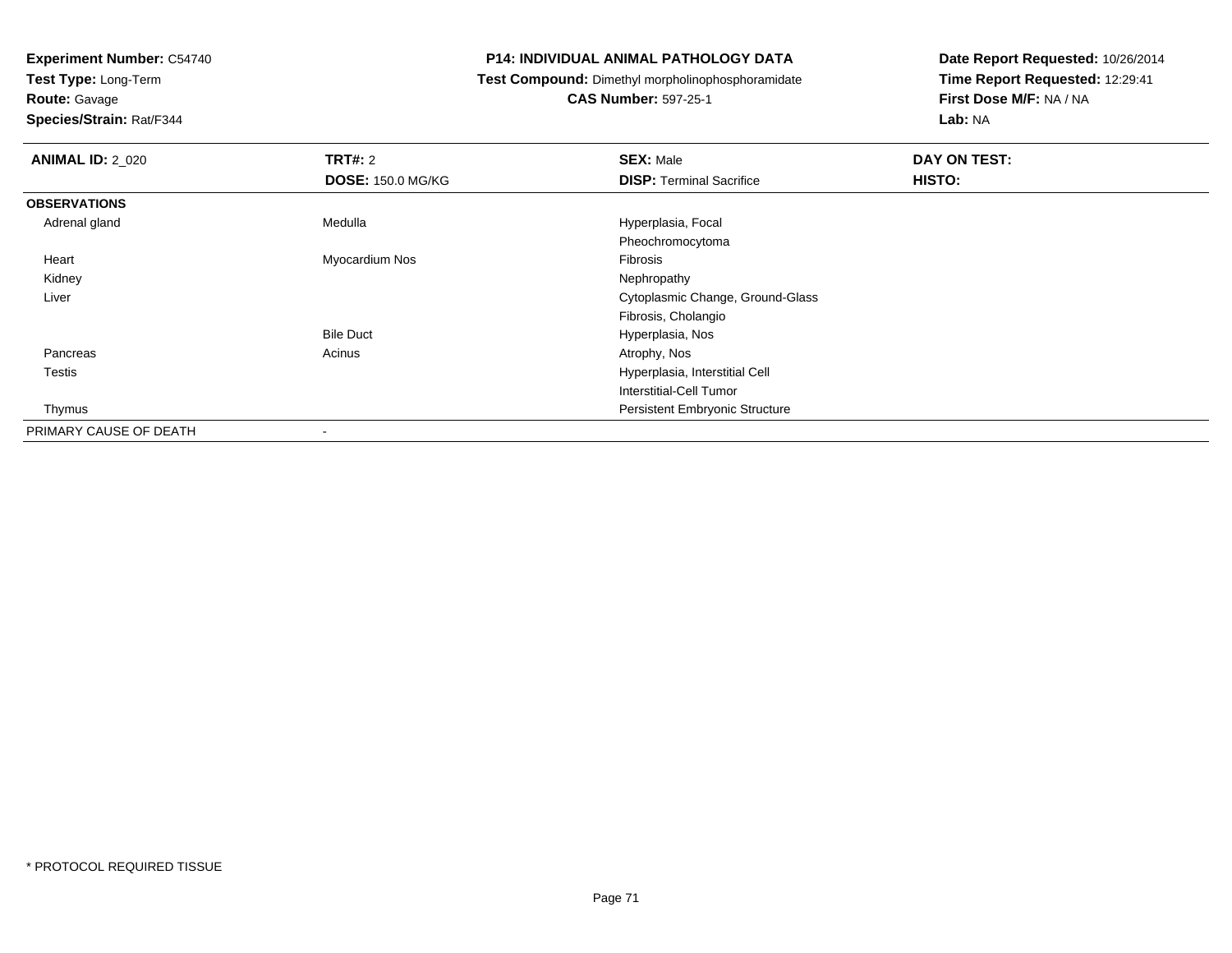**Test Type:** Long-Term

**Route:** Gavage

**Species/Strain:** Rat/F344

#### **P14: INDIVIDUAL ANIMAL PATHOLOGY DATA**

**Test Compound:** Dimethyl morpholinophosphoramidate

**CAS Number:** 597-25-1

| <b>ANIMAL ID: 2_020</b> | TRT#: 2                  | <b>SEX: Male</b>                      | DAY ON TEST: |
|-------------------------|--------------------------|---------------------------------------|--------------|
|                         | <b>DOSE: 150.0 MG/KG</b> | <b>DISP: Terminal Sacrifice</b>       | HISTO:       |
| <b>OBSERVATIONS</b>     |                          |                                       |              |
| Adrenal gland           | Medulla                  | Hyperplasia, Focal                    |              |
|                         |                          | Pheochromocytoma                      |              |
| Heart                   | Myocardium Nos           | Fibrosis                              |              |
| Kidney                  |                          | Nephropathy                           |              |
| Liver                   |                          | Cytoplasmic Change, Ground-Glass      |              |
|                         |                          | Fibrosis, Cholangio                   |              |
|                         | <b>Bile Duct</b>         | Hyperplasia, Nos                      |              |
| Pancreas                | Acinus                   | Atrophy, Nos                          |              |
| <b>Testis</b>           |                          | Hyperplasia, Interstitial Cell        |              |
|                         |                          | Interstitial-Cell Tumor               |              |
| Thymus                  |                          | <b>Persistent Embryonic Structure</b> |              |
| PRIMARY CAUSE OF DEATH  |                          |                                       |              |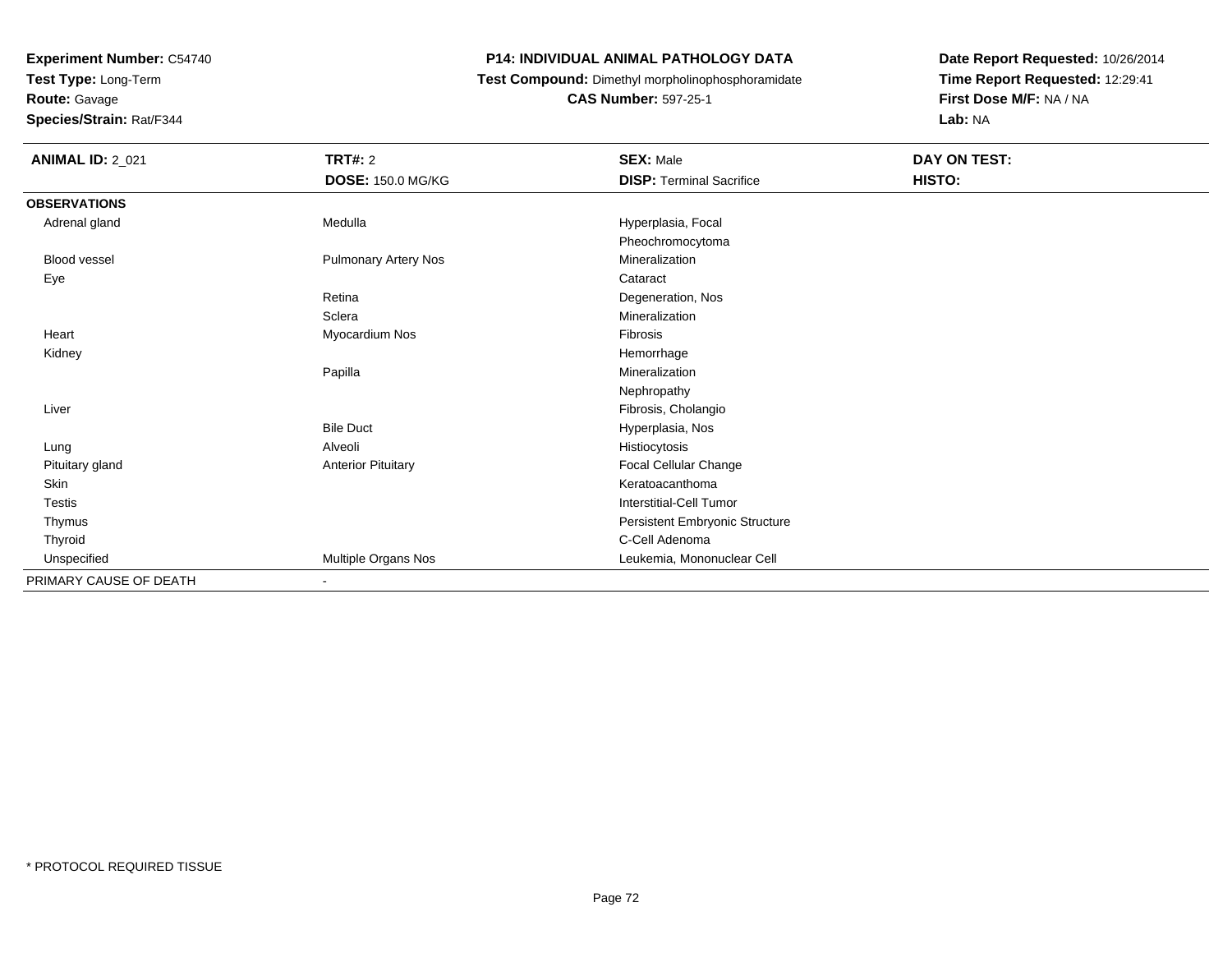**Test Type:** Long-Term

### **Route:** Gavage

**Species/Strain:** Rat/F344

#### **P14: INDIVIDUAL ANIMAL PATHOLOGY DATA**

**Test Compound:** Dimethyl morpholinophosphoramidate

**CAS Number:** 597-25-1

| <b>ANIMAL ID: 2_021</b> | <b>TRT#: 2</b>              | <b>SEX: Male</b>                | DAY ON TEST: |  |
|-------------------------|-----------------------------|---------------------------------|--------------|--|
|                         | <b>DOSE: 150.0 MG/KG</b>    | <b>DISP: Terminal Sacrifice</b> | HISTO:       |  |
| <b>OBSERVATIONS</b>     |                             |                                 |              |  |
| Adrenal gland           | Medulla                     | Hyperplasia, Focal              |              |  |
|                         |                             | Pheochromocytoma                |              |  |
| <b>Blood vessel</b>     | <b>Pulmonary Artery Nos</b> | Mineralization                  |              |  |
| Eye                     |                             | Cataract                        |              |  |
|                         | Retina                      | Degeneration, Nos               |              |  |
|                         | Sclera                      | Mineralization                  |              |  |
| Heart                   | Myocardium Nos              | Fibrosis                        |              |  |
| Kidney                  |                             | Hemorrhage                      |              |  |
|                         | Papilla                     | Mineralization                  |              |  |
|                         |                             | Nephropathy                     |              |  |
| Liver                   |                             | Fibrosis, Cholangio             |              |  |
|                         | <b>Bile Duct</b>            | Hyperplasia, Nos                |              |  |
| Lung                    | Alveoli                     | Histiocytosis                   |              |  |
| Pituitary gland         | <b>Anterior Pituitary</b>   | Focal Cellular Change           |              |  |
| Skin                    |                             | Keratoacanthoma                 |              |  |
| Testis                  |                             | <b>Interstitial-Cell Tumor</b>  |              |  |
| Thymus                  |                             | Persistent Embryonic Structure  |              |  |
| Thyroid                 |                             | C-Cell Adenoma                  |              |  |
| Unspecified             | Multiple Organs Nos         | Leukemia, Mononuclear Cell      |              |  |
| PRIMARY CAUSE OF DEATH  | $\blacksquare$              |                                 |              |  |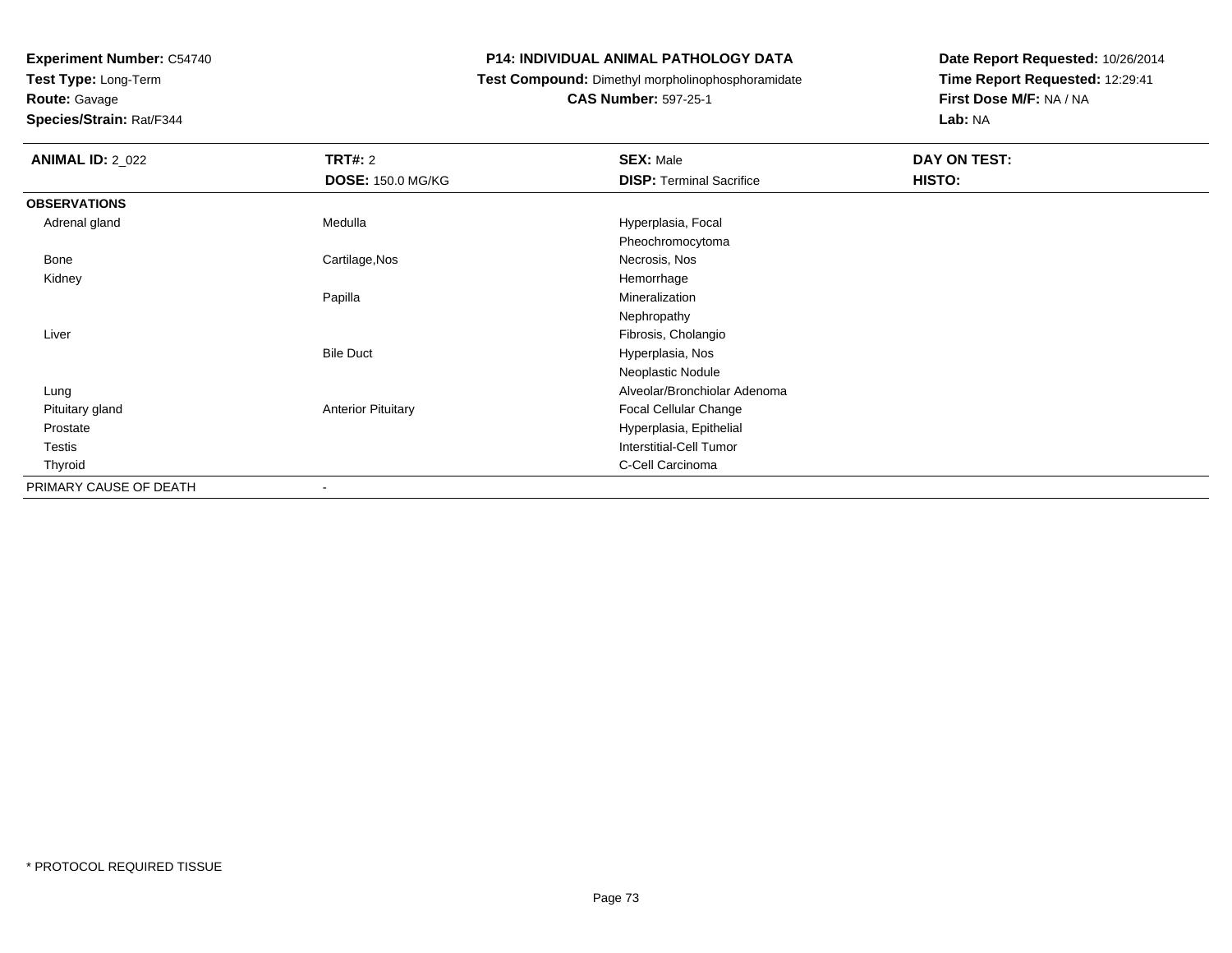**Test Type:** Long-Term

**Route:** Gavage

**Species/Strain:** Rat/F344

#### **P14: INDIVIDUAL ANIMAL PATHOLOGY DATA**

**Test Compound:** Dimethyl morpholinophosphoramidate

**CAS Number:** 597-25-1

| <b>ANIMAL ID: 2_022</b> | <b>TRT#: 2</b>            | <b>SEX: Male</b>                | <b>DAY ON TEST:</b> |
|-------------------------|---------------------------|---------------------------------|---------------------|
|                         | <b>DOSE: 150.0 MG/KG</b>  | <b>DISP: Terminal Sacrifice</b> | HISTO:              |
| <b>OBSERVATIONS</b>     |                           |                                 |                     |
| Adrenal gland           | Medulla                   | Hyperplasia, Focal              |                     |
|                         |                           | Pheochromocytoma                |                     |
| Bone                    | Cartilage, Nos            | Necrosis, Nos                   |                     |
| Kidney                  |                           | Hemorrhage                      |                     |
|                         | Papilla                   | Mineralization                  |                     |
|                         |                           | Nephropathy                     |                     |
| Liver                   |                           | Fibrosis, Cholangio             |                     |
|                         | <b>Bile Duct</b>          | Hyperplasia, Nos                |                     |
|                         |                           | Neoplastic Nodule               |                     |
| Lung                    |                           | Alveolar/Bronchiolar Adenoma    |                     |
| Pituitary gland         | <b>Anterior Pituitary</b> | Focal Cellular Change           |                     |
| Prostate                |                           | Hyperplasia, Epithelial         |                     |
| Testis                  |                           | <b>Interstitial-Cell Tumor</b>  |                     |
| Thyroid                 |                           | C-Cell Carcinoma                |                     |
| PRIMARY CAUSE OF DEATH  | ٠                         |                                 |                     |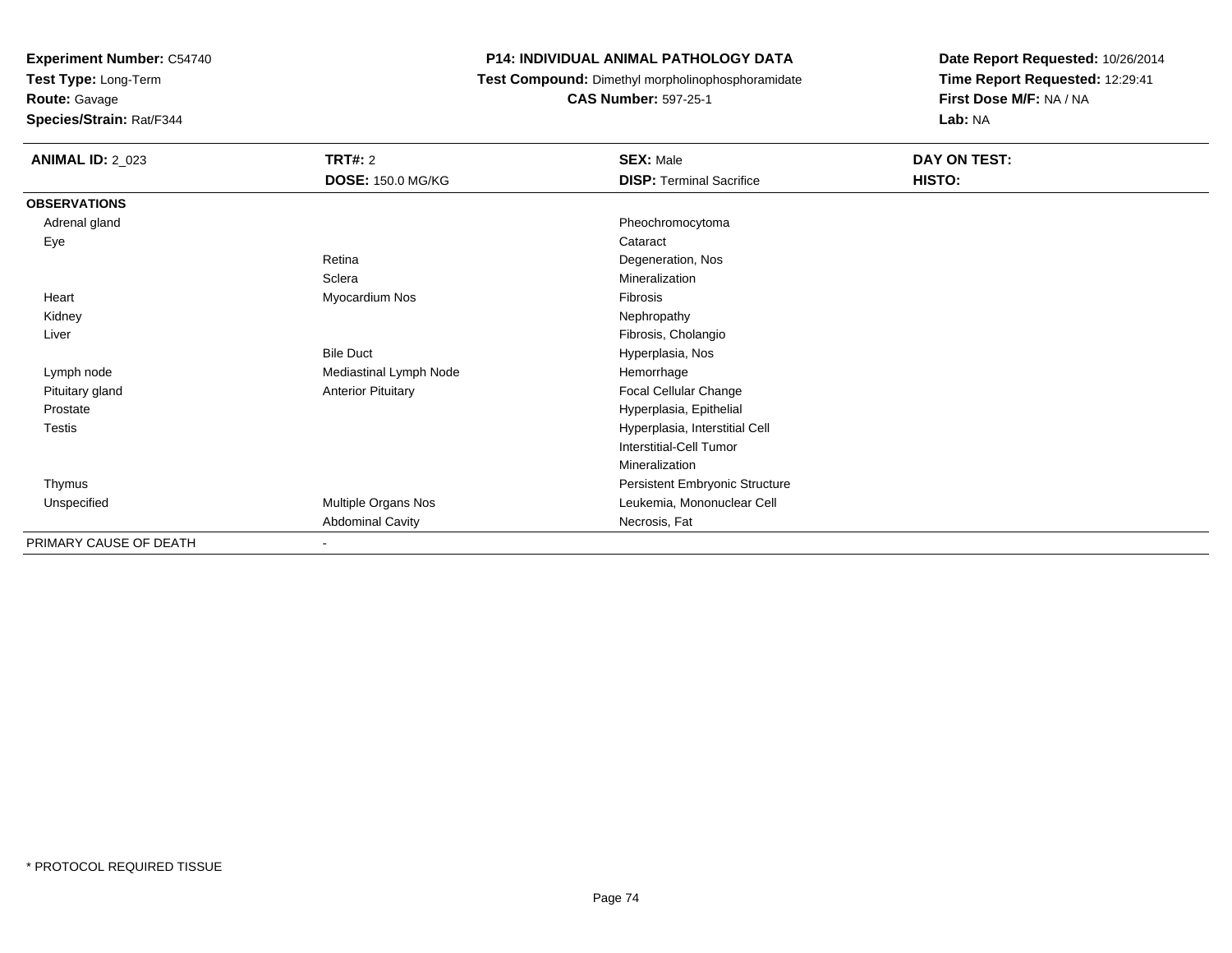**Test Type:** Long-Term

**Route:** Gavage

**Species/Strain:** Rat/F344

#### **P14: INDIVIDUAL ANIMAL PATHOLOGY DATA**

**Test Compound:** Dimethyl morpholinophosphoramidate

**CAS Number:** 597-25-1

| <b>ANIMAL ID: 2_023</b> | <b>TRT#: 2</b>            | <b>SEX: Male</b>                | DAY ON TEST: |  |
|-------------------------|---------------------------|---------------------------------|--------------|--|
|                         | <b>DOSE: 150.0 MG/KG</b>  | <b>DISP: Terminal Sacrifice</b> | HISTO:       |  |
| <b>OBSERVATIONS</b>     |                           |                                 |              |  |
| Adrenal gland           |                           | Pheochromocytoma                |              |  |
| Eye                     |                           | Cataract                        |              |  |
|                         | Retina                    | Degeneration, Nos               |              |  |
|                         | Sclera                    | Mineralization                  |              |  |
| Heart                   | Myocardium Nos            | Fibrosis                        |              |  |
| Kidney                  |                           | Nephropathy                     |              |  |
| Liver                   |                           | Fibrosis, Cholangio             |              |  |
|                         | <b>Bile Duct</b>          | Hyperplasia, Nos                |              |  |
| Lymph node              | Mediastinal Lymph Node    | Hemorrhage                      |              |  |
| Pituitary gland         | <b>Anterior Pituitary</b> | Focal Cellular Change           |              |  |
| Prostate                |                           | Hyperplasia, Epithelial         |              |  |
| <b>Testis</b>           |                           | Hyperplasia, Interstitial Cell  |              |  |
|                         |                           | Interstitial-Cell Tumor         |              |  |
|                         |                           | Mineralization                  |              |  |
| Thymus                  |                           | Persistent Embryonic Structure  |              |  |
| Unspecified             | Multiple Organs Nos       | Leukemia, Mononuclear Cell      |              |  |
|                         | <b>Abdominal Cavity</b>   | Necrosis, Fat                   |              |  |
| PRIMARY CAUSE OF DEATH  |                           |                                 |              |  |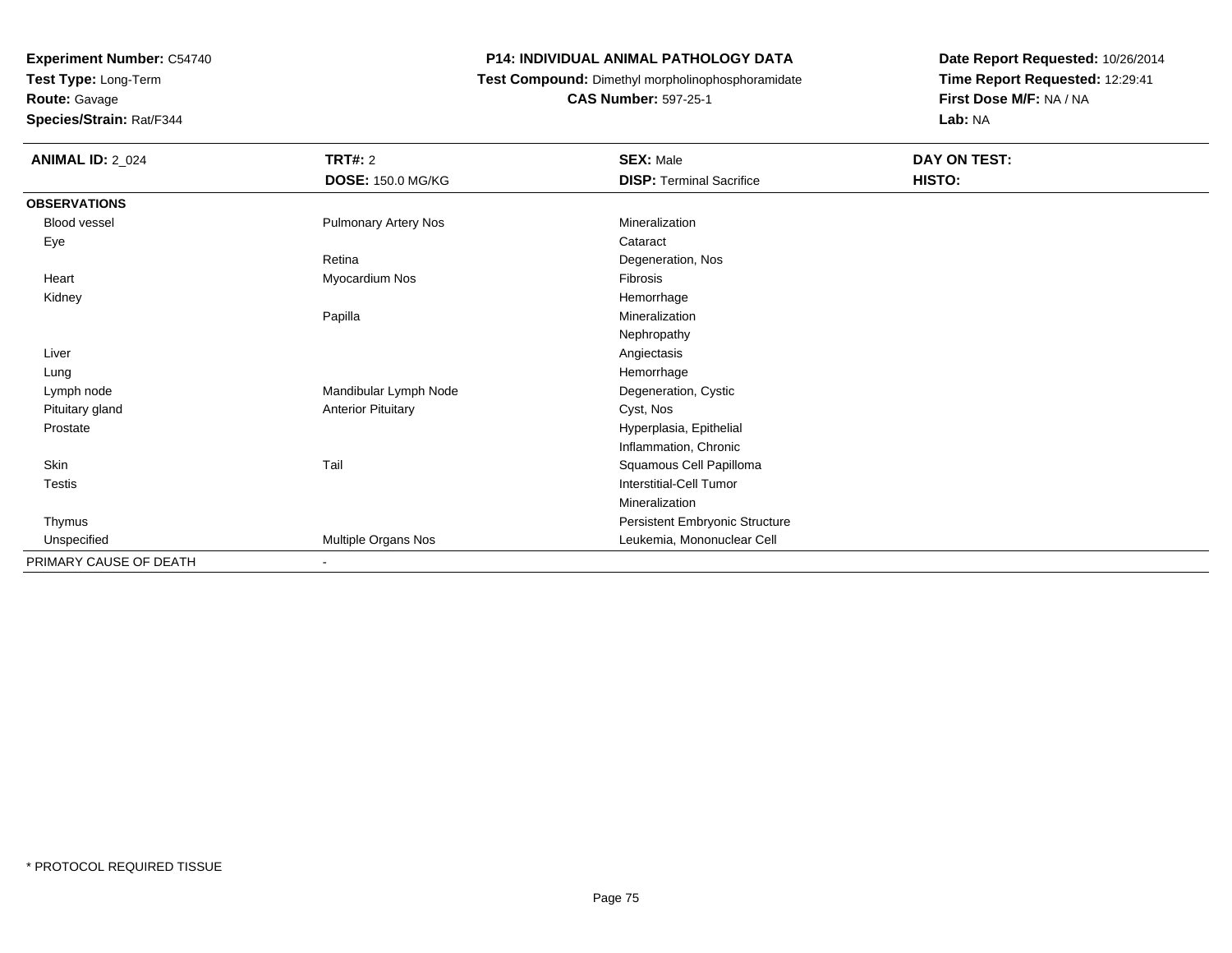**Test Type:** Long-Term**Route:** Gavage

**Species/Strain:** Rat/F344

#### **P14: INDIVIDUAL ANIMAL PATHOLOGY DATA**

**Test Compound:** Dimethyl morpholinophosphoramidate

**CAS Number:** 597-25-1

| <b>ANIMAL ID: 2_024</b> | TRT#: 2                     | <b>SEX: Male</b>                | DAY ON TEST: |
|-------------------------|-----------------------------|---------------------------------|--------------|
|                         | <b>DOSE: 150.0 MG/KG</b>    | <b>DISP: Terminal Sacrifice</b> | HISTO:       |
| <b>OBSERVATIONS</b>     |                             |                                 |              |
| Blood vessel            | <b>Pulmonary Artery Nos</b> | Mineralization                  |              |
| Eye                     |                             | Cataract                        |              |
|                         | Retina                      | Degeneration, Nos               |              |
| Heart                   | Myocardium Nos              | Fibrosis                        |              |
| Kidney                  |                             | Hemorrhage                      |              |
|                         | Papilla                     | Mineralization                  |              |
|                         |                             | Nephropathy                     |              |
| Liver                   |                             | Angiectasis                     |              |
| Lung                    |                             | Hemorrhage                      |              |
| Lymph node              | Mandibular Lymph Node       | Degeneration, Cystic            |              |
| Pituitary gland         | <b>Anterior Pituitary</b>   | Cyst, Nos                       |              |
| Prostate                |                             | Hyperplasia, Epithelial         |              |
|                         |                             | Inflammation, Chronic           |              |
| Skin                    | Tail                        | Squamous Cell Papilloma         |              |
| Testis                  |                             | Interstitial-Cell Tumor         |              |
|                         |                             | Mineralization                  |              |
| Thymus                  |                             | Persistent Embryonic Structure  |              |
| Unspecified             | Multiple Organs Nos         | Leukemia, Mononuclear Cell      |              |
| PRIMARY CAUSE OF DEATH  |                             |                                 |              |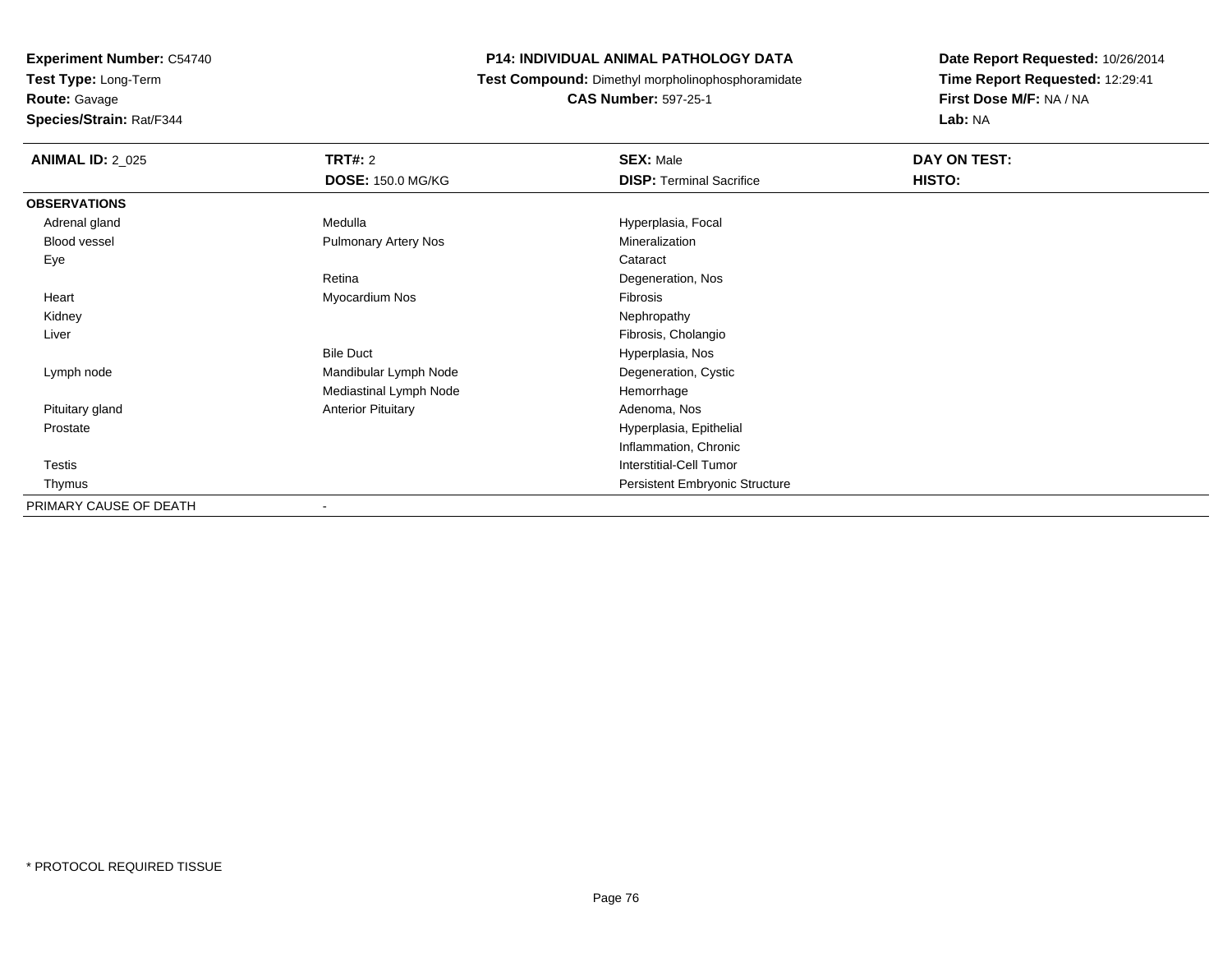**Test Type:** Long-Term

**Route:** Gavage

**Species/Strain:** Rat/F344

#### **P14: INDIVIDUAL ANIMAL PATHOLOGY DATA**

**Test Compound:** Dimethyl morpholinophosphoramidate

**CAS Number:** 597-25-1

| <b>ANIMAL ID: 2_025</b> | TRT#: 2                     | <b>SEX: Male</b>                      | DAY ON TEST: |
|-------------------------|-----------------------------|---------------------------------------|--------------|
|                         | <b>DOSE: 150.0 MG/KG</b>    | <b>DISP: Terminal Sacrifice</b>       | HISTO:       |
| <b>OBSERVATIONS</b>     |                             |                                       |              |
| Adrenal gland           | Medulla                     | Hyperplasia, Focal                    |              |
| Blood vessel            | <b>Pulmonary Artery Nos</b> | Mineralization                        |              |
| Eye                     |                             | Cataract                              |              |
|                         | Retina                      | Degeneration, Nos                     |              |
| Heart                   | Myocardium Nos              | Fibrosis                              |              |
| Kidney                  |                             | Nephropathy                           |              |
| Liver                   |                             | Fibrosis, Cholangio                   |              |
|                         | <b>Bile Duct</b>            | Hyperplasia, Nos                      |              |
| Lymph node              | Mandibular Lymph Node       | Degeneration, Cystic                  |              |
|                         | Mediastinal Lymph Node      | Hemorrhage                            |              |
| Pituitary gland         | <b>Anterior Pituitary</b>   | Adenoma, Nos                          |              |
| Prostate                |                             | Hyperplasia, Epithelial               |              |
|                         |                             | Inflammation, Chronic                 |              |
| <b>Testis</b>           |                             | <b>Interstitial-Cell Tumor</b>        |              |
| Thymus                  |                             | <b>Persistent Embryonic Structure</b> |              |
| PRIMARY CAUSE OF DEATH  | $\blacksquare$              |                                       |              |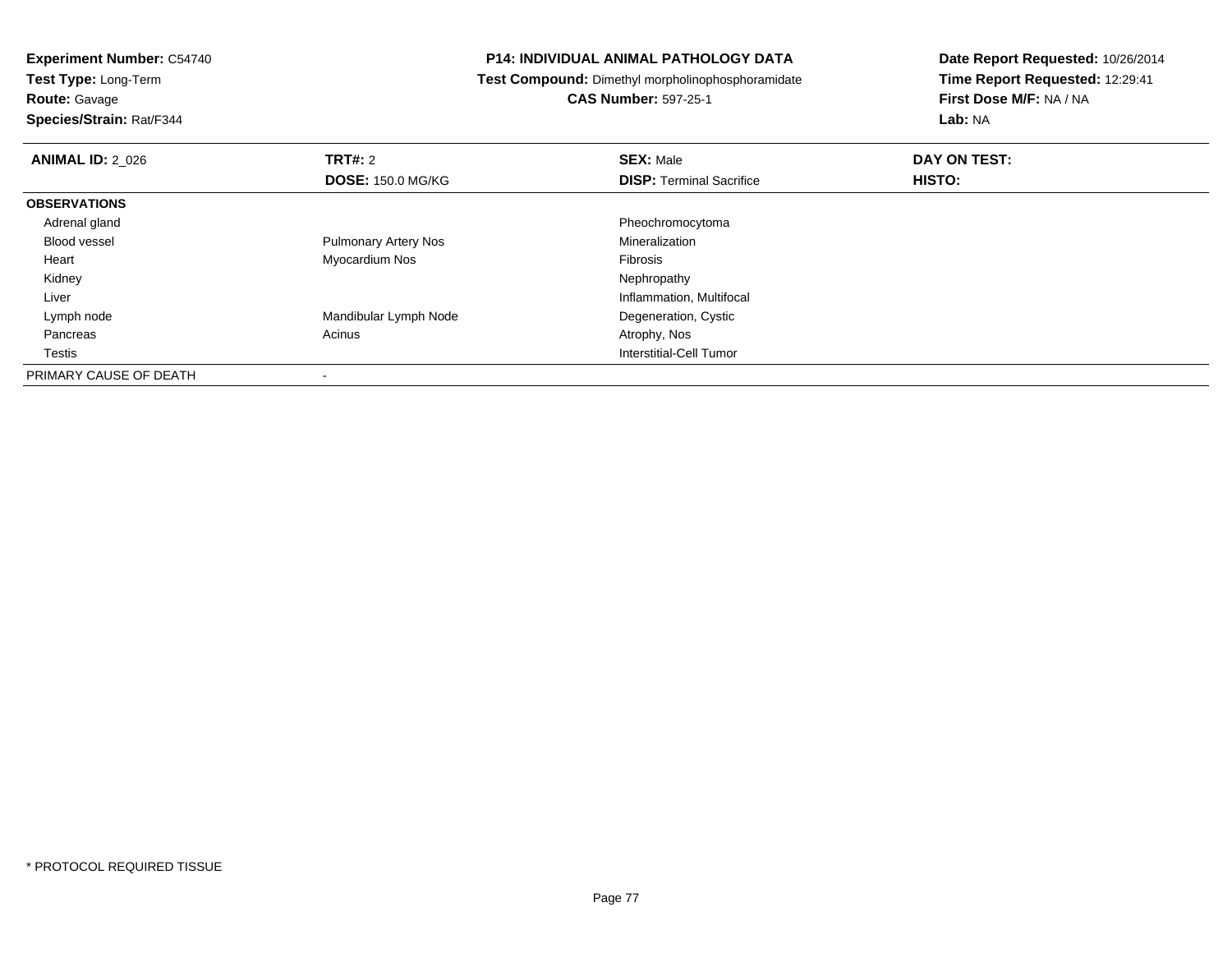**Test Type:** Long-Term

**Route:** Gavage

**Species/Strain:** Rat/F344

#### **P14: INDIVIDUAL ANIMAL PATHOLOGY DATA**

**Test Compound:** Dimethyl morpholinophosphoramidate

**CAS Number:** 597-25-1

| <b>ANIMAL ID: 2 026</b> | TRT#: 2                     | <b>SEX: Male</b>                | DAY ON TEST: |  |
|-------------------------|-----------------------------|---------------------------------|--------------|--|
|                         | <b>DOSE: 150.0 MG/KG</b>    | <b>DISP: Terminal Sacrifice</b> | HISTO:       |  |
| <b>OBSERVATIONS</b>     |                             |                                 |              |  |
| Adrenal gland           |                             | Pheochromocytoma                |              |  |
| Blood vessel            | <b>Pulmonary Artery Nos</b> | Mineralization                  |              |  |
| Heart                   | Myocardium Nos              | Fibrosis                        |              |  |
| Kidney                  |                             | Nephropathy                     |              |  |
| Liver                   |                             | Inflammation, Multifocal        |              |  |
| Lymph node              | Mandibular Lymph Node       | Degeneration, Cystic            |              |  |
| Pancreas                | Acinus                      | Atrophy, Nos                    |              |  |
| Testis                  |                             | Interstitial-Cell Tumor         |              |  |
| PRIMARY CAUSE OF DEATH  |                             |                                 |              |  |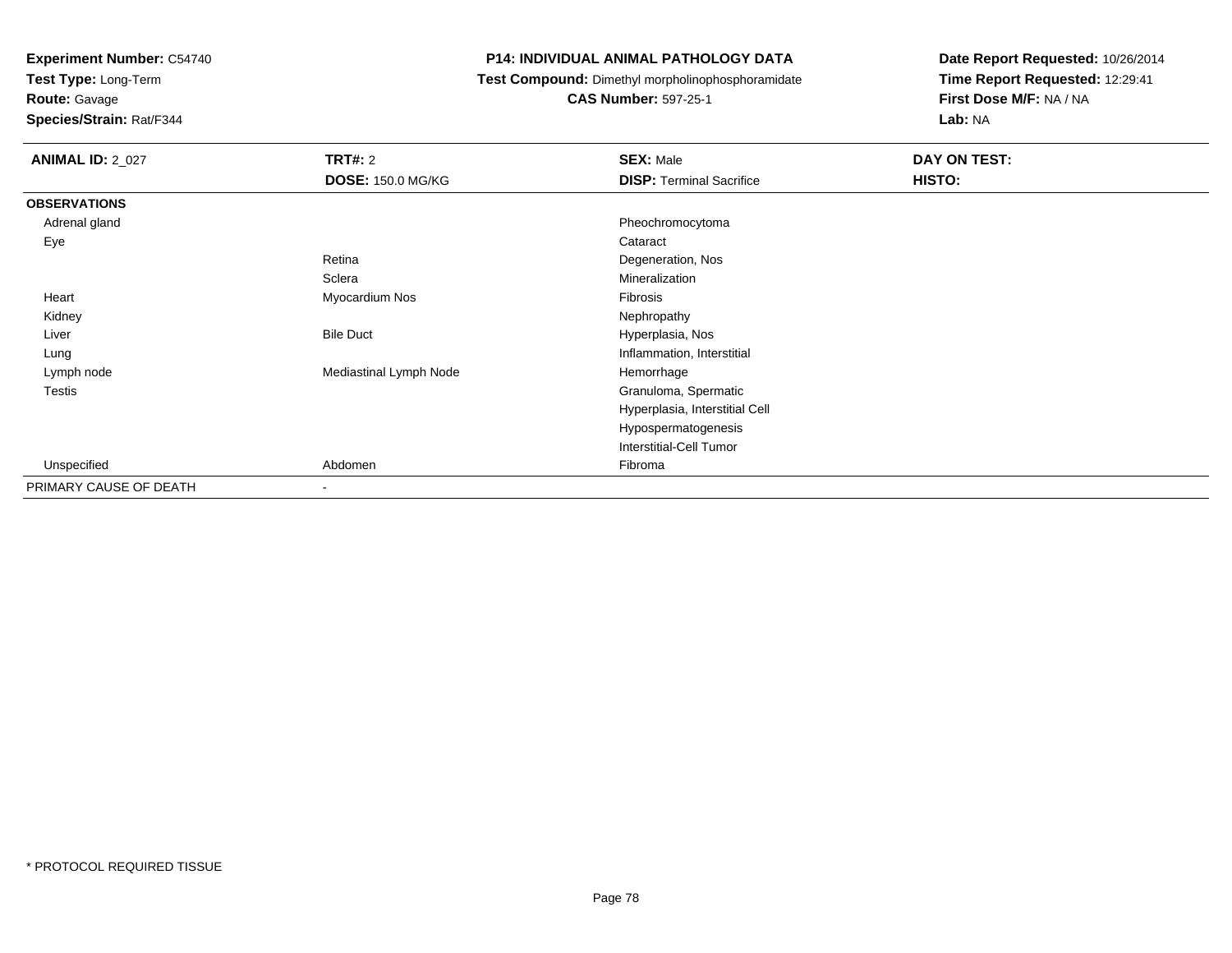**Test Type:** Long-Term

**Route:** Gavage

**Species/Strain:** Rat/F344

#### **P14: INDIVIDUAL ANIMAL PATHOLOGY DATA**

**Test Compound:** Dimethyl morpholinophosphoramidate

**CAS Number:** 597-25-1

| <b>ANIMAL ID: 2_027</b> | TRT#: 2                  | <b>SEX: Male</b>                | DAY ON TEST: |
|-------------------------|--------------------------|---------------------------------|--------------|
|                         | <b>DOSE: 150.0 MG/KG</b> | <b>DISP: Terminal Sacrifice</b> | HISTO:       |
| <b>OBSERVATIONS</b>     |                          |                                 |              |
| Adrenal gland           |                          | Pheochromocytoma                |              |
| Eye                     |                          | Cataract                        |              |
|                         | Retina                   | Degeneration, Nos               |              |
|                         | Sclera                   | Mineralization                  |              |
| Heart                   | Myocardium Nos           | Fibrosis                        |              |
| Kidney                  |                          | Nephropathy                     |              |
| Liver                   | <b>Bile Duct</b>         | Hyperplasia, Nos                |              |
| Lung                    |                          | Inflammation, Interstitial      |              |
| Lymph node              | Mediastinal Lymph Node   | Hemorrhage                      |              |
| Testis                  |                          | Granuloma, Spermatic            |              |
|                         |                          | Hyperplasia, Interstitial Cell  |              |
|                         |                          | Hypospermatogenesis             |              |
|                         |                          | Interstitial-Cell Tumor         |              |
| Unspecified             | Abdomen                  | Fibroma                         |              |
| PRIMARY CAUSE OF DEATH  | $\sim$                   |                                 |              |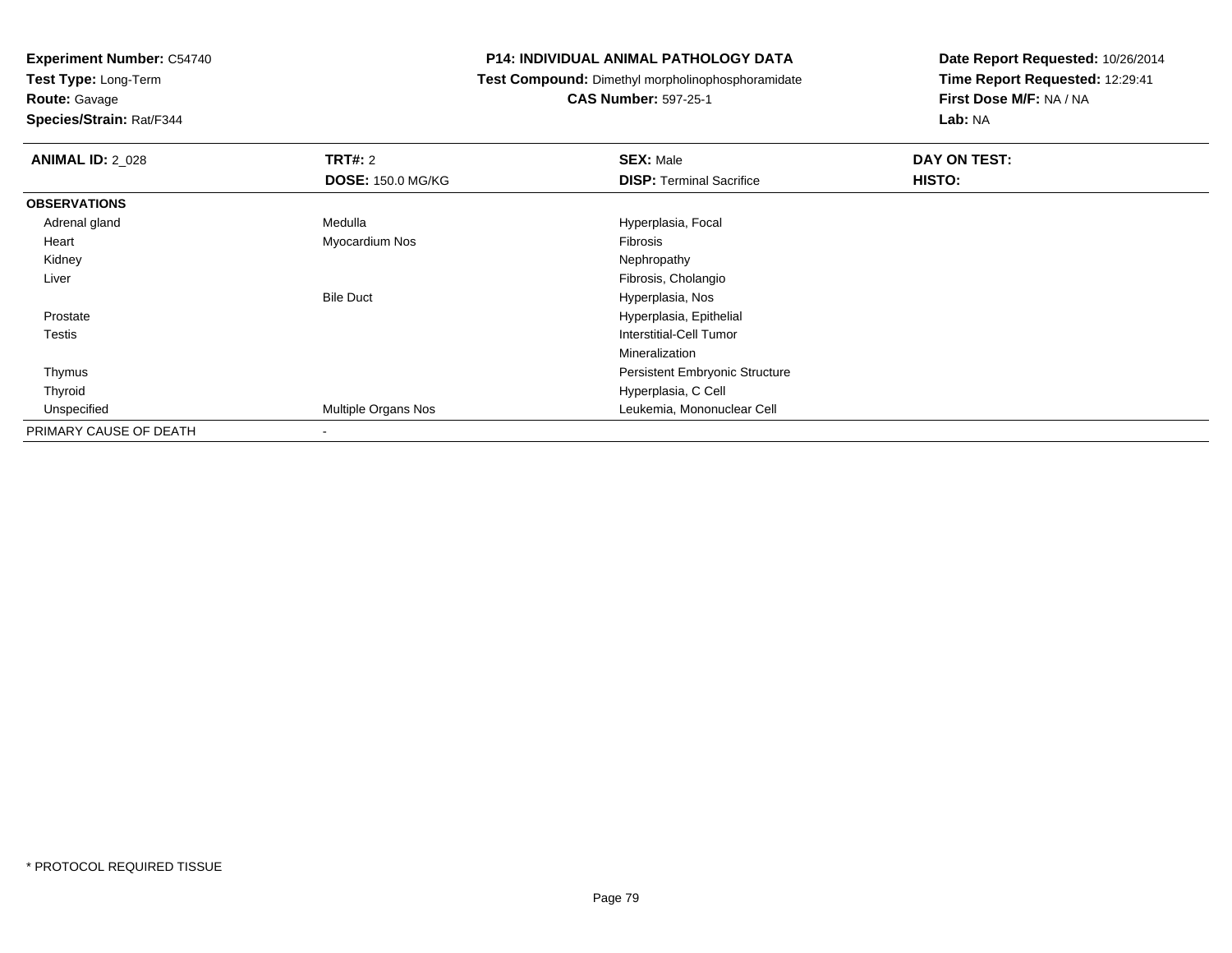**Test Type:** Long-Term

**Route:** Gavage

**Species/Strain:** Rat/F344

#### **P14: INDIVIDUAL ANIMAL PATHOLOGY DATA**

**Test Compound:** Dimethyl morpholinophosphoramidate

**CAS Number:** 597-25-1

| <b>ANIMAL ID: 2 028</b> | TRT#: 2                  | <b>SEX: Male</b>                      | DAY ON TEST: |  |
|-------------------------|--------------------------|---------------------------------------|--------------|--|
|                         | <b>DOSE: 150.0 MG/KG</b> | <b>DISP: Terminal Sacrifice</b>       | HISTO:       |  |
| <b>OBSERVATIONS</b>     |                          |                                       |              |  |
| Adrenal gland           | Medulla                  | Hyperplasia, Focal                    |              |  |
| Heart                   | Myocardium Nos           | Fibrosis                              |              |  |
| Kidney                  |                          | Nephropathy                           |              |  |
| Liver                   |                          | Fibrosis, Cholangio                   |              |  |
|                         | <b>Bile Duct</b>         | Hyperplasia, Nos                      |              |  |
| Prostate                |                          | Hyperplasia, Epithelial               |              |  |
| Testis                  |                          | Interstitial-Cell Tumor               |              |  |
|                         |                          | Mineralization                        |              |  |
| Thymus                  |                          | <b>Persistent Embryonic Structure</b> |              |  |
| Thyroid                 |                          | Hyperplasia, C Cell                   |              |  |
| Unspecified             | Multiple Organs Nos      | Leukemia, Mononuclear Cell            |              |  |
| PRIMARY CAUSE OF DEATH  | $\,$                     |                                       |              |  |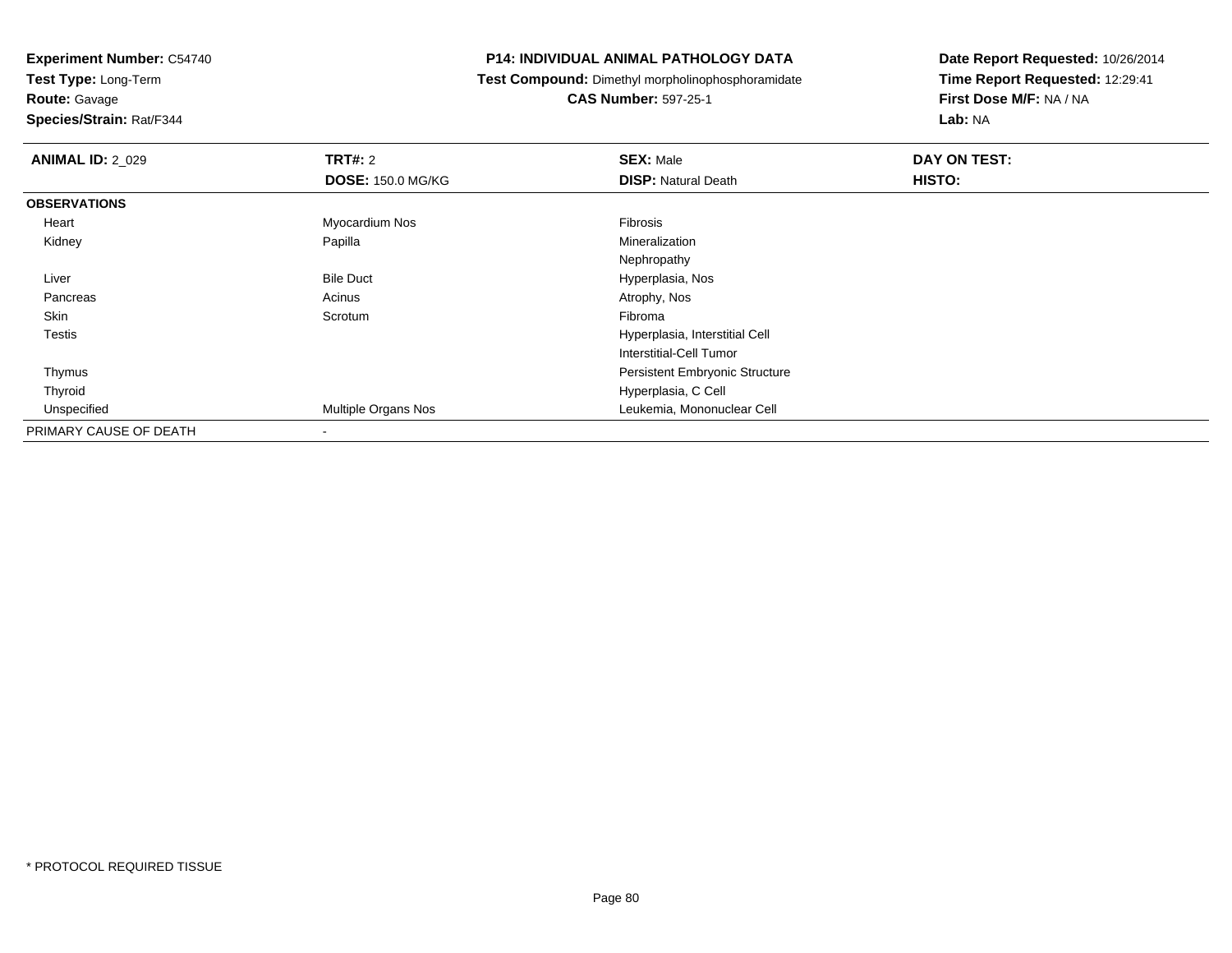**Test Type:** Long-Term

**Route:** Gavage

**Species/Strain:** Rat/F344

#### **P14: INDIVIDUAL ANIMAL PATHOLOGY DATA**

**Test Compound:** Dimethyl morpholinophosphoramidate

**CAS Number:** 597-25-1

| <b>ANIMAL ID: 2_029</b> | TRT#: 2<br><b>DOSE: 150.0 MG/KG</b> | <b>SEX: Male</b><br><b>DISP: Natural Death</b> | DAY ON TEST:<br>HISTO: |
|-------------------------|-------------------------------------|------------------------------------------------|------------------------|
|                         |                                     |                                                |                        |
| <b>OBSERVATIONS</b>     |                                     |                                                |                        |
| Heart                   | Myocardium Nos                      | Fibrosis                                       |                        |
| Kidney                  | Papilla                             | Mineralization                                 |                        |
|                         |                                     | Nephropathy                                    |                        |
| Liver                   | <b>Bile Duct</b>                    | Hyperplasia, Nos                               |                        |
| Pancreas                | Acinus                              | Atrophy, Nos                                   |                        |
| Skin                    | Scrotum                             | Fibroma                                        |                        |
| <b>Testis</b>           |                                     | Hyperplasia, Interstitial Cell                 |                        |
|                         |                                     | Interstitial-Cell Tumor                        |                        |
| Thymus                  |                                     | <b>Persistent Embryonic Structure</b>          |                        |
| Thyroid                 |                                     | Hyperplasia, C Cell                            |                        |
| Unspecified             | Multiple Organs Nos                 | Leukemia, Mononuclear Cell                     |                        |
| PRIMARY CAUSE OF DEATH  | $\,$                                |                                                |                        |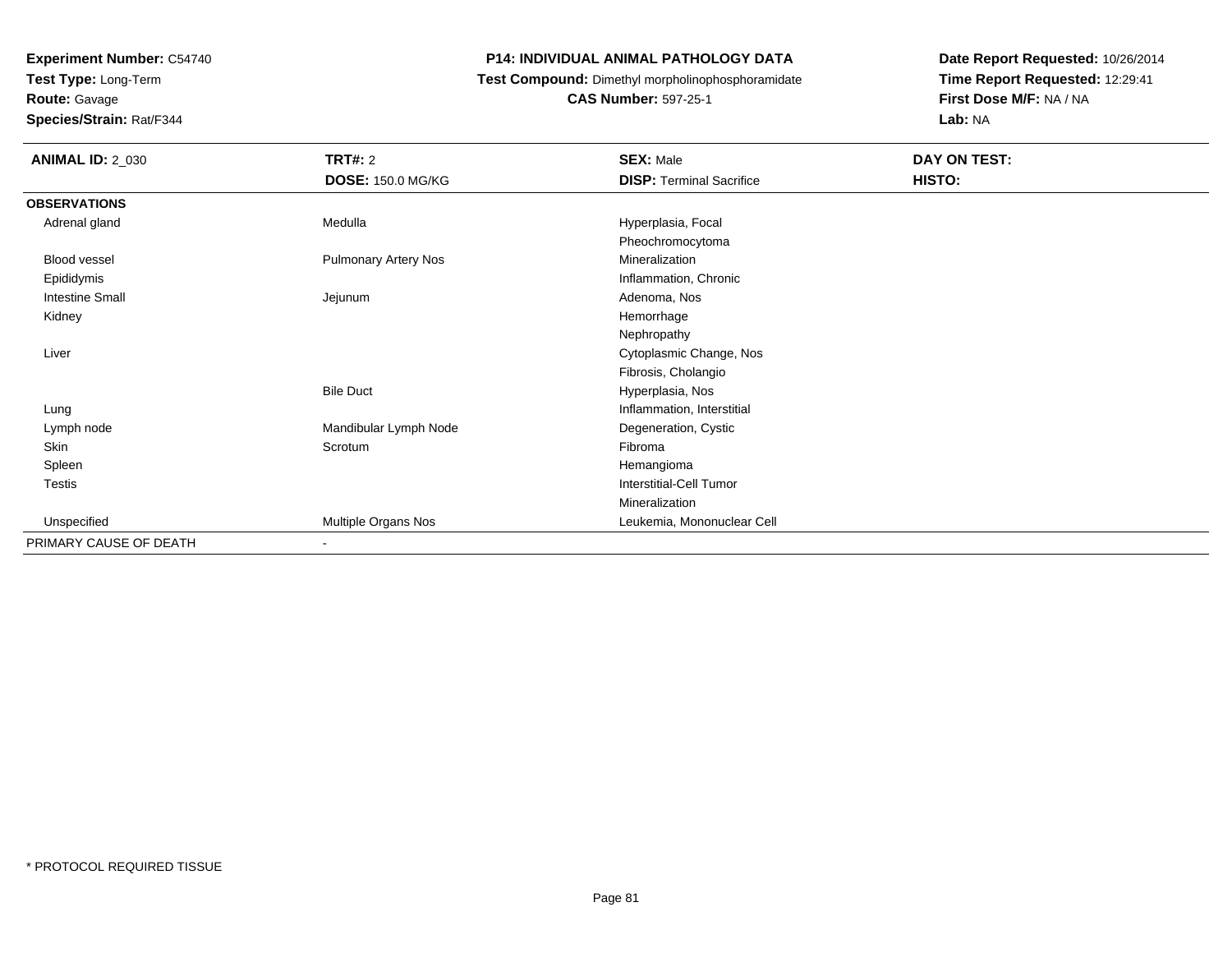**Test Type:** Long-Term

**Route:** Gavage

**Species/Strain:** Rat/F344

#### **P14: INDIVIDUAL ANIMAL PATHOLOGY DATA**

**Test Compound:** Dimethyl morpholinophosphoramidate

**CAS Number:** 597-25-1

| <b>ANIMAL ID: 2_030</b> | TRT#: 2                     | <b>SEX: Male</b>                | DAY ON TEST: |  |
|-------------------------|-----------------------------|---------------------------------|--------------|--|
|                         | <b>DOSE: 150.0 MG/KG</b>    | <b>DISP: Terminal Sacrifice</b> | HISTO:       |  |
| <b>OBSERVATIONS</b>     |                             |                                 |              |  |
| Adrenal gland           | Medulla                     | Hyperplasia, Focal              |              |  |
|                         |                             | Pheochromocytoma                |              |  |
| <b>Blood vessel</b>     | <b>Pulmonary Artery Nos</b> | Mineralization                  |              |  |
| Epididymis              |                             | Inflammation, Chronic           |              |  |
| <b>Intestine Small</b>  | Jejunum                     | Adenoma, Nos                    |              |  |
| Kidney                  |                             | Hemorrhage                      |              |  |
|                         |                             | Nephropathy                     |              |  |
| Liver                   |                             | Cytoplasmic Change, Nos         |              |  |
|                         |                             | Fibrosis, Cholangio             |              |  |
|                         | <b>Bile Duct</b>            | Hyperplasia, Nos                |              |  |
| Lung                    |                             | Inflammation, Interstitial      |              |  |
| Lymph node              | Mandibular Lymph Node       | Degeneration, Cystic            |              |  |
| Skin                    | Scrotum                     | Fibroma                         |              |  |
| Spleen                  |                             | Hemangioma                      |              |  |
| Testis                  |                             | <b>Interstitial-Cell Tumor</b>  |              |  |
|                         |                             | Mineralization                  |              |  |
| Unspecified             | Multiple Organs Nos         | Leukemia, Mononuclear Cell      |              |  |
| PRIMARY CAUSE OF DEATH  | $\overline{\phantom{0}}$    |                                 |              |  |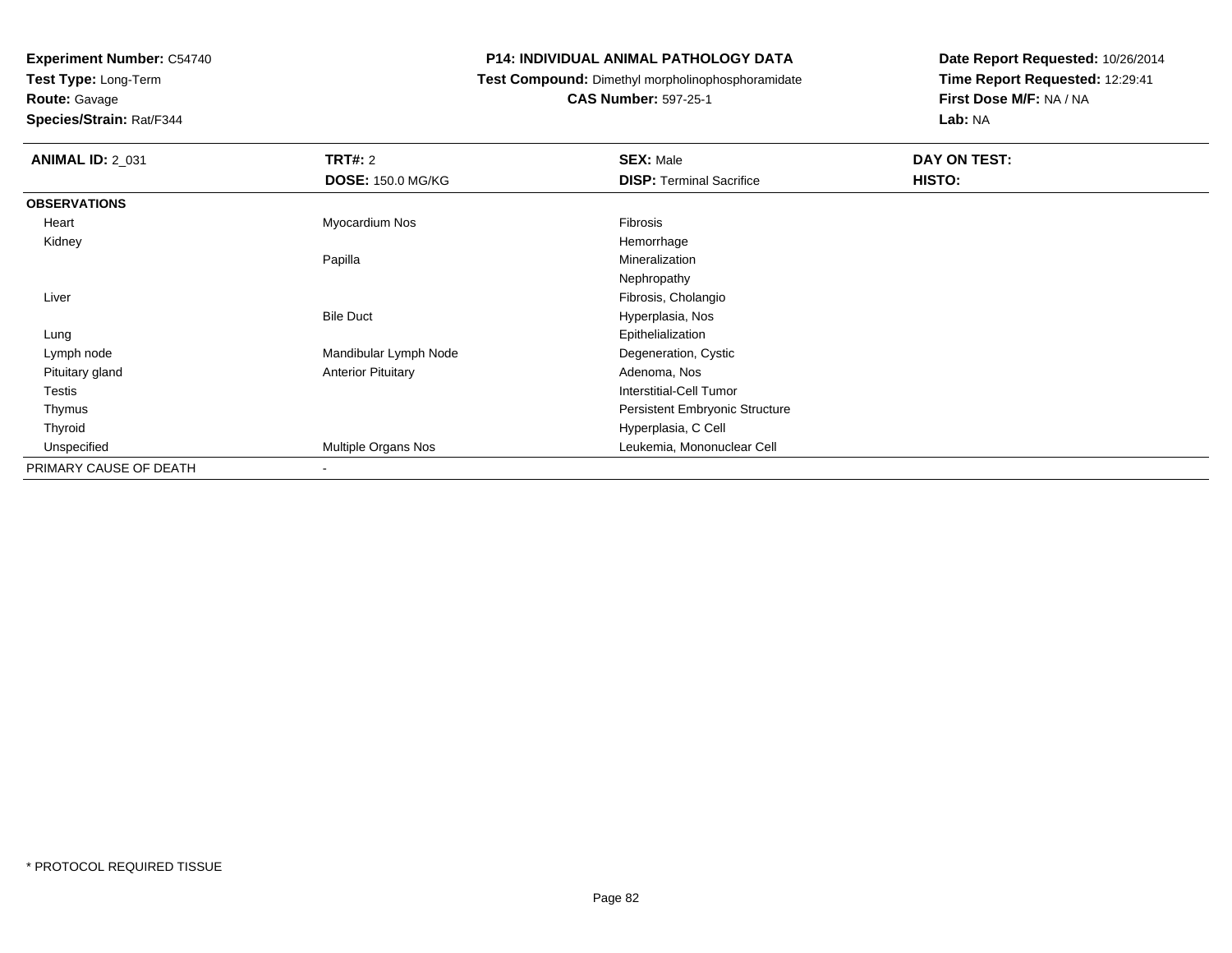**Test Type:** Long-Term

## **Route:** Gavage

**Species/Strain:** Rat/F344

#### **P14: INDIVIDUAL ANIMAL PATHOLOGY DATA**

**Test Compound:** Dimethyl morpholinophosphoramidate

**CAS Number:** 597-25-1

| <b>ANIMAL ID: 2_031</b> | <b>TRT#: 2</b>            | <b>SEX: Male</b>                      | DAY ON TEST: |
|-------------------------|---------------------------|---------------------------------------|--------------|
|                         | <b>DOSE: 150.0 MG/KG</b>  | <b>DISP: Terminal Sacrifice</b>       | HISTO:       |
| <b>OBSERVATIONS</b>     |                           |                                       |              |
| Heart                   | Myocardium Nos            | Fibrosis                              |              |
| Kidney                  |                           | Hemorrhage                            |              |
|                         | Papilla                   | Mineralization                        |              |
|                         |                           | Nephropathy                           |              |
| Liver                   |                           | Fibrosis, Cholangio                   |              |
|                         | <b>Bile Duct</b>          | Hyperplasia, Nos                      |              |
| Lung                    |                           | Epithelialization                     |              |
| Lymph node              | Mandibular Lymph Node     | Degeneration, Cystic                  |              |
| Pituitary gland         | <b>Anterior Pituitary</b> | Adenoma, Nos                          |              |
| <b>Testis</b>           |                           | Interstitial-Cell Tumor               |              |
| Thymus                  |                           | <b>Persistent Embryonic Structure</b> |              |
| Thyroid                 |                           | Hyperplasia, C Cell                   |              |
| Unspecified             | Multiple Organs Nos       | Leukemia, Mononuclear Cell            |              |
| PRIMARY CAUSE OF DEATH  | ۰                         |                                       |              |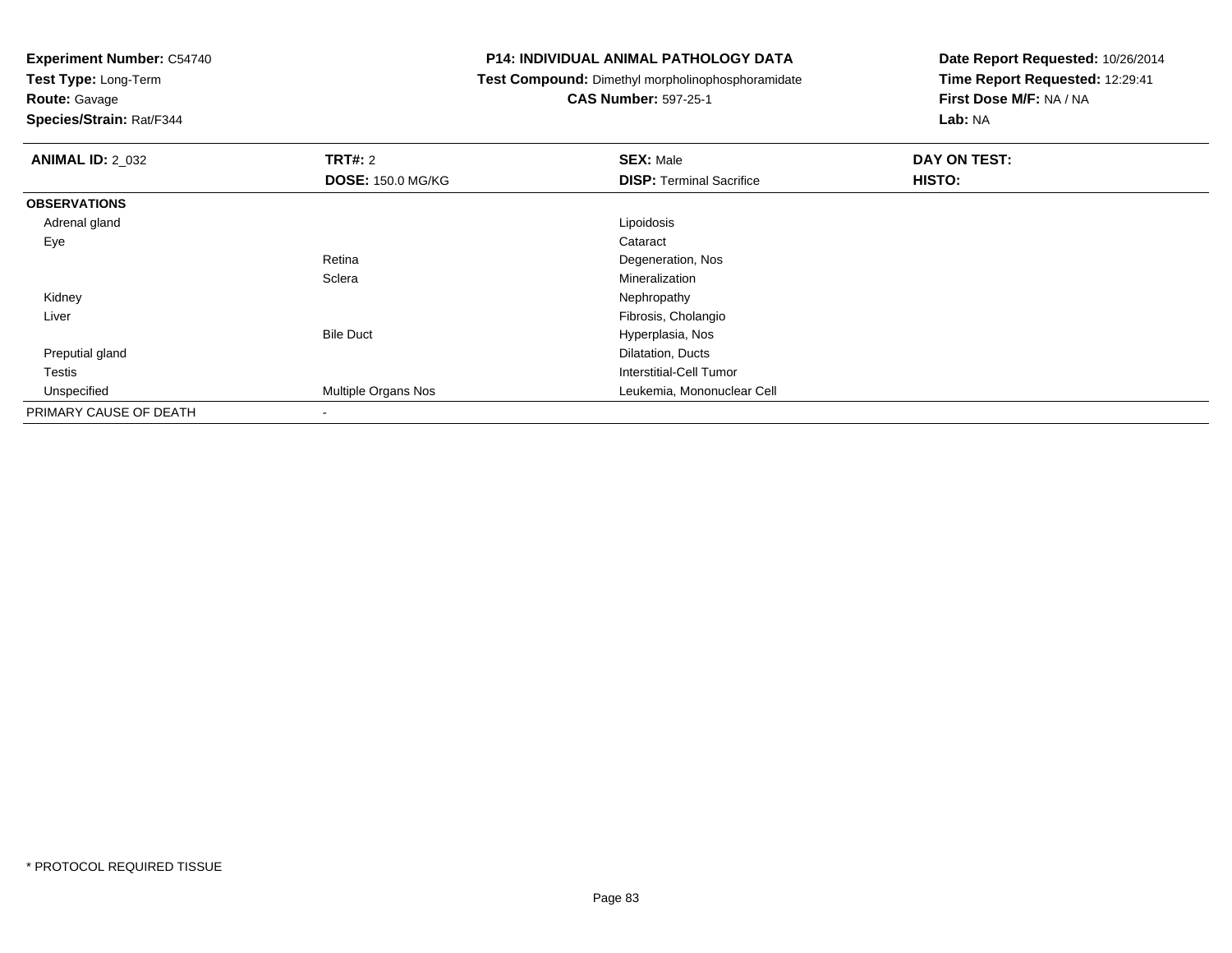**Test Type:** Long-Term

**Route:** Gavage

**Species/Strain:** Rat/F344

#### **P14: INDIVIDUAL ANIMAL PATHOLOGY DATA**

**Test Compound:** Dimethyl morpholinophosphoramidate

**CAS Number:** 597-25-1

| <b>ANIMAL ID: 2_032</b> | <b>TRT#: 2</b>           | <b>SEX: Male</b>                | DAY ON TEST: |
|-------------------------|--------------------------|---------------------------------|--------------|
|                         | <b>DOSE: 150.0 MG/KG</b> | <b>DISP: Terminal Sacrifice</b> | HISTO:       |
| <b>OBSERVATIONS</b>     |                          |                                 |              |
| Adrenal gland           |                          | Lipoidosis                      |              |
| Eye                     |                          | Cataract                        |              |
|                         | Retina                   | Degeneration, Nos               |              |
|                         | Sclera                   | Mineralization                  |              |
| Kidney                  |                          | Nephropathy                     |              |
| Liver                   |                          | Fibrosis, Cholangio             |              |
|                         | <b>Bile Duct</b>         | Hyperplasia, Nos                |              |
| Preputial gland         |                          | Dilatation, Ducts               |              |
| Testis                  |                          | Interstitial-Cell Tumor         |              |
| Unspecified             | Multiple Organs Nos      | Leukemia, Mononuclear Cell      |              |
| PRIMARY CAUSE OF DEATH  |                          |                                 |              |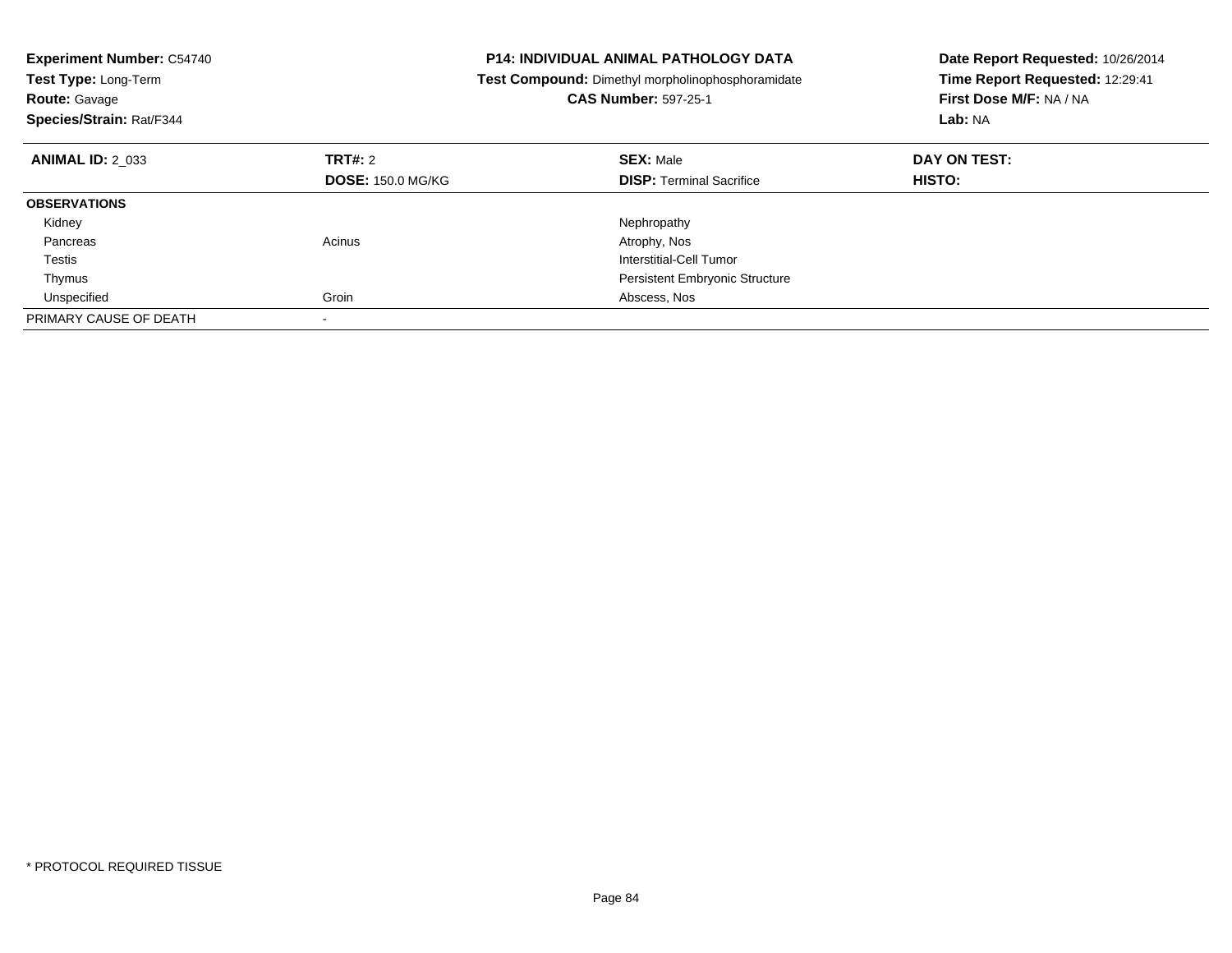| <b>Experiment Number: C54740</b><br>Test Type: Long-Term<br><b>Route: Gavage</b><br>Species/Strain: Rat/F344 |                          | <b>P14: INDIVIDUAL ANIMAL PATHOLOGY DATA</b><br>Test Compound: Dimethyl morpholinophosphoramidate<br><b>CAS Number: 597-25-1</b> | Date Report Requested: 10/26/2014<br>Time Report Requested: 12:29:41<br>First Dose M/F: NA / NA<br>Lab: NA |
|--------------------------------------------------------------------------------------------------------------|--------------------------|----------------------------------------------------------------------------------------------------------------------------------|------------------------------------------------------------------------------------------------------------|
| <b>ANIMAL ID: 2 033</b>                                                                                      | <b>TRT#: 2</b>           | <b>SEX: Male</b>                                                                                                                 | DAY ON TEST:                                                                                               |
|                                                                                                              | <b>DOSE: 150.0 MG/KG</b> | <b>DISP:</b> Terminal Sacrifice                                                                                                  | HISTO:                                                                                                     |
| <b>OBSERVATIONS</b>                                                                                          |                          |                                                                                                                                  |                                                                                                            |
| Kidney                                                                                                       |                          | Nephropathy                                                                                                                      |                                                                                                            |
| Pancreas                                                                                                     | Acinus                   | Atrophy, Nos                                                                                                                     |                                                                                                            |
| Testis                                                                                                       |                          | Interstitial-Cell Tumor                                                                                                          |                                                                                                            |
| Thymus                                                                                                       |                          | <b>Persistent Embryonic Structure</b>                                                                                            |                                                                                                            |
| Unspecified                                                                                                  | Groin                    | Abscess, Nos                                                                                                                     |                                                                                                            |
| PRIMARY CAUSE OF DEATH                                                                                       |                          |                                                                                                                                  |                                                                                                            |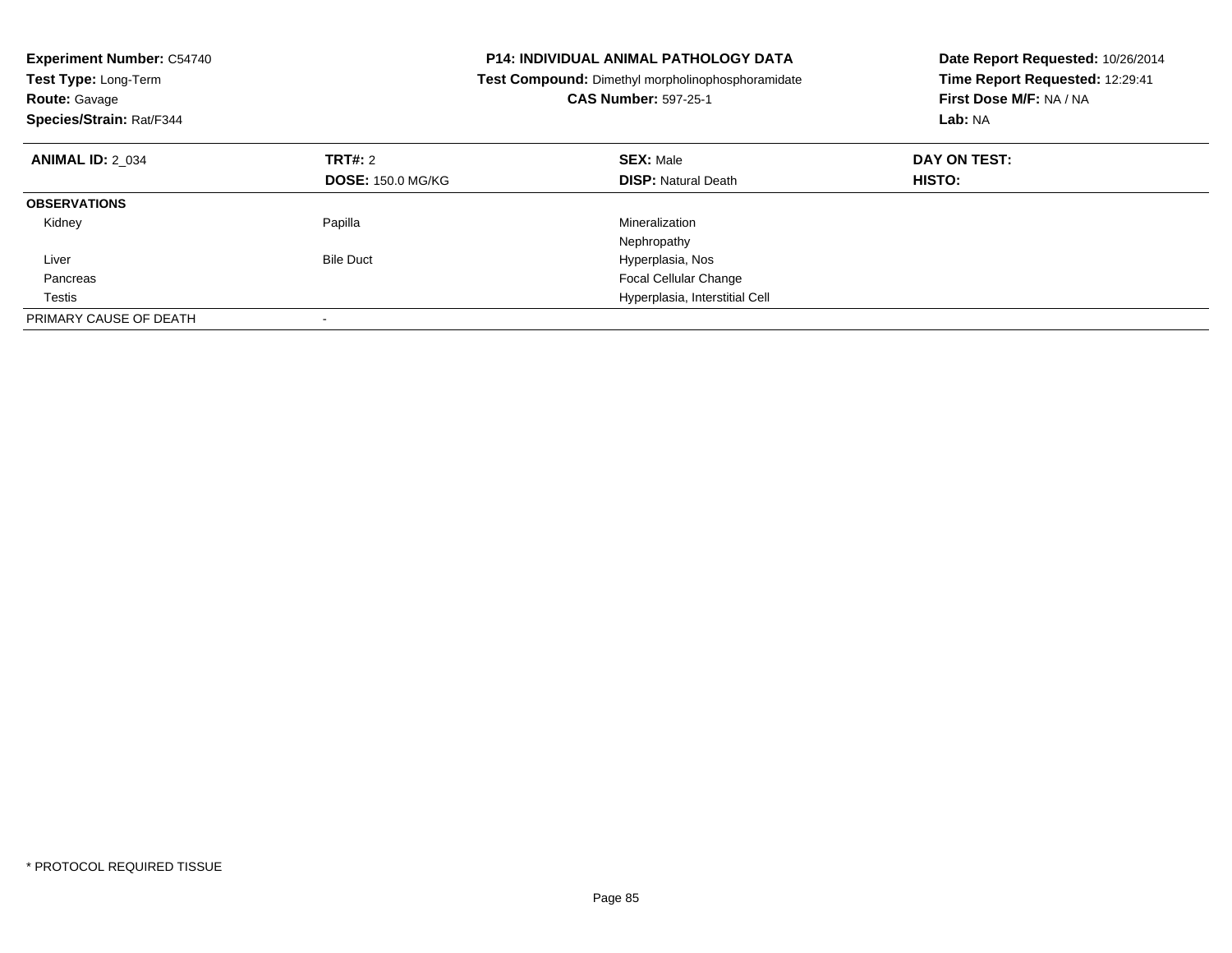| <b>Experiment Number: C54740</b><br>Test Type: Long-Term<br><b>Route: Gavage</b><br>Species/Strain: Rat/F344 |                          | <b>P14: INDIVIDUAL ANIMAL PATHOLOGY DATA</b><br>Test Compound: Dimethyl morpholinophosphoramidate<br><b>CAS Number: 597-25-1</b> | Date Report Requested: 10/26/2014<br>Time Report Requested: 12:29:41<br>First Dose M/F: NA / NA<br>Lab: NA |
|--------------------------------------------------------------------------------------------------------------|--------------------------|----------------------------------------------------------------------------------------------------------------------------------|------------------------------------------------------------------------------------------------------------|
| <b>ANIMAL ID: 2 034</b>                                                                                      | TRT#: 2                  | <b>SEX: Male</b>                                                                                                                 | DAY ON TEST:                                                                                               |
|                                                                                                              | <b>DOSE: 150.0 MG/KG</b> | <b>DISP:</b> Natural Death                                                                                                       | HISTO:                                                                                                     |
| <b>OBSERVATIONS</b>                                                                                          |                          |                                                                                                                                  |                                                                                                            |
| Kidney                                                                                                       | Papilla                  | Mineralization                                                                                                                   |                                                                                                            |
|                                                                                                              |                          | Nephropathy                                                                                                                      |                                                                                                            |
| Liver                                                                                                        | <b>Bile Duct</b>         | Hyperplasia, Nos                                                                                                                 |                                                                                                            |
| Pancreas                                                                                                     |                          | Focal Cellular Change                                                                                                            |                                                                                                            |
| Testis                                                                                                       |                          | Hyperplasia, Interstitial Cell                                                                                                   |                                                                                                            |
| PRIMARY CAUSE OF DEATH                                                                                       |                          |                                                                                                                                  |                                                                                                            |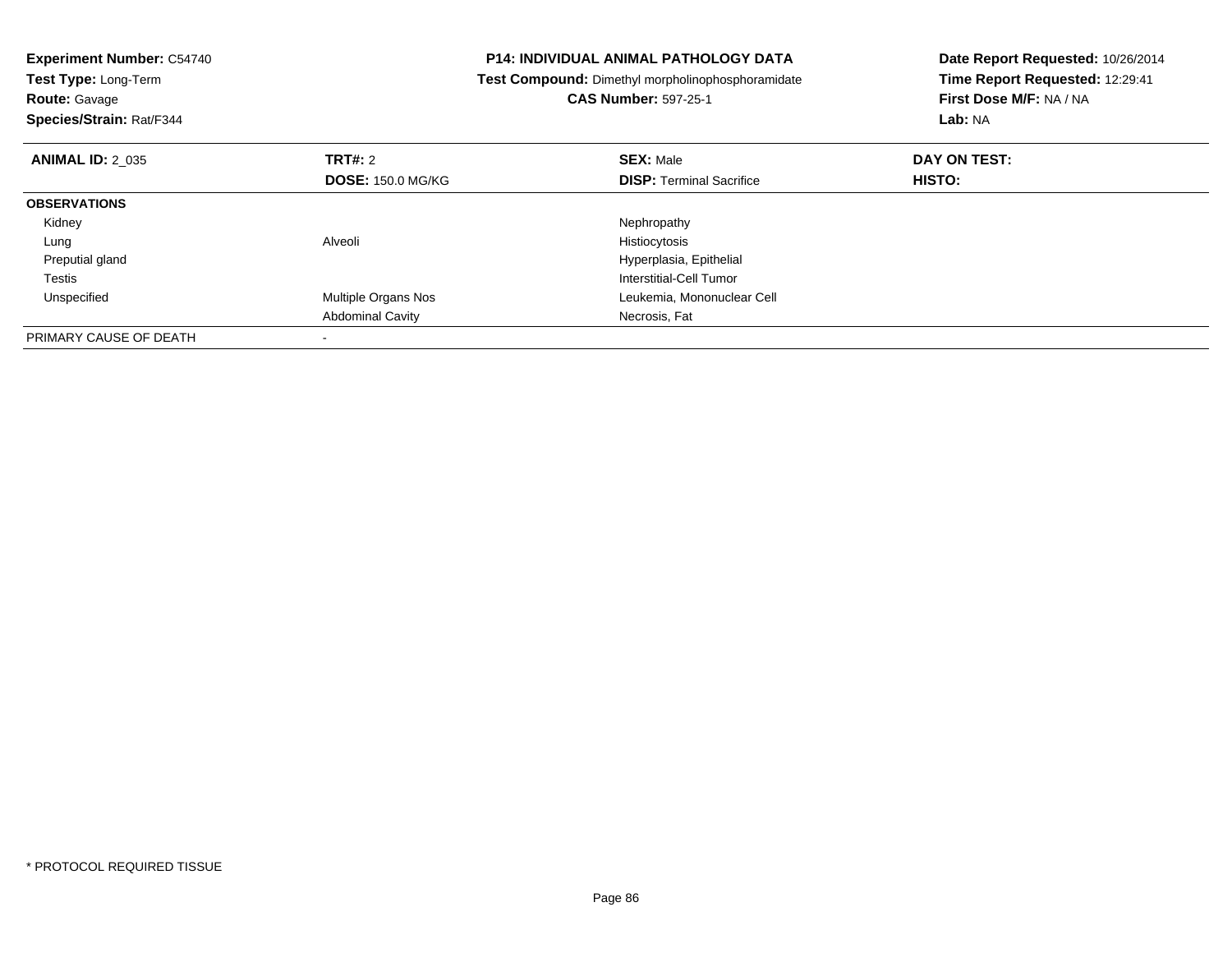| <b>Experiment Number: C54740</b><br><b>Test Type: Long-Term</b><br><b>Route: Gavage</b><br>Species/Strain: Rat/F344 | <b>P14: INDIVIDUAL ANIMAL PATHOLOGY DATA</b><br>Test Compound: Dimethyl morpholinophosphoramidate<br><b>CAS Number: 597-25-1</b> |                                 | Date Report Requested: 10/26/2014<br>Time Report Requested: 12:29:41<br>First Dose M/F: NA / NA<br>Lab: NA |
|---------------------------------------------------------------------------------------------------------------------|----------------------------------------------------------------------------------------------------------------------------------|---------------------------------|------------------------------------------------------------------------------------------------------------|
| <b>ANIMAL ID: 2 035</b>                                                                                             | TRT#: 2                                                                                                                          | <b>SEX: Male</b>                | DAY ON TEST:                                                                                               |
|                                                                                                                     | <b>DOSE: 150.0 MG/KG</b>                                                                                                         | <b>DISP:</b> Terminal Sacrifice | <b>HISTO:</b>                                                                                              |
| <b>OBSERVATIONS</b>                                                                                                 |                                                                                                                                  |                                 |                                                                                                            |
| Kidney                                                                                                              |                                                                                                                                  | Nephropathy                     |                                                                                                            |
| Lung                                                                                                                | Alveoli                                                                                                                          | Histiocytosis                   |                                                                                                            |
| Preputial gland                                                                                                     |                                                                                                                                  | Hyperplasia, Epithelial         |                                                                                                            |
| Testis                                                                                                              |                                                                                                                                  | Interstitial-Cell Tumor         |                                                                                                            |
| Unspecified                                                                                                         | Multiple Organs Nos                                                                                                              | Leukemia, Mononuclear Cell      |                                                                                                            |
|                                                                                                                     | <b>Abdominal Cavity</b>                                                                                                          | Necrosis, Fat                   |                                                                                                            |
| PRIMARY CAUSE OF DEATH                                                                                              |                                                                                                                                  |                                 |                                                                                                            |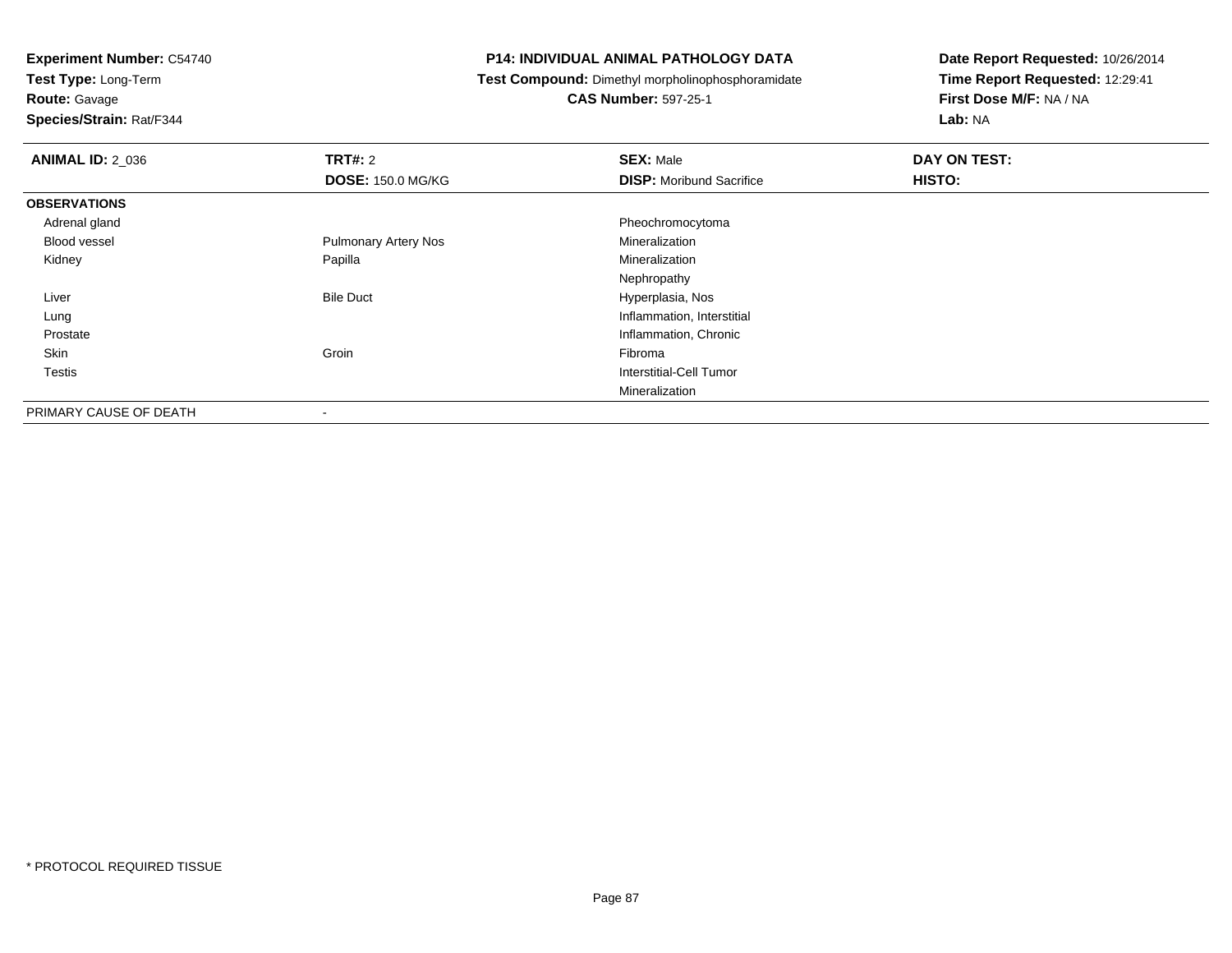**Test Type:** Long-Term

**Route:** Gavage

**Species/Strain:** Rat/F344

#### **P14: INDIVIDUAL ANIMAL PATHOLOGY DATA**

**Test Compound:** Dimethyl morpholinophosphoramidate

**CAS Number:** 597-25-1

| <b>ANIMAL ID: 2_036</b> | TRT#: 2                     | <b>SEX: Male</b>                | DAY ON TEST: |  |
|-------------------------|-----------------------------|---------------------------------|--------------|--|
|                         | <b>DOSE: 150.0 MG/KG</b>    | <b>DISP:</b> Moribund Sacrifice | HISTO:       |  |
| <b>OBSERVATIONS</b>     |                             |                                 |              |  |
| Adrenal gland           |                             | Pheochromocytoma                |              |  |
| Blood vessel            | <b>Pulmonary Artery Nos</b> | Mineralization                  |              |  |
| Kidney                  | Papilla                     | Mineralization                  |              |  |
|                         |                             | Nephropathy                     |              |  |
| Liver                   | <b>Bile Duct</b>            | Hyperplasia, Nos                |              |  |
| Lung                    |                             | Inflammation, Interstitial      |              |  |
| Prostate                |                             | Inflammation, Chronic           |              |  |
| Skin                    | Groin                       | Fibroma                         |              |  |
| Testis                  |                             | Interstitial-Cell Tumor         |              |  |
|                         |                             | Mineralization                  |              |  |
| PRIMARY CAUSE OF DEATH  | $\,$                        |                                 |              |  |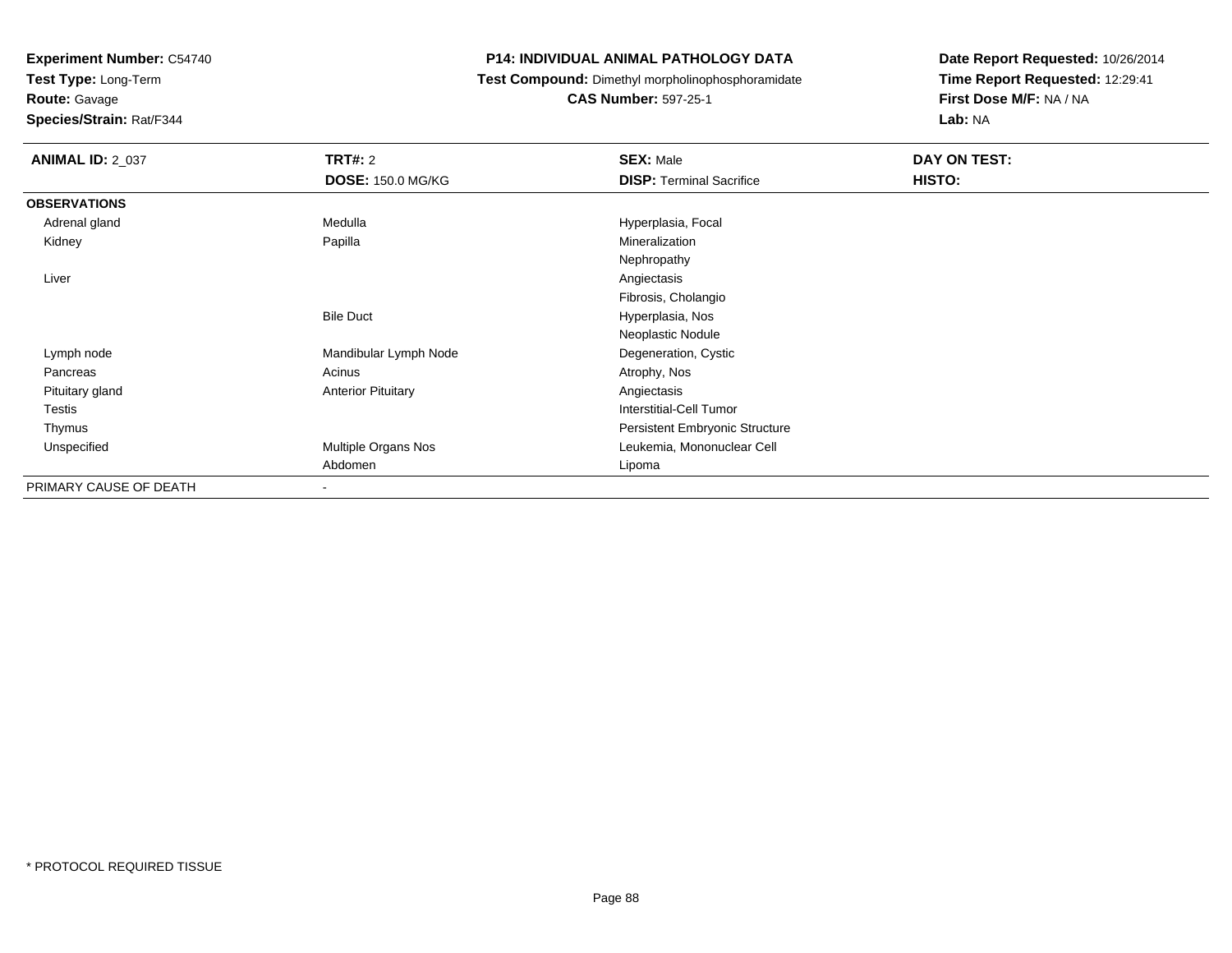**Test Type:** Long-Term

**Route:** Gavage

**Species/Strain:** Rat/F344

#### **P14: INDIVIDUAL ANIMAL PATHOLOGY DATA**

**Test Compound:** Dimethyl morpholinophosphoramidate

**CAS Number:** 597-25-1

| <b>ANIMAL ID: 2_037</b> | TRT#: 2                   | <b>SEX: Male</b>                | <b>DAY ON TEST:</b> |
|-------------------------|---------------------------|---------------------------------|---------------------|
|                         | <b>DOSE: 150.0 MG/KG</b>  | <b>DISP: Terminal Sacrifice</b> | HISTO:              |
| <b>OBSERVATIONS</b>     |                           |                                 |                     |
| Adrenal gland           | Medulla                   | Hyperplasia, Focal              |                     |
| Kidney                  | Papilla                   | Mineralization                  |                     |
|                         |                           | Nephropathy                     |                     |
| Liver                   |                           | Angiectasis                     |                     |
|                         |                           | Fibrosis, Cholangio             |                     |
|                         | <b>Bile Duct</b>          | Hyperplasia, Nos                |                     |
|                         |                           | Neoplastic Nodule               |                     |
| Lymph node              | Mandibular Lymph Node     | Degeneration, Cystic            |                     |
| Pancreas                | Acinus                    | Atrophy, Nos                    |                     |
| Pituitary gland         | <b>Anterior Pituitary</b> | Angiectasis                     |                     |
| <b>Testis</b>           |                           | <b>Interstitial-Cell Tumor</b>  |                     |
| Thymus                  |                           | Persistent Embryonic Structure  |                     |
| Unspecified             | Multiple Organs Nos       | Leukemia, Mononuclear Cell      |                     |
|                         | Abdomen                   | Lipoma                          |                     |
| PRIMARY CAUSE OF DEATH  | $\overline{\phantom{a}}$  |                                 |                     |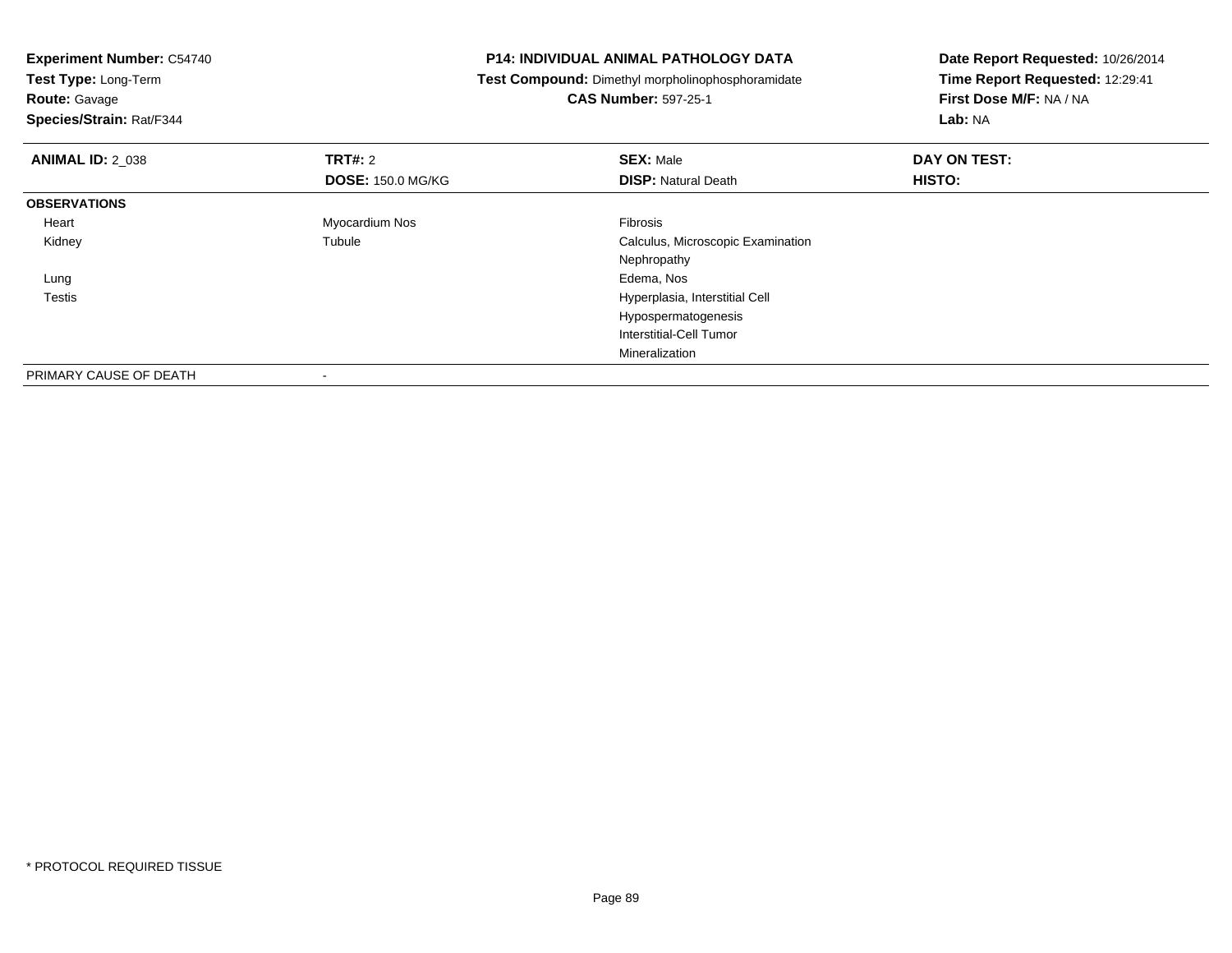| <b>Experiment Number: C54740</b> |                          | <b>P14: INDIVIDUAL ANIMAL PATHOLOGY DATA</b>      | Date Report Requested: 10/26/2014 |  |
|----------------------------------|--------------------------|---------------------------------------------------|-----------------------------------|--|
| Test Type: Long-Term             |                          | Test Compound: Dimethyl morpholinophosphoramidate | Time Report Requested: 12:29:41   |  |
| <b>Route: Gavage</b>             |                          | <b>CAS Number: 597-25-1</b>                       | First Dose M/F: NA / NA           |  |
| Species/Strain: Rat/F344         |                          |                                                   | Lab: NA                           |  |
| <b>ANIMAL ID: 2_038</b>          | <b>TRT#: 2</b>           | <b>SEX: Male</b>                                  | DAY ON TEST:                      |  |
|                                  | <b>DOSE: 150.0 MG/KG</b> | <b>DISP: Natural Death</b>                        | HISTO:                            |  |
| <b>OBSERVATIONS</b>              |                          |                                                   |                                   |  |
| Heart                            | Myocardium Nos           | Fibrosis                                          |                                   |  |
| Kidney                           | Tubule                   | Calculus, Microscopic Examination                 |                                   |  |
|                                  |                          | Nephropathy                                       |                                   |  |
| Lung                             |                          | Edema, Nos                                        |                                   |  |
| Testis                           |                          | Hyperplasia, Interstitial Cell                    |                                   |  |
|                                  |                          | Hypospermatogenesis                               |                                   |  |
|                                  |                          | Interstitial-Cell Tumor                           |                                   |  |
|                                  |                          | Mineralization                                    |                                   |  |
| PRIMARY CAUSE OF DEATH           |                          |                                                   |                                   |  |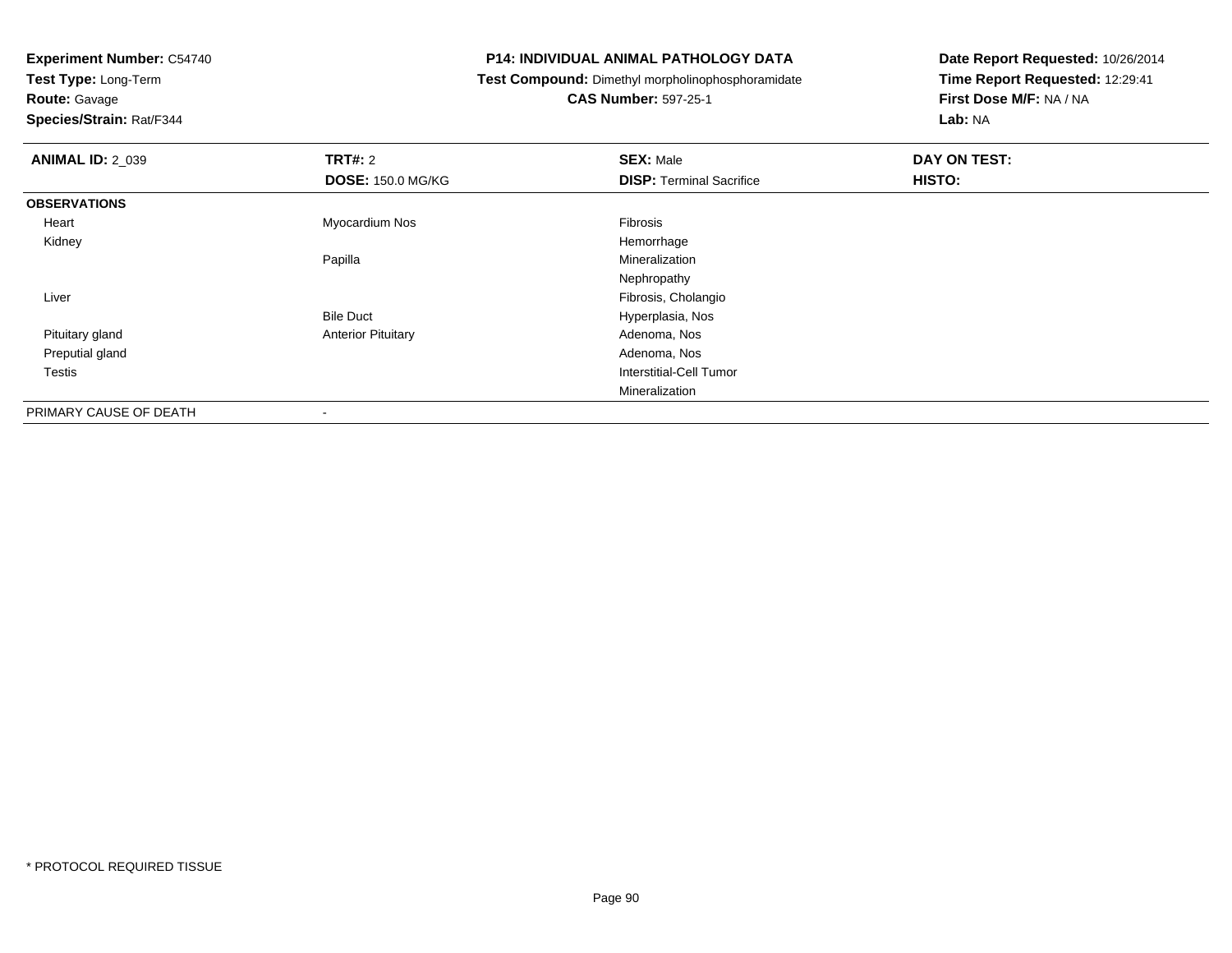**Test Type:** Long-Term

# **Route:** Gavage

**Species/Strain:** Rat/F344

#### **P14: INDIVIDUAL ANIMAL PATHOLOGY DATA**

## **Test Compound:** Dimethyl morpholinophosphoramidate

**CAS Number:** 597-25-1

| <b>ANIMAL ID: 2_039</b> | <b>TRT#: 2</b>            | <b>SEX: Male</b>                | DAY ON TEST: |  |
|-------------------------|---------------------------|---------------------------------|--------------|--|
|                         | <b>DOSE: 150.0 MG/KG</b>  | <b>DISP:</b> Terminal Sacrifice | HISTO:       |  |
| <b>OBSERVATIONS</b>     |                           |                                 |              |  |
| Heart                   | Myocardium Nos            | Fibrosis                        |              |  |
| Kidney                  |                           | Hemorrhage                      |              |  |
|                         | Papilla                   | Mineralization                  |              |  |
|                         |                           | Nephropathy                     |              |  |
| Liver                   |                           | Fibrosis, Cholangio             |              |  |
|                         | <b>Bile Duct</b>          | Hyperplasia, Nos                |              |  |
| Pituitary gland         | <b>Anterior Pituitary</b> | Adenoma, Nos                    |              |  |
| Preputial gland         |                           | Adenoma, Nos                    |              |  |
| Testis                  |                           | Interstitial-Cell Tumor         |              |  |
|                         |                           | Mineralization                  |              |  |
| PRIMARY CAUSE OF DEATH  | ۰                         |                                 |              |  |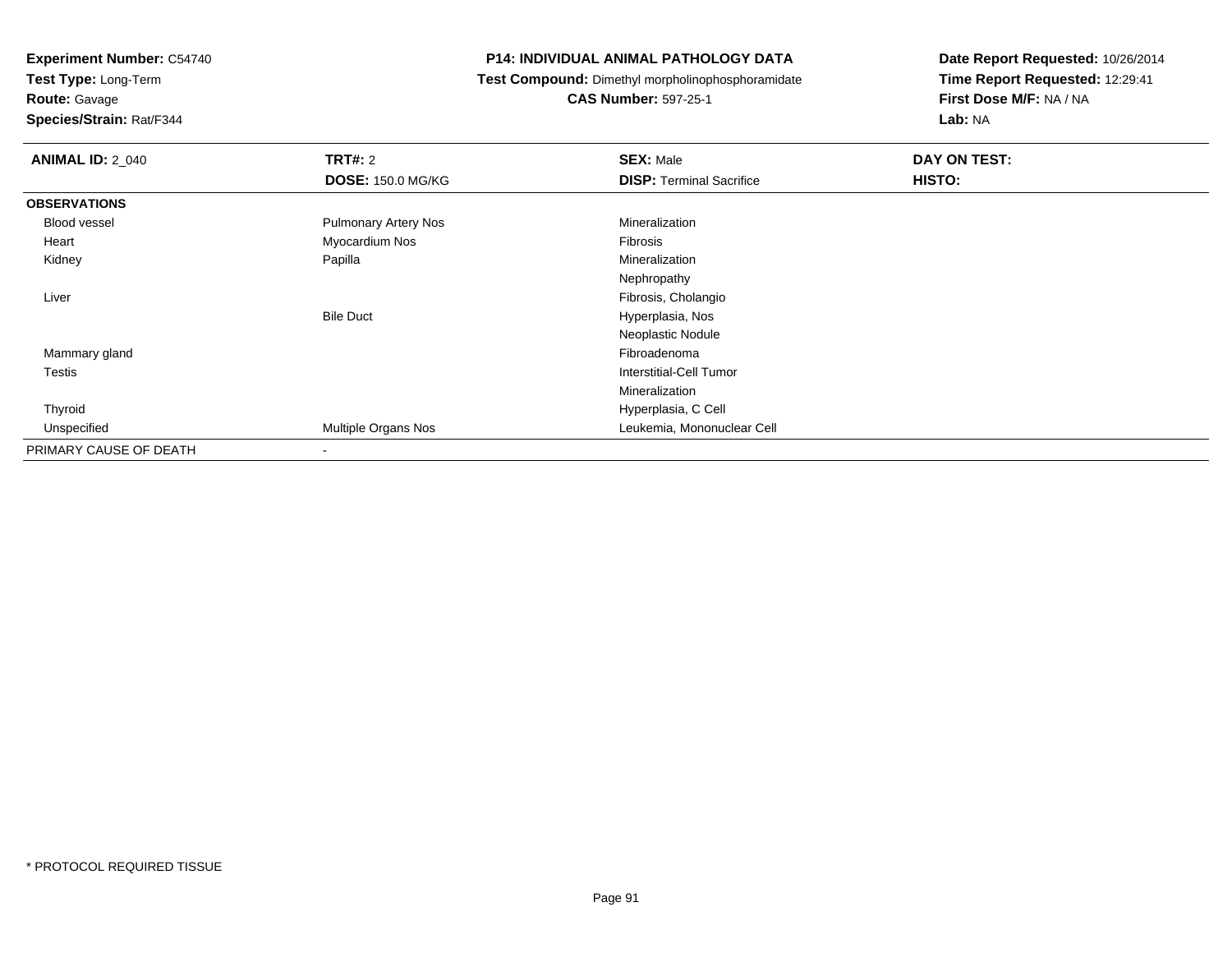**Test Type:** Long-Term

**Route:** Gavage

**Species/Strain:** Rat/F344

#### **P14: INDIVIDUAL ANIMAL PATHOLOGY DATA**

**Test Compound:** Dimethyl morpholinophosphoramidate

**CAS Number:** 597-25-1

| <b>ANIMAL ID: 2_040</b> | <b>TRT#: 2</b>              | <b>SEX: Male</b>                | DAY ON TEST: |  |
|-------------------------|-----------------------------|---------------------------------|--------------|--|
|                         | <b>DOSE: 150.0 MG/KG</b>    | <b>DISP: Terminal Sacrifice</b> | HISTO:       |  |
| <b>OBSERVATIONS</b>     |                             |                                 |              |  |
| Blood vessel            | <b>Pulmonary Artery Nos</b> | Mineralization                  |              |  |
| Heart                   | Myocardium Nos              | Fibrosis                        |              |  |
| Kidney                  | Papilla                     | Mineralization                  |              |  |
|                         |                             | Nephropathy                     |              |  |
| Liver                   |                             | Fibrosis, Cholangio             |              |  |
|                         | <b>Bile Duct</b>            | Hyperplasia, Nos                |              |  |
|                         |                             | Neoplastic Nodule               |              |  |
| Mammary gland           |                             | Fibroadenoma                    |              |  |
| Testis                  |                             | <b>Interstitial-Cell Tumor</b>  |              |  |
|                         |                             | Mineralization                  |              |  |
| Thyroid                 |                             | Hyperplasia, C Cell             |              |  |
| Unspecified             | Multiple Organs Nos         | Leukemia, Mononuclear Cell      |              |  |
| PRIMARY CAUSE OF DEATH  | $\overline{\phantom{a}}$    |                                 |              |  |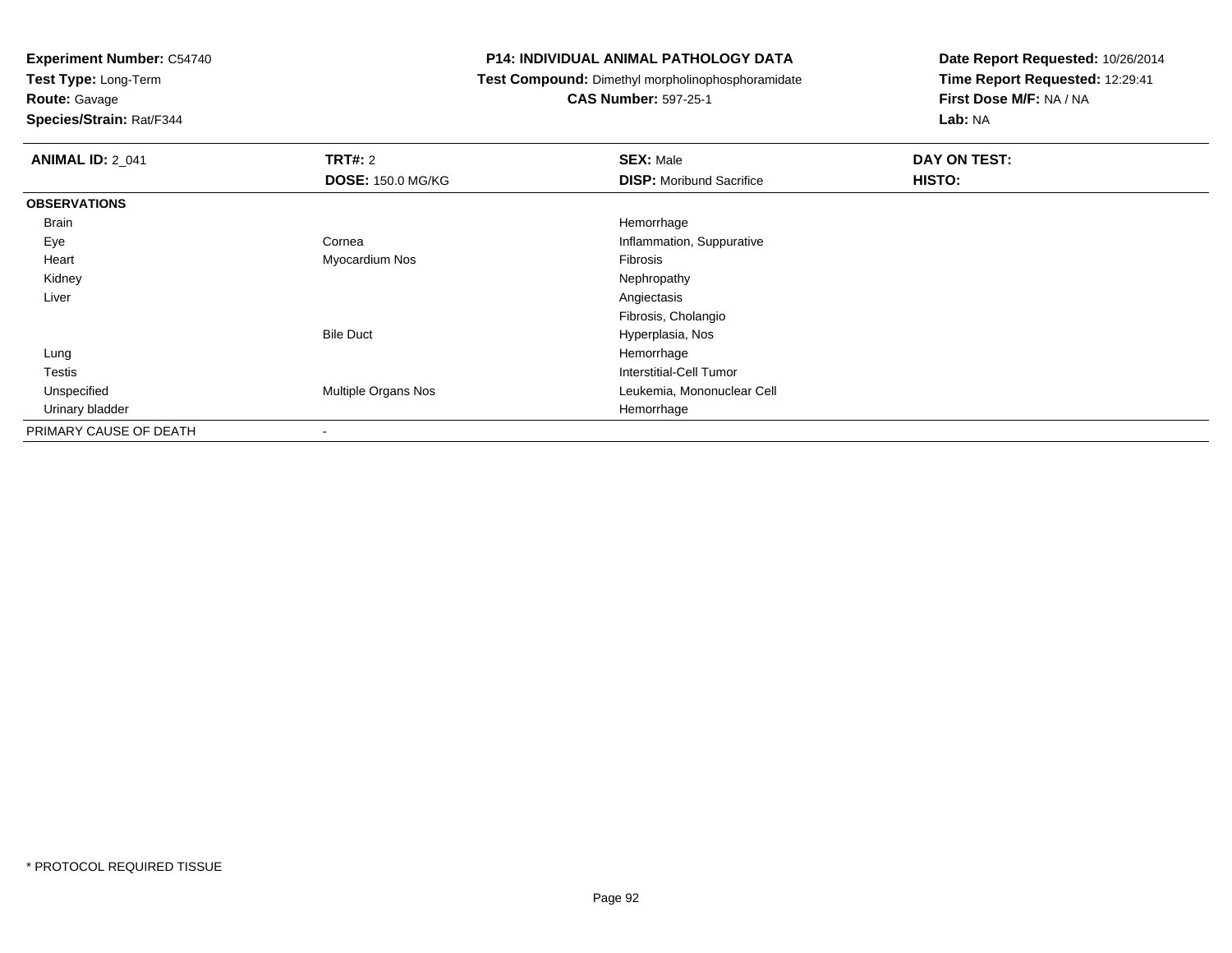**Test Type:** Long-Term

**Route:** Gavage

**Species/Strain:** Rat/F344

#### **P14: INDIVIDUAL ANIMAL PATHOLOGY DATA**

**Test Compound:** Dimethyl morpholinophosphoramidate

### **CAS Number:** 597-25-1

| <b>ANIMAL ID: 2_041</b> | <b>TRT#: 2</b>           | <b>SEX: Male</b>                | DAY ON TEST: |  |
|-------------------------|--------------------------|---------------------------------|--------------|--|
|                         | <b>DOSE: 150.0 MG/KG</b> | <b>DISP:</b> Moribund Sacrifice | HISTO:       |  |
| <b>OBSERVATIONS</b>     |                          |                                 |              |  |
| Brain                   |                          | Hemorrhage                      |              |  |
| Eye                     | Cornea                   | Inflammation, Suppurative       |              |  |
| Heart                   | Myocardium Nos           | Fibrosis                        |              |  |
| Kidney                  |                          | Nephropathy                     |              |  |
| Liver                   |                          | Angiectasis                     |              |  |
|                         |                          | Fibrosis, Cholangio             |              |  |
|                         | <b>Bile Duct</b>         | Hyperplasia, Nos                |              |  |
| Lung                    |                          | Hemorrhage                      |              |  |
| Testis                  |                          | Interstitial-Cell Tumor         |              |  |
| Unspecified             | Multiple Organs Nos      | Leukemia, Mononuclear Cell      |              |  |
| Urinary bladder         |                          | Hemorrhage                      |              |  |
| PRIMARY CAUSE OF DEATH  | $\overline{\phantom{a}}$ |                                 |              |  |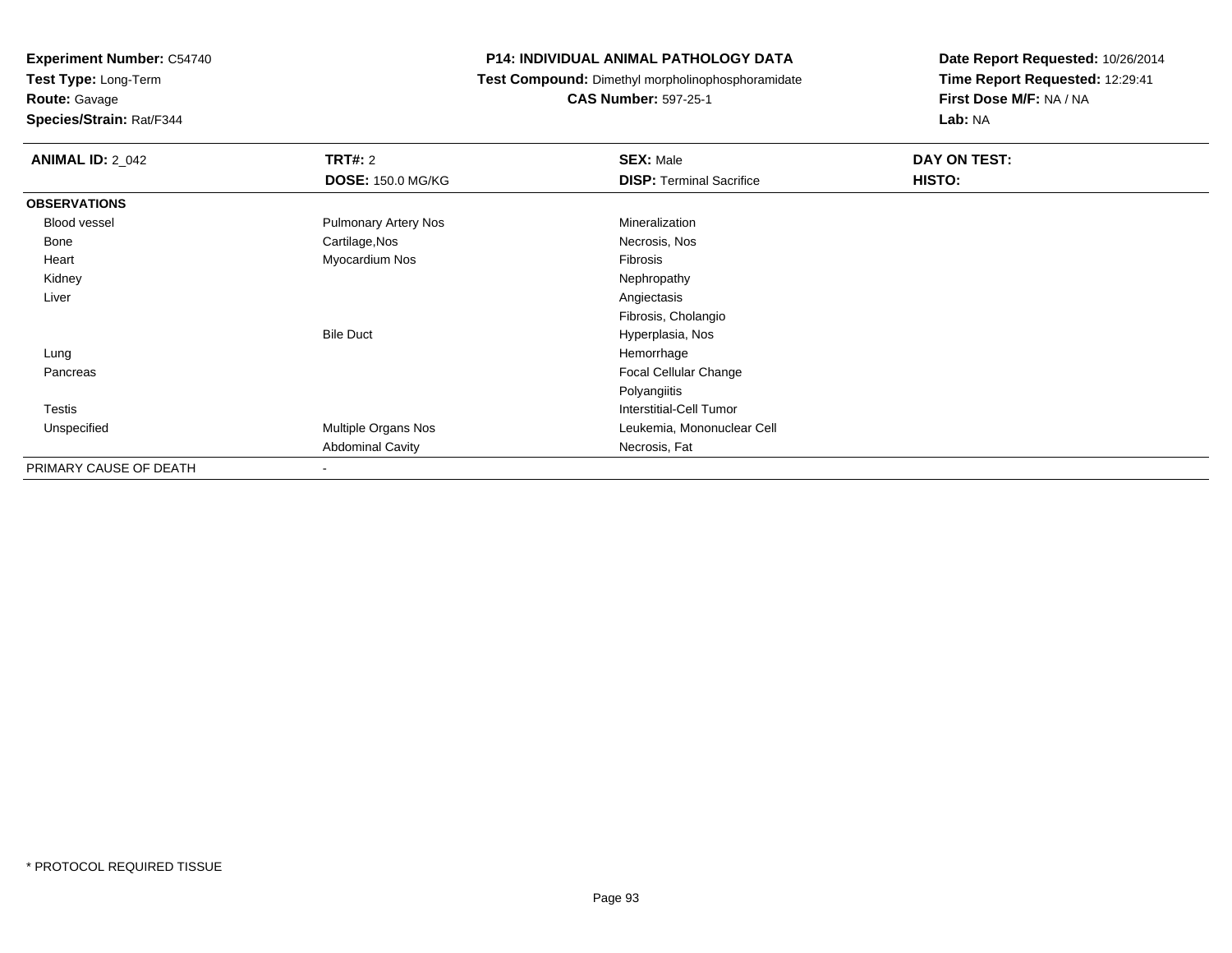**Experiment Number:** C54740**Test Type:** Long-Term

**Route:** Gavage

**Species/Strain:** Rat/F344

#### **P14: INDIVIDUAL ANIMAL PATHOLOGY DATA**

**Test Compound:** Dimethyl morpholinophosphoramidate

**CAS Number:** 597-25-1

| <b>ANIMAL ID: 2_042</b> | <b>TRT#: 2</b><br><b>DOSE: 150.0 MG/KG</b> | <b>SEX: Male</b><br><b>DISP: Terminal Sacrifice</b> | DAY ON TEST:<br>HISTO: |
|-------------------------|--------------------------------------------|-----------------------------------------------------|------------------------|
| <b>OBSERVATIONS</b>     |                                            |                                                     |                        |
| Blood vessel            | <b>Pulmonary Artery Nos</b>                | Mineralization                                      |                        |
| Bone                    | Cartilage, Nos                             | Necrosis, Nos                                       |                        |
| Heart                   | Myocardium Nos                             | Fibrosis                                            |                        |
| Kidney                  |                                            | Nephropathy                                         |                        |
| Liver                   |                                            | Angiectasis                                         |                        |
|                         |                                            | Fibrosis, Cholangio                                 |                        |
|                         | <b>Bile Duct</b>                           | Hyperplasia, Nos                                    |                        |
| Lung                    |                                            | Hemorrhage                                          |                        |
| Pancreas                |                                            | Focal Cellular Change                               |                        |
|                         |                                            | Polyangiitis                                        |                        |
| <b>Testis</b>           |                                            | Interstitial-Cell Tumor                             |                        |
| Unspecified             | Multiple Organs Nos                        | Leukemia, Mononuclear Cell                          |                        |
|                         | <b>Abdominal Cavity</b>                    | Necrosis, Fat                                       |                        |
| PRIMARY CAUSE OF DEATH  |                                            |                                                     |                        |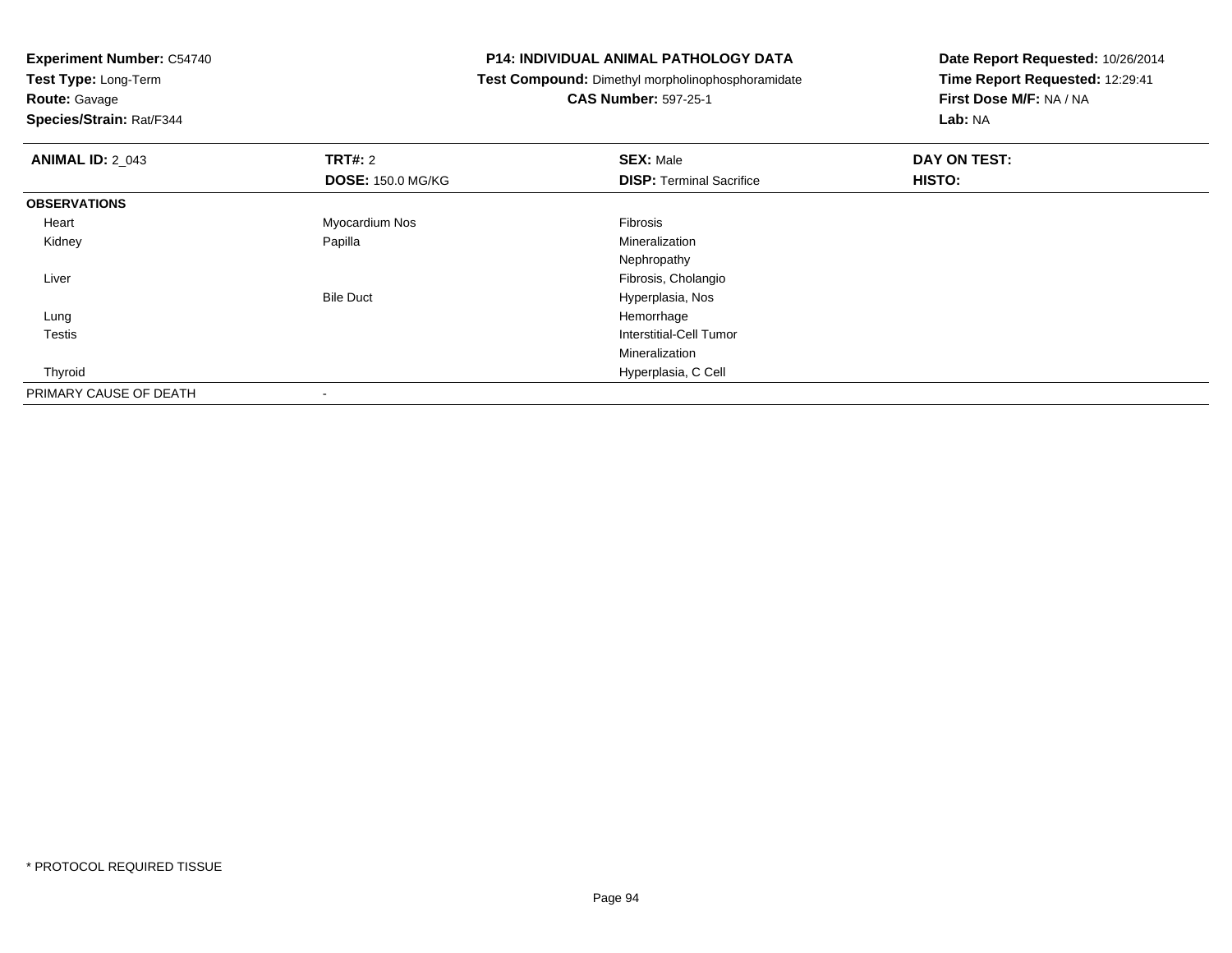**Test Type:** Long-Term

**Route:** Gavage

**Species/Strain:** Rat/F344

#### **P14: INDIVIDUAL ANIMAL PATHOLOGY DATA**

**Test Compound:** Dimethyl morpholinophosphoramidate

**CAS Number:** 597-25-1

| <b>ANIMAL ID: 2_043</b> | TRT#: 2                  | <b>SEX: Male</b>                | DAY ON TEST: |  |
|-------------------------|--------------------------|---------------------------------|--------------|--|
|                         | <b>DOSE: 150.0 MG/KG</b> | <b>DISP: Terminal Sacrifice</b> | HISTO:       |  |
| <b>OBSERVATIONS</b>     |                          |                                 |              |  |
| Heart                   | Myocardium Nos           | Fibrosis                        |              |  |
| Kidney                  | Papilla                  | Mineralization                  |              |  |
|                         |                          | Nephropathy                     |              |  |
| Liver                   |                          | Fibrosis, Cholangio             |              |  |
|                         | <b>Bile Duct</b>         | Hyperplasia, Nos                |              |  |
| Lung                    |                          | Hemorrhage                      |              |  |
| <b>Testis</b>           |                          | <b>Interstitial-Cell Tumor</b>  |              |  |
|                         |                          | Mineralization                  |              |  |
| Thyroid                 |                          | Hyperplasia, C Cell             |              |  |
| PRIMARY CAUSE OF DEATH  |                          |                                 |              |  |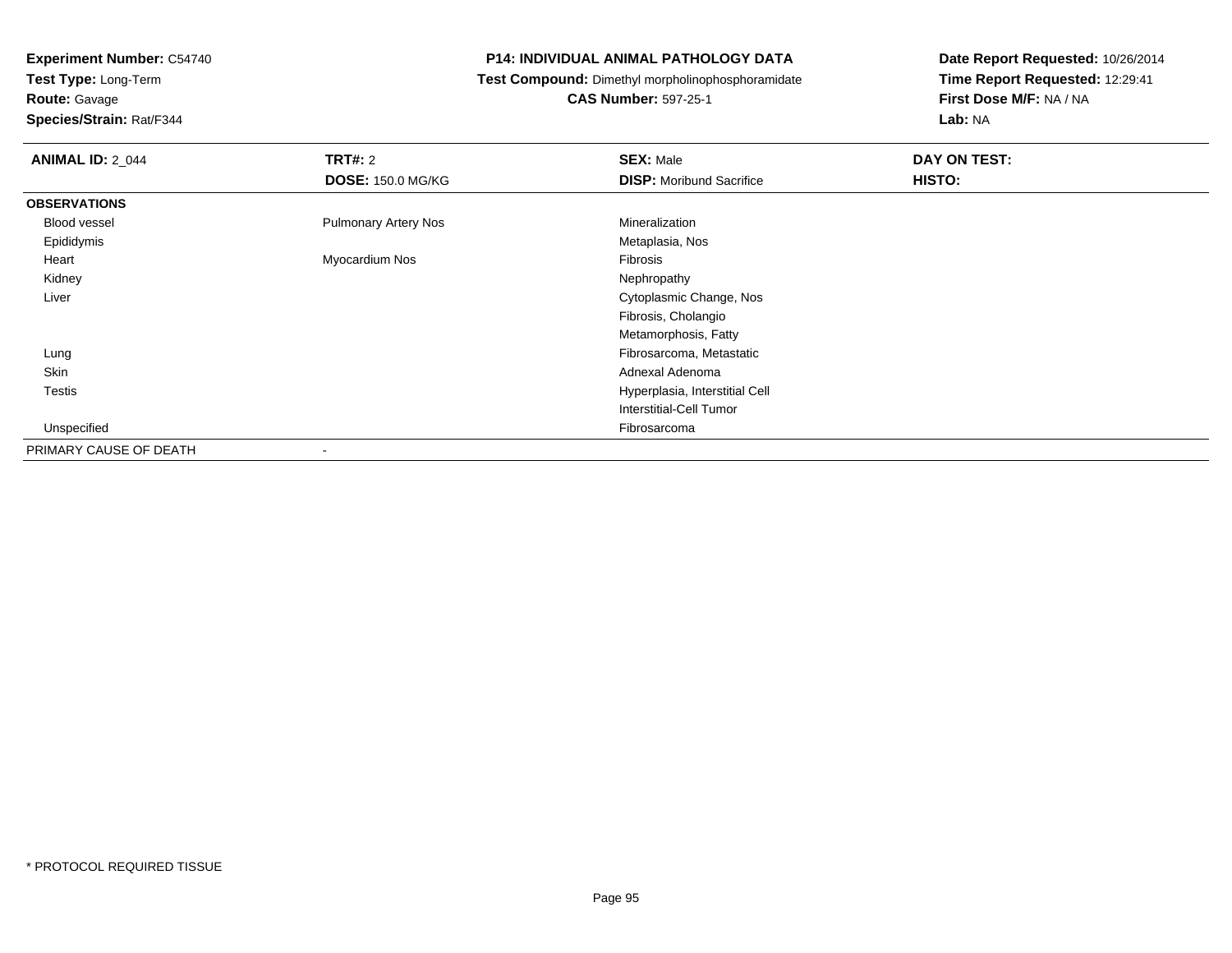**Experiment Number:** C54740**Test Type:** Long-Term

**Route:** Gavage

**Species/Strain:** Rat/F344

#### **P14: INDIVIDUAL ANIMAL PATHOLOGY DATA**

**Test Compound:** Dimethyl morpholinophosphoramidate

**CAS Number:** 597-25-1

| <b>ANIMAL ID: 2_044</b> | TRT#: 2                     | <b>SEX: Male</b>                | DAY ON TEST: |  |
|-------------------------|-----------------------------|---------------------------------|--------------|--|
|                         | <b>DOSE: 150.0 MG/KG</b>    | <b>DISP:</b> Moribund Sacrifice | HISTO:       |  |
| <b>OBSERVATIONS</b>     |                             |                                 |              |  |
| Blood vessel            | <b>Pulmonary Artery Nos</b> | Mineralization                  |              |  |
| Epididymis              |                             | Metaplasia, Nos                 |              |  |
| Heart                   | Myocardium Nos              | <b>Fibrosis</b>                 |              |  |
| Kidney                  |                             | Nephropathy                     |              |  |
| Liver                   |                             | Cytoplasmic Change, Nos         |              |  |
|                         |                             | Fibrosis, Cholangio             |              |  |
|                         |                             | Metamorphosis, Fatty            |              |  |
| Lung                    |                             | Fibrosarcoma, Metastatic        |              |  |
| Skin                    |                             | Adnexal Adenoma                 |              |  |
| Testis                  |                             | Hyperplasia, Interstitial Cell  |              |  |
|                         |                             | Interstitial-Cell Tumor         |              |  |
| Unspecified             |                             | Fibrosarcoma                    |              |  |
| PRIMARY CAUSE OF DEATH  |                             |                                 |              |  |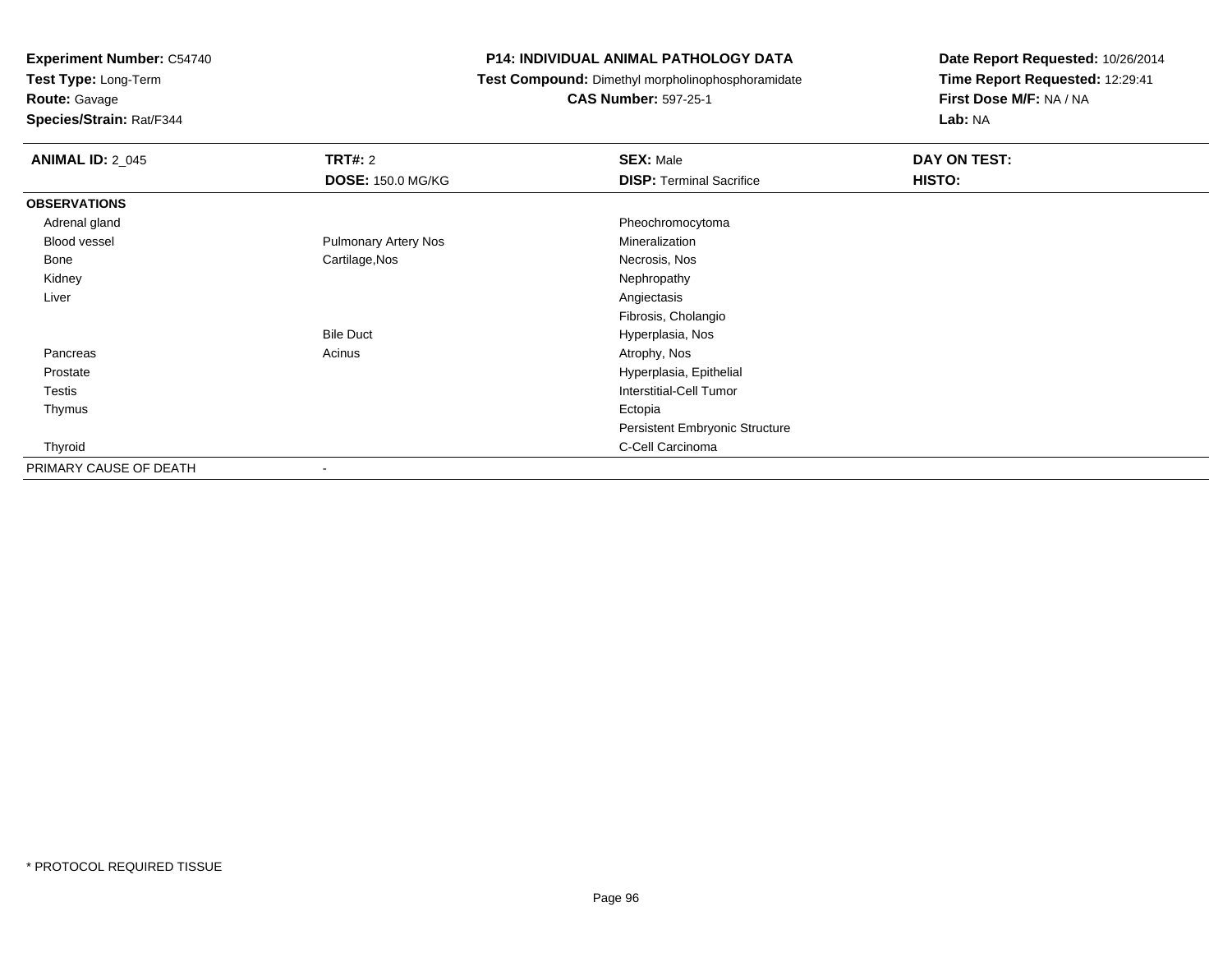**Test Type:** Long-Term

**Route:** Gavage

**Species/Strain:** Rat/F344

#### **P14: INDIVIDUAL ANIMAL PATHOLOGY DATA**

**Test Compound:** Dimethyl morpholinophosphoramidate

**CAS Number:** 597-25-1

| <b>ANIMAL ID: 2_045</b> | <b>TRT#: 2</b>              | <b>SEX: Male</b>                      | DAY ON TEST: |  |
|-------------------------|-----------------------------|---------------------------------------|--------------|--|
|                         | <b>DOSE: 150.0 MG/KG</b>    | <b>DISP: Terminal Sacrifice</b>       | HISTO:       |  |
| <b>OBSERVATIONS</b>     |                             |                                       |              |  |
| Adrenal gland           |                             | Pheochromocytoma                      |              |  |
| <b>Blood vessel</b>     | <b>Pulmonary Artery Nos</b> | Mineralization                        |              |  |
| Bone                    | Cartilage, Nos              | Necrosis, Nos                         |              |  |
| Kidney                  |                             | Nephropathy                           |              |  |
| Liver                   |                             | Angiectasis                           |              |  |
|                         |                             | Fibrosis, Cholangio                   |              |  |
|                         | <b>Bile Duct</b>            | Hyperplasia, Nos                      |              |  |
| Pancreas                | Acinus                      | Atrophy, Nos                          |              |  |
| Prostate                |                             | Hyperplasia, Epithelial               |              |  |
| Testis                  |                             | Interstitial-Cell Tumor               |              |  |
| Thymus                  |                             | Ectopia                               |              |  |
|                         |                             | <b>Persistent Embryonic Structure</b> |              |  |
| Thyroid                 |                             | C-Cell Carcinoma                      |              |  |
| PRIMARY CAUSE OF DEATH  |                             |                                       |              |  |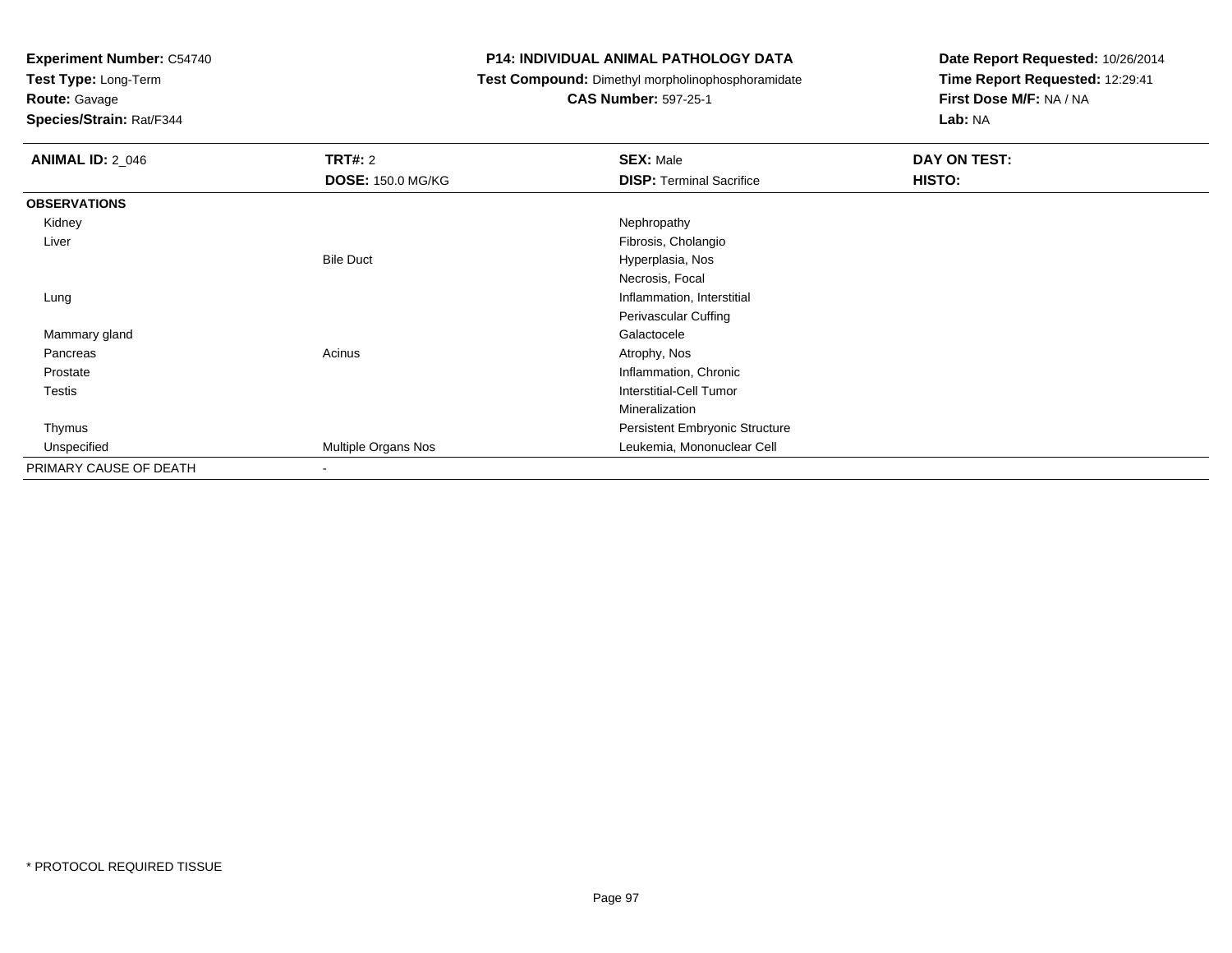**Test Type:** Long-Term

**Route:** Gavage

**Species/Strain:** Rat/F344

#### **P14: INDIVIDUAL ANIMAL PATHOLOGY DATA**

**Test Compound:** Dimethyl morpholinophosphoramidate

**CAS Number:** 597-25-1

| <b>ANIMAL ID: 2_046</b> | <b>TRT#: 2</b>           | <b>SEX: Male</b>                | DAY ON TEST: |
|-------------------------|--------------------------|---------------------------------|--------------|
|                         | <b>DOSE: 150.0 MG/KG</b> | <b>DISP: Terminal Sacrifice</b> | HISTO:       |
| <b>OBSERVATIONS</b>     |                          |                                 |              |
| Kidney                  |                          | Nephropathy                     |              |
| Liver                   |                          | Fibrosis, Cholangio             |              |
|                         | <b>Bile Duct</b>         | Hyperplasia, Nos                |              |
|                         |                          | Necrosis, Focal                 |              |
| Lung                    |                          | Inflammation, Interstitial      |              |
|                         |                          | Perivascular Cuffing            |              |
| Mammary gland           |                          | Galactocele                     |              |
| Pancreas                | Acinus                   | Atrophy, Nos                    |              |
| Prostate                |                          | Inflammation, Chronic           |              |
| Testis                  |                          | Interstitial-Cell Tumor         |              |
|                         |                          | Mineralization                  |              |
| Thymus                  |                          | Persistent Embryonic Structure  |              |
| Unspecified             | Multiple Organs Nos      | Leukemia, Mononuclear Cell      |              |
| PRIMARY CAUSE OF DEATH  | $\blacksquare$           |                                 |              |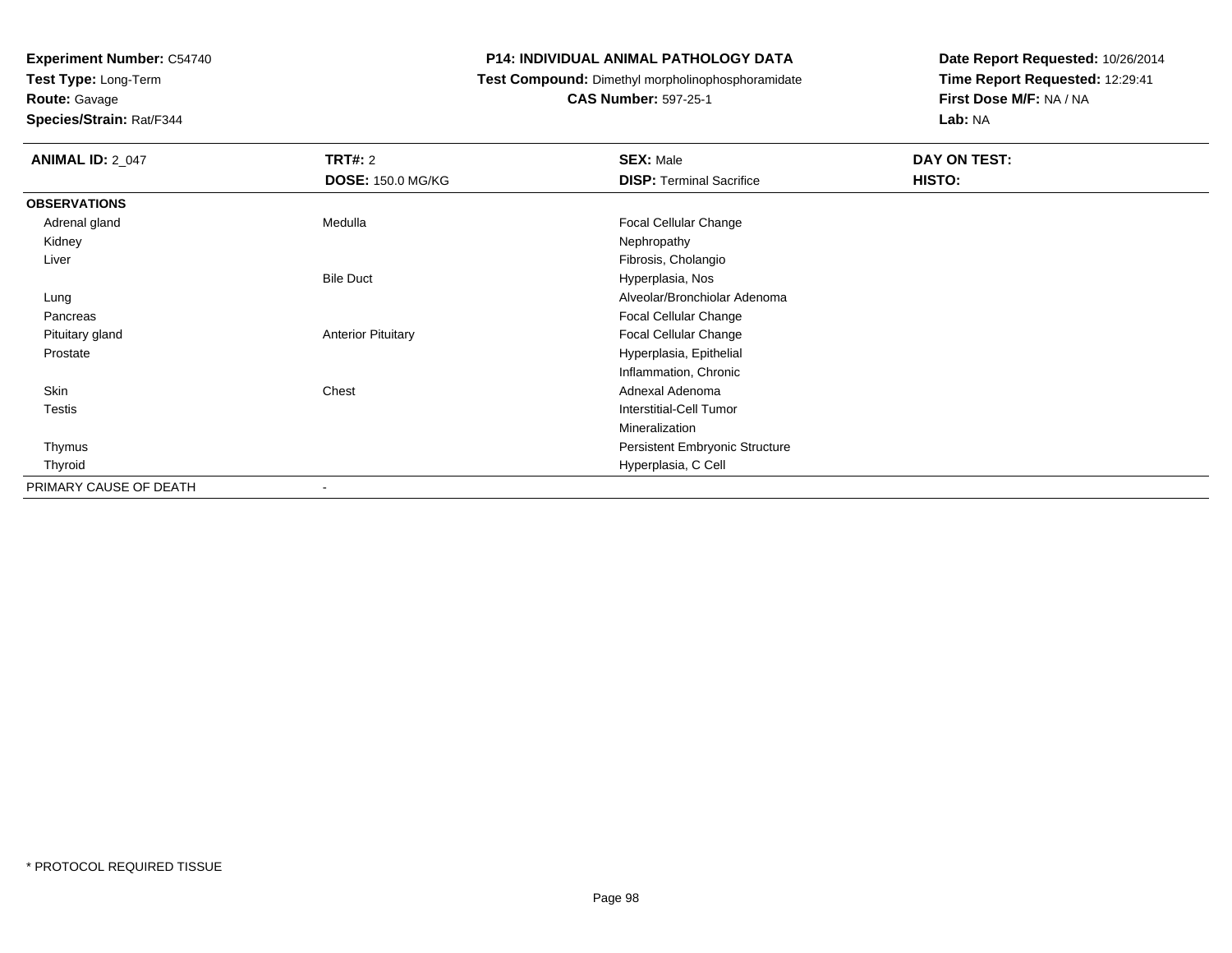**Test Type:** Long-Term

**Route:** Gavage

**Species/Strain:** Rat/F344

#### **P14: INDIVIDUAL ANIMAL PATHOLOGY DATA**

**Test Compound:** Dimethyl morpholinophosphoramidate

**CAS Number:** 597-25-1

| <b>ANIMAL ID: 2_047</b> | <b>TRT#: 2</b>            | <b>SEX: Male</b>                | DAY ON TEST: |
|-------------------------|---------------------------|---------------------------------|--------------|
|                         | <b>DOSE: 150.0 MG/KG</b>  | <b>DISP: Terminal Sacrifice</b> | HISTO:       |
| <b>OBSERVATIONS</b>     |                           |                                 |              |
| Adrenal gland           | Medulla                   | Focal Cellular Change           |              |
| Kidney                  |                           | Nephropathy                     |              |
| Liver                   |                           | Fibrosis, Cholangio             |              |
|                         | <b>Bile Duct</b>          | Hyperplasia, Nos                |              |
| Lung                    |                           | Alveolar/Bronchiolar Adenoma    |              |
| Pancreas                |                           | Focal Cellular Change           |              |
| Pituitary gland         | <b>Anterior Pituitary</b> | Focal Cellular Change           |              |
| Prostate                |                           | Hyperplasia, Epithelial         |              |
|                         |                           | Inflammation, Chronic           |              |
| Skin                    | Chest                     | Adnexal Adenoma                 |              |
| Testis                  |                           | <b>Interstitial-Cell Tumor</b>  |              |
|                         |                           | Mineralization                  |              |
| Thymus                  |                           | Persistent Embryonic Structure  |              |
| Thyroid                 |                           | Hyperplasia, C Cell             |              |
| PRIMARY CAUSE OF DEATH  | ۰                         |                                 |              |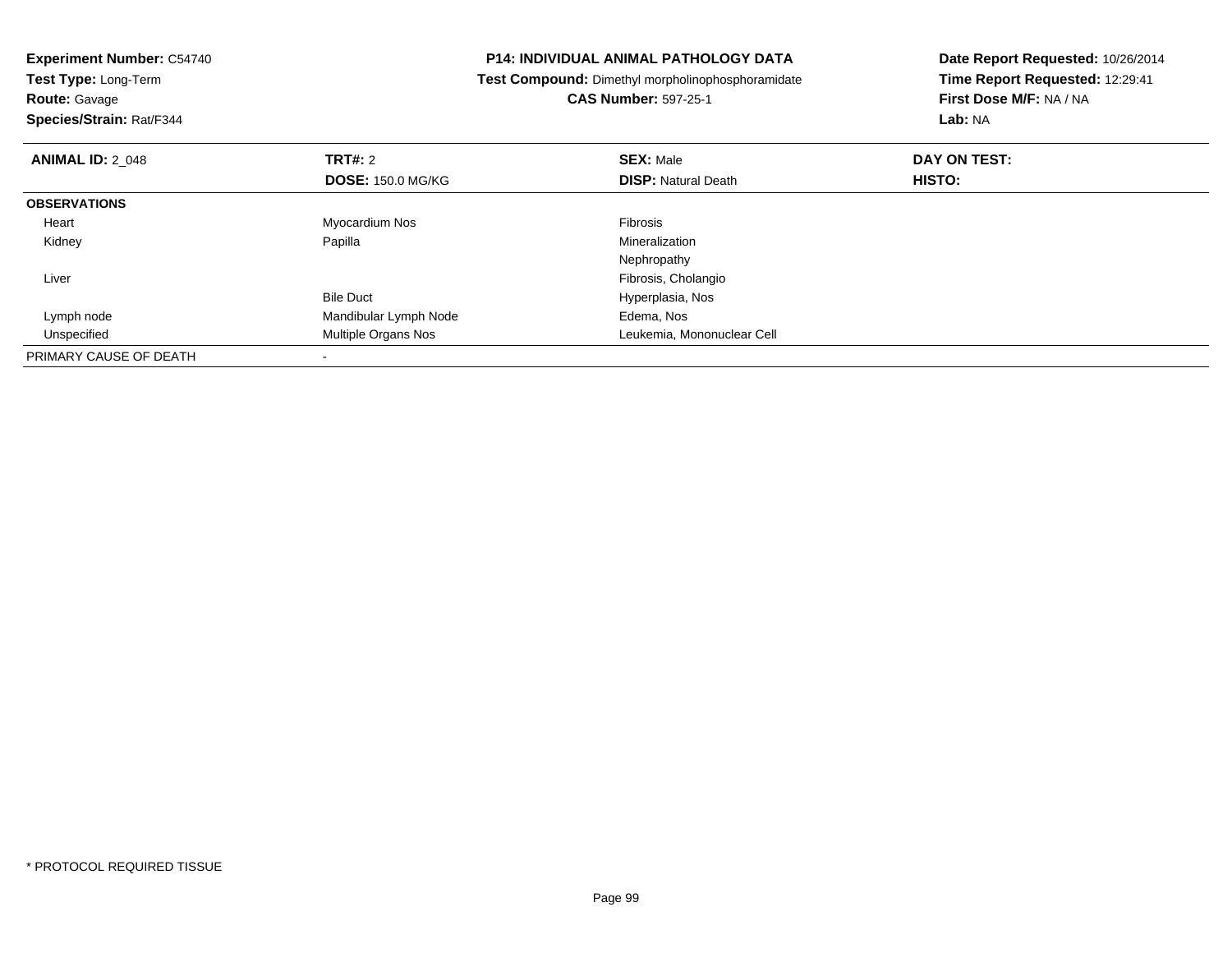| <b>Experiment Number: C54740</b> | <b>P14: INDIVIDUAL ANIMAL PATHOLOGY DATA</b> |                                                   | Date Report Requested: 10/26/2014 |
|----------------------------------|----------------------------------------------|---------------------------------------------------|-----------------------------------|
| Test Type: Long-Term             |                                              | Test Compound: Dimethyl morpholinophosphoramidate | Time Report Requested: 12:29:41   |
| <b>Route: Gavage</b>             |                                              | <b>CAS Number: 597-25-1</b>                       | First Dose M/F: NA / NA           |
| Species/Strain: Rat/F344         |                                              |                                                   | Lab: NA                           |
| <b>ANIMAL ID: 2 048</b>          | <b>TRT#: 2</b>                               | <b>SEX: Male</b>                                  | DAY ON TEST:                      |
|                                  | <b>DOSE: 150.0 MG/KG</b>                     | <b>DISP:</b> Natural Death                        | HISTO:                            |
| <b>OBSERVATIONS</b>              |                                              |                                                   |                                   |
| Heart                            | Myocardium Nos                               | <b>Fibrosis</b>                                   |                                   |
| Kidney                           | Papilla                                      | Mineralization                                    |                                   |
|                                  |                                              | Nephropathy                                       |                                   |
| Liver                            |                                              | Fibrosis, Cholangio                               |                                   |
|                                  | <b>Bile Duct</b>                             | Hyperplasia, Nos                                  |                                   |
| Lymph node                       | Mandibular Lymph Node                        | Edema, Nos                                        |                                   |
| Unspecified                      | <b>Multiple Organs Nos</b>                   | Leukemia, Mononuclear Cell                        |                                   |
| PRIMARY CAUSE OF DEATH           |                                              |                                                   |                                   |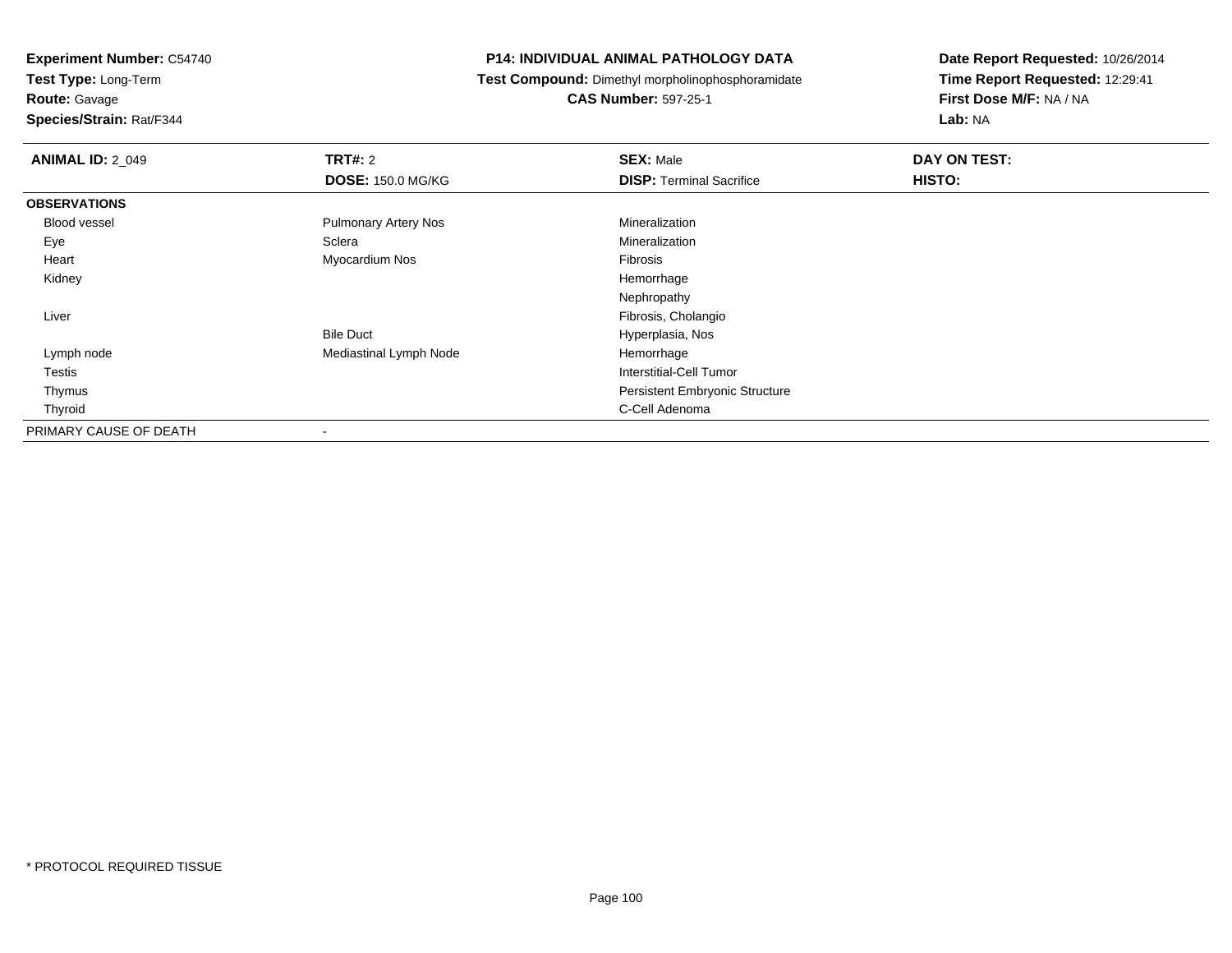**Experiment Number:** C54740**Test Type:** Long-Term

**Route:** Gavage

**Species/Strain:** Rat/F344

#### **P14: INDIVIDUAL ANIMAL PATHOLOGY DATA**

**Test Compound:** Dimethyl morpholinophosphoramidate

**CAS Number:** 597-25-1

| <b>ANIMAL ID: 2 049</b> | <b>TRT#: 2</b>              | <b>SEX: Male</b>                      | DAY ON TEST: |  |
|-------------------------|-----------------------------|---------------------------------------|--------------|--|
|                         | <b>DOSE: 150.0 MG/KG</b>    | <b>DISP: Terminal Sacrifice</b>       | HISTO:       |  |
| <b>OBSERVATIONS</b>     |                             |                                       |              |  |
| Blood vessel            | <b>Pulmonary Artery Nos</b> | Mineralization                        |              |  |
| Eye                     | Sclera                      | Mineralization                        |              |  |
| Heart                   | Myocardium Nos              | Fibrosis                              |              |  |
| Kidney                  |                             | Hemorrhage                            |              |  |
|                         |                             | Nephropathy                           |              |  |
| Liver                   |                             | Fibrosis, Cholangio                   |              |  |
|                         | <b>Bile Duct</b>            | Hyperplasia, Nos                      |              |  |
| Lymph node              | Mediastinal Lymph Node      | Hemorrhage                            |              |  |
| Testis                  |                             | <b>Interstitial-Cell Tumor</b>        |              |  |
| Thymus                  |                             | <b>Persistent Embryonic Structure</b> |              |  |
| Thyroid                 |                             | C-Cell Adenoma                        |              |  |
| PRIMARY CAUSE OF DEATH  | $\blacksquare$              |                                       |              |  |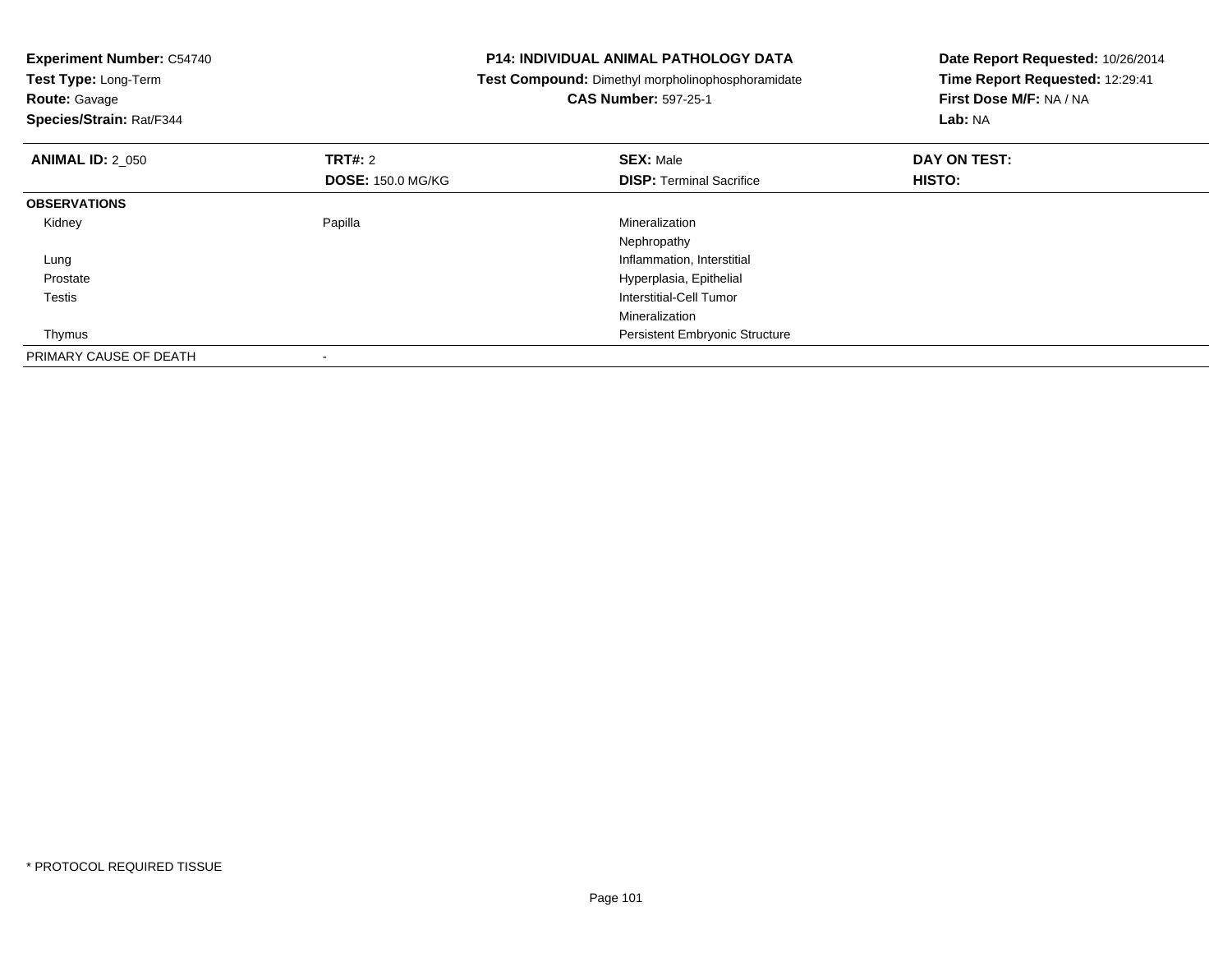| <b>Experiment Number: C54740</b><br>Test Type: Long-Term<br><b>Route: Gavage</b><br>Species/Strain: Rat/F344 |                          | <b>P14: INDIVIDUAL ANIMAL PATHOLOGY DATA</b><br>Test Compound: Dimethyl morpholinophosphoramidate<br><b>CAS Number: 597-25-1</b> | Date Report Requested: 10/26/2014<br>Time Report Requested: 12:29:41<br>First Dose M/F: NA / NA<br>Lab: NA |
|--------------------------------------------------------------------------------------------------------------|--------------------------|----------------------------------------------------------------------------------------------------------------------------------|------------------------------------------------------------------------------------------------------------|
| <b>ANIMAL ID: 2_050</b>                                                                                      | <b>TRT#:</b> 2           | <b>SEX: Male</b>                                                                                                                 | DAY ON TEST:                                                                                               |
|                                                                                                              | <b>DOSE: 150.0 MG/KG</b> | <b>DISP:</b> Terminal Sacrifice                                                                                                  | HISTO:                                                                                                     |
| <b>OBSERVATIONS</b>                                                                                          |                          |                                                                                                                                  |                                                                                                            |
| Kidney                                                                                                       | Papilla                  | Mineralization                                                                                                                   |                                                                                                            |
|                                                                                                              |                          | Nephropathy                                                                                                                      |                                                                                                            |
| Lung                                                                                                         |                          | Inflammation, Interstitial                                                                                                       |                                                                                                            |
| Prostate                                                                                                     |                          | Hyperplasia, Epithelial                                                                                                          |                                                                                                            |
| Testis                                                                                                       |                          | Interstitial-Cell Tumor                                                                                                          |                                                                                                            |
|                                                                                                              |                          | Mineralization                                                                                                                   |                                                                                                            |
| Thymus                                                                                                       |                          | <b>Persistent Embryonic Structure</b>                                                                                            |                                                                                                            |
| PRIMARY CAUSE OF DEATH                                                                                       |                          |                                                                                                                                  |                                                                                                            |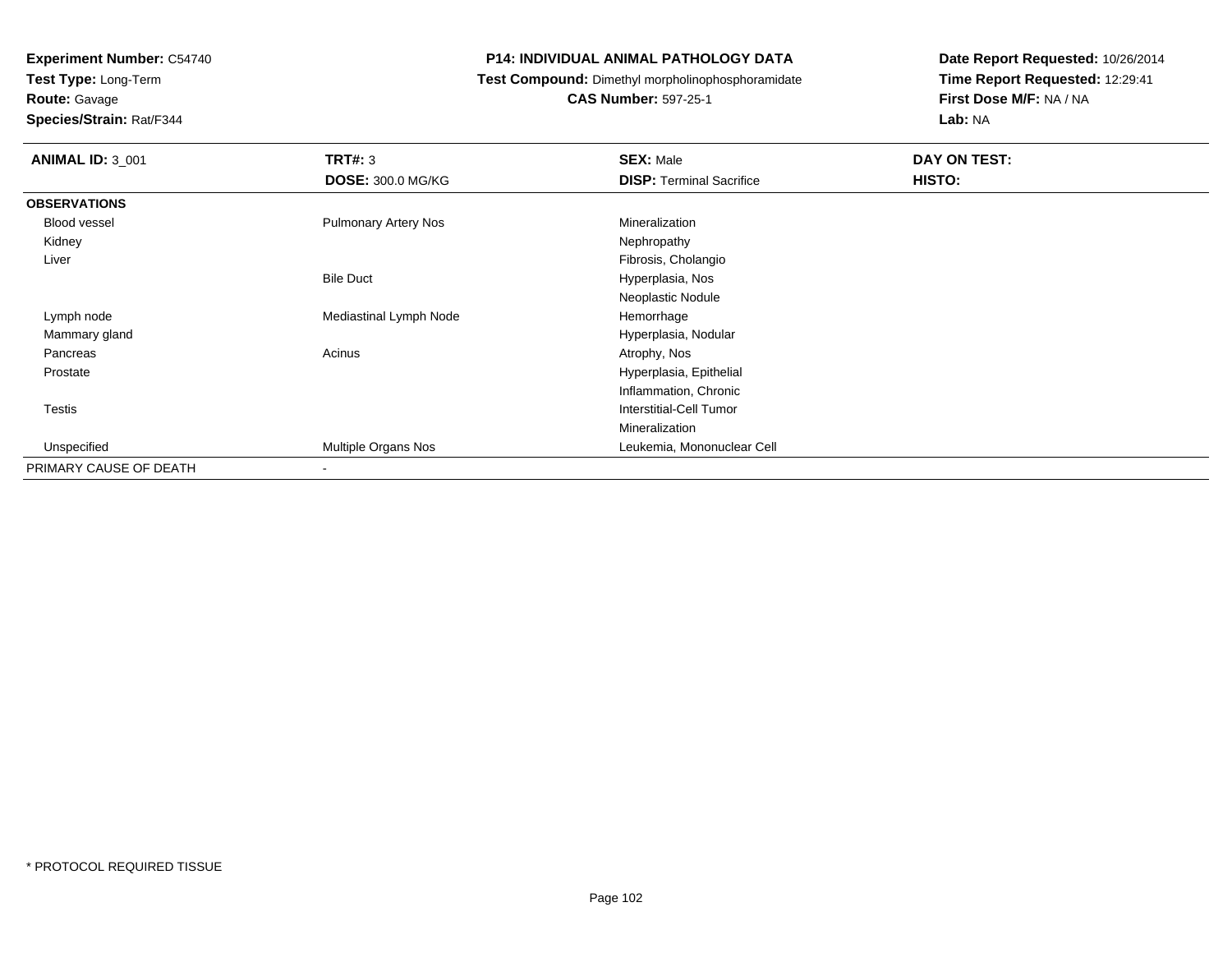**Test Type:** Long-Term

**Route:** Gavage

**Species/Strain:** Rat/F344

#### **P14: INDIVIDUAL ANIMAL PATHOLOGY DATA**

**Test Compound:** Dimethyl morpholinophosphoramidate

**CAS Number:** 597-25-1

| <b>ANIMAL ID: 3_001</b> | TRT#: 3<br><b>DOSE: 300.0 MG/KG</b> | <b>SEX: Male</b><br><b>DISP: Terminal Sacrifice</b> | DAY ON TEST:<br>HISTO: |
|-------------------------|-------------------------------------|-----------------------------------------------------|------------------------|
| <b>OBSERVATIONS</b>     |                                     |                                                     |                        |
| <b>Blood vessel</b>     | <b>Pulmonary Artery Nos</b>         | Mineralization                                      |                        |
| Kidney                  |                                     | Nephropathy                                         |                        |
| Liver                   |                                     | Fibrosis, Cholangio                                 |                        |
|                         | <b>Bile Duct</b>                    | Hyperplasia, Nos                                    |                        |
|                         |                                     | Neoplastic Nodule                                   |                        |
| Lymph node              | Mediastinal Lymph Node              | Hemorrhage                                          |                        |
| Mammary gland           |                                     | Hyperplasia, Nodular                                |                        |
| Pancreas                | Acinus                              | Atrophy, Nos                                        |                        |
| Prostate                |                                     | Hyperplasia, Epithelial                             |                        |
|                         |                                     | Inflammation, Chronic                               |                        |
| Testis                  |                                     | <b>Interstitial-Cell Tumor</b>                      |                        |
|                         |                                     | Mineralization                                      |                        |
| Unspecified             | Multiple Organs Nos                 | Leukemia, Mononuclear Cell                          |                        |
| PRIMARY CAUSE OF DEATH  | $\blacksquare$                      |                                                     |                        |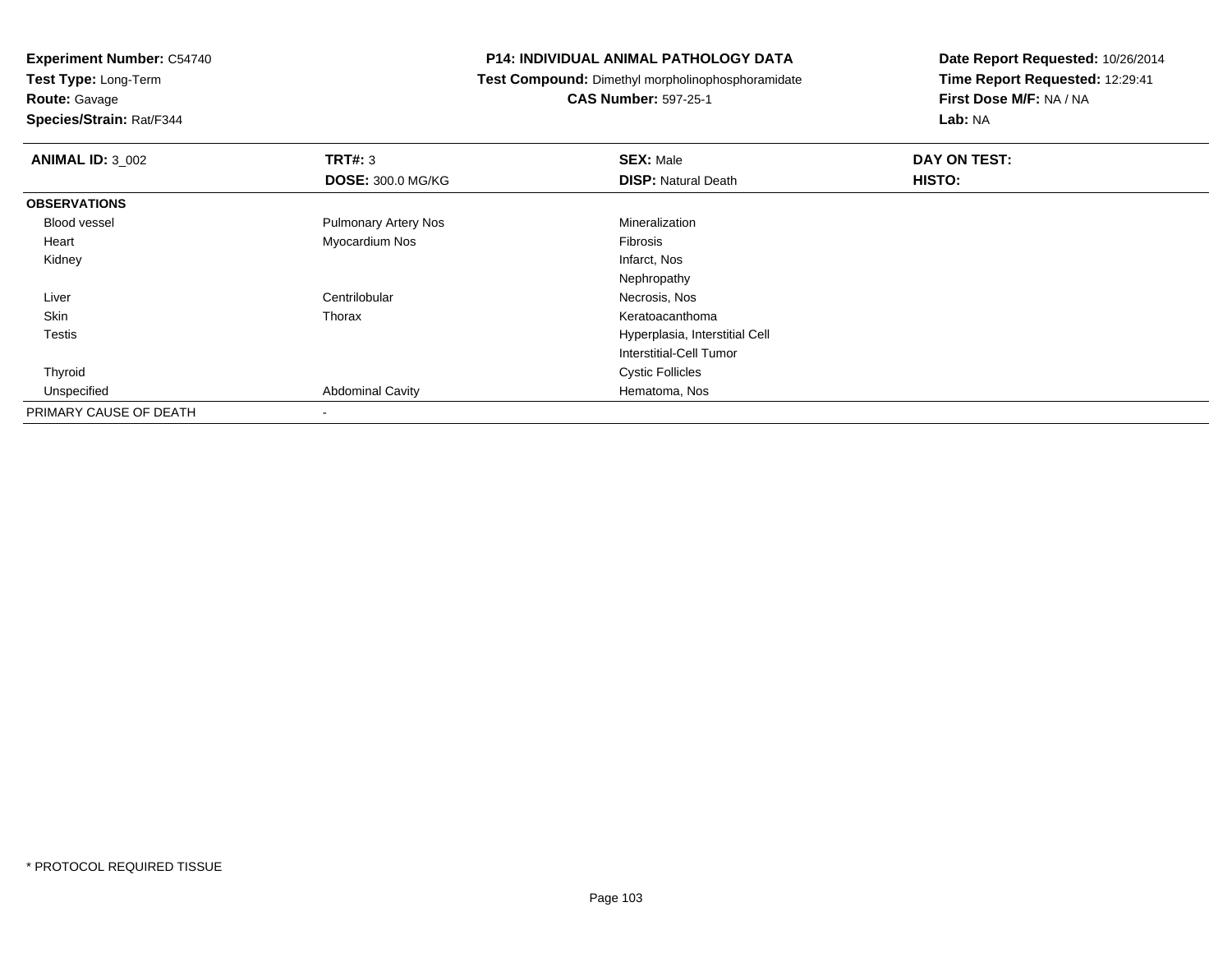**Test Type:** Long-Term

**Route:** Gavage

**Species/Strain:** Rat/F344

#### **P14: INDIVIDUAL ANIMAL PATHOLOGY DATA**

**Test Compound:** Dimethyl morpholinophosphoramidate

**CAS Number:** 597-25-1

| <b>ANIMAL ID: 3_002</b> | TRT#: 3                     | <b>SEX: Male</b>               | DAY ON TEST: |
|-------------------------|-----------------------------|--------------------------------|--------------|
|                         | <b>DOSE: 300.0 MG/KG</b>    | <b>DISP: Natural Death</b>     | HISTO:       |
| <b>OBSERVATIONS</b>     |                             |                                |              |
| Blood vessel            | <b>Pulmonary Artery Nos</b> | Mineralization                 |              |
| Heart                   | Myocardium Nos              | Fibrosis                       |              |
| Kidney                  |                             | Infarct, Nos                   |              |
|                         |                             | Nephropathy                    |              |
| Liver                   | Centrilobular               | Necrosis, Nos                  |              |
| Skin                    | Thorax                      | Keratoacanthoma                |              |
| <b>Testis</b>           |                             | Hyperplasia, Interstitial Cell |              |
|                         |                             | Interstitial-Cell Tumor        |              |
| Thyroid                 |                             | <b>Cystic Follicles</b>        |              |
| Unspecified             | <b>Abdominal Cavity</b>     | Hematoma, Nos                  |              |
| PRIMARY CAUSE OF DEATH  |                             |                                |              |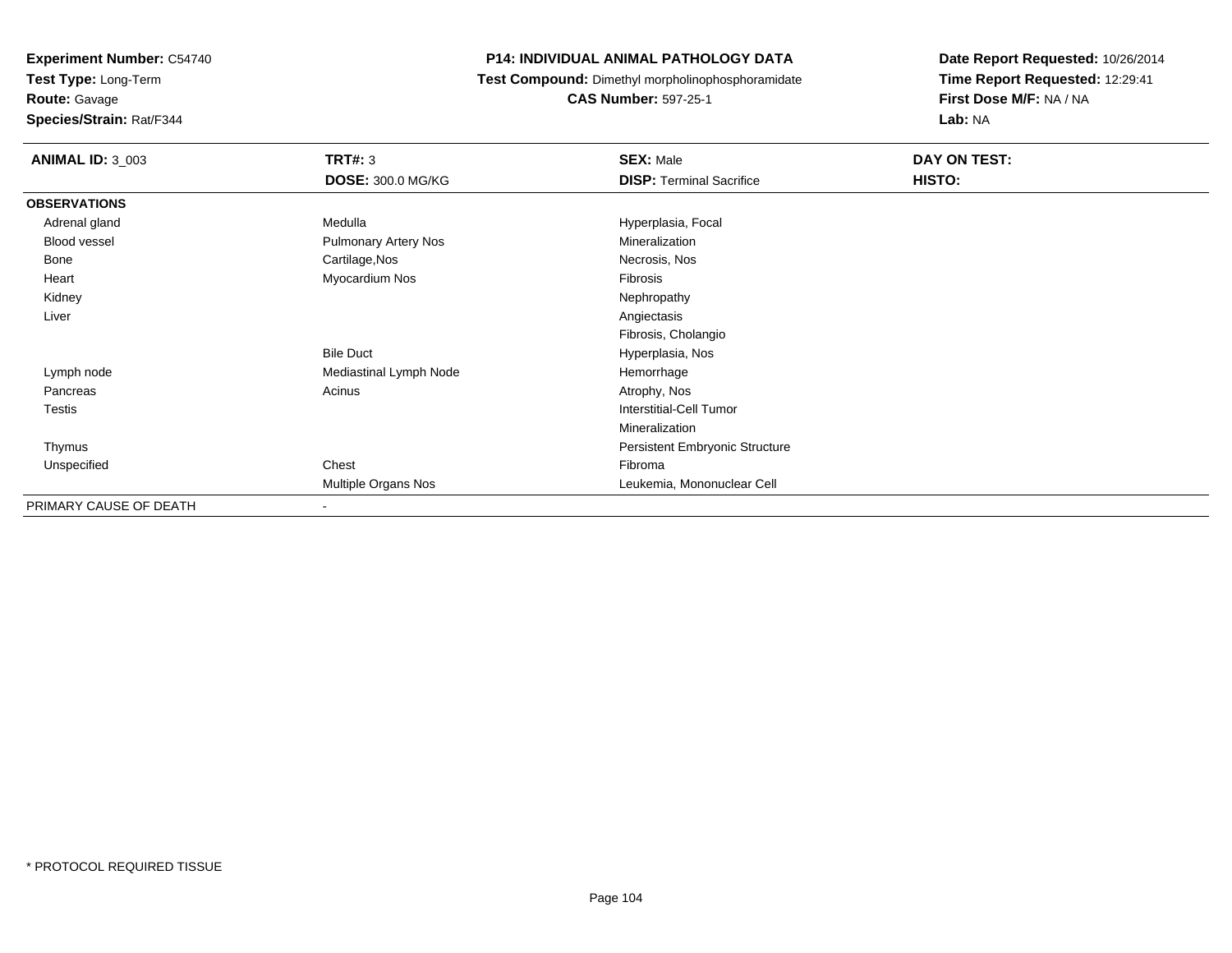**Test Type:** Long-Term

**Route:** Gavage

**Species/Strain:** Rat/F344

#### **P14: INDIVIDUAL ANIMAL PATHOLOGY DATA**

**Test Compound:** Dimethyl morpholinophosphoramidate

**CAS Number:** 597-25-1

| <b>ANIMAL ID: 3_003</b> | <b>TRT#: 3</b>              | <b>SEX: Male</b>                | DAY ON TEST: |
|-------------------------|-----------------------------|---------------------------------|--------------|
|                         | <b>DOSE: 300.0 MG/KG</b>    | <b>DISP: Terminal Sacrifice</b> | HISTO:       |
| <b>OBSERVATIONS</b>     |                             |                                 |              |
| Adrenal gland           | Medulla                     | Hyperplasia, Focal              |              |
| Blood vessel            | <b>Pulmonary Artery Nos</b> | Mineralization                  |              |
| Bone                    | Cartilage, Nos              | Necrosis, Nos                   |              |
| Heart                   | Myocardium Nos              | Fibrosis                        |              |
| Kidney                  |                             | Nephropathy                     |              |
| Liver                   |                             | Angiectasis                     |              |
|                         |                             | Fibrosis, Cholangio             |              |
|                         | <b>Bile Duct</b>            | Hyperplasia, Nos                |              |
| Lymph node              | Mediastinal Lymph Node      | Hemorrhage                      |              |
| Pancreas                | Acinus                      | Atrophy, Nos                    |              |
| <b>Testis</b>           |                             | Interstitial-Cell Tumor         |              |
|                         |                             | Mineralization                  |              |
| Thymus                  |                             | Persistent Embryonic Structure  |              |
| Unspecified             | Chest                       | Fibroma                         |              |
|                         | Multiple Organs Nos         | Leukemia, Mononuclear Cell      |              |
| PRIMARY CAUSE OF DEATH  | $\overline{\phantom{a}}$    |                                 |              |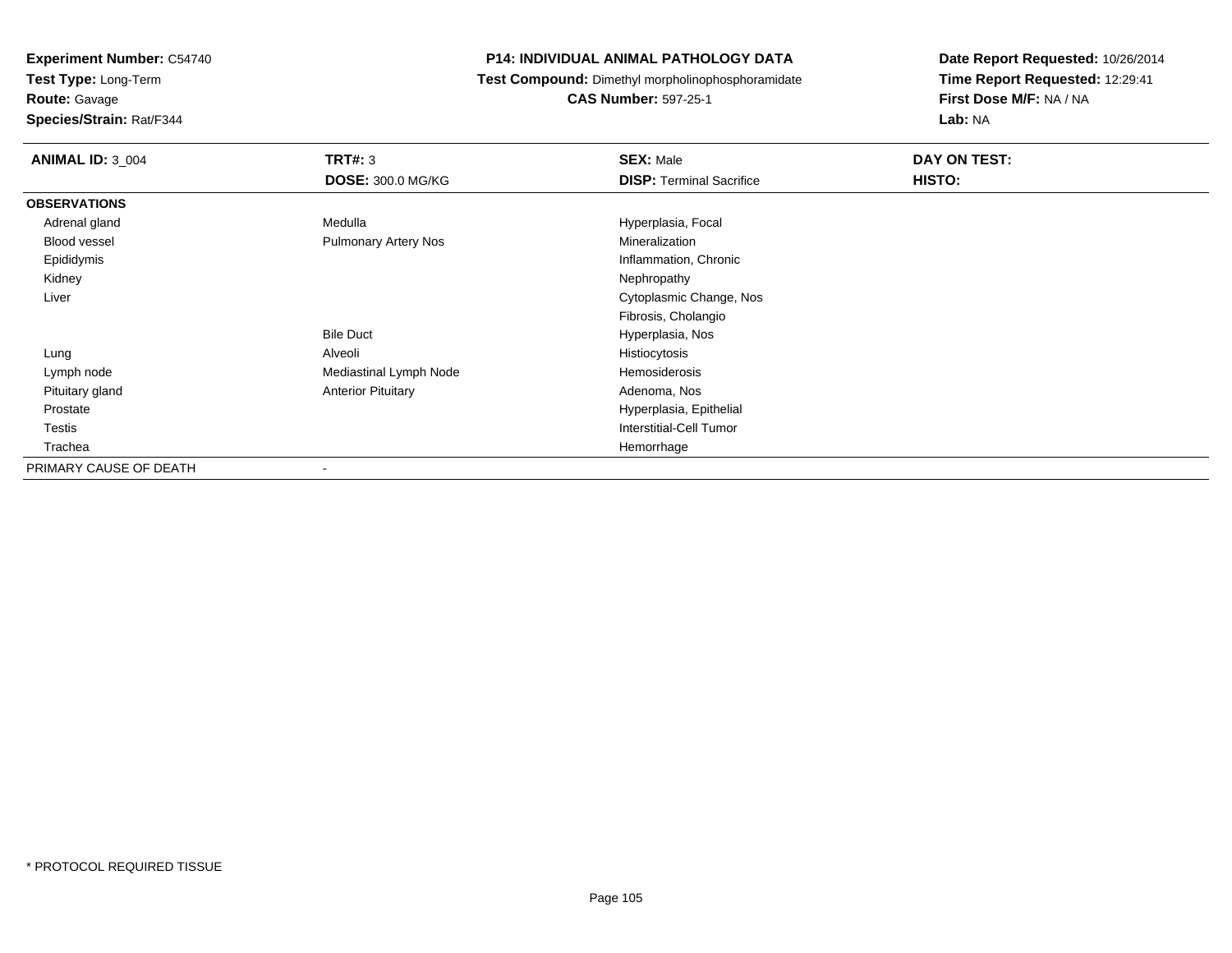**Test Type:** Long-Term

**Route:** Gavage

**Species/Strain:** Rat/F344

#### **P14: INDIVIDUAL ANIMAL PATHOLOGY DATA**

**Test Compound:** Dimethyl morpholinophosphoramidate

**CAS Number:** 597-25-1

| <b>ANIMAL ID: 3_004</b> | <b>TRT#: 3</b>              | <b>SEX: Male</b>                | DAY ON TEST: |
|-------------------------|-----------------------------|---------------------------------|--------------|
|                         | <b>DOSE: 300.0 MG/KG</b>    | <b>DISP: Terminal Sacrifice</b> | HISTO:       |
| <b>OBSERVATIONS</b>     |                             |                                 |              |
| Adrenal gland           | Medulla                     | Hyperplasia, Focal              |              |
| <b>Blood vessel</b>     | <b>Pulmonary Artery Nos</b> | Mineralization                  |              |
| Epididymis              |                             | Inflammation, Chronic           |              |
| Kidney                  |                             | Nephropathy                     |              |
| Liver                   |                             | Cytoplasmic Change, Nos         |              |
|                         |                             | Fibrosis, Cholangio             |              |
|                         | <b>Bile Duct</b>            | Hyperplasia, Nos                |              |
| Lung                    | Alveoli                     | Histiocytosis                   |              |
| Lymph node              | Mediastinal Lymph Node      | Hemosiderosis                   |              |
| Pituitary gland         | <b>Anterior Pituitary</b>   | Adenoma, Nos                    |              |
| Prostate                |                             | Hyperplasia, Epithelial         |              |
| Testis                  |                             | <b>Interstitial-Cell Tumor</b>  |              |
| Trachea                 |                             | Hemorrhage                      |              |
| PRIMARY CAUSE OF DEATH  | ۰                           |                                 |              |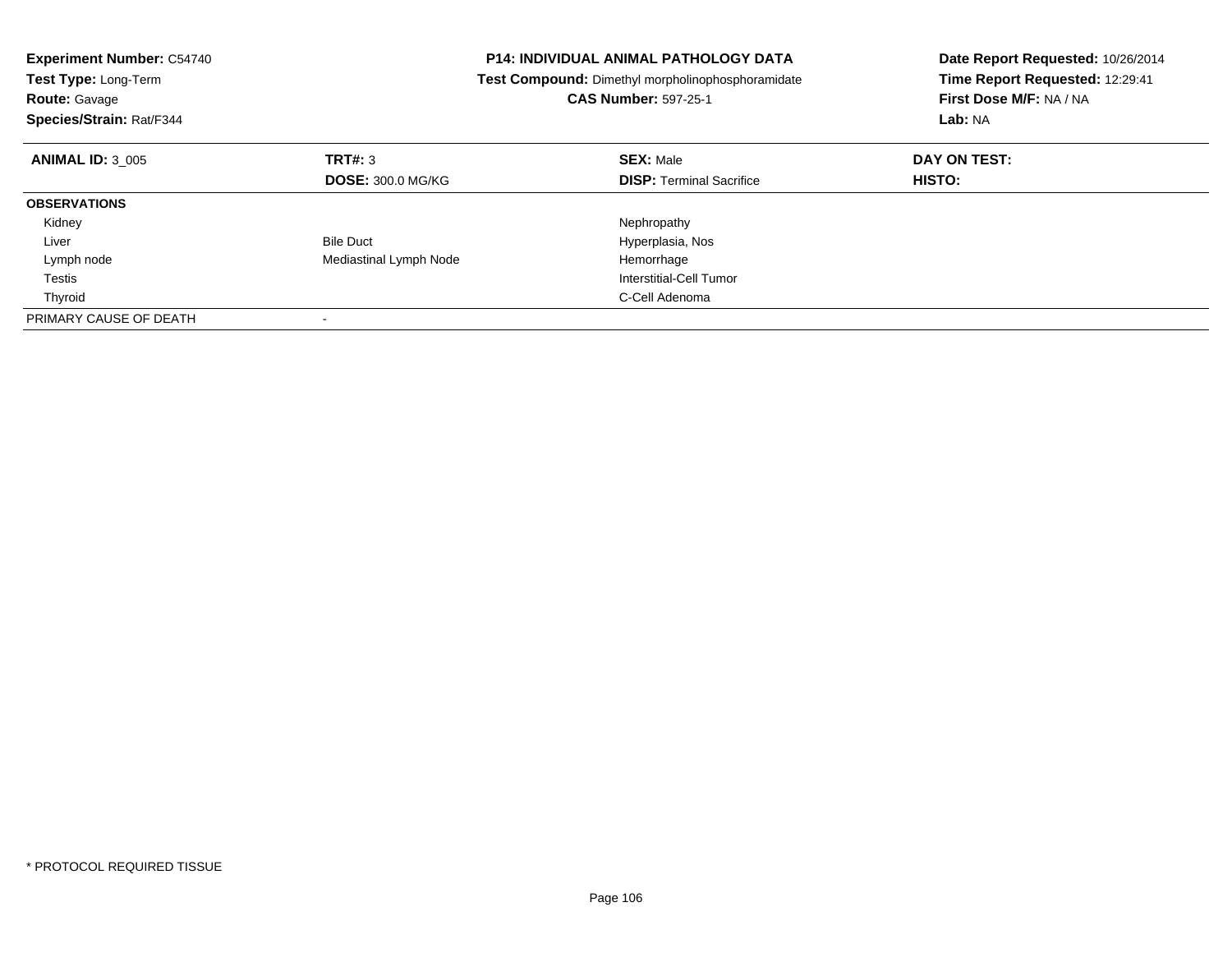| <b>Experiment Number: C54740</b><br>Test Type: Long-Term<br><b>Route: Gavage</b><br>Species/Strain: Rat/F344 |                          | <b>P14: INDIVIDUAL ANIMAL PATHOLOGY DATA</b><br>Test Compound: Dimethyl morpholinophosphoramidate<br><b>CAS Number: 597-25-1</b> | Date Report Requested: 10/26/2014<br>Time Report Requested: 12:29:41<br>First Dose M/F: NA / NA<br>Lab: NA |
|--------------------------------------------------------------------------------------------------------------|--------------------------|----------------------------------------------------------------------------------------------------------------------------------|------------------------------------------------------------------------------------------------------------|
| <b>ANIMAL ID: 3 005</b>                                                                                      | TRT#: 3                  | <b>SEX: Male</b>                                                                                                                 | DAY ON TEST:                                                                                               |
|                                                                                                              | <b>DOSE: 300.0 MG/KG</b> | <b>DISP:</b> Terminal Sacrifice                                                                                                  | HISTO:                                                                                                     |
| <b>OBSERVATIONS</b>                                                                                          |                          |                                                                                                                                  |                                                                                                            |
| Kidney                                                                                                       |                          | Nephropathy                                                                                                                      |                                                                                                            |
| Liver                                                                                                        | <b>Bile Duct</b>         | Hyperplasia, Nos                                                                                                                 |                                                                                                            |
| Lymph node                                                                                                   | Mediastinal Lymph Node   | Hemorrhage                                                                                                                       |                                                                                                            |
| Testis                                                                                                       |                          | Interstitial-Cell Tumor                                                                                                          |                                                                                                            |
| Thyroid                                                                                                      |                          | C-Cell Adenoma                                                                                                                   |                                                                                                            |
| PRIMARY CAUSE OF DEATH                                                                                       |                          |                                                                                                                                  |                                                                                                            |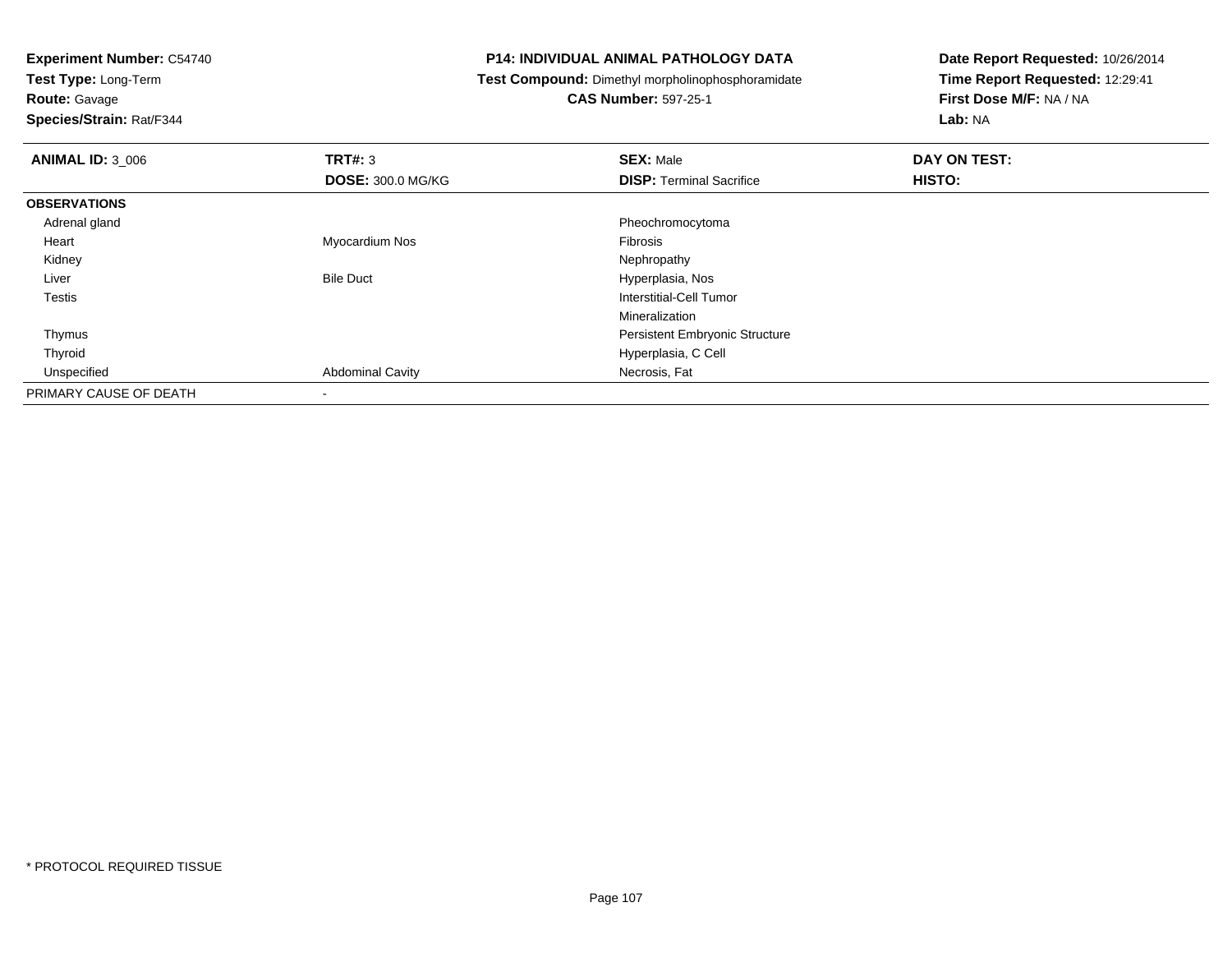**Test Type:** Long-Term

**Route:** Gavage

**Species/Strain:** Rat/F344

#### **P14: INDIVIDUAL ANIMAL PATHOLOGY DATA**

**Test Compound:** Dimethyl morpholinophosphoramidate

**CAS Number:** 597-25-1

| <b>ANIMAL ID: 3_006</b> | TRT#: 3                  | <b>SEX: Male</b>                      | DAY ON TEST:  |  |
|-------------------------|--------------------------|---------------------------------------|---------------|--|
|                         | <b>DOSE: 300.0 MG/KG</b> | <b>DISP: Terminal Sacrifice</b>       | <b>HISTO:</b> |  |
| <b>OBSERVATIONS</b>     |                          |                                       |               |  |
| Adrenal gland           |                          | Pheochromocytoma                      |               |  |
| Heart                   | Myocardium Nos           | <b>Fibrosis</b>                       |               |  |
| Kidney                  |                          | Nephropathy                           |               |  |
| Liver                   | <b>Bile Duct</b>         | Hyperplasia, Nos                      |               |  |
| Testis                  |                          | Interstitial-Cell Tumor               |               |  |
|                         |                          | Mineralization                        |               |  |
| Thymus                  |                          | <b>Persistent Embryonic Structure</b> |               |  |
| Thyroid                 |                          | Hyperplasia, C Cell                   |               |  |
| Unspecified             | <b>Abdominal Cavity</b>  | Necrosis, Fat                         |               |  |
| PRIMARY CAUSE OF DEATH  | $\overline{\phantom{a}}$ |                                       |               |  |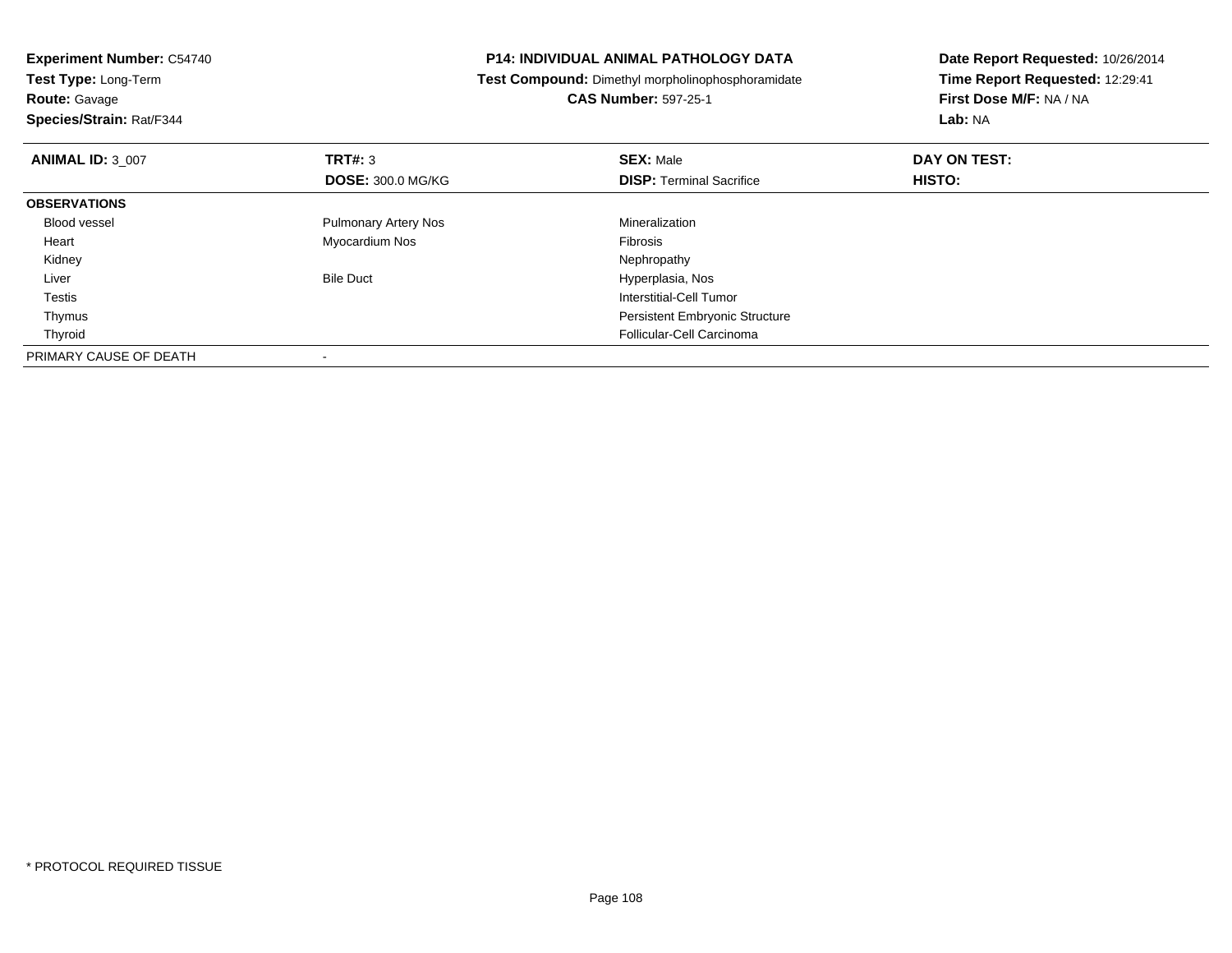| <b>Experiment Number: C54740</b>                   | <b>P14: INDIVIDUAL ANIMAL PATHOLOGY DATA</b>      | Date Report Requested: 10/26/2014 |
|----------------------------------------------------|---------------------------------------------------|-----------------------------------|
| Test Type: Long-Term                               | Test Compound: Dimethyl morpholinophosphoramidate | Time Report Requested: 12:29:41   |
| <b>Route: Gavage</b>                               | <b>CAS Number: 597-25-1</b>                       | First Dose M/F: NA / NA           |
| Species/Strain: Rat/F344                           |                                                   | <b>Lab: NA</b>                    |
| TRT#: 3<br><b>ANIMAL ID: 3 007</b>                 | <b>SEX: Male</b>                                  | DAY ON TEST:                      |
| <b>DOSE: 300.0 MG/KG</b>                           | <b>DISP:</b> Terminal Sacrifice                   | HISTO:                            |
| <b>OBSERVATIONS</b>                                |                                                   |                                   |
| <b>Pulmonary Artery Nos</b><br><b>Blood vessel</b> | Mineralization                                    |                                   |
| Myocardium Nos<br>Heart                            | <b>Fibrosis</b>                                   |                                   |
| Kidney                                             | Nephropathy                                       |                                   |
| <b>Bile Duct</b><br>Liver                          | Hyperplasia, Nos                                  |                                   |
| Testis                                             | <b>Interstitial-Cell Tumor</b>                    |                                   |
| Thymus                                             | <b>Persistent Embryonic Structure</b>             |                                   |
| Thyroid                                            | Follicular-Cell Carcinoma                         |                                   |
| PRIMARY CAUSE OF DEATH                             |                                                   |                                   |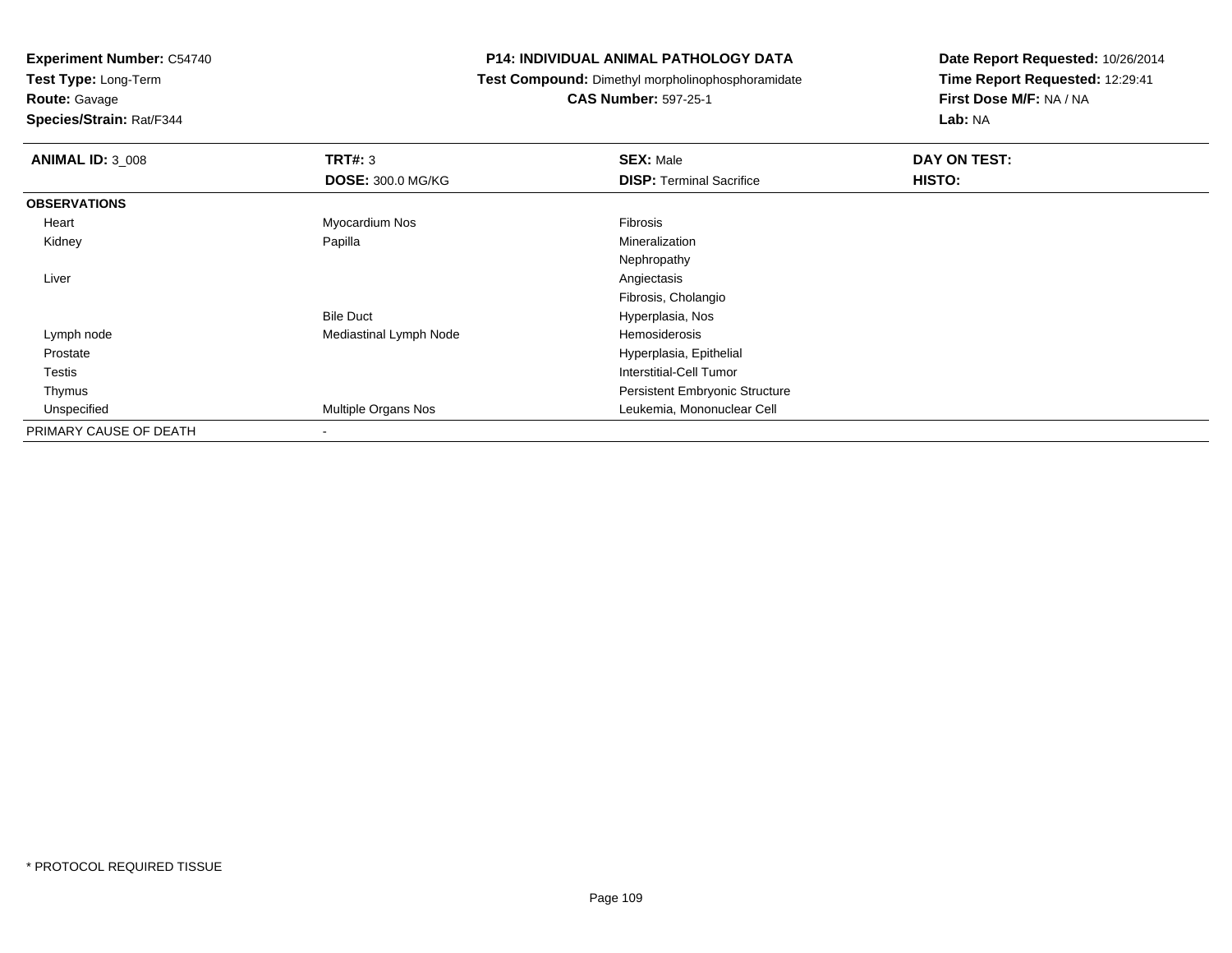**Test Type:** Long-Term

**Route:** Gavage

**Species/Strain:** Rat/F344

# **P14: INDIVIDUAL ANIMAL PATHOLOGY DATA**

**Test Compound:** Dimethyl morpholinophosphoramidate

**CAS Number:** 597-25-1

| <b>ANIMAL ID: 3_008</b> | TRT#: 3                    | <b>SEX: Male</b>                      | DAY ON TEST: |  |
|-------------------------|----------------------------|---------------------------------------|--------------|--|
|                         | <b>DOSE: 300.0 MG/KG</b>   | <b>DISP: Terminal Sacrifice</b>       | HISTO:       |  |
| <b>OBSERVATIONS</b>     |                            |                                       |              |  |
| Heart                   | Myocardium Nos             | Fibrosis                              |              |  |
| Kidney                  | Papilla                    | Mineralization                        |              |  |
|                         |                            | Nephropathy                           |              |  |
| Liver                   |                            | Angiectasis                           |              |  |
|                         |                            | Fibrosis, Cholangio                   |              |  |
|                         | <b>Bile Duct</b>           | Hyperplasia, Nos                      |              |  |
| Lymph node              | Mediastinal Lymph Node     | Hemosiderosis                         |              |  |
| Prostate                |                            | Hyperplasia, Epithelial               |              |  |
| Testis                  |                            | Interstitial-Cell Tumor               |              |  |
| Thymus                  |                            | <b>Persistent Embryonic Structure</b> |              |  |
| Unspecified             | <b>Multiple Organs Nos</b> | Leukemia, Mononuclear Cell            |              |  |
| PRIMARY CAUSE OF DEATH  | $\blacksquare$             |                                       |              |  |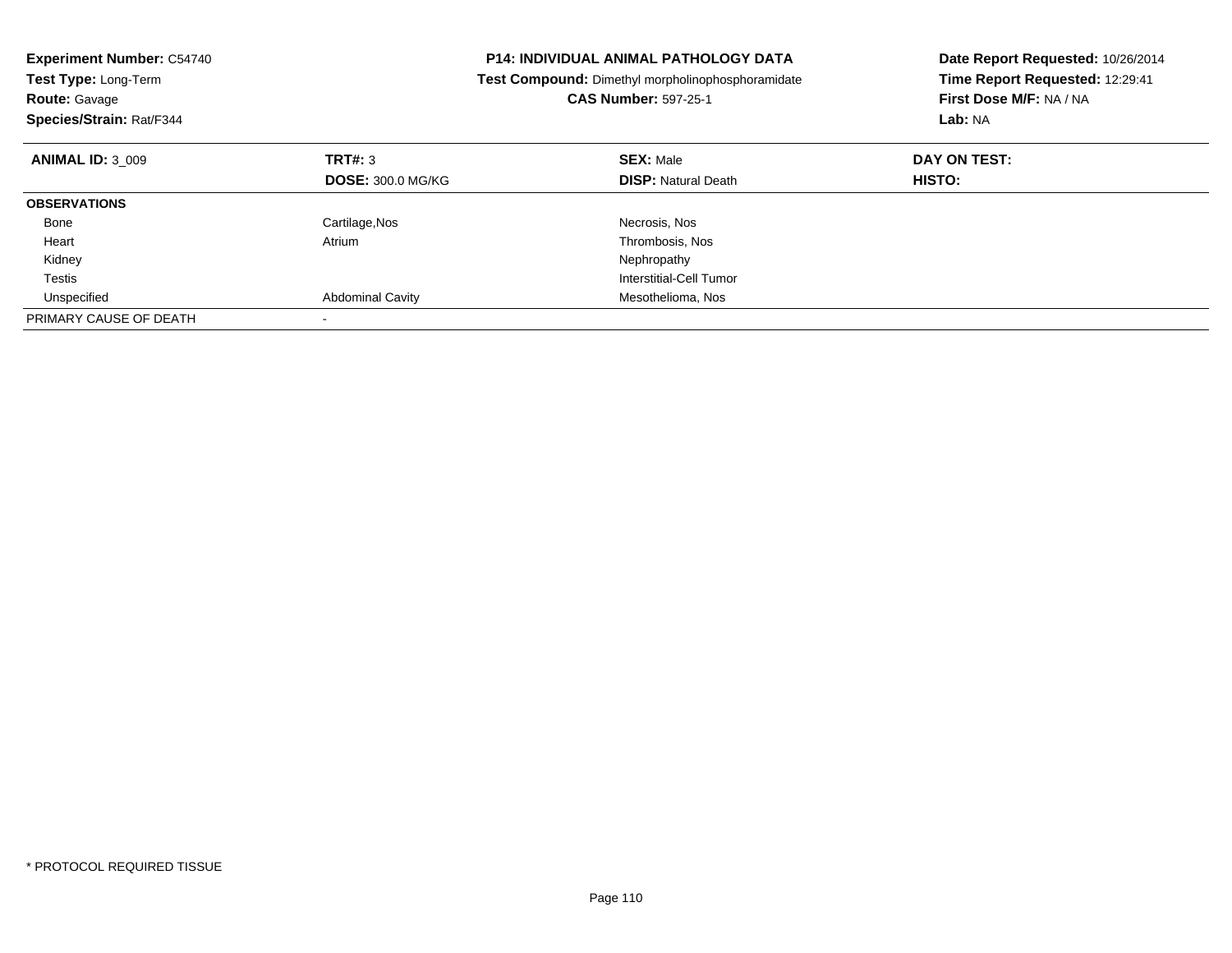| <b>Experiment Number: C54740</b><br>Test Type: Long-Term<br><b>Route: Gavage</b><br>Species/Strain: Rat/F344 |                          | <b>P14: INDIVIDUAL ANIMAL PATHOLOGY DATA</b><br>Test Compound: Dimethyl morpholinophosphoramidate<br><b>CAS Number: 597-25-1</b> | Date Report Requested: 10/26/2014<br>Time Report Requested: 12:29:41<br>First Dose M/F: NA / NA<br>Lab: NA |
|--------------------------------------------------------------------------------------------------------------|--------------------------|----------------------------------------------------------------------------------------------------------------------------------|------------------------------------------------------------------------------------------------------------|
| <b>ANIMAL ID: 3 009</b>                                                                                      | TRT#: 3                  | <b>SEX: Male</b>                                                                                                                 | DAY ON TEST:                                                                                               |
|                                                                                                              | <b>DOSE: 300.0 MG/KG</b> | <b>DISP:</b> Natural Death                                                                                                       | HISTO:                                                                                                     |
| <b>OBSERVATIONS</b>                                                                                          |                          |                                                                                                                                  |                                                                                                            |
| Bone                                                                                                         | Cartilage, Nos           | Necrosis, Nos                                                                                                                    |                                                                                                            |
| Heart                                                                                                        | Atrium                   | Thrombosis, Nos                                                                                                                  |                                                                                                            |
| Kidney                                                                                                       |                          | Nephropathy                                                                                                                      |                                                                                                            |
| Testis                                                                                                       |                          | Interstitial-Cell Tumor                                                                                                          |                                                                                                            |
| Unspecified                                                                                                  | <b>Abdominal Cavity</b>  | Mesothelioma, Nos                                                                                                                |                                                                                                            |
| PRIMARY CAUSE OF DEATH                                                                                       |                          |                                                                                                                                  |                                                                                                            |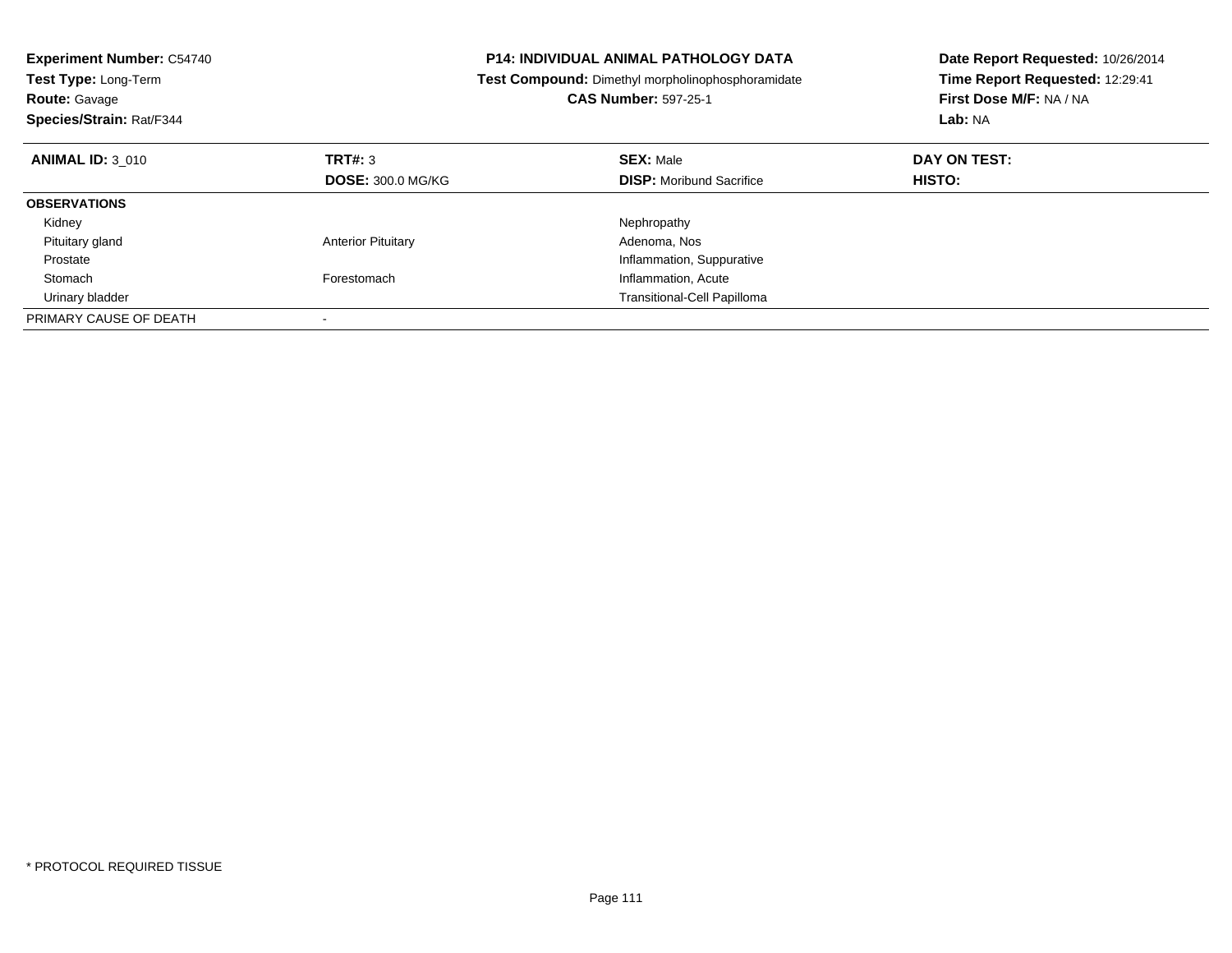| <b>Experiment Number: C54740</b><br>Test Type: Long-Term<br><b>Route: Gavage</b><br>Species/Strain: Rat/F344 |                           | <b>P14: INDIVIDUAL ANIMAL PATHOLOGY DATA</b><br>Test Compound: Dimethyl morpholinophosphoramidate<br><b>CAS Number: 597-25-1</b> | Date Report Requested: 10/26/2014<br>Time Report Requested: 12:29:41<br>First Dose M/F: NA / NA<br>Lab: NA |
|--------------------------------------------------------------------------------------------------------------|---------------------------|----------------------------------------------------------------------------------------------------------------------------------|------------------------------------------------------------------------------------------------------------|
| <b>ANIMAL ID: 3 010</b>                                                                                      | TRT#: 3                   | <b>SEX: Male</b>                                                                                                                 | DAY ON TEST:                                                                                               |
|                                                                                                              | <b>DOSE: 300.0 MG/KG</b>  | <b>DISP:</b> Moribund Sacrifice                                                                                                  | HISTO:                                                                                                     |
| <b>OBSERVATIONS</b>                                                                                          |                           |                                                                                                                                  |                                                                                                            |
| Kidney                                                                                                       |                           | Nephropathy                                                                                                                      |                                                                                                            |
| Pituitary gland                                                                                              | <b>Anterior Pituitary</b> | Adenoma, Nos                                                                                                                     |                                                                                                            |
| Prostate                                                                                                     |                           | Inflammation, Suppurative                                                                                                        |                                                                                                            |
| Stomach                                                                                                      | Forestomach               | Inflammation, Acute                                                                                                              |                                                                                                            |
| Urinary bladder                                                                                              |                           | Transitional-Cell Papilloma                                                                                                      |                                                                                                            |
| PRIMARY CAUSE OF DEATH                                                                                       |                           |                                                                                                                                  |                                                                                                            |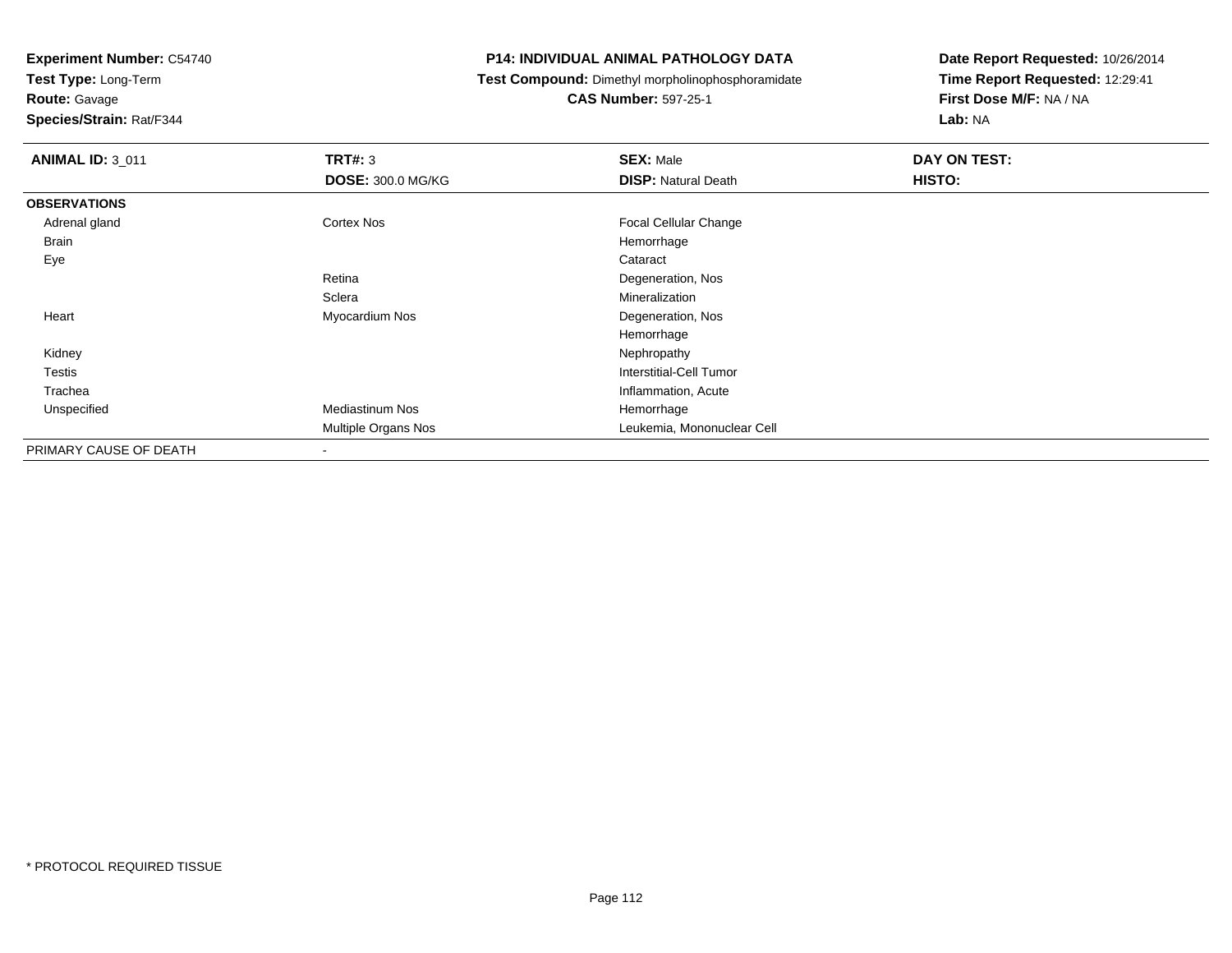**Test Type:** Long-Term

# **Route:** Gavage

**Species/Strain:** Rat/F344

# **P14: INDIVIDUAL ANIMAL PATHOLOGY DATA**

**Test Compound:** Dimethyl morpholinophosphoramidate

# **CAS Number:** 597-25-1

| <b>ANIMAL ID: 3_011</b> | TRT#: 3                    | <b>SEX: Male</b>             | DAY ON TEST: |
|-------------------------|----------------------------|------------------------------|--------------|
|                         | <b>DOSE: 300.0 MG/KG</b>   | <b>DISP: Natural Death</b>   | HISTO:       |
| <b>OBSERVATIONS</b>     |                            |                              |              |
| Adrenal gland           | <b>Cortex Nos</b>          | <b>Focal Cellular Change</b> |              |
| <b>Brain</b>            |                            | Hemorrhage                   |              |
| Eye                     |                            | Cataract                     |              |
|                         | Retina                     | Degeneration, Nos            |              |
|                         | Sclera                     | Mineralization               |              |
| Heart                   | Myocardium Nos             | Degeneration, Nos            |              |
|                         |                            | Hemorrhage                   |              |
| Kidney                  |                            | Nephropathy                  |              |
| Testis                  |                            | Interstitial-Cell Tumor      |              |
| Trachea                 |                            | Inflammation, Acute          |              |
| Unspecified             | <b>Mediastinum Nos</b>     | Hemorrhage                   |              |
|                         | <b>Multiple Organs Nos</b> | Leukemia, Mononuclear Cell   |              |
| PRIMARY CAUSE OF DEATH  | $\,$                       |                              |              |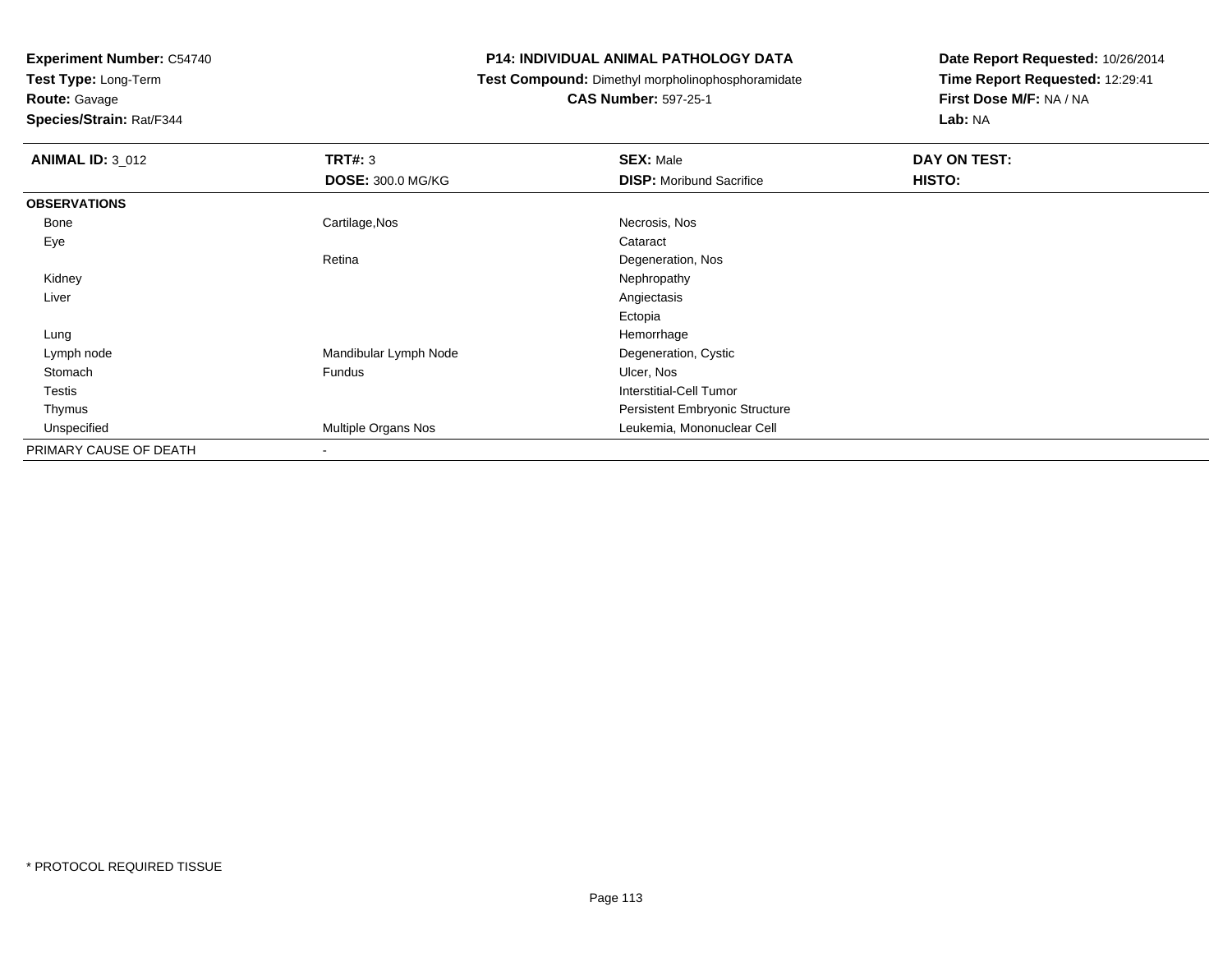**Test Type:** Long-Term

# **Route:** Gavage

**Species/Strain:** Rat/F344

# **P14: INDIVIDUAL ANIMAL PATHOLOGY DATA**

**Test Compound:** Dimethyl morpholinophosphoramidate

# **CAS Number:** 597-25-1

| <b>ANIMAL ID: 3_012</b> | TRT#: 3                  | <b>SEX: Male</b>                | DAY ON TEST: |
|-------------------------|--------------------------|---------------------------------|--------------|
|                         | <b>DOSE: 300.0 MG/KG</b> | <b>DISP:</b> Moribund Sacrifice | HISTO:       |
| <b>OBSERVATIONS</b>     |                          |                                 |              |
| Bone                    | Cartilage, Nos           | Necrosis, Nos                   |              |
| Eye                     |                          | Cataract                        |              |
|                         | Retina                   | Degeneration, Nos               |              |
| Kidney                  |                          | Nephropathy                     |              |
| Liver                   |                          | Angiectasis                     |              |
|                         |                          | Ectopia                         |              |
| Lung                    |                          | Hemorrhage                      |              |
| Lymph node              | Mandibular Lymph Node    | Degeneration, Cystic            |              |
| Stomach                 | Fundus                   | Ulcer, Nos                      |              |
| Testis                  |                          | Interstitial-Cell Tumor         |              |
| Thymus                  |                          | Persistent Embryonic Structure  |              |
| Unspecified             | Multiple Organs Nos      | Leukemia, Mononuclear Cell      |              |
| PRIMARY CAUSE OF DEATH  | $\blacksquare$           |                                 |              |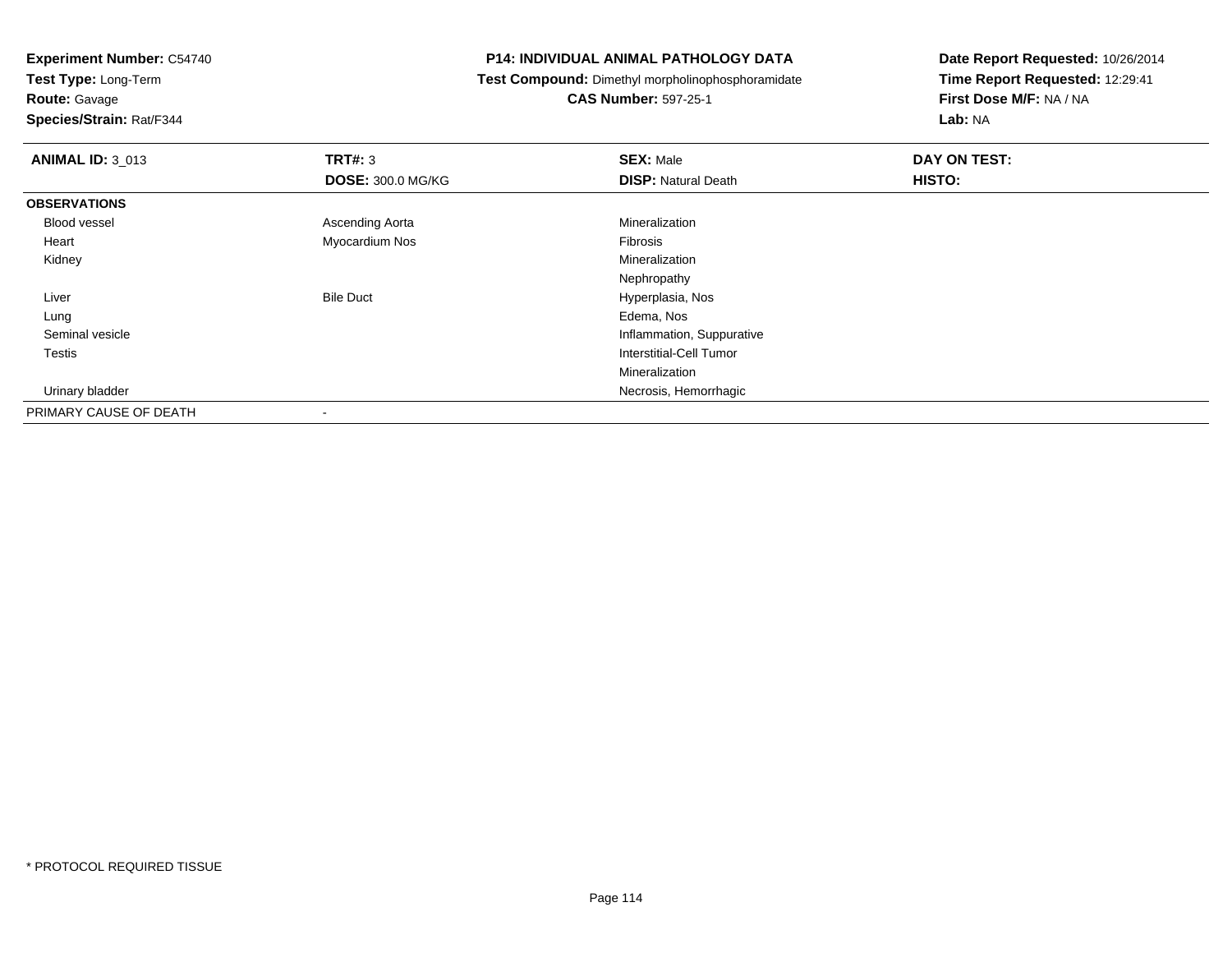**Test Type:** Long-Term

**Route:** Gavage

**Species/Strain:** Rat/F344

# **P14: INDIVIDUAL ANIMAL PATHOLOGY DATA**

**Test Compound:** Dimethyl morpholinophosphoramidate

**CAS Number:** 597-25-1

| <b>ANIMAL ID: 3_013</b> | TRT#: 3                  | <b>SEX: Male</b>           | DAY ON TEST: |
|-------------------------|--------------------------|----------------------------|--------------|
|                         | <b>DOSE: 300.0 MG/KG</b> | <b>DISP: Natural Death</b> | HISTO:       |
| <b>OBSERVATIONS</b>     |                          |                            |              |
| Blood vessel            | Ascending Aorta          | Mineralization             |              |
| Heart                   | Myocardium Nos           | Fibrosis                   |              |
| Kidney                  |                          | Mineralization             |              |
|                         |                          | Nephropathy                |              |
| Liver                   | <b>Bile Duct</b>         | Hyperplasia, Nos           |              |
| Lung                    |                          | Edema, Nos                 |              |
| Seminal vesicle         |                          | Inflammation, Suppurative  |              |
| Testis                  |                          | Interstitial-Cell Tumor    |              |
|                         |                          | Mineralization             |              |
| Urinary bladder         |                          | Necrosis, Hemorrhagic      |              |
| PRIMARY CAUSE OF DEATH  |                          |                            |              |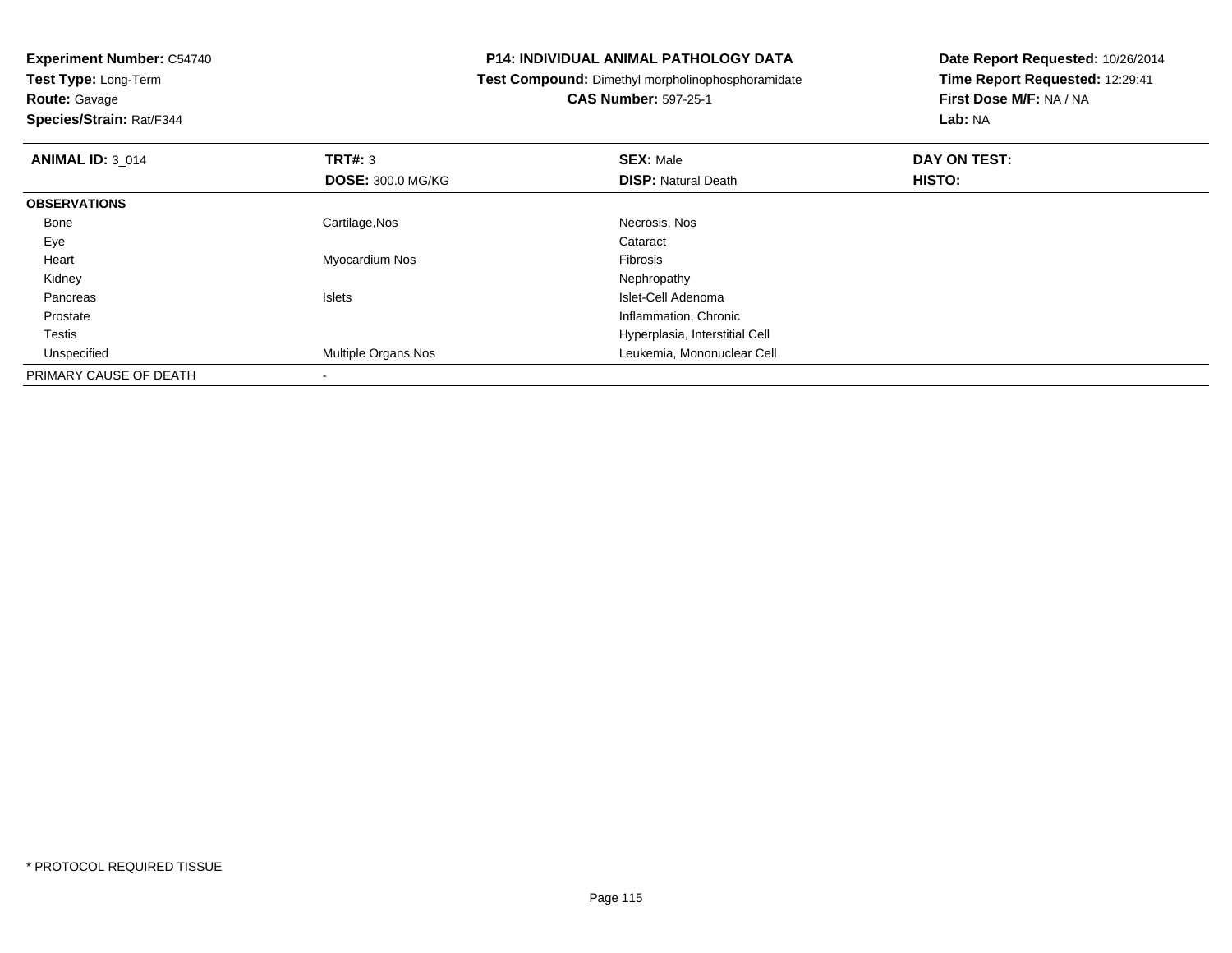**Route:** Gavage

**Species/Strain:** Rat/F344

# **P14: INDIVIDUAL ANIMAL PATHOLOGY DATA**

**Test Compound:** Dimethyl morpholinophosphoramidate

**CAS Number:** 597-25-1

| <b>ANIMAL ID: 3_014</b> | TRT#: 3                  | <b>SEX: Male</b>               | DAY ON TEST: |  |
|-------------------------|--------------------------|--------------------------------|--------------|--|
|                         | <b>DOSE: 300.0 MG/KG</b> | <b>DISP: Natural Death</b>     | HISTO:       |  |
| <b>OBSERVATIONS</b>     |                          |                                |              |  |
| Bone                    | Cartilage, Nos           | Necrosis, Nos                  |              |  |
| Eye                     |                          | Cataract                       |              |  |
| Heart                   | Myocardium Nos           | Fibrosis                       |              |  |
| Kidney                  |                          | Nephropathy                    |              |  |
| Pancreas                | <b>Islets</b>            | Islet-Cell Adenoma             |              |  |
| Prostate                |                          | Inflammation, Chronic          |              |  |
| <b>Testis</b>           |                          | Hyperplasia, Interstitial Cell |              |  |
| Unspecified             | Multiple Organs Nos      | Leukemia, Mononuclear Cell     |              |  |
| PRIMARY CAUSE OF DEATH  |                          |                                |              |  |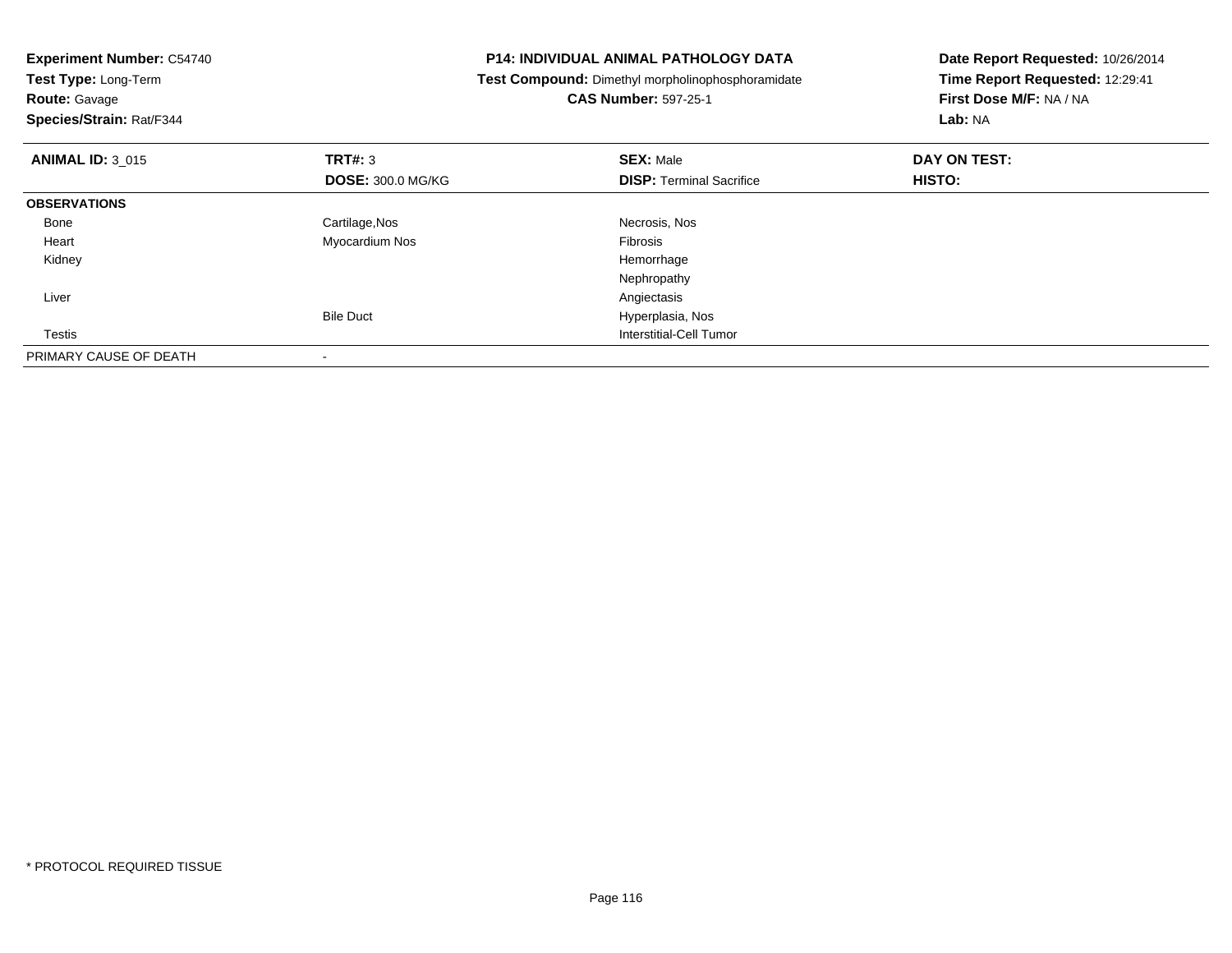| <b>Experiment Number: C54740</b><br>Test Type: Long-Term<br><b>Route: Gavage</b><br>Species/Strain: Rat/F344 |                          | P14: INDIVIDUAL ANIMAL PATHOLOGY DATA<br>Test Compound: Dimethyl morpholinophosphoramidate<br><b>CAS Number: 597-25-1</b> | Date Report Requested: 10/26/2014<br>Time Report Requested: 12:29:41<br>First Dose M/F: NA / NA<br>Lab: NA |
|--------------------------------------------------------------------------------------------------------------|--------------------------|---------------------------------------------------------------------------------------------------------------------------|------------------------------------------------------------------------------------------------------------|
| <b>ANIMAL ID: 3 015</b>                                                                                      | <b>TRT#: 3</b>           | <b>SEX: Male</b>                                                                                                          | DAY ON TEST:                                                                                               |
|                                                                                                              | <b>DOSE: 300.0 MG/KG</b> | <b>DISP:</b> Terminal Sacrifice                                                                                           | <b>HISTO:</b>                                                                                              |
| <b>OBSERVATIONS</b>                                                                                          |                          |                                                                                                                           |                                                                                                            |
| Bone                                                                                                         | Cartilage, Nos           | Necrosis, Nos                                                                                                             |                                                                                                            |
| Heart                                                                                                        | Myocardium Nos           | Fibrosis                                                                                                                  |                                                                                                            |
| Kidney                                                                                                       |                          | Hemorrhage                                                                                                                |                                                                                                            |
|                                                                                                              |                          | Nephropathy                                                                                                               |                                                                                                            |
| Liver                                                                                                        |                          | Angiectasis                                                                                                               |                                                                                                            |
|                                                                                                              | <b>Bile Duct</b>         | Hyperplasia, Nos                                                                                                          |                                                                                                            |
| Testis                                                                                                       |                          | Interstitial-Cell Tumor                                                                                                   |                                                                                                            |
| PRIMARY CAUSE OF DEATH                                                                                       |                          |                                                                                                                           |                                                                                                            |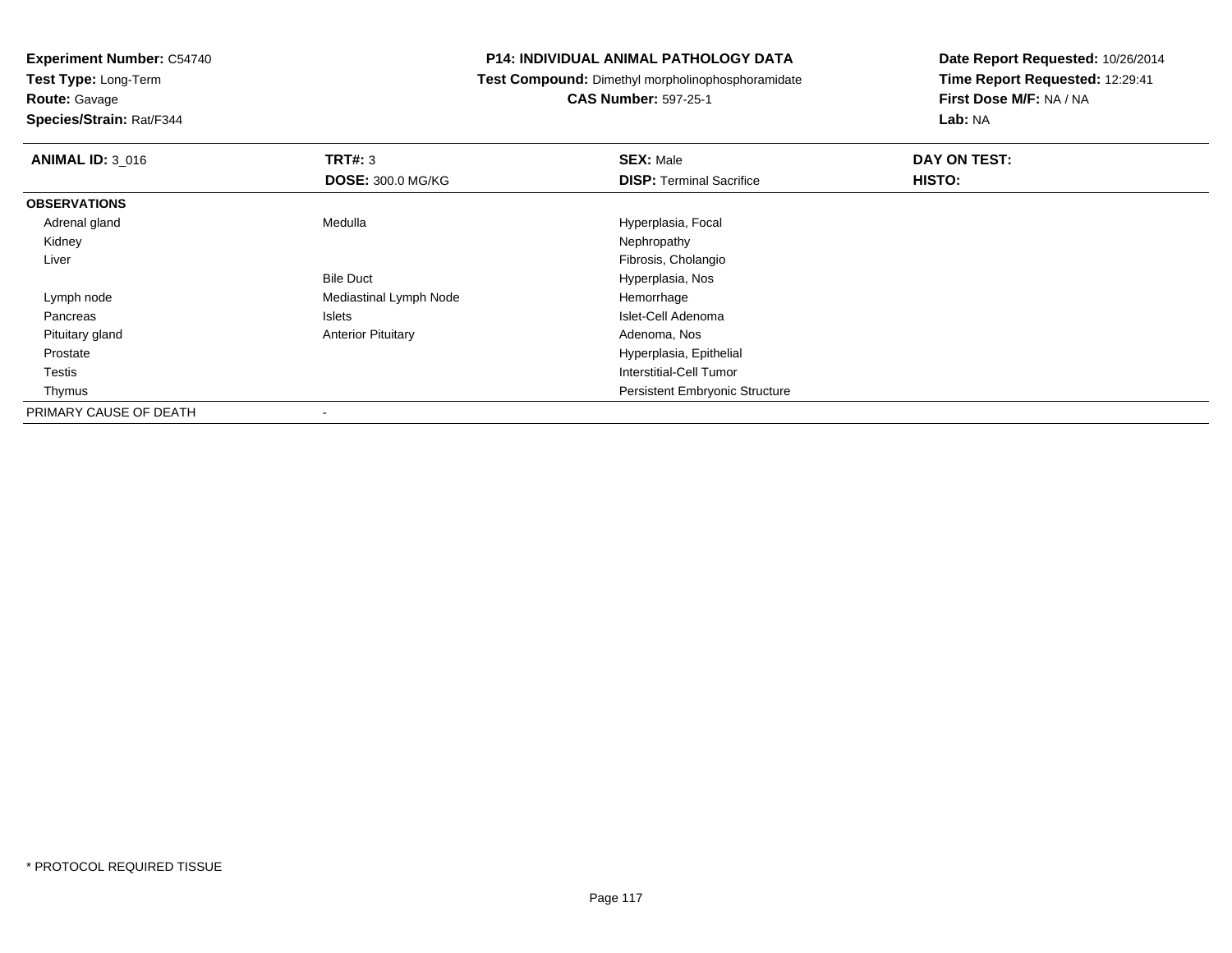**Test Type:** Long-Term

# **Route:** Gavage

**Species/Strain:** Rat/F344

# **P14: INDIVIDUAL ANIMAL PATHOLOGY DATA**

# **Test Compound:** Dimethyl morpholinophosphoramidate

# **CAS Number:** 597-25-1

| <b>ANIMAL ID: 3_016</b> | TRT#: 3                   | <b>SEX: Male</b>                      | DAY ON TEST:  |  |
|-------------------------|---------------------------|---------------------------------------|---------------|--|
|                         | <b>DOSE: 300.0 MG/KG</b>  | <b>DISP: Terminal Sacrifice</b>       | <b>HISTO:</b> |  |
| <b>OBSERVATIONS</b>     |                           |                                       |               |  |
| Adrenal gland           | Medulla                   | Hyperplasia, Focal                    |               |  |
| Kidney                  |                           | Nephropathy                           |               |  |
| Liver                   |                           | Fibrosis, Cholangio                   |               |  |
|                         | <b>Bile Duct</b>          | Hyperplasia, Nos                      |               |  |
| Lymph node              | Mediastinal Lymph Node    | Hemorrhage                            |               |  |
| Pancreas                | Islets                    | Islet-Cell Adenoma                    |               |  |
| Pituitary gland         | <b>Anterior Pituitary</b> | Adenoma, Nos                          |               |  |
| Prostate                |                           | Hyperplasia, Epithelial               |               |  |
| Testis                  |                           | Interstitial-Cell Tumor               |               |  |
| Thymus                  |                           | <b>Persistent Embryonic Structure</b> |               |  |
| PRIMARY CAUSE OF DEATH  | $\overline{\phantom{a}}$  |                                       |               |  |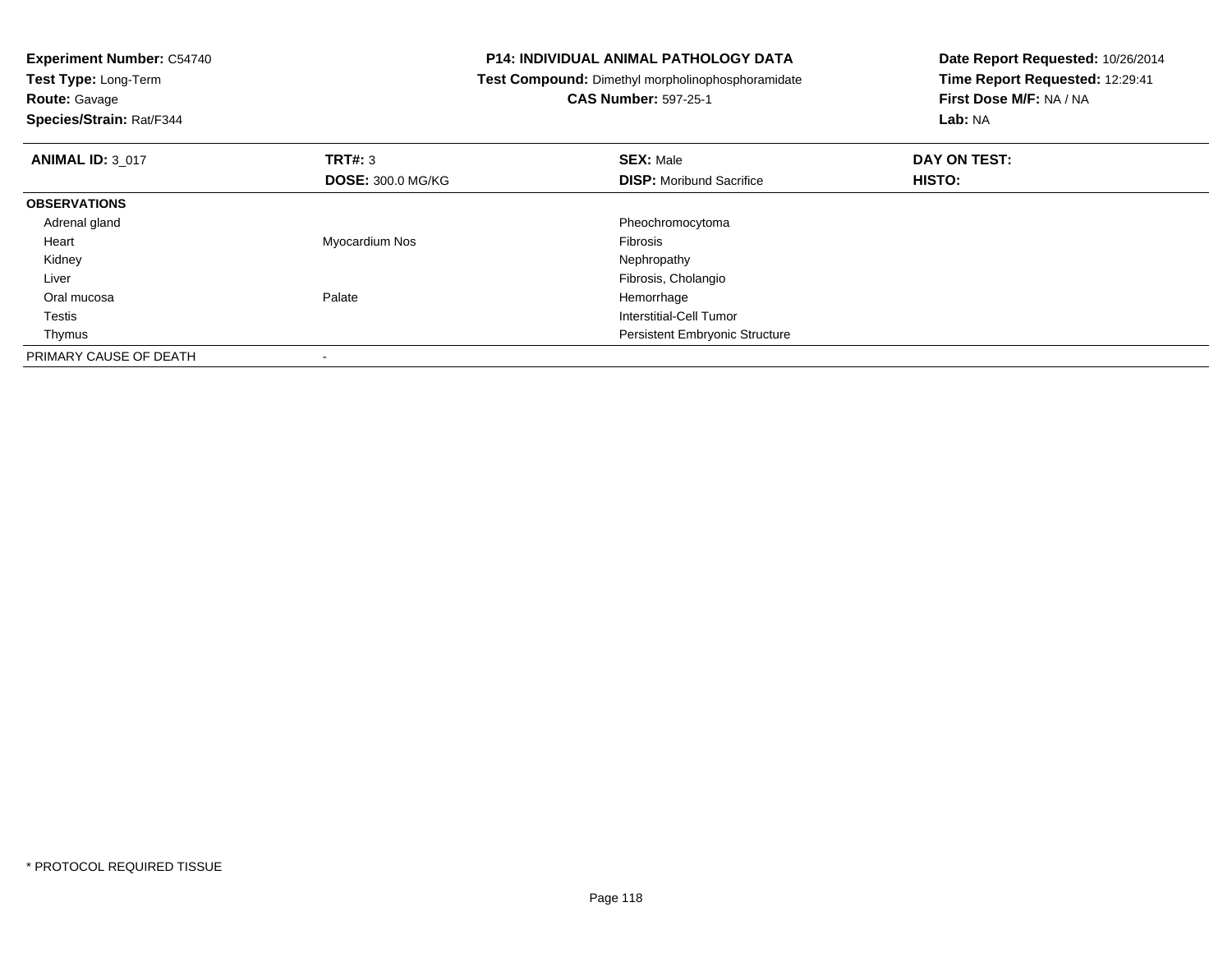| <b>Experiment Number: C54740</b><br>Test Type: Long-Term |                          | <b>P14: INDIVIDUAL ANIMAL PATHOLOGY DATA</b>             | Date Report Requested: 10/26/2014 |
|----------------------------------------------------------|--------------------------|----------------------------------------------------------|-----------------------------------|
|                                                          |                          | <b>Test Compound:</b> Dimethyl morpholinophosphoramidate | Time Report Requested: 12:29:41   |
| <b>Route: Gavage</b>                                     |                          | <b>CAS Number: 597-25-1</b>                              | First Dose M/F: NA / NA           |
| Species/Strain: Rat/F344                                 |                          |                                                          | Lab: NA                           |
| <b>ANIMAL ID: 3 017</b>                                  | TRT#: 3                  | <b>SEX: Male</b>                                         | DAY ON TEST:                      |
|                                                          | <b>DOSE: 300.0 MG/KG</b> | <b>DISP:</b> Moribund Sacrifice                          | HISTO:                            |
| <b>OBSERVATIONS</b>                                      |                          |                                                          |                                   |
| Adrenal gland                                            |                          | Pheochromocytoma                                         |                                   |
| Heart                                                    | Myocardium Nos           | <b>Fibrosis</b>                                          |                                   |
| Kidney                                                   |                          | Nephropathy                                              |                                   |
| Liver                                                    |                          | Fibrosis, Cholangio                                      |                                   |
| Oral mucosa                                              | Palate                   | Hemorrhage                                               |                                   |
| Testis                                                   |                          | Interstitial-Cell Tumor                                  |                                   |
| Thymus                                                   |                          | <b>Persistent Embryonic Structure</b>                    |                                   |
| PRIMARY CAUSE OF DEATH                                   |                          |                                                          |                                   |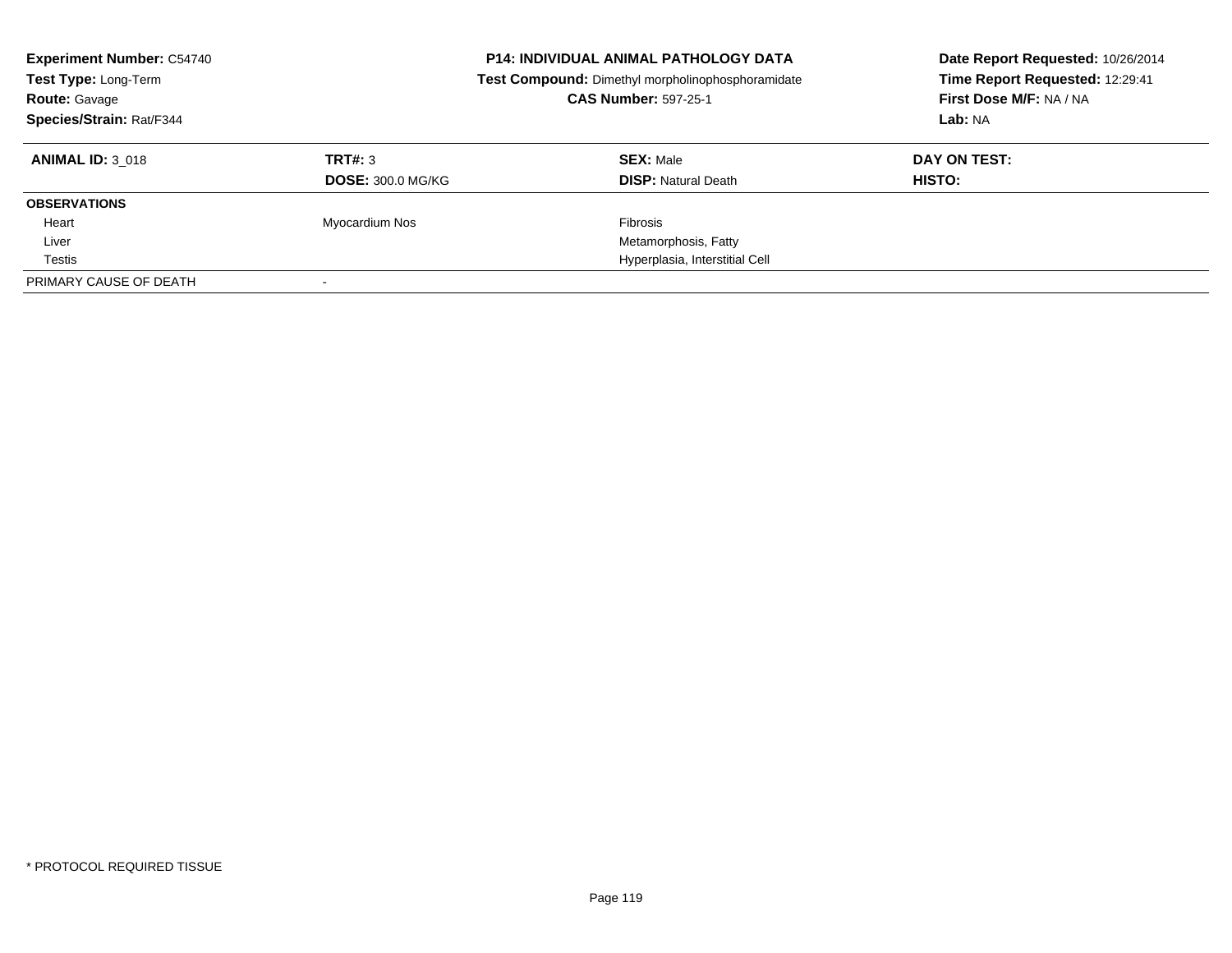| <b>Experiment Number: C54740</b><br>Test Type: Long-Term<br><b>Route: Gavage</b><br>Species/Strain: Rat/F344 |                          | <b>P14: INDIVIDUAL ANIMAL PATHOLOGY DATA</b><br>Test Compound: Dimethyl morpholinophosphoramidate<br><b>CAS Number: 597-25-1</b> | Date Report Requested: 10/26/2014<br>Time Report Requested: 12:29:41<br>First Dose M/F: NA / NA<br>Lab: NA |
|--------------------------------------------------------------------------------------------------------------|--------------------------|----------------------------------------------------------------------------------------------------------------------------------|------------------------------------------------------------------------------------------------------------|
| <b>ANIMAL ID: 3 018</b>                                                                                      | TRT#: 3                  | <b>SEX: Male</b>                                                                                                                 | DAY ON TEST:                                                                                               |
|                                                                                                              | <b>DOSE: 300.0 MG/KG</b> | <b>DISP: Natural Death</b>                                                                                                       | <b>HISTO:</b>                                                                                              |
| <b>OBSERVATIONS</b>                                                                                          |                          |                                                                                                                                  |                                                                                                            |
| Heart                                                                                                        | Myocardium Nos           | Fibrosis                                                                                                                         |                                                                                                            |
| Liver                                                                                                        |                          | Metamorphosis, Fatty                                                                                                             |                                                                                                            |
| Testis                                                                                                       |                          | Hyperplasia, Interstitial Cell                                                                                                   |                                                                                                            |
| PRIMARY CAUSE OF DEATH                                                                                       |                          |                                                                                                                                  |                                                                                                            |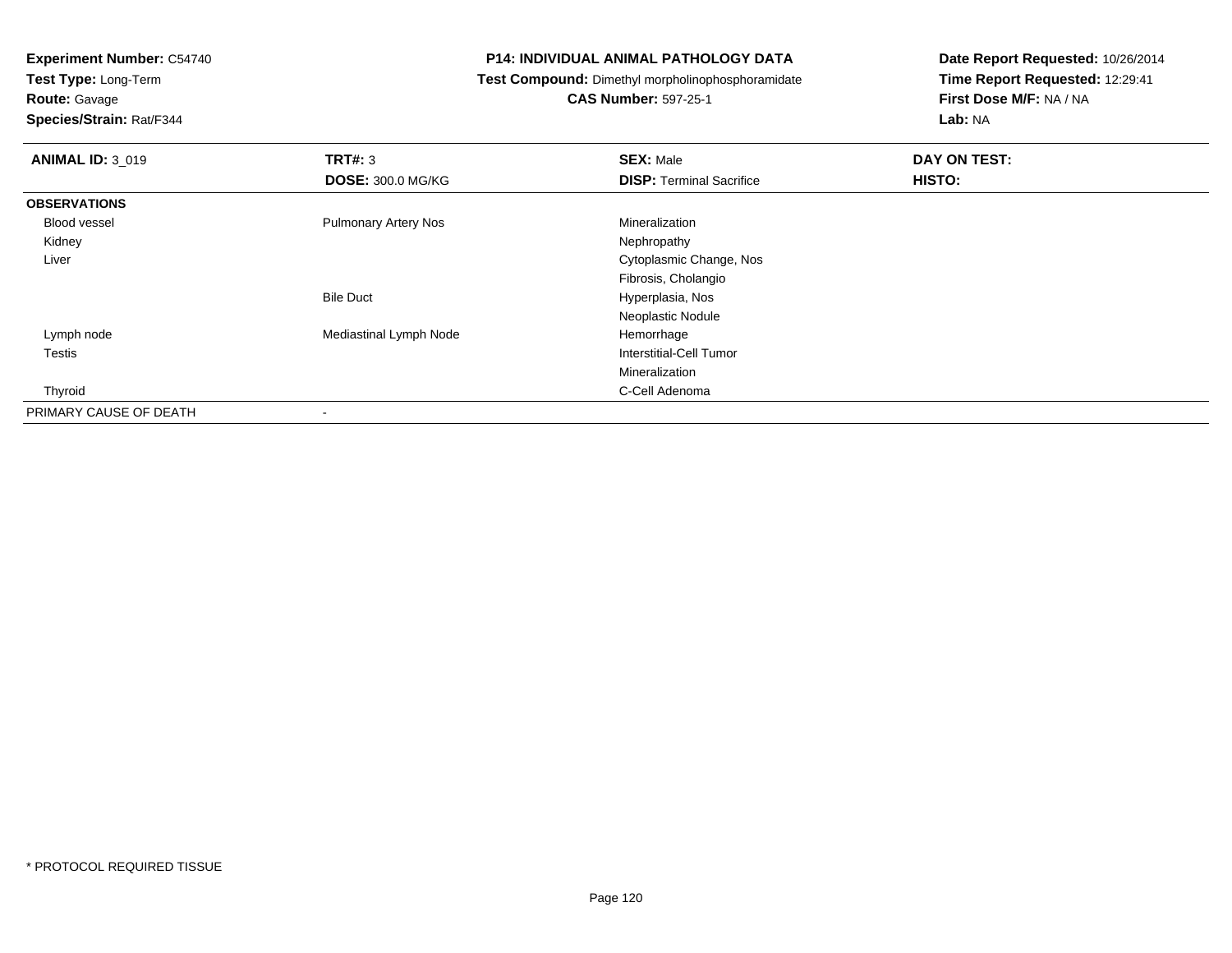**Test Type:** Long-Term

**Route:** Gavage

**Species/Strain:** Rat/F344

# **P14: INDIVIDUAL ANIMAL PATHOLOGY DATA**

**Test Compound:** Dimethyl morpholinophosphoramidate

**CAS Number:** 597-25-1

| <b>ANIMAL ID: 3_019</b> | TRT#: 3                     | <b>SEX: Male</b>                | DAY ON TEST: |  |
|-------------------------|-----------------------------|---------------------------------|--------------|--|
|                         | <b>DOSE: 300.0 MG/KG</b>    | <b>DISP: Terminal Sacrifice</b> | HISTO:       |  |
| <b>OBSERVATIONS</b>     |                             |                                 |              |  |
| <b>Blood vessel</b>     | <b>Pulmonary Artery Nos</b> | Mineralization                  |              |  |
| Kidney                  |                             | Nephropathy                     |              |  |
| Liver                   |                             | Cytoplasmic Change, Nos         |              |  |
|                         |                             | Fibrosis, Cholangio             |              |  |
|                         | <b>Bile Duct</b>            | Hyperplasia, Nos                |              |  |
|                         |                             | Neoplastic Nodule               |              |  |
| Lymph node              | Mediastinal Lymph Node      | Hemorrhage                      |              |  |
| <b>Testis</b>           |                             | Interstitial-Cell Tumor         |              |  |
|                         |                             | Mineralization                  |              |  |
| Thyroid                 |                             | C-Cell Adenoma                  |              |  |
| PRIMARY CAUSE OF DEATH  |                             |                                 |              |  |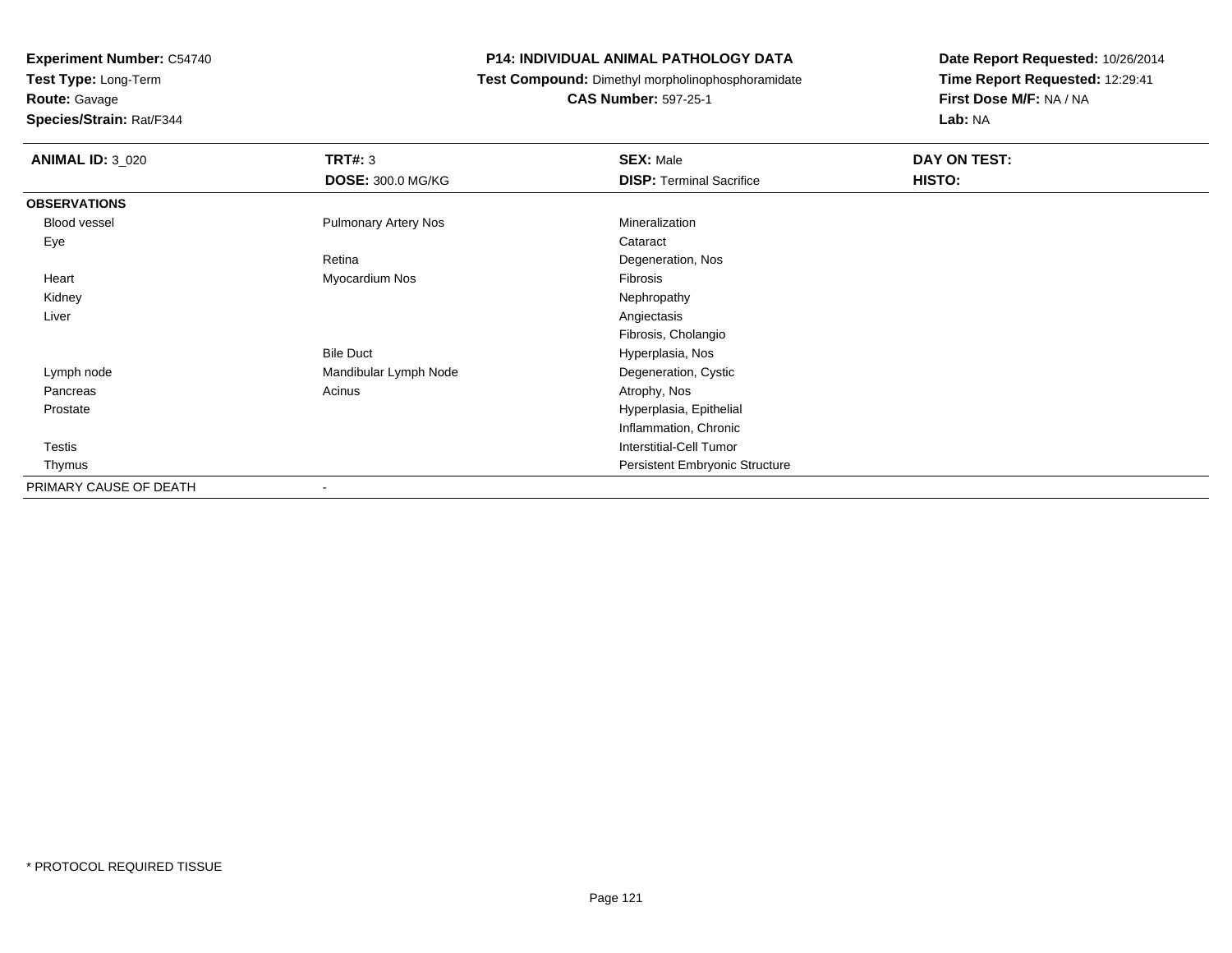**Test Type:** Long-Term

**Route:** Gavage

**Species/Strain:** Rat/F344

# **P14: INDIVIDUAL ANIMAL PATHOLOGY DATA**

**Test Compound:** Dimethyl morpholinophosphoramidate

**CAS Number:** 597-25-1

| <b>ANIMAL ID: 3_020</b> | <b>TRT#: 3</b>              | <b>SEX: Male</b>                | DAY ON TEST: |  |
|-------------------------|-----------------------------|---------------------------------|--------------|--|
|                         | <b>DOSE: 300.0 MG/KG</b>    | <b>DISP: Terminal Sacrifice</b> | HISTO:       |  |
| <b>OBSERVATIONS</b>     |                             |                                 |              |  |
| Blood vessel            | <b>Pulmonary Artery Nos</b> | Mineralization                  |              |  |
| Eye                     |                             | Cataract                        |              |  |
|                         | Retina                      | Degeneration, Nos               |              |  |
| Heart                   | Myocardium Nos              | Fibrosis                        |              |  |
| Kidney                  |                             | Nephropathy                     |              |  |
| Liver                   |                             | Angiectasis                     |              |  |
|                         |                             | Fibrosis, Cholangio             |              |  |
|                         | <b>Bile Duct</b>            | Hyperplasia, Nos                |              |  |
| Lymph node              | Mandibular Lymph Node       | Degeneration, Cystic            |              |  |
| Pancreas                | Acinus                      | Atrophy, Nos                    |              |  |
| Prostate                |                             | Hyperplasia, Epithelial         |              |  |
|                         |                             | Inflammation, Chronic           |              |  |
| Testis                  |                             | <b>Interstitial-Cell Tumor</b>  |              |  |
| Thymus                  |                             | Persistent Embryonic Structure  |              |  |
| PRIMARY CAUSE OF DEATH  | $\overline{\phantom{a}}$    |                                 |              |  |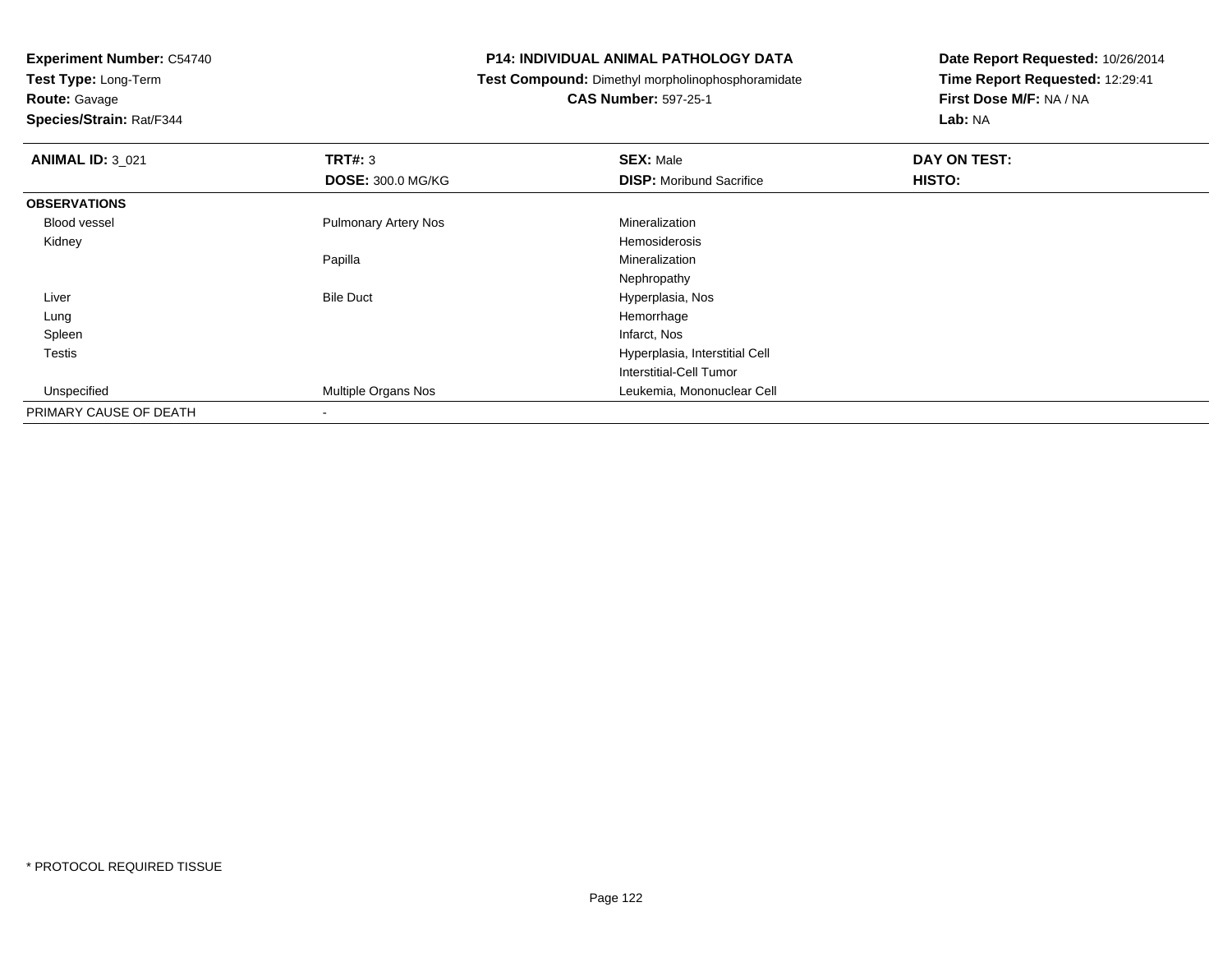**Test Type:** Long-Term

**Route:** Gavage

**Species/Strain:** Rat/F344

# **P14: INDIVIDUAL ANIMAL PATHOLOGY DATA**

**Test Compound:** Dimethyl morpholinophosphoramidate

**CAS Number:** 597-25-1

| <b>ANIMAL ID: 3 021</b> | TRT#: 3                     | <b>SEX: Male</b>                | DAY ON TEST: |
|-------------------------|-----------------------------|---------------------------------|--------------|
|                         | <b>DOSE: 300.0 MG/KG</b>    | <b>DISP:</b> Moribund Sacrifice | HISTO:       |
| <b>OBSERVATIONS</b>     |                             |                                 |              |
| Blood vessel            | <b>Pulmonary Artery Nos</b> | Mineralization                  |              |
| Kidney                  |                             | Hemosiderosis                   |              |
|                         | Papilla                     | Mineralization                  |              |
|                         |                             | Nephropathy                     |              |
| Liver                   | <b>Bile Duct</b>            | Hyperplasia, Nos                |              |
| Lung                    |                             | Hemorrhage                      |              |
| Spleen                  |                             | Infarct, Nos                    |              |
| <b>Testis</b>           |                             | Hyperplasia, Interstitial Cell  |              |
|                         |                             | <b>Interstitial-Cell Tumor</b>  |              |
| Unspecified             | Multiple Organs Nos         | Leukemia, Mononuclear Cell      |              |
| PRIMARY CAUSE OF DEATH  |                             |                                 |              |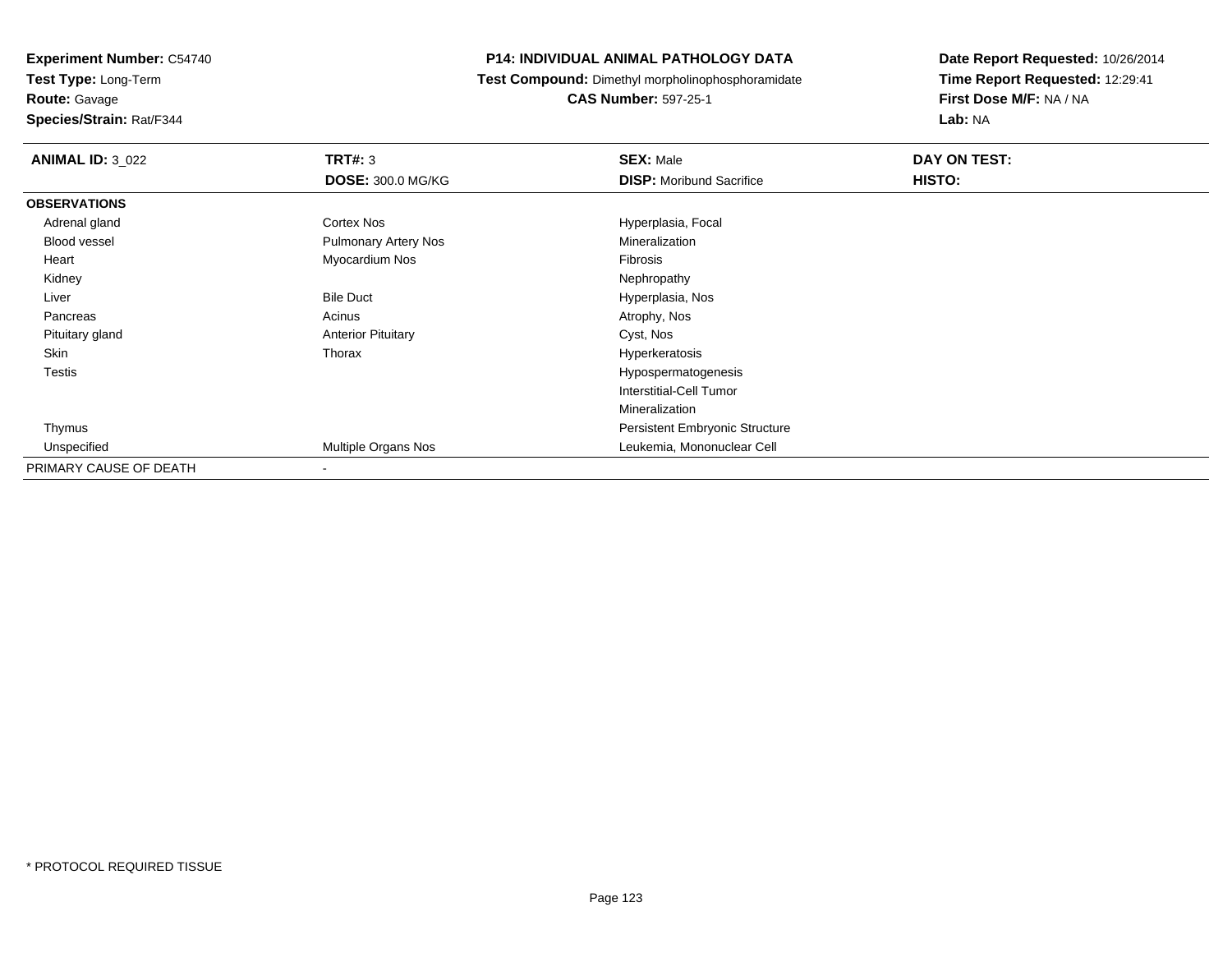**Route:** Gavage

**Species/Strain:** Rat/F344

# **P14: INDIVIDUAL ANIMAL PATHOLOGY DATA**

**Test Compound:** Dimethyl morpholinophosphoramidate

**CAS Number:** 597-25-1

| <b>ANIMAL ID: 3_022</b> | TRT#: 3                     | <b>SEX: Male</b>                | DAY ON TEST: |
|-------------------------|-----------------------------|---------------------------------|--------------|
|                         | <b>DOSE: 300.0 MG/KG</b>    | <b>DISP:</b> Moribund Sacrifice | HISTO:       |
| <b>OBSERVATIONS</b>     |                             |                                 |              |
| Adrenal gland           | Cortex Nos                  | Hyperplasia, Focal              |              |
| <b>Blood vessel</b>     | <b>Pulmonary Artery Nos</b> | Mineralization                  |              |
| Heart                   | Myocardium Nos              | Fibrosis                        |              |
| Kidney                  |                             | Nephropathy                     |              |
| Liver                   | <b>Bile Duct</b>            | Hyperplasia, Nos                |              |
| Pancreas                | Acinus                      | Atrophy, Nos                    |              |
| Pituitary gland         | <b>Anterior Pituitary</b>   | Cyst, Nos                       |              |
| Skin                    | Thorax                      | Hyperkeratosis                  |              |
| Testis                  |                             | Hypospermatogenesis             |              |
|                         |                             | Interstitial-Cell Tumor         |              |
|                         |                             | Mineralization                  |              |
| Thymus                  |                             | Persistent Embryonic Structure  |              |
| Unspecified             | Multiple Organs Nos         | Leukemia, Mononuclear Cell      |              |
| PRIMARY CAUSE OF DEATH  | $\overline{\phantom{a}}$    |                                 |              |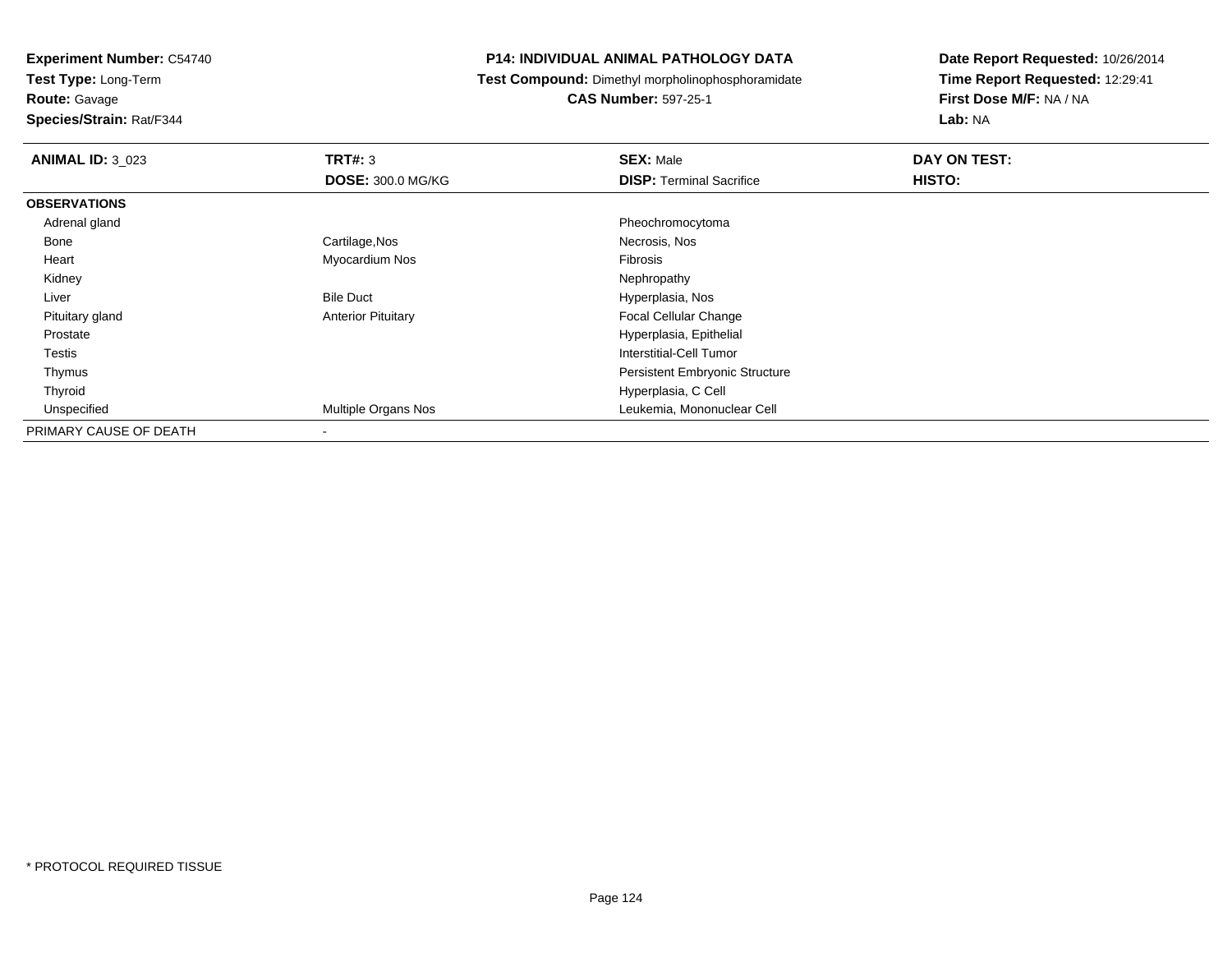**Test Type:** Long-Term

**Route:** Gavage

**Species/Strain:** Rat/F344

# **P14: INDIVIDUAL ANIMAL PATHOLOGY DATA**

**Test Compound:** Dimethyl morpholinophosphoramidate

**CAS Number:** 597-25-1

| <b>ANIMAL ID: 3 023</b> | TRT#: 3                   | <b>SEX: Male</b>                      | DAY ON TEST: |  |
|-------------------------|---------------------------|---------------------------------------|--------------|--|
|                         | <b>DOSE: 300.0 MG/KG</b>  | <b>DISP:</b> Terminal Sacrifice       | HISTO:       |  |
| <b>OBSERVATIONS</b>     |                           |                                       |              |  |
| Adrenal gland           |                           | Pheochromocytoma                      |              |  |
| Bone                    | Cartilage, Nos            | Necrosis, Nos                         |              |  |
| Heart                   | Myocardium Nos            | Fibrosis                              |              |  |
| Kidney                  |                           | Nephropathy                           |              |  |
| Liver                   | <b>Bile Duct</b>          | Hyperplasia, Nos                      |              |  |
| Pituitary gland         | <b>Anterior Pituitary</b> | <b>Focal Cellular Change</b>          |              |  |
| Prostate                |                           | Hyperplasia, Epithelial               |              |  |
| Testis                  |                           | Interstitial-Cell Tumor               |              |  |
| Thymus                  |                           | <b>Persistent Embryonic Structure</b> |              |  |
| Thyroid                 |                           | Hyperplasia, C Cell                   |              |  |
| Unspecified             | Multiple Organs Nos       | Leukemia, Mononuclear Cell            |              |  |
| PRIMARY CAUSE OF DEATH  |                           |                                       |              |  |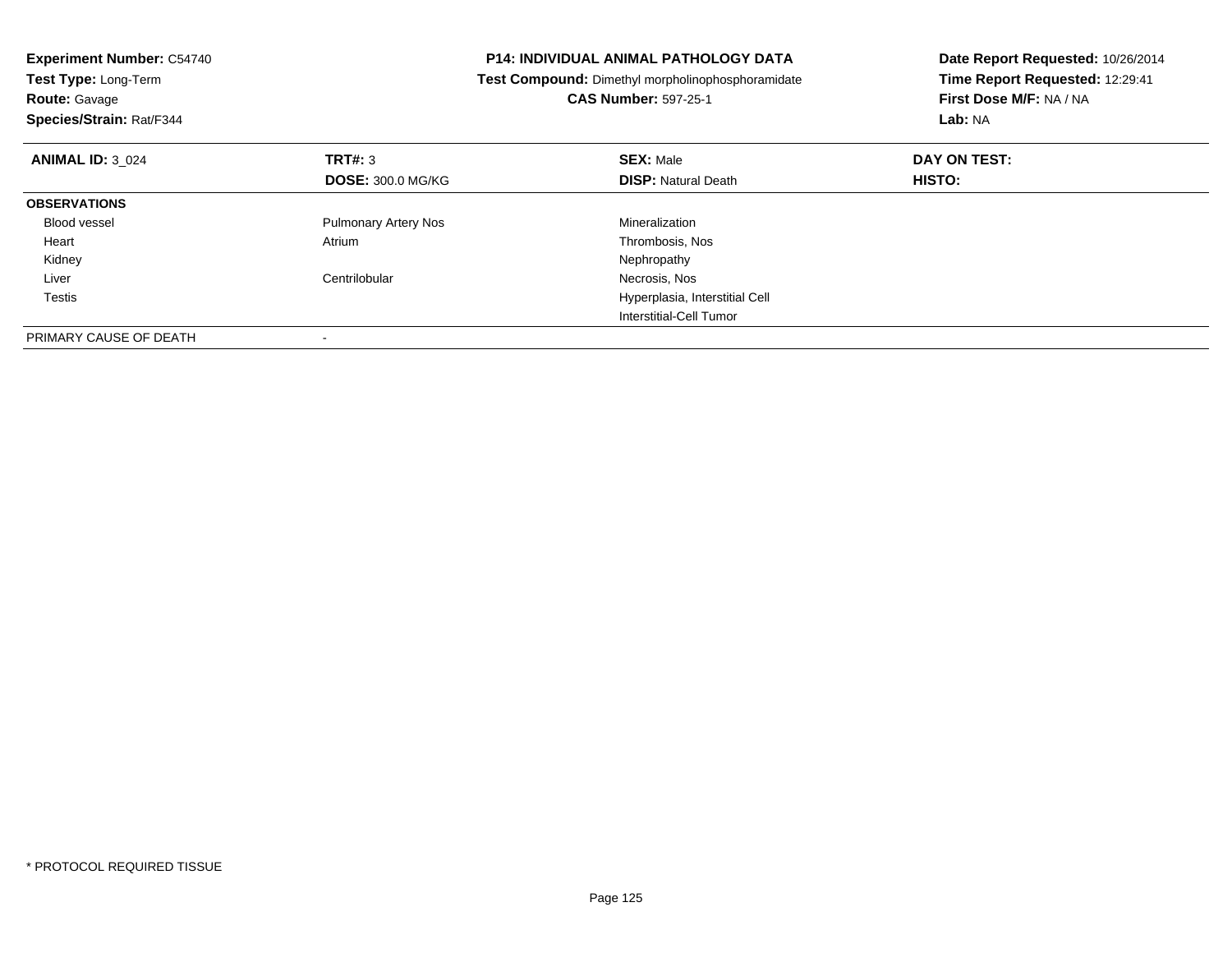| <b>Experiment Number: C54740</b><br>Test Type: Long-Term<br><b>Route: Gavage</b><br>Species/Strain: Rat/F344 | P14: INDIVIDUAL ANIMAL PATHOLOGY DATA<br>Test Compound: Dimethyl morpholinophosphoramidate<br><b>CAS Number: 597-25-1</b> |                                                | Date Report Requested: 10/26/2014<br>Time Report Requested: 12:29:41<br>First Dose M/F: NA / NA<br>Lab: NA |
|--------------------------------------------------------------------------------------------------------------|---------------------------------------------------------------------------------------------------------------------------|------------------------------------------------|------------------------------------------------------------------------------------------------------------|
| <b>ANIMAL ID: 3 024</b>                                                                                      | TRT#: 3<br><b>DOSE: 300.0 MG/KG</b>                                                                                       | <b>SEX: Male</b><br><b>DISP: Natural Death</b> | DAY ON TEST:<br><b>HISTO:</b>                                                                              |
| <b>OBSERVATIONS</b>                                                                                          |                                                                                                                           |                                                |                                                                                                            |
| Blood vessel                                                                                                 | <b>Pulmonary Artery Nos</b>                                                                                               | Mineralization                                 |                                                                                                            |
| Heart                                                                                                        | Atrium                                                                                                                    | Thrombosis, Nos                                |                                                                                                            |
| Kidney                                                                                                       |                                                                                                                           | Nephropathy                                    |                                                                                                            |
| Liver                                                                                                        | Centrilobular                                                                                                             | Necrosis, Nos                                  |                                                                                                            |
| Testis                                                                                                       |                                                                                                                           | Hyperplasia, Interstitial Cell                 |                                                                                                            |
|                                                                                                              |                                                                                                                           | Interstitial-Cell Tumor                        |                                                                                                            |
| PRIMARY CAUSE OF DEATH                                                                                       |                                                                                                                           |                                                |                                                                                                            |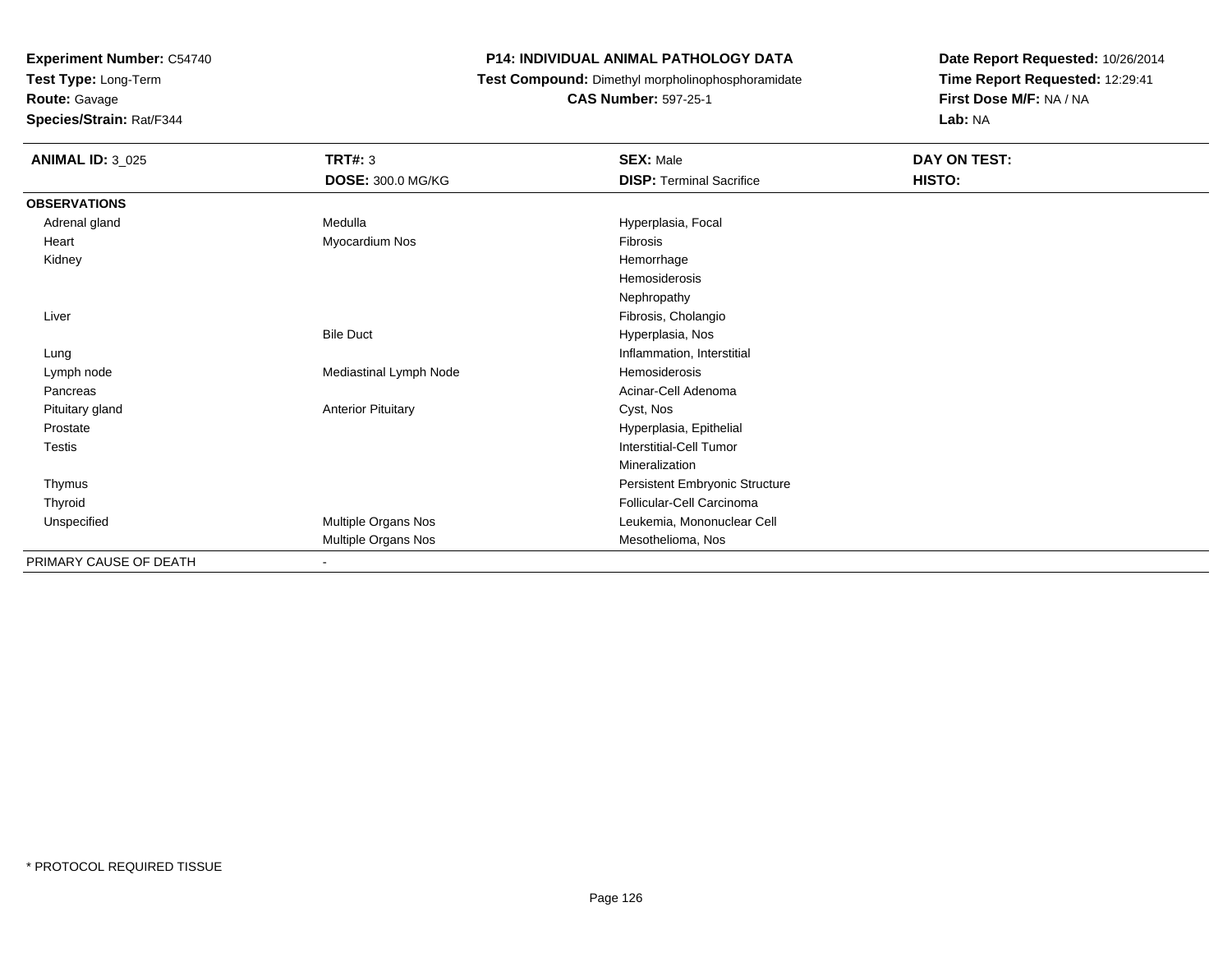**Test Type:** Long-Term

**Route:** Gavage

**Species/Strain:** Rat/F344

# **P14: INDIVIDUAL ANIMAL PATHOLOGY DATA**

**Test Compound:** Dimethyl morpholinophosphoramidate

**CAS Number:** 597-25-1

| <b>ANIMAL ID: 3_025</b> | <b>TRT#: 3</b>            | <b>SEX: Male</b>                | DAY ON TEST: |  |
|-------------------------|---------------------------|---------------------------------|--------------|--|
|                         | DOSE: 300.0 MG/KG         | <b>DISP: Terminal Sacrifice</b> | HISTO:       |  |
| <b>OBSERVATIONS</b>     |                           |                                 |              |  |
| Adrenal gland           | Medulla                   | Hyperplasia, Focal              |              |  |
| Heart                   | Myocardium Nos            | Fibrosis                        |              |  |
| Kidney                  |                           | Hemorrhage                      |              |  |
|                         |                           | Hemosiderosis                   |              |  |
|                         |                           | Nephropathy                     |              |  |
| Liver                   |                           | Fibrosis, Cholangio             |              |  |
|                         | <b>Bile Duct</b>          | Hyperplasia, Nos                |              |  |
| Lung                    |                           | Inflammation, Interstitial      |              |  |
| Lymph node              | Mediastinal Lymph Node    | Hemosiderosis                   |              |  |
| Pancreas                |                           | Acinar-Cell Adenoma             |              |  |
| Pituitary gland         | <b>Anterior Pituitary</b> | Cyst, Nos                       |              |  |
| Prostate                |                           | Hyperplasia, Epithelial         |              |  |
| Testis                  |                           | <b>Interstitial-Cell Tumor</b>  |              |  |
|                         |                           | Mineralization                  |              |  |
| Thymus                  |                           | Persistent Embryonic Structure  |              |  |
| Thyroid                 |                           | Follicular-Cell Carcinoma       |              |  |
| Unspecified             | Multiple Organs Nos       | Leukemia, Mononuclear Cell      |              |  |
|                         | Multiple Organs Nos       | Mesothelioma, Nos               |              |  |
| PRIMARY CAUSE OF DEATH  |                           |                                 |              |  |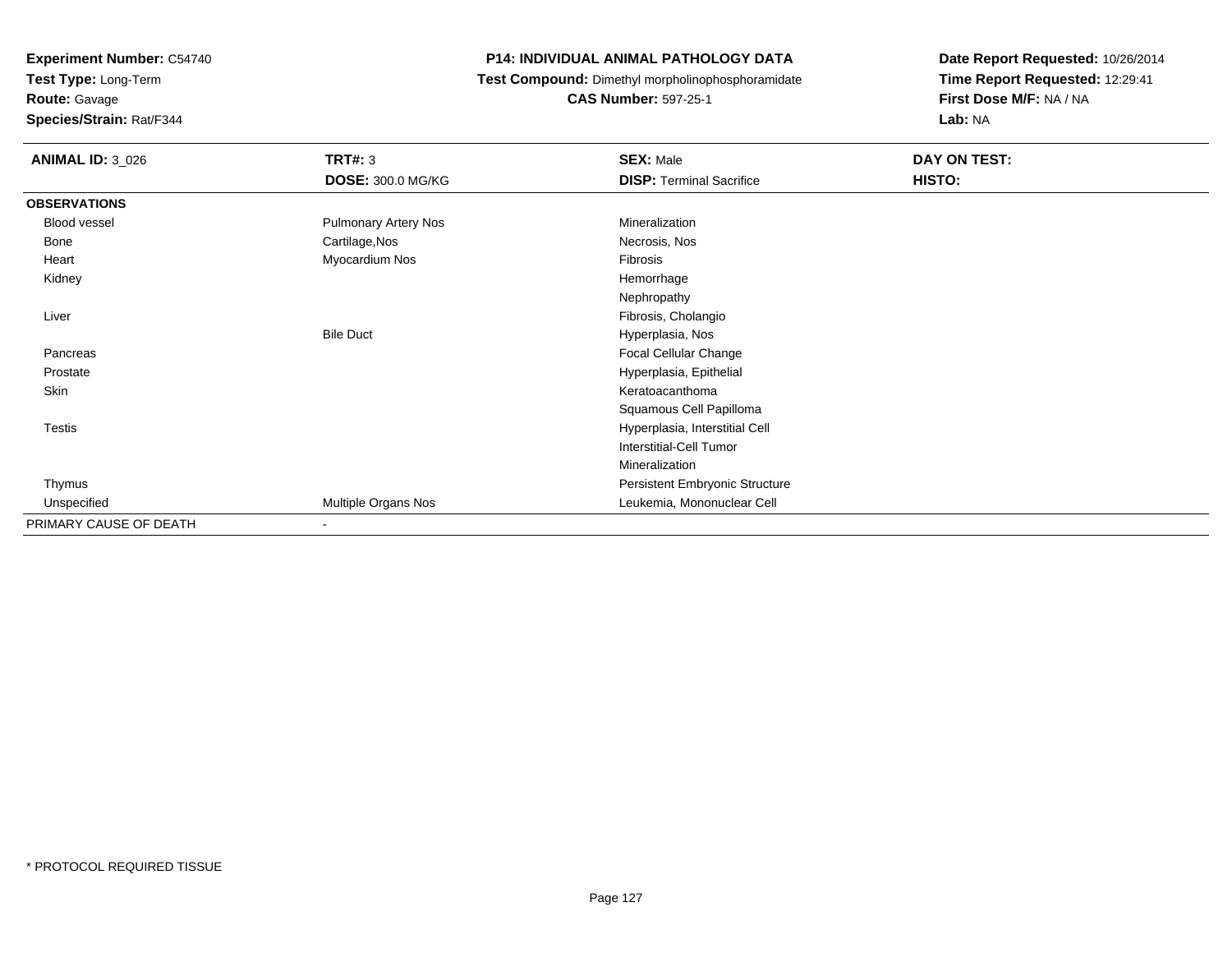**Test Type:** Long-Term**Route:** Gavage

**Species/Strain:** Rat/F344

# **P14: INDIVIDUAL ANIMAL PATHOLOGY DATA**

**Test Compound:** Dimethyl morpholinophosphoramidate

**CAS Number:** 597-25-1

| <b>ANIMAL ID: 3_026</b> | TRT#: 3                  | <b>SEX: Male</b>                | DAY ON TEST: |
|-------------------------|--------------------------|---------------------------------|--------------|
|                         | <b>DOSE: 300.0 MG/KG</b> | <b>DISP: Terminal Sacrifice</b> | HISTO:       |
| <b>OBSERVATIONS</b>     |                          |                                 |              |
| <b>Blood vessel</b>     | Pulmonary Artery Nos     | Mineralization                  |              |
| Bone                    | Cartilage, Nos           | Necrosis, Nos                   |              |
| Heart                   | Myocardium Nos           | Fibrosis                        |              |
| Kidney                  |                          | Hemorrhage                      |              |
|                         |                          | Nephropathy                     |              |
| Liver                   |                          | Fibrosis, Cholangio             |              |
|                         | <b>Bile Duct</b>         | Hyperplasia, Nos                |              |
| Pancreas                |                          | Focal Cellular Change           |              |
| Prostate                |                          | Hyperplasia, Epithelial         |              |
| Skin                    |                          | Keratoacanthoma                 |              |
|                         |                          | Squamous Cell Papilloma         |              |
| Testis                  |                          | Hyperplasia, Interstitial Cell  |              |
|                         |                          | <b>Interstitial-Cell Tumor</b>  |              |
|                         |                          | Mineralization                  |              |
| Thymus                  |                          | Persistent Embryonic Structure  |              |
| Unspecified             | Multiple Organs Nos      | Leukemia, Mononuclear Cell      |              |
| PRIMARY CAUSE OF DEATH  | $\overline{\phantom{a}}$ |                                 |              |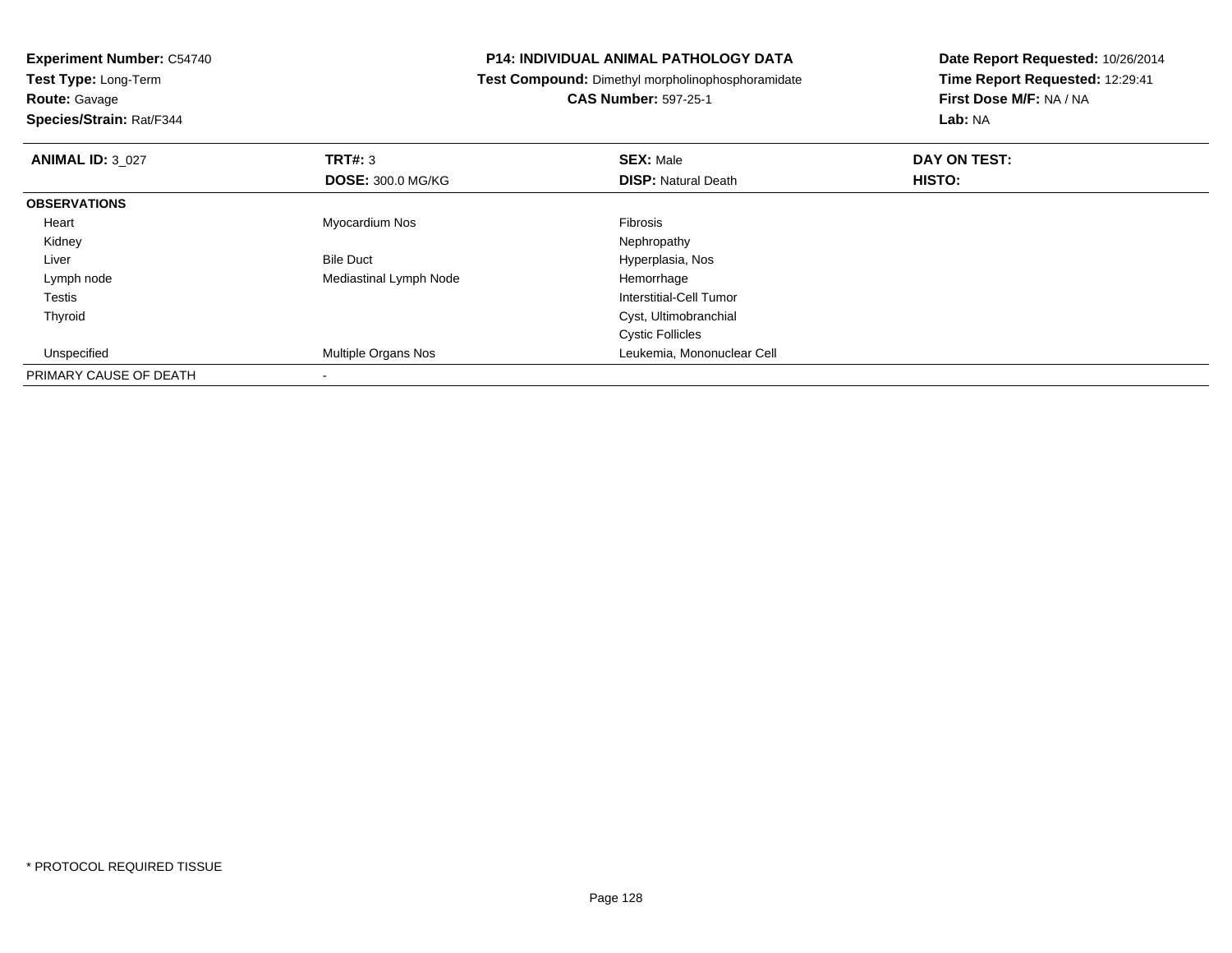**Experiment Number:** C54740**Test Type:** Long-Term**Route:** Gavage **Species/Strain:** Rat/F344**P14: INDIVIDUAL ANIMAL PATHOLOGY DATA Test Compound:** Dimethyl morpholinophosphoramidate**CAS Number:** 597-25-1**Date Report Requested:** 10/26/2014**Time Report Requested:** 12:29:41**First Dose M/F:** NA / NA**Lab:** NA**ANIMAL ID:** 3\_027 **TRT#:** <sup>3</sup> **SEX:** Male **DAY ON TEST: DOSE:** 300.0 MG/KG**DISP:** Natural Death **HISTO: OBSERVATIONS** Heart Myocardium NosFibrosis

Bile Duct **Hyperplasia**, Nos

Interstitial-Cell Tumor

 Cyst, Ultimobranchial Cystic Follicles

Mediastinal Lymph Node **Hemorrhage** 

y the control of the control of the control of the control of the control of the control of the control of the control of the control of the control of the control of the control of the control of the control of the contro

d **Multiple Organs Nos Leukemia, Mononuclear Cell** 

Kidney

Lymph node

Unspecified

PRIMARY CAUSE OF DEATH

-

Liver

Testis

Thyroid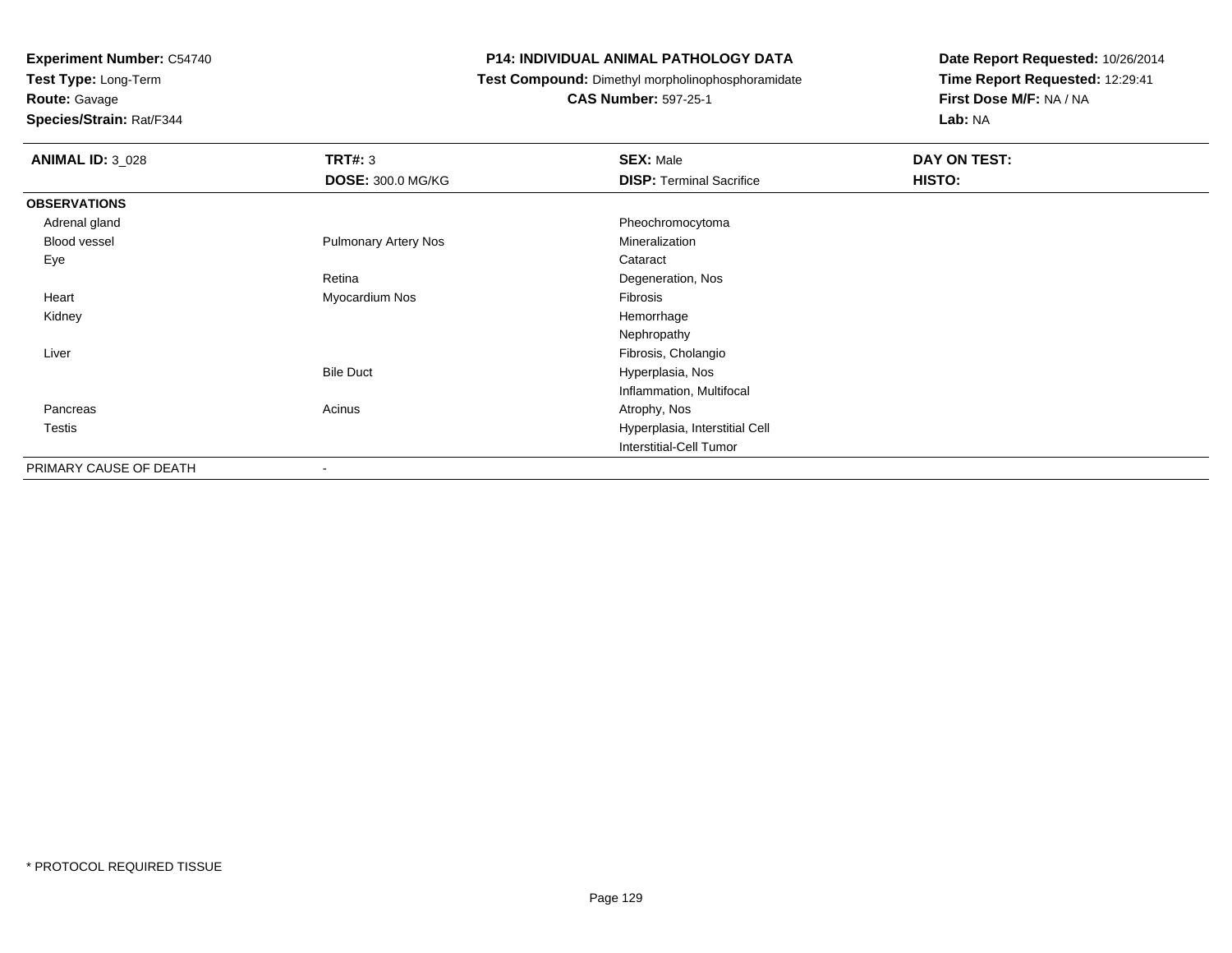**Test Type:** Long-Term

# **Route:** Gavage

**Species/Strain:** Rat/F344

# **P14: INDIVIDUAL ANIMAL PATHOLOGY DATA**

**Test Compound:** Dimethyl morpholinophosphoramidate

# **CAS Number:** 597-25-1

| <b>ANIMAL ID: 3_028</b> | <b>TRT#: 3</b>              | <b>SEX: Male</b>                | DAY ON TEST: |
|-------------------------|-----------------------------|---------------------------------|--------------|
|                         | <b>DOSE: 300.0 MG/KG</b>    | <b>DISP: Terminal Sacrifice</b> | HISTO:       |
| <b>OBSERVATIONS</b>     |                             |                                 |              |
| Adrenal gland           |                             | Pheochromocytoma                |              |
| Blood vessel            | <b>Pulmonary Artery Nos</b> | Mineralization                  |              |
| Eye                     |                             | Cataract                        |              |
|                         | Retina                      | Degeneration, Nos               |              |
| Heart                   | Myocardium Nos              | Fibrosis                        |              |
| Kidney                  |                             | Hemorrhage                      |              |
|                         |                             | Nephropathy                     |              |
| Liver                   |                             | Fibrosis, Cholangio             |              |
|                         | <b>Bile Duct</b>            | Hyperplasia, Nos                |              |
|                         |                             | Inflammation, Multifocal        |              |
| Pancreas                | Acinus                      | Atrophy, Nos                    |              |
| <b>Testis</b>           |                             | Hyperplasia, Interstitial Cell  |              |
|                         |                             | Interstitial-Cell Tumor         |              |
| PRIMARY CAUSE OF DEATH  | $\blacksquare$              |                                 |              |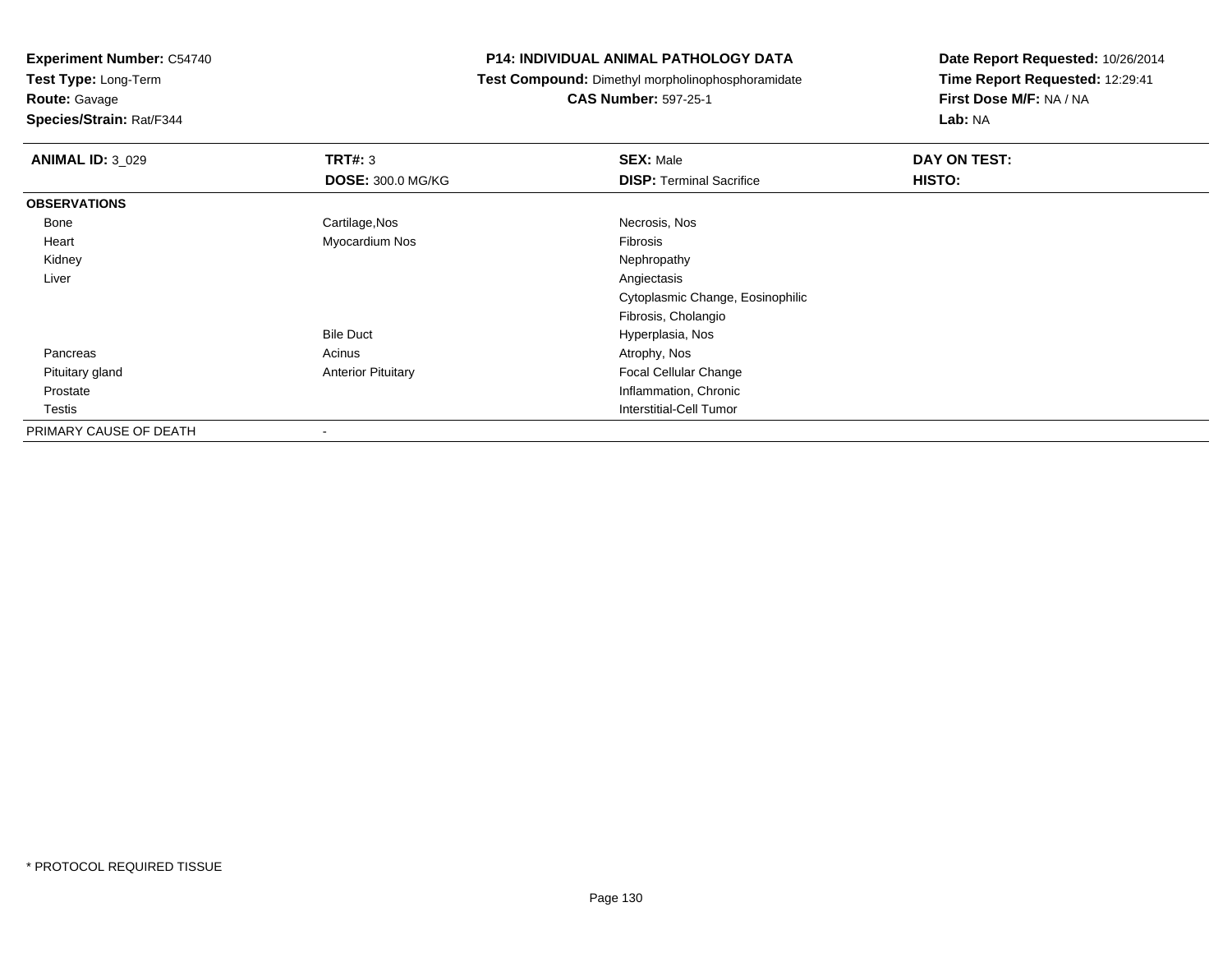**Test Type:** Long-Term

**Route:** Gavage

**Species/Strain:** Rat/F344

# **P14: INDIVIDUAL ANIMAL PATHOLOGY DATA**

**Test Compound:** Dimethyl morpholinophosphoramidate

**CAS Number:** 597-25-1

| <b>ANIMAL ID: 3_029</b> | TRT#: 3                   | <b>SEX: Male</b>                 | DAY ON TEST: |
|-------------------------|---------------------------|----------------------------------|--------------|
|                         | <b>DOSE: 300.0 MG/KG</b>  | <b>DISP: Terminal Sacrifice</b>  | HISTO:       |
| <b>OBSERVATIONS</b>     |                           |                                  |              |
| Bone                    | Cartilage, Nos            | Necrosis, Nos                    |              |
| Heart                   | Myocardium Nos            | Fibrosis                         |              |
| Kidney                  |                           | Nephropathy                      |              |
| Liver                   |                           | Angiectasis                      |              |
|                         |                           | Cytoplasmic Change, Eosinophilic |              |
|                         |                           | Fibrosis, Cholangio              |              |
|                         | <b>Bile Duct</b>          | Hyperplasia, Nos                 |              |
| Pancreas                | Acinus                    | Atrophy, Nos                     |              |
| Pituitary gland         | <b>Anterior Pituitary</b> | Focal Cellular Change            |              |
| Prostate                |                           | Inflammation, Chronic            |              |
| <b>Testis</b>           |                           | Interstitial-Cell Tumor          |              |
| PRIMARY CAUSE OF DEATH  | $\overline{\phantom{0}}$  |                                  |              |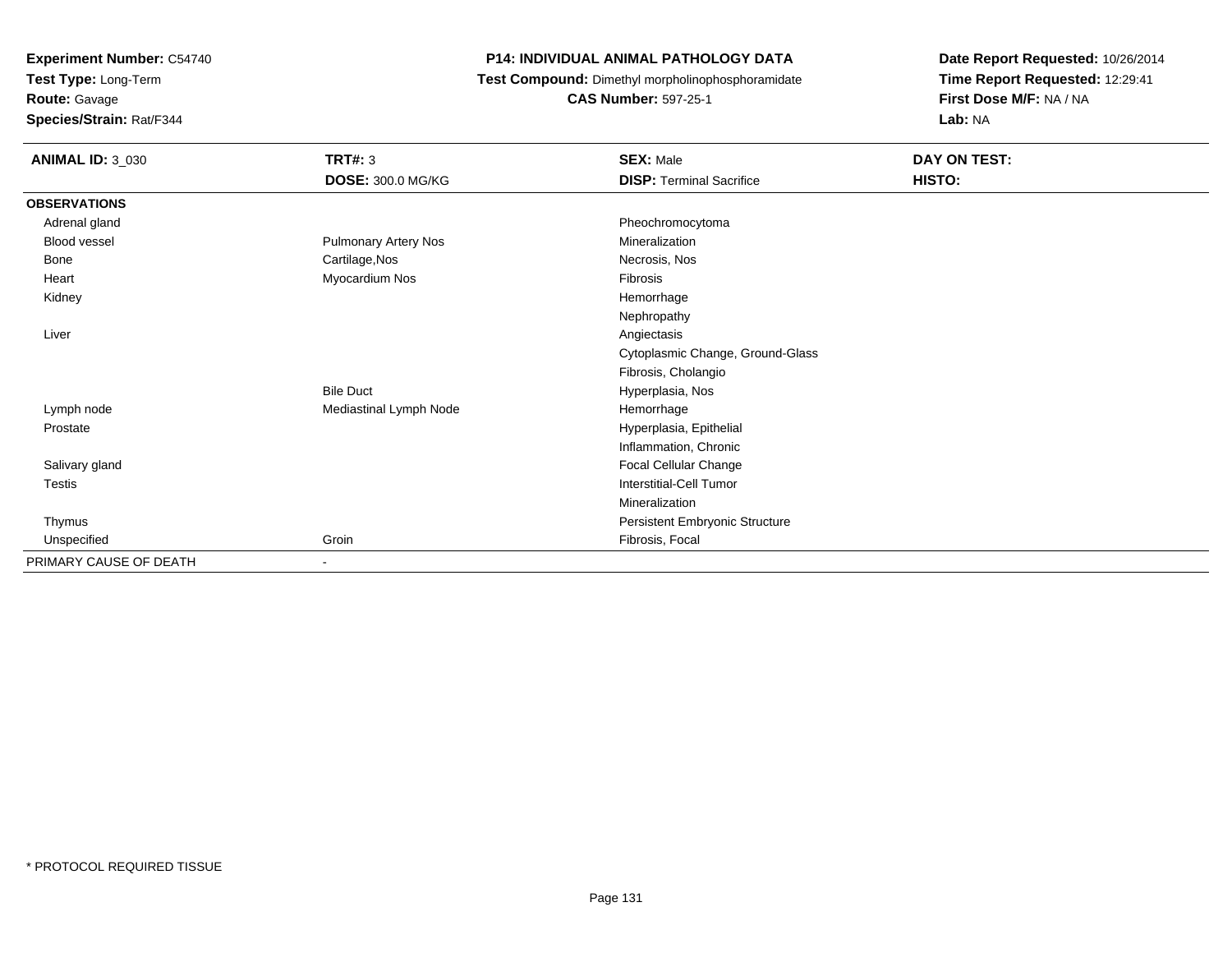**Test Type:** Long-Term

**Route:** Gavage

**Species/Strain:** Rat/F344

# **P14: INDIVIDUAL ANIMAL PATHOLOGY DATA**

**Test Compound:** Dimethyl morpholinophosphoramidate

**CAS Number:** 597-25-1

| <b>ANIMAL ID: 3_030</b> | TRT#: 3                | <b>SEX: Male</b>                 | DAY ON TEST: |
|-------------------------|------------------------|----------------------------------|--------------|
|                         | DOSE: 300.0 MG/KG      | <b>DISP: Terminal Sacrifice</b>  | HISTO:       |
| <b>OBSERVATIONS</b>     |                        |                                  |              |
| Adrenal gland           |                        | Pheochromocytoma                 |              |
| <b>Blood vessel</b>     | Pulmonary Artery Nos   | Mineralization                   |              |
| Bone                    | Cartilage, Nos         | Necrosis, Nos                    |              |
| Heart                   | Myocardium Nos         | Fibrosis                         |              |
| Kidney                  |                        | Hemorrhage                       |              |
|                         |                        | Nephropathy                      |              |
| Liver                   |                        | Angiectasis                      |              |
|                         |                        | Cytoplasmic Change, Ground-Glass |              |
|                         |                        | Fibrosis, Cholangio              |              |
|                         | <b>Bile Duct</b>       | Hyperplasia, Nos                 |              |
| Lymph node              | Mediastinal Lymph Node | Hemorrhage                       |              |
| Prostate                |                        | Hyperplasia, Epithelial          |              |
|                         |                        | Inflammation, Chronic            |              |
| Salivary gland          |                        | Focal Cellular Change            |              |
| Testis                  |                        | <b>Interstitial-Cell Tumor</b>   |              |
|                         |                        | Mineralization                   |              |
| Thymus                  |                        | Persistent Embryonic Structure   |              |
| Unspecified             | Groin                  | Fibrosis, Focal                  |              |
| PRIMARY CAUSE OF DEATH  | $\sim$                 |                                  |              |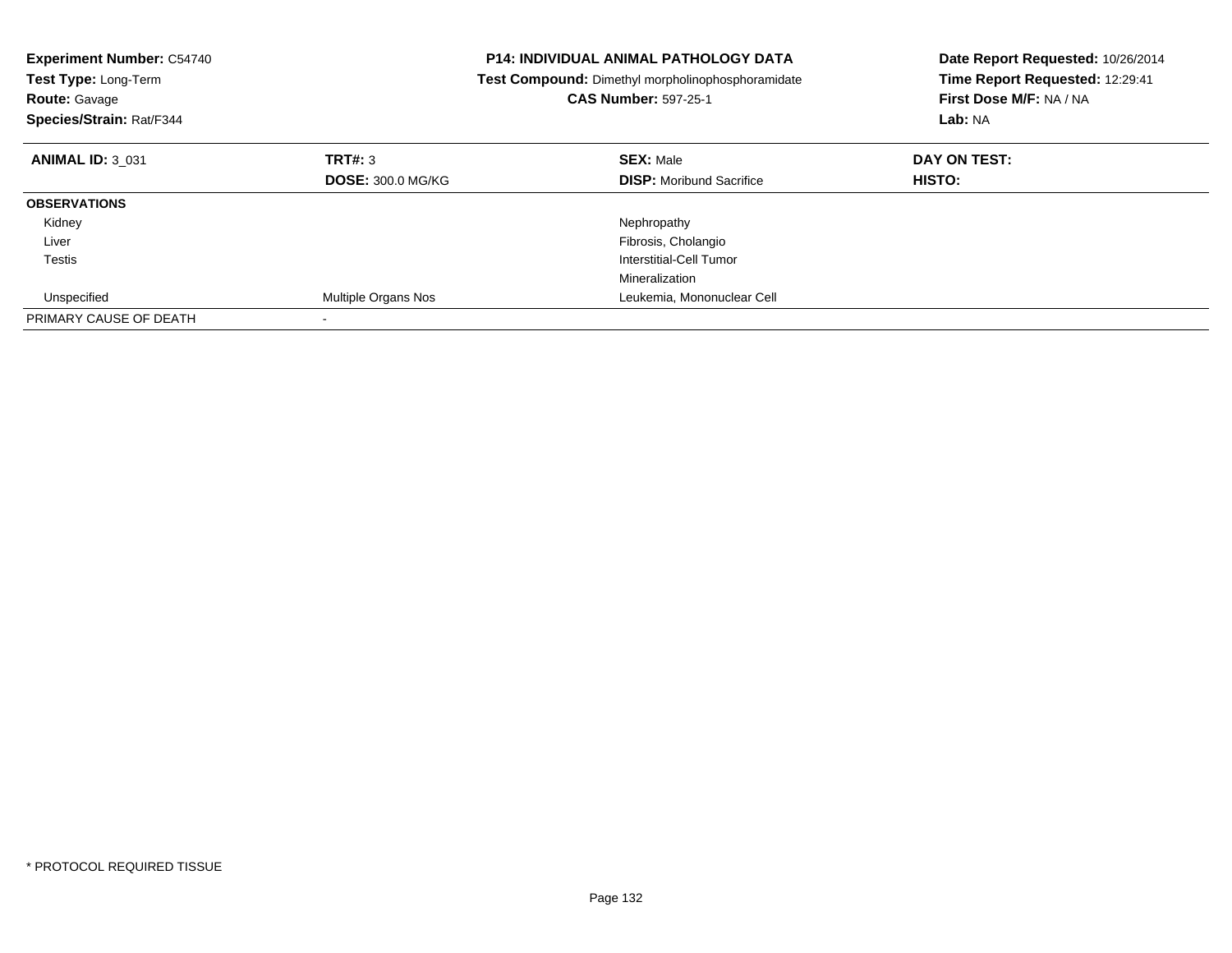| <b>Experiment Number: C54740</b><br>Test Type: Long-Term<br><b>Route: Gavage</b><br>Species/Strain: Rat/F344 |                          | <b>P14: INDIVIDUAL ANIMAL PATHOLOGY DATA</b><br>Test Compound: Dimethyl morpholinophosphoramidate<br><b>CAS Number: 597-25-1</b> | Date Report Requested: 10/26/2014<br>Time Report Requested: 12:29:41<br>First Dose M/F: NA / NA<br>Lab: NA |
|--------------------------------------------------------------------------------------------------------------|--------------------------|----------------------------------------------------------------------------------------------------------------------------------|------------------------------------------------------------------------------------------------------------|
| <b>ANIMAL ID: 3 031</b>                                                                                      | TRT#: 3                  | <b>SEX: Male</b>                                                                                                                 | DAY ON TEST:                                                                                               |
|                                                                                                              | <b>DOSE: 300.0 MG/KG</b> | <b>DISP:</b> Moribund Sacrifice                                                                                                  | HISTO:                                                                                                     |
| <b>OBSERVATIONS</b>                                                                                          |                          |                                                                                                                                  |                                                                                                            |
| Kidney                                                                                                       |                          | Nephropathy                                                                                                                      |                                                                                                            |
| Liver                                                                                                        |                          | Fibrosis, Cholangio                                                                                                              |                                                                                                            |
| Testis                                                                                                       |                          | Interstitial-Cell Tumor                                                                                                          |                                                                                                            |
|                                                                                                              |                          | Mineralization                                                                                                                   |                                                                                                            |
| Unspecified                                                                                                  | Multiple Organs Nos      | Leukemia, Mononuclear Cell                                                                                                       |                                                                                                            |
| PRIMARY CAUSE OF DEATH                                                                                       |                          |                                                                                                                                  |                                                                                                            |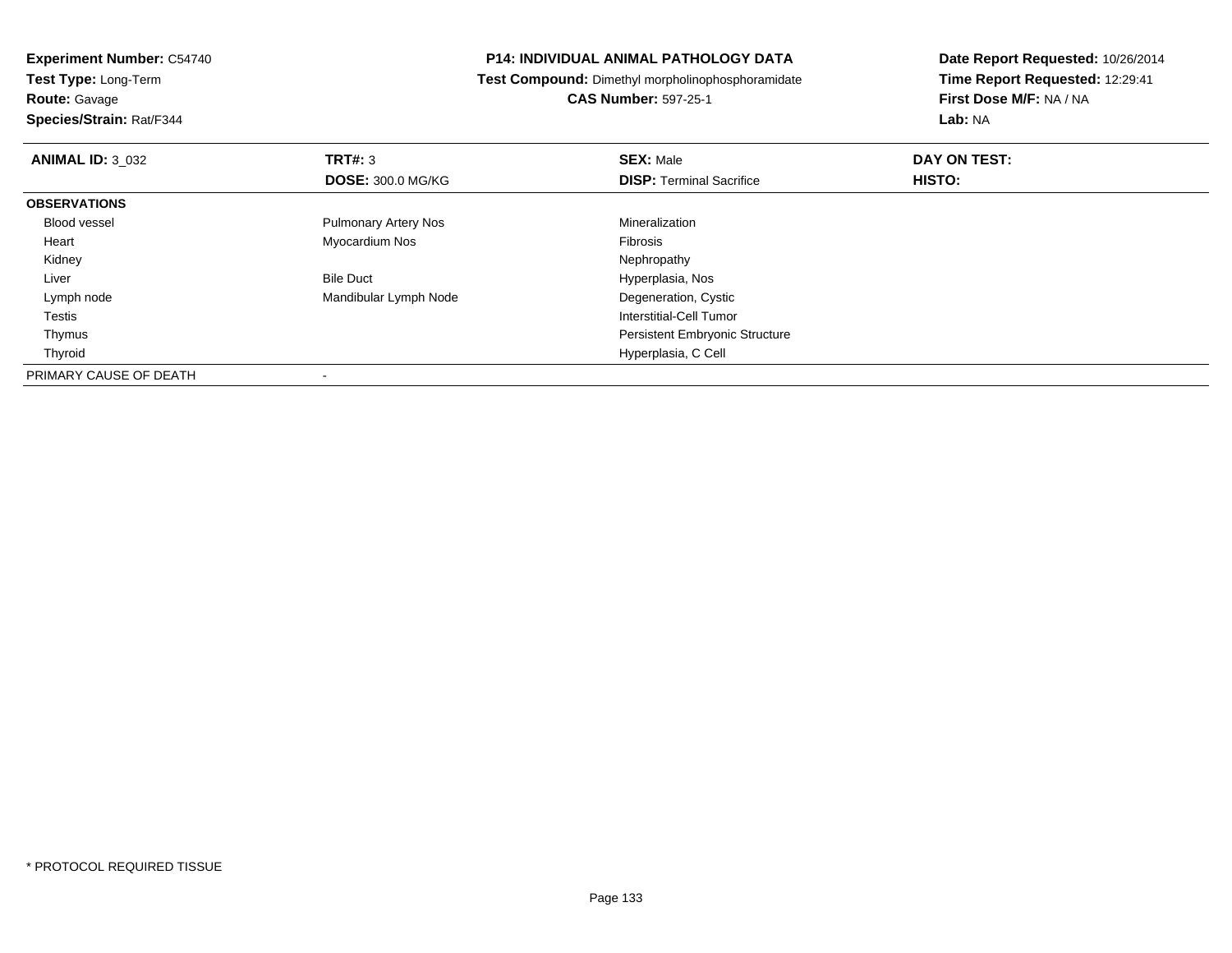**Route:** Gavage

**Species/Strain:** Rat/F344

# **P14: INDIVIDUAL ANIMAL PATHOLOGY DATA**

**Test Compound:** Dimethyl morpholinophosphoramidate

**CAS Number:** 597-25-1

| <b>ANIMAL ID: 3 032</b> | TRT#: 3                     | <b>SEX: Male</b>                      | DAY ON TEST: |  |
|-------------------------|-----------------------------|---------------------------------------|--------------|--|
|                         | <b>DOSE: 300.0 MG/KG</b>    | <b>DISP: Terminal Sacrifice</b>       | HISTO:       |  |
| <b>OBSERVATIONS</b>     |                             |                                       |              |  |
| <b>Blood vessel</b>     | <b>Pulmonary Artery Nos</b> | Mineralization                        |              |  |
| Heart                   | Myocardium Nos              | <b>Fibrosis</b>                       |              |  |
| Kidney                  |                             | Nephropathy                           |              |  |
| Liver                   | <b>Bile Duct</b>            | Hyperplasia, Nos                      |              |  |
| Lymph node              | Mandibular Lymph Node       | Degeneration, Cystic                  |              |  |
| Testis                  |                             | Interstitial-Cell Tumor               |              |  |
| Thymus                  |                             | <b>Persistent Embryonic Structure</b> |              |  |
| Thyroid                 |                             | Hyperplasia, C Cell                   |              |  |
| PRIMARY CAUSE OF DEATH  |                             |                                       |              |  |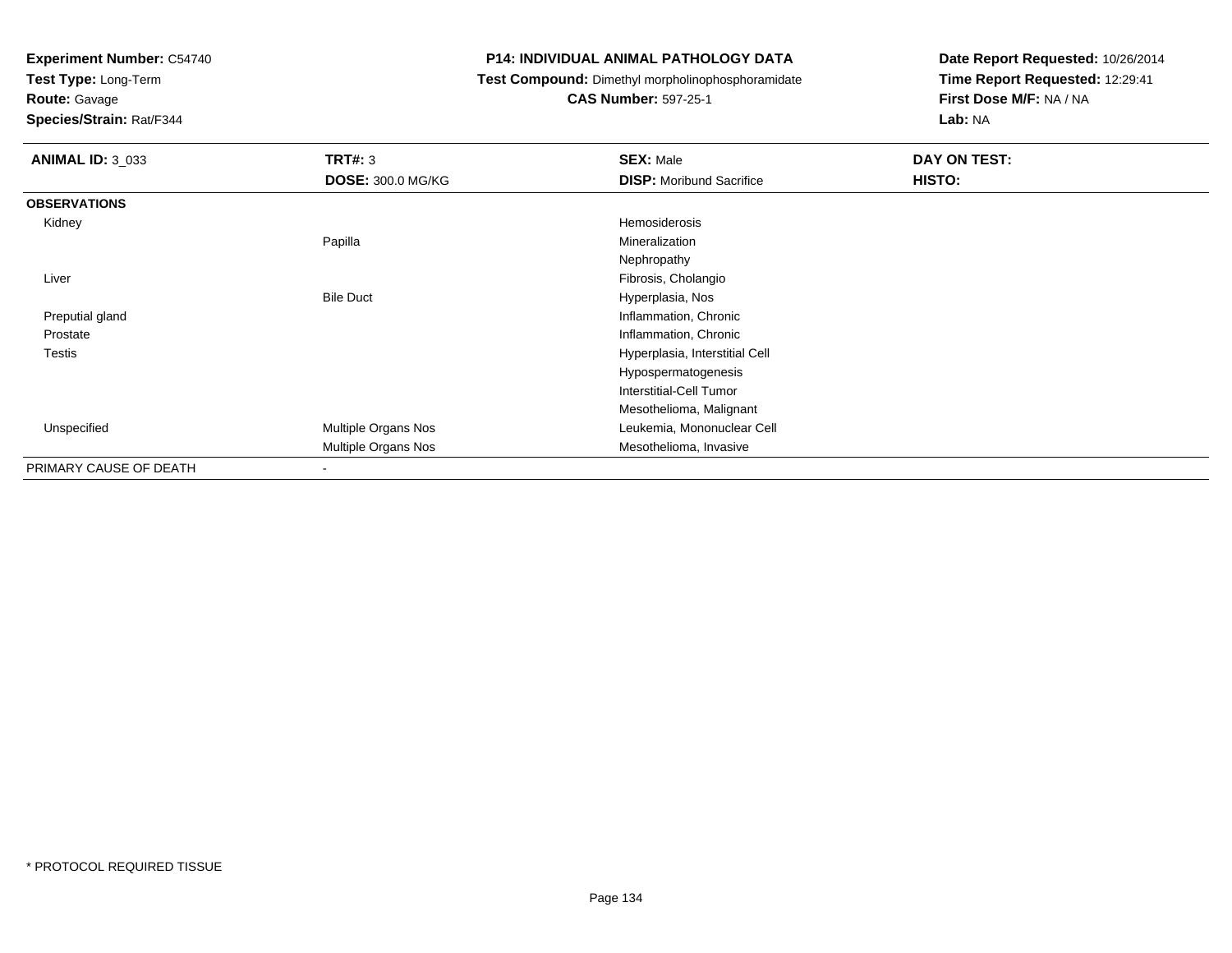**Test Type:** Long-Term

**Route:** Gavage

**Species/Strain:** Rat/F344

# **P14: INDIVIDUAL ANIMAL PATHOLOGY DATA**

**Test Compound:** Dimethyl morpholinophosphoramidate

**CAS Number:** 597-25-1

| <b>ANIMAL ID: 3_033</b> | <b>TRT#: 3</b>           | <b>SEX: Male</b>                | DAY ON TEST: |
|-------------------------|--------------------------|---------------------------------|--------------|
|                         | <b>DOSE: 300.0 MG/KG</b> | <b>DISP:</b> Moribund Sacrifice | HISTO:       |
| <b>OBSERVATIONS</b>     |                          |                                 |              |
| Kidney                  |                          | Hemosiderosis                   |              |
|                         | Papilla                  | Mineralization                  |              |
|                         |                          | Nephropathy                     |              |
| Liver                   |                          | Fibrosis, Cholangio             |              |
|                         | <b>Bile Duct</b>         | Hyperplasia, Nos                |              |
| Preputial gland         |                          | Inflammation, Chronic           |              |
| Prostate                |                          | Inflammation, Chronic           |              |
| Testis                  |                          | Hyperplasia, Interstitial Cell  |              |
|                         |                          | Hypospermatogenesis             |              |
|                         |                          | Interstitial-Cell Tumor         |              |
|                         |                          | Mesothelioma, Malignant         |              |
| Unspecified             | Multiple Organs Nos      | Leukemia, Mononuclear Cell      |              |
|                         | Multiple Organs Nos      | Mesothelioma, Invasive          |              |
| PRIMARY CAUSE OF DEATH  | ۰                        |                                 |              |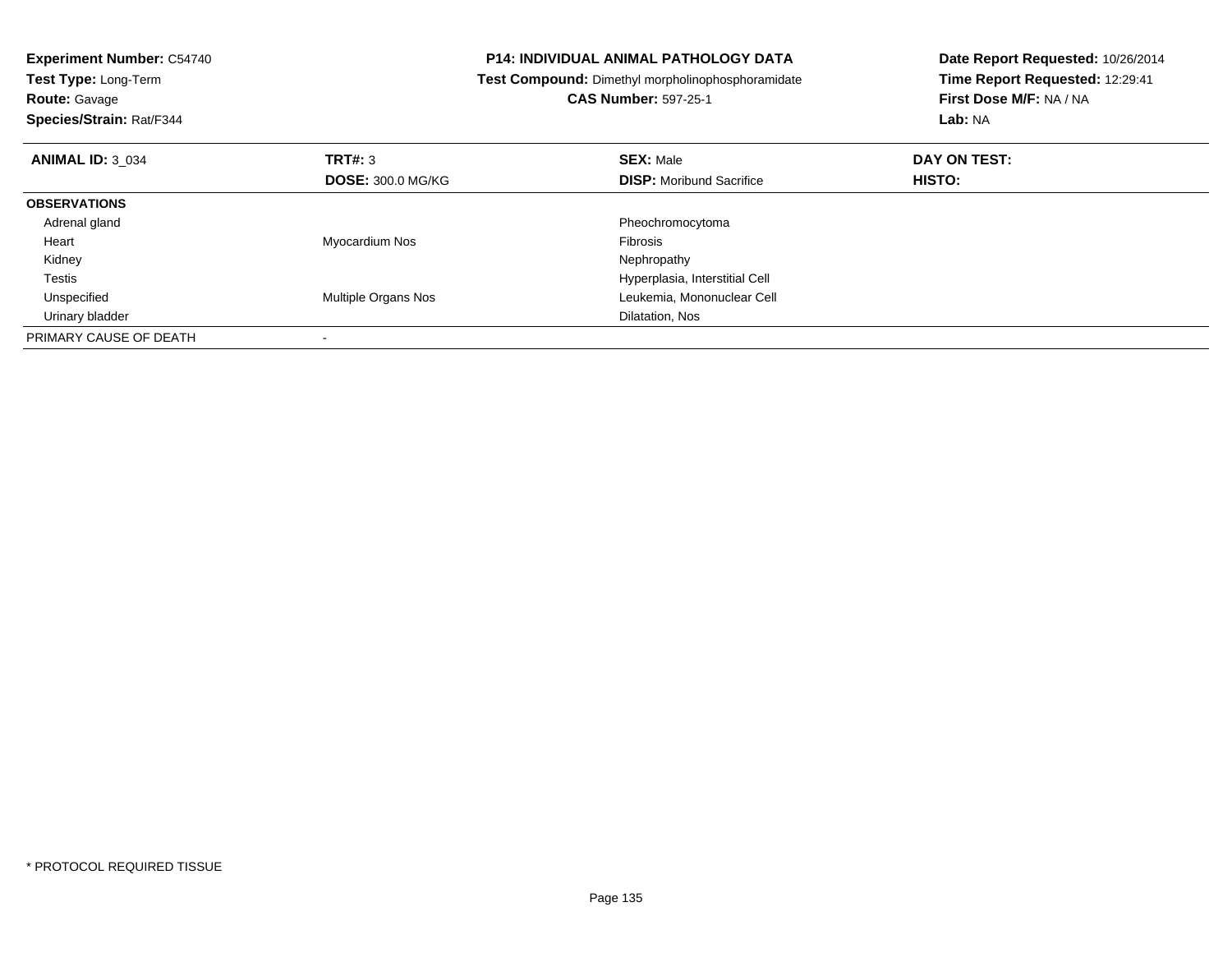| <b>Experiment Number: C54740</b><br>Test Type: Long-Term<br><b>Route: Gavage</b><br>Species/Strain: Rat/F344 |                          | <b>P14: INDIVIDUAL ANIMAL PATHOLOGY DATA</b><br>Test Compound: Dimethyl morpholinophosphoramidate<br><b>CAS Number: 597-25-1</b> | Date Report Requested: 10/26/2014<br>Time Report Requested: 12:29:41<br>First Dose M/F: NA / NA<br>Lab: NA |  |
|--------------------------------------------------------------------------------------------------------------|--------------------------|----------------------------------------------------------------------------------------------------------------------------------|------------------------------------------------------------------------------------------------------------|--|
| <b>ANIMAL ID: 3 034</b>                                                                                      | TRT#: 3                  | <b>SEX: Male</b>                                                                                                                 | DAY ON TEST:                                                                                               |  |
|                                                                                                              | <b>DOSE: 300.0 MG/KG</b> | <b>DISP:</b> Moribund Sacrifice                                                                                                  | HISTO:                                                                                                     |  |
| <b>OBSERVATIONS</b>                                                                                          |                          |                                                                                                                                  |                                                                                                            |  |
| Adrenal gland                                                                                                |                          | Pheochromocytoma                                                                                                                 |                                                                                                            |  |
| Heart                                                                                                        | Myocardium Nos           | Fibrosis                                                                                                                         |                                                                                                            |  |
| Kidney                                                                                                       |                          | Nephropathy                                                                                                                      |                                                                                                            |  |
| Testis                                                                                                       |                          | Hyperplasia, Interstitial Cell                                                                                                   |                                                                                                            |  |
| Unspecified                                                                                                  | Multiple Organs Nos      | Leukemia, Mononuclear Cell                                                                                                       |                                                                                                            |  |
| Urinary bladder                                                                                              |                          | Dilatation, Nos                                                                                                                  |                                                                                                            |  |
| PRIMARY CAUSE OF DEATH                                                                                       |                          |                                                                                                                                  |                                                                                                            |  |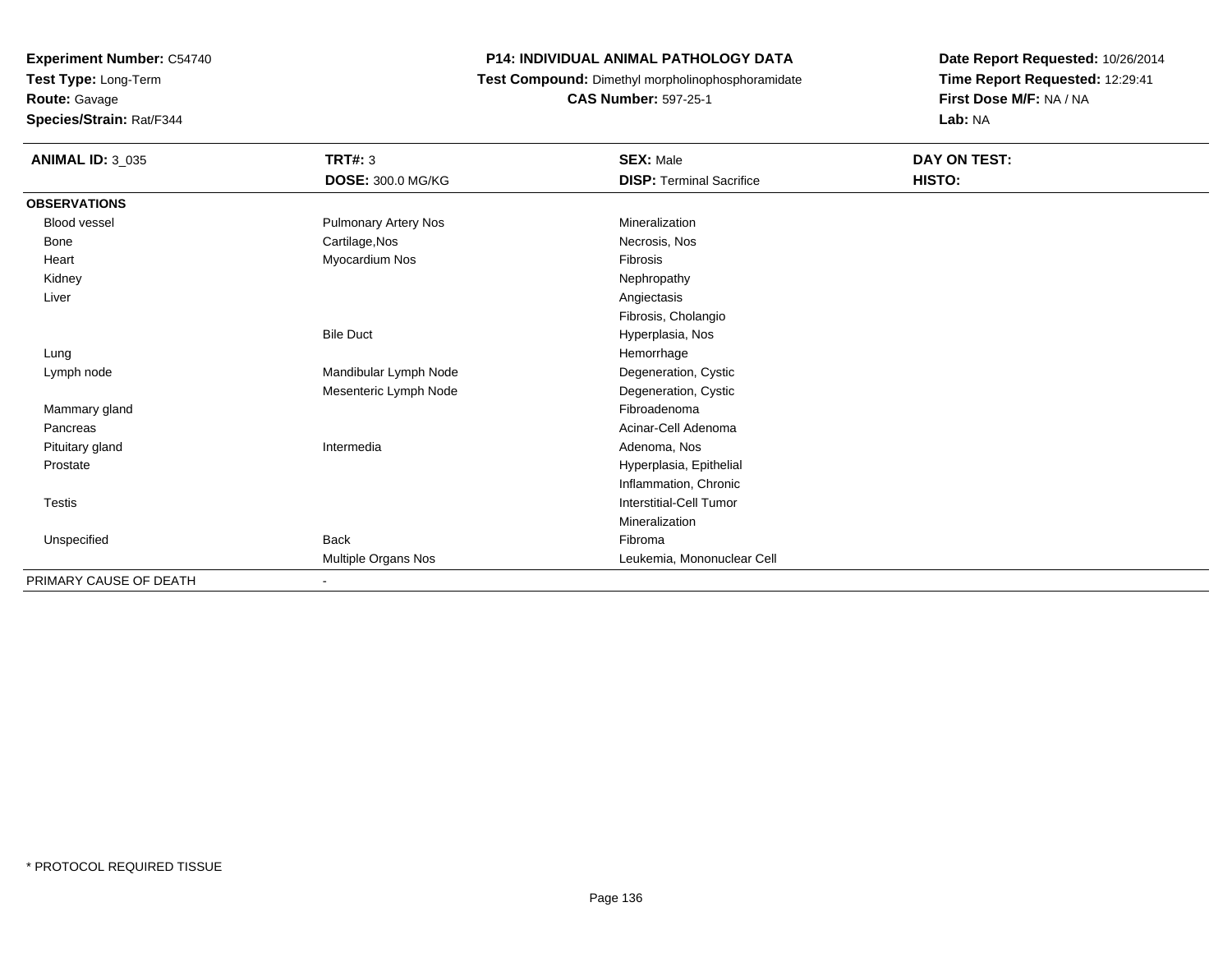**Route:** Gavage

**Species/Strain:** Rat/F344

# **P14: INDIVIDUAL ANIMAL PATHOLOGY DATA**

**Test Compound:** Dimethyl morpholinophosphoramidate

**CAS Number:** 597-25-1

| <b>ANIMAL ID: 3_035</b> | <b>TRT#: 3</b>              | <b>SEX: Male</b>                | DAY ON TEST: |  |
|-------------------------|-----------------------------|---------------------------------|--------------|--|
|                         | <b>DOSE: 300.0 MG/KG</b>    | <b>DISP: Terminal Sacrifice</b> | HISTO:       |  |
| <b>OBSERVATIONS</b>     |                             |                                 |              |  |
| Blood vessel            | <b>Pulmonary Artery Nos</b> | Mineralization                  |              |  |
| Bone                    | Cartilage, Nos              | Necrosis, Nos                   |              |  |
| Heart                   | Myocardium Nos              | Fibrosis                        |              |  |
| Kidney                  |                             | Nephropathy                     |              |  |
| Liver                   |                             | Angiectasis                     |              |  |
|                         |                             | Fibrosis, Cholangio             |              |  |
|                         | <b>Bile Duct</b>            | Hyperplasia, Nos                |              |  |
| Lung                    |                             | Hemorrhage                      |              |  |
| Lymph node              | Mandibular Lymph Node       | Degeneration, Cystic            |              |  |
|                         | Mesenteric Lymph Node       | Degeneration, Cystic            |              |  |
| Mammary gland           |                             | Fibroadenoma                    |              |  |
| Pancreas                |                             | Acinar-Cell Adenoma             |              |  |
| Pituitary gland         | Intermedia                  | Adenoma, Nos                    |              |  |
| Prostate                |                             | Hyperplasia, Epithelial         |              |  |
|                         |                             | Inflammation, Chronic           |              |  |
| Testis                  |                             | Interstitial-Cell Tumor         |              |  |
|                         |                             | Mineralization                  |              |  |
| Unspecified             | Back                        | Fibroma                         |              |  |
|                         | Multiple Organs Nos         | Leukemia, Mononuclear Cell      |              |  |
| PRIMARY CAUSE OF DEATH  | $\overline{\phantom{a}}$    |                                 |              |  |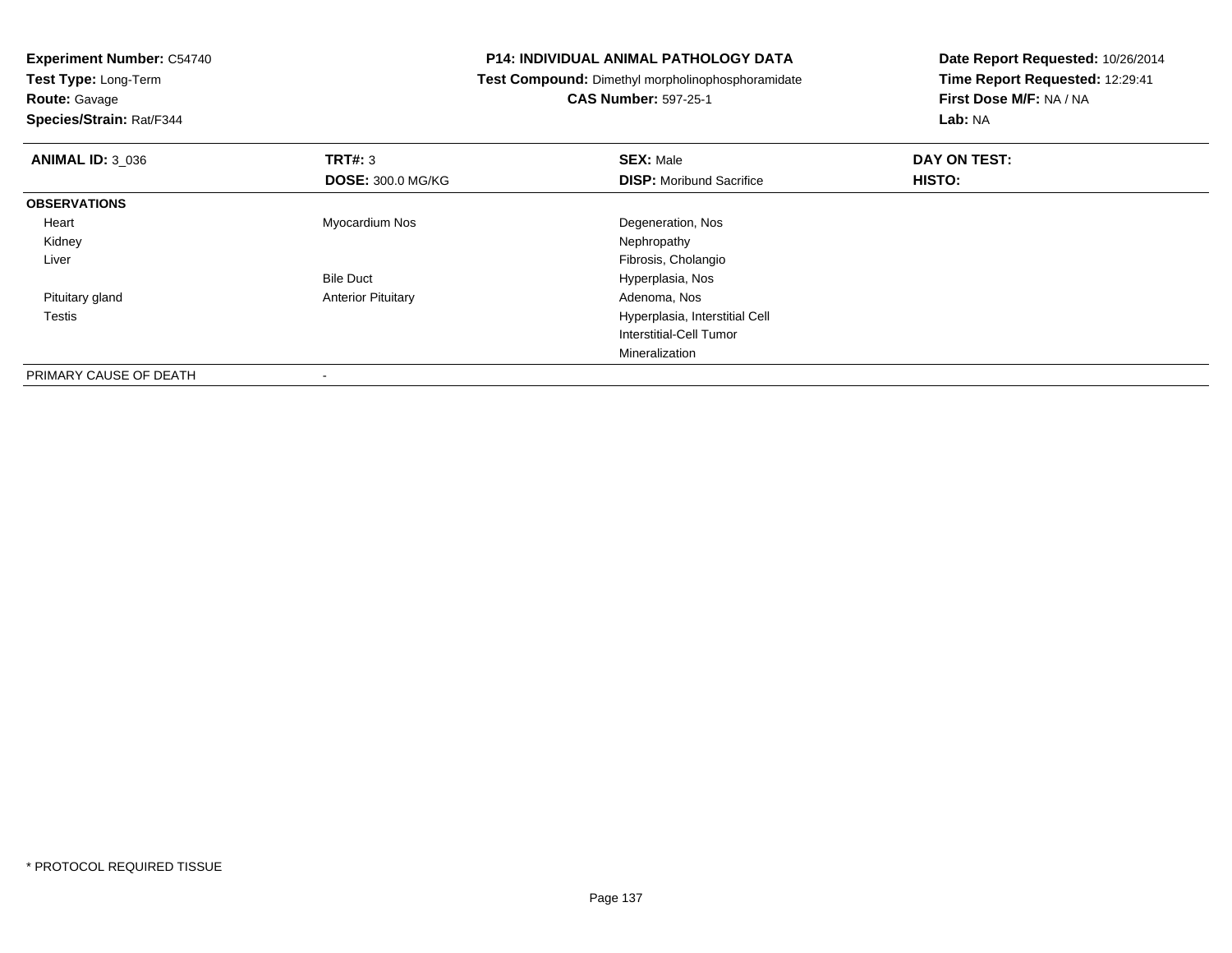-

**Test Type:** Long-Term**Route:** Gavage

**Species/Strain:** Rat/F344

# **P14: INDIVIDUAL ANIMAL PATHOLOGY DATA**

**Test Compound:** Dimethyl morpholinophosphoramidate

**CAS Number:** 597-25-1

| <b>ANIMAL ID: 3 036</b> | TRT#: 3                   | <b>SEX: Male</b>                | DAY ON TEST: |  |
|-------------------------|---------------------------|---------------------------------|--------------|--|
|                         | <b>DOSE: 300.0 MG/KG</b>  | <b>DISP:</b> Moribund Sacrifice | HISTO:       |  |
| <b>OBSERVATIONS</b>     |                           |                                 |              |  |
| Heart                   | Myocardium Nos            | Degeneration, Nos               |              |  |
| Kidney                  |                           | Nephropathy                     |              |  |
| Liver                   |                           | Fibrosis, Cholangio             |              |  |
|                         | <b>Bile Duct</b>          | Hyperplasia, Nos                |              |  |
| Pituitary gland         | <b>Anterior Pituitary</b> | Adenoma, Nos                    |              |  |
| <b>Testis</b>           |                           | Hyperplasia, Interstitial Cell  |              |  |
|                         |                           | Interstitial-Cell Tumor         |              |  |
|                         |                           | Mineralization                  |              |  |
| PRIMARY CAUSE OF DEATH  |                           |                                 |              |  |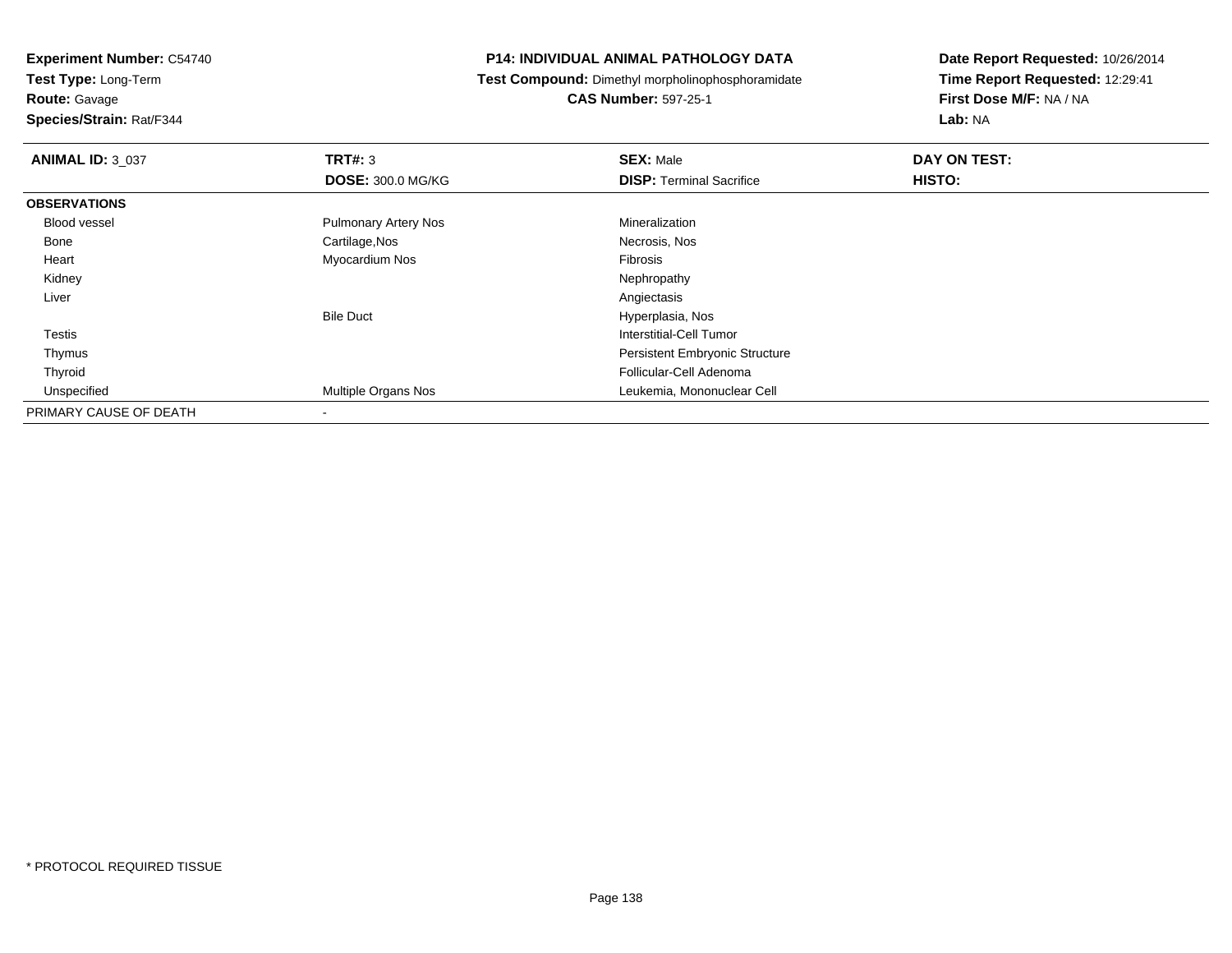**Route:** Gavage

**Species/Strain:** Rat/F344

# **P14: INDIVIDUAL ANIMAL PATHOLOGY DATA**

**Test Compound:** Dimethyl morpholinophosphoramidate

**CAS Number:** 597-25-1

| <b>ANIMAL ID: 3 037</b> | TRT#: 3                     | <b>SEX: Male</b>                      | DAY ON TEST: |  |
|-------------------------|-----------------------------|---------------------------------------|--------------|--|
|                         | <b>DOSE: 300.0 MG/KG</b>    | <b>DISP: Terminal Sacrifice</b>       | HISTO:       |  |
| <b>OBSERVATIONS</b>     |                             |                                       |              |  |
| Blood vessel            | <b>Pulmonary Artery Nos</b> | Mineralization                        |              |  |
| Bone                    | Cartilage, Nos              | Necrosis, Nos                         |              |  |
| Heart                   | Myocardium Nos              | Fibrosis                              |              |  |
| Kidney                  |                             | Nephropathy                           |              |  |
| Liver                   |                             | Angiectasis                           |              |  |
|                         | <b>Bile Duct</b>            | Hyperplasia, Nos                      |              |  |
| Testis                  |                             | Interstitial-Cell Tumor               |              |  |
| Thymus                  |                             | <b>Persistent Embryonic Structure</b> |              |  |
| Thyroid                 |                             | Follicular-Cell Adenoma               |              |  |
| Unspecified             | Multiple Organs Nos         | Leukemia, Mononuclear Cell            |              |  |
| PRIMARY CAUSE OF DEATH  |                             |                                       |              |  |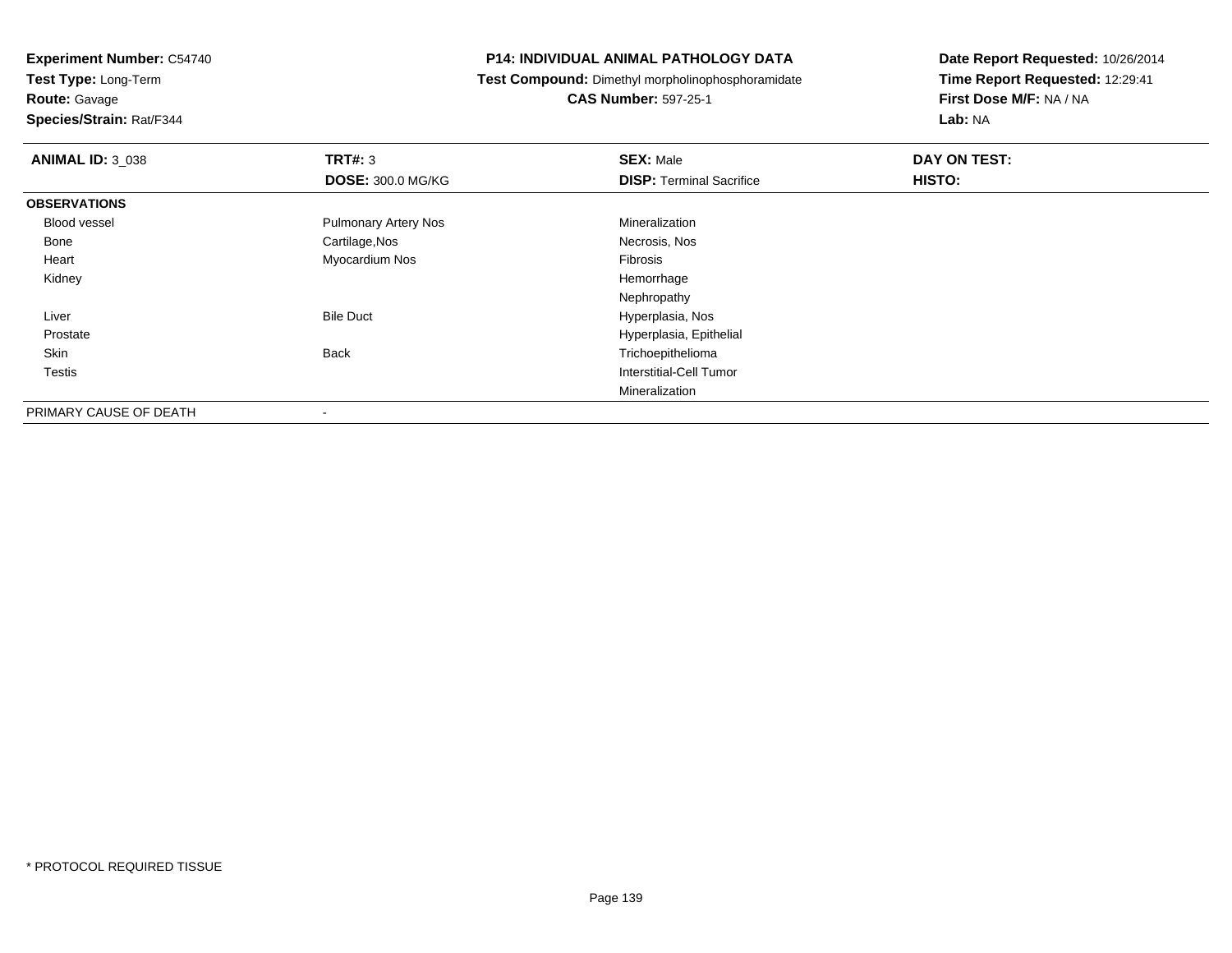**Route:** Gavage

**Species/Strain:** Rat/F344

# **P14: INDIVIDUAL ANIMAL PATHOLOGY DATA**

**Test Compound:** Dimethyl morpholinophosphoramidate

**CAS Number:** 597-25-1

| <b>ANIMAL ID: 3_038</b> | TRT#: 3                     | <b>SEX: Male</b>                | DAY ON TEST: |  |
|-------------------------|-----------------------------|---------------------------------|--------------|--|
|                         | <b>DOSE: 300.0 MG/KG</b>    | <b>DISP: Terminal Sacrifice</b> | HISTO:       |  |
| <b>OBSERVATIONS</b>     |                             |                                 |              |  |
| <b>Blood vessel</b>     | <b>Pulmonary Artery Nos</b> | Mineralization                  |              |  |
| Bone                    | Cartilage, Nos              | Necrosis, Nos                   |              |  |
| Heart                   | Myocardium Nos              | Fibrosis                        |              |  |
| Kidney                  |                             | Hemorrhage                      |              |  |
|                         |                             | Nephropathy                     |              |  |
| Liver                   | <b>Bile Duct</b>            | Hyperplasia, Nos                |              |  |
| Prostate                |                             | Hyperplasia, Epithelial         |              |  |
| Skin                    | <b>Back</b>                 | Trichoepithelioma               |              |  |
| <b>Testis</b>           |                             | Interstitial-Cell Tumor         |              |  |
|                         |                             | Mineralization                  |              |  |
| PRIMARY CAUSE OF DEATH  | -                           |                                 |              |  |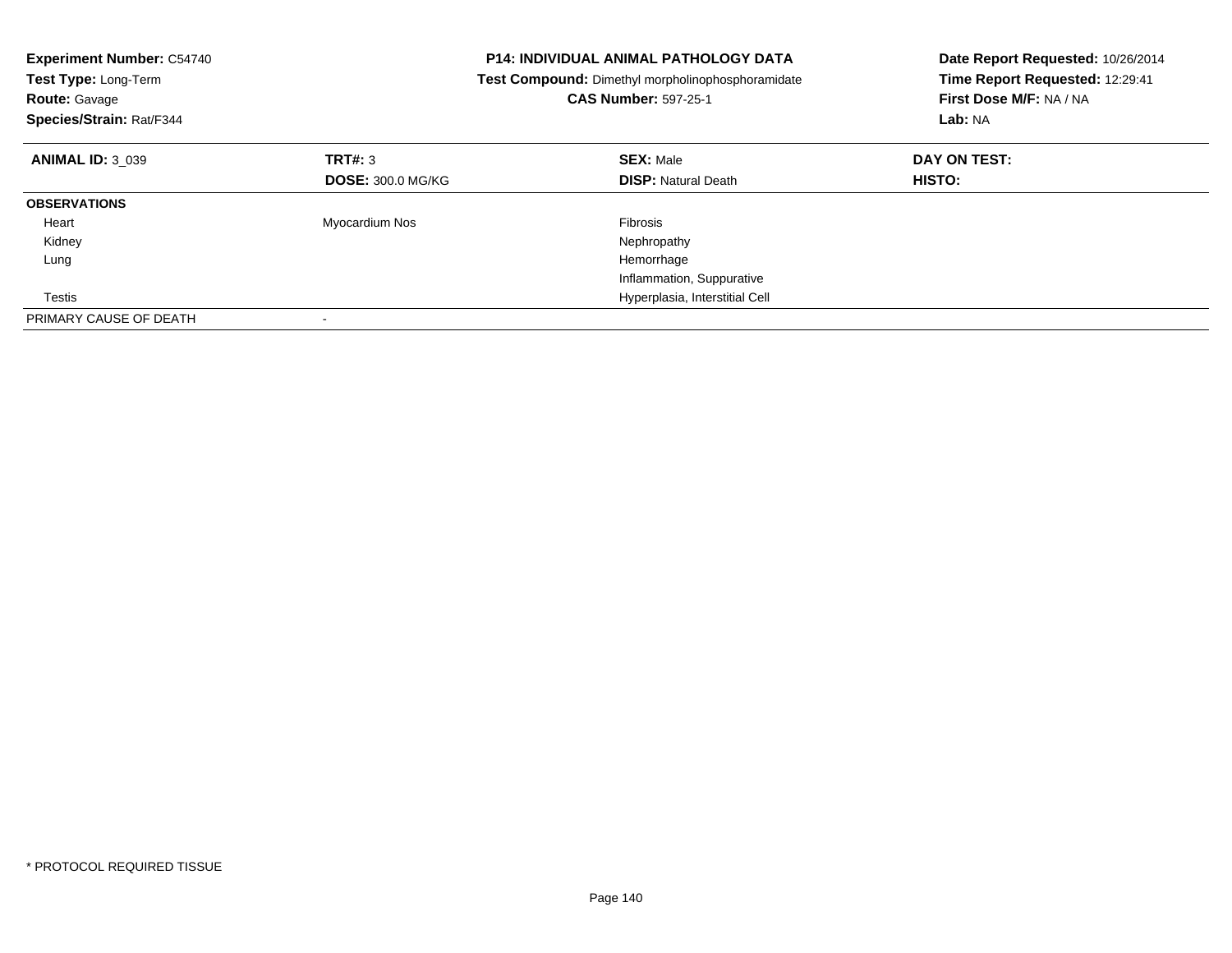| <b>Experiment Number: C54740</b><br>Test Type: Long-Term<br><b>Route: Gavage</b><br>Species/Strain: Rat/F344 |                          | <b>P14: INDIVIDUAL ANIMAL PATHOLOGY DATA</b><br>Test Compound: Dimethyl morpholinophosphoramidate<br><b>CAS Number: 597-25-1</b> | Date Report Requested: 10/26/2014<br>Time Report Requested: 12:29:41<br>First Dose M/F: NA / NA<br>Lab: NA |
|--------------------------------------------------------------------------------------------------------------|--------------------------|----------------------------------------------------------------------------------------------------------------------------------|------------------------------------------------------------------------------------------------------------|
| <b>ANIMAL ID: 3_039</b>                                                                                      | TRT#: 3                  | <b>SEX: Male</b>                                                                                                                 | DAY ON TEST:                                                                                               |
|                                                                                                              | <b>DOSE: 300.0 MG/KG</b> | <b>DISP:</b> Natural Death                                                                                                       | HISTO:                                                                                                     |
| <b>OBSERVATIONS</b>                                                                                          |                          |                                                                                                                                  |                                                                                                            |
| Heart                                                                                                        | Myocardium Nos           | <b>Fibrosis</b>                                                                                                                  |                                                                                                            |
| Kidney                                                                                                       |                          | Nephropathy                                                                                                                      |                                                                                                            |
| Lung                                                                                                         |                          | Hemorrhage                                                                                                                       |                                                                                                            |
|                                                                                                              |                          | Inflammation, Suppurative                                                                                                        |                                                                                                            |
| Testis                                                                                                       |                          | Hyperplasia, Interstitial Cell                                                                                                   |                                                                                                            |
| PRIMARY CAUSE OF DEATH                                                                                       |                          |                                                                                                                                  |                                                                                                            |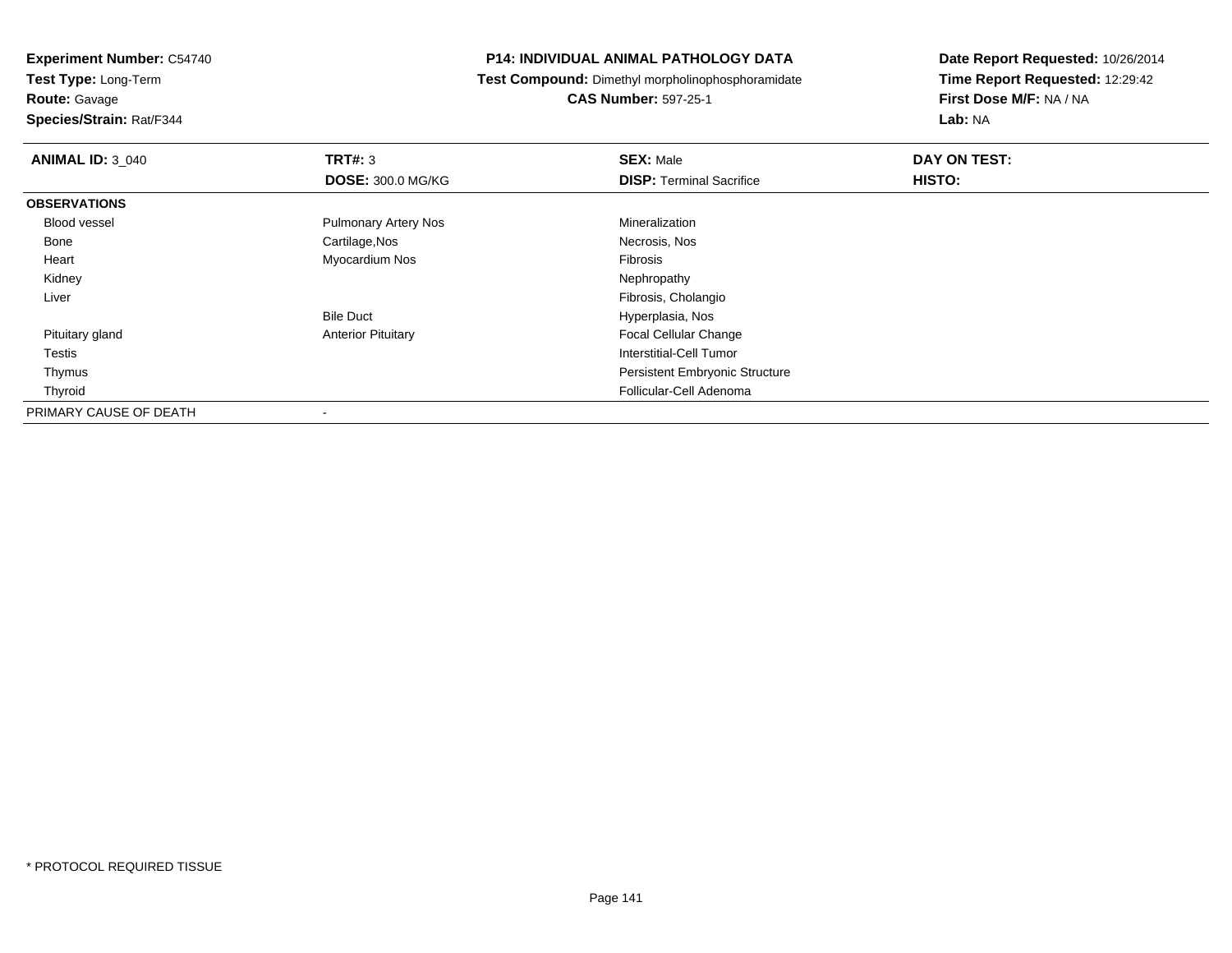**Route:** Gavage

**Species/Strain:** Rat/F344

# **P14: INDIVIDUAL ANIMAL PATHOLOGY DATA**

**Test Compound:** Dimethyl morpholinophosphoramidate

**CAS Number:** 597-25-1

| <b>ANIMAL ID: 3_040</b> | TRT#: 3                     | <b>SEX: Male</b>                      | DAY ON TEST: |  |
|-------------------------|-----------------------------|---------------------------------------|--------------|--|
|                         | <b>DOSE: 300.0 MG/KG</b>    | <b>DISP: Terminal Sacrifice</b>       | HISTO:       |  |
| <b>OBSERVATIONS</b>     |                             |                                       |              |  |
| <b>Blood vessel</b>     | <b>Pulmonary Artery Nos</b> | Mineralization                        |              |  |
| Bone                    | Cartilage, Nos              | Necrosis, Nos                         |              |  |
| Heart                   | Myocardium Nos              | Fibrosis                              |              |  |
| Kidney                  |                             | Nephropathy                           |              |  |
| Liver                   |                             | Fibrosis, Cholangio                   |              |  |
|                         | <b>Bile Duct</b>            | Hyperplasia, Nos                      |              |  |
| Pituitary gland         | <b>Anterior Pituitary</b>   | <b>Focal Cellular Change</b>          |              |  |
| Testis                  |                             | Interstitial-Cell Tumor               |              |  |
| Thymus                  |                             | <b>Persistent Embryonic Structure</b> |              |  |
| Thyroid                 |                             | Follicular-Cell Adenoma               |              |  |
| PRIMARY CAUSE OF DEATH  |                             |                                       |              |  |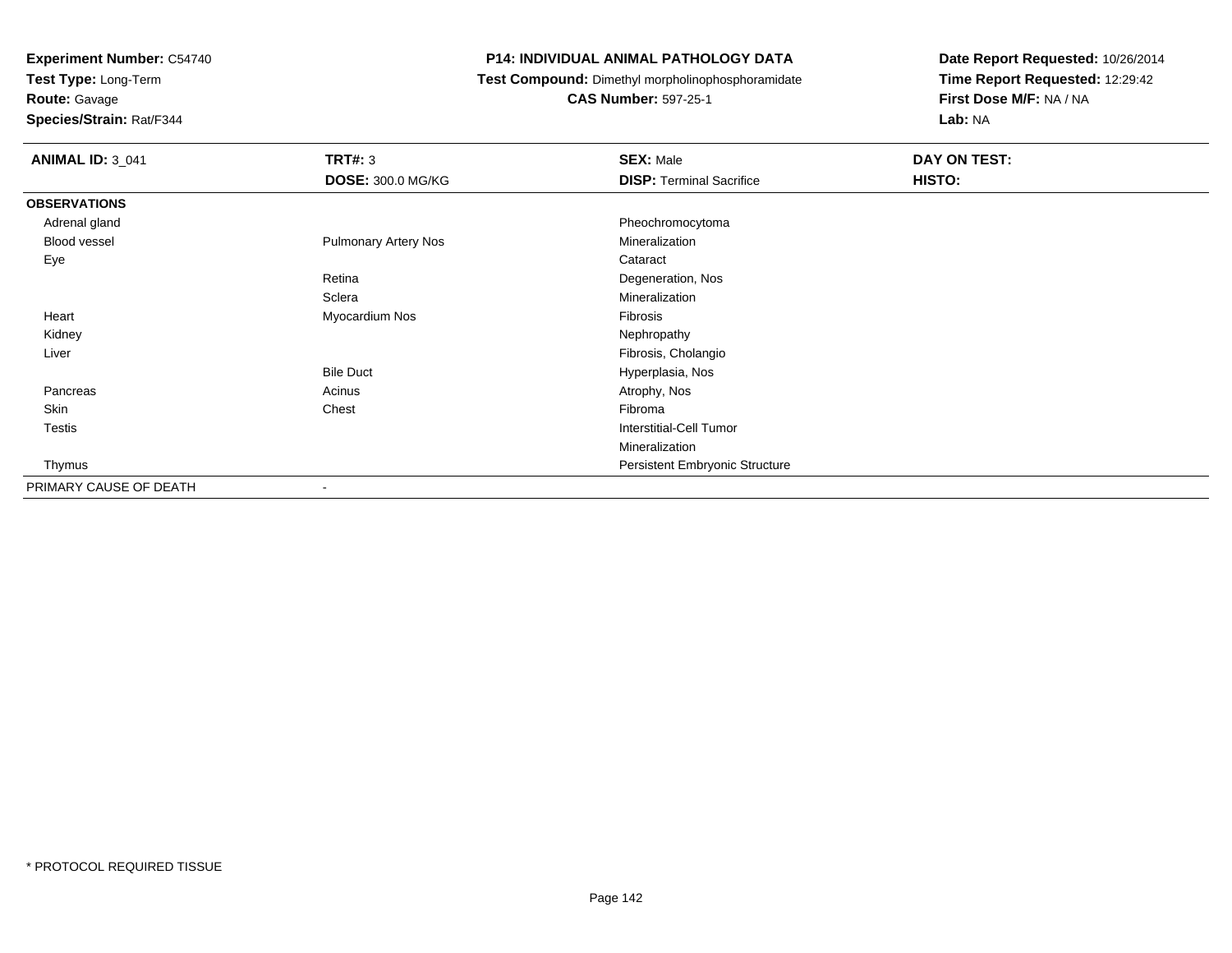**Test Type:** Long-Term

**Route:** Gavage

**Species/Strain:** Rat/F344

# **P14: INDIVIDUAL ANIMAL PATHOLOGY DATA**

**Test Compound:** Dimethyl morpholinophosphoramidate

**CAS Number:** 597-25-1

| <b>ANIMAL ID: 3_041</b> | <b>TRT#: 3</b>              | <b>SEX: Male</b>                      | DAY ON TEST:  |
|-------------------------|-----------------------------|---------------------------------------|---------------|
|                         | <b>DOSE: 300.0 MG/KG</b>    | <b>DISP: Terminal Sacrifice</b>       | <b>HISTO:</b> |
| <b>OBSERVATIONS</b>     |                             |                                       |               |
| Adrenal gland           |                             | Pheochromocytoma                      |               |
| Blood vessel            | <b>Pulmonary Artery Nos</b> | Mineralization                        |               |
| Eye                     |                             | Cataract                              |               |
|                         | Retina                      | Degeneration, Nos                     |               |
|                         | Sclera                      | Mineralization                        |               |
| Heart                   | Myocardium Nos              | Fibrosis                              |               |
| Kidney                  |                             | Nephropathy                           |               |
| Liver                   |                             | Fibrosis, Cholangio                   |               |
|                         | <b>Bile Duct</b>            | Hyperplasia, Nos                      |               |
| Pancreas                | Acinus                      | Atrophy, Nos                          |               |
| Skin                    | Chest                       | Fibroma                               |               |
| Testis                  |                             | Interstitial-Cell Tumor               |               |
|                         |                             | Mineralization                        |               |
| Thymus                  |                             | <b>Persistent Embryonic Structure</b> |               |
| PRIMARY CAUSE OF DEATH  | $\overline{\phantom{a}}$    |                                       |               |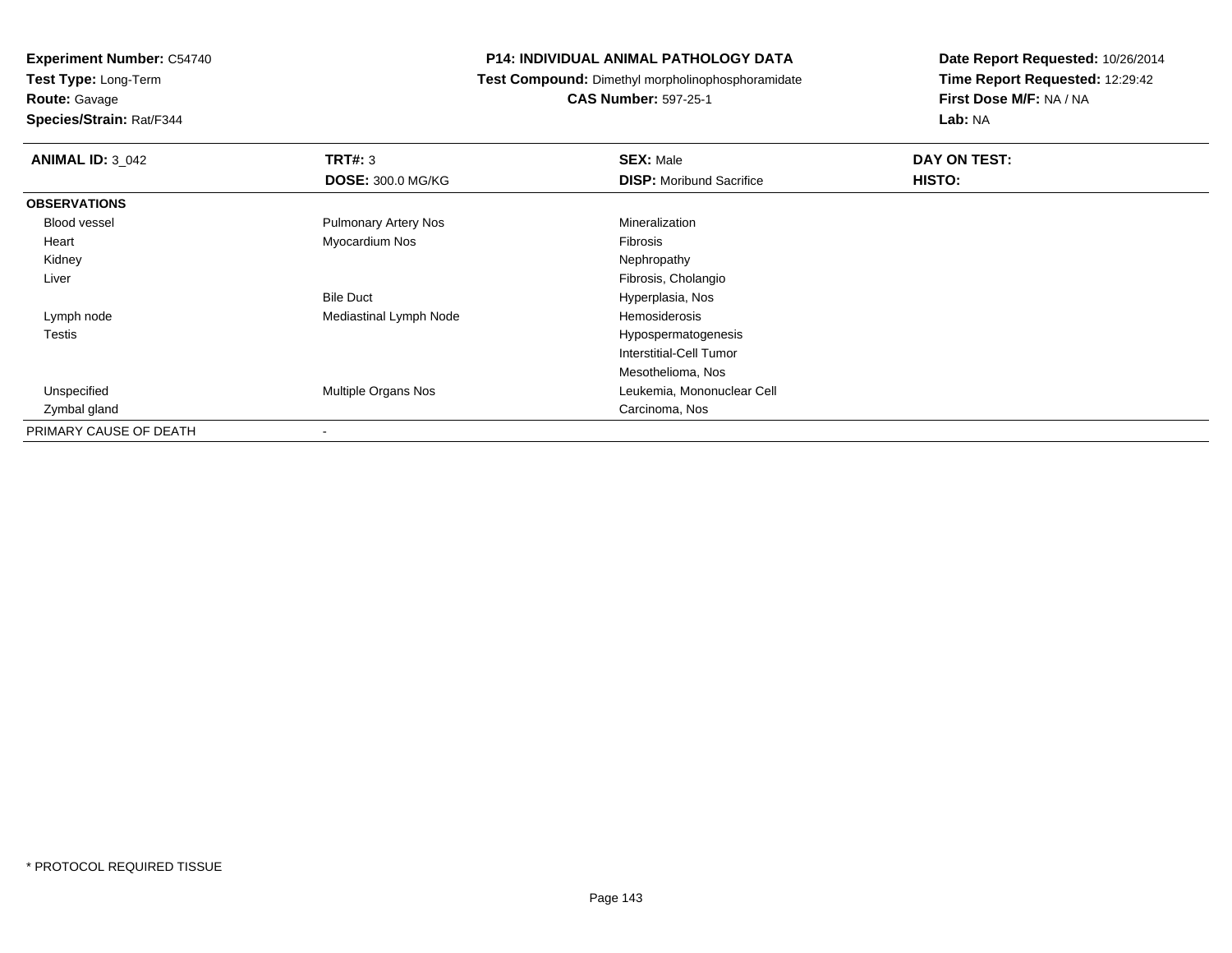**Route:** Gavage

**Species/Strain:** Rat/F344

# **P14: INDIVIDUAL ANIMAL PATHOLOGY DATA**

**Test Compound:** Dimethyl morpholinophosphoramidate

**CAS Number:** 597-25-1

| <b>ANIMAL ID: 3_042</b> | TRT#: 3                     | <b>SEX: Male</b>                | DAY ON TEST: |
|-------------------------|-----------------------------|---------------------------------|--------------|
|                         | <b>DOSE: 300.0 MG/KG</b>    | <b>DISP:</b> Moribund Sacrifice | HISTO:       |
| <b>OBSERVATIONS</b>     |                             |                                 |              |
| <b>Blood vessel</b>     | <b>Pulmonary Artery Nos</b> | Mineralization                  |              |
| Heart                   | Myocardium Nos              | Fibrosis                        |              |
| Kidney                  |                             | Nephropathy                     |              |
| Liver                   |                             | Fibrosis, Cholangio             |              |
|                         | <b>Bile Duct</b>            | Hyperplasia, Nos                |              |
| Lymph node              | Mediastinal Lymph Node      | Hemosiderosis                   |              |
| Testis                  |                             | Hypospermatogenesis             |              |
|                         |                             | Interstitial-Cell Tumor         |              |
|                         |                             | Mesothelioma, Nos               |              |
| Unspecified             | <b>Multiple Organs Nos</b>  | Leukemia, Mononuclear Cell      |              |
| Zymbal gland            |                             | Carcinoma, Nos                  |              |
| PRIMARY CAUSE OF DEATH  |                             |                                 |              |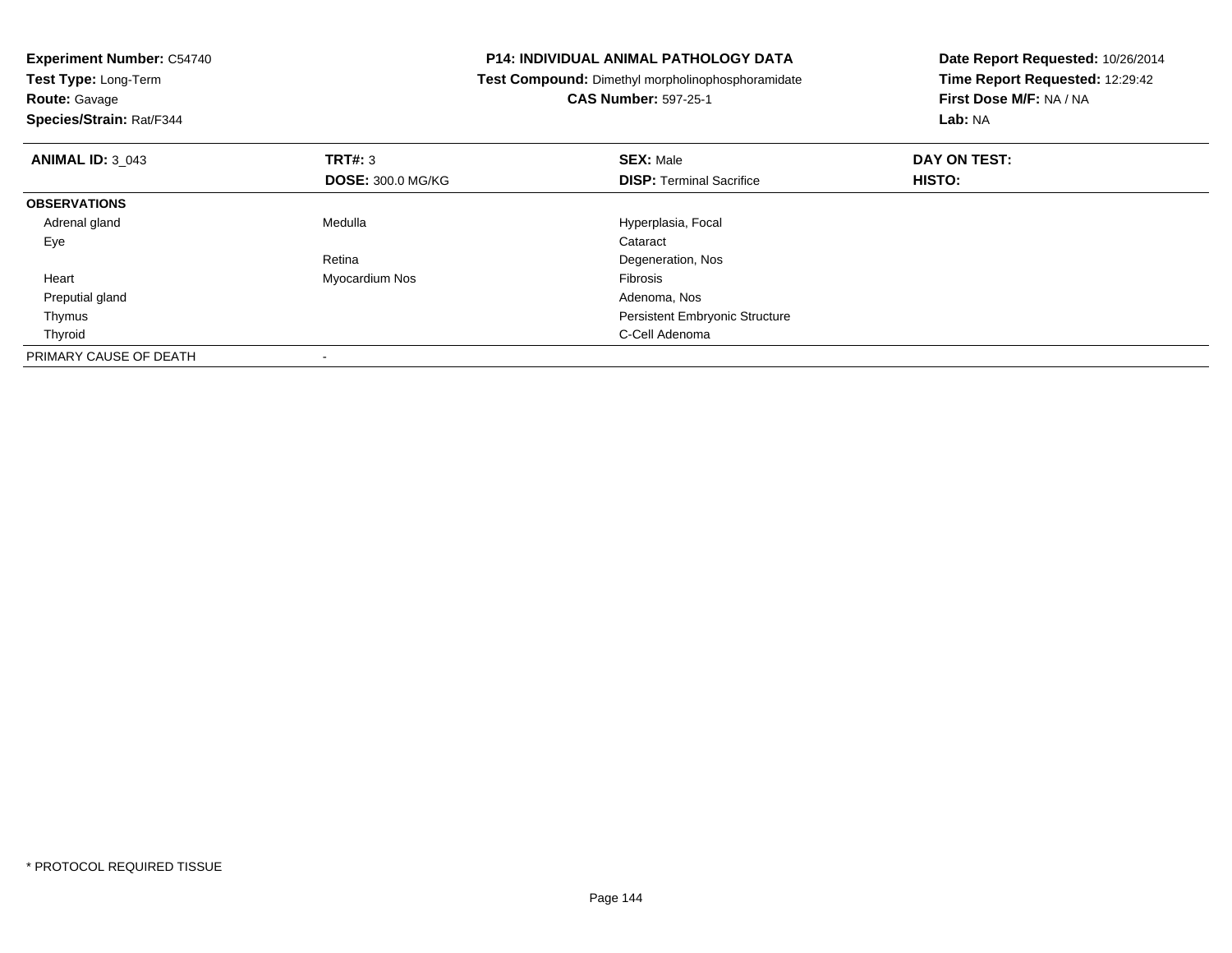| <b>Experiment Number: C54740</b><br>Test Type: Long-Term |                          | <b>P14: INDIVIDUAL ANIMAL PATHOLOGY DATA</b>             | Date Report Requested: 10/26/2014 |
|----------------------------------------------------------|--------------------------|----------------------------------------------------------|-----------------------------------|
|                                                          |                          | <b>Test Compound:</b> Dimethyl morpholinophosphoramidate | Time Report Requested: 12:29:42   |
| <b>Route: Gavage</b>                                     |                          | <b>CAS Number: 597-25-1</b>                              | First Dose M/F: NA / NA           |
| Species/Strain: Rat/F344                                 |                          |                                                          | <b>Lab: NA</b>                    |
| <b>ANIMAL ID: 3 043</b>                                  | TRT#: 3                  | <b>SEX: Male</b>                                         | DAY ON TEST:                      |
|                                                          | <b>DOSE: 300.0 MG/KG</b> | <b>DISP:</b> Terminal Sacrifice                          | <b>HISTO:</b>                     |
| <b>OBSERVATIONS</b>                                      |                          |                                                          |                                   |
| Adrenal gland                                            | Medulla                  | Hyperplasia, Focal                                       |                                   |
| Eye                                                      |                          | Cataract                                                 |                                   |
|                                                          | Retina                   | Degeneration, Nos                                        |                                   |
| Heart                                                    | Myocardium Nos           | <b>Fibrosis</b>                                          |                                   |
| Preputial gland                                          |                          | Adenoma, Nos                                             |                                   |
| Thymus                                                   |                          | <b>Persistent Embryonic Structure</b>                    |                                   |
| Thyroid                                                  |                          | C-Cell Adenoma                                           |                                   |
| PRIMARY CAUSE OF DEATH                                   |                          |                                                          |                                   |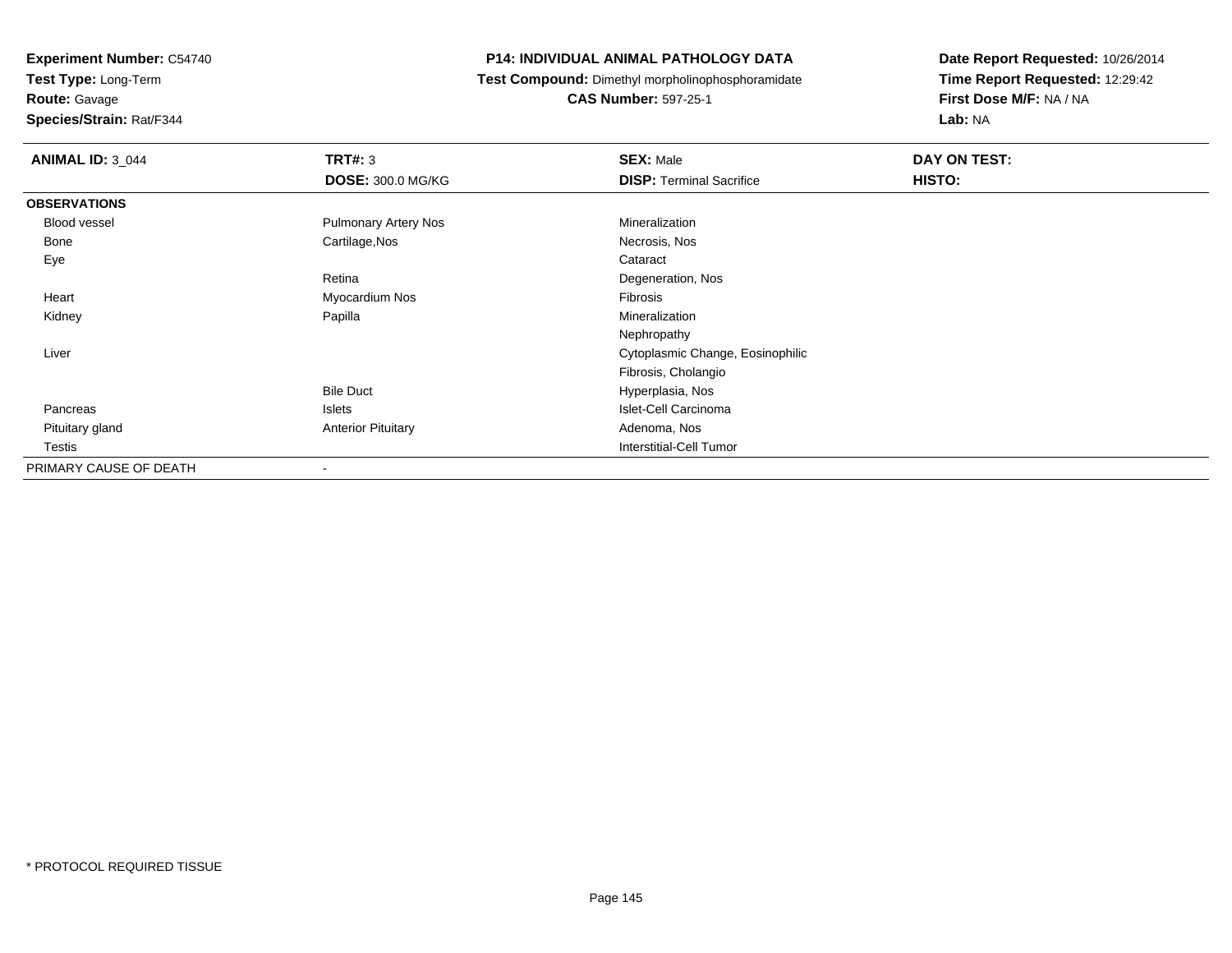**Test Type:** Long-Term

**Route:** Gavage

**Species/Strain:** Rat/F344

#### **P14: INDIVIDUAL ANIMAL PATHOLOGY DATA**

**Test Compound:** Dimethyl morpholinophosphoramidate

**CAS Number:** 597-25-1

| <b>ANIMAL ID: 3_044</b> | <b>TRT#: 3</b><br><b>DOSE: 300.0 MG/KG</b> | <b>SEX: Male</b><br><b>DISP: Terminal Sacrifice</b> | DAY ON TEST:<br>HISTO: |
|-------------------------|--------------------------------------------|-----------------------------------------------------|------------------------|
|                         |                                            |                                                     |                        |
| <b>OBSERVATIONS</b>     |                                            |                                                     |                        |
| Blood vessel            | <b>Pulmonary Artery Nos</b>                | Mineralization                                      |                        |
| Bone                    | Cartilage, Nos                             | Necrosis, Nos                                       |                        |
| Eye                     |                                            | Cataract                                            |                        |
|                         | Retina                                     | Degeneration, Nos                                   |                        |
| Heart                   | Myocardium Nos                             | Fibrosis                                            |                        |
| Kidney                  | Papilla                                    | Mineralization                                      |                        |
|                         |                                            | Nephropathy                                         |                        |
| Liver                   |                                            | Cytoplasmic Change, Eosinophilic                    |                        |
|                         |                                            | Fibrosis, Cholangio                                 |                        |
|                         | <b>Bile Duct</b>                           | Hyperplasia, Nos                                    |                        |
| Pancreas                | Islets                                     | Islet-Cell Carcinoma                                |                        |
| Pituitary gland         | <b>Anterior Pituitary</b>                  | Adenoma, Nos                                        |                        |
| Testis                  |                                            | <b>Interstitial-Cell Tumor</b>                      |                        |
| PRIMARY CAUSE OF DEATH  |                                            |                                                     |                        |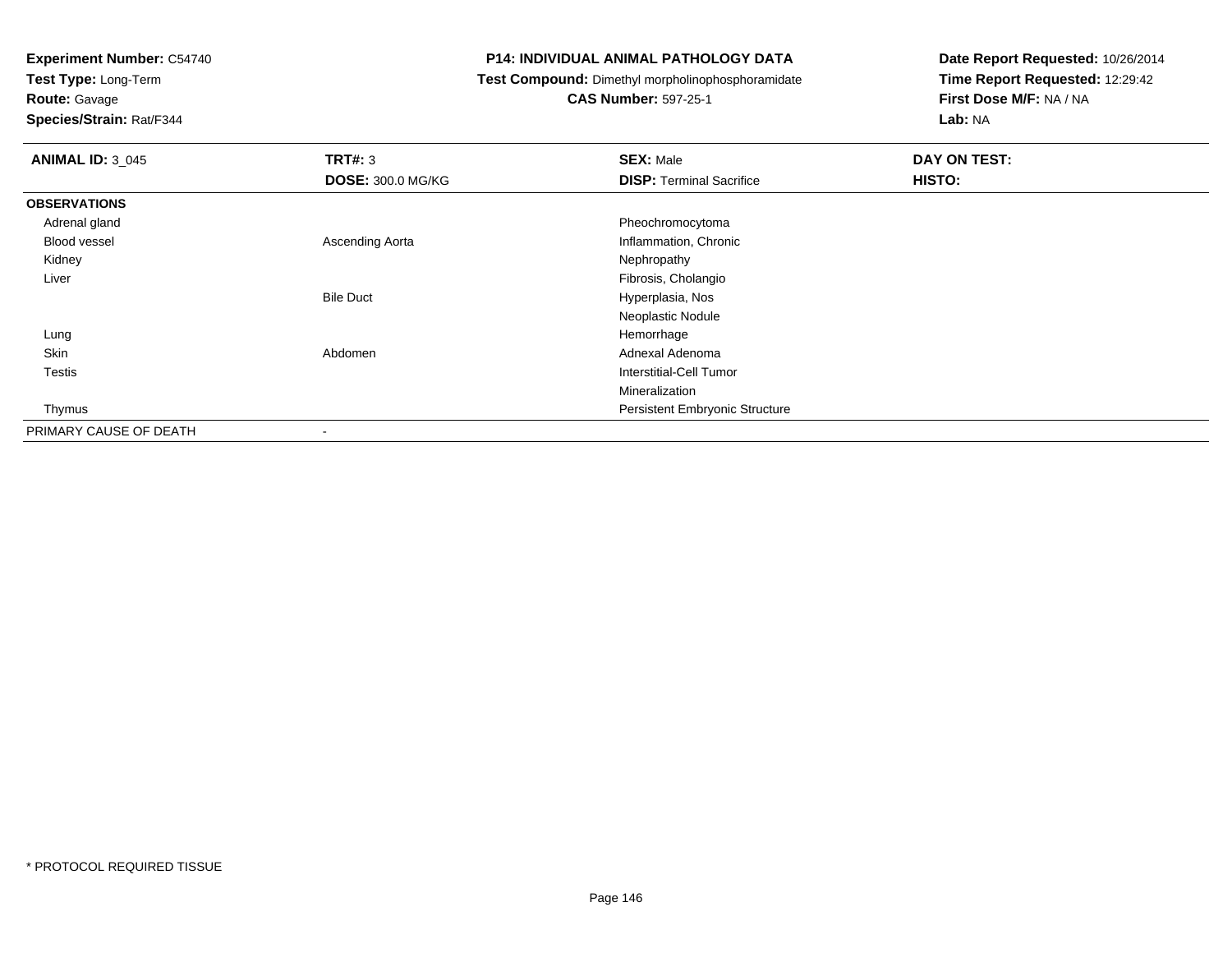**Test Type:** Long-Term

# **Route:** Gavage

**Species/Strain:** Rat/F344

#### **P14: INDIVIDUAL ANIMAL PATHOLOGY DATA**

### **Test Compound:** Dimethyl morpholinophosphoramidate

### **CAS Number:** 597-25-1

| <b>ANIMAL ID: 3 045</b> | TRT#: 3                  | <b>SEX: Male</b>                | DAY ON TEST: |
|-------------------------|--------------------------|---------------------------------|--------------|
|                         | <b>DOSE: 300.0 MG/KG</b> | <b>DISP: Terminal Sacrifice</b> | HISTO:       |
| <b>OBSERVATIONS</b>     |                          |                                 |              |
| Adrenal gland           |                          | Pheochromocytoma                |              |
| <b>Blood vessel</b>     | Ascending Aorta          | Inflammation, Chronic           |              |
| Kidney                  |                          | Nephropathy                     |              |
| Liver                   |                          | Fibrosis, Cholangio             |              |
|                         | <b>Bile Duct</b>         | Hyperplasia, Nos                |              |
|                         |                          | Neoplastic Nodule               |              |
| Lung                    |                          | Hemorrhage                      |              |
| Skin                    | Abdomen                  | Adnexal Adenoma                 |              |
| <b>Testis</b>           |                          | Interstitial-Cell Tumor         |              |
|                         |                          | Mineralization                  |              |
| Thymus                  |                          | Persistent Embryonic Structure  |              |
| PRIMARY CAUSE OF DEATH  | $\overline{\phantom{a}}$ |                                 |              |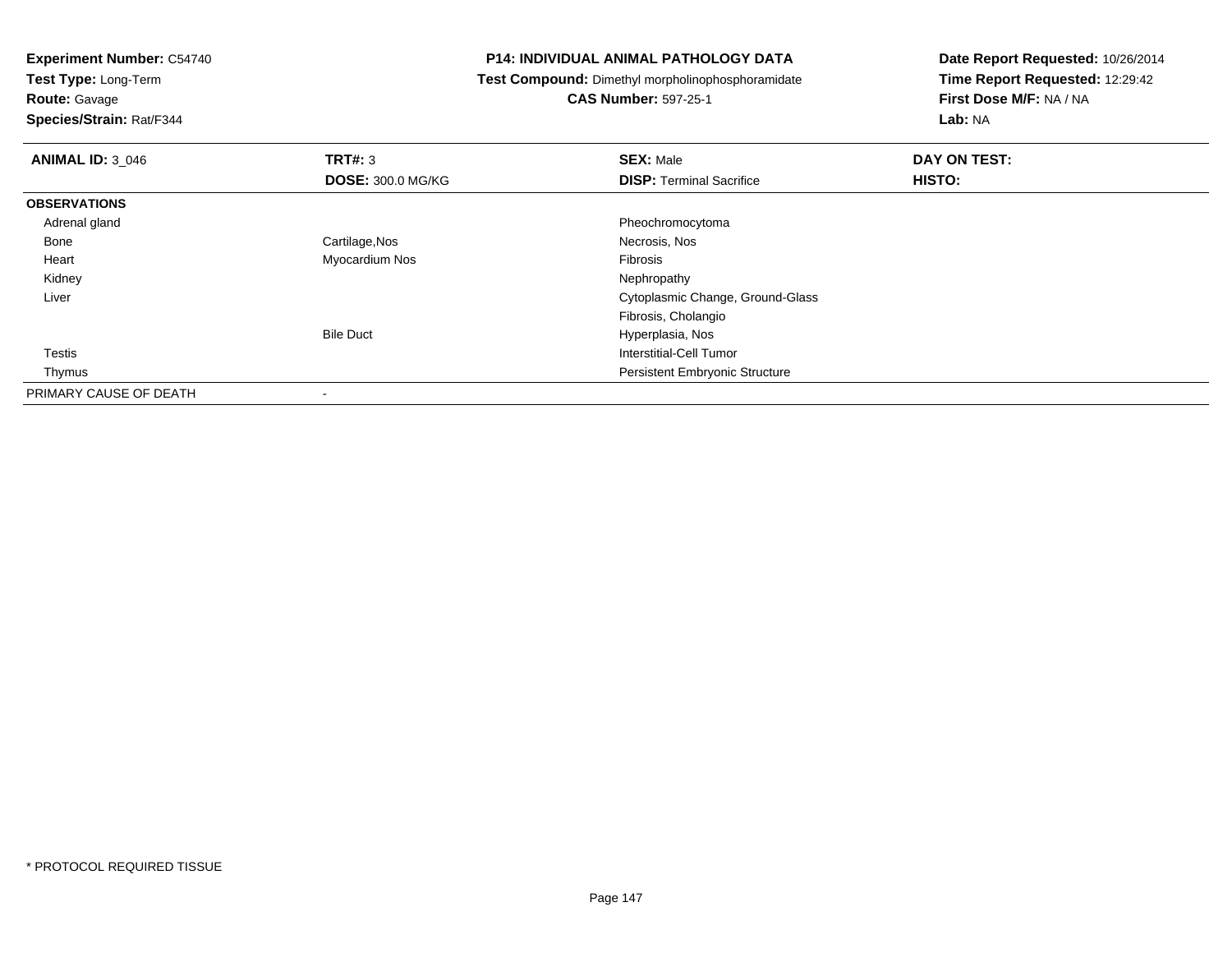**Test Type:** Long-Term

## **Route:** Gavage

**Species/Strain:** Rat/F344

#### **P14: INDIVIDUAL ANIMAL PATHOLOGY DATA**

**Test Compound:** Dimethyl morpholinophosphoramidate

### **CAS Number:** 597-25-1

| <b>ANIMAL ID: 3 046</b> | TRT#: 3                  | <b>SEX: Male</b>                      | <b>DAY ON TEST:</b> |  |
|-------------------------|--------------------------|---------------------------------------|---------------------|--|
|                         | <b>DOSE: 300.0 MG/KG</b> | <b>DISP: Terminal Sacrifice</b>       | HISTO:              |  |
| <b>OBSERVATIONS</b>     |                          |                                       |                     |  |
| Adrenal gland           |                          | Pheochromocytoma                      |                     |  |
| Bone                    | Cartilage, Nos           | Necrosis, Nos                         |                     |  |
| Heart                   | Myocardium Nos           | Fibrosis                              |                     |  |
| Kidney                  |                          | Nephropathy                           |                     |  |
| Liver                   |                          | Cytoplasmic Change, Ground-Glass      |                     |  |
|                         |                          | Fibrosis, Cholangio                   |                     |  |
|                         | <b>Bile Duct</b>         | Hyperplasia, Nos                      |                     |  |
| <b>Testis</b>           |                          | Interstitial-Cell Tumor               |                     |  |
| Thymus                  |                          | <b>Persistent Embryonic Structure</b> |                     |  |
| PRIMARY CAUSE OF DEATH  |                          |                                       |                     |  |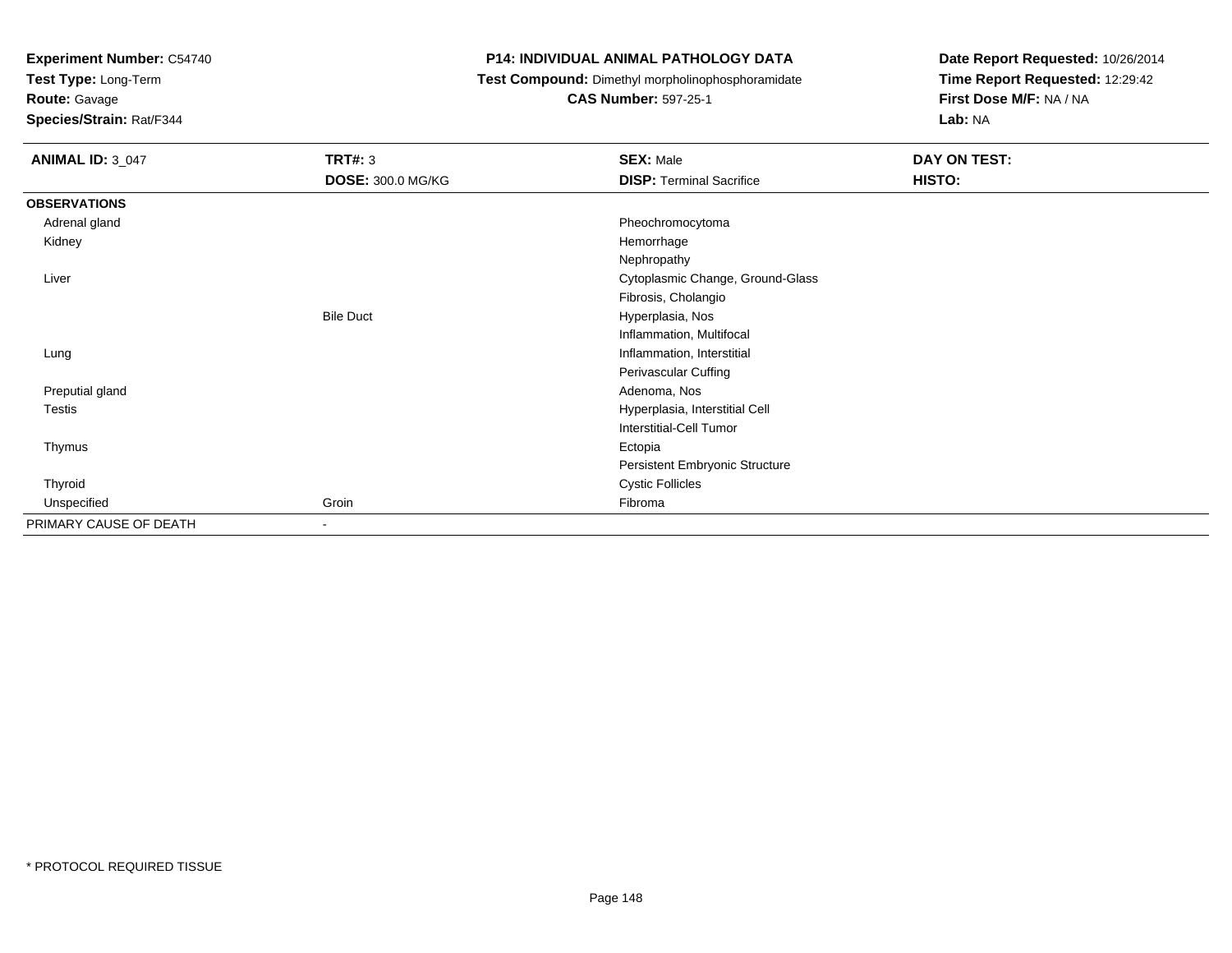**Test Type:** Long-Term

**Route:** Gavage

**Species/Strain:** Rat/F344

#### **P14: INDIVIDUAL ANIMAL PATHOLOGY DATA**

**Test Compound:** Dimethyl morpholinophosphoramidate

**CAS Number:** 597-25-1

| <b>ANIMAL ID: 3_047</b> | <b>TRT#: 3</b>           | <b>SEX: Male</b>                 | DAY ON TEST: |
|-------------------------|--------------------------|----------------------------------|--------------|
|                         | <b>DOSE: 300.0 MG/KG</b> | <b>DISP: Terminal Sacrifice</b>  | HISTO:       |
| <b>OBSERVATIONS</b>     |                          |                                  |              |
| Adrenal gland           |                          | Pheochromocytoma                 |              |
| Kidney                  |                          | Hemorrhage                       |              |
|                         |                          | Nephropathy                      |              |
| Liver                   |                          | Cytoplasmic Change, Ground-Glass |              |
|                         |                          | Fibrosis, Cholangio              |              |
|                         | <b>Bile Duct</b>         | Hyperplasia, Nos                 |              |
|                         |                          | Inflammation, Multifocal         |              |
| Lung                    |                          | Inflammation, Interstitial       |              |
|                         |                          | Perivascular Cuffing             |              |
| Preputial gland         |                          | Adenoma, Nos                     |              |
| Testis                  |                          | Hyperplasia, Interstitial Cell   |              |
|                         |                          | <b>Interstitial-Cell Tumor</b>   |              |
| Thymus                  |                          | Ectopia                          |              |
|                         |                          | Persistent Embryonic Structure   |              |
| Thyroid                 |                          | <b>Cystic Follicles</b>          |              |
| Unspecified             | Groin                    | Fibroma                          |              |
| PRIMARY CAUSE OF DEATH  | $\overline{\phantom{a}}$ |                                  |              |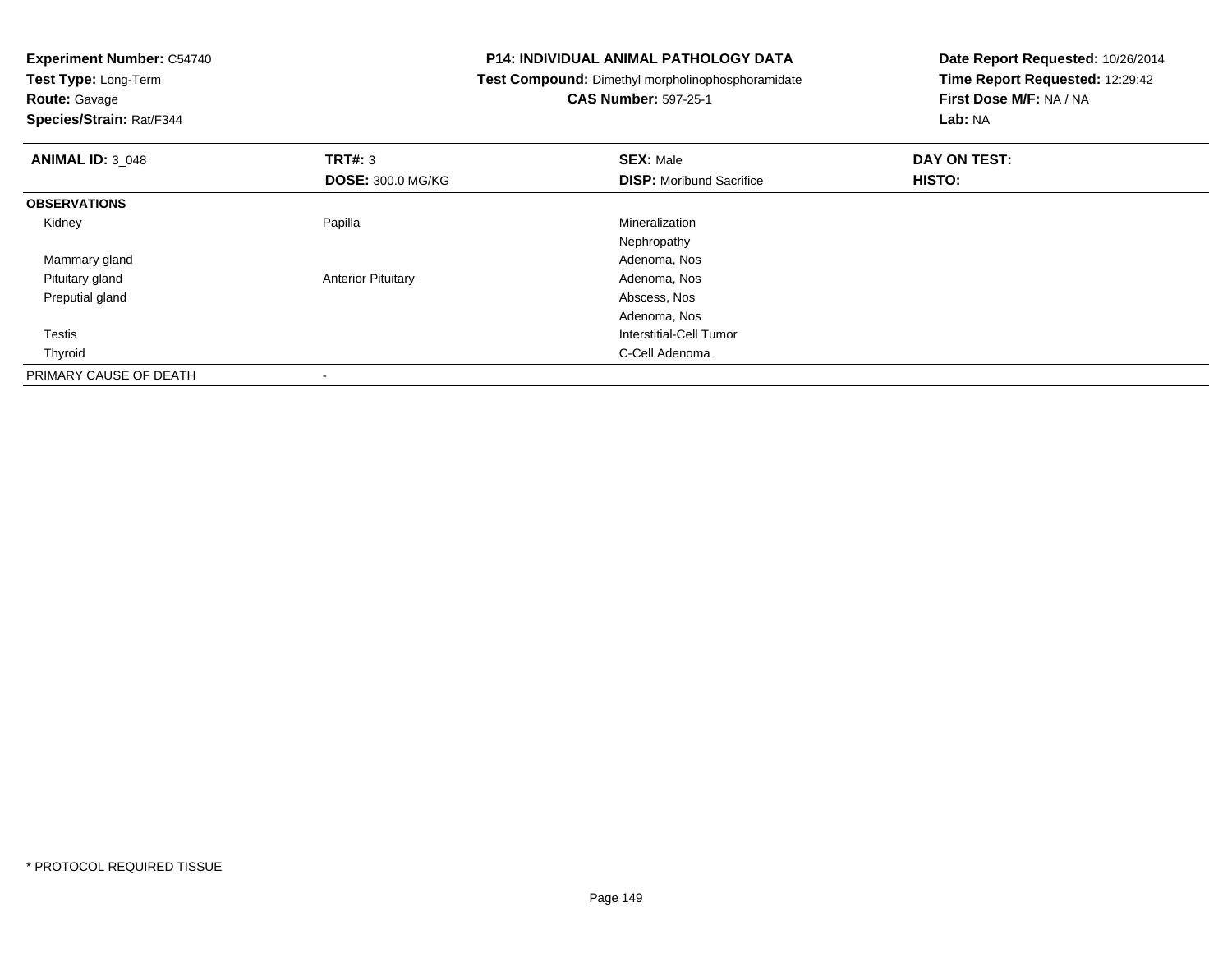| <b>Experiment Number: C54740</b> | <b>P14: INDIVIDUAL ANIMAL PATHOLOGY DATA</b> |                                                   | Date Report Requested: 10/26/2014 |
|----------------------------------|----------------------------------------------|---------------------------------------------------|-----------------------------------|
| Test Type: Long-Term             |                                              | Test Compound: Dimethyl morpholinophosphoramidate | Time Report Requested: 12:29:42   |
| <b>Route: Gavage</b>             |                                              | <b>CAS Number: 597-25-1</b>                       | First Dose M/F: NA / NA           |
| Species/Strain: Rat/F344         |                                              |                                                   | Lab: NA                           |
| <b>ANIMAL ID: 3_048</b>          | TRT#: 3                                      | <b>SEX: Male</b>                                  | DAY ON TEST:                      |
|                                  | <b>DOSE: 300.0 MG/KG</b>                     | <b>DISP:</b> Moribund Sacrifice                   | HISTO:                            |
| <b>OBSERVATIONS</b>              |                                              |                                                   |                                   |
| Kidney                           | Papilla                                      | Mineralization                                    |                                   |
|                                  |                                              | Nephropathy                                       |                                   |
| Mammary gland                    |                                              | Adenoma, Nos                                      |                                   |
| Pituitary gland                  | <b>Anterior Pituitary</b>                    | Adenoma, Nos                                      |                                   |
| Preputial gland                  |                                              | Abscess, Nos                                      |                                   |
|                                  |                                              | Adenoma, Nos                                      |                                   |
| <b>Testis</b>                    |                                              | <b>Interstitial-Cell Tumor</b>                    |                                   |
| Thyroid                          |                                              | C-Cell Adenoma                                    |                                   |
| PRIMARY CAUSE OF DEATH           |                                              |                                                   |                                   |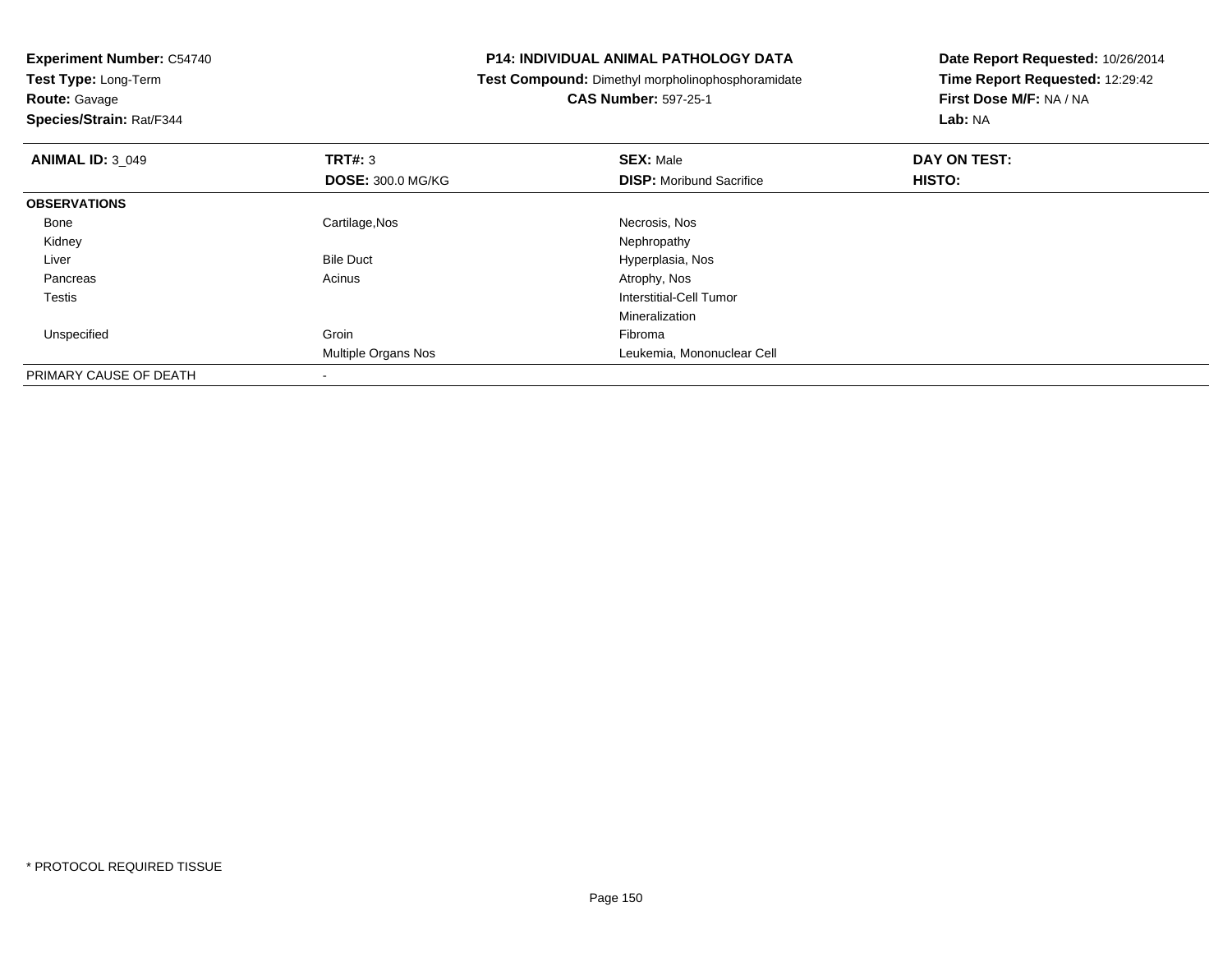| <b>Experiment Number: C54740</b> |                          | <b>P14: INDIVIDUAL ANIMAL PATHOLOGY DATA</b>      | Date Report Requested: 10/26/2014 |  |
|----------------------------------|--------------------------|---------------------------------------------------|-----------------------------------|--|
| Test Type: Long-Term             |                          | Test Compound: Dimethyl morpholinophosphoramidate | Time Report Requested: 12:29:42   |  |
| <b>Route: Gavage</b>             |                          | <b>CAS Number: 597-25-1</b>                       | First Dose M/F: NA / NA           |  |
| Species/Strain: Rat/F344         |                          |                                                   | Lab: NA                           |  |
| <b>ANIMAL ID: 3 049</b>          | <b>TRT#:</b> 3           | <b>SEX: Male</b>                                  | DAY ON TEST:                      |  |
|                                  | <b>DOSE: 300.0 MG/KG</b> | <b>DISP:</b> Moribund Sacrifice                   | HISTO:                            |  |
| <b>OBSERVATIONS</b>              |                          |                                                   |                                   |  |
| Bone                             | Cartilage, Nos           | Necrosis, Nos                                     |                                   |  |
| Kidney                           |                          | Nephropathy                                       |                                   |  |
| Liver                            | <b>Bile Duct</b>         | Hyperplasia, Nos                                  |                                   |  |
| Pancreas                         | Acinus                   | Atrophy, Nos                                      |                                   |  |
| Testis                           |                          | Interstitial-Cell Tumor                           |                                   |  |
|                                  |                          | Mineralization                                    |                                   |  |
| Unspecified                      | Groin                    | Fibroma                                           |                                   |  |
|                                  | Multiple Organs Nos      | Leukemia, Mononuclear Cell                        |                                   |  |
| PRIMARY CAUSE OF DEATH           |                          |                                                   |                                   |  |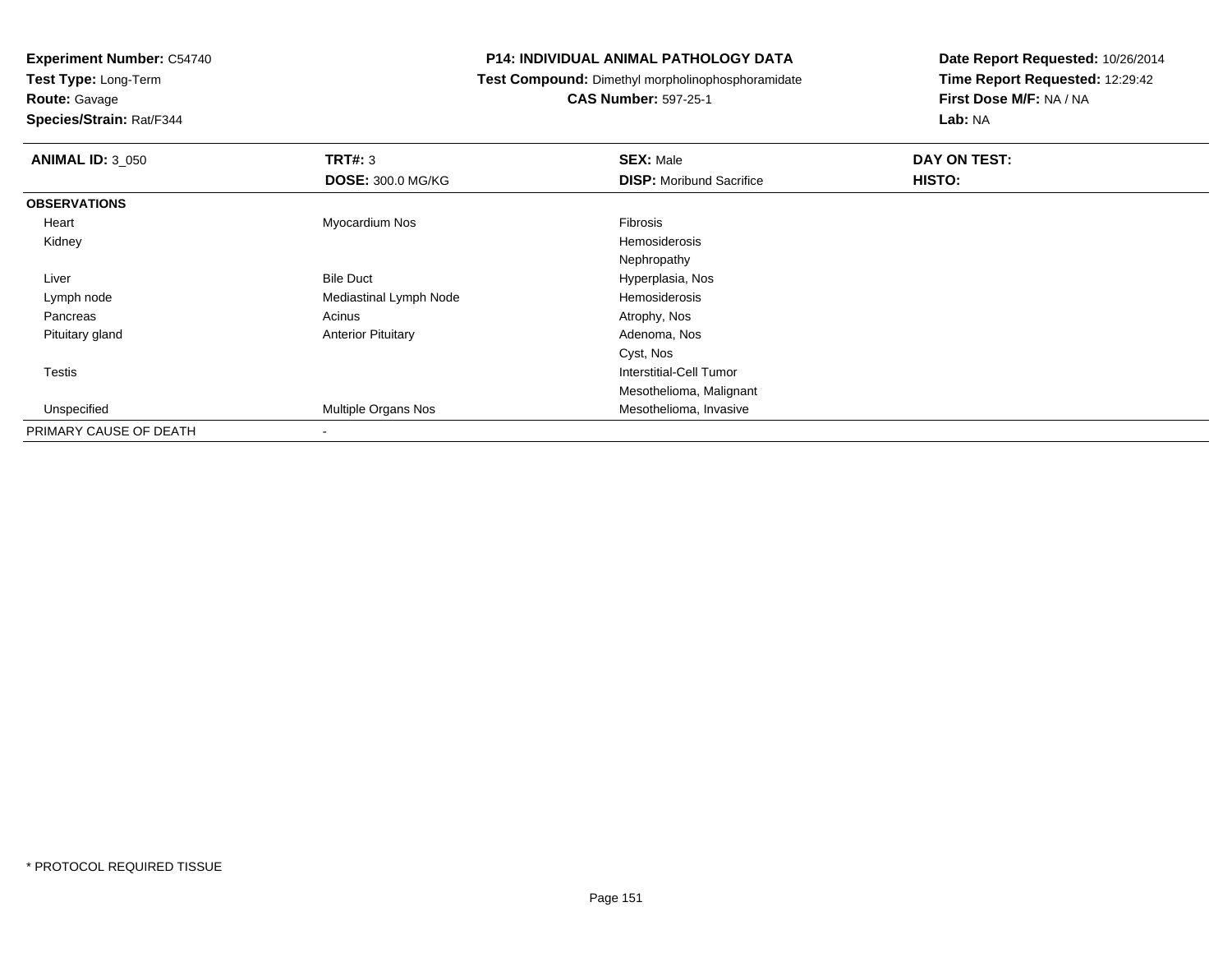**Test Type:** Long-Term

**Route:** Gavage

**Species/Strain:** Rat/F344

#### **P14: INDIVIDUAL ANIMAL PATHOLOGY DATA**

**Test Compound:** Dimethyl morpholinophosphoramidate

**CAS Number:** 597-25-1

| <b>ANIMAL ID: 3_050</b> | TRT#: 3                    | <b>SEX: Male</b>                | DAY ON TEST: |
|-------------------------|----------------------------|---------------------------------|--------------|
|                         | <b>DOSE: 300.0 MG/KG</b>   | <b>DISP:</b> Moribund Sacrifice | HISTO:       |
| <b>OBSERVATIONS</b>     |                            |                                 |              |
| Heart                   | Myocardium Nos             | Fibrosis                        |              |
| Kidney                  |                            | <b>Hemosiderosis</b>            |              |
|                         |                            | Nephropathy                     |              |
| Liver                   | <b>Bile Duct</b>           | Hyperplasia, Nos                |              |
| Lymph node              | Mediastinal Lymph Node     | Hemosiderosis                   |              |
| Pancreas                | Acinus                     | Atrophy, Nos                    |              |
| Pituitary gland         | <b>Anterior Pituitary</b>  | Adenoma, Nos                    |              |
|                         |                            | Cyst, Nos                       |              |
| <b>Testis</b>           |                            | Interstitial-Cell Tumor         |              |
|                         |                            | Mesothelioma, Malignant         |              |
| Unspecified             | <b>Multiple Organs Nos</b> | Mesothelioma, Invasive          |              |
| PRIMARY CAUSE OF DEATH  | $\blacksquare$             |                                 |              |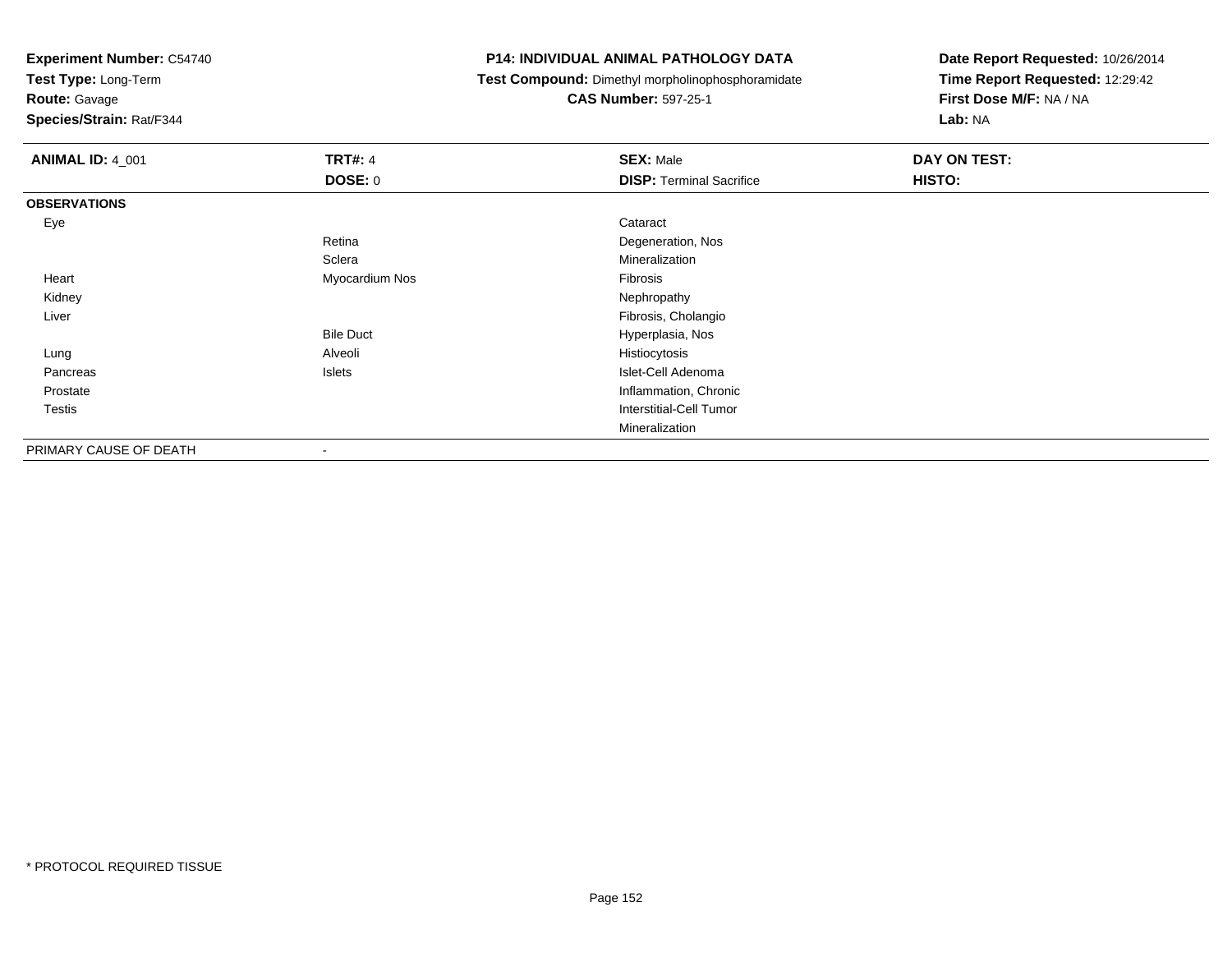**Test Type:** Long-Term

**Route:** Gavage

**Species/Strain:** Rat/F344

#### **P14: INDIVIDUAL ANIMAL PATHOLOGY DATA**

**Test Compound:** Dimethyl morpholinophosphoramidate

**CAS Number:** 597-25-1

| <b>ANIMAL ID: 4_001</b> | <b>TRT#: 4</b>   | <b>SEX: Male</b>                | <b>DAY ON TEST:</b> |
|-------------------------|------------------|---------------------------------|---------------------|
|                         | DOSE: 0          | <b>DISP: Terminal Sacrifice</b> | HISTO:              |
| <b>OBSERVATIONS</b>     |                  |                                 |                     |
| Eye                     |                  | Cataract                        |                     |
|                         | Retina           | Degeneration, Nos               |                     |
|                         | Sclera           | Mineralization                  |                     |
| Heart                   | Myocardium Nos   | Fibrosis                        |                     |
| Kidney                  |                  | Nephropathy                     |                     |
| Liver                   |                  | Fibrosis, Cholangio             |                     |
|                         | <b>Bile Duct</b> | Hyperplasia, Nos                |                     |
| Lung                    | Alveoli          | Histiocytosis                   |                     |
| Pancreas                | Islets           | Islet-Cell Adenoma              |                     |
| Prostate                |                  | Inflammation, Chronic           |                     |
| <b>Testis</b>           |                  | <b>Interstitial-Cell Tumor</b>  |                     |
|                         |                  | Mineralization                  |                     |
| PRIMARY CAUSE OF DEATH  | $\blacksquare$   |                                 |                     |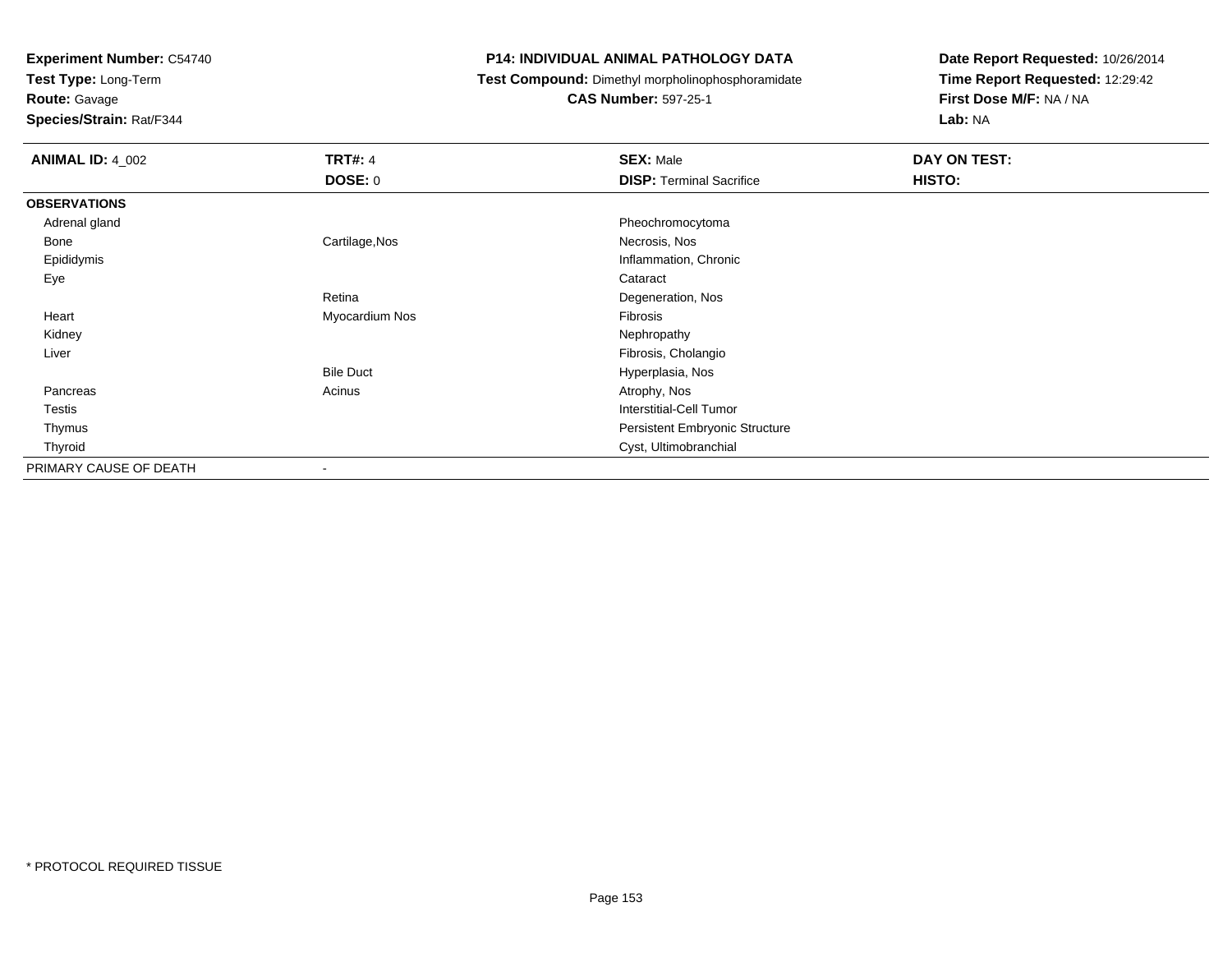**Test Type:** Long-Term

**Route:** Gavage

**Species/Strain:** Rat/F344

#### **P14: INDIVIDUAL ANIMAL PATHOLOGY DATA**

**Test Compound:** Dimethyl morpholinophosphoramidate

**CAS Number:** 597-25-1

| <b>ANIMAL ID: 4_002</b> | <b>TRT#: 4</b>           | <b>SEX: Male</b>                | DAY ON TEST: |  |
|-------------------------|--------------------------|---------------------------------|--------------|--|
|                         | <b>DOSE: 0</b>           | <b>DISP: Terminal Sacrifice</b> | HISTO:       |  |
| <b>OBSERVATIONS</b>     |                          |                                 |              |  |
| Adrenal gland           |                          | Pheochromocytoma                |              |  |
| Bone                    | Cartilage, Nos           | Necrosis, Nos                   |              |  |
| Epididymis              |                          | Inflammation, Chronic           |              |  |
| Eye                     |                          | Cataract                        |              |  |
|                         | Retina                   | Degeneration, Nos               |              |  |
| Heart                   | Myocardium Nos           | Fibrosis                        |              |  |
| Kidney                  |                          | Nephropathy                     |              |  |
| Liver                   |                          | Fibrosis, Cholangio             |              |  |
|                         | <b>Bile Duct</b>         | Hyperplasia, Nos                |              |  |
| Pancreas                | Acinus                   | Atrophy, Nos                    |              |  |
| Testis                  |                          | Interstitial-Cell Tumor         |              |  |
| Thymus                  |                          | Persistent Embryonic Structure  |              |  |
| Thyroid                 |                          | Cyst, Ultimobranchial           |              |  |
| PRIMARY CAUSE OF DEATH  | $\overline{\phantom{a}}$ |                                 |              |  |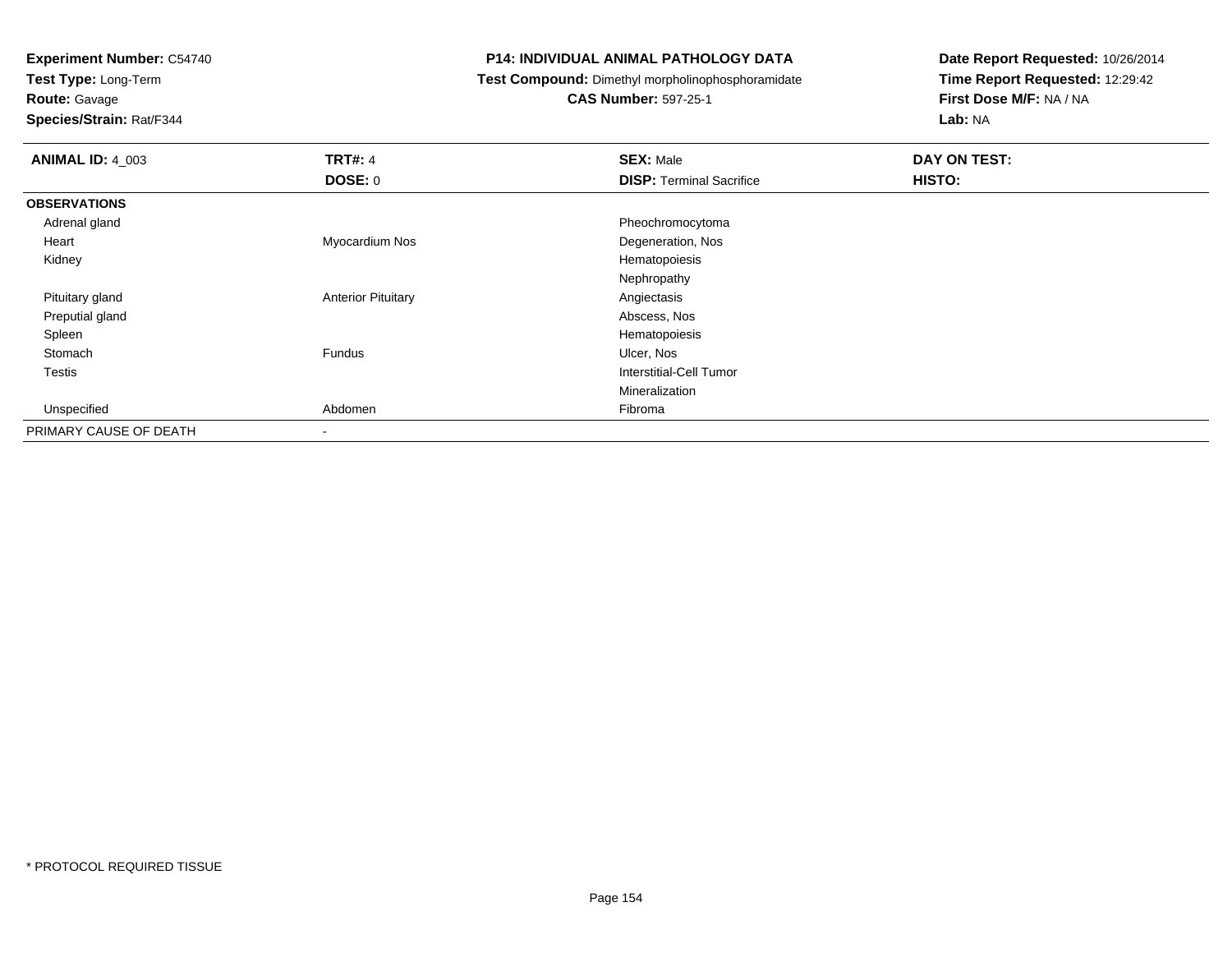**Test Type:** Long-Term

**Route:** Gavage

**Species/Strain:** Rat/F344

#### **P14: INDIVIDUAL ANIMAL PATHOLOGY DATA**

**Test Compound:** Dimethyl morpholinophosphoramidate

**CAS Number:** 597-25-1

| <b>ANIMAL ID: 4_003</b> | <b>TRT#: 4</b>            | <b>SEX: Male</b>                | DAY ON TEST: |
|-------------------------|---------------------------|---------------------------------|--------------|
|                         | <b>DOSE: 0</b>            | <b>DISP: Terminal Sacrifice</b> | HISTO:       |
| <b>OBSERVATIONS</b>     |                           |                                 |              |
| Adrenal gland           |                           | Pheochromocytoma                |              |
| Heart                   | Myocardium Nos            | Degeneration, Nos               |              |
| Kidney                  |                           | Hematopoiesis                   |              |
|                         |                           | Nephropathy                     |              |
| Pituitary gland         | <b>Anterior Pituitary</b> | Angiectasis                     |              |
| Preputial gland         |                           | Abscess, Nos                    |              |
| Spleen                  |                           | Hematopoiesis                   |              |
| Stomach                 | Fundus                    | Ulcer, Nos                      |              |
| Testis                  |                           | <b>Interstitial-Cell Tumor</b>  |              |
|                         |                           | Mineralization                  |              |
| Unspecified             | Abdomen                   | Fibroma                         |              |
| PRIMARY CAUSE OF DEATH  | $\overline{\phantom{a}}$  |                                 |              |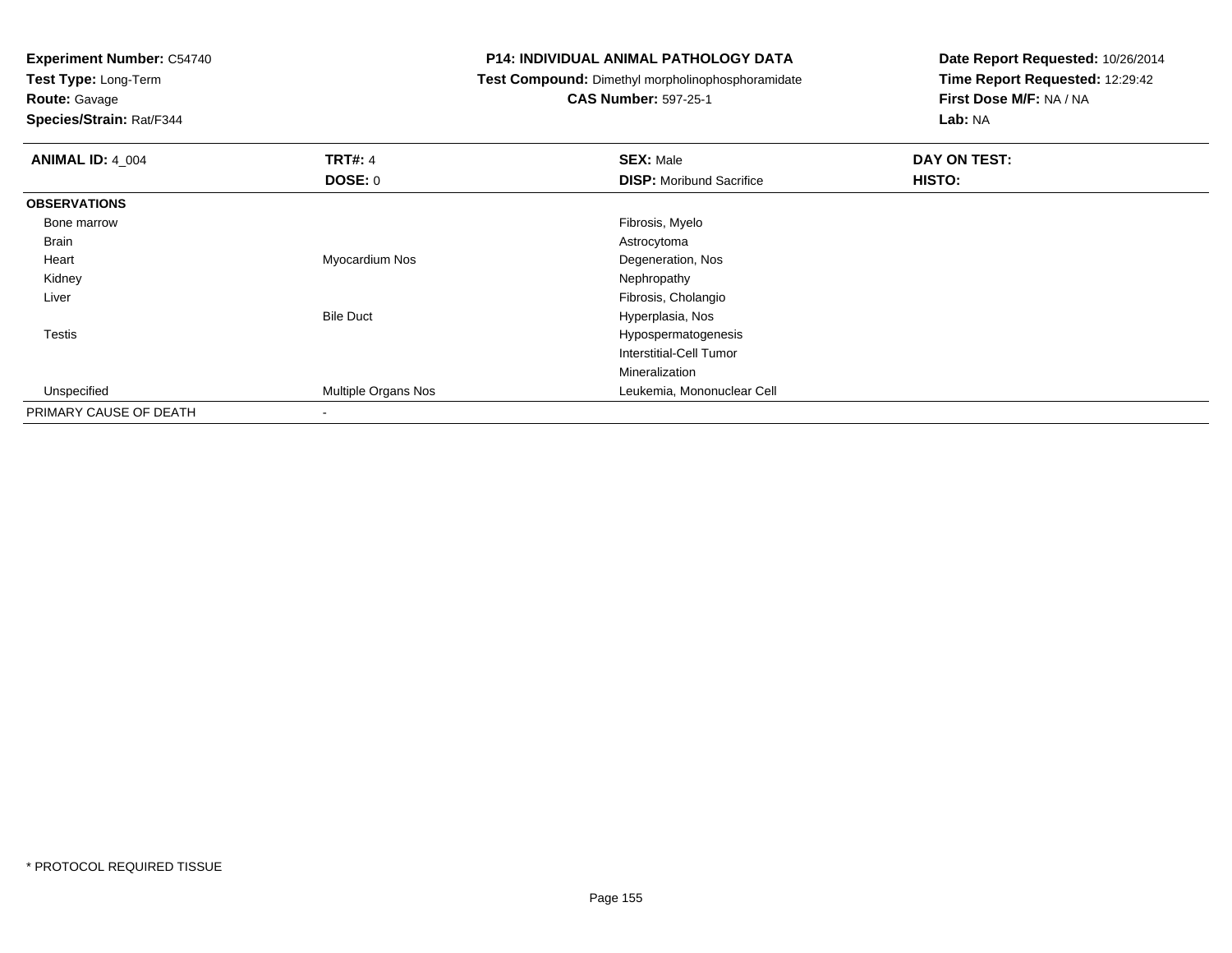**Test Type:** Long-Term

**Route:** Gavage

**Species/Strain:** Rat/F344

#### **P14: INDIVIDUAL ANIMAL PATHOLOGY DATA**

**Test Compound:** Dimethyl morpholinophosphoramidate

**CAS Number:** 597-25-1

| <b>ANIMAL ID: 4_004</b> | <b>TRT#: 4</b>             | <b>SEX: Male</b>                | DAY ON TEST: |  |
|-------------------------|----------------------------|---------------------------------|--------------|--|
|                         | DOSE: 0                    | <b>DISP:</b> Moribund Sacrifice | HISTO:       |  |
| <b>OBSERVATIONS</b>     |                            |                                 |              |  |
| Bone marrow             |                            | Fibrosis, Myelo                 |              |  |
| <b>Brain</b>            |                            | Astrocytoma                     |              |  |
| Heart                   | Myocardium Nos             | Degeneration, Nos               |              |  |
| Kidney                  |                            | Nephropathy                     |              |  |
| Liver                   |                            | Fibrosis, Cholangio             |              |  |
|                         | <b>Bile Duct</b>           | Hyperplasia, Nos                |              |  |
| Testis                  |                            | Hypospermatogenesis             |              |  |
|                         |                            | Interstitial-Cell Tumor         |              |  |
|                         |                            | Mineralization                  |              |  |
| Unspecified             | <b>Multiple Organs Nos</b> | Leukemia, Mononuclear Cell      |              |  |
| PRIMARY CAUSE OF DEATH  | $\,$                       |                                 |              |  |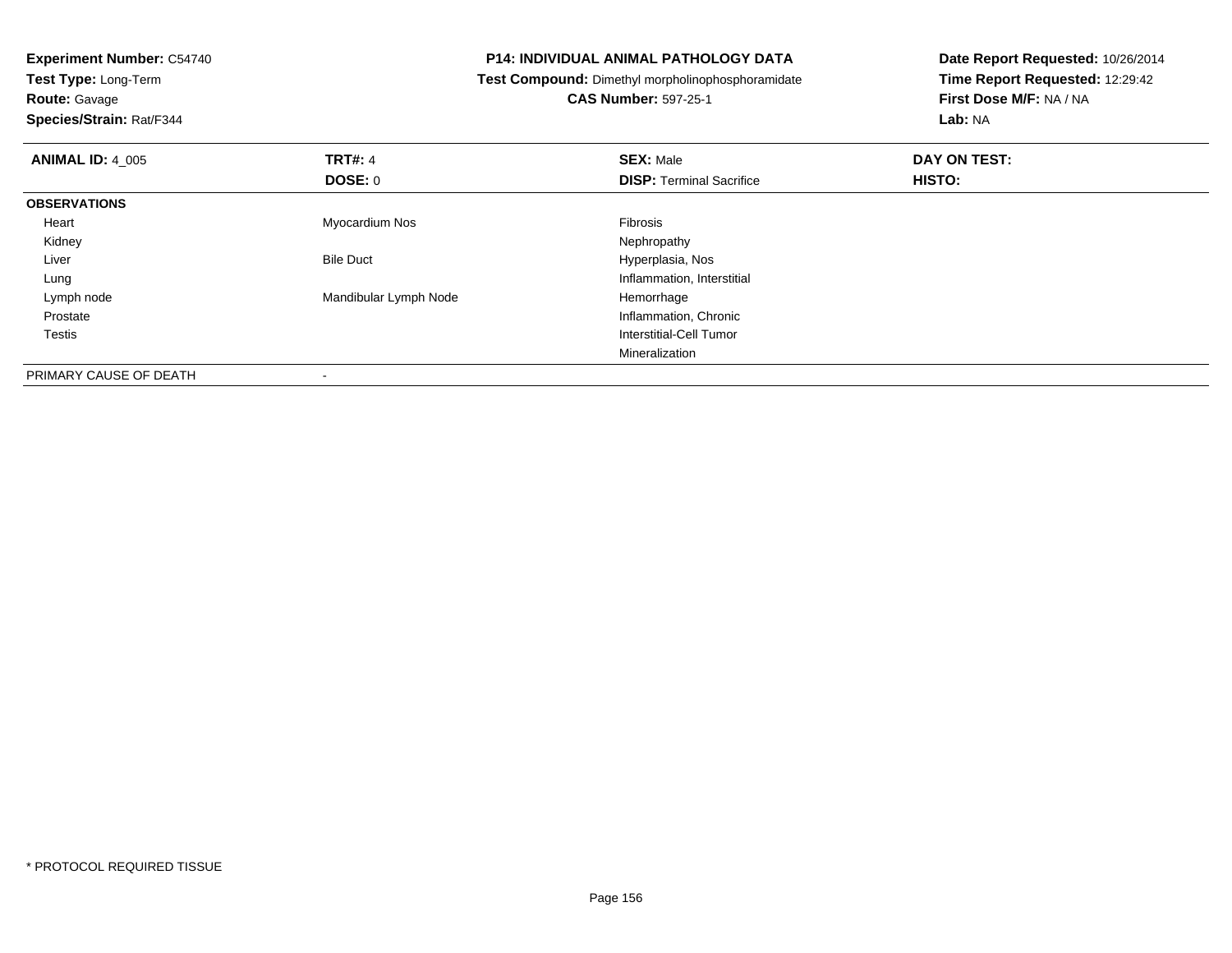**Test Type:** Long-Term

**Route:** Gavage

**Species/Strain:** Rat/F344

#### **P14: INDIVIDUAL ANIMAL PATHOLOGY DATA**

**Test Compound:** Dimethyl morpholinophosphoramidate

**CAS Number:** 597-25-1

| <b>ANIMAL ID: 4 005</b> | TRT#: 4                  | <b>SEX: Male</b>                | DAY ON TEST: |  |
|-------------------------|--------------------------|---------------------------------|--------------|--|
|                         | DOSE: 0                  | <b>DISP: Terminal Sacrifice</b> | HISTO:       |  |
| <b>OBSERVATIONS</b>     |                          |                                 |              |  |
| Heart                   | Myocardium Nos           | Fibrosis                        |              |  |
| Kidney                  |                          | Nephropathy                     |              |  |
| Liver                   | <b>Bile Duct</b>         | Hyperplasia, Nos                |              |  |
| Lung                    |                          | Inflammation, Interstitial      |              |  |
| Lymph node              | Mandibular Lymph Node    | Hemorrhage                      |              |  |
| Prostate                |                          | Inflammation, Chronic           |              |  |
| <b>Testis</b>           |                          | Interstitial-Cell Tumor         |              |  |
|                         |                          | Mineralization                  |              |  |
| PRIMARY CAUSE OF DEATH  | $\overline{\phantom{a}}$ |                                 |              |  |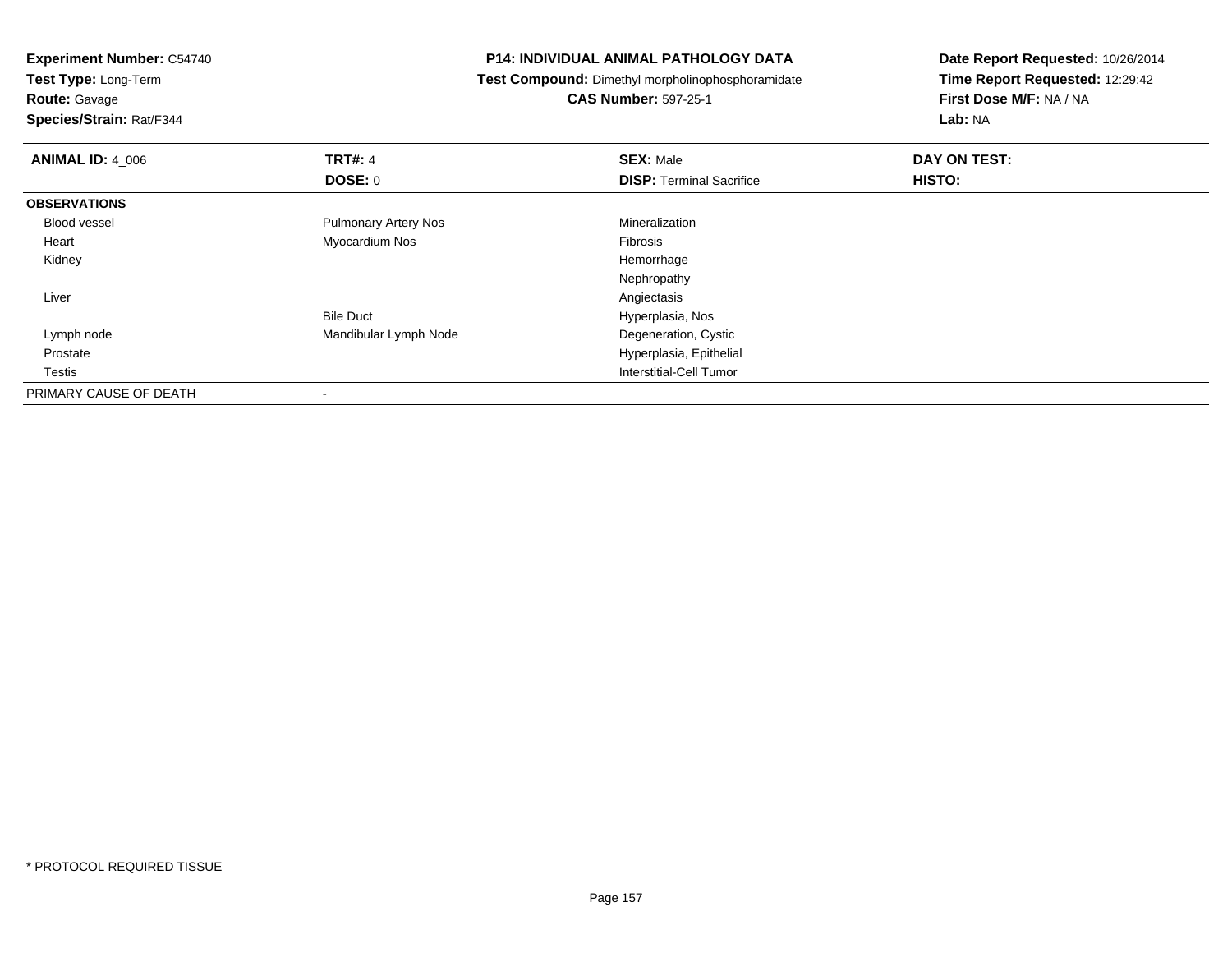**Experiment Number:** C54740**Test Type:** Long-Term**Route:** Gavage **Species/Strain:** Rat/F344**P14: INDIVIDUAL ANIMAL PATHOLOGY DATA Test Compound:** Dimethyl morpholinophosphoramidate**CAS Number:** 597-25-1**Date Report Requested:** 10/26/2014**Time Report Requested:** 12:29:42**First Dose M/F:** NA / NA**Lab:** NA**ANIMAL ID:** 4\_006**6 DAY ON TRT#:** 4 **SEX:** Male **SEX:** Male **DAY ON TEST: DOSE:** 0**DISP:** Terminal Sacrifice **HISTO: OBSERVATIONS** Blood vessel Pulmonary Artery Nos Mineralization Heart Myocardium Nos Fibrosis Kidneyy the control of the control of the control of the control of the control of the control of the control of the control of the control of the control of the control of the control of the control of the control of the contro NephropathyAngiectasis Liverr and the contract of the contract of the contract of the contract of the contract of the contract of the contract of the contract of the contract of the contract of the contract of the contract of the contract of the cont Hyperplasia, NosBile DuctDegeneration, Cystic Lymph nodeMandibular Lymph Node Prostate Hyperplasia, Epithelial Testis Interstitial-Cell Tumor PRIMARY CAUSE OF DEATH-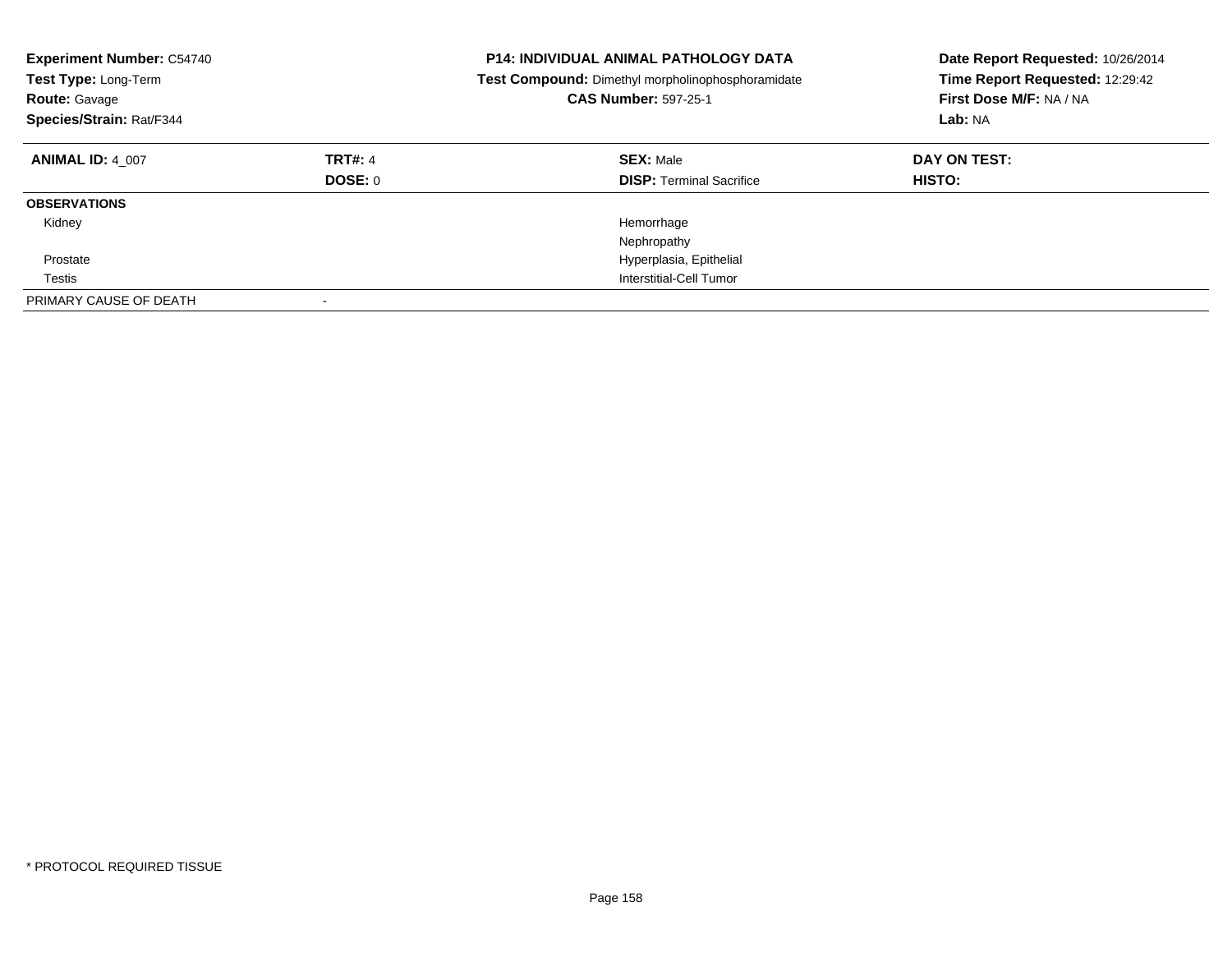| <b>Experiment Number: C54740</b><br>Test Type: Long-Term<br><b>Route: Gavage</b><br>Species/Strain: Rat/F344 |                           | <b>P14: INDIVIDUAL ANIMAL PATHOLOGY DATA</b><br>Test Compound: Dimethyl morpholinophosphoramidate<br><b>CAS Number: 597-25-1</b> | Date Report Requested: 10/26/2014<br>Time Report Requested: 12:29:42<br>First Dose M/F: NA / NA<br>Lab: NA |
|--------------------------------------------------------------------------------------------------------------|---------------------------|----------------------------------------------------------------------------------------------------------------------------------|------------------------------------------------------------------------------------------------------------|
| <b>ANIMAL ID: 4 007</b>                                                                                      | <b>TRT#: 4</b><br>DOSE: 0 | <b>SEX: Male</b><br><b>DISP:</b> Terminal Sacrifice                                                                              | DAY ON TEST:<br><b>HISTO:</b>                                                                              |
| <b>OBSERVATIONS</b>                                                                                          |                           |                                                                                                                                  |                                                                                                            |
| Kidney                                                                                                       |                           | Hemorrhage<br>Nephropathy                                                                                                        |                                                                                                            |
| Prostate                                                                                                     |                           | Hyperplasia, Epithelial                                                                                                          |                                                                                                            |
| Testis                                                                                                       |                           | Interstitial-Cell Tumor                                                                                                          |                                                                                                            |
| PRIMARY CAUSE OF DEATH                                                                                       |                           |                                                                                                                                  |                                                                                                            |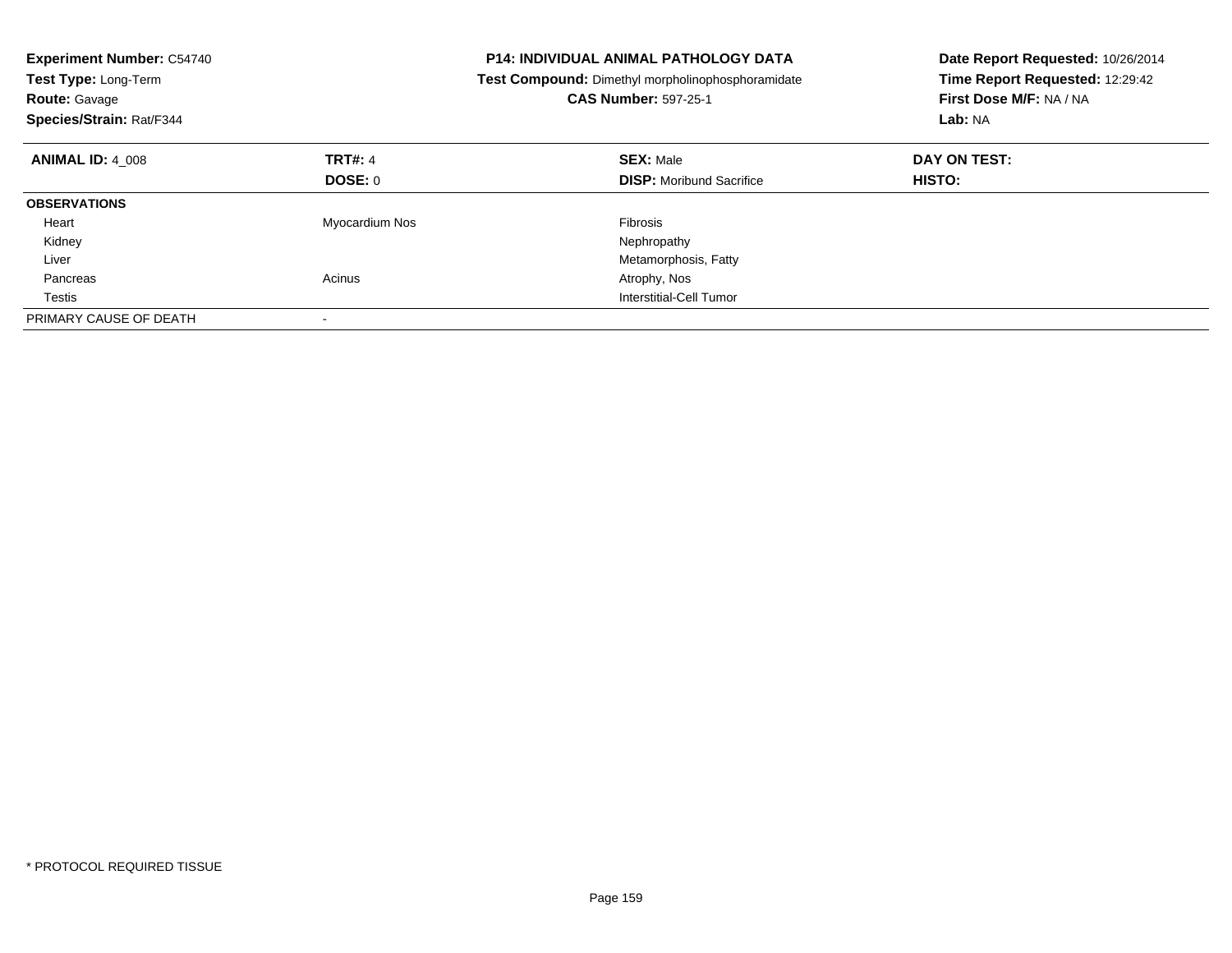| <b>Experiment Number: C54740</b><br>Test Type: Long-Term<br><b>Route: Gavage</b><br>Species/Strain: Rat/F344 |                | <b>P14: INDIVIDUAL ANIMAL PATHOLOGY DATA</b><br>Test Compound: Dimethyl morpholinophosphoramidate<br><b>CAS Number: 597-25-1</b> | Date Report Requested: 10/26/2014<br>Time Report Requested: 12:29:42<br>First Dose M/F: NA / NA<br>Lab: NA |
|--------------------------------------------------------------------------------------------------------------|----------------|----------------------------------------------------------------------------------------------------------------------------------|------------------------------------------------------------------------------------------------------------|
| <b>ANIMAL ID: 4 008</b>                                                                                      | <b>TRT#: 4</b> | <b>SEX: Male</b>                                                                                                                 | DAY ON TEST:                                                                                               |
|                                                                                                              | DOSE: 0        | <b>DISP:</b> Moribund Sacrifice                                                                                                  | HISTO:                                                                                                     |
| <b>OBSERVATIONS</b>                                                                                          |                |                                                                                                                                  |                                                                                                            |
| Heart                                                                                                        | Myocardium Nos | Fibrosis                                                                                                                         |                                                                                                            |
| Kidney                                                                                                       |                | Nephropathy                                                                                                                      |                                                                                                            |
| Liver                                                                                                        |                | Metamorphosis, Fatty                                                                                                             |                                                                                                            |
| Pancreas                                                                                                     | Acinus         | Atrophy, Nos                                                                                                                     |                                                                                                            |
| Testis                                                                                                       |                | Interstitial-Cell Tumor                                                                                                          |                                                                                                            |
| PRIMARY CAUSE OF DEATH                                                                                       |                |                                                                                                                                  |                                                                                                            |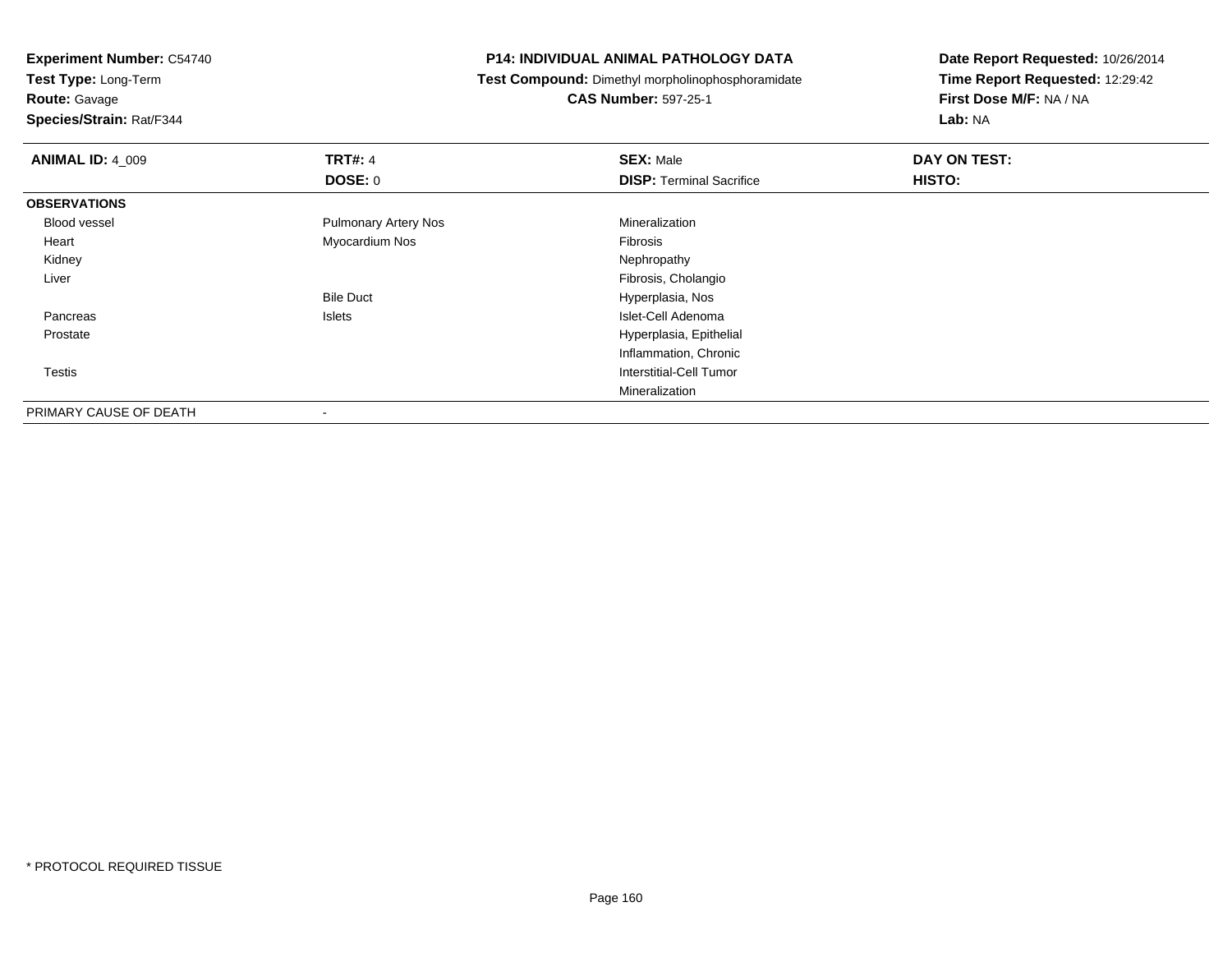**Test Type:** Long-Term

**Route:** Gavage

**Species/Strain:** Rat/F344

#### **P14: INDIVIDUAL ANIMAL PATHOLOGY DATA**

**Test Compound:** Dimethyl morpholinophosphoramidate

**CAS Number:** 597-25-1

| <b>ANIMAL ID: 4_009</b> | <b>TRT#: 4</b>              | <b>SEX: Male</b>                | DAY ON TEST: |  |
|-------------------------|-----------------------------|---------------------------------|--------------|--|
|                         | <b>DOSE: 0</b>              | <b>DISP: Terminal Sacrifice</b> | HISTO:       |  |
| <b>OBSERVATIONS</b>     |                             |                                 |              |  |
| Blood vessel            | <b>Pulmonary Artery Nos</b> | Mineralization                  |              |  |
| Heart                   | Myocardium Nos              | Fibrosis                        |              |  |
| Kidney                  |                             | Nephropathy                     |              |  |
| Liver                   |                             | Fibrosis, Cholangio             |              |  |
|                         | <b>Bile Duct</b>            | Hyperplasia, Nos                |              |  |
| Pancreas                | Islets                      | Islet-Cell Adenoma              |              |  |
| Prostate                |                             | Hyperplasia, Epithelial         |              |  |
|                         |                             | Inflammation, Chronic           |              |  |
| <b>Testis</b>           |                             | Interstitial-Cell Tumor         |              |  |
|                         |                             | Mineralization                  |              |  |
| PRIMARY CAUSE OF DEATH  |                             |                                 |              |  |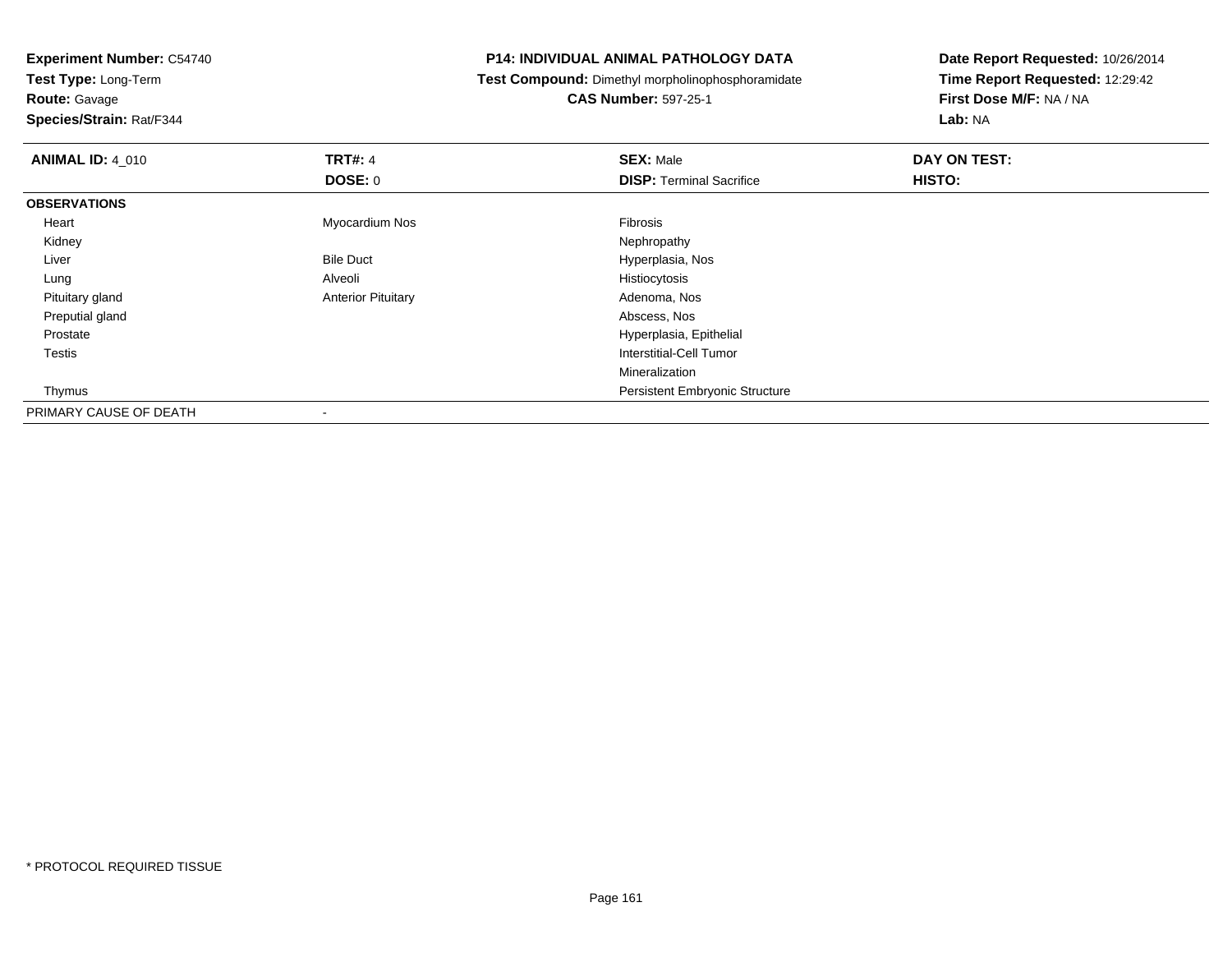**Test Type:** Long-Term

**Route:** Gavage

**Species/Strain:** Rat/F344

#### **P14: INDIVIDUAL ANIMAL PATHOLOGY DATA**

**Test Compound:** Dimethyl morpholinophosphoramidate

**CAS Number:** 597-25-1

| <b>ANIMAL ID: 4_010</b> | <b>TRT#: 4</b>            | <b>SEX: Male</b>                      | DAY ON TEST: |  |
|-------------------------|---------------------------|---------------------------------------|--------------|--|
|                         | DOSE: 0                   | <b>DISP: Terminal Sacrifice</b>       | HISTO:       |  |
| <b>OBSERVATIONS</b>     |                           |                                       |              |  |
| Heart                   | Myocardium Nos            | Fibrosis                              |              |  |
| Kidney                  |                           | Nephropathy                           |              |  |
| Liver                   | <b>Bile Duct</b>          | Hyperplasia, Nos                      |              |  |
| Lung                    | Alveoli                   | Histiocytosis                         |              |  |
| Pituitary gland         | <b>Anterior Pituitary</b> | Adenoma, Nos                          |              |  |
| Preputial gland         |                           | Abscess, Nos                          |              |  |
| Prostate                |                           | Hyperplasia, Epithelial               |              |  |
| Testis                  |                           | Interstitial-Cell Tumor               |              |  |
|                         |                           | Mineralization                        |              |  |
| Thymus                  |                           | <b>Persistent Embryonic Structure</b> |              |  |
| PRIMARY CAUSE OF DEATH  | $\,$                      |                                       |              |  |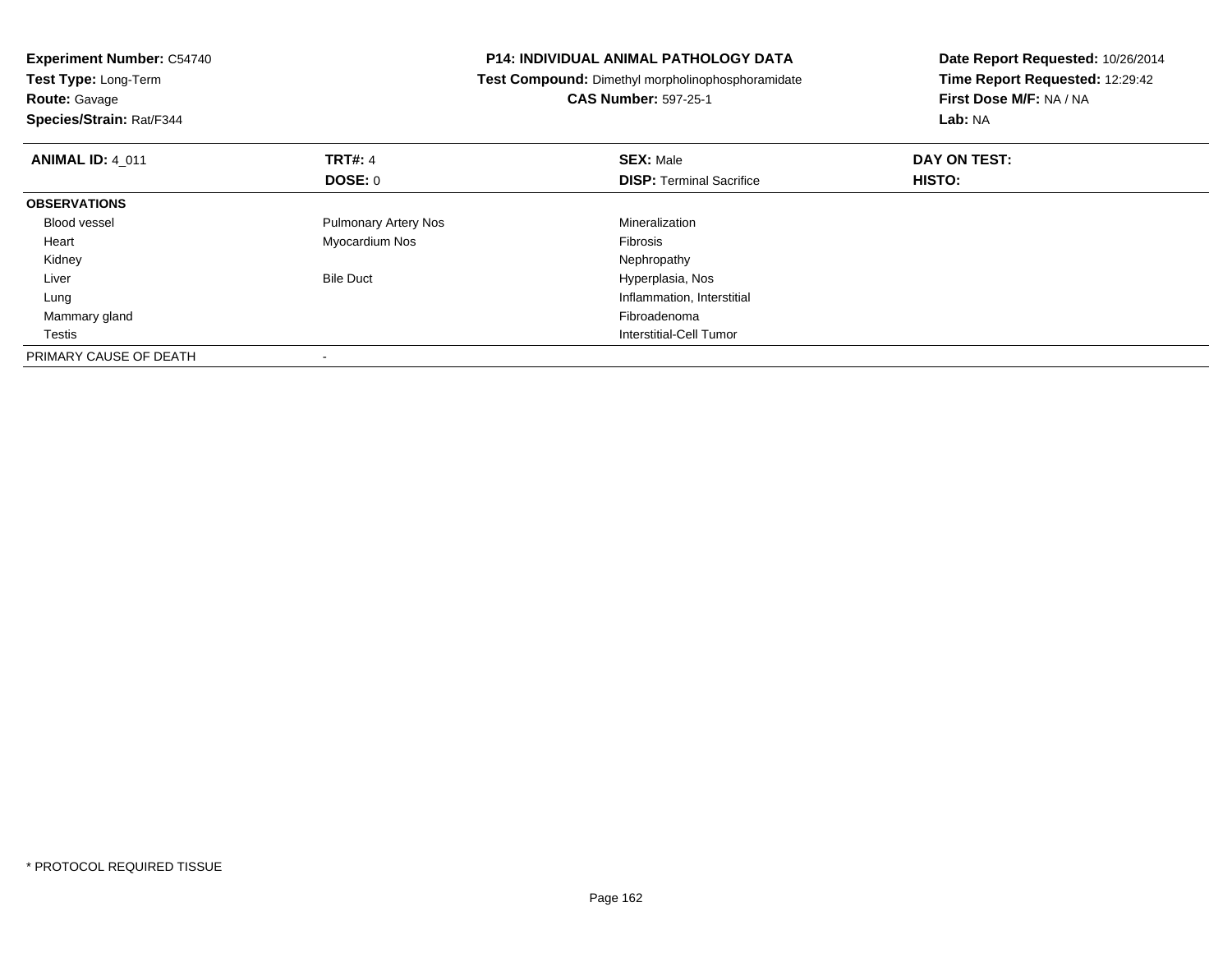| <b>Experiment Number: C54740</b><br>Test Type: Long-Term |                             | <b>P14: INDIVIDUAL ANIMAL PATHOLOGY DATA</b>      | Date Report Requested: 10/26/2014 |
|----------------------------------------------------------|-----------------------------|---------------------------------------------------|-----------------------------------|
|                                                          |                             | Test Compound: Dimethyl morpholinophosphoramidate | Time Report Requested: 12:29:42   |
| <b>Route: Gavage</b>                                     |                             | <b>CAS Number: 597-25-1</b>                       | First Dose M/F: NA / NA           |
| Species/Strain: Rat/F344                                 |                             |                                                   | Lab: NA                           |
| <b>ANIMAL ID: 4 011</b>                                  | <b>TRT#: 4</b>              | <b>SEX: Male</b>                                  | DAY ON TEST:                      |
|                                                          | DOSE: 0                     | <b>DISP:</b> Terminal Sacrifice                   | HISTO:                            |
| <b>OBSERVATIONS</b>                                      |                             |                                                   |                                   |
| <b>Blood vessel</b>                                      | <b>Pulmonary Artery Nos</b> | Mineralization                                    |                                   |
| Heart                                                    | Myocardium Nos              | Fibrosis                                          |                                   |
| Kidney                                                   |                             | Nephropathy                                       |                                   |
| Liver                                                    | <b>Bile Duct</b>            | Hyperplasia, Nos                                  |                                   |
| Lung                                                     |                             | Inflammation, Interstitial                        |                                   |
| Mammary gland                                            |                             | Fibroadenoma                                      |                                   |
| Testis                                                   |                             | Interstitial-Cell Tumor                           |                                   |
| PRIMARY CAUSE OF DEATH                                   |                             |                                                   |                                   |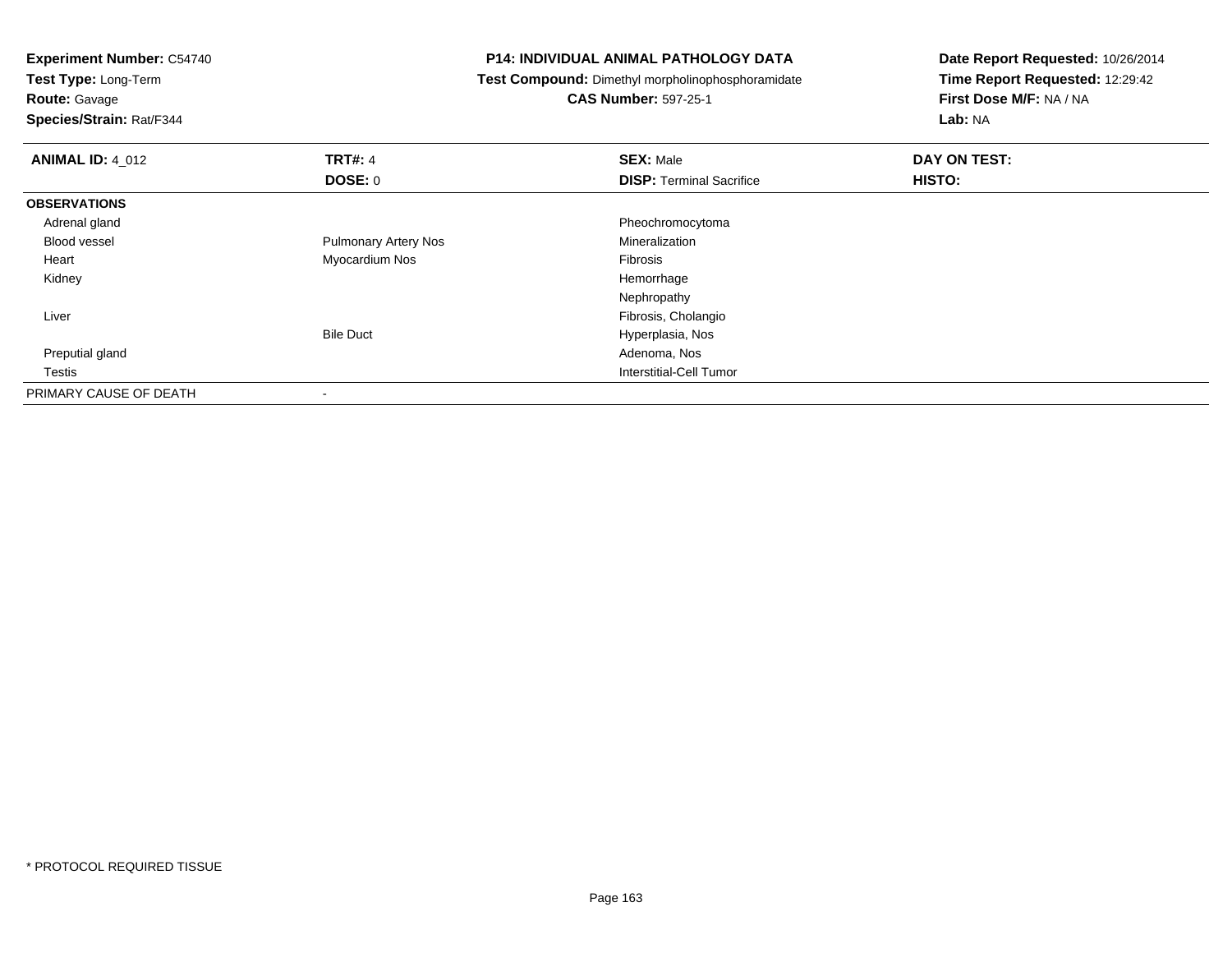| <b>Experiment Number: C54740</b><br>Test Type: Long-Term |                             | <b>P14: INDIVIDUAL ANIMAL PATHOLOGY DATA</b>      | Date Report Requested: 10/26/2014 |
|----------------------------------------------------------|-----------------------------|---------------------------------------------------|-----------------------------------|
|                                                          |                             | Test Compound: Dimethyl morpholinophosphoramidate | Time Report Requested: 12:29:42   |
| <b>Route: Gavage</b>                                     |                             | <b>CAS Number: 597-25-1</b>                       | First Dose M/F: NA / NA           |
| Species/Strain: Rat/F344                                 |                             |                                                   | Lab: NA                           |
| <b>ANIMAL ID: 4 012</b>                                  | <b>TRT#: 4</b>              | <b>SEX: Male</b>                                  | DAY ON TEST:                      |
|                                                          | DOSE: 0                     | <b>DISP:</b> Terminal Sacrifice                   | HISTO:                            |
| <b>OBSERVATIONS</b>                                      |                             |                                                   |                                   |
| Adrenal gland                                            |                             | Pheochromocytoma                                  |                                   |
| <b>Blood vessel</b>                                      | <b>Pulmonary Artery Nos</b> | Mineralization                                    |                                   |
| Heart                                                    | Myocardium Nos              | <b>Fibrosis</b>                                   |                                   |
| Kidney                                                   |                             | Hemorrhage                                        |                                   |
|                                                          |                             | Nephropathy                                       |                                   |
| Liver                                                    |                             | Fibrosis, Cholangio                               |                                   |
|                                                          | <b>Bile Duct</b>            | Hyperplasia, Nos                                  |                                   |
| Preputial gland                                          |                             | Adenoma, Nos                                      |                                   |
| Testis                                                   |                             | Interstitial-Cell Tumor                           |                                   |
| PRIMARY CAUSE OF DEATH                                   |                             |                                                   |                                   |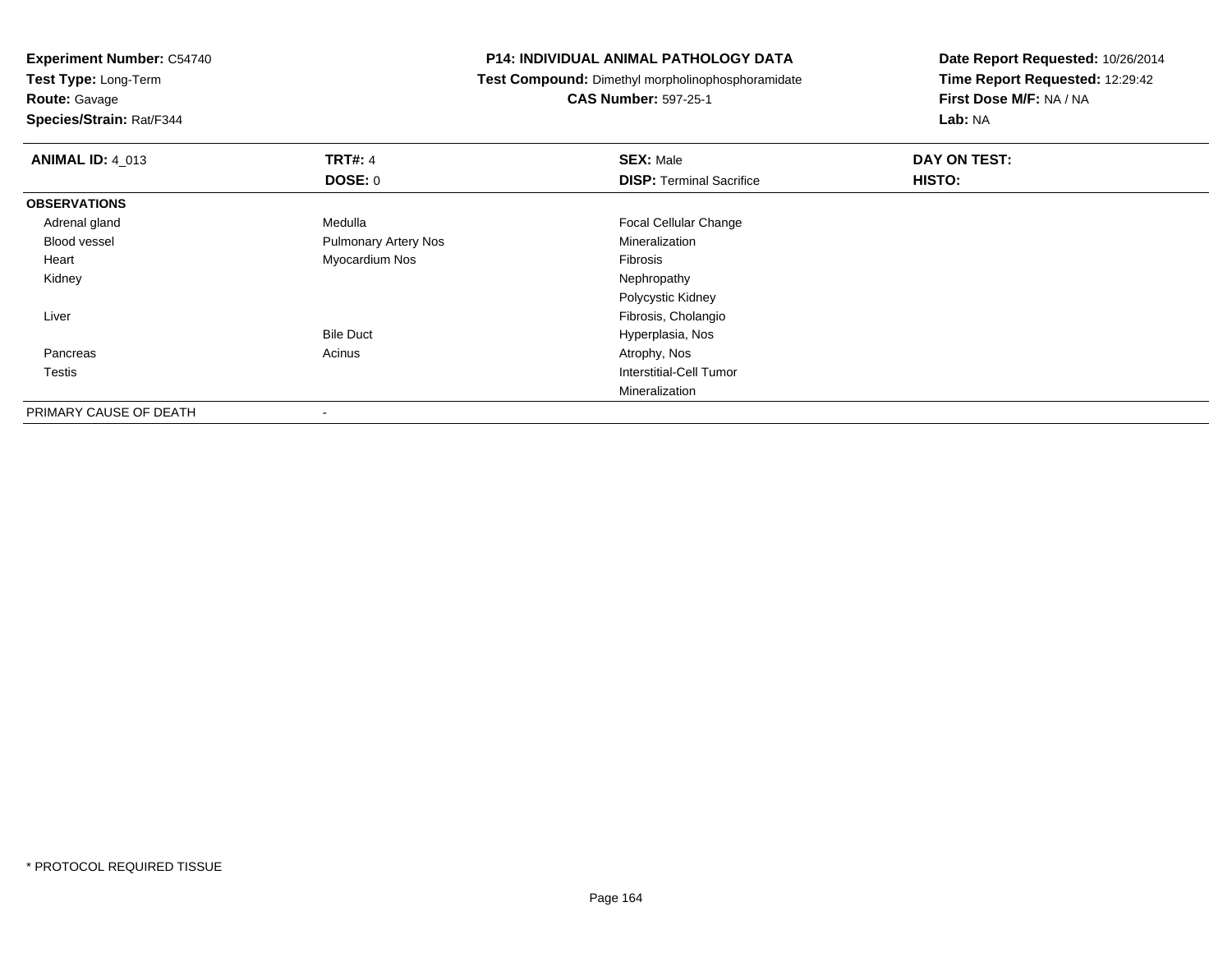**Test Type:** Long-Term

**Route:** Gavage

**Species/Strain:** Rat/F344

#### **P14: INDIVIDUAL ANIMAL PATHOLOGY DATA**

**Test Compound:** Dimethyl morpholinophosphoramidate

**CAS Number:** 597-25-1

| <b>ANIMAL ID: 4_013</b> | <b>TRT#: 4</b>              | <b>SEX: Male</b>                | DAY ON TEST: |  |
|-------------------------|-----------------------------|---------------------------------|--------------|--|
|                         | <b>DOSE: 0</b>              | <b>DISP:</b> Terminal Sacrifice | HISTO:       |  |
| <b>OBSERVATIONS</b>     |                             |                                 |              |  |
| Adrenal gland           | Medulla                     | <b>Focal Cellular Change</b>    |              |  |
| <b>Blood vessel</b>     | <b>Pulmonary Artery Nos</b> | Mineralization                  |              |  |
| Heart                   | Myocardium Nos              | Fibrosis                        |              |  |
| Kidney                  |                             | Nephropathy                     |              |  |
|                         |                             | Polycystic Kidney               |              |  |
| Liver                   |                             | Fibrosis, Cholangio             |              |  |
|                         | <b>Bile Duct</b>            | Hyperplasia, Nos                |              |  |
| Pancreas                | Acinus                      | Atrophy, Nos                    |              |  |
| <b>Testis</b>           |                             | Interstitial-Cell Tumor         |              |  |
|                         |                             | Mineralization                  |              |  |
| PRIMARY CAUSE OF DEATH  | $\,$                        |                                 |              |  |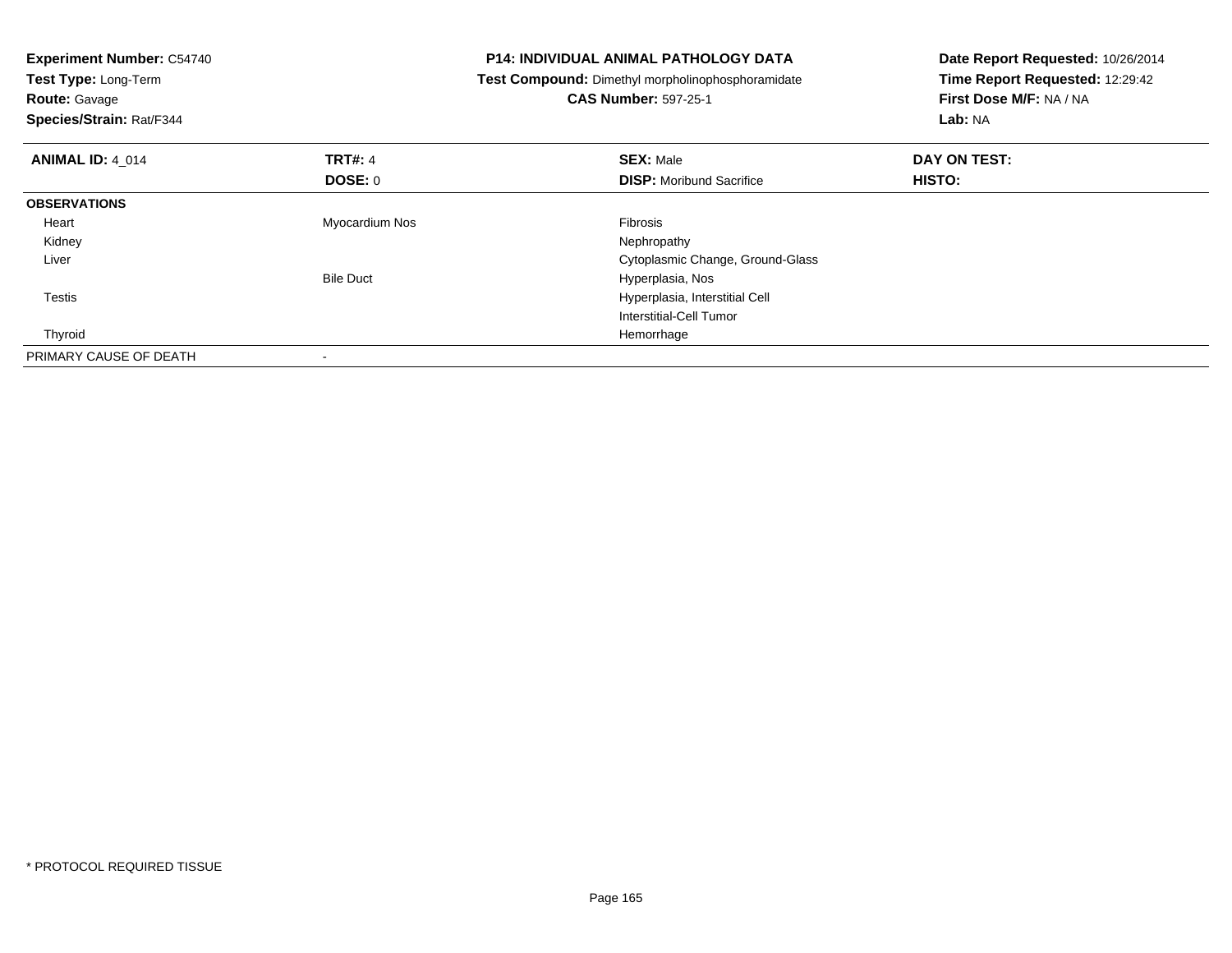| <b>Experiment Number: C54740</b><br>Test Type: Long-Term<br><b>CAS Number: 597-25-1</b><br><b>Route: Gavage</b><br>Species/Strain: Rat/F344 |                  | <b>P14: INDIVIDUAL ANIMAL PATHOLOGY DATA</b><br>Test Compound: Dimethyl morpholinophosphoramidate | Date Report Requested: 10/26/2014<br>Time Report Requested: 12:29:42<br>First Dose M/F: NA / NA<br>Lab: NA |
|---------------------------------------------------------------------------------------------------------------------------------------------|------------------|---------------------------------------------------------------------------------------------------|------------------------------------------------------------------------------------------------------------|
| <b>ANIMAL ID: 4 014</b>                                                                                                                     | <b>TRT#: 4</b>   | <b>SEX: Male</b>                                                                                  | DAY ON TEST:                                                                                               |
|                                                                                                                                             | DOSE: 0          | <b>DISP:</b> Moribund Sacrifice                                                                   | HISTO:                                                                                                     |
| <b>OBSERVATIONS</b>                                                                                                                         |                  |                                                                                                   |                                                                                                            |
| Heart                                                                                                                                       | Myocardium Nos   | Fibrosis                                                                                          |                                                                                                            |
| Kidney                                                                                                                                      |                  | Nephropathy                                                                                       |                                                                                                            |
| Liver                                                                                                                                       |                  | Cytoplasmic Change, Ground-Glass                                                                  |                                                                                                            |
|                                                                                                                                             | <b>Bile Duct</b> | Hyperplasia, Nos                                                                                  |                                                                                                            |
| Testis                                                                                                                                      |                  | Hyperplasia, Interstitial Cell                                                                    |                                                                                                            |
|                                                                                                                                             |                  | Interstitial-Cell Tumor                                                                           |                                                                                                            |
| Thyroid                                                                                                                                     |                  | Hemorrhage                                                                                        |                                                                                                            |
| PRIMARY CAUSE OF DEATH                                                                                                                      |                  |                                                                                                   |                                                                                                            |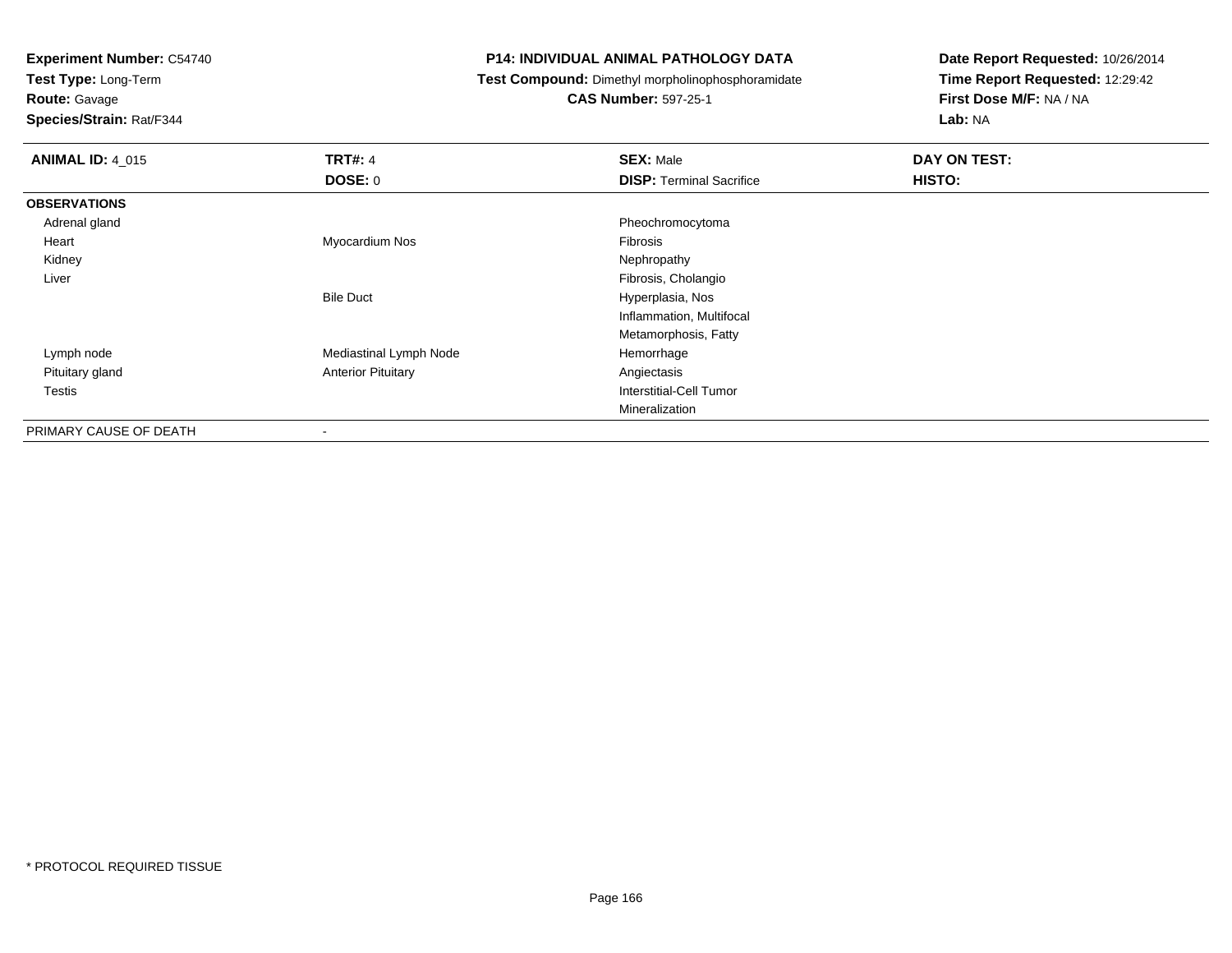**Test Type:** Long-Term

### **Route:** Gavage

**Species/Strain:** Rat/F344

#### **P14: INDIVIDUAL ANIMAL PATHOLOGY DATA**

**Test Compound:** Dimethyl morpholinophosphoramidate

### **CAS Number:** 597-25-1

| <b>ANIMAL ID: 4_015</b> | <b>TRT#: 4</b>            | <b>SEX: Male</b>                | DAY ON TEST: |
|-------------------------|---------------------------|---------------------------------|--------------|
|                         | <b>DOSE: 0</b>            | <b>DISP: Terminal Sacrifice</b> | HISTO:       |
| <b>OBSERVATIONS</b>     |                           |                                 |              |
| Adrenal gland           |                           | Pheochromocytoma                |              |
| Heart                   | Myocardium Nos            | Fibrosis                        |              |
| Kidney                  |                           | Nephropathy                     |              |
| Liver                   |                           | Fibrosis, Cholangio             |              |
|                         | <b>Bile Duct</b>          | Hyperplasia, Nos                |              |
|                         |                           | Inflammation, Multifocal        |              |
|                         |                           | Metamorphosis, Fatty            |              |
| Lymph node              | Mediastinal Lymph Node    | Hemorrhage                      |              |
| Pituitary gland         | <b>Anterior Pituitary</b> | Angiectasis                     |              |
| <b>Testis</b>           |                           | Interstitial-Cell Tumor         |              |
|                         |                           | Mineralization                  |              |
| PRIMARY CAUSE OF DEATH  | $\blacksquare$            |                                 |              |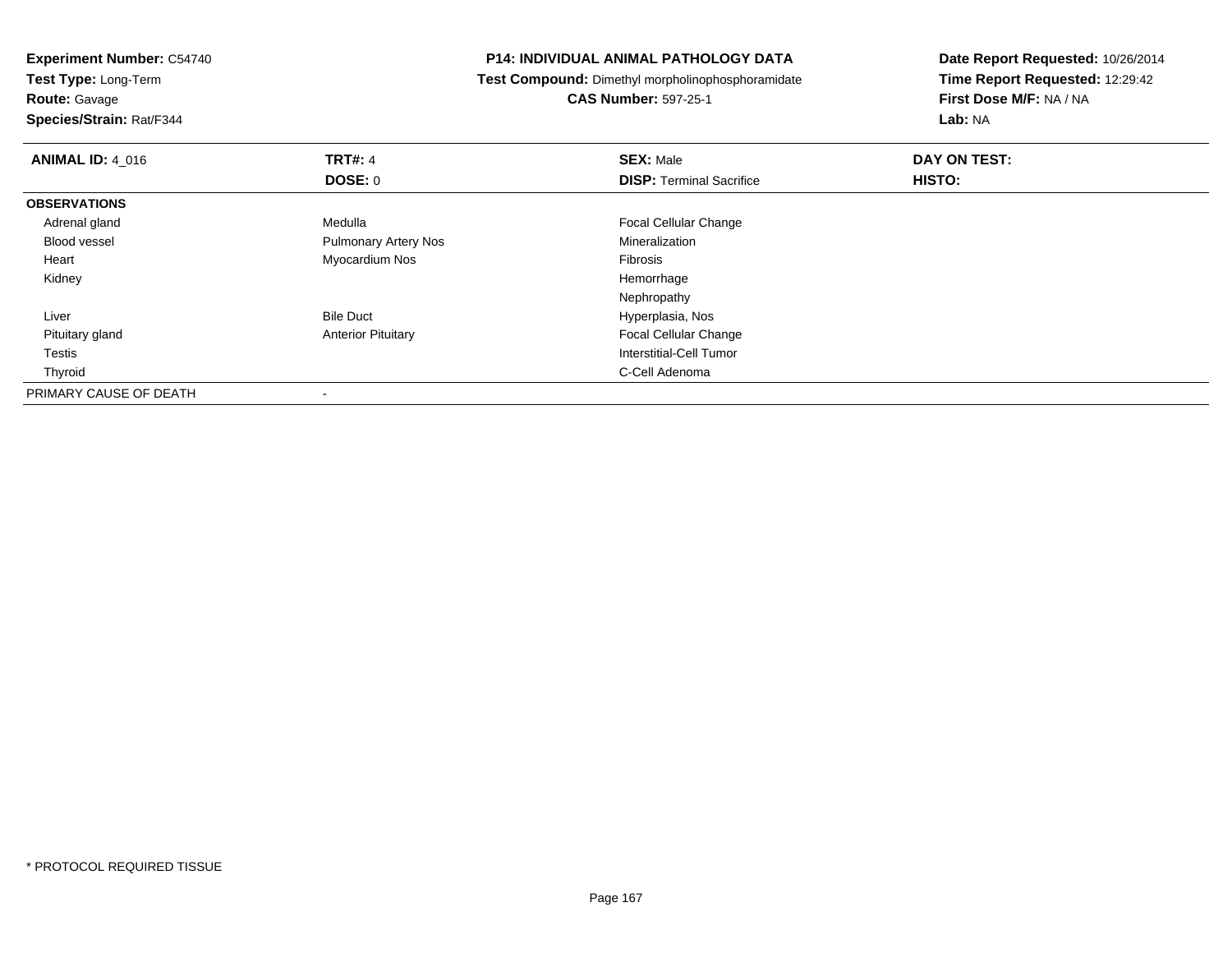**Experiment Number:** C54740**Test Type:** Long-Term**Route:** Gavage **Species/Strain:** Rat/F344**P14: INDIVIDUAL ANIMAL PATHOLOGY DATA Test Compound:** Dimethyl morpholinophosphoramidate**CAS Number:** 597-25-1**Date Report Requested:** 10/26/2014**Time Report Requested:** 12:29:42**First Dose M/F:** NA / NA**Lab:** NA**ANIMAL ID:** 4\_016**6 DAY ON TRT#:** 4 **SEX:** Male **SEX:** Male **DAY ON TEST: DOSE:** 0**DISP:** Terminal Sacrifice **HISTO: OBSERVATIONS** Adrenal glandMedulla **Focal Cellular Change**  Blood vessel Pulmonary Artery Nos Mineralization Heart Myocardium Nos Fibrosis Kidneyy the control of the control of the control of the control of the control of the control of the control of the control of the control of the control of the control of the control of the control of the control of the contro Nephropathy Bile Duct Hyperplasia, Nos Liverd **Anterior Pituitary Anterior Pituitary Focal Cellular Change**  Pituitary gland Testis Interstitial-Cell Tumor Thyroidd **C-Cell Adenoma** and the control of the control of the control of the control of the control of the control of the control of the control of the control of the control of the control of the control of the control of the PRIMARY CAUSE OF DEATH-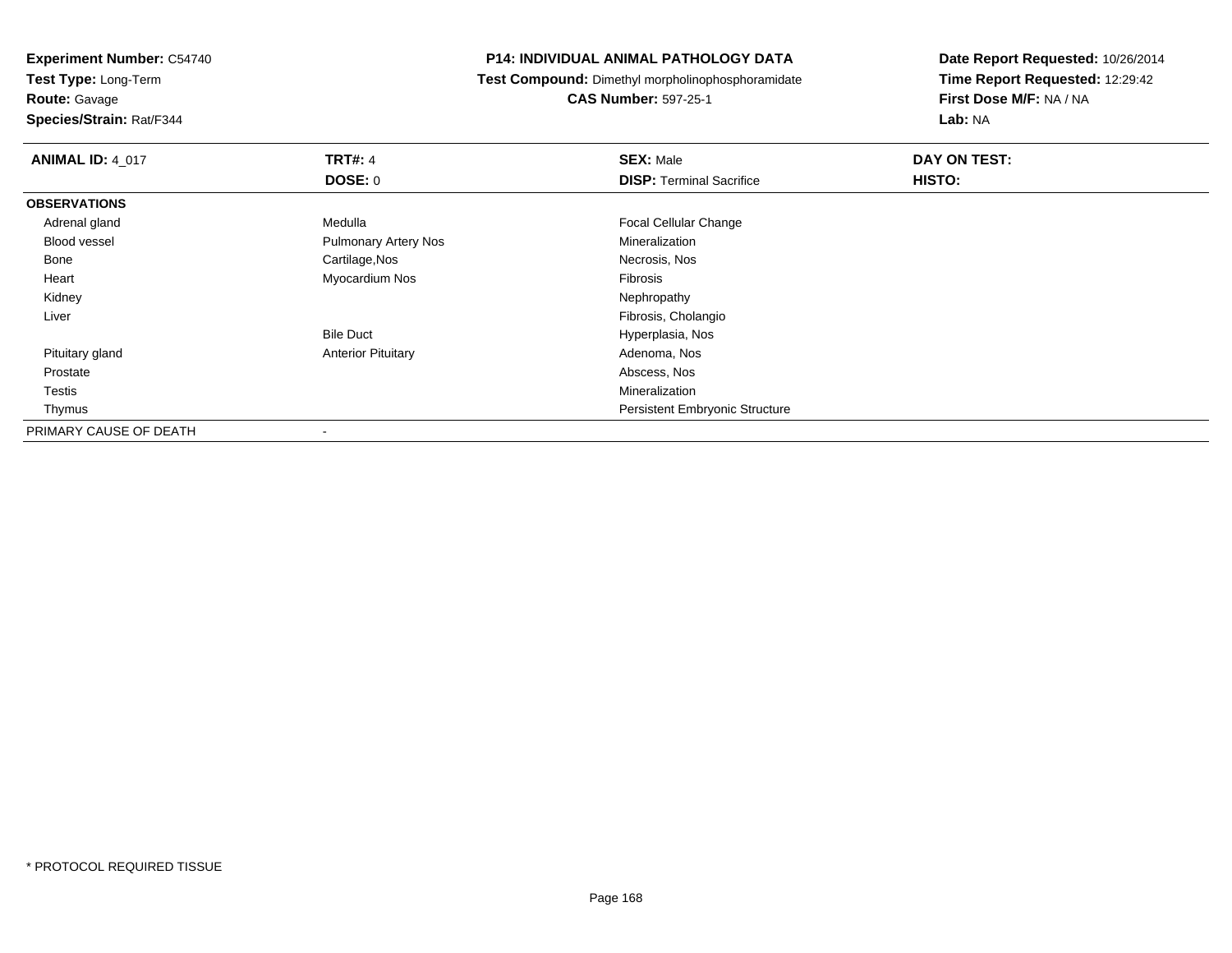**Test Type:** Long-Term

**Route:** Gavage

**Species/Strain:** Rat/F344

#### **P14: INDIVIDUAL ANIMAL PATHOLOGY DATA**

**Test Compound:** Dimethyl morpholinophosphoramidate

**CAS Number:** 597-25-1

| <b>ANIMAL ID: 4_017</b> | <b>TRT#: 4</b>              | <b>SEX: Male</b>                      | DAY ON TEST: |  |
|-------------------------|-----------------------------|---------------------------------------|--------------|--|
|                         | <b>DOSE: 0</b>              | <b>DISP: Terminal Sacrifice</b>       | HISTO:       |  |
| <b>OBSERVATIONS</b>     |                             |                                       |              |  |
| Adrenal gland           | Medulla                     | <b>Focal Cellular Change</b>          |              |  |
| <b>Blood vessel</b>     | <b>Pulmonary Artery Nos</b> | Mineralization                        |              |  |
| Bone                    | Cartilage, Nos              | Necrosis, Nos                         |              |  |
| Heart                   | Myocardium Nos              | Fibrosis                              |              |  |
| Kidney                  |                             | Nephropathy                           |              |  |
| Liver                   |                             | Fibrosis, Cholangio                   |              |  |
|                         | <b>Bile Duct</b>            | Hyperplasia, Nos                      |              |  |
| Pituitary gland         | <b>Anterior Pituitary</b>   | Adenoma, Nos                          |              |  |
| Prostate                |                             | Abscess, Nos                          |              |  |
| Testis                  |                             | Mineralization                        |              |  |
| Thymus                  |                             | <b>Persistent Embryonic Structure</b> |              |  |
| PRIMARY CAUSE OF DEATH  |                             |                                       |              |  |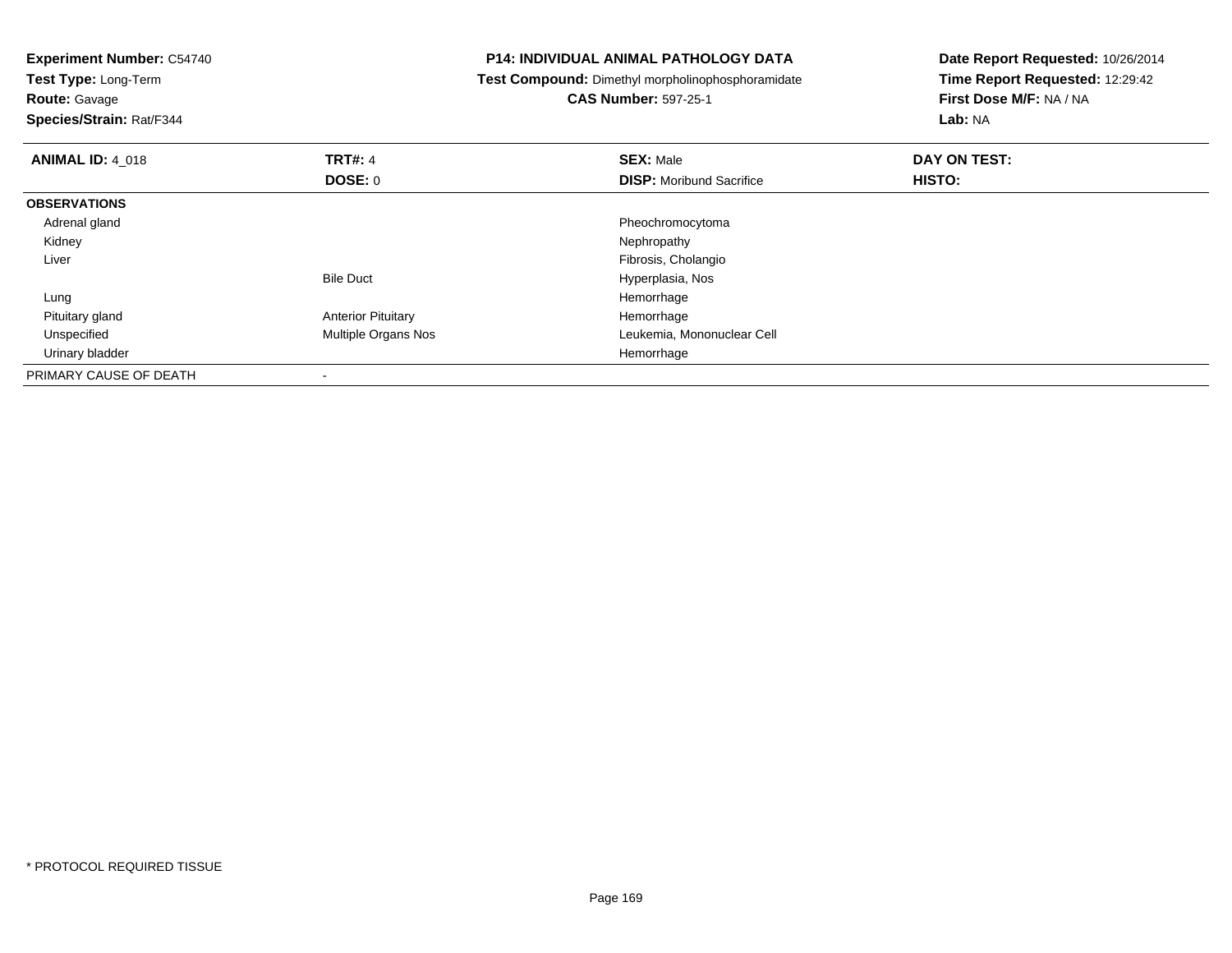**Test Type:** Long-Term

**Route:** Gavage

**Species/Strain:** Rat/F344

#### **P14: INDIVIDUAL ANIMAL PATHOLOGY DATA**

**Test Compound:** Dimethyl morpholinophosphoramidate

### **CAS Number:** 597-25-1

| <b>ANIMAL ID: 4_018</b> | <b>TRT#: 4</b>            | <b>SEX: Male</b>                | DAY ON TEST: |  |
|-------------------------|---------------------------|---------------------------------|--------------|--|
|                         | DOSE: 0                   | <b>DISP:</b> Moribund Sacrifice | HISTO:       |  |
| <b>OBSERVATIONS</b>     |                           |                                 |              |  |
| Adrenal gland           |                           | Pheochromocytoma                |              |  |
| Kidney                  |                           | Nephropathy                     |              |  |
| Liver                   |                           | Fibrosis, Cholangio             |              |  |
|                         | <b>Bile Duct</b>          | Hyperplasia, Nos                |              |  |
| Lung                    |                           | Hemorrhage                      |              |  |
| Pituitary gland         | <b>Anterior Pituitary</b> | Hemorrhage                      |              |  |
| Unspecified             | Multiple Organs Nos       | Leukemia, Mononuclear Cell      |              |  |
| Urinary bladder         |                           | Hemorrhage                      |              |  |
| PRIMARY CAUSE OF DEATH  |                           |                                 |              |  |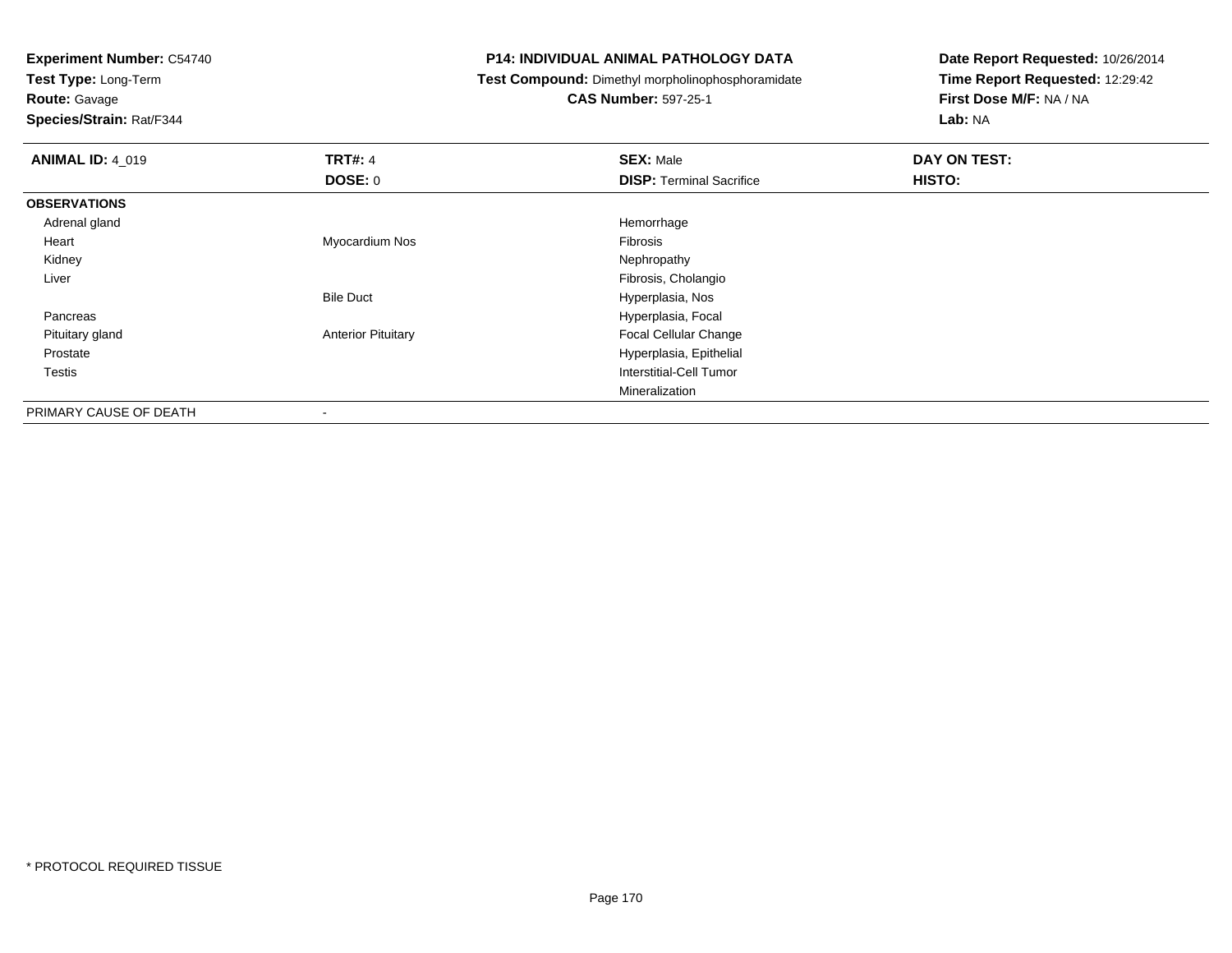**Test Type:** Long-Term

**Route:** Gavage

**Species/Strain:** Rat/F344

#### **P14: INDIVIDUAL ANIMAL PATHOLOGY DATA**

**Test Compound:** Dimethyl morpholinophosphoramidate

## **CAS Number:** 597-25-1

| <b>ANIMAL ID: 4_019</b> | <b>TRT#: 4</b>            | <b>SEX: Male</b>                | DAY ON TEST: |
|-------------------------|---------------------------|---------------------------------|--------------|
|                         | <b>DOSE: 0</b>            | <b>DISP: Terminal Sacrifice</b> | HISTO:       |
| <b>OBSERVATIONS</b>     |                           |                                 |              |
| Adrenal gland           |                           | Hemorrhage                      |              |
| Heart                   | Myocardium Nos            | Fibrosis                        |              |
| Kidney                  |                           | Nephropathy                     |              |
| Liver                   |                           | Fibrosis, Cholangio             |              |
|                         | <b>Bile Duct</b>          | Hyperplasia, Nos                |              |
| Pancreas                |                           | Hyperplasia, Focal              |              |
| Pituitary gland         | <b>Anterior Pituitary</b> | <b>Focal Cellular Change</b>    |              |
| Prostate                |                           | Hyperplasia, Epithelial         |              |
| Testis                  |                           | Interstitial-Cell Tumor         |              |
|                         |                           | Mineralization                  |              |
| PRIMARY CAUSE OF DEATH  | $\,$                      |                                 |              |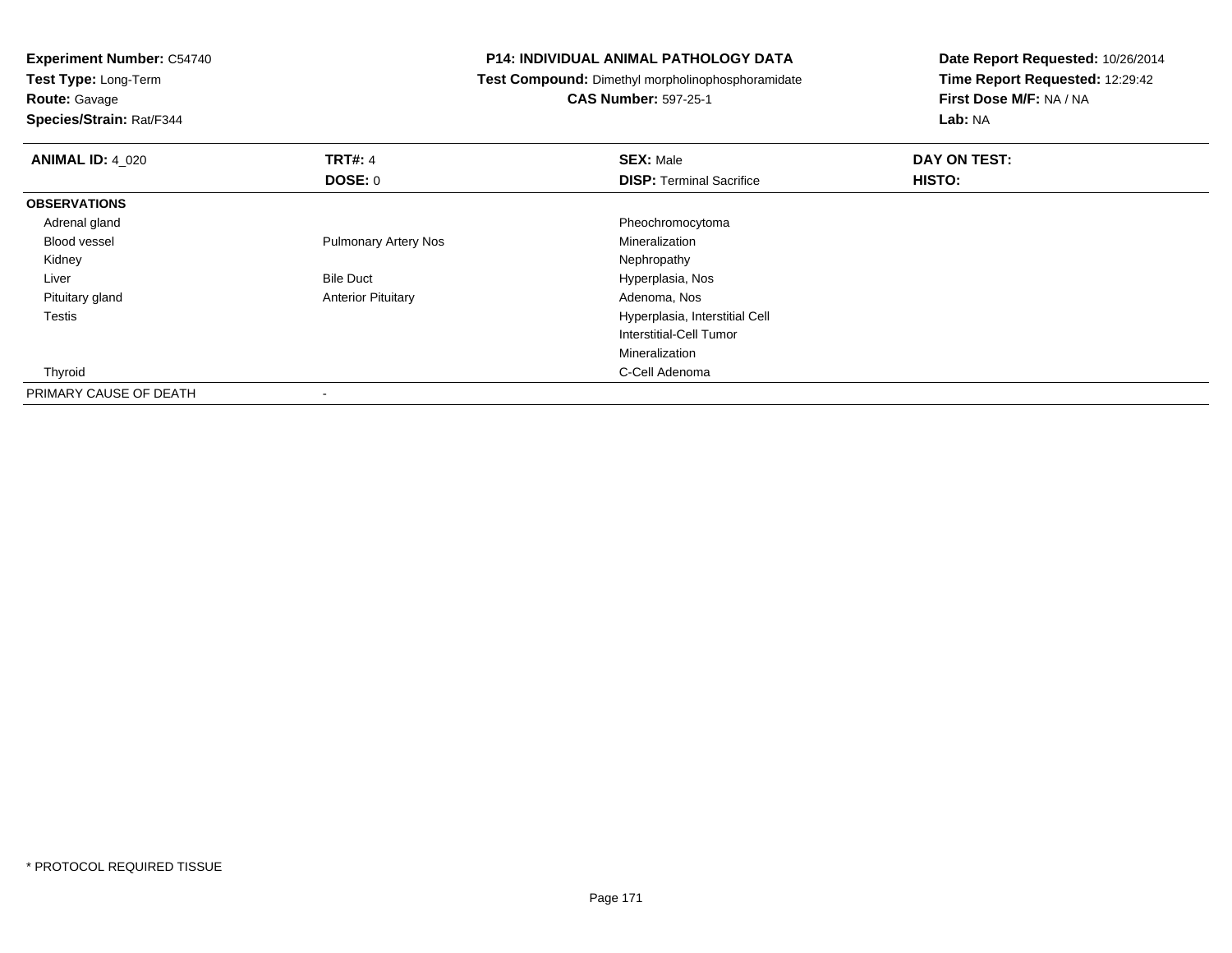**Test Type:** Long-Term

**Route:** Gavage

**Species/Strain:** Rat/F344

#### **P14: INDIVIDUAL ANIMAL PATHOLOGY DATA**

**Test Compound:** Dimethyl morpholinophosphoramidate

**CAS Number:** 597-25-1

| <b>ANIMAL ID: 4 020</b> | <b>TRT#: 4</b>              | <b>SEX: Male</b>                | DAY ON TEST: |  |
|-------------------------|-----------------------------|---------------------------------|--------------|--|
|                         | DOSE: 0                     | <b>DISP: Terminal Sacrifice</b> | HISTO:       |  |
| <b>OBSERVATIONS</b>     |                             |                                 |              |  |
| Adrenal gland           |                             | Pheochromocytoma                |              |  |
| <b>Blood vessel</b>     | <b>Pulmonary Artery Nos</b> | Mineralization                  |              |  |
| Kidney                  |                             | Nephropathy                     |              |  |
| Liver                   | <b>Bile Duct</b>            | Hyperplasia, Nos                |              |  |
| Pituitary gland         | <b>Anterior Pituitary</b>   | Adenoma, Nos                    |              |  |
| <b>Testis</b>           |                             | Hyperplasia, Interstitial Cell  |              |  |
|                         |                             | Interstitial-Cell Tumor         |              |  |
|                         |                             | Mineralization                  |              |  |
| Thyroid                 |                             | C-Cell Adenoma                  |              |  |
| PRIMARY CAUSE OF DEATH  | $\overline{\phantom{a}}$    |                                 |              |  |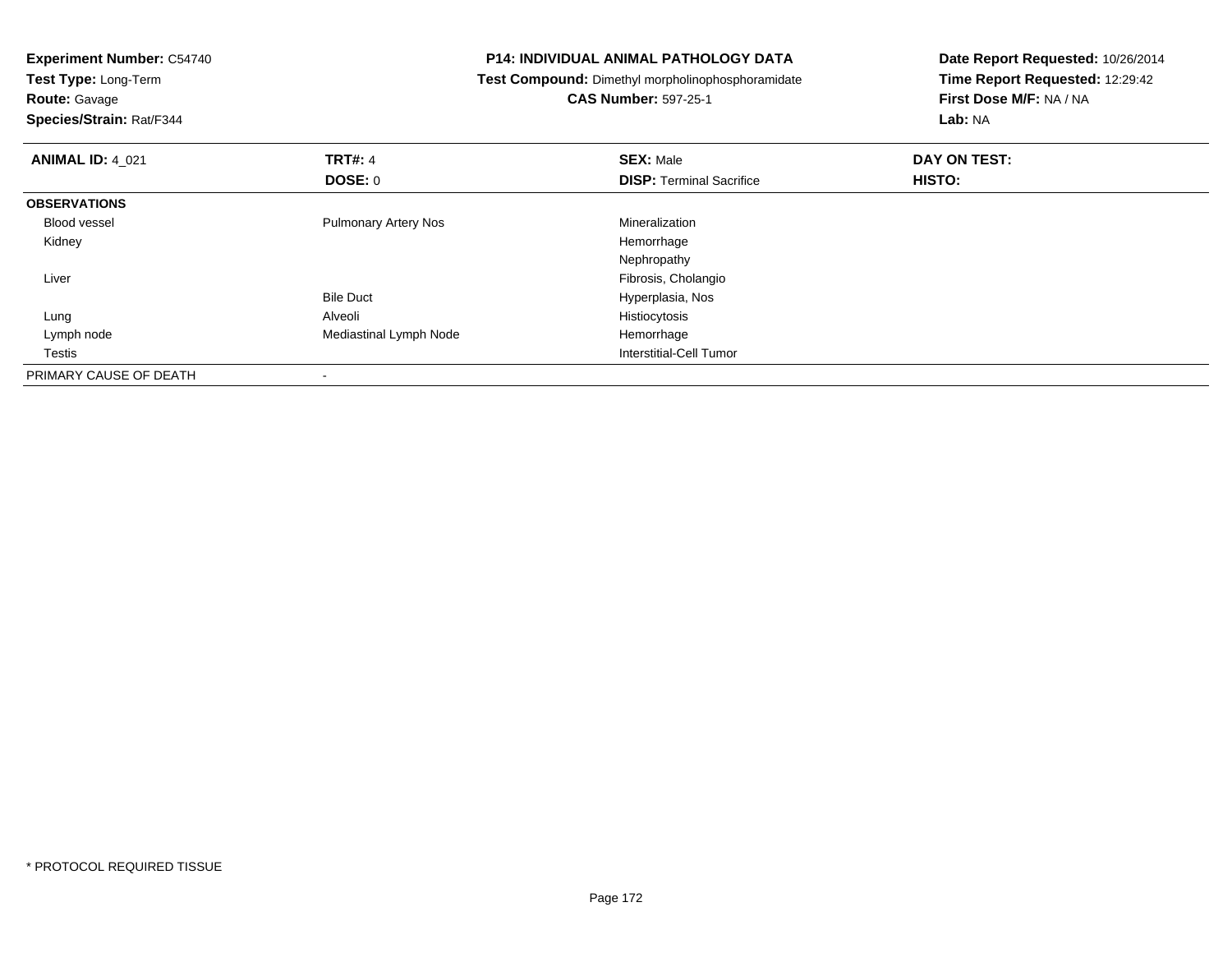| <b>Experiment Number: C54740</b><br>Test Type: Long-Term |                             | <b>P14: INDIVIDUAL ANIMAL PATHOLOGY DATA</b>      | Date Report Requested: 10/26/2014 |  |
|----------------------------------------------------------|-----------------------------|---------------------------------------------------|-----------------------------------|--|
|                                                          |                             | Test Compound: Dimethyl morpholinophosphoramidate | Time Report Requested: 12:29:42   |  |
| <b>Route: Gavage</b>                                     |                             | <b>CAS Number: 597-25-1</b>                       | First Dose M/F: NA / NA           |  |
| Species/Strain: Rat/F344                                 |                             |                                                   | Lab: NA                           |  |
| <b>ANIMAL ID: 4_021</b>                                  | <b>TRT#: 4</b>              | <b>SEX: Male</b>                                  | DAY ON TEST:                      |  |
|                                                          | DOSE: 0                     | <b>DISP:</b> Terminal Sacrifice                   | HISTO:                            |  |
| <b>OBSERVATIONS</b>                                      |                             |                                                   |                                   |  |
| <b>Blood vessel</b>                                      | <b>Pulmonary Artery Nos</b> | Mineralization                                    |                                   |  |
| Kidney                                                   |                             | Hemorrhage                                        |                                   |  |
|                                                          |                             | Nephropathy                                       |                                   |  |
| Liver                                                    |                             | Fibrosis, Cholangio                               |                                   |  |
|                                                          | <b>Bile Duct</b>            | Hyperplasia, Nos                                  |                                   |  |
| Lung                                                     | Alveoli                     | Histiocytosis                                     |                                   |  |
| Lymph node                                               | Mediastinal Lymph Node      | Hemorrhage                                        |                                   |  |
| Testis                                                   |                             | Interstitial-Cell Tumor                           |                                   |  |
| PRIMARY CAUSE OF DEATH                                   |                             |                                                   |                                   |  |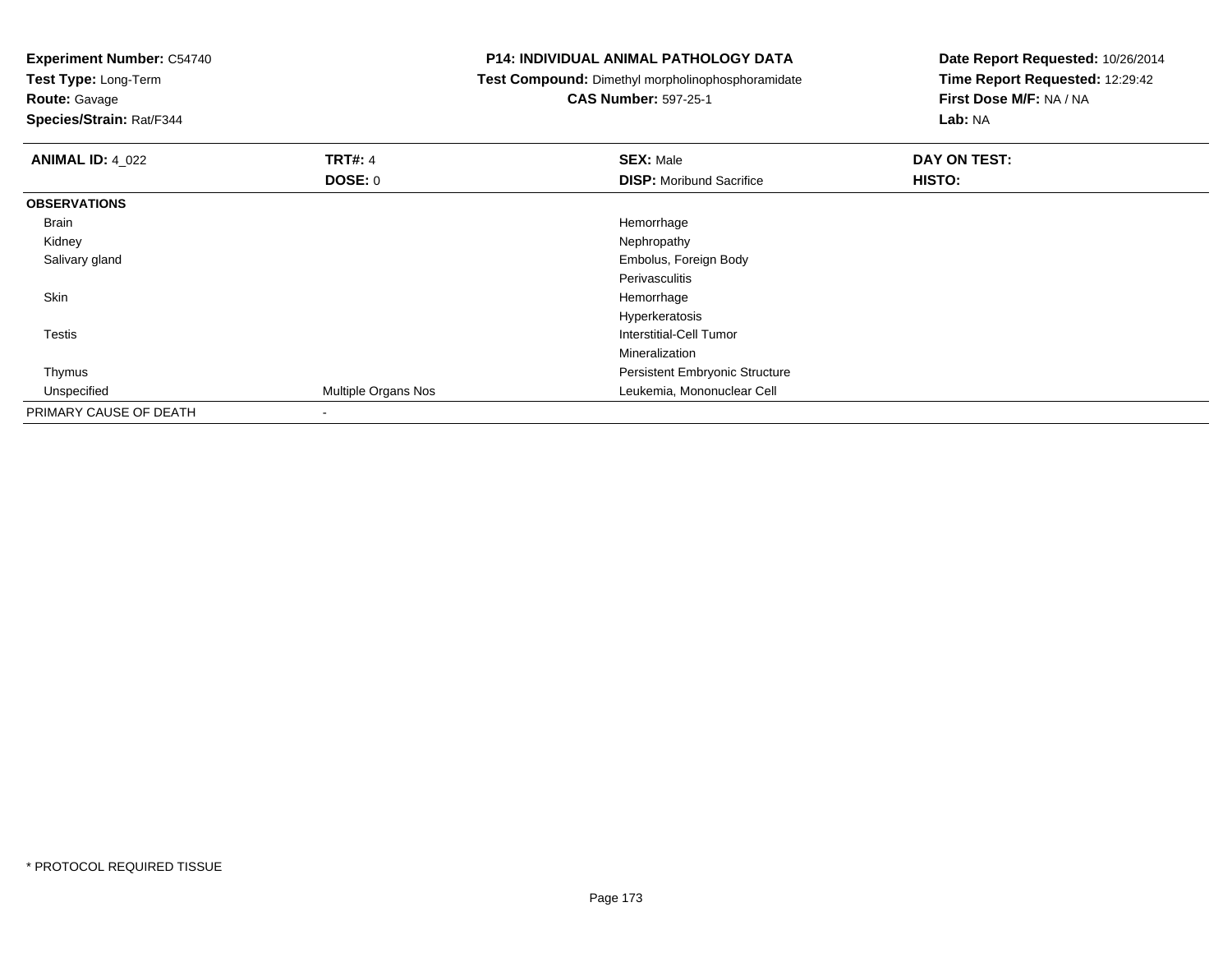**Experiment Number:** C54740**Test Type:** Long-Term**Route:** Gavage **Species/Strain:** Rat/F344**P14: INDIVIDUAL ANIMAL PATHOLOGY DATA Test Compound:** Dimethyl morpholinophosphoramidate**CAS Number:** 597-25-1**Date Report Requested:** 10/26/2014**Time Report Requested:** 12:29:42**First Dose M/F:** NA / NA**Lab:** NA**ANIMAL ID:** 4\_022**2 DAY ON TRT#:** 4 **SEX:** Male **SEX:** Male **DOSE:** 0**DISP:** Moribund Sacrifice **HISTO: OBSERVATIONS** Brainn and the state of the state of the state of the state of the state of the state of the state of the state of the state of the state of the state of the state of the state of the state of the state of the state of the stat Kidneyy the control of the control of the control of the control of the control of the control of the control of the control of the control of the control of the control of the control of the control of the control of the contro Salivary gland Embolus, Foreign Body PerivasculitisHemorrhage Skinn and the control of the control of the control of the control of the control of the control of the control of the control of the control of the control of the control of the control of the control of the control of the co Hyperkeratosis**Interstitial-Cell Tumor**  TestisMineralization Persistent Embryonic Structure Thymus Unspecified Multiple Organs Nos Leukemia, Mononuclear Cell PRIMARY CAUSE OF DEATH-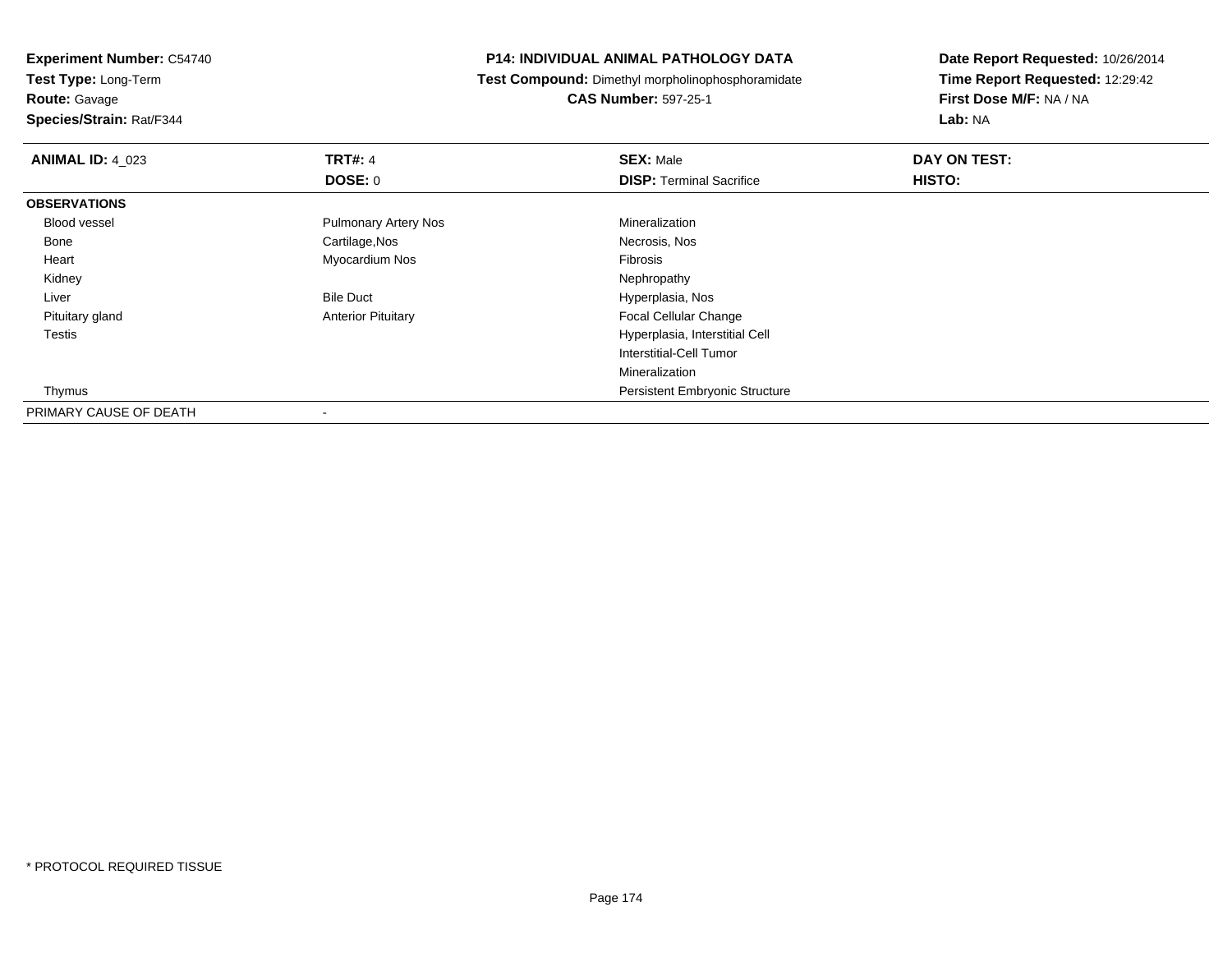**Experiment Number:** C54740**Test Type:** Long-Term

**Route:** Gavage

**Species/Strain:** Rat/F344

#### **P14: INDIVIDUAL ANIMAL PATHOLOGY DATA**

**Test Compound:** Dimethyl morpholinophosphoramidate

**CAS Number:** 597-25-1

| <b>ANIMAL ID: 4 023</b> | <b>TRT#: 4</b>              | <b>SEX: Male</b>                      | DAY ON TEST: |  |
|-------------------------|-----------------------------|---------------------------------------|--------------|--|
|                         | <b>DOSE: 0</b>              | <b>DISP: Terminal Sacrifice</b>       | HISTO:       |  |
| <b>OBSERVATIONS</b>     |                             |                                       |              |  |
| Blood vessel            | <b>Pulmonary Artery Nos</b> | Mineralization                        |              |  |
| Bone                    | Cartilage, Nos              | Necrosis, Nos                         |              |  |
| Heart                   | Myocardium Nos              | Fibrosis                              |              |  |
| Kidney                  |                             | Nephropathy                           |              |  |
| Liver                   | <b>Bile Duct</b>            | Hyperplasia, Nos                      |              |  |
| Pituitary gland         | <b>Anterior Pituitary</b>   | Focal Cellular Change                 |              |  |
| Testis                  |                             | Hyperplasia, Interstitial Cell        |              |  |
|                         |                             | Interstitial-Cell Tumor               |              |  |
|                         |                             | Mineralization                        |              |  |
| Thymus                  |                             | <b>Persistent Embryonic Structure</b> |              |  |
| PRIMARY CAUSE OF DEATH  | $\overline{\phantom{a}}$    |                                       |              |  |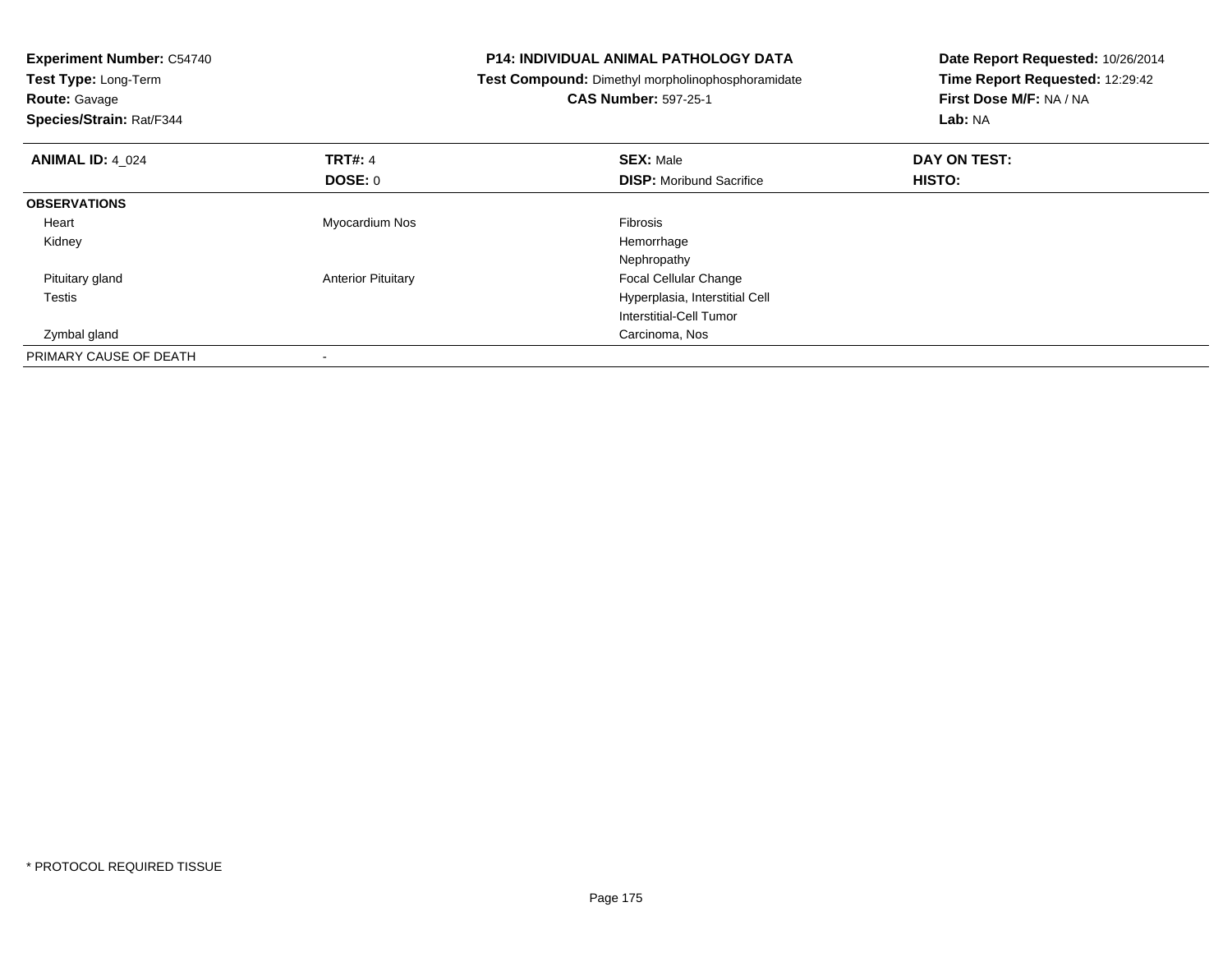| <b>Experiment Number: C54740</b><br>Test Type: Long-Term<br><b>Route: Gavage</b><br>Species/Strain: Rat/F344 |                           | <b>P14: INDIVIDUAL ANIMAL PATHOLOGY DATA</b><br>Test Compound: Dimethyl morpholinophosphoramidate<br><b>CAS Number: 597-25-1</b> | Date Report Requested: 10/26/2014<br>Time Report Requested: 12:29:42<br>First Dose M/F: NA / NA<br>Lab: NA |  |
|--------------------------------------------------------------------------------------------------------------|---------------------------|----------------------------------------------------------------------------------------------------------------------------------|------------------------------------------------------------------------------------------------------------|--|
| <b>ANIMAL ID: 4 024</b>                                                                                      | <b>TRT#: 4</b>            | <b>SEX: Male</b>                                                                                                                 | DAY ON TEST:                                                                                               |  |
|                                                                                                              | DOSE: 0                   | <b>DISP:</b> Moribund Sacrifice                                                                                                  | HISTO:                                                                                                     |  |
| <b>OBSERVATIONS</b>                                                                                          |                           |                                                                                                                                  |                                                                                                            |  |
| Heart                                                                                                        | Myocardium Nos            | Fibrosis                                                                                                                         |                                                                                                            |  |
| Kidney                                                                                                       |                           | Hemorrhage                                                                                                                       |                                                                                                            |  |
|                                                                                                              |                           | Nephropathy                                                                                                                      |                                                                                                            |  |
| Pituitary gland                                                                                              | <b>Anterior Pituitary</b> | <b>Focal Cellular Change</b>                                                                                                     |                                                                                                            |  |
| Testis                                                                                                       |                           | Hyperplasia, Interstitial Cell                                                                                                   |                                                                                                            |  |
|                                                                                                              |                           | Interstitial-Cell Tumor                                                                                                          |                                                                                                            |  |
| Zymbal gland                                                                                                 |                           | Carcinoma, Nos                                                                                                                   |                                                                                                            |  |
| PRIMARY CAUSE OF DEATH                                                                                       |                           |                                                                                                                                  |                                                                                                            |  |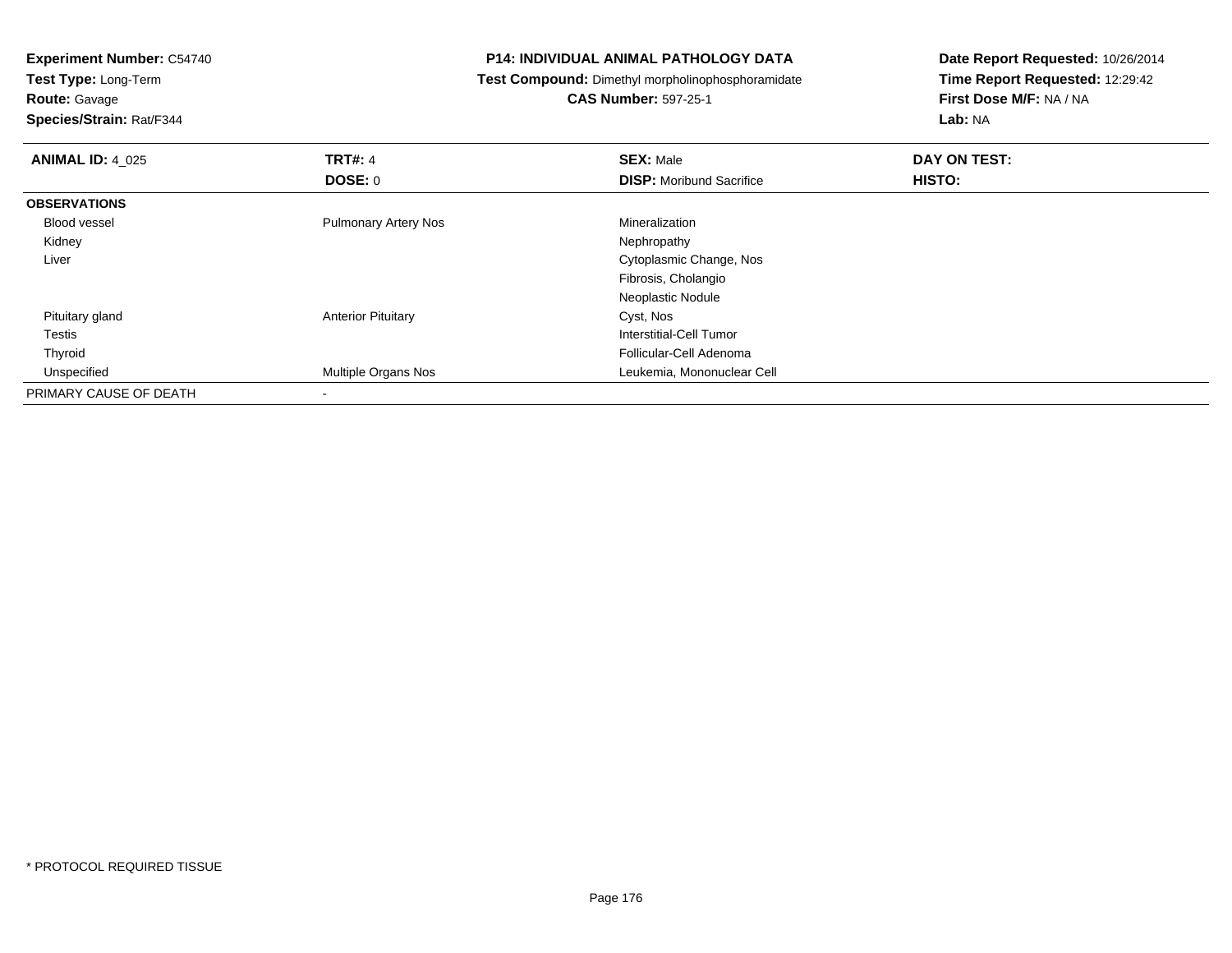**Test Type:** Long-Term

**Route:** Gavage

**Species/Strain:** Rat/F344

#### **P14: INDIVIDUAL ANIMAL PATHOLOGY DATA**

**Test Compound:** Dimethyl morpholinophosphoramidate

**CAS Number:** 597-25-1

| <b>ANIMAL ID: 4 025</b> | <b>TRT#: 4</b>              | <b>SEX: Male</b>                | DAY ON TEST: |  |
|-------------------------|-----------------------------|---------------------------------|--------------|--|
|                         | <b>DOSE: 0</b>              | <b>DISP:</b> Moribund Sacrifice | HISTO:       |  |
| <b>OBSERVATIONS</b>     |                             |                                 |              |  |
| Blood vessel            | <b>Pulmonary Artery Nos</b> | Mineralization                  |              |  |
| Kidney                  |                             | Nephropathy                     |              |  |
| Liver                   |                             | Cytoplasmic Change, Nos         |              |  |
|                         |                             | Fibrosis, Cholangio             |              |  |
|                         |                             | Neoplastic Nodule               |              |  |
| Pituitary gland         | <b>Anterior Pituitary</b>   | Cyst, Nos                       |              |  |
| Testis                  |                             | Interstitial-Cell Tumor         |              |  |
| Thyroid                 |                             | Follicular-Cell Adenoma         |              |  |
| Unspecified             | Multiple Organs Nos         | Leukemia, Mononuclear Cell      |              |  |
| PRIMARY CAUSE OF DEATH  |                             |                                 |              |  |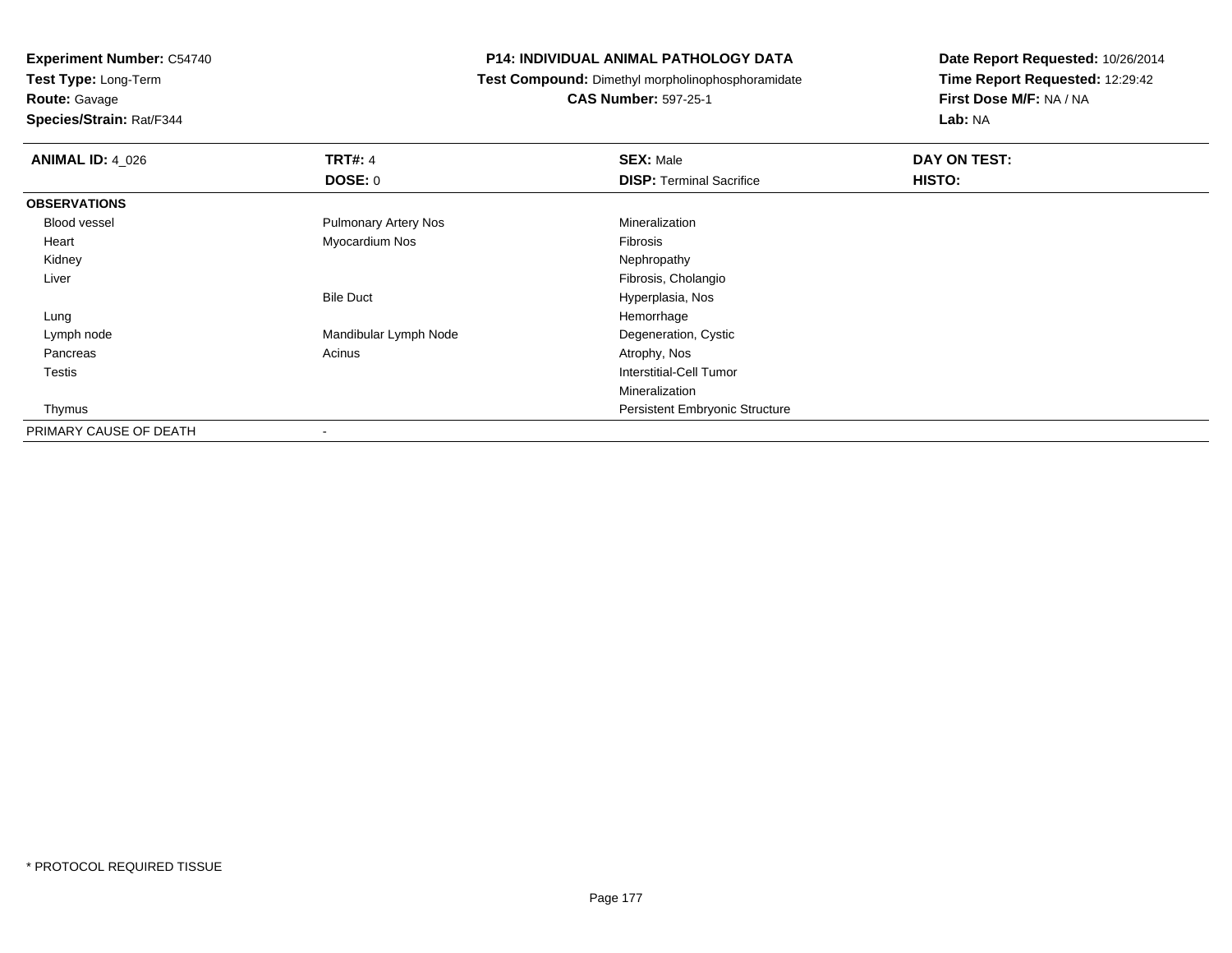**Test Type:** Long-Term

**Route:** Gavage

**Species/Strain:** Rat/F344

#### **P14: INDIVIDUAL ANIMAL PATHOLOGY DATA**

**Test Compound:** Dimethyl morpholinophosphoramidate

**CAS Number:** 597-25-1

| <b>ANIMAL ID: 4_026</b> | <b>TRT#: 4</b>              | <b>SEX: Male</b>                | DAY ON TEST: |  |
|-------------------------|-----------------------------|---------------------------------|--------------|--|
|                         | DOSE: 0                     | <b>DISP: Terminal Sacrifice</b> | HISTO:       |  |
| <b>OBSERVATIONS</b>     |                             |                                 |              |  |
| Blood vessel            | <b>Pulmonary Artery Nos</b> | Mineralization                  |              |  |
| Heart                   | Myocardium Nos              | Fibrosis                        |              |  |
| Kidney                  |                             | Nephropathy                     |              |  |
| Liver                   |                             | Fibrosis, Cholangio             |              |  |
|                         | <b>Bile Duct</b>            | Hyperplasia, Nos                |              |  |
| Lung                    |                             | Hemorrhage                      |              |  |
| Lymph node              | Mandibular Lymph Node       | Degeneration, Cystic            |              |  |
| Pancreas                | Acinus                      | Atrophy, Nos                    |              |  |
| Testis                  |                             | Interstitial-Cell Tumor         |              |  |
|                         |                             | Mineralization                  |              |  |
| Thymus                  |                             | Persistent Embryonic Structure  |              |  |
| PRIMARY CAUSE OF DEATH  |                             |                                 |              |  |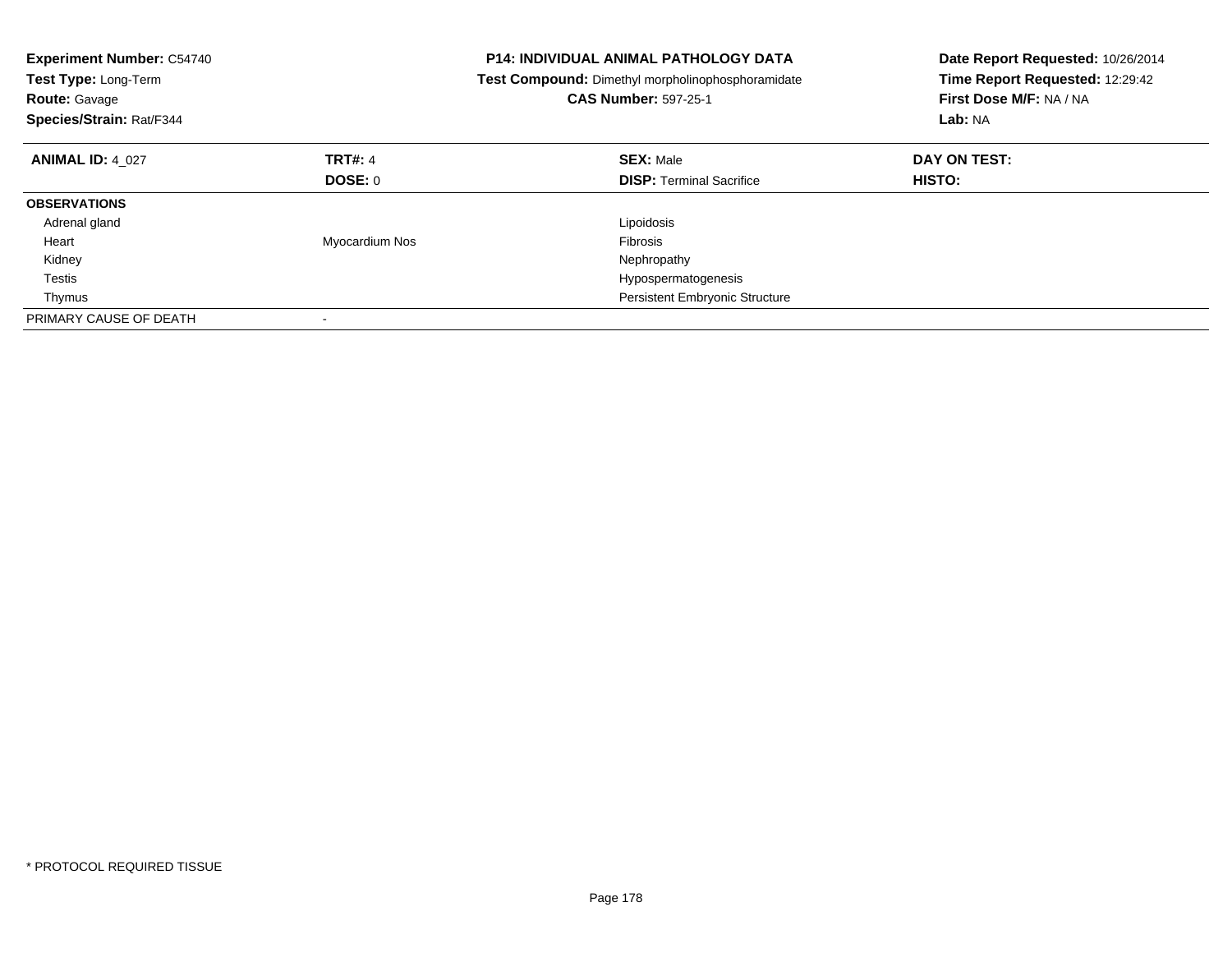| <b>Experiment Number: C54740</b><br>Test Type: Long-Term<br><b>Route: Gavage</b><br>Species/Strain: Rat/F344 |                | <b>P14: INDIVIDUAL ANIMAL PATHOLOGY DATA</b><br>Test Compound: Dimethyl morpholinophosphoramidate<br><b>CAS Number: 597-25-1</b> | Date Report Requested: 10/26/2014<br>Time Report Requested: 12:29:42<br>First Dose M/F: NA / NA<br>Lab: NA |  |
|--------------------------------------------------------------------------------------------------------------|----------------|----------------------------------------------------------------------------------------------------------------------------------|------------------------------------------------------------------------------------------------------------|--|
| <b>ANIMAL ID: 4 027</b>                                                                                      | <b>TRT#: 4</b> | <b>SEX: Male</b>                                                                                                                 | DAY ON TEST:                                                                                               |  |
|                                                                                                              | <b>DOSE: 0</b> | <b>DISP:</b> Terminal Sacrifice                                                                                                  | HISTO:                                                                                                     |  |
| <b>OBSERVATIONS</b>                                                                                          |                |                                                                                                                                  |                                                                                                            |  |
| Adrenal gland                                                                                                |                | Lipoidosis                                                                                                                       |                                                                                                            |  |
| Heart                                                                                                        | Myocardium Nos | Fibrosis                                                                                                                         |                                                                                                            |  |
| Kidney                                                                                                       |                | Nephropathy                                                                                                                      |                                                                                                            |  |
| Testis                                                                                                       |                | Hypospermatogenesis                                                                                                              |                                                                                                            |  |
| Thymus                                                                                                       |                | Persistent Embryonic Structure                                                                                                   |                                                                                                            |  |
| PRIMARY CAUSE OF DEATH                                                                                       |                |                                                                                                                                  |                                                                                                            |  |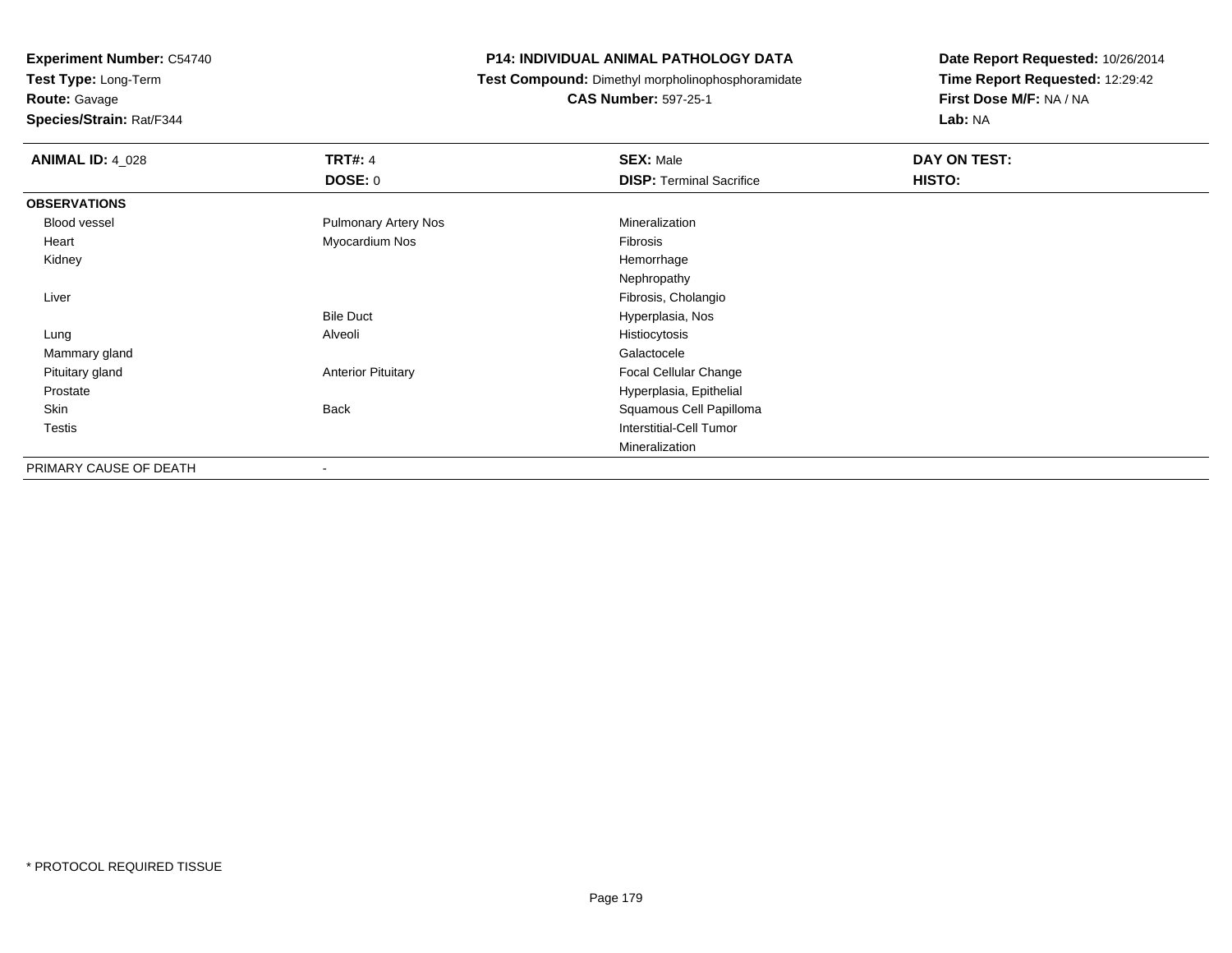**Test Type:** Long-Term

**Route:** Gavage

**Species/Strain:** Rat/F344

#### **P14: INDIVIDUAL ANIMAL PATHOLOGY DATA**

**Test Compound:** Dimethyl morpholinophosphoramidate

**CAS Number:** 597-25-1

| <b>ANIMAL ID: 4_028</b> | <b>TRT#: 4</b><br>DOSE: 0   | <b>SEX: Male</b><br><b>DISP: Terminal Sacrifice</b> | DAY ON TEST:<br>HISTO: |
|-------------------------|-----------------------------|-----------------------------------------------------|------------------------|
| <b>OBSERVATIONS</b>     |                             |                                                     |                        |
| Blood vessel            | <b>Pulmonary Artery Nos</b> | Mineralization                                      |                        |
| Heart                   | Myocardium Nos              | Fibrosis                                            |                        |
| Kidney                  |                             | Hemorrhage                                          |                        |
|                         |                             | Nephropathy                                         |                        |
| Liver                   |                             | Fibrosis, Cholangio                                 |                        |
|                         | <b>Bile Duct</b>            | Hyperplasia, Nos                                    |                        |
| Lung                    | Alveoli                     | Histiocytosis                                       |                        |
| Mammary gland           |                             | Galactocele                                         |                        |
| Pituitary gland         | <b>Anterior Pituitary</b>   | <b>Focal Cellular Change</b>                        |                        |
| Prostate                |                             | Hyperplasia, Epithelial                             |                        |
| Skin                    | <b>Back</b>                 | Squamous Cell Papilloma                             |                        |
| <b>Testis</b>           |                             | Interstitial-Cell Tumor                             |                        |
|                         |                             | Mineralization                                      |                        |
| PRIMARY CAUSE OF DEATH  | ۰                           |                                                     |                        |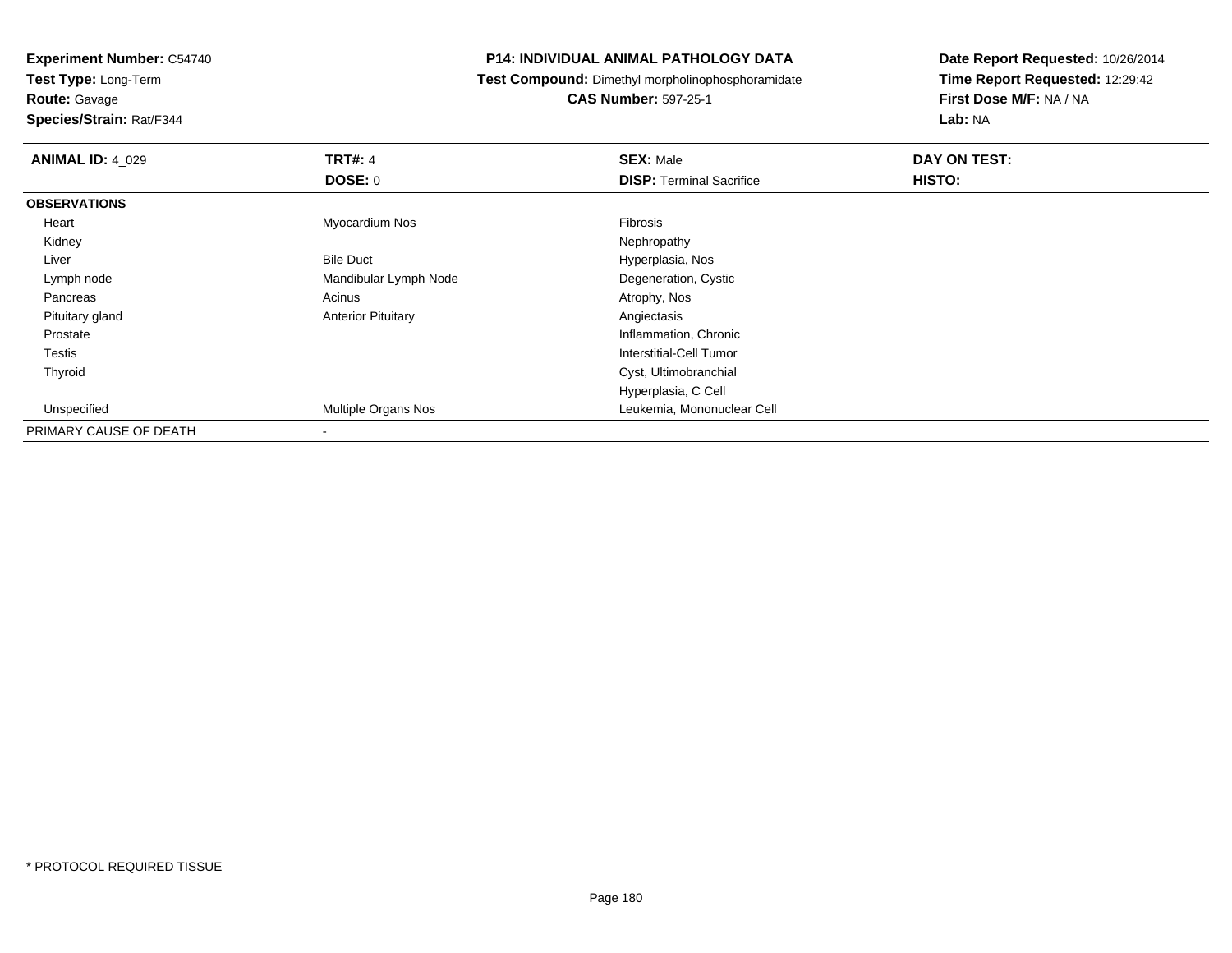**Test Type:** Long-Term

**Route:** Gavage

**Species/Strain:** Rat/F344

#### **P14: INDIVIDUAL ANIMAL PATHOLOGY DATA**

**Test Compound:** Dimethyl morpholinophosphoramidate

**CAS Number:** 597-25-1

| <b>ANIMAL ID: 4_029</b> | <b>TRT#: 4</b>            | <b>SEX: Male</b>                | DAY ON TEST: |  |
|-------------------------|---------------------------|---------------------------------|--------------|--|
|                         | <b>DOSE: 0</b>            | <b>DISP: Terminal Sacrifice</b> | HISTO:       |  |
| <b>OBSERVATIONS</b>     |                           |                                 |              |  |
| Heart                   | Myocardium Nos            | Fibrosis                        |              |  |
| Kidney                  |                           | Nephropathy                     |              |  |
| Liver                   | <b>Bile Duct</b>          | Hyperplasia, Nos                |              |  |
| Lymph node              | Mandibular Lymph Node     | Degeneration, Cystic            |              |  |
| Pancreas                | Acinus                    | Atrophy, Nos                    |              |  |
| Pituitary gland         | <b>Anterior Pituitary</b> | Angiectasis                     |              |  |
| Prostate                |                           | Inflammation, Chronic           |              |  |
| Testis                  |                           | Interstitial-Cell Tumor         |              |  |
| Thyroid                 |                           | Cyst, Ultimobranchial           |              |  |
|                         |                           | Hyperplasia, C Cell             |              |  |
| Unspecified             | Multiple Organs Nos       | Leukemia, Mononuclear Cell      |              |  |
| PRIMARY CAUSE OF DEATH  | $\,$                      |                                 |              |  |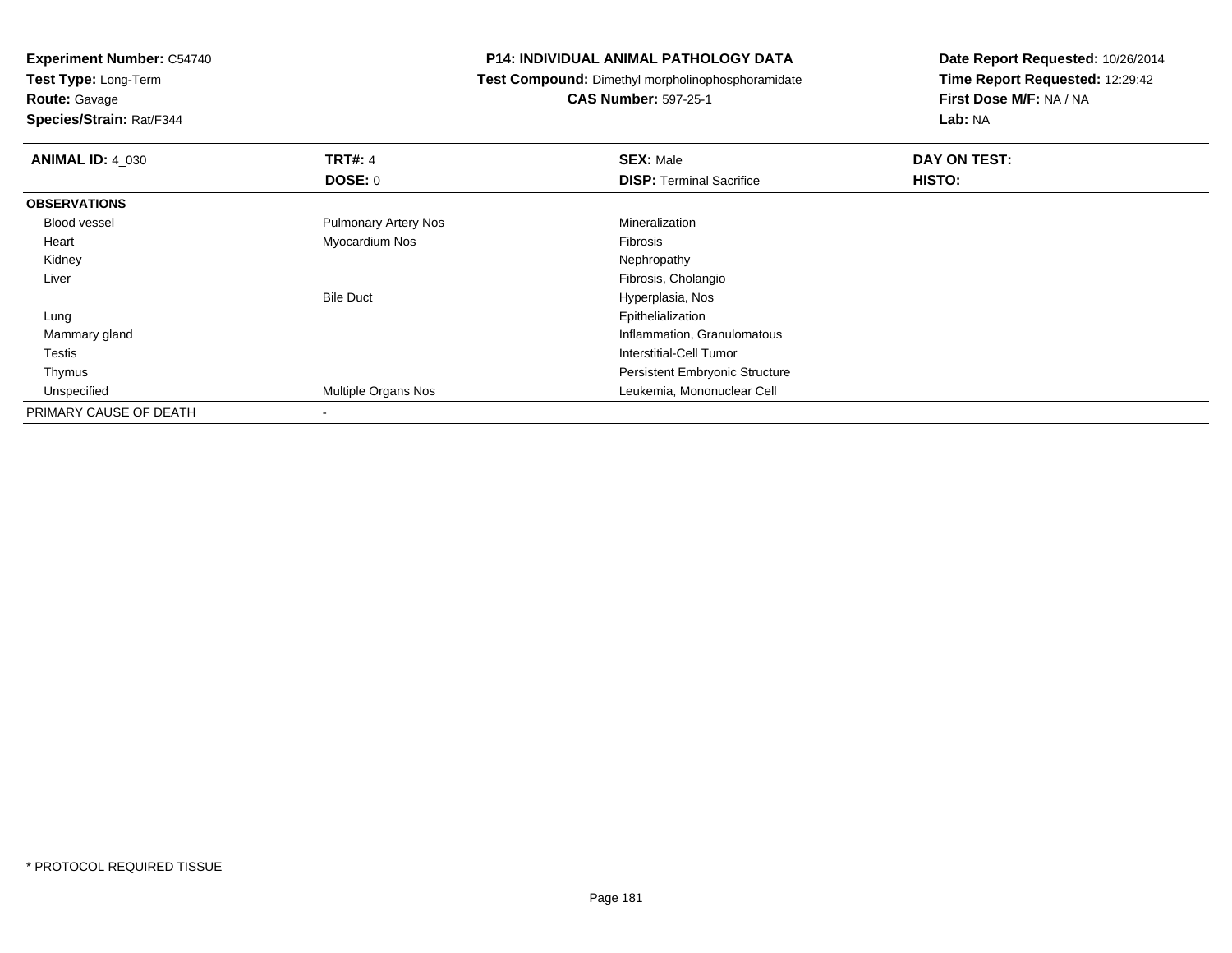**Test Type:** Long-Term

**Route:** Gavage

**Species/Strain:** Rat/F344

# **P14: INDIVIDUAL ANIMAL PATHOLOGY DATA**

**Test Compound:** Dimethyl morpholinophosphoramidate

**CAS Number:** 597-25-1

| <b>ANIMAL ID: 4 030</b> | <b>TRT#: 4</b>              | <b>SEX: Male</b>                      | DAY ON TEST: |  |
|-------------------------|-----------------------------|---------------------------------------|--------------|--|
|                         | DOSE: 0                     | <b>DISP: Terminal Sacrifice</b>       | HISTO:       |  |
| <b>OBSERVATIONS</b>     |                             |                                       |              |  |
| Blood vessel            | <b>Pulmonary Artery Nos</b> | Mineralization                        |              |  |
| Heart                   | Myocardium Nos              | Fibrosis                              |              |  |
| Kidney                  |                             | Nephropathy                           |              |  |
| Liver                   |                             | Fibrosis, Cholangio                   |              |  |
|                         | <b>Bile Duct</b>            | Hyperplasia, Nos                      |              |  |
| Lung                    |                             | Epithelialization                     |              |  |
| Mammary gland           |                             | Inflammation, Granulomatous           |              |  |
| Testis                  |                             | Interstitial-Cell Tumor               |              |  |
| Thymus                  |                             | <b>Persistent Embryonic Structure</b> |              |  |
| Unspecified             | Multiple Organs Nos         | Leukemia, Mononuclear Cell            |              |  |
| PRIMARY CAUSE OF DEATH  |                             |                                       |              |  |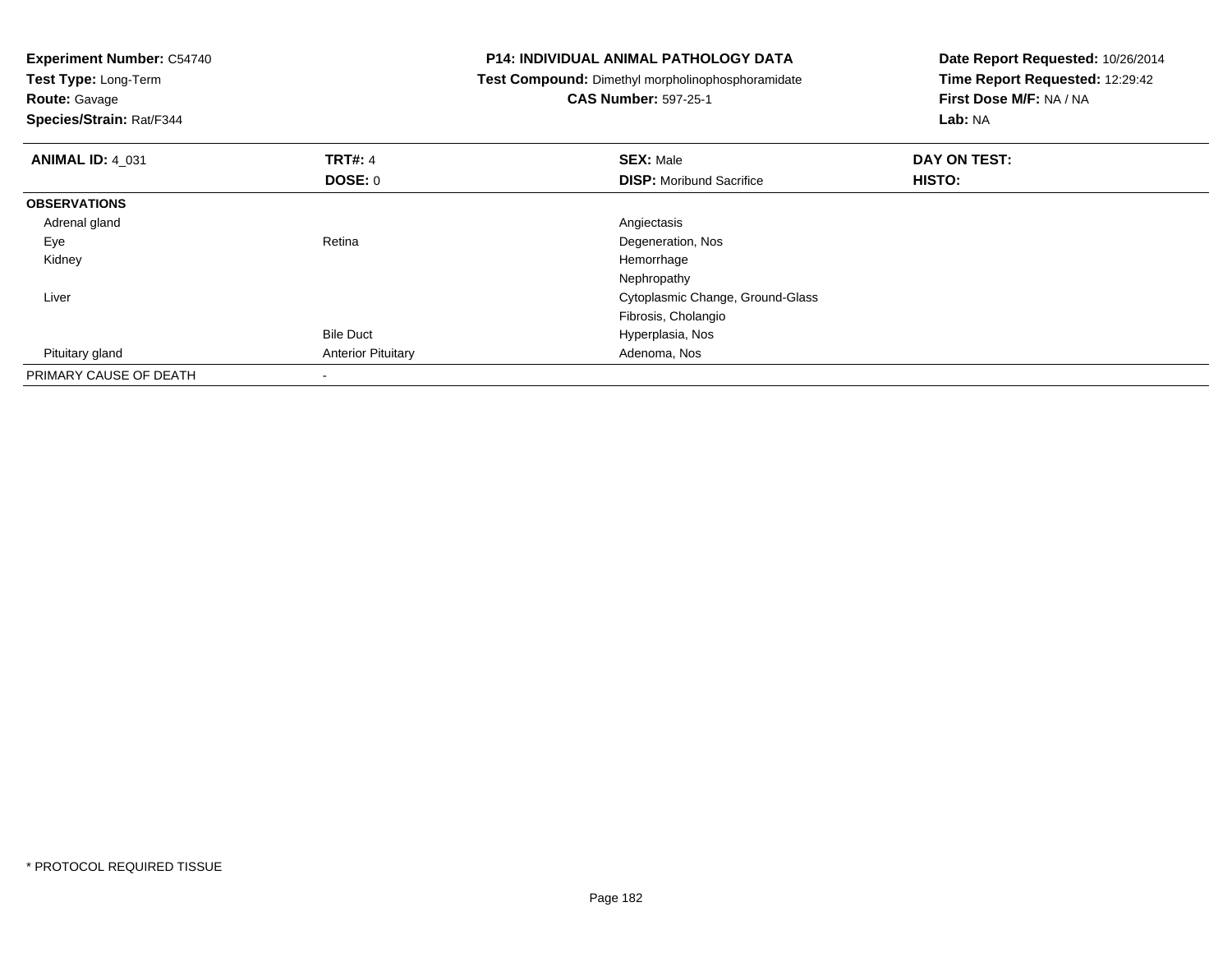| <b>Experiment Number: C54740</b><br>Test Type: Long-Term |                           | <b>P14: INDIVIDUAL ANIMAL PATHOLOGY DATA</b><br>Test Compound: Dimethyl morpholinophosphoramidate | Date Report Requested: 10/26/2014<br>Time Report Requested: 12:29:42 |  |
|----------------------------------------------------------|---------------------------|---------------------------------------------------------------------------------------------------|----------------------------------------------------------------------|--|
| <b>Route: Gavage</b>                                     |                           | <b>CAS Number: 597-25-1</b>                                                                       | First Dose M/F: NA / NA                                              |  |
| Species/Strain: Rat/F344                                 |                           |                                                                                                   | Lab: NA                                                              |  |
| <b>ANIMAL ID: 4 031</b>                                  | <b>TRT#: 4</b>            | <b>SEX: Male</b>                                                                                  | DAY ON TEST:                                                         |  |
|                                                          | DOSE: 0                   | <b>DISP:</b> Moribund Sacrifice                                                                   | <b>HISTO:</b>                                                        |  |
| <b>OBSERVATIONS</b>                                      |                           |                                                                                                   |                                                                      |  |
| Adrenal gland                                            |                           | Angiectasis                                                                                       |                                                                      |  |
| Eye                                                      | Retina                    | Degeneration, Nos                                                                                 |                                                                      |  |
| Kidney                                                   |                           | Hemorrhage                                                                                        |                                                                      |  |
|                                                          |                           | Nephropathy                                                                                       |                                                                      |  |
| Liver                                                    |                           | Cytoplasmic Change, Ground-Glass                                                                  |                                                                      |  |
|                                                          |                           | Fibrosis, Cholangio                                                                               |                                                                      |  |
|                                                          | <b>Bile Duct</b>          | Hyperplasia, Nos                                                                                  |                                                                      |  |
| Pituitary gland                                          | <b>Anterior Pituitary</b> | Adenoma, Nos                                                                                      |                                                                      |  |
| PRIMARY CAUSE OF DEATH                                   |                           |                                                                                                   |                                                                      |  |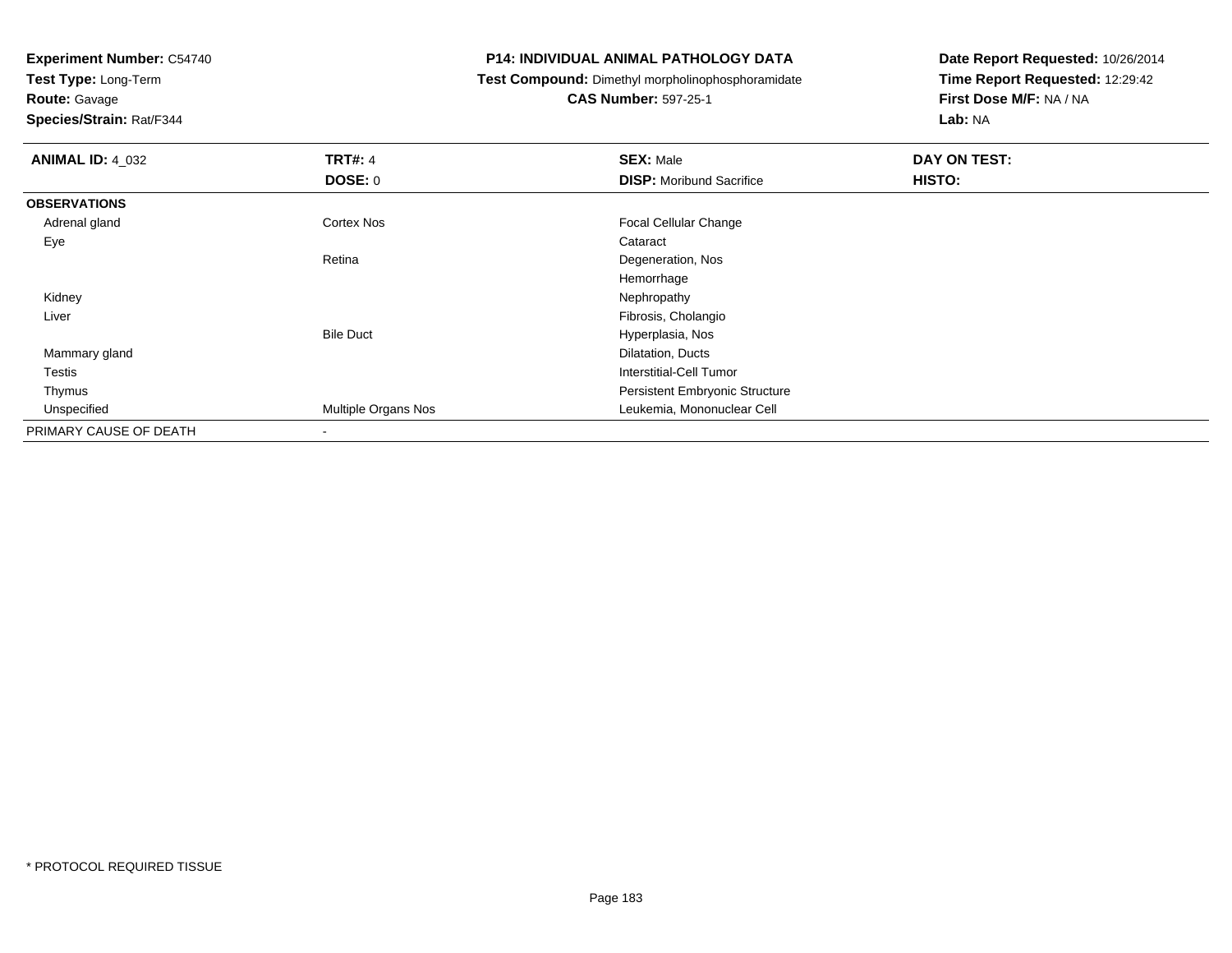**Test Type:** Long-Term

**Route:** Gavage

**Species/Strain:** Rat/F344

# **P14: INDIVIDUAL ANIMAL PATHOLOGY DATA**

**Test Compound:** Dimethyl morpholinophosphoramidate

**CAS Number:** 597-25-1

| <b>ANIMAL ID: 4_032</b> | <b>TRT#: 4</b>           | <b>SEX: Male</b>                | DAY ON TEST: |
|-------------------------|--------------------------|---------------------------------|--------------|
|                         | DOSE: 0                  | <b>DISP:</b> Moribund Sacrifice | HISTO:       |
| <b>OBSERVATIONS</b>     |                          |                                 |              |
| Adrenal gland           | <b>Cortex Nos</b>        | Focal Cellular Change           |              |
| Eye                     |                          | Cataract                        |              |
|                         | Retina                   | Degeneration, Nos               |              |
|                         |                          | Hemorrhage                      |              |
| Kidney                  |                          | Nephropathy                     |              |
| Liver                   |                          | Fibrosis, Cholangio             |              |
|                         | <b>Bile Duct</b>         | Hyperplasia, Nos                |              |
| Mammary gland           |                          | Dilatation, Ducts               |              |
| <b>Testis</b>           |                          | Interstitial-Cell Tumor         |              |
| Thymus                  |                          | Persistent Embryonic Structure  |              |
| Unspecified             | Multiple Organs Nos      | Leukemia, Mononuclear Cell      |              |
| PRIMARY CAUSE OF DEATH  | $\overline{\phantom{a}}$ |                                 |              |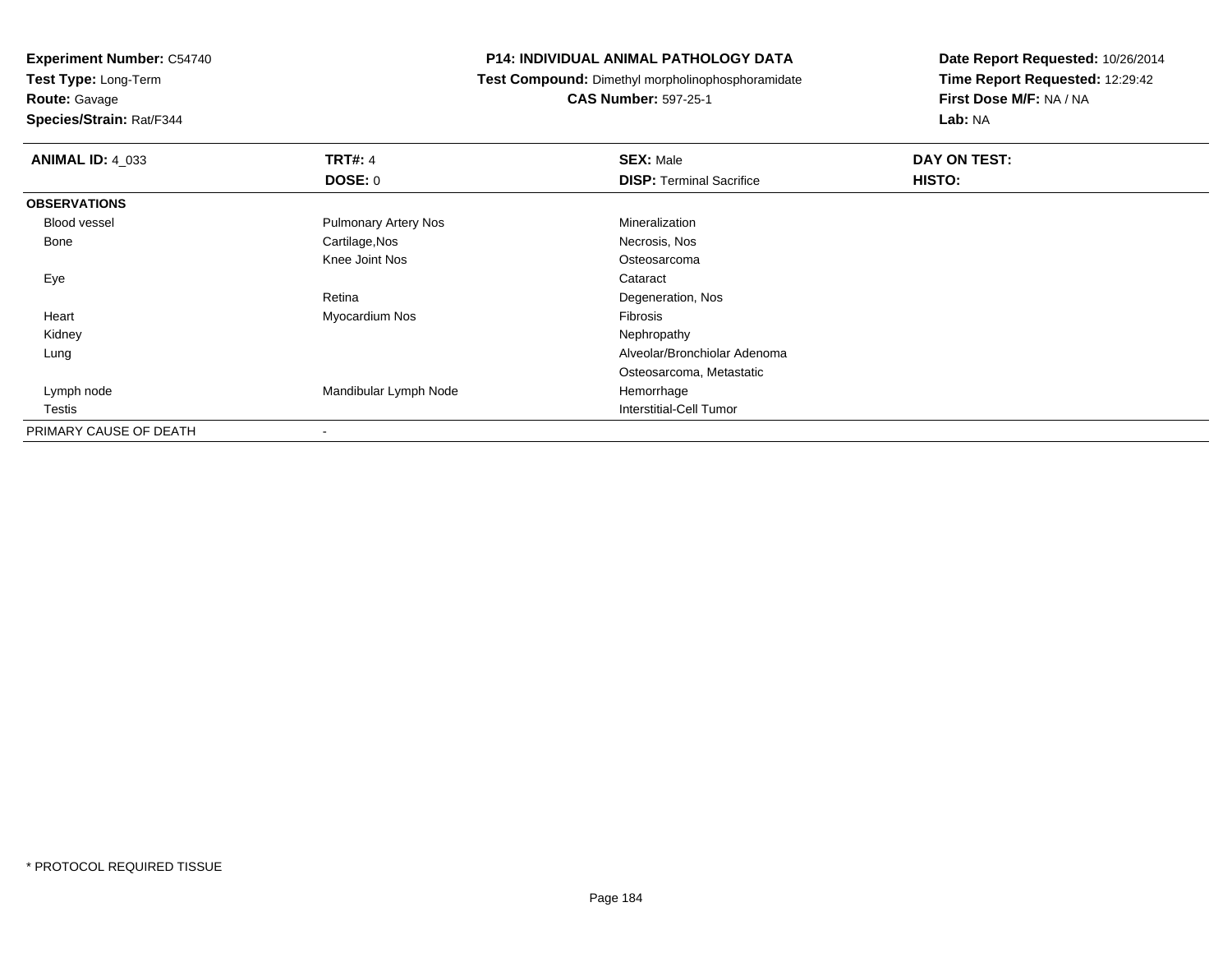**Test Type:** Long-Term

# **Route:** Gavage

**Species/Strain:** Rat/F344

# **P14: INDIVIDUAL ANIMAL PATHOLOGY DATA**

**Test Compound:** Dimethyl morpholinophosphoramidate

**CAS Number:** 597-25-1

| <b>ANIMAL ID: 4_033</b> | <b>TRT#: 4</b>              | <b>SEX: Male</b>                | DAY ON TEST: |  |
|-------------------------|-----------------------------|---------------------------------|--------------|--|
|                         | <b>DOSE: 0</b>              | <b>DISP: Terminal Sacrifice</b> | HISTO:       |  |
| <b>OBSERVATIONS</b>     |                             |                                 |              |  |
| <b>Blood vessel</b>     | <b>Pulmonary Artery Nos</b> | Mineralization                  |              |  |
| Bone                    | Cartilage, Nos              | Necrosis, Nos                   |              |  |
|                         | Knee Joint Nos              | Osteosarcoma                    |              |  |
| Eye                     |                             | Cataract                        |              |  |
|                         | Retina                      | Degeneration, Nos               |              |  |
| Heart                   | Myocardium Nos              | Fibrosis                        |              |  |
| Kidney                  |                             | Nephropathy                     |              |  |
| Lung                    |                             | Alveolar/Bronchiolar Adenoma    |              |  |
|                         |                             | Osteosarcoma, Metastatic        |              |  |
| Lymph node              | Mandibular Lymph Node       | Hemorrhage                      |              |  |
| Testis                  |                             | Interstitial-Cell Tumor         |              |  |
| PRIMARY CAUSE OF DEATH  |                             |                                 |              |  |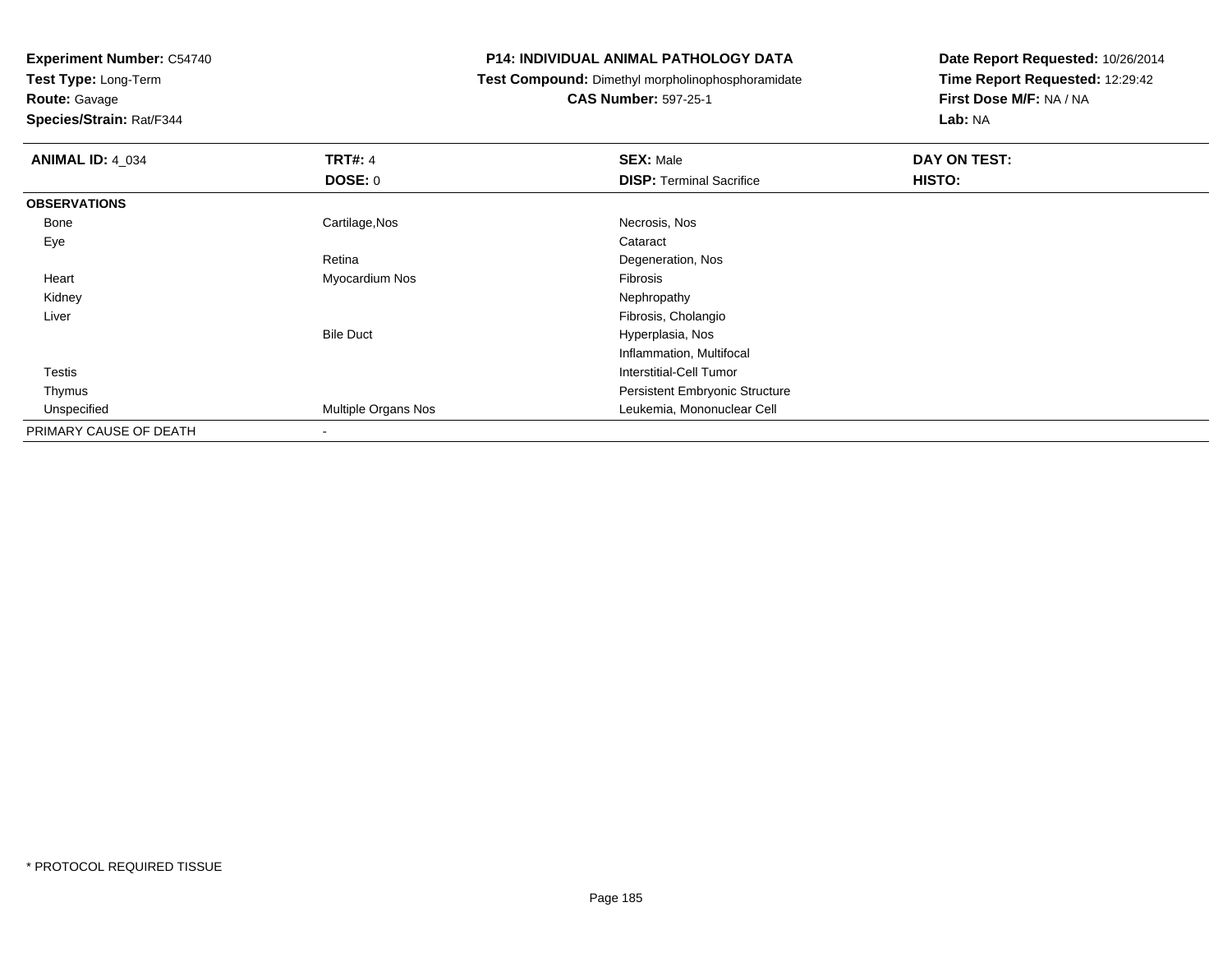**Test Type:** Long-Term

**Route:** Gavage

**Species/Strain:** Rat/F344

# **P14: INDIVIDUAL ANIMAL PATHOLOGY DATA**

**Test Compound:** Dimethyl morpholinophosphoramidate

**CAS Number:** 597-25-1

| <b>ANIMAL ID: 4_034</b> | <b>TRT#: 4</b>      | <b>SEX: Male</b>                      | DAY ON TEST: |  |
|-------------------------|---------------------|---------------------------------------|--------------|--|
|                         | <b>DOSE: 0</b>      | <b>DISP: Terminal Sacrifice</b>       | HISTO:       |  |
| <b>OBSERVATIONS</b>     |                     |                                       |              |  |
| Bone                    | Cartilage, Nos      | Necrosis, Nos                         |              |  |
| Eye                     |                     | Cataract                              |              |  |
|                         | Retina              | Degeneration, Nos                     |              |  |
| Heart                   | Myocardium Nos      | Fibrosis                              |              |  |
| Kidney                  |                     | Nephropathy                           |              |  |
| Liver                   |                     | Fibrosis, Cholangio                   |              |  |
|                         | <b>Bile Duct</b>    | Hyperplasia, Nos                      |              |  |
|                         |                     | Inflammation, Multifocal              |              |  |
| <b>Testis</b>           |                     | Interstitial-Cell Tumor               |              |  |
| Thymus                  |                     | <b>Persistent Embryonic Structure</b> |              |  |
| Unspecified             | Multiple Organs Nos | Leukemia, Mononuclear Cell            |              |  |
| PRIMARY CAUSE OF DEATH  | ۰                   |                                       |              |  |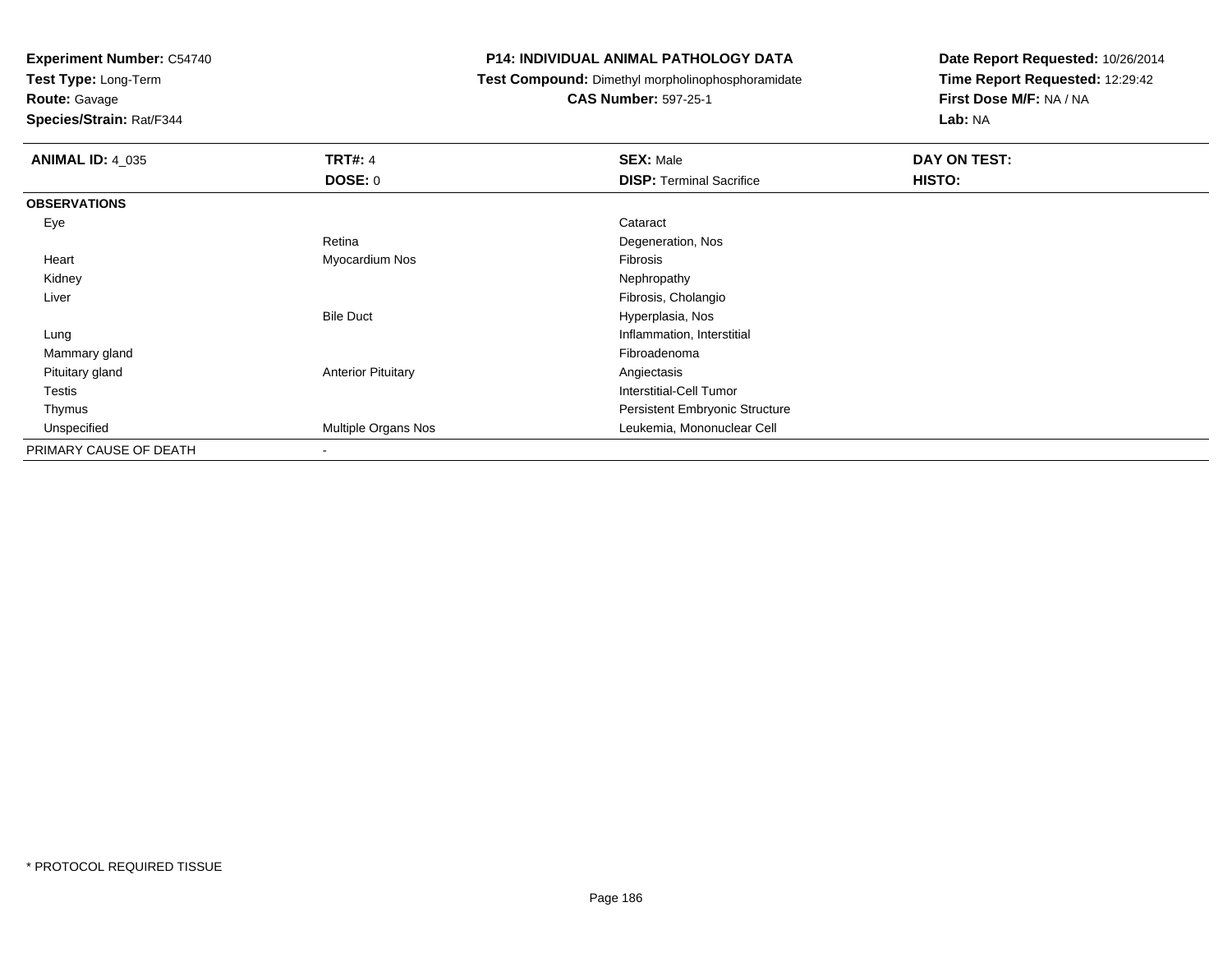**Test Type:** Long-Term

**Route:** Gavage

**Species/Strain:** Rat/F344

# **P14: INDIVIDUAL ANIMAL PATHOLOGY DATA**

**Test Compound:** Dimethyl morpholinophosphoramidate

**CAS Number:** 597-25-1

| <b>ANIMAL ID: 4 035</b> | <b>TRT#: 4</b>            | <b>SEX: Male</b>                | DAY ON TEST: |
|-------------------------|---------------------------|---------------------------------|--------------|
|                         | <b>DOSE: 0</b>            | <b>DISP: Terminal Sacrifice</b> | HISTO:       |
| <b>OBSERVATIONS</b>     |                           |                                 |              |
| Eye                     |                           | Cataract                        |              |
|                         | Retina                    | Degeneration, Nos               |              |
| Heart                   | Myocardium Nos            | Fibrosis                        |              |
| Kidney                  |                           | Nephropathy                     |              |
| Liver                   |                           | Fibrosis, Cholangio             |              |
|                         | <b>Bile Duct</b>          | Hyperplasia, Nos                |              |
| Lung                    |                           | Inflammation, Interstitial      |              |
| Mammary gland           |                           | Fibroadenoma                    |              |
| Pituitary gland         | <b>Anterior Pituitary</b> | Angiectasis                     |              |
| <b>Testis</b>           |                           | Interstitial-Cell Tumor         |              |
| Thymus                  |                           | Persistent Embryonic Structure  |              |
| Unspecified             | Multiple Organs Nos       | Leukemia, Mononuclear Cell      |              |
| PRIMARY CAUSE OF DEATH  |                           |                                 |              |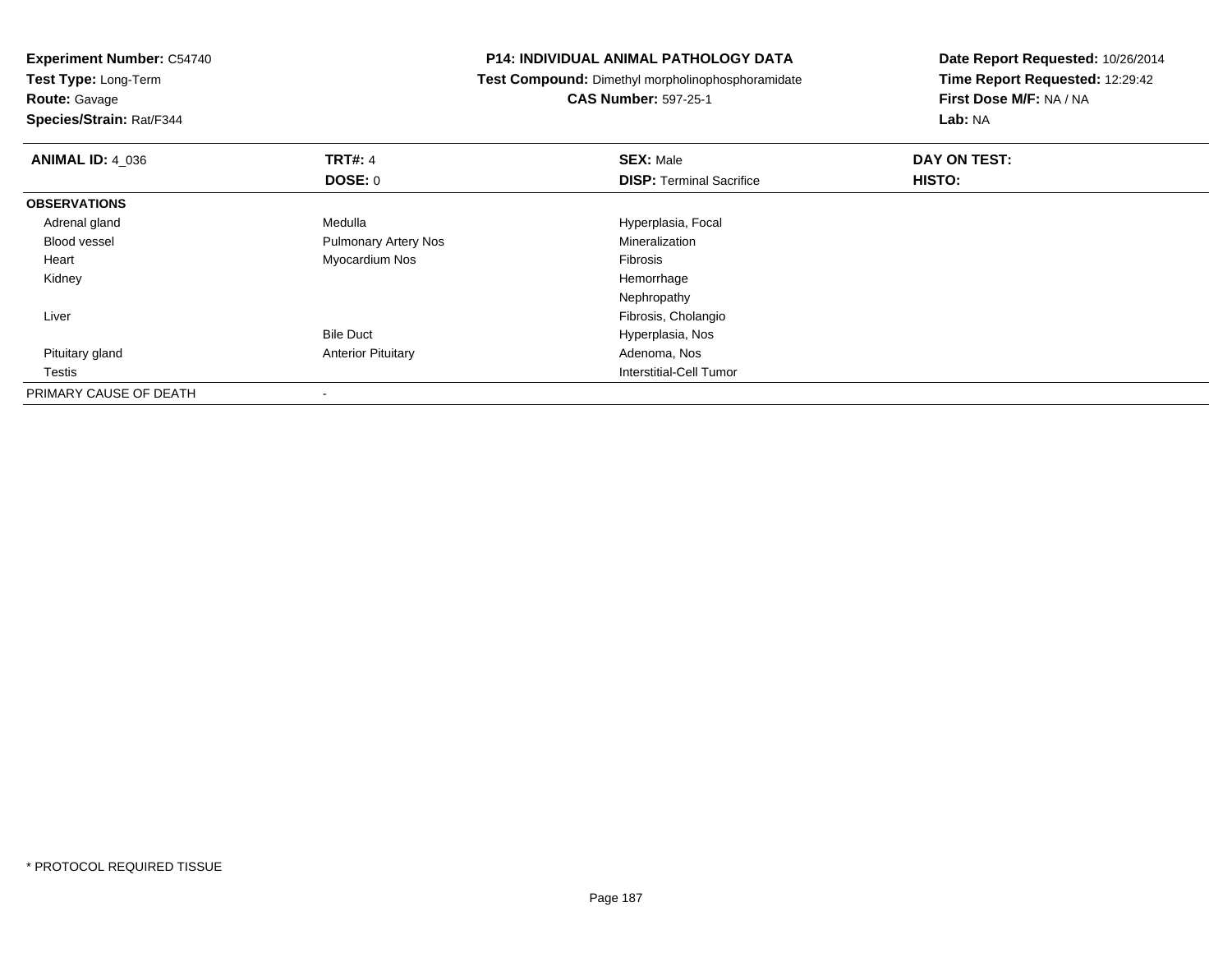| <b>Experiment Number: C54740</b><br>Test Type: Long-Term |                             | <b>P14: INDIVIDUAL ANIMAL PATHOLOGY DATA</b>      | Date Report Requested: 10/26/2014 |
|----------------------------------------------------------|-----------------------------|---------------------------------------------------|-----------------------------------|
|                                                          |                             | Test Compound: Dimethyl morpholinophosphoramidate | Time Report Requested: 12:29:42   |
| <b>Route: Gavage</b>                                     |                             | <b>CAS Number: 597-25-1</b>                       | First Dose M/F: NA / NA           |
| Species/Strain: Rat/F344                                 |                             |                                                   | Lab: NA                           |
| <b>ANIMAL ID: 4 036</b>                                  | <b>TRT#: 4</b>              | <b>SEX: Male</b>                                  | DAY ON TEST:                      |
|                                                          | <b>DOSE: 0</b>              | <b>DISP:</b> Terminal Sacrifice                   | HISTO:                            |
| <b>OBSERVATIONS</b>                                      |                             |                                                   |                                   |
| Adrenal gland                                            | Medulla                     | Hyperplasia, Focal                                |                                   |
| <b>Blood vessel</b>                                      | <b>Pulmonary Artery Nos</b> | Mineralization                                    |                                   |
| Heart                                                    | Myocardium Nos              | Fibrosis                                          |                                   |
| Kidney                                                   |                             | Hemorrhage                                        |                                   |
|                                                          |                             | Nephropathy                                       |                                   |
| Liver                                                    |                             | Fibrosis, Cholangio                               |                                   |
|                                                          | <b>Bile Duct</b>            | Hyperplasia, Nos                                  |                                   |
| Pituitary gland                                          | <b>Anterior Pituitary</b>   | Adenoma, Nos                                      |                                   |
| Testis                                                   |                             | Interstitial-Cell Tumor                           |                                   |
| PRIMARY CAUSE OF DEATH                                   |                             |                                                   |                                   |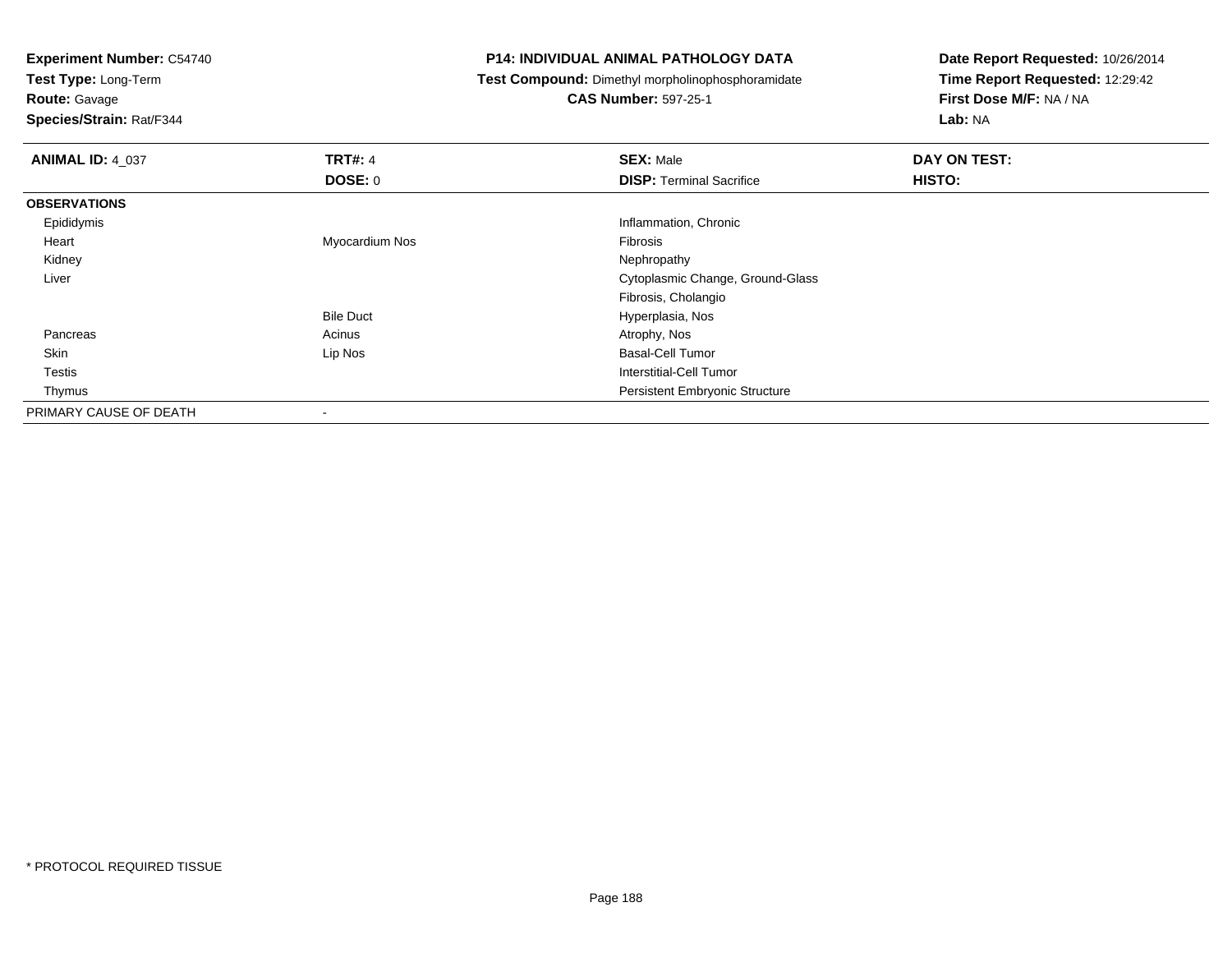**Test Type:** Long-Term

**Route:** Gavage

**Species/Strain:** Rat/F344

# **P14: INDIVIDUAL ANIMAL PATHOLOGY DATA**

**Test Compound:** Dimethyl morpholinophosphoramidate

**CAS Number:** 597-25-1

| <b>ANIMAL ID: 4_037</b> | <b>TRT#: 4</b>           | <b>SEX: Male</b>                      | <b>DAY ON TEST:</b> |  |
|-------------------------|--------------------------|---------------------------------------|---------------------|--|
|                         | DOSE: 0                  | <b>DISP: Terminal Sacrifice</b>       | HISTO:              |  |
| <b>OBSERVATIONS</b>     |                          |                                       |                     |  |
| Epididymis              |                          | Inflammation, Chronic                 |                     |  |
| Heart                   | Myocardium Nos           | Fibrosis                              |                     |  |
| Kidney                  |                          | Nephropathy                           |                     |  |
| Liver                   |                          | Cytoplasmic Change, Ground-Glass      |                     |  |
|                         |                          | Fibrosis, Cholangio                   |                     |  |
|                         | <b>Bile Duct</b>         | Hyperplasia, Nos                      |                     |  |
| Pancreas                | Acinus                   | Atrophy, Nos                          |                     |  |
| Skin                    | Lip Nos                  | <b>Basal-Cell Tumor</b>               |                     |  |
| <b>Testis</b>           |                          | Interstitial-Cell Tumor               |                     |  |
| Thymus                  |                          | <b>Persistent Embryonic Structure</b> |                     |  |
| PRIMARY CAUSE OF DEATH  | $\overline{\phantom{a}}$ |                                       |                     |  |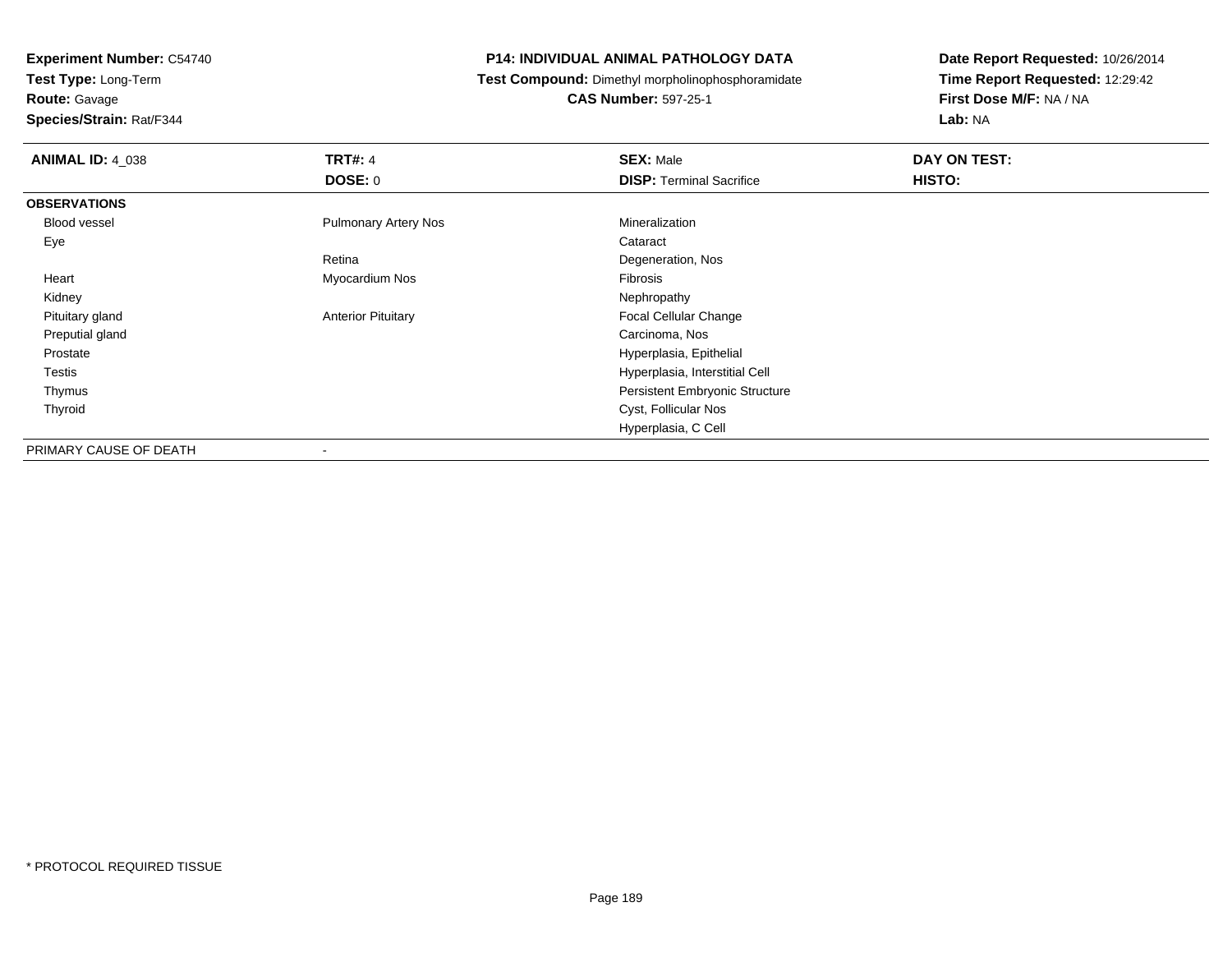**Test Type:** Long-Term

**Route:** Gavage

**Species/Strain:** Rat/F344

# **P14: INDIVIDUAL ANIMAL PATHOLOGY DATA**

**Test Compound:** Dimethyl morpholinophosphoramidate

**CAS Number:** 597-25-1

| <b>ANIMAL ID: 4 038</b> | <b>TRT#: 4</b><br><b>DOSE: 0</b> | <b>SEX: Male</b><br><b>DISP: Terminal Sacrifice</b> | DAY ON TEST:<br>HISTO: |
|-------------------------|----------------------------------|-----------------------------------------------------|------------------------|
|                         |                                  |                                                     |                        |
| <b>OBSERVATIONS</b>     |                                  |                                                     |                        |
| Blood vessel            | <b>Pulmonary Artery Nos</b>      | Mineralization                                      |                        |
| Eye                     |                                  | Cataract                                            |                        |
|                         | Retina                           | Degeneration, Nos                                   |                        |
| Heart                   | Myocardium Nos                   | Fibrosis                                            |                        |
| Kidney                  |                                  | Nephropathy                                         |                        |
| Pituitary gland         | <b>Anterior Pituitary</b>        | Focal Cellular Change                               |                        |
| Preputial gland         |                                  | Carcinoma, Nos                                      |                        |
| Prostate                |                                  | Hyperplasia, Epithelial                             |                        |
| Testis                  |                                  | Hyperplasia, Interstitial Cell                      |                        |
| Thymus                  |                                  | Persistent Embryonic Structure                      |                        |
| Thyroid                 |                                  | Cyst, Follicular Nos                                |                        |
|                         |                                  | Hyperplasia, C Cell                                 |                        |
| PRIMARY CAUSE OF DEATH  | $\overline{\phantom{a}}$         |                                                     |                        |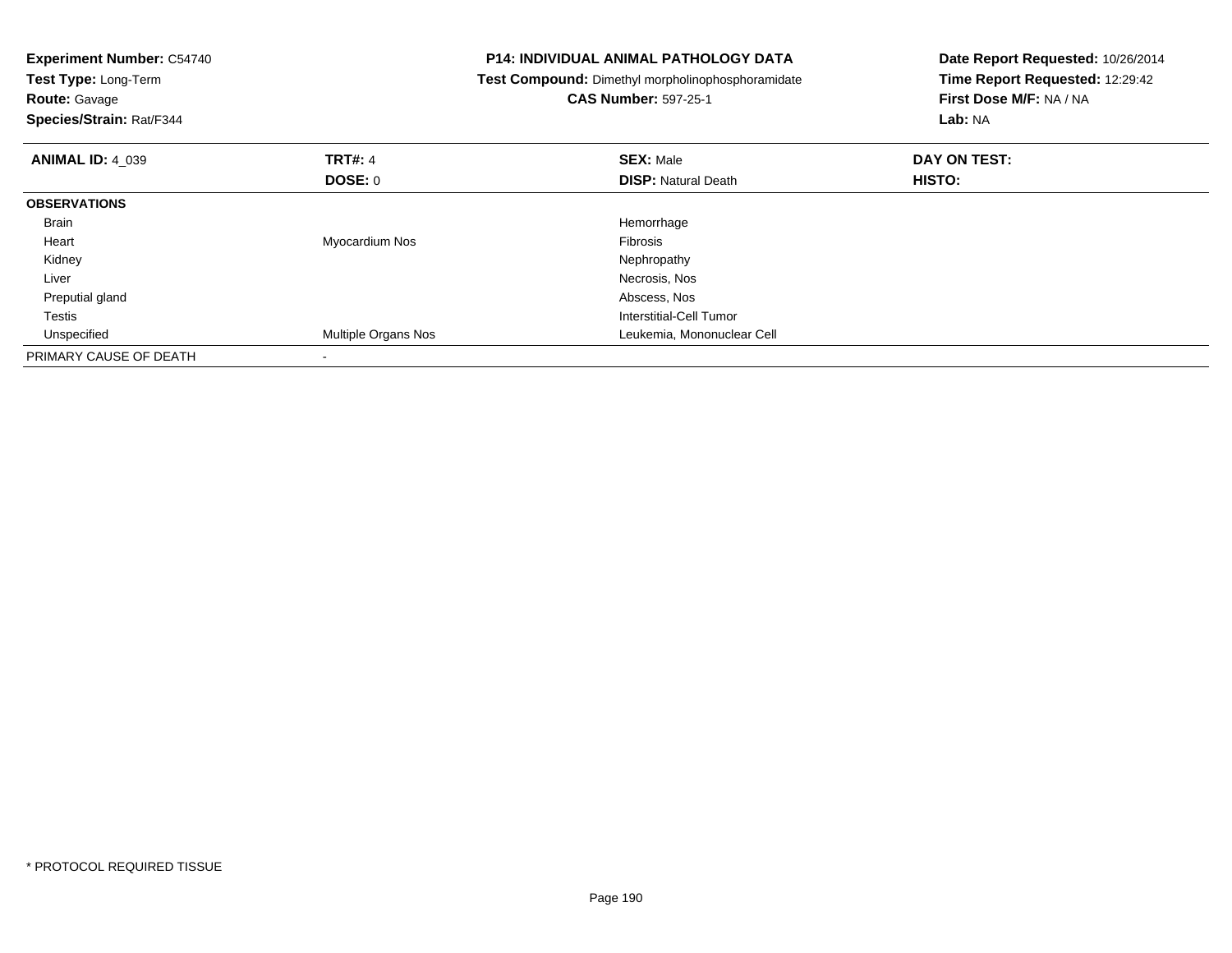| <b>Experiment Number: C54740</b><br>Test Type: Long-Term<br><b>Route: Gavage</b><br>Species/Strain: Rat/F344 |                           | <b>P14: INDIVIDUAL ANIMAL PATHOLOGY DATA</b><br>Test Compound: Dimethyl morpholinophosphoramidate<br><b>CAS Number: 597-25-1</b> | Date Report Requested: 10/26/2014<br>Time Report Requested: 12:29:42<br>First Dose M/F: NA / NA<br>Lab: NA |
|--------------------------------------------------------------------------------------------------------------|---------------------------|----------------------------------------------------------------------------------------------------------------------------------|------------------------------------------------------------------------------------------------------------|
| <b>ANIMAL ID: 4 039</b>                                                                                      | <b>TRT#: 4</b><br>DOSE: 0 | <b>SEX: Male</b><br><b>DISP:</b> Natural Death                                                                                   | DAY ON TEST:<br><b>HISTO:</b>                                                                              |
| <b>OBSERVATIONS</b>                                                                                          |                           |                                                                                                                                  |                                                                                                            |
| <b>Brain</b>                                                                                                 |                           | Hemorrhage                                                                                                                       |                                                                                                            |
| Heart                                                                                                        | Myocardium Nos            | <b>Fibrosis</b>                                                                                                                  |                                                                                                            |
| Kidney                                                                                                       |                           | Nephropathy                                                                                                                      |                                                                                                            |
| Liver                                                                                                        |                           | Necrosis, Nos                                                                                                                    |                                                                                                            |
| Preputial gland                                                                                              |                           | Abscess, Nos                                                                                                                     |                                                                                                            |
| Testis                                                                                                       |                           | Interstitial-Cell Tumor                                                                                                          |                                                                                                            |
| Unspecified                                                                                                  | Multiple Organs Nos       | Leukemia, Mononuclear Cell                                                                                                       |                                                                                                            |
|                                                                                                              |                           |                                                                                                                                  |                                                                                                            |
| PRIMARY CAUSE OF DEATH                                                                                       |                           |                                                                                                                                  |                                                                                                            |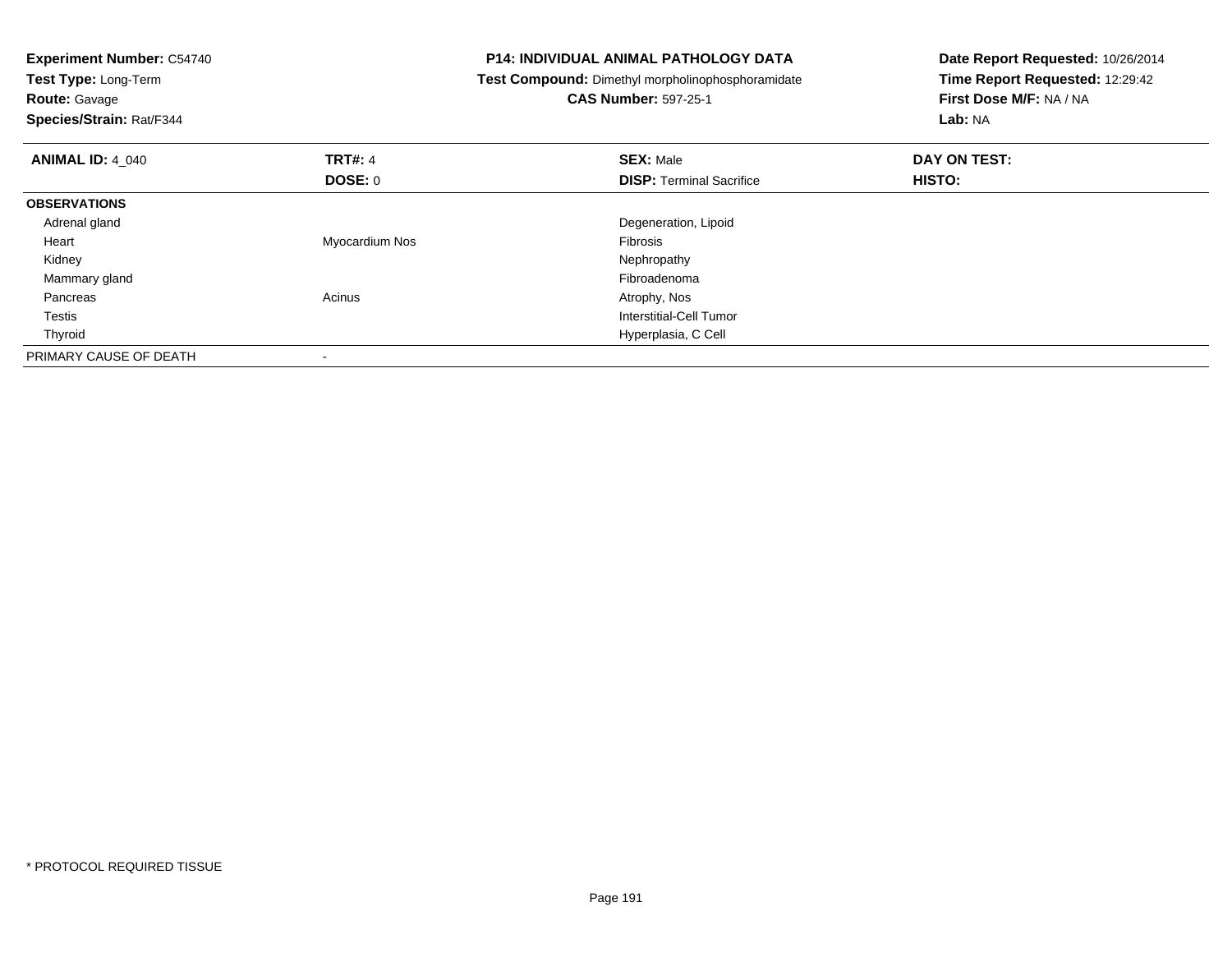| <b>Experiment Number: C54740</b><br>Test Type: Long-Term<br><b>Route: Gavage</b><br>Species/Strain: Rat/F344 |                | <b>P14: INDIVIDUAL ANIMAL PATHOLOGY DATA</b><br>Test Compound: Dimethyl morpholinophosphoramidate<br><b>CAS Number: 597-25-1</b> | Date Report Requested: 10/26/2014<br>Time Report Requested: 12:29:42<br>First Dose M/F: NA / NA<br>Lab: NA |
|--------------------------------------------------------------------------------------------------------------|----------------|----------------------------------------------------------------------------------------------------------------------------------|------------------------------------------------------------------------------------------------------------|
| <b>ANIMAL ID: 4 040</b>                                                                                      | <b>TRT#: 4</b> | <b>SEX: Male</b>                                                                                                                 | DAY ON TEST:                                                                                               |
|                                                                                                              | <b>DOSE: 0</b> | <b>DISP:</b> Terminal Sacrifice                                                                                                  | HISTO:                                                                                                     |
| <b>OBSERVATIONS</b>                                                                                          |                |                                                                                                                                  |                                                                                                            |
| Adrenal gland                                                                                                |                | Degeneration, Lipoid                                                                                                             |                                                                                                            |
| Heart                                                                                                        | Myocardium Nos | <b>Fibrosis</b>                                                                                                                  |                                                                                                            |
| Kidney                                                                                                       |                | Nephropathy                                                                                                                      |                                                                                                            |
| Mammary gland                                                                                                |                | Fibroadenoma                                                                                                                     |                                                                                                            |
| Pancreas                                                                                                     | Acinus         | Atrophy, Nos                                                                                                                     |                                                                                                            |
| Testis                                                                                                       |                | Interstitial-Cell Tumor                                                                                                          |                                                                                                            |
| Thyroid                                                                                                      |                | Hyperplasia, C Cell                                                                                                              |                                                                                                            |
| PRIMARY CAUSE OF DEATH                                                                                       |                |                                                                                                                                  |                                                                                                            |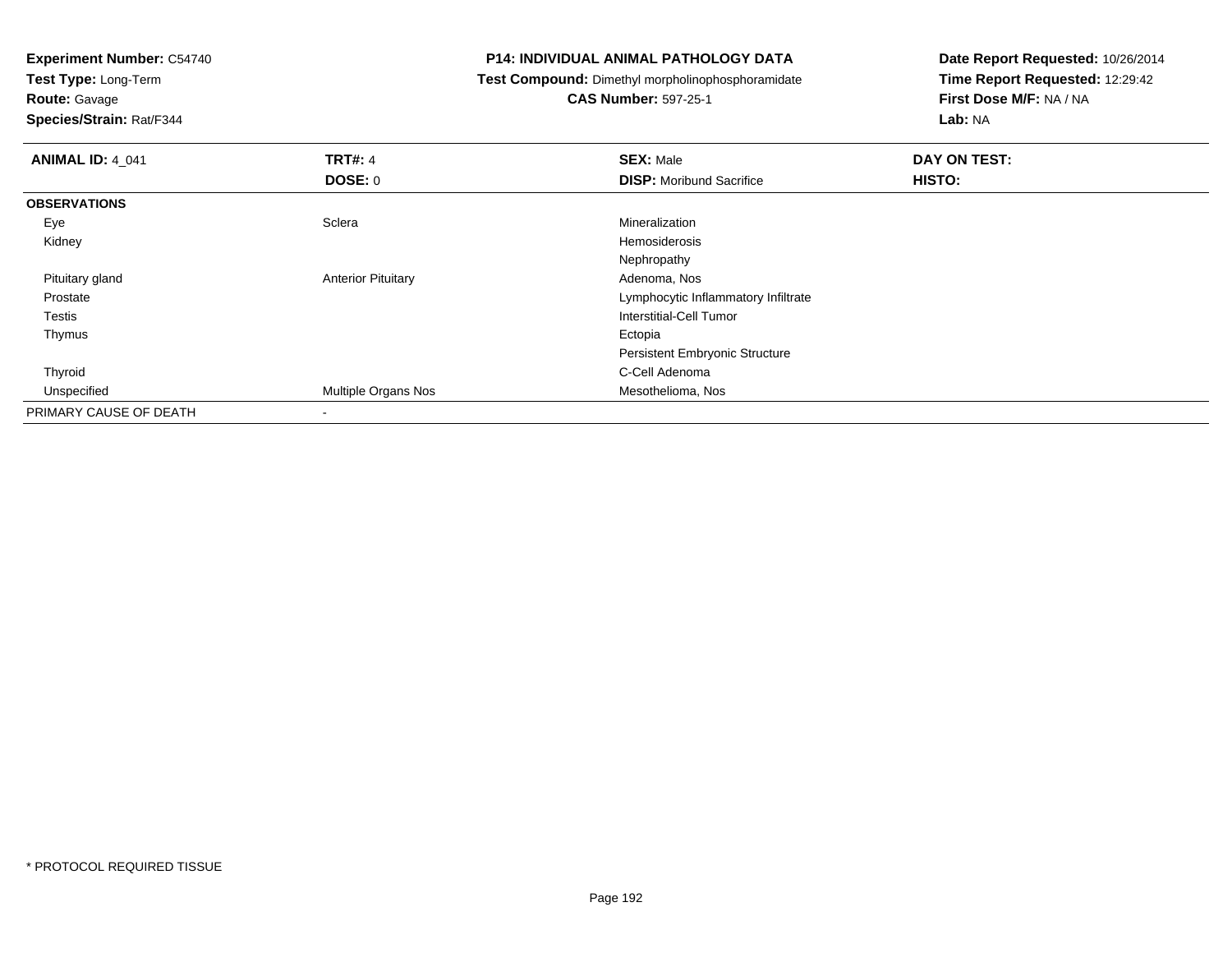**Test Type:** Long-Term

**Route:** Gavage

**Species/Strain:** Rat/F344

# **P14: INDIVIDUAL ANIMAL PATHOLOGY DATA**

**Test Compound:** Dimethyl morpholinophosphoramidate

# **CAS Number:** 597-25-1

| <b>ANIMAL ID: 4_041</b> | <b>TRT#: 4</b>            | <b>SEX: Male</b>                      | DAY ON TEST: |  |
|-------------------------|---------------------------|---------------------------------------|--------------|--|
|                         | <b>DOSE: 0</b>            | <b>DISP:</b> Moribund Sacrifice       | HISTO:       |  |
| <b>OBSERVATIONS</b>     |                           |                                       |              |  |
| Eye                     | Sclera                    | Mineralization                        |              |  |
| Kidney                  |                           | Hemosiderosis                         |              |  |
|                         |                           | Nephropathy                           |              |  |
| Pituitary gland         | <b>Anterior Pituitary</b> | Adenoma, Nos                          |              |  |
| Prostate                |                           | Lymphocytic Inflammatory Infiltrate   |              |  |
| <b>Testis</b>           |                           | Interstitial-Cell Tumor               |              |  |
| Thymus                  |                           | Ectopia                               |              |  |
|                         |                           | <b>Persistent Embryonic Structure</b> |              |  |
| Thyroid                 |                           | C-Cell Adenoma                        |              |  |
| Unspecified             | Multiple Organs Nos       | Mesothelioma, Nos                     |              |  |
| PRIMARY CAUSE OF DEATH  | $\blacksquare$            |                                       |              |  |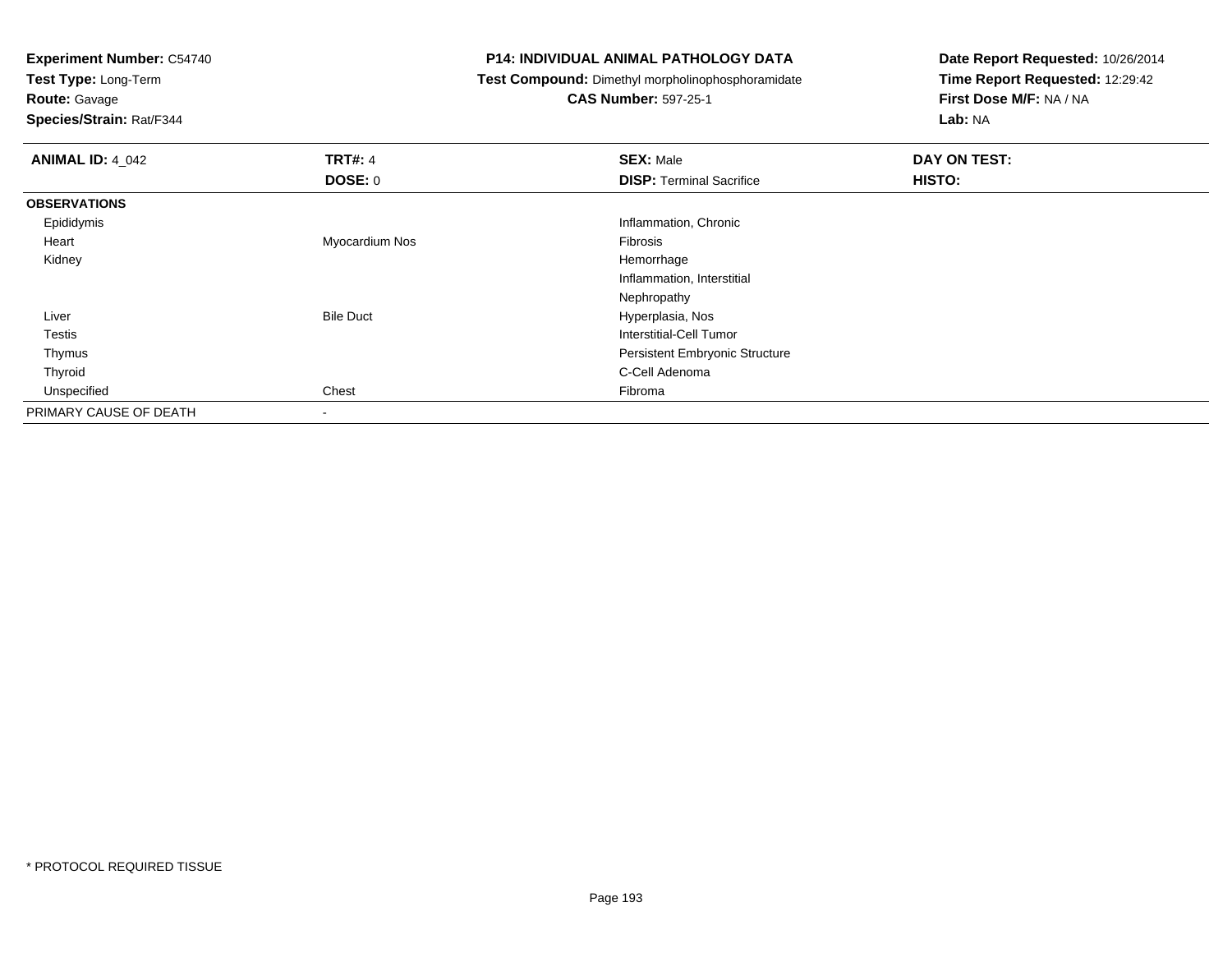**Test Type:** Long-Term

**Route:** Gavage

**Species/Strain:** Rat/F344

# **P14: INDIVIDUAL ANIMAL PATHOLOGY DATA**

**Test Compound:** Dimethyl morpholinophosphoramidate

**CAS Number:** 597-25-1

| <b>ANIMAL ID: 4_042</b> | <b>TRT#: 4</b>           | <b>SEX: Male</b>                      | DAY ON TEST: |
|-------------------------|--------------------------|---------------------------------------|--------------|
|                         | DOSE: 0                  | <b>DISP: Terminal Sacrifice</b>       | HISTO:       |
| <b>OBSERVATIONS</b>     |                          |                                       |              |
| Epididymis              |                          | Inflammation, Chronic                 |              |
| Heart                   | Myocardium Nos           | Fibrosis                              |              |
| Kidney                  |                          | Hemorrhage                            |              |
|                         |                          | Inflammation, Interstitial            |              |
|                         |                          | Nephropathy                           |              |
| Liver                   | <b>Bile Duct</b>         | Hyperplasia, Nos                      |              |
| Testis                  |                          | Interstitial-Cell Tumor               |              |
| Thymus                  |                          | <b>Persistent Embryonic Structure</b> |              |
| Thyroid                 |                          | C-Cell Adenoma                        |              |
| Unspecified             | Chest                    | Fibroma                               |              |
| PRIMARY CAUSE OF DEATH  | $\overline{\phantom{a}}$ |                                       |              |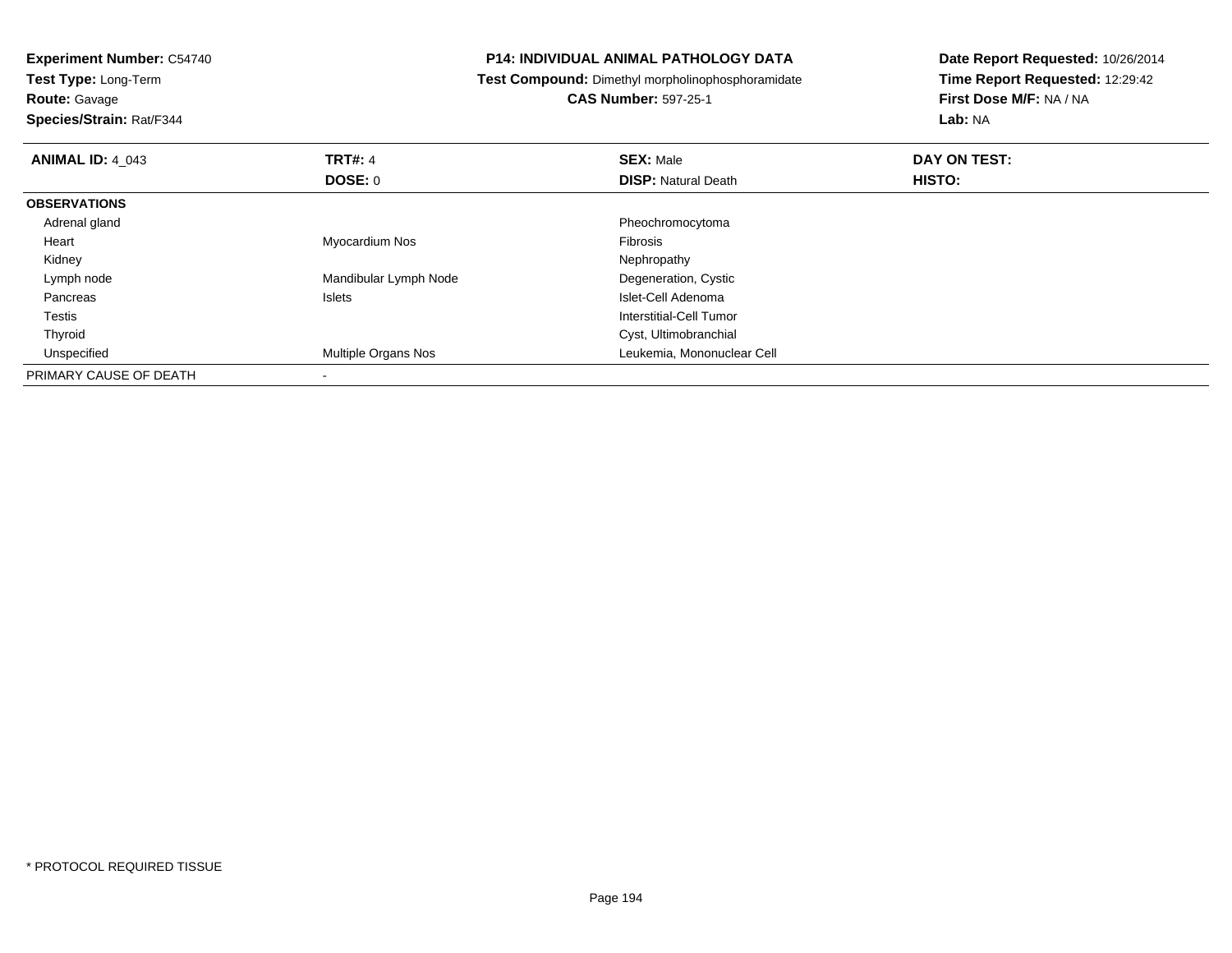**Test Type:** Long-Term

**Route:** Gavage

**Species/Strain:** Rat/F344

# **P14: INDIVIDUAL ANIMAL PATHOLOGY DATA**

**Test Compound:** Dimethyl morpholinophosphoramidate

**CAS Number:** 597-25-1

| <b>ANIMAL ID: 4 043</b> | TRT#: 4                    | <b>SEX: Male</b>           | DAY ON TEST: |  |
|-------------------------|----------------------------|----------------------------|--------------|--|
|                         | <b>DOSE: 0</b>             | <b>DISP: Natural Death</b> | HISTO:       |  |
| <b>OBSERVATIONS</b>     |                            |                            |              |  |
| Adrenal gland           |                            | Pheochromocytoma           |              |  |
| Heart                   | Myocardium Nos             | Fibrosis                   |              |  |
| Kidney                  |                            | Nephropathy                |              |  |
| Lymph node              | Mandibular Lymph Node      | Degeneration, Cystic       |              |  |
| Pancreas                | Islets                     | Islet-Cell Adenoma         |              |  |
| Testis                  |                            | Interstitial-Cell Tumor    |              |  |
| Thyroid                 |                            | Cyst, Ultimobranchial      |              |  |
| Unspecified             | <b>Multiple Organs Nos</b> | Leukemia, Mononuclear Cell |              |  |
| PRIMARY CAUSE OF DEATH  |                            |                            |              |  |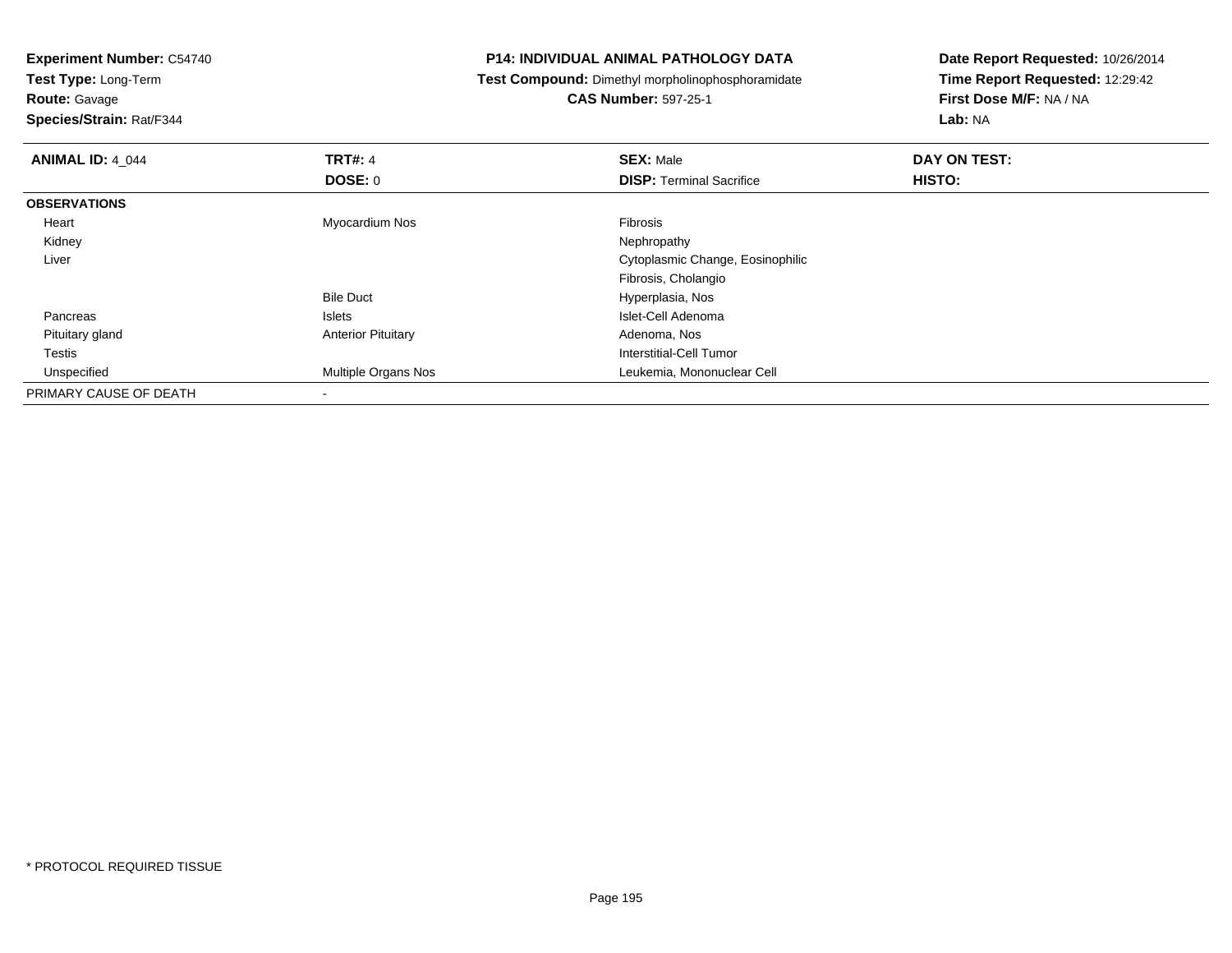**Experiment Number:** C54740**Test Type:** Long-Term**Route:** Gavage **Species/Strain:** Rat/F344**P14: INDIVIDUAL ANIMAL PATHOLOGY DATA Test Compound:** Dimethyl morpholinophosphoramidate**CAS Number:** 597-25-1**Date Report Requested:** 10/26/2014**Time Report Requested:** 12:29:42**First Dose M/F:** NA / NA**Lab:** NA**ANIMAL ID:** 4\_044**TRT#:** 4 **SEX:** Male **DAY ON TEST: DOSE:** 0**DISP:** Terminal Sacrifice **HISTO: OBSERVATIONS** Heart Myocardium Nos Fibrosis Kidneyy the control of the control of the control of the control of the control of the control of the control of the control of the control of the control of the control of the control of the control of the control of the contro Liver Cytoplasmic Change, EosinophilicFibrosis, CholangioBile Duct Hyperplasia, Nos<u>Islets and the Islets of the Islet-Cell Adenoma</u> Pancreas Pituitary glandAnterior Pituitary **Adenoma, Nos** Adenoma, Nos Testis Interstitial-Cell Tumor Unspecified Multiple Organs Nos Leukemia, Mononuclear Cell PRIMARY CAUSE OF DEATH-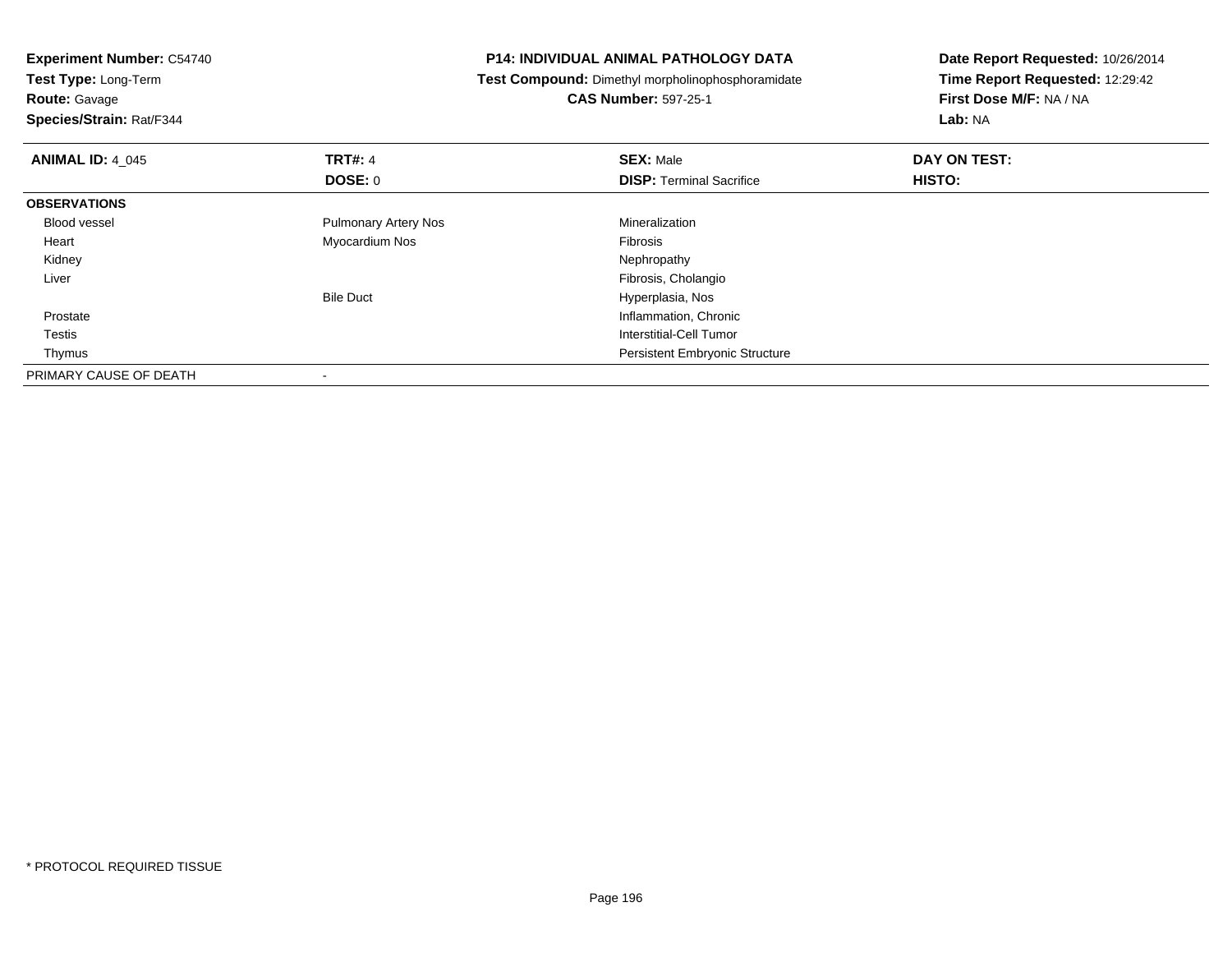| <b>P14: INDIVIDUAL ANIMAL PATHOLOGY DATA</b>      | Date Report Requested: 10/26/2014                          |  |
|---------------------------------------------------|------------------------------------------------------------|--|
| Test Compound: Dimethyl morpholinophosphoramidate | Time Report Requested: 12:29:42<br>First Dose M/F: NA / NA |  |
| <b>CAS Number: 597-25-1</b>                       |                                                            |  |
|                                                   | Lab: NA                                                    |  |
| <b>SEX: Male</b>                                  | DAY ON TEST:                                               |  |
| <b>DISP: Terminal Sacrifice</b>                   | HISTO:                                                     |  |
|                                                   |                                                            |  |
| Mineralization                                    |                                                            |  |
| Fibrosis                                          |                                                            |  |
| Nephropathy                                       |                                                            |  |
| Fibrosis, Cholangio                               |                                                            |  |
| Hyperplasia, Nos                                  |                                                            |  |
| Inflammation, Chronic                             |                                                            |  |
| Interstitial-Cell Tumor                           |                                                            |  |
| Persistent Embryonic Structure                    |                                                            |  |
|                                                   |                                                            |  |
|                                                   |                                                            |  |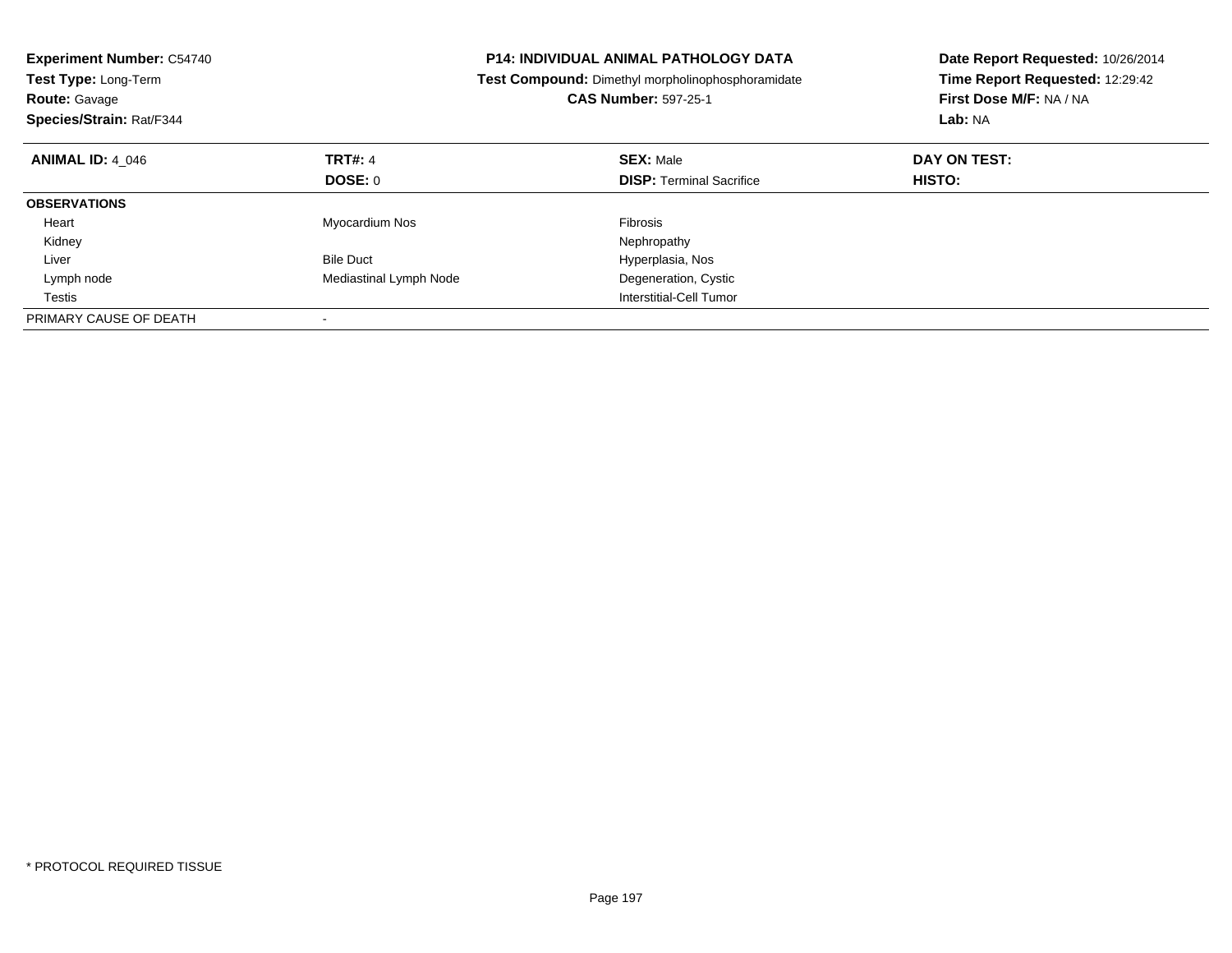| <b>Experiment Number: C54740</b><br>Test Type: Long-Term<br><b>Route: Gavage</b><br>Species/Strain: Rat/F344 |                        | <b>P14: INDIVIDUAL ANIMAL PATHOLOGY DATA</b><br>Test Compound: Dimethyl morpholinophosphoramidate<br><b>CAS Number: 597-25-1</b> | Date Report Requested: 10/26/2014<br>Time Report Requested: 12:29:42<br>First Dose M/F: NA / NA<br>Lab: NA |
|--------------------------------------------------------------------------------------------------------------|------------------------|----------------------------------------------------------------------------------------------------------------------------------|------------------------------------------------------------------------------------------------------------|
| <b>ANIMAL ID: 4 046</b>                                                                                      | <b>TRT#: 4</b>         | <b>SEX: Male</b>                                                                                                                 | DAY ON TEST:                                                                                               |
|                                                                                                              | DOSE: 0                | <b>DISP:</b> Terminal Sacrifice                                                                                                  | HISTO:                                                                                                     |
| <b>OBSERVATIONS</b>                                                                                          |                        |                                                                                                                                  |                                                                                                            |
| Heart                                                                                                        | Myocardium Nos         | <b>Fibrosis</b>                                                                                                                  |                                                                                                            |
| Kidney                                                                                                       |                        | Nephropathy                                                                                                                      |                                                                                                            |
| Liver                                                                                                        | <b>Bile Duct</b>       | Hyperplasia, Nos                                                                                                                 |                                                                                                            |
| Lymph node                                                                                                   | Mediastinal Lymph Node | Degeneration, Cystic                                                                                                             |                                                                                                            |
| Testis                                                                                                       |                        | Interstitial-Cell Tumor                                                                                                          |                                                                                                            |
| PRIMARY CAUSE OF DEATH                                                                                       |                        |                                                                                                                                  |                                                                                                            |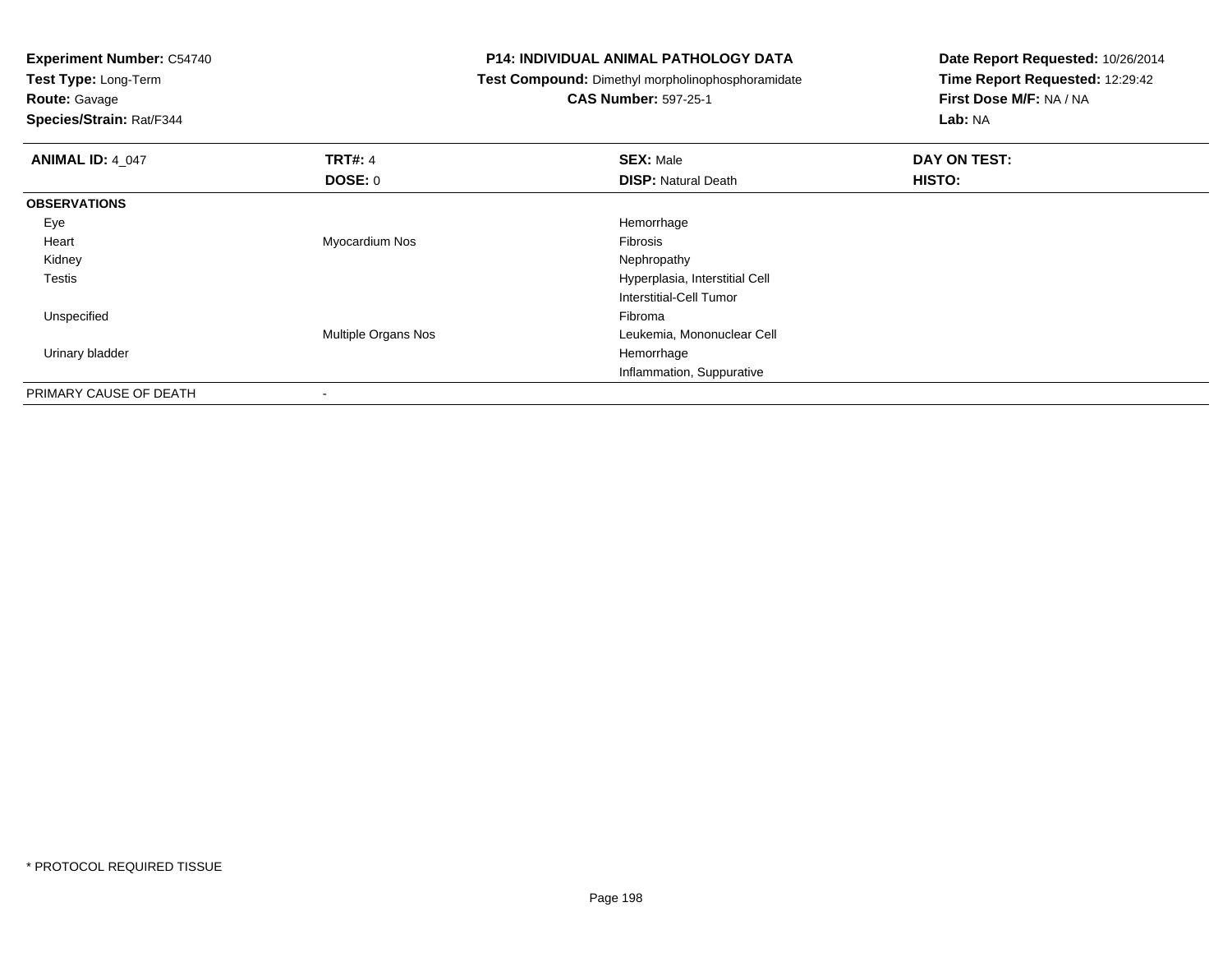**Test Type:** Long-Term

**Route:** Gavage

**Species/Strain:** Rat/F344

# **P14: INDIVIDUAL ANIMAL PATHOLOGY DATA**

**Test Compound:** Dimethyl morpholinophosphoramidate

**CAS Number:** 597-25-1

| <b>ANIMAL ID: 4 047</b> | <b>TRT#: 4</b>      | <b>SEX: Male</b>               | DAY ON TEST: |  |
|-------------------------|---------------------|--------------------------------|--------------|--|
|                         | <b>DOSE: 0</b>      | <b>DISP: Natural Death</b>     | HISTO:       |  |
| <b>OBSERVATIONS</b>     |                     |                                |              |  |
| Eye                     |                     | Hemorrhage                     |              |  |
| Heart                   | Myocardium Nos      | Fibrosis                       |              |  |
| Kidney                  |                     | Nephropathy                    |              |  |
| <b>Testis</b>           |                     | Hyperplasia, Interstitial Cell |              |  |
|                         |                     | Interstitial-Cell Tumor        |              |  |
| Unspecified             |                     | Fibroma                        |              |  |
|                         | Multiple Organs Nos | Leukemia, Mononuclear Cell     |              |  |
| Urinary bladder         |                     | Hemorrhage                     |              |  |
|                         |                     | Inflammation, Suppurative      |              |  |
| PRIMARY CAUSE OF DEATH  | $\,$                |                                |              |  |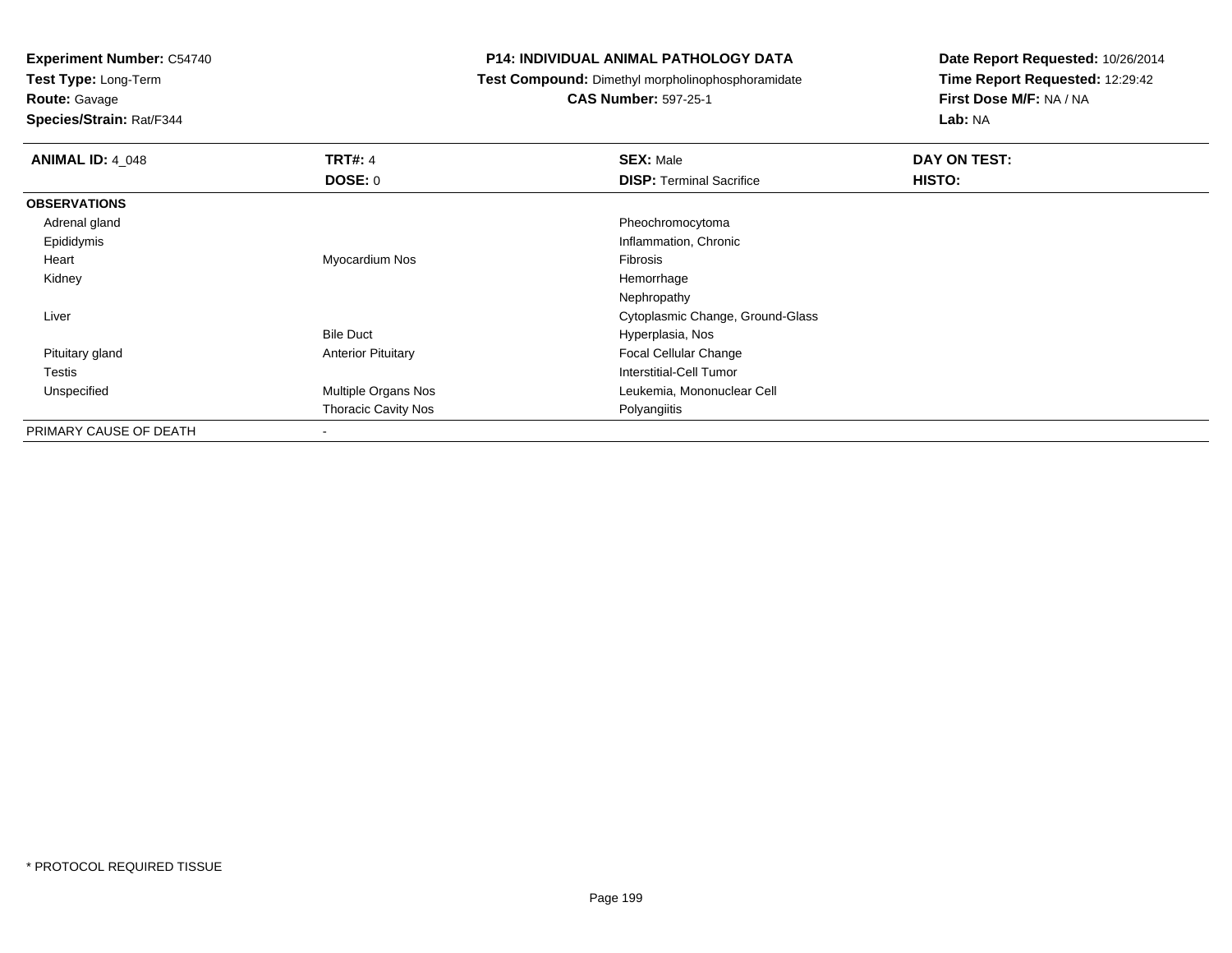**Test Type:** Long-Term

**Route:** Gavage

**Species/Strain:** Rat/F344

# **P14: INDIVIDUAL ANIMAL PATHOLOGY DATA**

**Test Compound:** Dimethyl morpholinophosphoramidate

**CAS Number:** 597-25-1

| <b>ANIMAL ID: 4_048</b> | <b>TRT#: 4</b>             | <b>SEX: Male</b>                 | DAY ON TEST: |
|-------------------------|----------------------------|----------------------------------|--------------|
|                         | <b>DOSE: 0</b>             | <b>DISP: Terminal Sacrifice</b>  | HISTO:       |
| <b>OBSERVATIONS</b>     |                            |                                  |              |
| Adrenal gland           |                            | Pheochromocytoma                 |              |
| Epididymis              |                            | Inflammation, Chronic            |              |
| Heart                   | Myocardium Nos             | Fibrosis                         |              |
| Kidney                  |                            | Hemorrhage                       |              |
|                         |                            | Nephropathy                      |              |
| Liver                   |                            | Cytoplasmic Change, Ground-Glass |              |
|                         | <b>Bile Duct</b>           | Hyperplasia, Nos                 |              |
| Pituitary gland         | <b>Anterior Pituitary</b>  | Focal Cellular Change            |              |
| Testis                  |                            | Interstitial-Cell Tumor          |              |
| Unspecified             | Multiple Organs Nos        | Leukemia, Mononuclear Cell       |              |
|                         | <b>Thoracic Cavity Nos</b> | Polyangiitis                     |              |
| PRIMARY CAUSE OF DEATH  | ۰                          |                                  |              |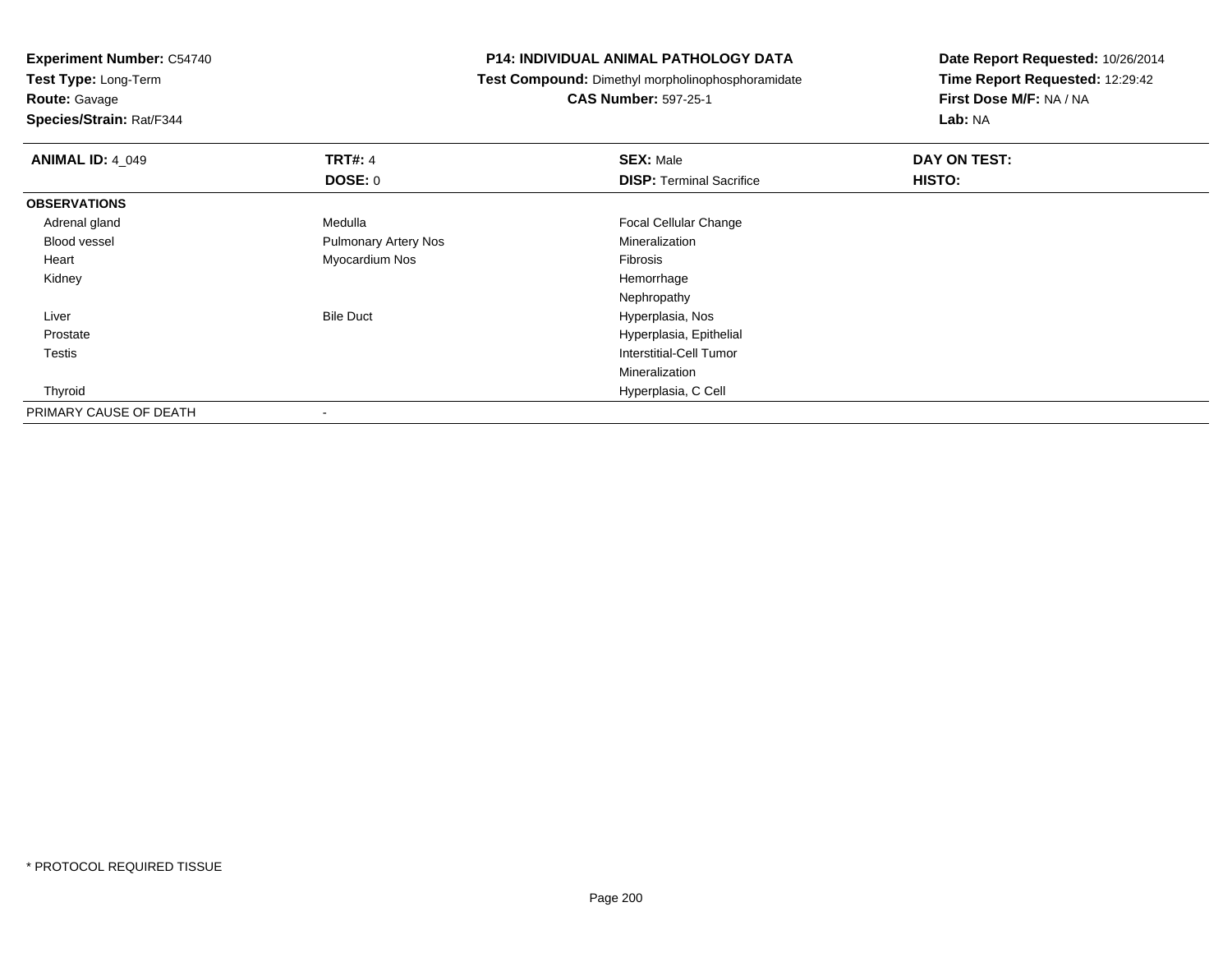**Test Type:** Long-Term

**Route:** Gavage

**Species/Strain:** Rat/F344

# **P14: INDIVIDUAL ANIMAL PATHOLOGY DATA**

**Test Compound:** Dimethyl morpholinophosphoramidate

**CAS Number:** 597-25-1

| <b>ANIMAL ID: 4_049</b> | <b>TRT#: 4</b>              | <b>SEX: Male</b>                | DAY ON TEST: |  |
|-------------------------|-----------------------------|---------------------------------|--------------|--|
|                         | <b>DOSE: 0</b>              | <b>DISP: Terminal Sacrifice</b> | HISTO:       |  |
| <b>OBSERVATIONS</b>     |                             |                                 |              |  |
| Adrenal gland           | Medulla                     | <b>Focal Cellular Change</b>    |              |  |
| Blood vessel            | <b>Pulmonary Artery Nos</b> | Mineralization                  |              |  |
| Heart                   | Myocardium Nos              | Fibrosis                        |              |  |
| Kidney                  |                             | Hemorrhage                      |              |  |
|                         |                             | Nephropathy                     |              |  |
| Liver                   | <b>Bile Duct</b>            | Hyperplasia, Nos                |              |  |
| Prostate                |                             | Hyperplasia, Epithelial         |              |  |
| <b>Testis</b>           |                             | Interstitial-Cell Tumor         |              |  |
|                         |                             | Mineralization                  |              |  |
| Thyroid                 |                             | Hyperplasia, C Cell             |              |  |
| PRIMARY CAUSE OF DEATH  |                             |                                 |              |  |